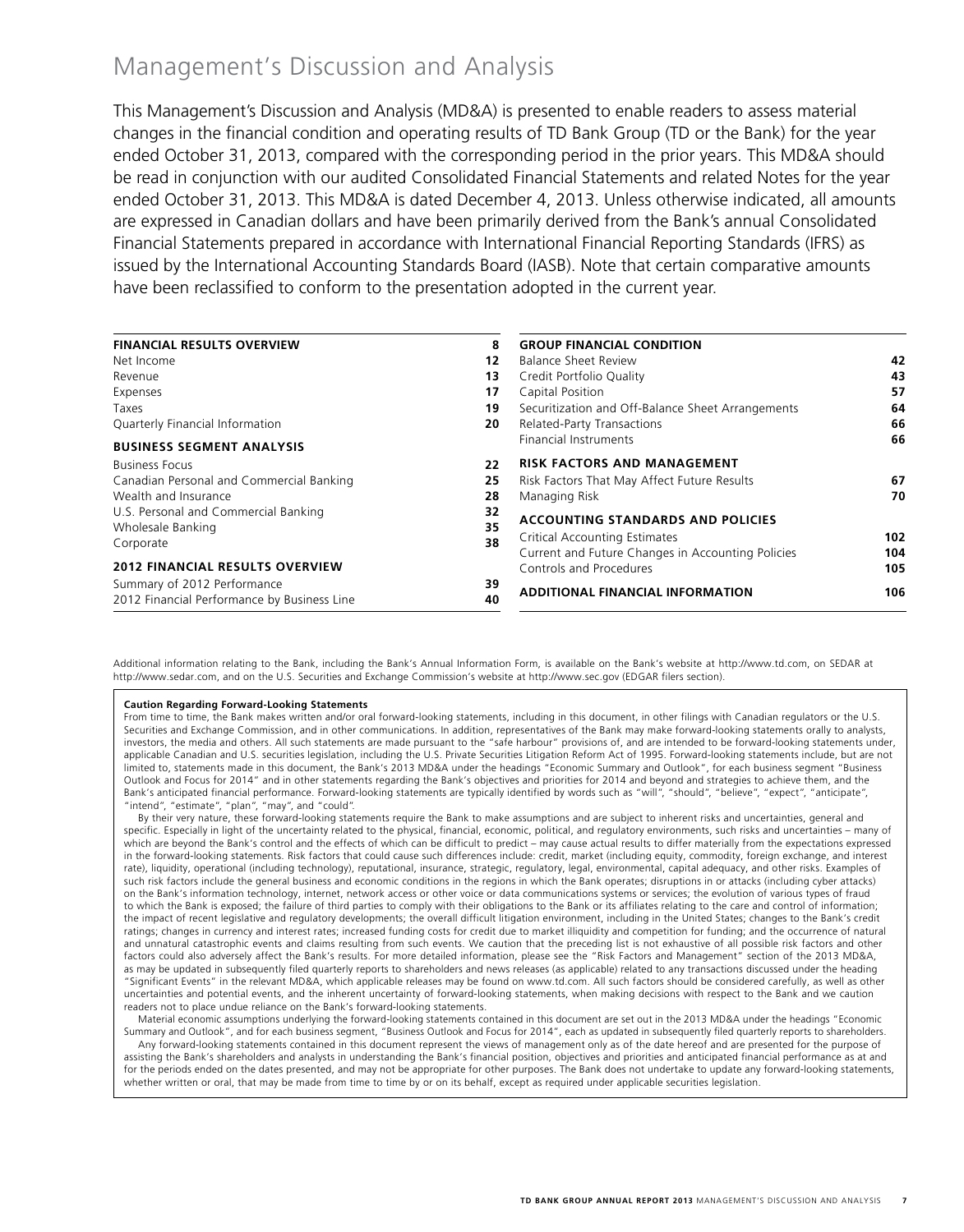# Management's Discussion and Analysis

This Management's Discussion and Analysis (MD&A) is presented to enable readers to assess material changes in the financial condition and operating results of TD Bank Group (TD or the Bank) for the year ended October 31, 2013, compared with the corresponding period in the prior years. This MD&A should be read in conjunction with our audited Consolidated Financial Statements and related Notes for the year ended October 31, 2013. This MD&A is dated December 4, 2013. Unless otherwise indicated, all amounts are expressed in Canadian dollars and have been primarily derived from the Bank's annual Consolidated Financial Statements prepared in accordance with International Financial Reporting Standards (IFRS) as issued by the International Accounting Standards Board (IASB). Note that certain comparative amounts have been reclassified to conform to the presentation adopted in the current year.

| <b>FINANCIAL RESULTS OVERVIEW</b>           | 8  | <b>GROUP FINANCIAL CONDITION</b>                  |     |
|---------------------------------------------|----|---------------------------------------------------|-----|
| Net Income                                  | 12 | <b>Balance Sheet Review</b>                       | 42  |
| Revenue                                     | 13 | Credit Portfolio Quality                          | 43  |
| Expenses                                    | 17 | Capital Position                                  | 57  |
| Taxes                                       | 19 | Securitization and Off-Balance Sheet Arrangements | 64  |
| Quarterly Financial Information             | 20 | Related-Party Transactions                        | 66  |
| <b>BUSINESS SEGMENT ANALYSIS</b>            |    | Financial Instruments                             | 66  |
| <b>Business Focus</b>                       | 22 | <b>RISK FACTORS AND MANAGEMENT</b>                |     |
| Canadian Personal and Commercial Banking    | 25 | Risk Factors That May Affect Future Results       | 67  |
| Wealth and Insurance                        | 28 | Managing Risk                                     | 70  |
| U.S. Personal and Commercial Banking        | 32 | <b>ACCOUNTING STANDARDS AND POLICIES</b>          |     |
| Wholesale Banking                           | 35 | <b>Critical Accounting Estimates</b>              | 102 |
| Corporate                                   | 38 | Current and Future Changes in Accounting Policies | 104 |
| <b>2012 FINANCIAL RESULTS OVERVIEW</b>      |    | Controls and Procedures                           | 105 |
| Summary of 2012 Performance                 | 39 |                                                   |     |
| 2012 Financial Performance by Business Line | 40 | <b>ADDITIONAL FINANCIAL INFORMATION</b>           | 106 |

Additional information relating to the Bank, including the Bank's Annual Information Form, is available on the Bank's website at http://www.td.com, on SEDAR at http://www.sedar.com, and on the U.S. Securities and Exchange Commission's website at http://www.sec.gov (EDGAR filers section).

#### **Caution Regarding Forward-Looking Statements**

From time to time, the Bank makes written and/or oral forward-looking statements, including in this document, in other filings with Canadian regulators or the U.S. Securities and Exchange Commission, and in other communications. In addition, representatives of the Bank may make forward-looking statements orally to analysts, investors, the media and others. All such statements are made pursuant to the "safe harbour" provisions of, and are intended to be forward-looking statements under, applicable Canadian and U.S. securities legislation, including the U.S. Private Securities Litigation Reform Act of 1995. Forward-looking statements include, but are not limited to, statements made in this document, the Bank's 2013 MD&A under the headings "Economic Summary and Outlook", for each business segment "Business Outlook and Focus for 2014" and in other statements regarding the Bank's objectives and priorities for 2014 and beyond and strategies to achieve them, and the Bank's anticipated financial performance. Forward-looking statements are typically identified by words such as "will", "should", "believe", "expect", "anticipate", "intend", "estimate", "plan", "may", and "could".

By their very nature, these forward-looking statements require the Bank to make assumptions and are subject to inherent risks and uncertainties, general and specific. Especially in light of the uncertainty related to the physical, financial, economic, political, and regulatory environments, such risks and uncertainties – many of which are beyond the Bank's control and the effects of which can be difficult to predict – may cause actual results to differ materially from the expectations expressed in the forward-looking statements. Risk factors that could cause such differences include: credit, market (including equity, commodity, foreign exchange, and interest rate), liquidity, operational (including technology), reputational, insurance, strategic, regulatory, legal, environmental, capital adequacy, and other risks. Examples of such risk factors include the general business and economic conditions in the regions in which the Bank operates; disruptions in or attacks (including cyber attacks) on the Bank's information technology, internet, network access or other voice or data communications systems or services; the evolution of various types of fraud to which the Bank is exposed; the failure of third parties to comply with their obligations to the Bank or its affiliates relating to the care and control of information; the impact of recent legislative and regulatory developments; the overall difficult litigation environment, including in the United States; changes to the Bank's credit ratings; changes in currency and interest rates; increased funding costs for credit due to market illiquidity and competition for funding; and the occurrence of natural and unnatural catastrophic events and claims resulting from such events. We caution that the preceding list is not exhaustive of all possible risk factors and other factors could also adversely affect the Bank's results. For more detailed information, please see the "Risk Factors and Management" section of the 2013 MD&A, as may be updated in subsequently filed quarterly reports to shareholders and news releases (as applicable) related to any transactions discussed under the heading "Significant Events" in the relevant MD&A, which applicable releases may be found on www.td.com. All such factors should be considered carefully, as well as other uncertainties and potential events, and the inherent uncertainty of forward-looking statements, when making decisions with respect to the Bank and we caution readers not to place undue reliance on the Bank's forward-looking statements.

Material economic assumptions underlying the forward-looking statements contained in this document are set out in the 2013 MD&A under the headings "Economic Summary and Outlook", and for each business segment, "Business Outlook and Focus for 2014", each as updated in subsequently filed quarterly reports to shareholders.

Any forward-looking statements contained in this document represent the views of management only as of the date hereof and are presented for the purpose of assisting the Bank's shareholders and analysts in understanding the Bank's financial position, objectives and priorities and anticipated financial performance as at and for the periods ended on the dates presented, and may not be appropriate for other purposes. The Bank does not undertake to update any forward-looking statements, whether written or oral, that may be made from time to time by or on its behalf, except as required under applicable securities legislation.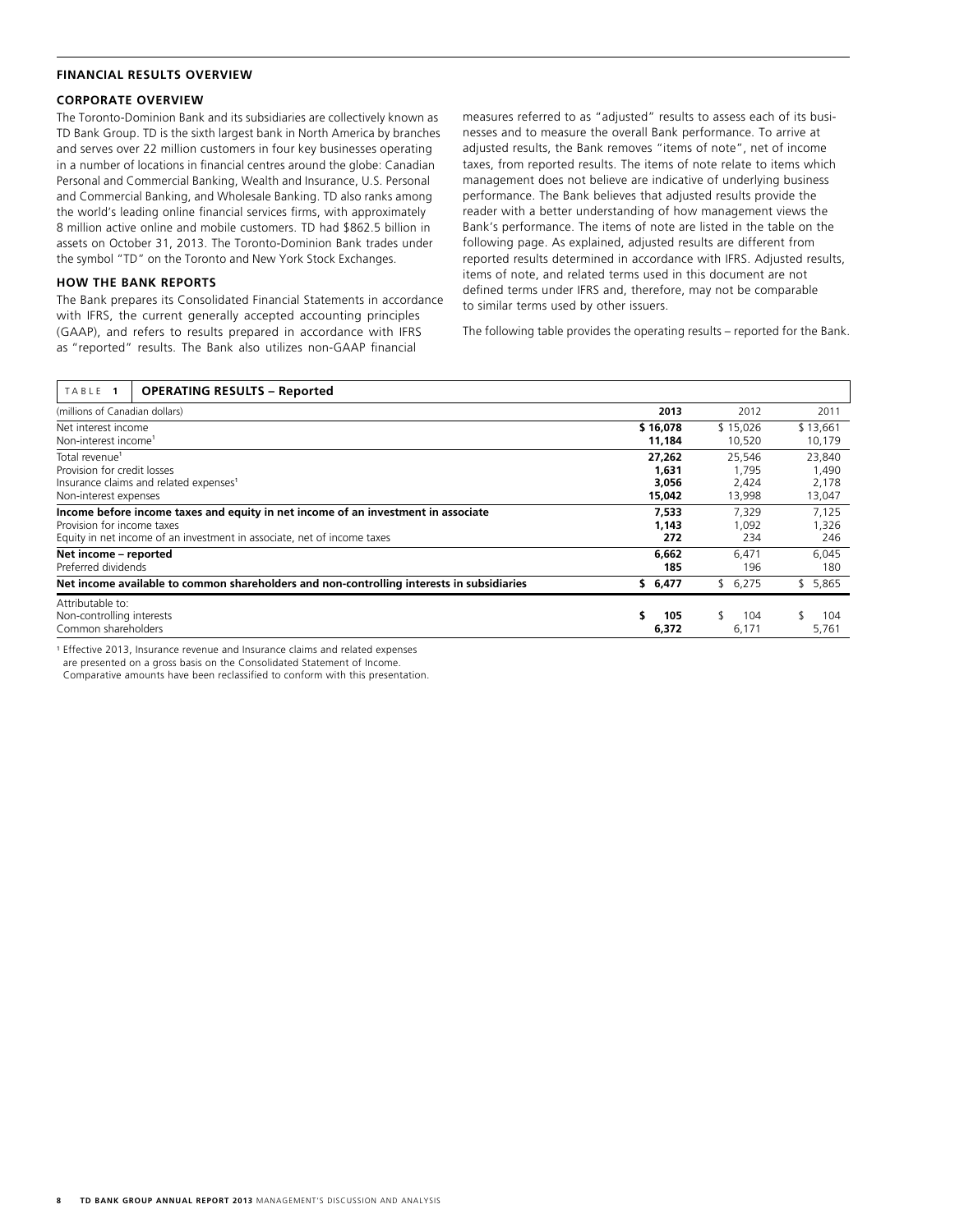#### **FINANCIAL RESULTS OVERVIEW**

#### **CORPORATE OVERVIEW**

The Toronto-Dominion Bank and its subsidiaries are collectively known as TD Bank Group. TD is the sixth largest bank in North America by branches and serves over 22 million customers in four key businesses operating in a number of locations in financial centres around the globe: Canadian Personal and Commercial Banking, Wealth and Insurance, U.S. Personal and Commercial Banking, and Wholesale Banking. TD also ranks among the world's leading online financial services firms, with approximately 8 million active online and mobile customers. TD had \$862.5 billion in assets on October 31, 2013. The Toronto-Dominion Bank trades under the symbol "TD" on the Toronto and New York Stock Exchanges.

#### **HOW THE BANK REPORTS**

The Bank prepares its Consolidated Financial Statements in accordance with IFRS, the current generally accepted accounting principles (GAAP), and refers to results prepared in accordance with IFRS as "reported" results. The Bank also utilizes non-GAAP financial

measures referred to as "adjusted" results to assess each of its businesses and to measure the overall Bank performance. To arrive at adjusted results, the Bank removes "items of note", net of income taxes, from reported results. The items of note relate to items which management does not believe are indicative of underlying business performance. The Bank believes that adjusted results provide the reader with a better understanding of how management views the Bank's performance. The items of note are listed in the table on the following page. As explained, adjusted results are different from reported results determined in accordance with IFRS. Adjusted results, items of note, and related terms used in this document are not defined terms under IFRS and, therefore, may not be comparable to similar terms used by other issuers.

The following table provides the operating results – reported for the Bank.

| TABLE<br>$\overline{\phantom{0}}$                                                  | <b>OPERATING RESULTS - Reported</b>                                                                                                                          |                                    |                                    |                                    |
|------------------------------------------------------------------------------------|--------------------------------------------------------------------------------------------------------------------------------------------------------------|------------------------------------|------------------------------------|------------------------------------|
| (millions of Canadian dollars)                                                     |                                                                                                                                                              | 2013                               | 2012                               | 2011                               |
| Net interest income<br>Non-interest income <sup>1</sup>                            |                                                                                                                                                              | \$16,078<br>11,184                 | \$15,026<br>10,520                 | \$13,661<br>10,179                 |
| Total revenue <sup>1</sup><br>Provision for credit losses<br>Non-interest expenses | Insurance claims and related expenses <sup>1</sup>                                                                                                           | 27.262<br>1.631<br>3,056<br>15,042 | 25,546<br>1.795<br>2,424<br>13,998 | 23,840<br>1.490<br>2,178<br>13,047 |
| Provision for income taxes                                                         | Income before income taxes and equity in net income of an investment in associate<br>Equity in net income of an investment in associate, net of income taxes | 7,533<br>1.143<br>272              | 7,329<br>1,092<br>234              | 7,125<br>1.326<br>246              |
| Net income - reported<br>Preferred dividends                                       |                                                                                                                                                              | 6,662<br>185                       | 6,471<br>196                       | 6,045<br>180                       |
|                                                                                    | Net income available to common shareholders and non-controlling interests in subsidiaries                                                                    | \$6,477                            | \$6,275                            | \$5,865                            |
| Attributable to:<br>Non-controlling interests<br>Common shareholders               |                                                                                                                                                              | 105<br>6,372                       | 104<br>6,171                       | 104<br>5,761                       |

<sup>1</sup> Effective 2013, Insurance revenue and Insurance claims and related expenses

are presented on a gross basis on the Consolidated Statement of Income.

Comparative amounts have been reclassified to conform with this presentation.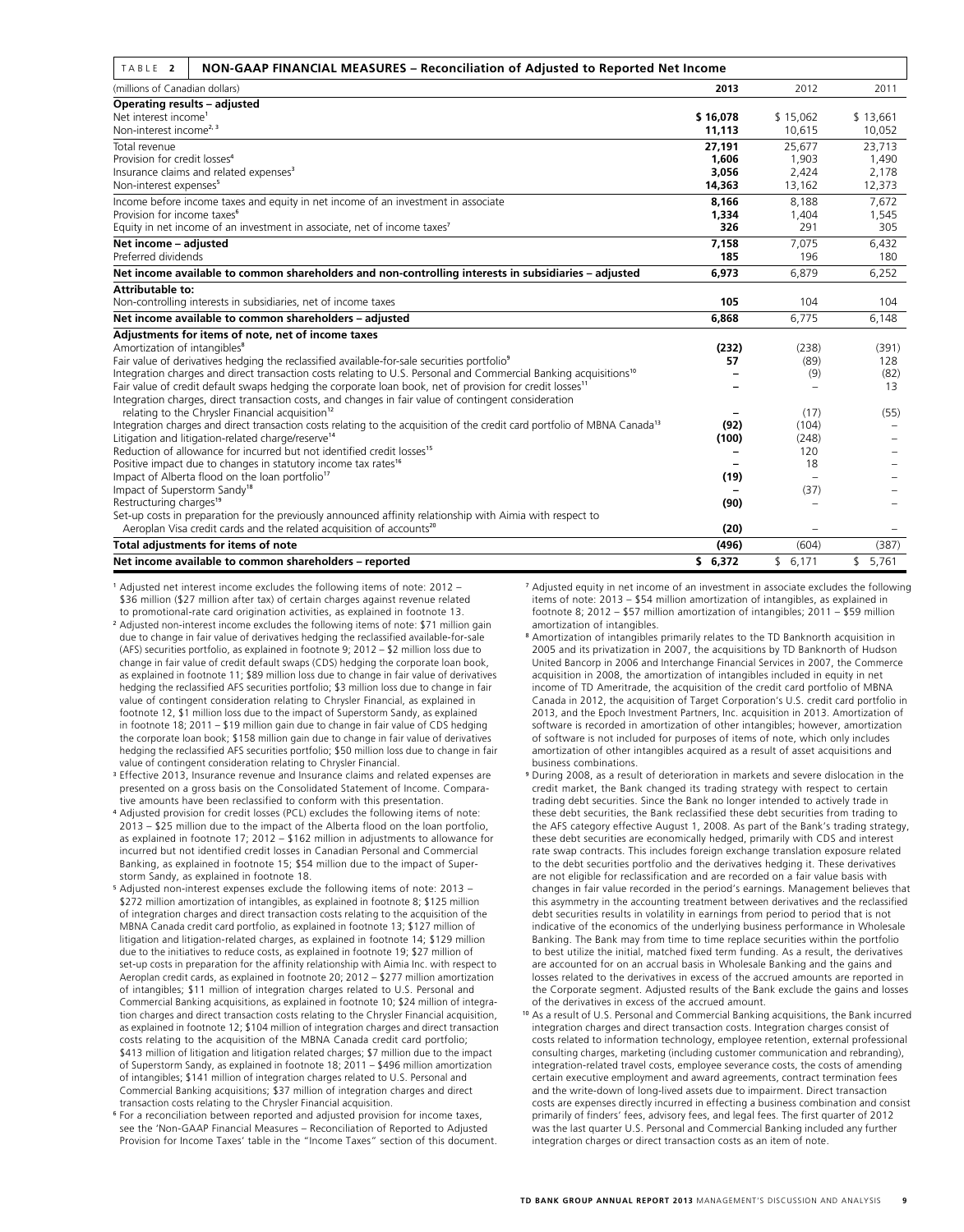| (millions of Canadian dollars)<br>2013<br>2012<br>2011<br>Operating results - adjusted<br>Net interest income <sup>1</sup><br>\$16,078<br>\$15,062<br>\$13,661<br>Non-interest income <sup>2, 3</sup><br>11,113<br>10,052<br>10,615<br>25,677<br>23,713<br>27,191<br>Provision for credit losses <sup>4</sup><br>1.606<br>1,903<br>1,490<br>Insurance claims and related expenses <sup>3</sup><br>3,056<br>2,178<br>2,424<br>Non-interest expenses <sup>5</sup><br>14,363<br>12,373<br>13,162<br>Income before income taxes and equity in net income of an investment in associate<br>7,672<br>8,166<br>8,188<br>Provision for income taxes <sup>6</sup><br>1,334<br>1,404<br>1,545<br>Equity in net income of an investment in associate, net of income taxes <sup>7</sup><br>326<br>291<br>305<br>Net income - adjusted<br>7,158<br>7,075<br>6,432<br>Preferred dividends<br>185<br>196<br>180<br>Net income available to common shareholders and non-controlling interests in subsidiaries - adjusted<br>6.973<br>6.879<br>6,252<br>Attributable to:<br>Non-controlling interests in subsidiaries, net of income taxes<br>105<br>104<br>104<br>Net income available to common shareholders - adjusted<br>6.868<br>6,775<br>6,148<br>Adjustments for items of note, net of income taxes<br>Amortization of intangibles <sup>8</sup><br>(232)<br>(238)<br>(391)<br>Fair value of derivatives hedging the reclassified available-for-sale securities portfolio <sup>9</sup><br>57<br>(89)<br>128<br>Integration charges and direct transaction costs relating to U.S. Personal and Commercial Banking acquisitions <sup>10</sup><br>(9)<br>(82)<br>Fair value of credit default swaps hedging the corporate loan book, net of provision for credit losses <sup>11</sup><br>13<br>Integration charges, direct transaction costs, and changes in fair value of contingent consideration<br>relating to the Chrysler Financial acquisition <sup>12</sup><br>(17)<br>(55)<br>Integration charges and direct transaction costs relating to the acquisition of the credit card portfolio of MBNA Canada <sup>13</sup><br>(92)<br>(104)<br>Litigation and litigation-related charge/reserve <sup>14</sup><br>(100)<br>(248)<br>Reduction of allowance for incurred but not identified credit losses <sup>15</sup><br>120<br>Positive impact due to changes in statutory income tax rates <sup>16</sup><br>18<br>Impact of Alberta flood on the loan portfolio <sup>17</sup><br>(19)<br>Impact of Superstorm Sandy <sup>18</sup><br>(37)<br>Restructuring charges <sup>19</sup><br>(90)<br>Set-up costs in preparation for the previously announced affinity relationship with Aimia with respect to<br>Aeroplan Visa credit cards and the related acquisition of accounts <sup>20</sup><br>(20)<br>Total adjustments for items of note<br>(496)<br>(604)<br>(387)<br>Net income available to common shareholders - reported<br>\$6,171<br>\$5,761<br>\$6,372 | TABLE 2       | NON-GAAP FINANCIAL MEASURES - Reconciliation of Adjusted to Reported Net Income |  |  |
|-------------------------------------------------------------------------------------------------------------------------------------------------------------------------------------------------------------------------------------------------------------------------------------------------------------------------------------------------------------------------------------------------------------------------------------------------------------------------------------------------------------------------------------------------------------------------------------------------------------------------------------------------------------------------------------------------------------------------------------------------------------------------------------------------------------------------------------------------------------------------------------------------------------------------------------------------------------------------------------------------------------------------------------------------------------------------------------------------------------------------------------------------------------------------------------------------------------------------------------------------------------------------------------------------------------------------------------------------------------------------------------------------------------------------------------------------------------------------------------------------------------------------------------------------------------------------------------------------------------------------------------------------------------------------------------------------------------------------------------------------------------------------------------------------------------------------------------------------------------------------------------------------------------------------------------------------------------------------------------------------------------------------------------------------------------------------------------------------------------------------------------------------------------------------------------------------------------------------------------------------------------------------------------------------------------------------------------------------------------------------------------------------------------------------------------------------------------------------------------------------------------------------------------------------------------------------------------------------------------------------------------------------------------------------------------------------------------------------------------------------------------------------------------------------------------------------------------------------------------------------------------------------------------------------------------------------------|---------------|---------------------------------------------------------------------------------|--|--|
|                                                                                                                                                                                                                                                                                                                                                                                                                                                                                                                                                                                                                                                                                                                                                                                                                                                                                                                                                                                                                                                                                                                                                                                                                                                                                                                                                                                                                                                                                                                                                                                                                                                                                                                                                                                                                                                                                                                                                                                                                                                                                                                                                                                                                                                                                                                                                                                                                                                                                                                                                                                                                                                                                                                                                                                                                                                                                                                                                       |               |                                                                                 |  |  |
|                                                                                                                                                                                                                                                                                                                                                                                                                                                                                                                                                                                                                                                                                                                                                                                                                                                                                                                                                                                                                                                                                                                                                                                                                                                                                                                                                                                                                                                                                                                                                                                                                                                                                                                                                                                                                                                                                                                                                                                                                                                                                                                                                                                                                                                                                                                                                                                                                                                                                                                                                                                                                                                                                                                                                                                                                                                                                                                                                       |               |                                                                                 |  |  |
|                                                                                                                                                                                                                                                                                                                                                                                                                                                                                                                                                                                                                                                                                                                                                                                                                                                                                                                                                                                                                                                                                                                                                                                                                                                                                                                                                                                                                                                                                                                                                                                                                                                                                                                                                                                                                                                                                                                                                                                                                                                                                                                                                                                                                                                                                                                                                                                                                                                                                                                                                                                                                                                                                                                                                                                                                                                                                                                                                       |               |                                                                                 |  |  |
|                                                                                                                                                                                                                                                                                                                                                                                                                                                                                                                                                                                                                                                                                                                                                                                                                                                                                                                                                                                                                                                                                                                                                                                                                                                                                                                                                                                                                                                                                                                                                                                                                                                                                                                                                                                                                                                                                                                                                                                                                                                                                                                                                                                                                                                                                                                                                                                                                                                                                                                                                                                                                                                                                                                                                                                                                                                                                                                                                       |               |                                                                                 |  |  |
|                                                                                                                                                                                                                                                                                                                                                                                                                                                                                                                                                                                                                                                                                                                                                                                                                                                                                                                                                                                                                                                                                                                                                                                                                                                                                                                                                                                                                                                                                                                                                                                                                                                                                                                                                                                                                                                                                                                                                                                                                                                                                                                                                                                                                                                                                                                                                                                                                                                                                                                                                                                                                                                                                                                                                                                                                                                                                                                                                       | Total revenue |                                                                                 |  |  |
|                                                                                                                                                                                                                                                                                                                                                                                                                                                                                                                                                                                                                                                                                                                                                                                                                                                                                                                                                                                                                                                                                                                                                                                                                                                                                                                                                                                                                                                                                                                                                                                                                                                                                                                                                                                                                                                                                                                                                                                                                                                                                                                                                                                                                                                                                                                                                                                                                                                                                                                                                                                                                                                                                                                                                                                                                                                                                                                                                       |               |                                                                                 |  |  |
|                                                                                                                                                                                                                                                                                                                                                                                                                                                                                                                                                                                                                                                                                                                                                                                                                                                                                                                                                                                                                                                                                                                                                                                                                                                                                                                                                                                                                                                                                                                                                                                                                                                                                                                                                                                                                                                                                                                                                                                                                                                                                                                                                                                                                                                                                                                                                                                                                                                                                                                                                                                                                                                                                                                                                                                                                                                                                                                                                       |               |                                                                                 |  |  |
|                                                                                                                                                                                                                                                                                                                                                                                                                                                                                                                                                                                                                                                                                                                                                                                                                                                                                                                                                                                                                                                                                                                                                                                                                                                                                                                                                                                                                                                                                                                                                                                                                                                                                                                                                                                                                                                                                                                                                                                                                                                                                                                                                                                                                                                                                                                                                                                                                                                                                                                                                                                                                                                                                                                                                                                                                                                                                                                                                       |               |                                                                                 |  |  |
|                                                                                                                                                                                                                                                                                                                                                                                                                                                                                                                                                                                                                                                                                                                                                                                                                                                                                                                                                                                                                                                                                                                                                                                                                                                                                                                                                                                                                                                                                                                                                                                                                                                                                                                                                                                                                                                                                                                                                                                                                                                                                                                                                                                                                                                                                                                                                                                                                                                                                                                                                                                                                                                                                                                                                                                                                                                                                                                                                       |               |                                                                                 |  |  |
|                                                                                                                                                                                                                                                                                                                                                                                                                                                                                                                                                                                                                                                                                                                                                                                                                                                                                                                                                                                                                                                                                                                                                                                                                                                                                                                                                                                                                                                                                                                                                                                                                                                                                                                                                                                                                                                                                                                                                                                                                                                                                                                                                                                                                                                                                                                                                                                                                                                                                                                                                                                                                                                                                                                                                                                                                                                                                                                                                       |               |                                                                                 |  |  |
|                                                                                                                                                                                                                                                                                                                                                                                                                                                                                                                                                                                                                                                                                                                                                                                                                                                                                                                                                                                                                                                                                                                                                                                                                                                                                                                                                                                                                                                                                                                                                                                                                                                                                                                                                                                                                                                                                                                                                                                                                                                                                                                                                                                                                                                                                                                                                                                                                                                                                                                                                                                                                                                                                                                                                                                                                                                                                                                                                       |               |                                                                                 |  |  |
|                                                                                                                                                                                                                                                                                                                                                                                                                                                                                                                                                                                                                                                                                                                                                                                                                                                                                                                                                                                                                                                                                                                                                                                                                                                                                                                                                                                                                                                                                                                                                                                                                                                                                                                                                                                                                                                                                                                                                                                                                                                                                                                                                                                                                                                                                                                                                                                                                                                                                                                                                                                                                                                                                                                                                                                                                                                                                                                                                       |               |                                                                                 |  |  |
|                                                                                                                                                                                                                                                                                                                                                                                                                                                                                                                                                                                                                                                                                                                                                                                                                                                                                                                                                                                                                                                                                                                                                                                                                                                                                                                                                                                                                                                                                                                                                                                                                                                                                                                                                                                                                                                                                                                                                                                                                                                                                                                                                                                                                                                                                                                                                                                                                                                                                                                                                                                                                                                                                                                                                                                                                                                                                                                                                       |               |                                                                                 |  |  |
|                                                                                                                                                                                                                                                                                                                                                                                                                                                                                                                                                                                                                                                                                                                                                                                                                                                                                                                                                                                                                                                                                                                                                                                                                                                                                                                                                                                                                                                                                                                                                                                                                                                                                                                                                                                                                                                                                                                                                                                                                                                                                                                                                                                                                                                                                                                                                                                                                                                                                                                                                                                                                                                                                                                                                                                                                                                                                                                                                       |               |                                                                                 |  |  |
|                                                                                                                                                                                                                                                                                                                                                                                                                                                                                                                                                                                                                                                                                                                                                                                                                                                                                                                                                                                                                                                                                                                                                                                                                                                                                                                                                                                                                                                                                                                                                                                                                                                                                                                                                                                                                                                                                                                                                                                                                                                                                                                                                                                                                                                                                                                                                                                                                                                                                                                                                                                                                                                                                                                                                                                                                                                                                                                                                       |               |                                                                                 |  |  |
|                                                                                                                                                                                                                                                                                                                                                                                                                                                                                                                                                                                                                                                                                                                                                                                                                                                                                                                                                                                                                                                                                                                                                                                                                                                                                                                                                                                                                                                                                                                                                                                                                                                                                                                                                                                                                                                                                                                                                                                                                                                                                                                                                                                                                                                                                                                                                                                                                                                                                                                                                                                                                                                                                                                                                                                                                                                                                                                                                       |               |                                                                                 |  |  |
|                                                                                                                                                                                                                                                                                                                                                                                                                                                                                                                                                                                                                                                                                                                                                                                                                                                                                                                                                                                                                                                                                                                                                                                                                                                                                                                                                                                                                                                                                                                                                                                                                                                                                                                                                                                                                                                                                                                                                                                                                                                                                                                                                                                                                                                                                                                                                                                                                                                                                                                                                                                                                                                                                                                                                                                                                                                                                                                                                       |               |                                                                                 |  |  |
|                                                                                                                                                                                                                                                                                                                                                                                                                                                                                                                                                                                                                                                                                                                                                                                                                                                                                                                                                                                                                                                                                                                                                                                                                                                                                                                                                                                                                                                                                                                                                                                                                                                                                                                                                                                                                                                                                                                                                                                                                                                                                                                                                                                                                                                                                                                                                                                                                                                                                                                                                                                                                                                                                                                                                                                                                                                                                                                                                       |               |                                                                                 |  |  |
|                                                                                                                                                                                                                                                                                                                                                                                                                                                                                                                                                                                                                                                                                                                                                                                                                                                                                                                                                                                                                                                                                                                                                                                                                                                                                                                                                                                                                                                                                                                                                                                                                                                                                                                                                                                                                                                                                                                                                                                                                                                                                                                                                                                                                                                                                                                                                                                                                                                                                                                                                                                                                                                                                                                                                                                                                                                                                                                                                       |               |                                                                                 |  |  |
|                                                                                                                                                                                                                                                                                                                                                                                                                                                                                                                                                                                                                                                                                                                                                                                                                                                                                                                                                                                                                                                                                                                                                                                                                                                                                                                                                                                                                                                                                                                                                                                                                                                                                                                                                                                                                                                                                                                                                                                                                                                                                                                                                                                                                                                                                                                                                                                                                                                                                                                                                                                                                                                                                                                                                                                                                                                                                                                                                       |               |                                                                                 |  |  |
|                                                                                                                                                                                                                                                                                                                                                                                                                                                                                                                                                                                                                                                                                                                                                                                                                                                                                                                                                                                                                                                                                                                                                                                                                                                                                                                                                                                                                                                                                                                                                                                                                                                                                                                                                                                                                                                                                                                                                                                                                                                                                                                                                                                                                                                                                                                                                                                                                                                                                                                                                                                                                                                                                                                                                                                                                                                                                                                                                       |               |                                                                                 |  |  |
|                                                                                                                                                                                                                                                                                                                                                                                                                                                                                                                                                                                                                                                                                                                                                                                                                                                                                                                                                                                                                                                                                                                                                                                                                                                                                                                                                                                                                                                                                                                                                                                                                                                                                                                                                                                                                                                                                                                                                                                                                                                                                                                                                                                                                                                                                                                                                                                                                                                                                                                                                                                                                                                                                                                                                                                                                                                                                                                                                       |               |                                                                                 |  |  |
|                                                                                                                                                                                                                                                                                                                                                                                                                                                                                                                                                                                                                                                                                                                                                                                                                                                                                                                                                                                                                                                                                                                                                                                                                                                                                                                                                                                                                                                                                                                                                                                                                                                                                                                                                                                                                                                                                                                                                                                                                                                                                                                                                                                                                                                                                                                                                                                                                                                                                                                                                                                                                                                                                                                                                                                                                                                                                                                                                       |               |                                                                                 |  |  |
|                                                                                                                                                                                                                                                                                                                                                                                                                                                                                                                                                                                                                                                                                                                                                                                                                                                                                                                                                                                                                                                                                                                                                                                                                                                                                                                                                                                                                                                                                                                                                                                                                                                                                                                                                                                                                                                                                                                                                                                                                                                                                                                                                                                                                                                                                                                                                                                                                                                                                                                                                                                                                                                                                                                                                                                                                                                                                                                                                       |               |                                                                                 |  |  |
|                                                                                                                                                                                                                                                                                                                                                                                                                                                                                                                                                                                                                                                                                                                                                                                                                                                                                                                                                                                                                                                                                                                                                                                                                                                                                                                                                                                                                                                                                                                                                                                                                                                                                                                                                                                                                                                                                                                                                                                                                                                                                                                                                                                                                                                                                                                                                                                                                                                                                                                                                                                                                                                                                                                                                                                                                                                                                                                                                       |               |                                                                                 |  |  |
|                                                                                                                                                                                                                                                                                                                                                                                                                                                                                                                                                                                                                                                                                                                                                                                                                                                                                                                                                                                                                                                                                                                                                                                                                                                                                                                                                                                                                                                                                                                                                                                                                                                                                                                                                                                                                                                                                                                                                                                                                                                                                                                                                                                                                                                                                                                                                                                                                                                                                                                                                                                                                                                                                                                                                                                                                                                                                                                                                       |               |                                                                                 |  |  |
|                                                                                                                                                                                                                                                                                                                                                                                                                                                                                                                                                                                                                                                                                                                                                                                                                                                                                                                                                                                                                                                                                                                                                                                                                                                                                                                                                                                                                                                                                                                                                                                                                                                                                                                                                                                                                                                                                                                                                                                                                                                                                                                                                                                                                                                                                                                                                                                                                                                                                                                                                                                                                                                                                                                                                                                                                                                                                                                                                       |               |                                                                                 |  |  |
|                                                                                                                                                                                                                                                                                                                                                                                                                                                                                                                                                                                                                                                                                                                                                                                                                                                                                                                                                                                                                                                                                                                                                                                                                                                                                                                                                                                                                                                                                                                                                                                                                                                                                                                                                                                                                                                                                                                                                                                                                                                                                                                                                                                                                                                                                                                                                                                                                                                                                                                                                                                                                                                                                                                                                                                                                                                                                                                                                       |               |                                                                                 |  |  |
|                                                                                                                                                                                                                                                                                                                                                                                                                                                                                                                                                                                                                                                                                                                                                                                                                                                                                                                                                                                                                                                                                                                                                                                                                                                                                                                                                                                                                                                                                                                                                                                                                                                                                                                                                                                                                                                                                                                                                                                                                                                                                                                                                                                                                                                                                                                                                                                                                                                                                                                                                                                                                                                                                                                                                                                                                                                                                                                                                       |               |                                                                                 |  |  |
|                                                                                                                                                                                                                                                                                                                                                                                                                                                                                                                                                                                                                                                                                                                                                                                                                                                                                                                                                                                                                                                                                                                                                                                                                                                                                                                                                                                                                                                                                                                                                                                                                                                                                                                                                                                                                                                                                                                                                                                                                                                                                                                                                                                                                                                                                                                                                                                                                                                                                                                                                                                                                                                                                                                                                                                                                                                                                                                                                       |               |                                                                                 |  |  |
|                                                                                                                                                                                                                                                                                                                                                                                                                                                                                                                                                                                                                                                                                                                                                                                                                                                                                                                                                                                                                                                                                                                                                                                                                                                                                                                                                                                                                                                                                                                                                                                                                                                                                                                                                                                                                                                                                                                                                                                                                                                                                                                                                                                                                                                                                                                                                                                                                                                                                                                                                                                                                                                                                                                                                                                                                                                                                                                                                       |               |                                                                                 |  |  |
|                                                                                                                                                                                                                                                                                                                                                                                                                                                                                                                                                                                                                                                                                                                                                                                                                                                                                                                                                                                                                                                                                                                                                                                                                                                                                                                                                                                                                                                                                                                                                                                                                                                                                                                                                                                                                                                                                                                                                                                                                                                                                                                                                                                                                                                                                                                                                                                                                                                                                                                                                                                                                                                                                                                                                                                                                                                                                                                                                       |               |                                                                                 |  |  |
|                                                                                                                                                                                                                                                                                                                                                                                                                                                                                                                                                                                                                                                                                                                                                                                                                                                                                                                                                                                                                                                                                                                                                                                                                                                                                                                                                                                                                                                                                                                                                                                                                                                                                                                                                                                                                                                                                                                                                                                                                                                                                                                                                                                                                                                                                                                                                                                                                                                                                                                                                                                                                                                                                                                                                                                                                                                                                                                                                       |               |                                                                                 |  |  |
|                                                                                                                                                                                                                                                                                                                                                                                                                                                                                                                                                                                                                                                                                                                                                                                                                                                                                                                                                                                                                                                                                                                                                                                                                                                                                                                                                                                                                                                                                                                                                                                                                                                                                                                                                                                                                                                                                                                                                                                                                                                                                                                                                                                                                                                                                                                                                                                                                                                                                                                                                                                                                                                                                                                                                                                                                                                                                                                                                       |               |                                                                                 |  |  |

<sup>1</sup> Adjusted net interest income excludes the following items of note: 2012 – \$36 million (\$27 million after tax) of certain charges against revenue related to promotional-rate card origination activities, as explained in footnote 13.

<sup>2</sup> Adjusted non-interest income excludes the following items of note: \$71 million gain due to change in fair value of derivatives hedging the reclassified available-for-sale (AFS) securities portfolio, as explained in footnote 9; 2012 – \$2 million loss due to change in fair value of credit default swaps (CDS) hedging the corporate loan book, as explained in footnote 11; \$89 million loss due to change in fair value of derivatives hedging the reclassified AFS securities portfolio; \$3 million loss due to change in fair value of contingent consideration relating to Chrysler Financial, as explained in footnote 12, \$1 million loss due to the impact of Superstorm Sandy, as explained in footnote 18; 2011 – \$19 million gain due to change in fair value of CDS hedging the corporate loan book; \$158 million gain due to change in fair value of derivatives hedging the reclassified AFS securities portfolio; \$50 million loss due to change in fair value of contingent consideration relating to Chrysler Financial.

<sup>3</sup> Effective 2013, Insurance revenue and Insurance claims and related expenses are presented on a gross basis on the Consolidated Statement of Income. Comparative amounts have been reclassified to conform with this presentation.

<sup>4</sup> Adjusted provision for credit losses (PCL) excludes the following items of note: 2013 – \$25 million due to the impact of the Alberta flood on the loan portfolio, as explained in footnote 17; 2012 – \$162 million in adjustments to allowance for incurred but not identified credit losses in Canadian Personal and Commercial Banking, as explained in footnote 15; \$54 million due to the impact of Superstorm Sandy, as explained in footnote 18.

<sup>5</sup> Adjusted non-interest expenses exclude the following items of note: 2013 – \$272 million amortization of intangibles, as explained in footnote 8; \$125 million of integration charges and direct transaction costs relating to the acquisition of the MBNA Canada credit card portfolio, as explained in footnote 13; \$127 million of litigation and litigation-related charges, as explained in footnote 14; \$129 million due to the initiatives to reduce costs, as explained in footnote 19; \$27 million of set-up costs in preparation for the affinity relationship with Aimia Inc. with respect to Aeroplan credit cards, as explained in footnote 20; 2012 – \$277 million amortization of intangibles; \$11 million of integration charges related to U.S. Personal and Commercial Banking acquisitions, as explained in footnote 10; \$24 million of integration charges and direct transaction costs relating to the Chrysler Financial acquisition, as explained in footnote 12; \$104 million of integration charges and direct transaction costs relating to the acquisition of the MBNA Canada credit card portfolio; \$413 million of litigation and litigation related charges; \$7 million due to the impact of Superstorm Sandy, as explained in footnote 18; 2011 – \$496 million amortization of intangibles; \$141 million of integration charges related to U.S. Personal and Commercial Banking acquisitions; \$37 million of integration charges and direct transaction costs relating to the Chrysler Financial acquisition.

<sup>6</sup> For a reconciliation between reported and adjusted provision for income taxes, see the 'Non-GAAP Financial Measures – Reconciliation of Reported to Adjusted Provision for Income Taxes' table in the "Income Taxes" section of this document. <sup>7</sup> Adjusted equity in net income of an investment in associate excludes the following items of note: 2013 – \$54 million amortization of intangibles, as explained in footnote 8; 2012 – \$57 million amortization of intangibles; 2011 – \$59 million amortization of intangibles.

<sup>8</sup> Amortization of intangibles primarily relates to the TD Banknorth acquisition in 2005 and its privatization in 2007, the acquisitions by TD Banknorth of Hudson United Bancorp in 2006 and Interchange Financial Services in 2007, the Commerce acquisition in 2008, the amortization of intangibles included in equity in net income of TD Ameritrade, the acquisition of the credit card portfolio of MBNA Canada in 2012, the acquisition of Target Corporation's U.S. credit card portfolio in 2013, and the Epoch Investment Partners, Inc. acquisition in 2013. Amortization of software is recorded in amortization of other intangibles; however, amortization of software is not included for purposes of items of note, which only includes amortization of other intangibles acquired as a result of asset acquisitions and business combinations.

<sup>9</sup> During 2008, as a result of deterioration in markets and severe dislocation in the credit market, the Bank changed its trading strategy with respect to certain trading debt securities. Since the Bank no longer intended to actively trade in these debt securities, the Bank reclassified these debt securities from trading to the AFS category effective August 1, 2008. As part of the Bank's trading strategy, these debt securities are economically hedged, primarily with CDS and interest rate swap contracts. This includes foreign exchange translation exposure related to the debt securities portfolio and the derivatives hedging it. These derivatives are not eligible for reclassification and are recorded on a fair value basis with changes in fair value recorded in the period's earnings. Management believes that this asymmetry in the accounting treatment between derivatives and the reclassified debt securities results in volatility in earnings from period to period that is not indicative of the economics of the underlying business performance in Wholesale Banking. The Bank may from time to time replace securities within the portfolio to best utilize the initial, matched fixed term funding. As a result, the derivatives are accounted for on an accrual basis in Wholesale Banking and the gains and losses related to the derivatives in excess of the accrued amounts are reported in the Corporate segment. Adjusted results of the Bank exclude the gains and losses of the derivatives in excess of the accrued amount.

<sup>10</sup> As a result of U.S. Personal and Commercial Banking acquisitions, the Bank incurred integration charges and direct transaction costs. Integration charges consist of costs related to information technology, employee retention, external professional consulting charges, marketing (including customer communication and rebranding), integration-related travel costs, employee severance costs, the costs of amending certain executive employment and award agreements, contract termination fees and the write-down of long-lived assets due to impairment. Direct transaction costs are expenses directly incurred in effecting a business combination and consist primarily of finders' fees, advisory fees, and legal fees. The first quarter of 2012 was the last quarter U.S. Personal and Commercial Banking included any further integration charges or direct transaction costs as an item of note.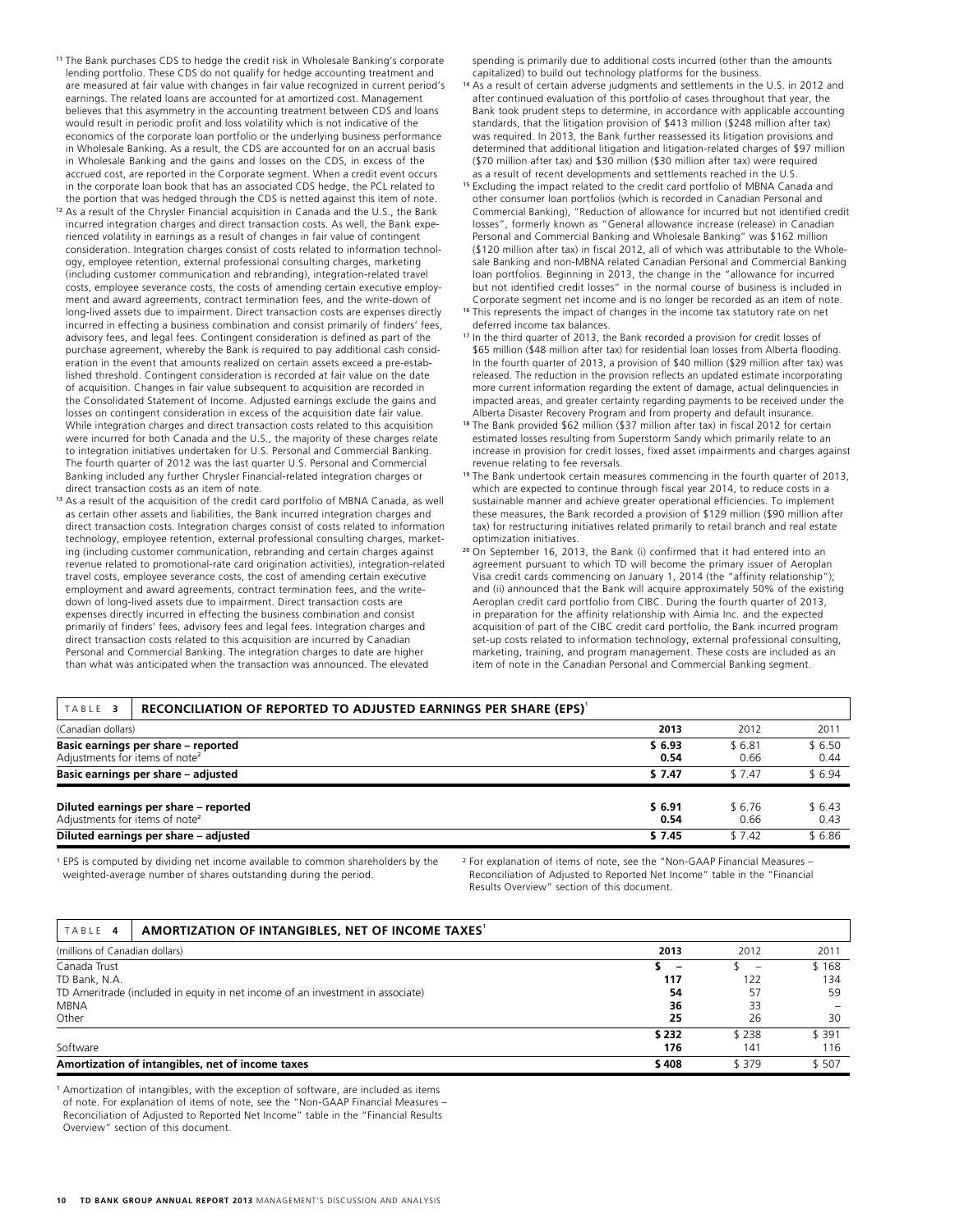- <sup>11</sup> The Bank purchases CDS to hedge the credit risk in Wholesale Banking's corporate lending portfolio. These CDS do not qualify for hedge accounting treatment and are measured at fair value with changes in fair value recognized in current period's earnings. The related loans are accounted for at amortized cost. Management believes that this asymmetry in the accounting treatment between CDS and loans would result in periodic profit and loss volatility which is not indicative of the economics of the corporate loan portfolio or the underlying business performance in Wholesale Banking. As a result, the CDS are accounted for on an accrual basis in Wholesale Banking and the gains and losses on the CDS, in excess of the accrued cost, are reported in the Corporate segment. When a credit event occurs in the corporate loan book that has an associated CDS hedge, the PCL related to the portion that was hedged through the CDS is netted against this item of note.
- <sup>12</sup> As a result of the Chrysler Financial acquisition in Canada and the U.S., the Bank incurred integration charges and direct transaction costs. As well, the Bank experienced volatility in earnings as a result of changes in fair value of contingent consideration. Integration charges consist of costs related to information technology, employee retention, external professional consulting charges, marketing (including customer communication and rebranding), integration-related travel costs, employee severance costs, the costs of amending certain executive employment and award agreements, contract termination fees, and the write-down of long-lived assets due to impairment. Direct transaction costs are expenses directly incurred in effecting a business combination and consist primarily of finders' fees, advisory fees, and legal fees. Contingent consideration is defined as part of the purchase agreement, whereby the Bank is required to pay additional cash consideration in the event that amounts realized on certain assets exceed a pre-established threshold. Contingent consideration is recorded at fair value on the date of acquisition. Changes in fair value subsequent to acquisition are recorded in the Consolidated Statement of Income. Adjusted earnings exclude the gains and losses on contingent consideration in excess of the acquisition date fair value. While integration charges and direct transaction costs related to this acquisition were incurred for both Canada and the U.S., the majority of these charges relate to integration initiatives undertaken for U.S. Personal and Commercial Banking. The fourth quarter of 2012 was the last quarter U.S. Personal and Commercial Banking included any further Chrysler Financial-related integration charges or direct transaction costs as an item of note.
- <sup>13</sup> As a result of the acquisition of the credit card portfolio of MBNA Canada, as well as certain other assets and liabilities, the Bank incurred integration charges and direct transaction costs. Integration charges consist of costs related to information technology, employee retention, external professional consulting charges, marketing (including customer communication, rebranding and certain charges against revenue related to promotional-rate card origination activities), integration-related travel costs, employee severance costs, the cost of amending certain executive employment and award agreements, contract termination fees, and the writedown of long-lived assets due to impairment. Direct transaction costs are expenses directly incurred in effecting the business combination and consist primarily of finders' fees, advisory fees and legal fees. Integration charges and direct transaction costs related to this acquisition are incurred by Canadian Personal and Commercial Banking. The integration charges to date are higher than what was anticipated when the transaction was announced. The elevated

spending is primarily due to additional costs incurred (other than the amounts capitalized) to build out technology platforms for the business.

- <sup>14</sup> As a result of certain adverse judgments and settlements in the U.S. in 2012 and after continued evaluation of this portfolio of cases throughout that year, the Bank took prudent steps to determine, in accordance with applicable accounting standards, that the litigation provision of \$413 million (\$248 million after tax) was required. In 2013, the Bank further reassessed its litigation provisions and determined that additional litigation and litigation-related charges of \$97 million (\$70 million after tax) and \$30 million (\$30 million after tax) were required as a result of recent developments and settlements reached in the U.S.
- <sup>15</sup> Excluding the impact related to the credit card portfolio of MBNA Canada and other consumer loan portfolios (which is recorded in Canadian Personal and Commercial Banking), "Reduction of allowance for incurred but not identified credit losses", formerly known as "General allowance increase (release) in Canadian Personal and Commercial Banking and Wholesale Banking" was \$162 million (\$120 million after tax) in fiscal 2012, all of which was attributable to the Wholesale Banking and non-MBNA related Canadian Personal and Commercial Banking loan portfolios. Beginning in 2013, the change in the "allowance for incurred but not identified credit losses" in the normal course of business is included in Corporate segment net income and is no longer be recorded as an item of note. <sup>16</sup> This represents the impact of changes in the income tax statutory rate on net deferred income tax balances.
- <sup>17</sup> In the third quarter of 2013, the Bank recorded a provision for credit losses of \$65 million (\$48 million after tax) for residential loan losses from Alberta flooding. In the fourth quarter of 2013, a provision of \$40 million (\$29 million after tax) was released. The reduction in the provision reflects an updated estimate incorporating more current information regarding the extent of damage, actual delinquencies in impacted areas, and greater certainty regarding payments to be received under the Alberta Disaster Recovery Program and from property and default insurance.
- <sup>18</sup> The Bank provided \$62 million (\$37 million after tax) in fiscal 2012 for certain estimated losses resulting from Superstorm Sandy which primarily relate to an increase in provision for credit losses, fixed asset impairments and charges against revenue relating to fee reversals.
- <sup>19</sup> The Bank undertook certain measures commencing in the fourth quarter of 2013, which are expected to continue through fiscal year 2014, to reduce costs in a sustainable manner and achieve greater operational efficiencies. To implement these measures, the Bank recorded a provision of \$129 million (\$90 million after tax) for restructuring initiatives related primarily to retail branch and real estate optimization initiatives.
- <sup>20</sup> On September 16, 2013, the Bank (i) confirmed that it had entered into an agreement pursuant to which TD will become the primary issuer of Aeroplan Visa credit cards commencing on January 1, 2014 (the "affinity relationship"); and (ii) announced that the Bank will acquire approximately 50% of the existing Aeroplan credit card portfolio from CIBC. During the fourth quarter of 2013, in preparation for the affinity relationship with Aimia Inc. and the expected acquisition of part of the CIBC credit card portfolio, the Bank incurred program set-up costs related to information technology, external professional consulting, marketing, training, and program management. These costs are included as an item of note in the Canadian Personal and Commercial Banking segment.

| TABLE 3                                                                           | <b>RECONCILIATION OF REPORTED TO ADJUSTED EARNINGS PER SHARE (EPS)</b> |                |                |                |
|-----------------------------------------------------------------------------------|------------------------------------------------------------------------|----------------|----------------|----------------|
| (Canadian dollars)                                                                |                                                                        | 2013           | 2012           | 2011           |
| Basic earnings per share - reported<br>Adjustments for items of note <sup>2</sup> |                                                                        | \$6.93<br>0.54 | \$6.81<br>0.66 | \$6.50<br>0.44 |
| Basic earnings per share - adjusted                                               |                                                                        | \$7.47         | \$7.47         | \$6.94         |
| Adjustments for items of note <sup>2</sup>                                        | Diluted earnings per share - reported                                  | \$6.91<br>0.54 | \$6.76<br>0.66 | \$6.43<br>0.43 |
|                                                                                   | Diluted earnings per share - adjusted                                  | \$7.45         | \$7.42         | \$6.86         |

<sup>1</sup> EPS is computed by dividing net income available to common shareholders by the weighted-average number of shares outstanding during the period.

<sup>2</sup> For explanation of items of note, see the "Non-GAAP Financial Measures – Reconciliation of Adjusted to Reported Net Income" table in the "Financial Results Overview" section of this document.

| TABLE 4       | AMORTIZATION OF INTANGIBLES, NET OF INCOME TAXES <sup>1</sup>                  |                 |                          |       |
|---------------|--------------------------------------------------------------------------------|-----------------|--------------------------|-------|
|               | (millions of Canadian dollars)                                                 |                 | 2012                     | 2011  |
| Canada Trust  |                                                                                | $\qquad \qquad$ | $\overline{\phantom{a}}$ | \$168 |
| TD Bank, N.A. |                                                                                | 117             | 122                      | 134   |
|               | TD Ameritrade (included in equity in net income of an investment in associate) | 54              | 57                       | 59    |
| <b>MBNA</b>   |                                                                                | 36              | 33                       |       |
| Other         |                                                                                | 25              | 26                       | 30    |
|               |                                                                                | \$232           | \$238                    | \$391 |
| Software      |                                                                                | 176             | 141                      | 116   |
|               | Amortization of intangibles, net of income taxes                               | \$408           | \$379                    | \$507 |

<sup>1</sup> Amortization of intangibles, with the exception of software, are included as items of note. For explanation of items of note, see the "Non-GAAP Financial Measures – Reconciliation of Adjusted to Reported Net Income" table in the "Financial Results Overview" section of this document.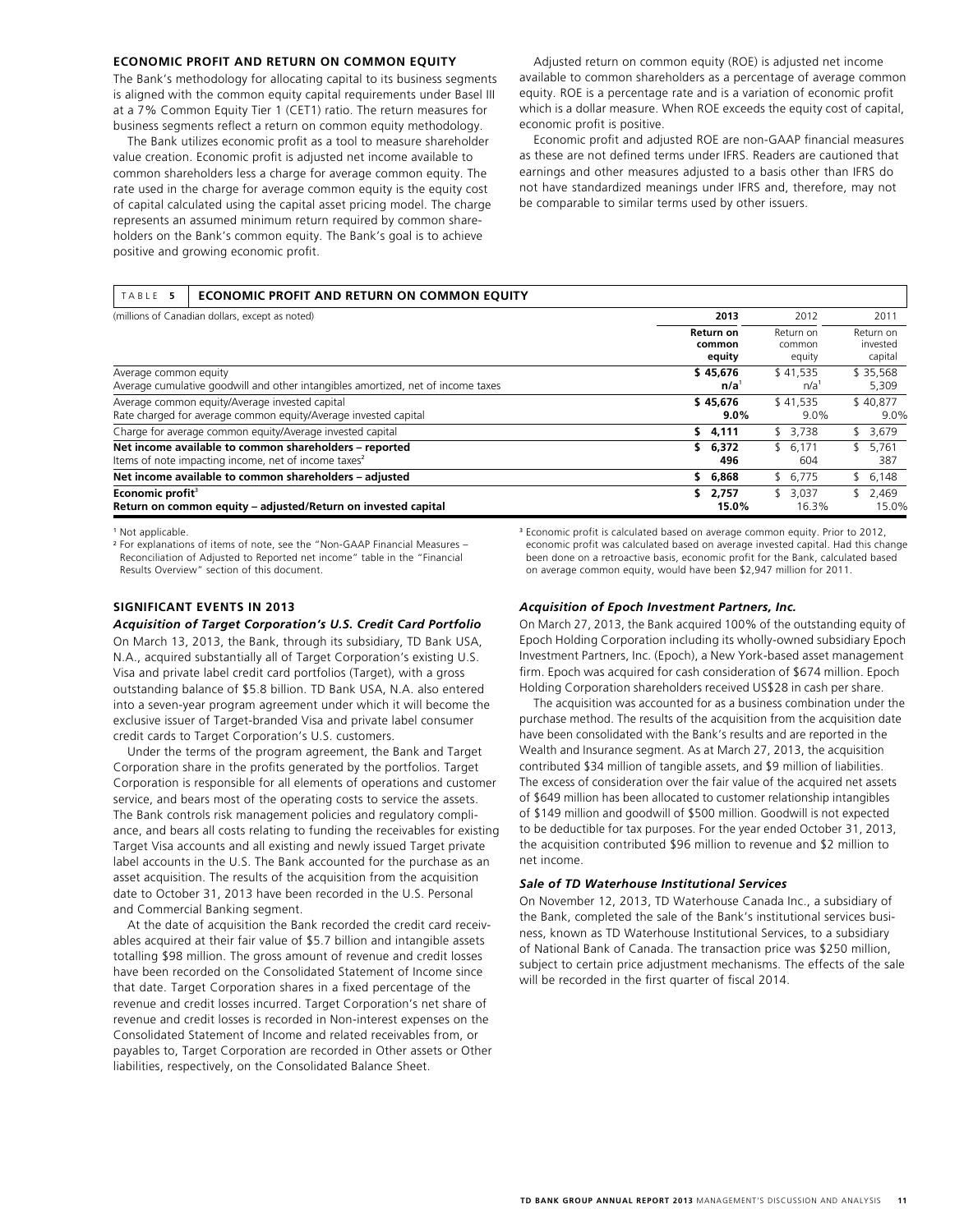#### **ECONOMIC PROFIT AND RETURN ON COMMON EQUITY**

The Bank's methodology for allocating capital to its business segments is aligned with the common equity capital requirements under Basel III at a 7% Common Equity Tier 1 (CET1) ratio. The return measures for business segments reflect a return on common equity methodology.

The Bank utilizes economic profit as a tool to measure shareholder value creation. Economic profit is adjusted net income available to common shareholders less a charge for average common equity. The rate used in the charge for average common equity is the equity cost of capital calculated using the capital asset pricing model. The charge represents an assumed minimum return required by common shareholders on the Bank's common equity. The Bank's goal is to achieve positive and growing economic profit.

Adjusted return on common equity (ROE) is adjusted net income available to common shareholders as a percentage of average common equity. ROE is a percentage rate and is a variation of economic profit which is a dollar measure. When ROE exceeds the equity cost of capital, economic profit is positive.

Economic profit and adjusted ROE are non-GAAP financial measures as these are not defined terms under IFRS. Readers are cautioned that earnings and other measures adjusted to a basis other than IFRS do not have standardized meanings under IFRS and, therefore, may not be comparable to similar terms used by other issuers.

| TABLE<br>5                   | ECONOMIC PROFIT AND RETURN ON COMMON EQUITY                                      |             |           |           |
|------------------------------|----------------------------------------------------------------------------------|-------------|-----------|-----------|
|                              | (millions of Canadian dollars, except as noted)                                  | 2013        | 2012      | 2011      |
|                              |                                                                                  | Return on   | Return on | Return on |
|                              |                                                                                  | common      | common    | invested  |
|                              |                                                                                  | equity      | equity    | capital   |
| Average common equity        |                                                                                  | \$45,676    | \$41.535  | \$35,568  |
|                              | Average cumulative goodwill and other intangibles amortized, net of income taxes | n/a         | n/a       | 5,309     |
|                              | Average common equity/Average invested capital                                   | \$45,676    | \$41.535  | \$40,877  |
|                              | Rate charged for average common equity/Average invested capital                  | $9.0\%$     | $9.0\%$   | 9.0%      |
|                              | Charge for average common equity/Average invested capital                        | \$4,111     | \$3.738   | 3,679     |
|                              | Net income available to common shareholders - reported                           | 6.372       | \$6.171   | 5.761     |
|                              | Items of note impacting income, net of income taxes <sup>2</sup>                 | 496         | 604       | 387       |
|                              | Net income available to common shareholders - adjusted                           | 6,868       | \$6,775   | \$6,148   |
| Economic profit <sup>3</sup> |                                                                                  | 2.757<br>s. | \$3.037   | \$2.469   |
|                              | Return on common equity - adjusted/Return on invested capital                    | 15.0%       | 16.3%     | 15.0%     |
|                              |                                                                                  |             |           |           |

<sup>1</sup> Not applicable.

<sup>2</sup> For explanations of items of note, see the "Non-GAAP Financial Measures – Reconciliation of Adjusted to Reported net income" table in the "Financial Results Overview" section of this document.

#### **SIGNIFICANT EVENTS IN 2013**

#### *Acquisition of Target Corporation's U.S. Credit Card Portfolio*

On March 13, 2013, the Bank, through its subsidiary, TD Bank USA, N.A., acquired substantially all of Target Corporation's existing U.S. Visa and private label credit card portfolios (Target), with a gross outstanding balance of \$5.8 billion. TD Bank USA, N.A. also entered into a seven-year program agreement under which it will become the exclusive issuer of Target-branded Visa and private label consumer credit cards to Target Corporation's U.S. customers.

Under the terms of the program agreement, the Bank and Target Corporation share in the profits generated by the portfolios. Target Corporation is responsible for all elements of operations and customer service, and bears most of the operating costs to service the assets. The Bank controls risk management policies and regulatory compliance, and bears all costs relating to funding the receivables for existing Target Visa accounts and all existing and newly issued Target private label accounts in the U.S. The Bank accounted for the purchase as an asset acquisition. The results of the acquisition from the acquisition date to October 31, 2013 have been recorded in the U.S. Personal and Commercial Banking segment.

At the date of acquisition the Bank recorded the credit card receivables acquired at their fair value of \$5.7 billion and intangible assets totalling \$98 million. The gross amount of revenue and credit losses have been recorded on the Consolidated Statement of Income since that date. Target Corporation shares in a fixed percentage of the revenue and credit losses incurred. Target Corporation's net share of revenue and credit losses is recorded in Non-interest expenses on the Consolidated Statement of Income and related receivables from, or payables to, Target Corporation are recorded in Other assets or Other liabilities, respectively, on the Consolidated Balance Sheet.

<sup>3</sup> Economic profit is calculated based on average common equity. Prior to 2012, economic profit was calculated based on average invested capital. Had this change been done on a retroactive basis, economic profit for the Bank, calculated based on average common equity, would have been \$2,947 million for 2011.

#### *Acquisition of Epoch Investment Partners, Inc.*

On March 27, 2013, the Bank acquired 100% of the outstanding equity of Epoch Holding Corporation including its wholly-owned subsidiary Epoch Investment Partners, Inc. (Epoch), a New York-based asset management firm. Epoch was acquired for cash consideration of \$674 million. Epoch Holding Corporation shareholders received US\$28 in cash per share.

The acquisition was accounted for as a business combination under the purchase method. The results of the acquisition from the acquisition date have been consolidated with the Bank's results and are reported in the Wealth and Insurance segment. As at March 27, 2013, the acquisition contributed \$34 million of tangible assets, and \$9 million of liabilities. The excess of consideration over the fair value of the acquired net assets of \$649 million has been allocated to customer relationship intangibles of \$149 million and goodwill of \$500 million. Goodwill is not expected to be deductible for tax purposes. For the year ended October 31, 2013, the acquisition contributed \$96 million to revenue and \$2 million to net income.

#### *Sale of TD Waterhouse Institutional Services*

On November 12, 2013, TD Waterhouse Canada Inc., a subsidiary of the Bank, completed the sale of the Bank's institutional services business, known as TD Waterhouse Institutional Services, to a subsidiary of National Bank of Canada. The transaction price was \$250 million, subject to certain price adjustment mechanisms. The effects of the sale will be recorded in the first quarter of fiscal 2014.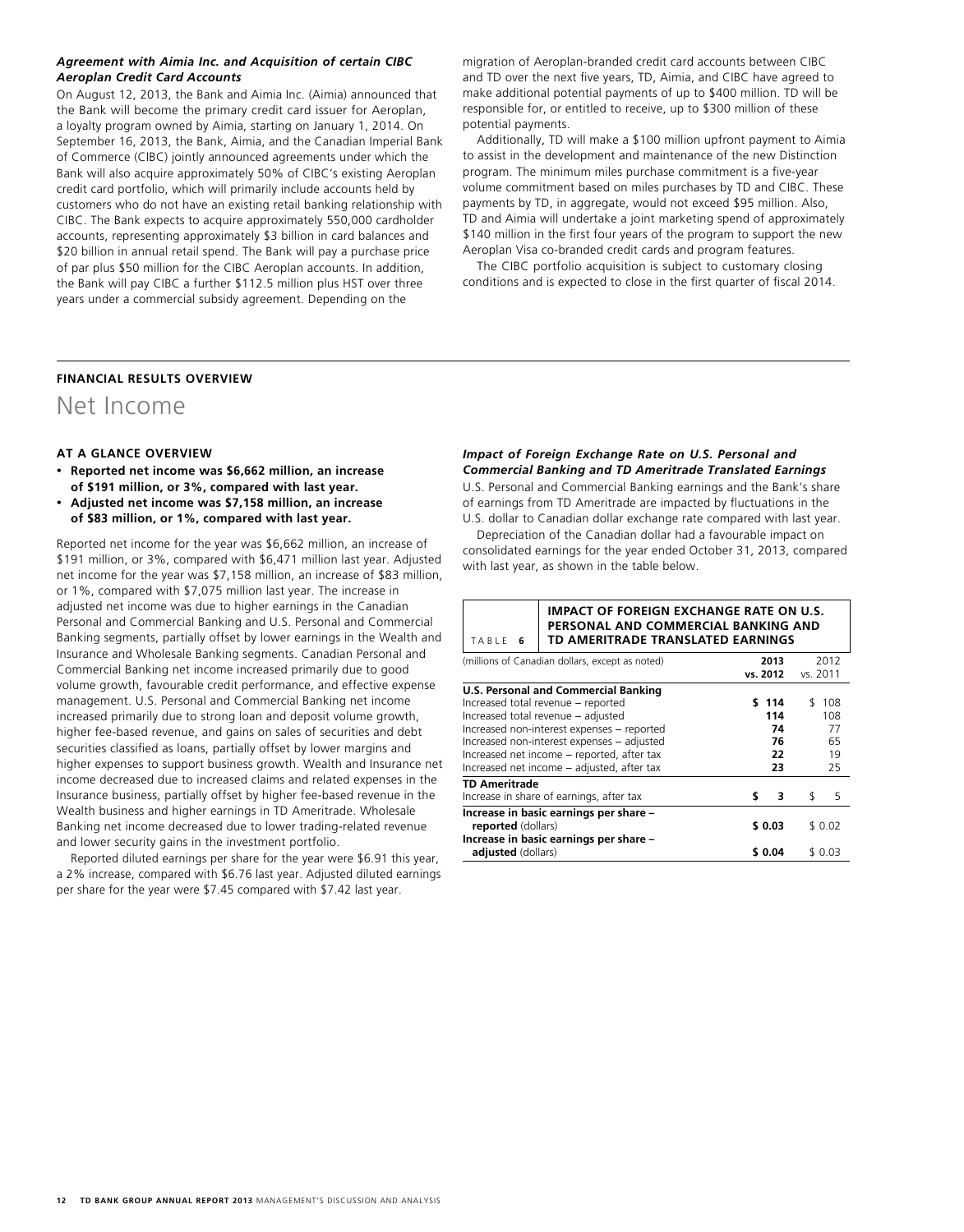#### *Agreement with Aimia Inc. and Acquisition of certain CIBC Aeroplan Credit Card Accounts*

On August 12, 2013, the Bank and Aimia Inc. (Aimia) announced that the Bank will become the primary credit card issuer for Aeroplan, a loyalty program owned by Aimia, starting on January 1, 2014. On September 16, 2013, the Bank, Aimia, and the Canadian Imperial Bank of Commerce (CIBC) jointly announced agreements under which the Bank will also acquire approximately 50% of CIBC's existing Aeroplan credit card portfolio, which will primarily include accounts held by customers who do not have an existing retail banking relationship with CIBC. The Bank expects to acquire approximately 550,000 cardholder accounts, representing approximately \$3 billion in card balances and \$20 billion in annual retail spend. The Bank will pay a purchase price of par plus \$50 million for the CIBC Aeroplan accounts. In addition, the Bank will pay CIBC a further \$112.5 million plus HST over three years under a commercial subsidy agreement. Depending on the

migration of Aeroplan-branded credit card accounts between CIBC and TD over the next five years, TD, Aimia, and CIBC have agreed to make additional potential payments of up to \$400 million. TD will be responsible for, or entitled to receive, up to \$300 million of these potential payments.

Additionally, TD will make a \$100 million upfront payment to Aimia to assist in the development and maintenance of the new Distinction program. The minimum miles purchase commitment is a five-year volume commitment based on miles purchases by TD and CIBC. These payments by TD, in aggregate, would not exceed \$95 million. Also, TD and Aimia will undertake a joint marketing spend of approximately \$140 million in the first four years of the program to support the new Aeroplan Visa co-branded credit cards and program features.

The CIBC portfolio acquisition is subject to customary closing conditions and is expected to close in the first quarter of fiscal 2014.

#### **FINANCIAL RESULTS OVERVIEW**

Net Income

#### **AT A GLANCE OVERVIEW**

- **Reported net income was \$6,662 million, an increase of \$191 million, or 3%, compared with last year.**
- **Adjusted net income was \$7,158 million, an increase of \$83 million, or 1%, compared with last year.**

Reported net income for the year was \$6,662 million, an increase of \$191 million, or 3%, compared with \$6,471 million last year. Adjusted net income for the year was \$7,158 million, an increase of \$83 million, or 1%, compared with \$7,075 million last year. The increase in adjusted net income was due to higher earnings in the Canadian Personal and Commercial Banking and U.S. Personal and Commercial Banking segments, partially offset by lower earnings in the Wealth and Insurance and Wholesale Banking segments. Canadian Personal and Commercial Banking net income increased primarily due to good volume growth, favourable credit performance, and effective expense management. U.S. Personal and Commercial Banking net income increased primarily due to strong loan and deposit volume growth, higher fee-based revenue, and gains on sales of securities and debt securities classified as loans, partially offset by lower margins and higher expenses to support business growth. Wealth and Insurance net income decreased due to increased claims and related expenses in the Insurance business, partially offset by higher fee-based revenue in the Wealth business and higher earnings in TD Ameritrade. Wholesale Banking net income decreased due to lower trading-related revenue and lower security gains in the investment portfolio.

Reported diluted earnings per share for the year were \$6.91 this year, a 2% increase, compared with \$6.76 last year. Adjusted diluted earnings per share for the year were \$7.45 compared with \$7.42 last year.

#### *Impact of Foreign Exchange Rate on U.S. Personal and Commercial Banking and TD Ameritrade Translated Earnings*

U.S. Personal and Commercial Banking earnings and the Bank's share of earnings from TD Ameritrade are impacted by fluctuations in the U.S. dollar to Canadian dollar exchange rate compared with last year.

Depreciation of the Canadian dollar had a favourable impact on consolidated earnings for the year ended October 31, 2013, compared with last year, as shown in the table below.

| IMPACT OF FOREIGN EXCHANGE RATE ON U.S.<br>PERSONAL AND COMMERCIAL BANKING AND<br>TD AMERITRADE TRANSLATED EARNINGS<br>TABIF<br>-6 |                                                                 |           |           |  |  |  |  |  |  |  |  |
|------------------------------------------------------------------------------------------------------------------------------------|-----------------------------------------------------------------|-----------|-----------|--|--|--|--|--|--|--|--|
|                                                                                                                                    | 2012<br>(millions of Canadian dollars, except as noted)<br>2013 |           |           |  |  |  |  |  |  |  |  |
|                                                                                                                                    |                                                                 | vs. 2012  | vs. 2011  |  |  |  |  |  |  |  |  |
|                                                                                                                                    | <b>U.S. Personal and Commercial Banking</b>                     |           |           |  |  |  |  |  |  |  |  |
|                                                                                                                                    | Increased total revenue - reported                              | 114<br>S. | 108<br>\$ |  |  |  |  |  |  |  |  |
|                                                                                                                                    | Increased total revenue - adjusted                              | 114       | 108       |  |  |  |  |  |  |  |  |
|                                                                                                                                    | Increased non-interest expenses - reported                      | 74        | 77        |  |  |  |  |  |  |  |  |
|                                                                                                                                    | Increased non-interest expenses - adjusted                      | 76        | 65        |  |  |  |  |  |  |  |  |
|                                                                                                                                    | Increased net income - reported, after tax                      | 22        | 19        |  |  |  |  |  |  |  |  |
|                                                                                                                                    | Increased net income - adjusted, after tax                      | 23        | 25        |  |  |  |  |  |  |  |  |
| TD Ameritrade                                                                                                                      |                                                                 |           |           |  |  |  |  |  |  |  |  |
|                                                                                                                                    | Increase in share of earnings, after tax                        | 3<br>S    | 5         |  |  |  |  |  |  |  |  |
|                                                                                                                                    | Increase in basic earnings per share -                          |           |           |  |  |  |  |  |  |  |  |
| reported (dollars)                                                                                                                 |                                                                 | \$ 0.03   | \$0.02    |  |  |  |  |  |  |  |  |
|                                                                                                                                    | Increase in basic earnings per share -                          |           |           |  |  |  |  |  |  |  |  |
| adjusted (dollars)                                                                                                                 |                                                                 | \$ 0.04   | \$ 0.03   |  |  |  |  |  |  |  |  |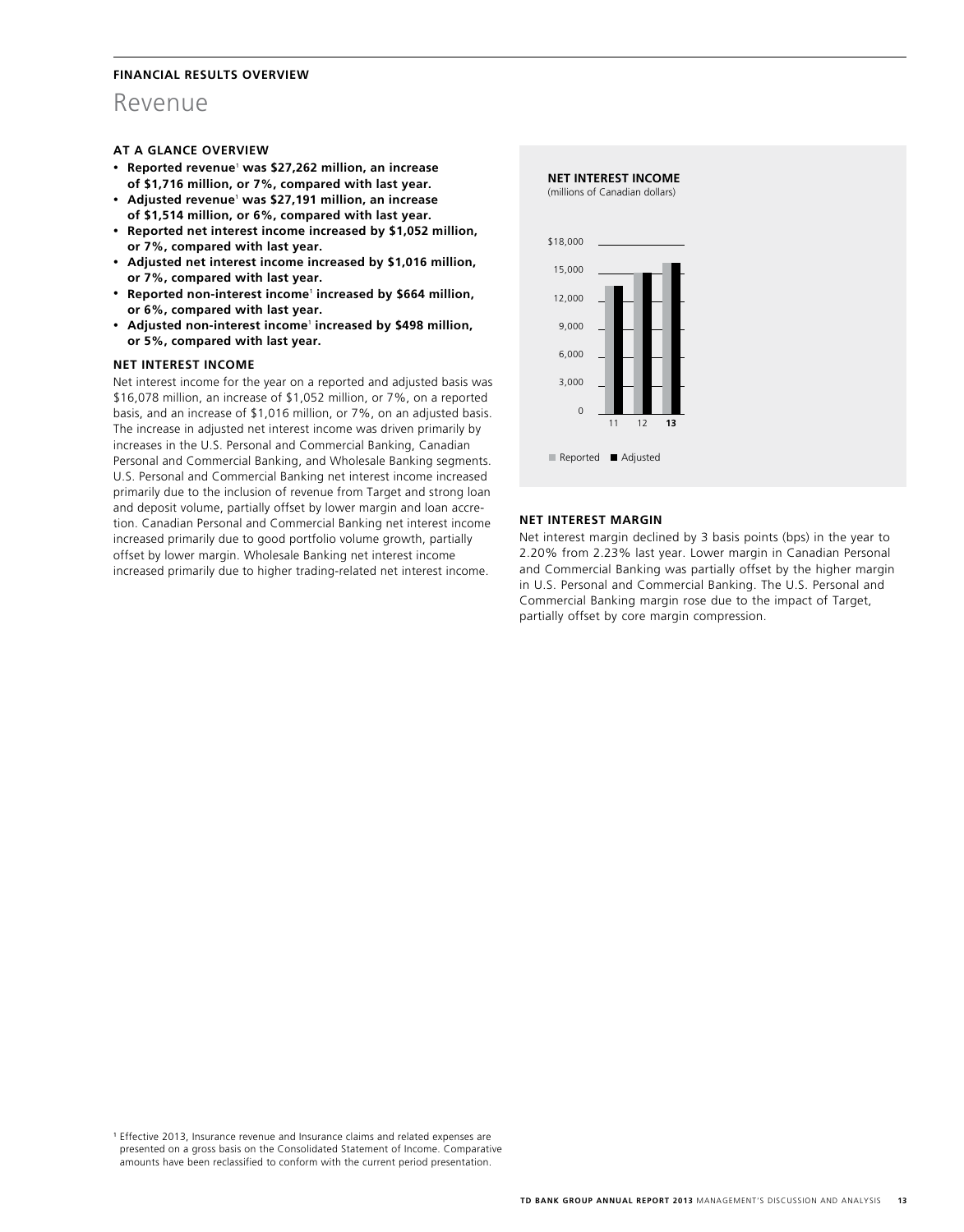#### **FINANCIAL RESULTS OVERVIEW**

## Revenue

#### **AT A GLANCE OVERVIEW**

- **Reported revenue**<sup>1</sup>  **was \$27,262 million, an increase of \$1,716 million, or 7%, compared with last year.**
- **Adjusted revenue**<sup>1</sup>  **was \$27,191 million, an increase of \$1,514 million, or 6%, compared with last year.**
- **Reported net interest income increased by \$1,052 million, or 7%, compared with last year.**
- **Adjusted net interest income increased by \$1,016 million, or 7%, compared with last year.**
- **Reported non-interest income' increased by \$664 million, or 6%, compared with last year.**
- **•** Adjusted non-interest income<sup>1</sup> increased by \$498 million, **or 5%, compared with last year.**

#### **NET INTEREST INCOME**

Net interest income for the year on a reported and adjusted basis was \$16,078 million, an increase of \$1,052 million, or 7%, on a reported basis, and an increase of \$1,016 million, or 7%, on an adjusted basis. The increase in adjusted net interest income was driven primarily by increases in the U.S. Personal and Commercial Banking, Canadian Personal and Commercial Banking, and Wholesale Banking segments. U.S. Personal and Commercial Banking net interest income increased primarily due to the inclusion of revenue from Target and strong loan and deposit volume, partially offset by lower margin and loan accretion. Canadian Personal and Commercial Banking net interest income increased primarily due to good portfolio volume growth, partially offset by lower margin. Wholesale Banking net interest income increased primarily due to higher trading-related net interest income.



#### **NET INTEREST MARGIN**

Net interest margin declined by 3 basis points (bps) in the year to 2.20% from 2.23% last year. Lower margin in Canadian Personal and Commercial Banking was partially offset by the higher margin in U.S. Personal and Commercial Banking. The U.S. Personal and Commercial Banking margin rose due to the impact of Target, partially offset by core margin compression.

<sup>1</sup> Effective 2013, Insurance revenue and Insurance claims and related expenses are presented on a gross basis on the Consolidated Statement of Income. Comparative amounts have been reclassified to conform with the current period presentation.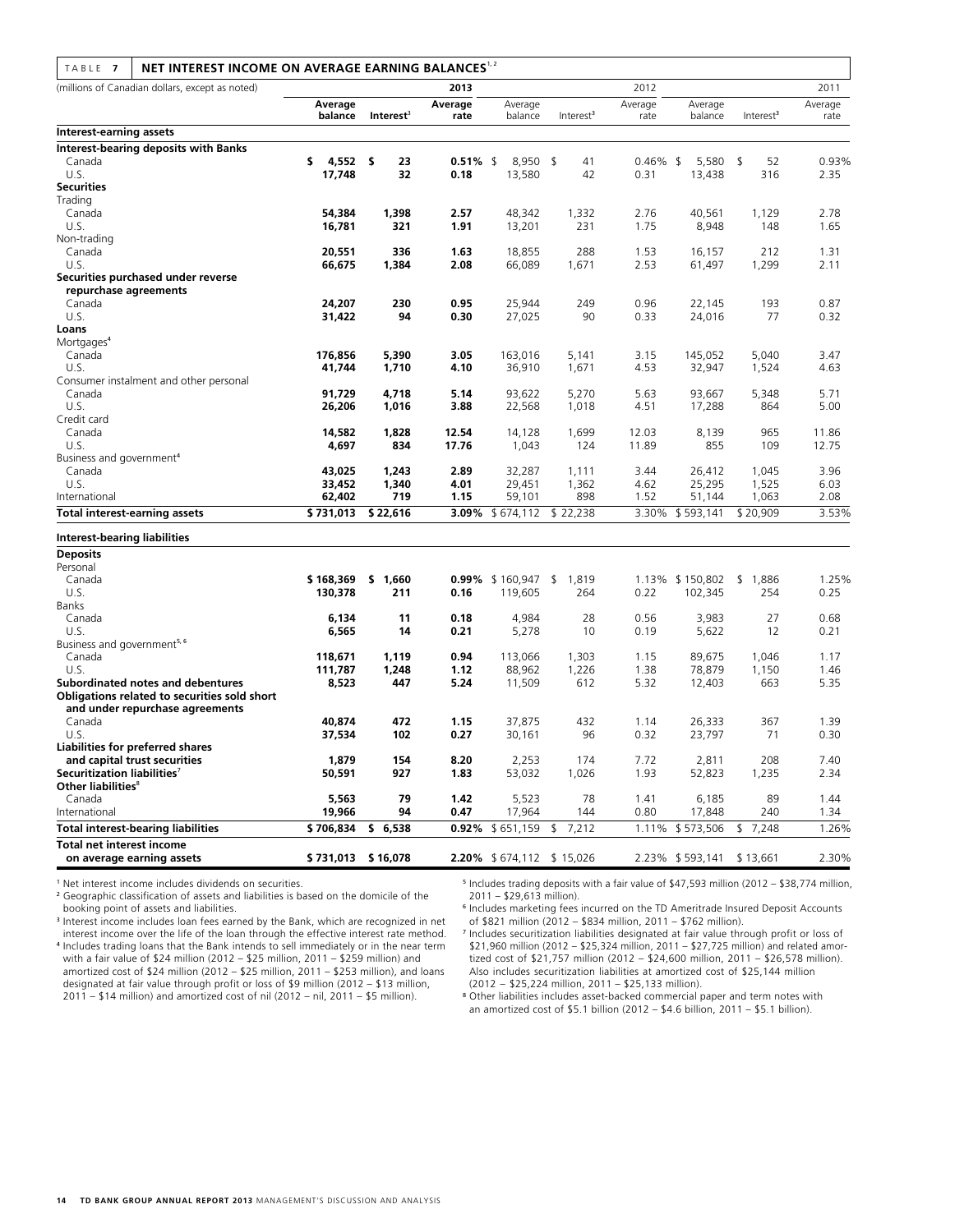| NET INTEREST INCOME ON AVERAGE EARNING BALANCES <sup>1,2</sup><br>TABLE 7                                            |                      |                       |                 |                            |                       |                 |                      |                       |                 |
|----------------------------------------------------------------------------------------------------------------------|----------------------|-----------------------|-----------------|----------------------------|-----------------------|-----------------|----------------------|-----------------------|-----------------|
| (millions of Canadian dollars, except as noted)                                                                      |                      |                       | 2013            |                            |                       | 2012            |                      |                       | 2011            |
|                                                                                                                      | Average<br>balance   | Interest <sup>3</sup> | Average<br>rate | Average<br>balance         | Interest <sup>3</sup> | Average<br>rate | Average<br>balance   | Interest <sup>3</sup> | Average<br>rate |
| <b>Interest-earning assets</b>                                                                                       |                      |                       |                 |                            |                       |                 |                      |                       |                 |
| <b>Interest-bearing deposits with Banks</b>                                                                          |                      |                       |                 |                            |                       |                 |                      |                       |                 |
| Canada<br>U.S.                                                                                                       | Ś.<br>$4,552$ \$     | 23<br>32              | $0.51\%$ \$     | $8,950$ \$                 | 41<br>42              | $0.46\%$ \$     | 5,580                | 52<br>S<br>316        | 0.93%           |
| <b>Securities</b>                                                                                                    | 17,748               |                       | 0.18            | 13,580                     |                       | 0.31            | 13,438               |                       | 2.35            |
| Trading                                                                                                              |                      |                       |                 |                            |                       |                 |                      |                       |                 |
| Canada                                                                                                               | 54,384               | 1,398                 | 2.57            | 48,342                     | 1,332                 | 2.76            | 40,561               | 1,129                 | 2.78            |
| U.S.                                                                                                                 | 16,781               | 321                   | 1.91            | 13,201                     | 231                   | 1.75            | 8,948                | 148                   | 1.65            |
| Non-trading                                                                                                          |                      |                       |                 |                            |                       |                 |                      |                       |                 |
| Canada<br>U.S.                                                                                                       | 20,551<br>66,675     | 336<br>1,384          | 1.63<br>2.08    | 18,855<br>66,089           | 288<br>1,671          | 1.53<br>2.53    | 16,157<br>61,497     | 212<br>1,299          | 1.31<br>2.11    |
| Securities purchased under reverse                                                                                   |                      |                       |                 |                            |                       |                 |                      |                       |                 |
| repurchase agreements                                                                                                |                      |                       |                 |                            |                       |                 |                      |                       |                 |
| Canada                                                                                                               | 24,207               | 230                   | 0.95            | 25,944                     | 249                   | 0.96            | 22,145               | 193                   | 0.87            |
| U.S.                                                                                                                 | 31,422               | 94                    | 0.30            | 27,025                     | 90                    | 0.33            | 24,016               | 77                    | 0.32            |
| Loans                                                                                                                |                      |                       |                 |                            |                       |                 |                      |                       |                 |
| Mortgages <sup>4</sup>                                                                                               |                      |                       |                 |                            |                       |                 |                      |                       |                 |
| Canada<br>U.S.                                                                                                       | 176,856<br>41,744    | 5,390<br>1,710        | 3.05<br>4.10    | 163,016<br>36,910          | 5,141<br>1,671        | 3.15<br>4.53    | 145,052<br>32,947    | 5,040<br>1,524        | 3.47<br>4.63    |
| Consumer instalment and other personal                                                                               |                      |                       |                 |                            |                       |                 |                      |                       |                 |
| Canada                                                                                                               | 91,729               | 4.718                 | 5.14            | 93,622                     | 5,270                 | 5.63            | 93,667               | 5,348                 | 5.71            |
| U.S.                                                                                                                 | 26,206               | 1,016                 | 3.88            | 22,568                     | 1,018                 | 4.51            | 17,288               | 864                   | 5.00            |
| Credit card                                                                                                          |                      |                       |                 |                            |                       |                 |                      |                       |                 |
| Canada                                                                                                               | 14,582               | 1,828                 | 12.54           | 14,128                     | 1,699                 | 12.03           | 8,139                | 965                   | 11.86           |
| U.S.                                                                                                                 | 4,697                | 834                   | 17.76           | 1,043                      | 124                   | 11.89           | 855                  | 109                   | 12.75           |
| Business and government <sup>4</sup><br>Canada                                                                       | 43,025               | 1,243                 | 2.89            | 32,287                     | 1,111                 | 3.44            | 26,412               | 1,045                 | 3.96            |
| U.S.                                                                                                                 | 33,452               | 1,340                 | 4.01            | 29,451                     | 1,362                 | 4.62            | 25,295               | 1,525                 | 6.03            |
| International                                                                                                        | 62,402               | 719                   | 1.15            | 59,101                     | 898                   | 1.52            | 51,144               | 1,063                 | 2.08            |
| <b>Total interest-earning assets</b>                                                                                 | \$731,013            | \$22,616              | 3.09%           | \$674,112                  | \$22,238              | 3.30%           | \$593,141            | \$20,909              | 3.53%           |
| <b>Interest-bearing liabilities</b>                                                                                  |                      |                       |                 |                            |                       |                 |                      |                       |                 |
| <b>Deposits</b>                                                                                                      |                      |                       |                 |                            |                       |                 |                      |                       |                 |
| Personal                                                                                                             |                      |                       |                 |                            |                       |                 |                      |                       |                 |
| Canada<br>U.S.                                                                                                       | \$168,369<br>130,378 | \$<br>1,660<br>211    | 0.16            | 0.99% \$160,947<br>119,605 | 1,819<br>\$<br>264    | 1.13%<br>0.22   | \$150,802<br>102,345 | 1,886<br>S<br>254     | 1.25%<br>0.25   |
| <b>Banks</b>                                                                                                         |                      |                       |                 |                            |                       |                 |                      |                       |                 |
| Canada                                                                                                               | 6,134                | 11                    | 0.18            | 4,984                      | 28                    | 0.56            | 3,983                | 27                    | 0.68            |
| U.S.                                                                                                                 | 6,565                | 14                    | 0.21            | 5,278                      | 10                    | 0.19            | 5,622                | 12                    | 0.21            |
| Business and government <sup>5, 6</sup>                                                                              |                      |                       |                 |                            |                       |                 |                      |                       |                 |
| Canada                                                                                                               | 118,671              | 1,119                 | 0.94            | 113,066                    | 1,303                 | 1.15            | 89,675               | 1,046                 | 1.17            |
| U.S.                                                                                                                 | 111,787              | 1,248                 | 1.12            | 88,962                     | 1,226                 | 1.38            | 78,879               | 1,150                 | 1.46            |
| Subordinated notes and debentures<br>Obligations related to securities sold short<br>and under repurchase agreements | 8,523                | 447                   | 5.24            | 11,509                     | 612                   | 5.32            | 12,403               | 663                   | 5.35            |
| Canada                                                                                                               | 40,874               | 472                   | 1.15            | 37,875                     | 432                   | 1.14            | 26,333               | 367                   | 1.39            |
| U.S.                                                                                                                 | 37,534               | 102                   | 0.27            | 30,161                     | 96                    | 0.32            | 23,797               | 71                    | 0.30            |
| <b>Liabilities for preferred shares</b>                                                                              |                      |                       |                 |                            |                       |                 |                      |                       |                 |
| and capital trust securities                                                                                         | 1,879                | 154                   | 8.20            | 2,253                      | 174                   | 7.72            | 2,811                | 208                   | 7.40            |
| Securitization liabilities <sup>7</sup><br>Other liabilities <sup>8</sup>                                            | 50,591               | 927                   | 1.83            | 53,032                     | 1,026                 | 1.93            | 52,823               | 1,235                 | 2.34            |
| Canada                                                                                                               | 5,563                | 79                    | 1.42            | 5,523                      | 78                    | 1.41            | 6,185                | 89                    | 1.44            |
| International                                                                                                        | 19,966               | 94                    | 0.47            | 17,964                     | 144                   | 0.80            | 17,848               | 240                   | 1.34            |
| <b>Total interest-bearing liabilities</b>                                                                            | \$706,834            | \$6,538               | 0.92%           | \$651,159                  | \$<br>7,212           |                 | 1.11% \$573,506      | \$7,248               | 1.26%           |
| <b>Total net interest income</b><br>on average earning assets                                                        | \$731,013 \$16,078   |                       |                 | 2.20% \$674,112 \$15,026   |                       |                 | 2.23% \$593,141      | \$13,661              | 2.30%           |
|                                                                                                                      |                      |                       |                 |                            |                       |                 |                      |                       |                 |

<sup>1</sup> Net interest income includes dividends on securities.

<sup>2</sup> Geographic classification of assets and liabilities is based on the domicile of the booking point of assets and liabilities.

<sup>3</sup> Interest income includes loan fees earned by the Bank, which are recognized in net interest income over the life of the loan through the effective interest rate method. <sup>4</sup> Includes trading loans that the Bank intends to sell immediately or in the near term

with a fair value of \$24 million (2012 – \$25 million, 2011 – \$259 million) and amortized cost of \$24 million (2012 – \$25 million, 2011 – \$253 million), and loans designated at fair value through profit or loss of \$9 million (2012 – \$13 million, 2011 – \$14 million) and amortized cost of nil (2012 – nil, 2011 – \$5 million).

<sup>5</sup> Includes trading deposits with a fair value of \$47,593 million (2012 – \$38,774 million, 2011 – \$29,613 million).

<sup>6</sup> Includes marketing fees incurred on the TD Ameritrade Insured Deposit Accounts of \$821 million (2012 – \$834 million, 2011 – \$762 million).

<sup>7</sup> Includes securitization liabilities designated at fair value through profit or loss of \$21,960 million (2012 – \$25,324 million, 2011 – \$27,725 million) and related amortized cost of \$21,757 million (2012 – \$24,600 million, 2011 – \$26,578 million). Also includes securitization liabilities at amortized cost of \$25,144 million (2012 – \$25,224 million, 2011 – \$25,133 million).

<sup>8</sup> Other liabilities includes asset-backed commercial paper and term notes with an amortized cost of \$5.1 billion (2012 – \$4.6 billion, 2011 – \$5.1 billion).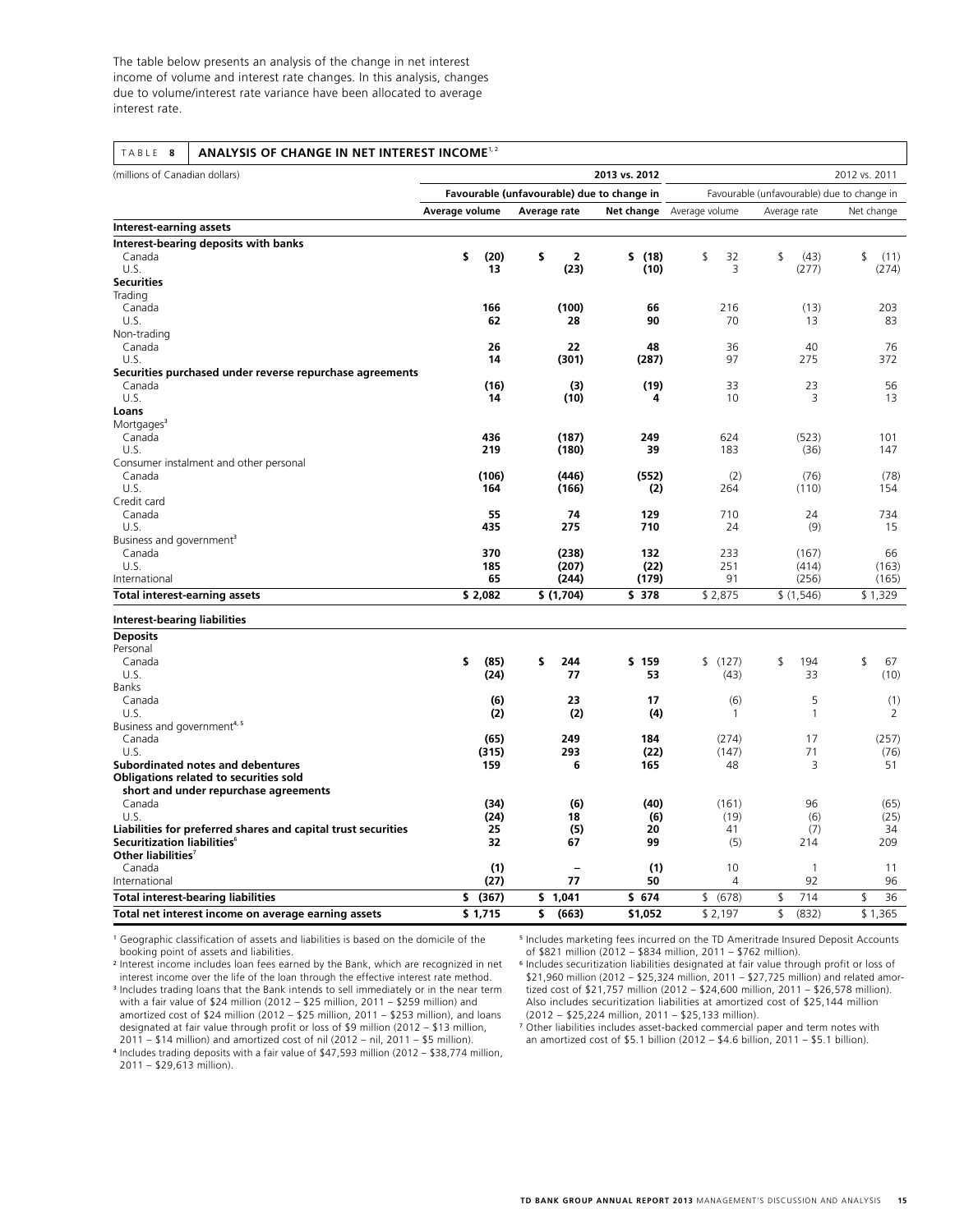The table below presents an analysis of the change in net interest income of volume and interest rate changes. In this analysis, changes due to volume/interest rate variance have been allocated to average interest rate.

## **ANALYSIS OF CHANGE IN NET INTEREST INCOME<sup>1,2</sup>**

| ARALISIS OF CHAIR                                                  |                |             |              |                |                                            |                                            |                |                |
|--------------------------------------------------------------------|----------------|-------------|--------------|----------------|--------------------------------------------|--------------------------------------------|----------------|----------------|
| (millions of Canadian dollars)                                     |                |             |              |                | 2013 vs. 2012                              |                                            |                | 2012 vs. 2011  |
|                                                                    |                |             |              |                | Favourable (unfavourable) due to change in | Favourable (unfavourable) due to change in |                |                |
|                                                                    | Average volume |             | Average rate |                | Net change                                 | Average volume                             | Average rate   | Net change     |
| Interest-earning assets                                            |                |             |              |                |                                            |                                            |                |                |
| Interest-bearing deposits with banks                               |                |             |              |                |                                            |                                            |                |                |
| Canada                                                             | \$             | (20)        | \$           | $\overline{2}$ | \$(18)                                     | \$<br>32                                   | \$<br>(43)     | \$<br>(11)     |
| U.S.                                                               |                | 13          |              | (23)           | (10)                                       | 3                                          | (277)          | (274)          |
| <b>Securities</b>                                                  |                |             |              |                |                                            |                                            |                |                |
| Trading                                                            |                |             |              |                |                                            |                                            |                |                |
| Canada                                                             |                | 166         |              | (100)          | 66                                         | 216                                        | (13)           | 203            |
| U.S.                                                               |                | 62          |              | 28             | 90                                         | 70                                         | 13             | 83             |
| Non-trading                                                        |                |             |              |                |                                            |                                            |                |                |
| Canada                                                             |                | 26<br>14    |              | 22             | 48                                         | 36<br>97                                   | 40<br>275      | 76<br>372      |
| U.S.                                                               |                |             |              | (301)          | (287)                                      |                                            |                |                |
| Securities purchased under reverse repurchase agreements<br>Canada |                | (16)        |              | (3)            | (19)                                       | 33                                         | 23             | 56             |
| U.S.                                                               |                | 14          |              | (10)           | 4                                          | 10                                         | 3              | 13             |
| Loans                                                              |                |             |              |                |                                            |                                            |                |                |
| Mortgages <sup>3</sup>                                             |                |             |              |                |                                            |                                            |                |                |
| Canada                                                             |                | 436         |              | (187)          | 249                                        | 624                                        | (523)          | 101            |
| U.S.                                                               |                | 219         |              | (180)          | 39                                         | 183                                        | (36)           | 147            |
| Consumer instalment and other personal                             |                |             |              |                |                                            |                                            |                |                |
| Canada                                                             |                | (106)       |              | (446)          | (552)                                      | (2)                                        | (76)           | (78)           |
| U.S.                                                               |                | 164         |              | (166)          | (2)                                        | 264                                        | (110)          | 154            |
| Credit card                                                        |                |             |              |                |                                            |                                            |                |                |
| Canada                                                             |                | 55          |              | 74             | 129                                        | 710                                        | 24             | 734            |
| U.S.                                                               |                | 435         |              | 275            | 710                                        | 24                                         | (9)            | 15             |
| Business and government <sup>3</sup>                               |                |             |              |                |                                            |                                            |                |                |
| Canada                                                             |                | 370         |              | (238)          | 132                                        | 233                                        | (167)          | 66             |
| U.S.                                                               |                | 185<br>65   |              | (207)          | (22)                                       | 251<br>91                                  | (414)<br>(256) | (163)<br>(165) |
| International                                                      |                |             |              | (244)          | (179)                                      |                                            |                |                |
| <b>Total interest-earning assets</b>                               |                | \$2,082     |              | \$(1,704)      | \$ 378                                     | \$2,875                                    | \$(1,546)      | \$1,329        |
| <b>Interest-bearing liabilities</b>                                |                |             |              |                |                                            |                                            |                |                |
| <b>Deposits</b>                                                    |                |             |              |                |                                            |                                            |                |                |
| Personal                                                           |                |             |              |                |                                            |                                            |                |                |
| Canada                                                             | \$             | (85)        | \$           | 244            | \$159                                      | \$(127)                                    | \$<br>194      | \$<br>67       |
| U.S.<br><b>Banks</b>                                               |                | (24)        |              | 77             | 53                                         | (43)                                       | 33             | (10)           |
| Canada                                                             |                | (6)         |              | 23             | 17                                         | (6)                                        | 5              | (1)            |
| U.S.                                                               |                | (2)         |              | (2)            | (4)                                        | $\mathbf{1}$                               | $\mathbf{1}$   | 2              |
| Business and government <sup>4, 5</sup>                            |                |             |              |                |                                            |                                            |                |                |
| Canada                                                             |                | (65)        |              | 249            | 184                                        | (274)                                      | 17             | (257)          |
| U.S.                                                               |                | (315)       |              | 293            | (22)                                       | (147)                                      | 71             | (76)           |
| Subordinated notes and debentures                                  |                | 159         |              | 6              | 165                                        | 48                                         | 3              | 51             |
| Obligations related to securities sold                             |                |             |              |                |                                            |                                            |                |                |
| short and under repurchase agreements                              |                |             |              |                |                                            |                                            |                |                |
| Canada                                                             |                | (34)        |              | (6)            | (40)                                       | (161)                                      | 96             | (65)           |
| U.S.                                                               |                | (24)        |              | 18             | (6)                                        | (19)                                       | (6)            | (25)           |
| Liabilities for preferred shares and capital trust securities      |                | 25          |              | (5)            | 20                                         | 41                                         | (7)            | 34             |
| Securitization liabilities <sup>6</sup>                            |                | 32          |              | 67             | 99                                         | (5)                                        | 214            | 209            |
| Other liabilities <sup>7</sup>                                     |                |             |              | L.             |                                            |                                            |                |                |
| Canada<br>International                                            |                | (1)<br>(27) |              | 77             | (1)<br>50                                  | 10<br>$\overline{4}$                       | 1<br>92        | 11<br>96       |
|                                                                    |                |             |              |                |                                            |                                            |                |                |
| <b>Total interest-bearing liabilities</b>                          | \$.            | (367)       |              | \$1,041        | \$ 674                                     | (678)<br>\$                                | \$<br>714      | \$<br>36       |
| Total net interest income on average earning assets                |                | \$1,715     | \$           | (663)          | \$1,052                                    | \$2,197                                    | \$<br>(832)    | \$1,365        |

<sup>1</sup> Geographic classification of assets and liabilities is based on the domicile of the booking point of assets and liabilities.

<sup>2</sup> Interest income includes loan fees earned by the Bank, which are recognized in net interest income over the life of the loan through the effective interest rate method.

<sup>3</sup> Includes trading loans that the Bank intends to sell immediately or in the near term with a fair value of \$24 million (2012 – \$25 million, 2011 – \$259 million) and amortized cost of \$24 million (2012 – \$25 million, 2011 – \$253 million), and loans designated at fair value through profit or loss of \$9 million (2012 – \$13 million,

2011 – \$14 million) and amortized cost of nil (2012 – nil, 2011 – \$5 million). <sup>4</sup> Includes trading deposits with a fair value of \$47,593 million (2012 – \$38,774 million, 2011 – \$29,613 million).

<sup>5</sup> Includes marketing fees incurred on the TD Ameritrade Insured Deposit Accounts of \$821 million (2012 – \$834 million, 2011 – \$762 million).

<sup>6</sup> Includes securitization liabilities designated at fair value through profit or loss of \$21,960 million (2012 – \$25,324 million, 2011 – \$27,725 million) and related amortized cost of \$21,757 million (2012 – \$24,600 million, 2011 – \$26,578 million). Also includes securitization liabilities at amortized cost of \$25,144 million (2012 – \$25,224 million, 2011 – \$25,133 million).

<sup>7</sup> Other liabilities includes asset-backed commercial paper and term notes with an amortized cost of \$5.1 billion (2012 – \$4.6 billion, 2011 – \$5.1 billion).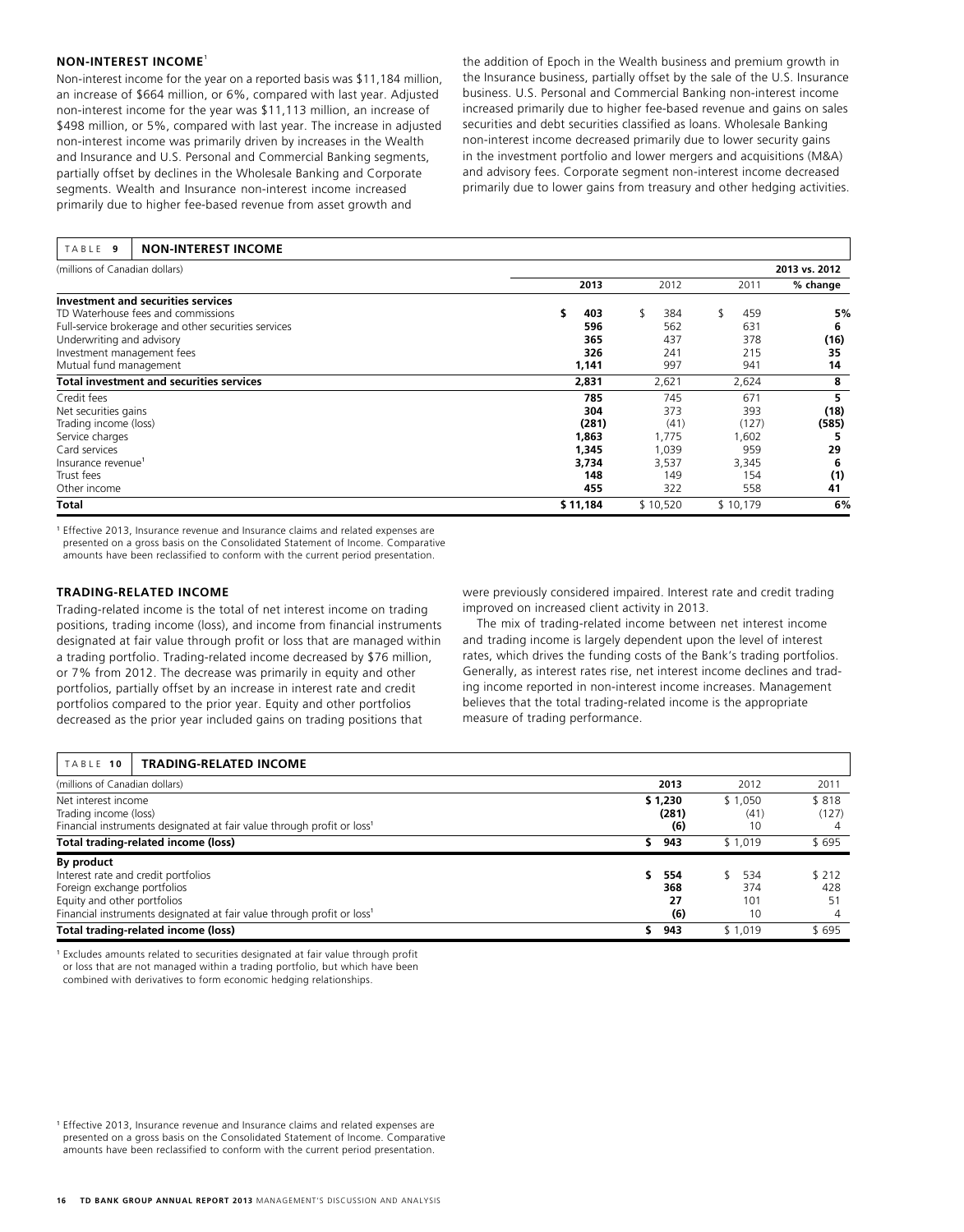#### **NON-INTEREST INCOME**<sup>1</sup>

Non-interest income for the year on a reported basis was \$11,184 million, an increase of \$664 million, or 6%, compared with last year. Adjusted non-interest income for the year was \$11,113 million, an increase of \$498 million, or 5%, compared with last year. The increase in adjusted non-interest income was primarily driven by increases in the Wealth and Insurance and U.S. Personal and Commercial Banking segments, partially offset by declines in the Wholesale Banking and Corporate segments. Wealth and Insurance non-interest income increased primarily due to higher fee-based revenue from asset growth and

the addition of Epoch in the Wealth business and premium growth in the Insurance business, partially offset by the sale of the U.S. Insurance business. U.S. Personal and Commercial Banking non-interest income increased primarily due to higher fee-based revenue and gains on sales securities and debt securities classified as loans. Wholesale Banking non-interest income decreased primarily due to lower security gains in the investment portfolio and lower mergers and acquisitions (M&A) and advisory fees. Corporate segment non-interest income decreased primarily due to lower gains from treasury and other hedging activities.

| TABLE<br>9                     | <b>NON-INTEREST INCOME</b>                           |          |           |           |               |
|--------------------------------|------------------------------------------------------|----------|-----------|-----------|---------------|
| (millions of Canadian dollars) |                                                      |          |           |           | 2013 vs. 2012 |
|                                |                                                      | 2013     | 2012      | 2011      | % change      |
|                                | Investment and securities services                   |          |           |           |               |
|                                | TD Waterhouse fees and commissions                   | s<br>403 | \$<br>384 | \$<br>459 | 5%            |
|                                | Full-service brokerage and other securities services | 596      | 562       | 631       | 6             |
| Underwriting and advisory      |                                                      | 365      | 437       | 378       | (16)          |
| Investment management fees     |                                                      | 326      | 241       | 215       | 35            |
| Mutual fund management         |                                                      | 1,141    | 997       | 941       | 14            |
|                                | <b>Total investment and securities services</b>      | 2,831    | 2,621     | 2,624     | 8             |
| Credit fees                    |                                                      | 785      | 745       | 671       | 5             |
| Net securities gains           |                                                      | 304      | 373       | 393       | (18)          |
| Trading income (loss)          |                                                      | (281)    | (41)      | (127)     | (585)         |
| Service charges                |                                                      | 1,863    | 1.775     | ,602      |               |
| Card services                  |                                                      | 1,345    | 1,039     | 959       | 29            |
| Insurance revenue              |                                                      | 3,734    | 3,537     | 3,345     | 6             |
| Trust fees                     |                                                      | 148      | 149       | 154       | (1)           |
| Other income                   |                                                      | 455      | 322       | 558       | 41            |
| Total                          |                                                      | \$11,184 | \$10,520  | \$10,179  | 6%            |

<sup>1</sup> Effective 2013, Insurance revenue and Insurance claims and related expenses are presented on a gross basis on the Consolidated Statement of Income. Comparative amounts have been reclassified to conform with the current period presentation.

#### **TRADING-RELATED INCOME**

Trading-related income is the total of net interest income on trading positions, trading income (loss), and income from financial instruments designated at fair value through profit or loss that are managed within a trading portfolio. Trading-related income decreased by \$76 million, or 7% from 2012. The decrease was primarily in equity and other portfolios, partially offset by an increase in interest rate and credit portfolios compared to the prior year. Equity and other portfolios decreased as the prior year included gains on trading positions that

were previously considered impaired. Interest rate and credit trading improved on increased client activity in 2013.

The mix of trading-related income between net interest income and trading income is largely dependent upon the level of interest rates, which drives the funding costs of the Bank's trading portfolios. Generally, as interest rates rise, net interest income declines and trading income reported in non-interest income increases. Management believes that the total trading-related income is the appropriate measure of trading performance.

| TABLE 10                       | <b>TRADING-RELATED INCOME</b>                                                      |          |         |       |
|--------------------------------|------------------------------------------------------------------------------------|----------|---------|-------|
| (millions of Canadian dollars) |                                                                                    | 2013     | 2012    | 2011  |
| Net interest income            |                                                                                    | \$1,230  | \$1.050 | \$818 |
| Trading income (loss)          |                                                                                    | (281)    | (41)    | (127) |
|                                | Financial instruments designated at fair value through profit or loss <sup>1</sup> | (6)      | 10      |       |
|                                | Total trading-related income (loss)                                                | 943      | \$1.019 | \$695 |
| By product                     |                                                                                    |          |         |       |
|                                | Interest rate and credit portfolios                                                | 554      | 534     | \$212 |
| Foreign exchange portfolios    |                                                                                    | 368      | 374     | 428   |
| Equity and other portfolios    |                                                                                    | 27       | 101     | 51    |
|                                | Financial instruments designated at fair value through profit or loss <sup>1</sup> | (6)      | 10      |       |
|                                | Total trading-related income (loss)                                                | 943<br>s | \$1.019 | \$695 |

<sup>1</sup> Excludes amounts related to securities designated at fair value through profit or loss that are not managed within a trading portfolio, but which have been combined with derivatives to form economic hedging relationships.

<sup>1</sup> Effective 2013, Insurance revenue and Insurance claims and related expenses are presented on a gross basis on the Consolidated Statement of Income. Comparative amounts have been reclassified to conform with the current period presentation.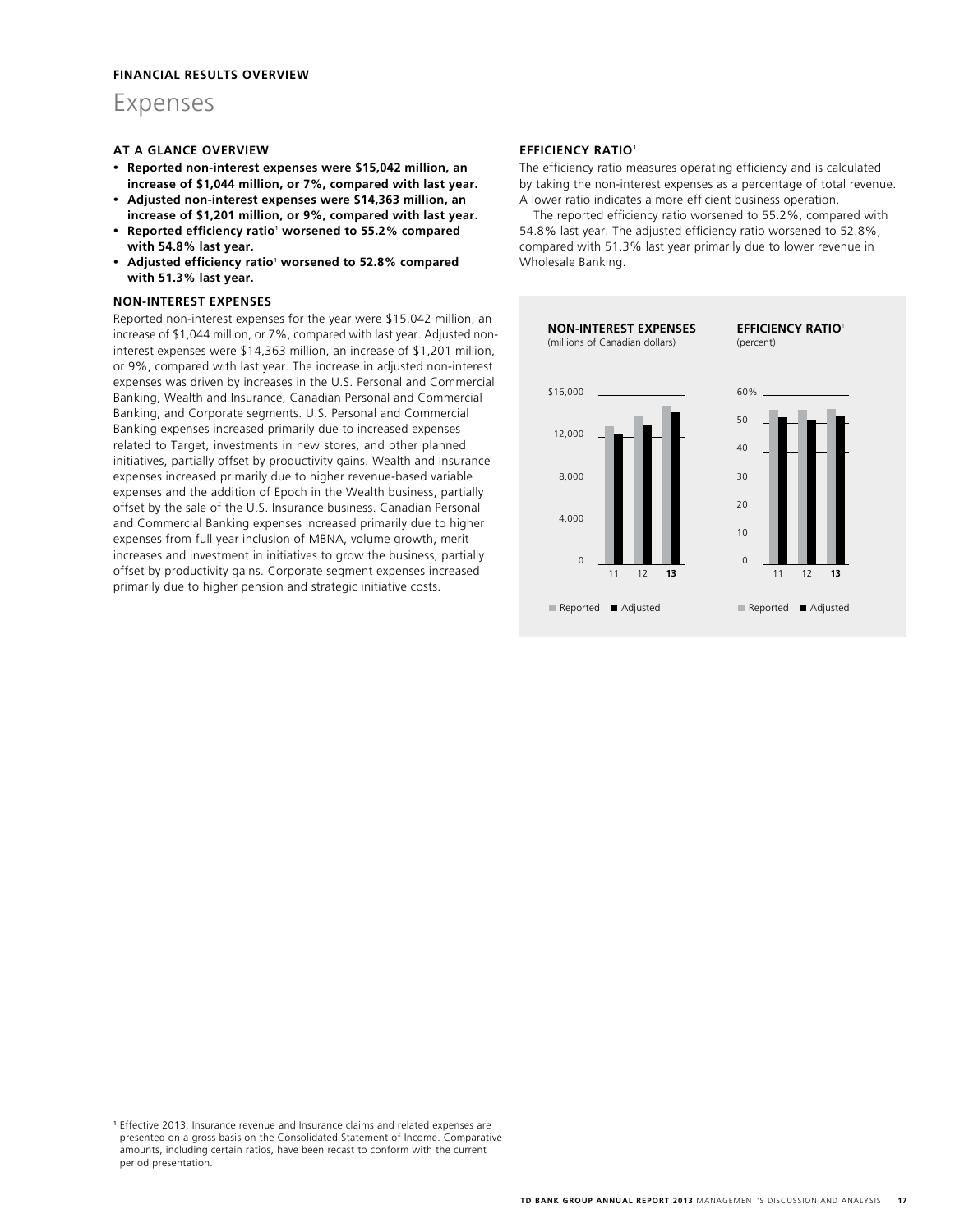#### **FINANCIAL RESULTS OVERVIEW**

## Expenses

#### **AT A GLANCE OVERVIEW**

- **Reported non-interest expenses were \$15,042 million, an increase of \$1,044 million, or 7%, compared with last year.**
- **Adjusted non-interest expenses were \$14,363 million, an increase of \$1,201 million, or 9%, compared with last year.**
- **Reported efficiency ratio**<sup>1</sup>  **worsened to 55.2% compared with 54.8% last year.**
- **Adjusted efficiency ratio**<sup>1</sup>  **worsened to 52.8% compared with 51.3% last year.**

### **NON-INTEREST EXPENSES**

Reported non-interest expenses for the year were \$15,042 million, an increase of \$1,044 million, or 7%, compared with last year. Adjusted noninterest expenses were \$14,363 million, an increase of \$1,201 million, or 9%, compared with last year. The increase in adjusted non-interest expenses was driven by increases in the U.S. Personal and Commercial Banking, Wealth and Insurance, Canadian Personal and Commercial Banking, and Corporate segments. U.S. Personal and Commercial Banking expenses increased primarily due to increased expenses related to Target, investments in new stores, and other planned initiatives, partially offset by productivity gains. Wealth and Insurance expenses increased primarily due to higher revenue-based variable expenses and the addition of Epoch in the Wealth business, partially offset by the sale of the U.S. Insurance business. Canadian Personal and Commercial Banking expenses increased primarily due to higher expenses from full year inclusion of MBNA, volume growth, merit increases and investment in initiatives to grow the business, partially offset by productivity gains. Corporate segment expenses increased primarily due to higher pension and strategic initiative costs.

#### **EFFICIENCY RATIO**<sup>1</sup>

The efficiency ratio measures operating efficiency and is calculated by taking the non-interest expenses as a percentage of total revenue. A lower ratio indicates a more efficient business operation.

The reported efficiency ratio worsened to 55.2%, compared with 54.8% last year. The adjusted efficiency ratio worsened to 52.8%, compared with 51.3% last year primarily due to lower revenue in Wholesale Banking.



<sup>1</sup> Effective 2013, Insurance revenue and Insurance claims and related expenses are presented on a gross basis on the Consolidated Statement of Income. Comparative amounts, including certain ratios, have been recast to conform with the current period presentation.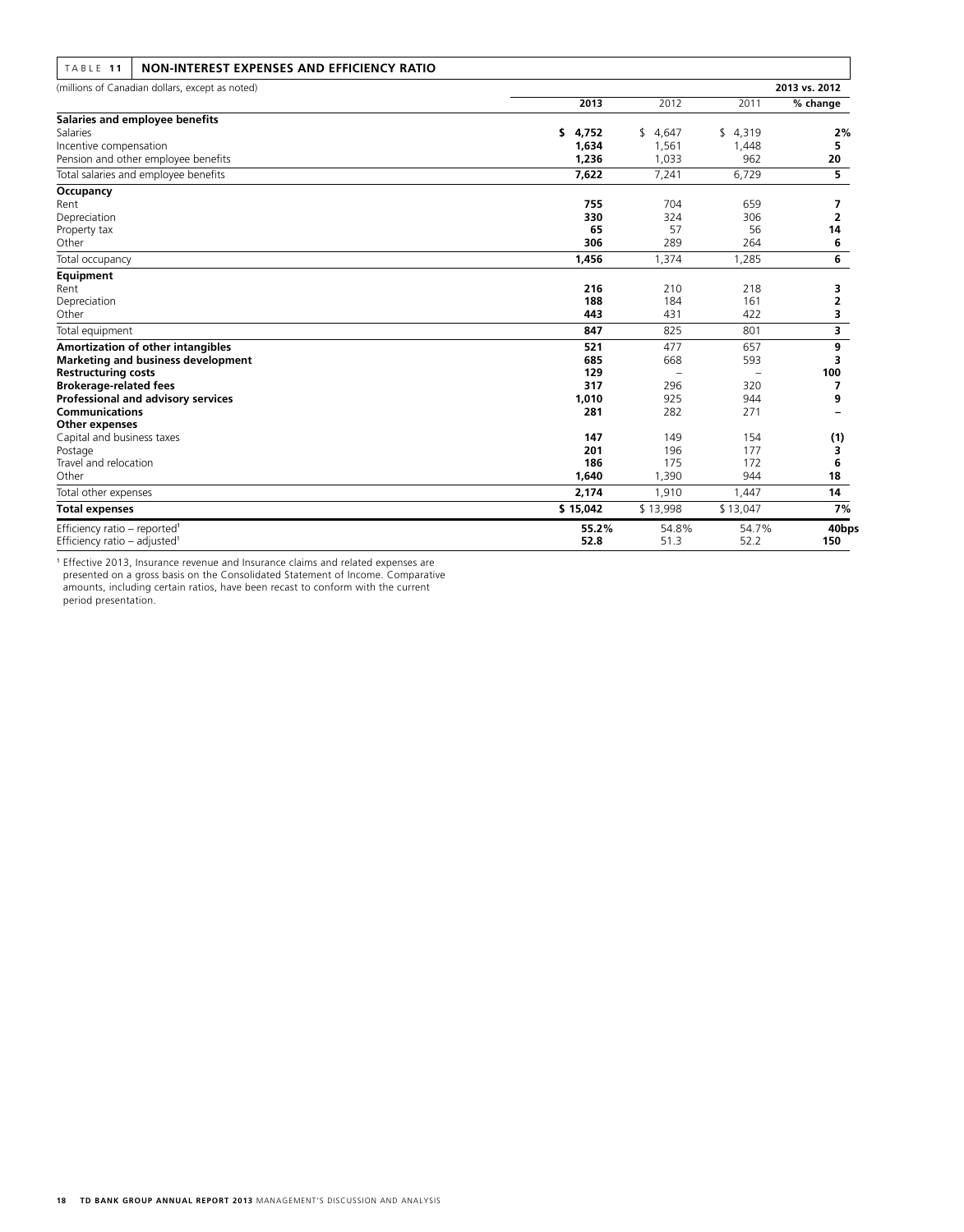| TABLE 11                                 | NON-INTEREST EXPENSES AND EFFICIENCY RATIO      |             |          |          |                |
|------------------------------------------|-------------------------------------------------|-------------|----------|----------|----------------|
|                                          | (millions of Canadian dollars, except as noted) |             |          |          | 2013 vs. 2012  |
|                                          |                                                 | 2013        | 2012     | 2011     | % change       |
|                                          | Salaries and employee benefits                  |             |          |          |                |
| Salaries                                 |                                                 | 4,752<br>s. | \$4,647  | \$4,319  | 2%             |
| Incentive compensation                   |                                                 | 1,634       | 1,561    | 1,448    | 5.             |
|                                          | Pension and other employee benefits             | 1,236       | 1,033    | 962      | 20             |
|                                          | Total salaries and employee benefits            | 7,622       | 7,241    | 6,729    | 5              |
| Occupancy                                |                                                 |             |          |          |                |
| Rent                                     |                                                 | 755         | 704      | 659      | 7              |
| Depreciation                             |                                                 | 330         | 324      | 306      | $\overline{2}$ |
| Property tax                             |                                                 | 65          | 57       | 56       | 14             |
| Other                                    |                                                 | 306         | 289      | 264      | 6              |
| Total occupancy                          |                                                 | 1.456       | 1.374    | 1.285    | 6              |
| Equipment                                |                                                 |             |          |          |                |
| Rent                                     |                                                 | 216         | 210      | 218      | 3              |
| Depreciation                             |                                                 | 188         | 184      | 161      | 2              |
| Other                                    |                                                 | 443         | 431      | 422      | 3              |
| Total equipment                          |                                                 | 847         | 825      | 801      | 3              |
|                                          | Amortization of other intangibles               | 521         | 477      | 657      | 9              |
|                                          | Marketing and business development              | 685         | 668      | 593      | 3              |
| <b>Restructuring costs</b>               |                                                 | 129         |          |          | 100            |
| <b>Brokerage-related fees</b>            |                                                 | 317         | 296      | 320      | 7              |
|                                          | Professional and advisory services              | 1,010       | 925      | 944      | 9              |
| <b>Communications</b>                    |                                                 | 281         | 282      | 271      |                |
| Other expenses                           |                                                 |             |          |          |                |
| Capital and business taxes               |                                                 | 147         | 149      | 154      | (1)            |
| Postage                                  |                                                 | 201         | 196      | 177      | 3              |
| Travel and relocation                    |                                                 | 186         | 175      | 172      | 6              |
| Other                                    |                                                 | 1,640       | 1,390    | 944      | 18             |
| Total other expenses                     |                                                 | 2,174       | 1,910    | 1,447    | 14             |
| <b>Total expenses</b>                    |                                                 | \$15,042    | \$13,998 | \$13,047 | 7%             |
| Efficiency ratio - reported <sup>1</sup> |                                                 | 55.2%       | 54.8%    | 54.7%    | 40bps          |
| Efficiency ratio - adjusted <sup>1</sup> |                                                 | 52.8        | 51.3     | 52.2     | 150            |

<sup>1</sup> Effective 2013, Insurance revenue and Insurance claims and related expenses are presented on a gross basis on the Consolidated Statement of Income. Comparative amounts, including certain ratios, have been recast to conform with the current period presentation.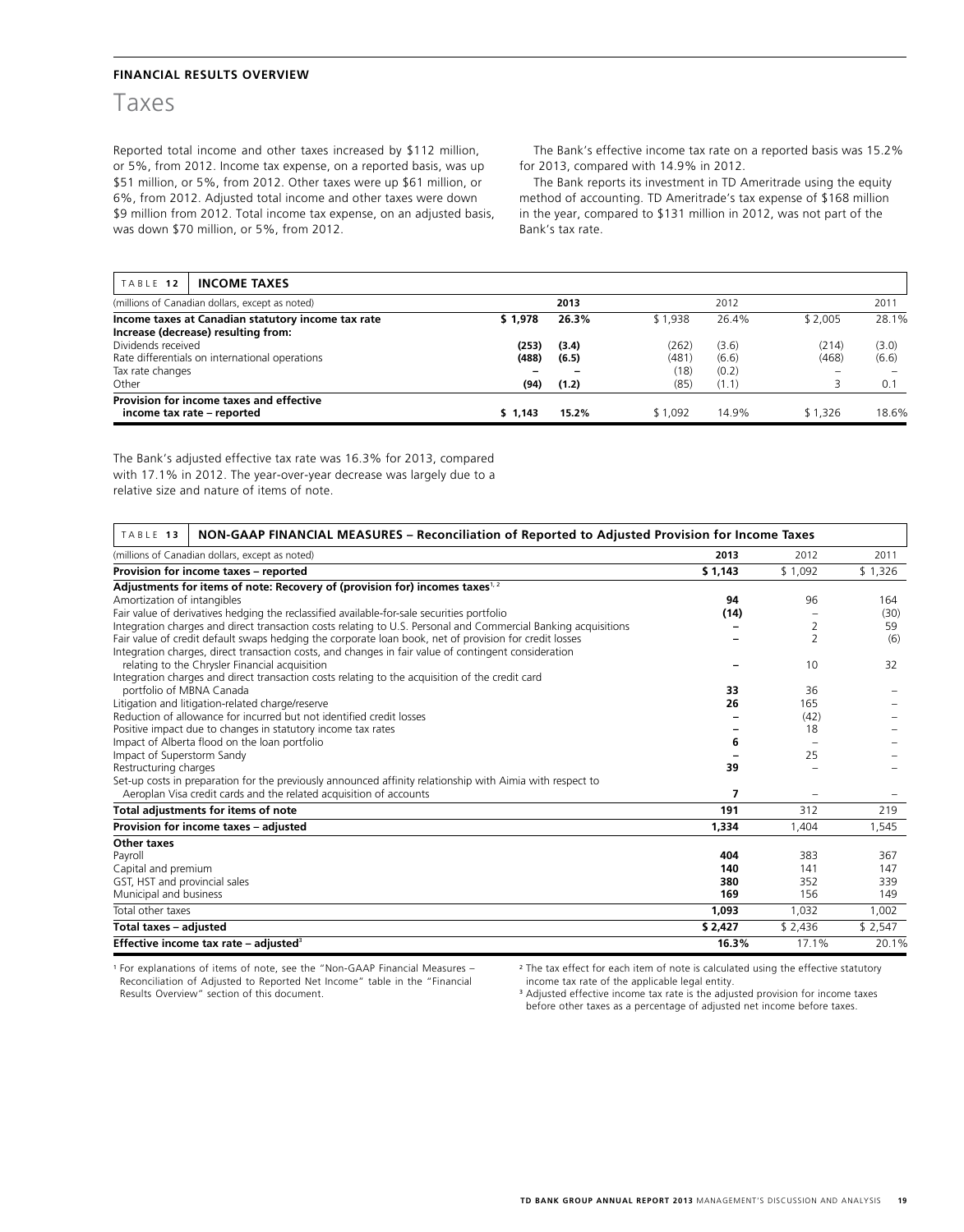#### **FINANCIAL RESULTS OVERVIEW**

## Taxes

Reported total income and other taxes increased by \$112 million, or 5%, from 2012. Income tax expense, on a reported basis, was up \$51 million, or 5%, from 2012. Other taxes were up \$61 million, or 6%, from 2012. Adjusted total income and other taxes were down \$9 million from 2012. Total income tax expense, on an adjusted basis, was down \$70 million, or 5%, from 2012.

The Bank's effective income tax rate on a reported basis was 15.2% for 2013, compared with 14.9% in 2012.

The Bank reports its investment in TD Ameritrade using the equity method of accounting. TD Ameritrade's tax expense of \$168 million in the year, compared to \$131 million in 2012, was not part of the Bank's tax rate.

| TABLE 12           | <b>INCOME TAXES</b>                                                                       |         |              |         |       |         |       |
|--------------------|-------------------------------------------------------------------------------------------|---------|--------------|---------|-------|---------|-------|
|                    | (millions of Canadian dollars, except as noted)                                           |         | 2013<br>2012 |         | 2011  |         |       |
|                    | Income taxes at Canadian statutory income tax rate<br>Increase (decrease) resulting from: | \$1.978 | 26.3%        | \$1,938 | 26.4% | \$2,005 | 28.1% |
| Dividends received |                                                                                           | (253)   | (3.4)        | (262)   | (3.6) | (214)   | (3.0) |
|                    | Rate differentials on international operations                                            | (488)   | (6.5)        | (481)   | (6.6) | (468)   | (6.6) |
| Tax rate changes   |                                                                                           |         |              | (18)    | (0.2) | -       |       |
| Other              |                                                                                           | (94)    | (1.2)        | (85)    | (1.1) |         | 0.1   |
|                    | Provision for income taxes and effective                                                  |         |              |         |       |         |       |
|                    | income tax rate - reported                                                                | \$1.143 | 15.2%        | \$1.092 | 14.9% | \$1,326 | 18.6% |

The Bank's adjusted effective tax rate was 16.3% for 2013, compared with 17.1% in 2012. The year-over-year decrease was largely due to a relative size and nature of items of note.

| TABLE 13                      | NON-GAAP FINANCIAL MEASURES - Reconciliation of Reported to Adjusted Provision for Income Taxes                |         |                |         |
|-------------------------------|----------------------------------------------------------------------------------------------------------------|---------|----------------|---------|
|                               | (millions of Canadian dollars, except as noted)                                                                | 2013    | 2012           | 2011    |
|                               | Provision for income taxes - reported                                                                          | \$1,143 | \$1.092        | \$1,326 |
|                               | Adjustments for items of note: Recovery of (provision for) incomes taxes <sup>1, 2</sup>                       |         |                |         |
| Amortization of intangibles   |                                                                                                                | 94      | 96             | 164     |
|                               | Fair value of derivatives hedging the reclassified available-for-sale securities portfolio                     | (14)    |                | (30)    |
|                               | Integration charges and direct transaction costs relating to U.S. Personal and Commercial Banking acquisitions |         | $\overline{2}$ | 59      |
|                               | Fair value of credit default swaps hedging the corporate loan book, net of provision for credit losses         |         | 2              | (6)     |
|                               | Integration charges, direct transaction costs, and changes in fair value of contingent consideration           |         |                |         |
|                               | relating to the Chrysler Financial acquisition                                                                 |         | 10             | 32      |
|                               | Integration charges and direct transaction costs relating to the acquisition of the credit card                |         |                |         |
| portfolio of MBNA Canada      |                                                                                                                | 33      | 36             |         |
|                               | Litigation and litigation-related charge/reserve                                                               | 26      | 165            |         |
|                               | Reduction of allowance for incurred but not identified credit losses                                           |         | (42)           |         |
|                               | Positive impact due to changes in statutory income tax rates                                                   |         | 18             |         |
|                               | Impact of Alberta flood on the loan portfolio                                                                  | 6       |                |         |
| Impact of Superstorm Sandy    |                                                                                                                |         | 25             |         |
| Restructuring charges         |                                                                                                                | 39      |                |         |
|                               | Set-up costs in preparation for the previously announced affinity relationship with Aimia with respect to      |         |                |         |
|                               | Aeroplan Visa credit cards and the related acquisition of accounts                                             | 7       | -              |         |
|                               | Total adjustments for items of note                                                                            | 191     | 312            | 219     |
|                               | Provision for income taxes - adjusted                                                                          | 1.334   | 1,404          | 1,545   |
| Other taxes                   |                                                                                                                |         |                |         |
| Payroll                       |                                                                                                                | 404     | 383            | 367     |
| Capital and premium           |                                                                                                                | 140     | 141            | 147     |
| GST, HST and provincial sales |                                                                                                                | 380     | 352            | 339     |
| Municipal and business        |                                                                                                                | 169     | 156            | 149     |
| Total other taxes             |                                                                                                                | 1,093   | 1,032          | 1,002   |
| Total taxes - adjusted        |                                                                                                                | \$2,427 | \$2,436        | \$2,547 |
|                               | Effective income tax rate $-$ adjusted <sup>3</sup>                                                            | 16.3%   | 17.1%          | 20.1%   |

<sup>1</sup> For explanations of items of note, see the "Non-GAAP Financial Measures – Reconciliation of Adjusted to Reported Net Income" table in the "Financial Results Overview" section of this document.

<sup>2</sup> The tax effect for each item of note is calculated using the effective statutory income tax rate of the applicable legal entity.

<sup>3</sup> Adjusted effective income tax rate is the adjusted provision for income taxes before other taxes as a percentage of adjusted net income before taxes.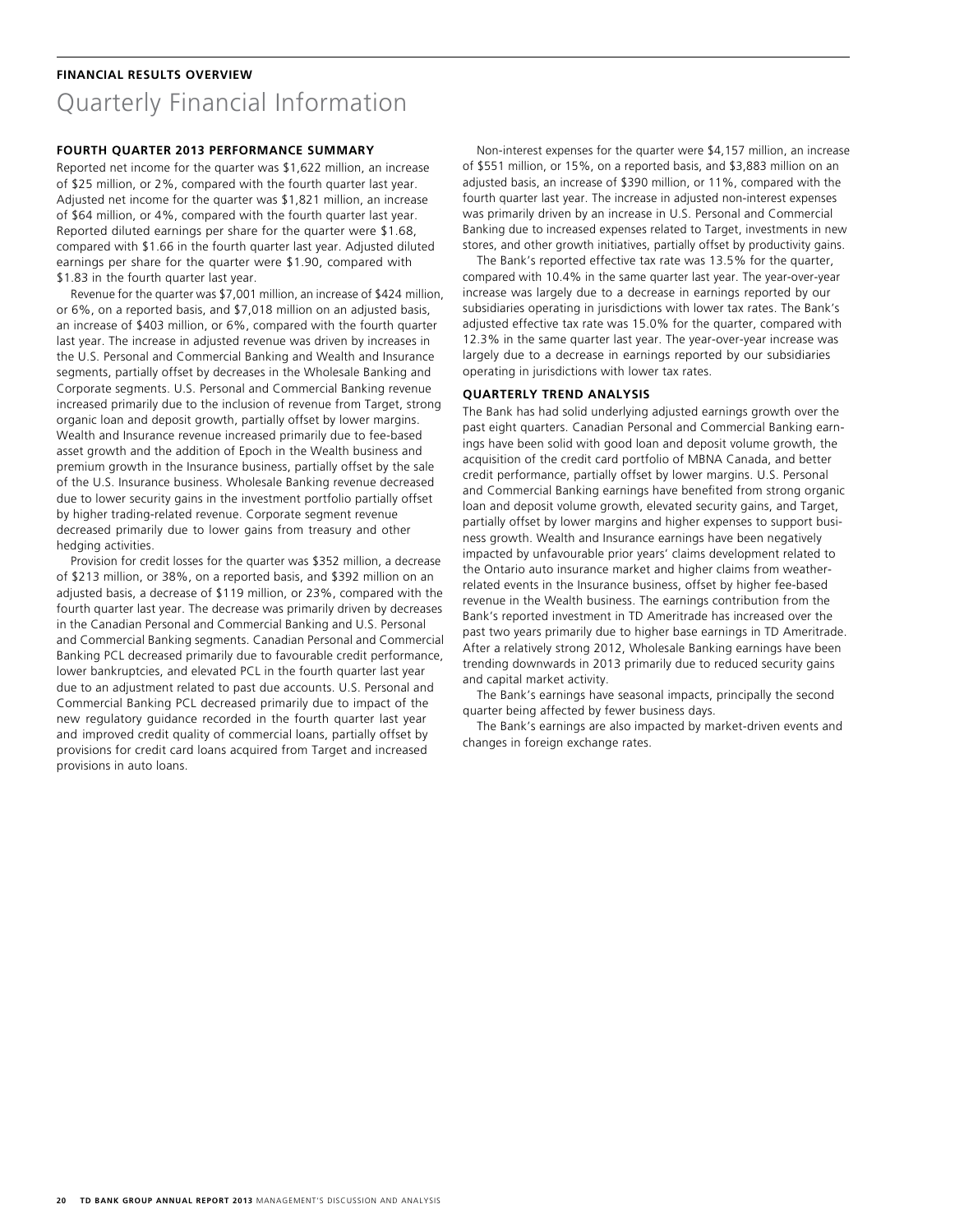### **FINANCIAL RESULTS OVERVIEW**

# Quarterly Financial Information

#### **FOURTH QUARTER 2013 PERFORMANCE SUMMARY**

Reported net income for the quarter was \$1,622 million, an increase of \$25 million, or 2%, compared with the fourth quarter last year. Adjusted net income for the quarter was \$1,821 million, an increase of \$64 million, or 4%, compared with the fourth quarter last year. Reported diluted earnings per share for the quarter were \$1.68, compared with \$1.66 in the fourth quarter last year. Adjusted diluted earnings per share for the quarter were \$1.90, compared with \$1.83 in the fourth quarter last year.

Revenue for the quarter was \$7,001 million, an increase of \$424 million, or 6%, on a reported basis, and \$7,018 million on an adjusted basis, an increase of \$403 million, or 6%, compared with the fourth quarter last year. The increase in adjusted revenue was driven by increases in the U.S. Personal and Commercial Banking and Wealth and Insurance segments, partially offset by decreases in the Wholesale Banking and Corporate segments. U.S. Personal and Commercial Banking revenue increased primarily due to the inclusion of revenue from Target, strong organic loan and deposit growth, partially offset by lower margins. Wealth and Insurance revenue increased primarily due to fee-based asset growth and the addition of Epoch in the Wealth business and premium growth in the Insurance business, partially offset by the sale of the U.S. Insurance business. Wholesale Banking revenue decreased due to lower security gains in the investment portfolio partially offset by higher trading-related revenue. Corporate segment revenue decreased primarily due to lower gains from treasury and other hedging activities.

Provision for credit losses for the quarter was \$352 million, a decrease of \$213 million, or 38%, on a reported basis, and \$392 million on an adjusted basis, a decrease of \$119 million, or 23%, compared with the fourth quarter last year. The decrease was primarily driven by decreases in the Canadian Personal and Commercial Banking and U.S. Personal and Commercial Banking segments. Canadian Personal and Commercial Banking PCL decreased primarily due to favourable credit performance, lower bankruptcies, and elevated PCL in the fourth quarter last year due to an adjustment related to past due accounts. U.S. Personal and Commercial Banking PCL decreased primarily due to impact of the new regulatory guidance recorded in the fourth quarter last year and improved credit quality of commercial loans, partially offset by provisions for credit card loans acquired from Target and increased provisions in auto loans.

Non-interest expenses for the quarter were \$4,157 million, an increase of \$551 million, or 15%, on a reported basis, and \$3,883 million on an adjusted basis, an increase of \$390 million, or 11%, compared with the fourth quarter last year. The increase in adjusted non-interest expenses was primarily driven by an increase in U.S. Personal and Commercial Banking due to increased expenses related to Target, investments in new stores, and other growth initiatives, partially offset by productivity gains.

The Bank's reported effective tax rate was 13.5% for the quarter, compared with 10.4% in the same quarter last year. The year-over-year increase was largely due to a decrease in earnings reported by our subsidiaries operating in jurisdictions with lower tax rates. The Bank's adjusted effective tax rate was 15.0% for the quarter, compared with 12.3% in the same quarter last year. The year-over-year increase was largely due to a decrease in earnings reported by our subsidiaries operating in jurisdictions with lower tax rates.

#### **QUARTERLY TREND ANALYSIS**

The Bank has had solid underlying adjusted earnings growth over the past eight quarters. Canadian Personal and Commercial Banking earnings have been solid with good loan and deposit volume growth, the acquisition of the credit card portfolio of MBNA Canada, and better credit performance, partially offset by lower margins. U.S. Personal and Commercial Banking earnings have benefited from strong organic loan and deposit volume growth, elevated security gains, and Target, partially offset by lower margins and higher expenses to support business growth. Wealth and Insurance earnings have been negatively impacted by unfavourable prior years' claims development related to the Ontario auto insurance market and higher claims from weatherrelated events in the Insurance business, offset by higher fee-based revenue in the Wealth business. The earnings contribution from the Bank's reported investment in TD Ameritrade has increased over the past two years primarily due to higher base earnings in TD Ameritrade. After a relatively strong 2012, Wholesale Banking earnings have been trending downwards in 2013 primarily due to reduced security gains and capital market activity.

The Bank's earnings have seasonal impacts, principally the second quarter being affected by fewer business days.

The Bank's earnings are also impacted by market-driven events and changes in foreign exchange rates.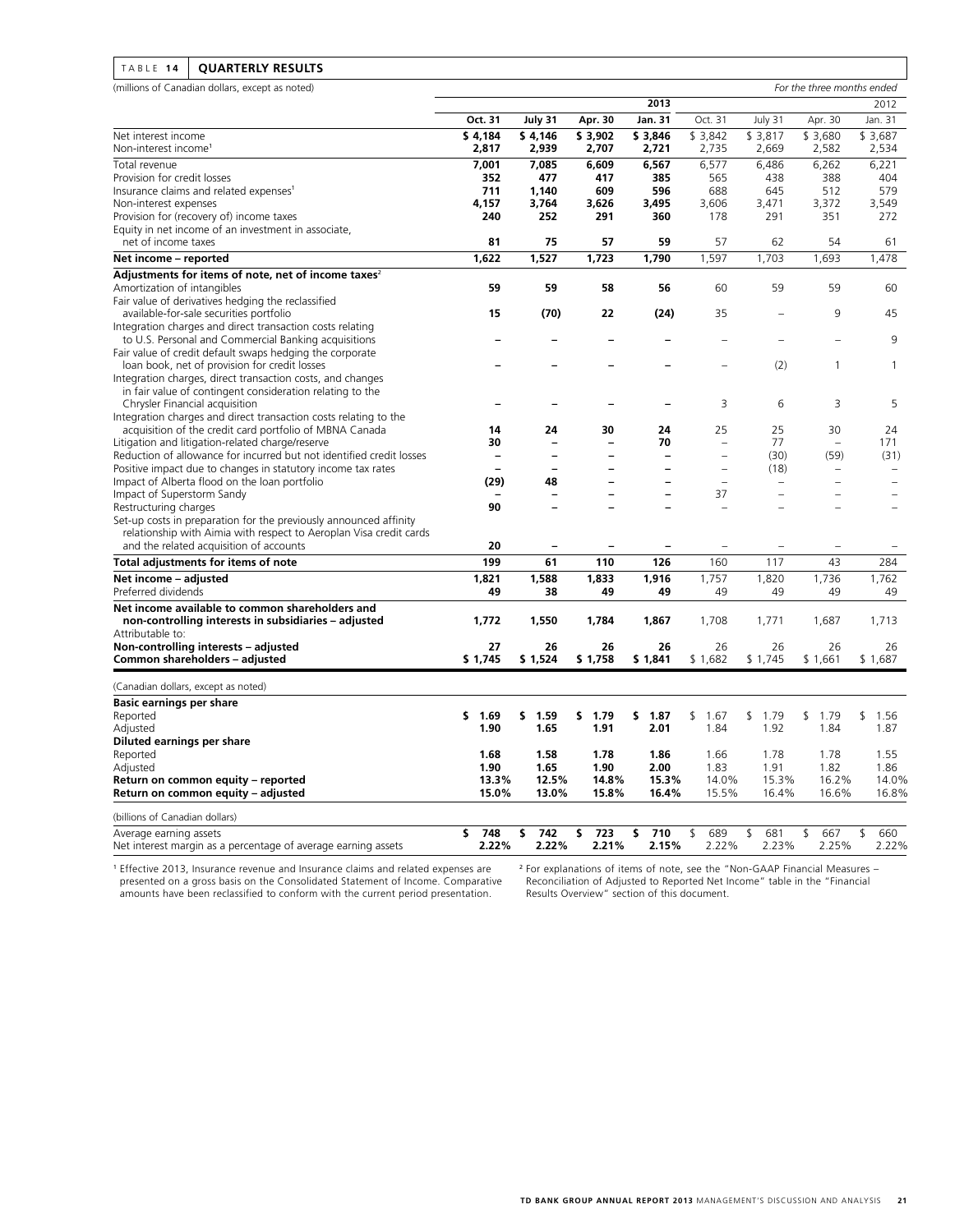| TABLE 14<br><b>QUARTERLY RESULTS</b>                                                                 |     |                          |                          |                          |   |                          |                          |                |                            |                |
|------------------------------------------------------------------------------------------------------|-----|--------------------------|--------------------------|--------------------------|---|--------------------------|--------------------------|----------------|----------------------------|----------------|
| (millions of Canadian dollars, except as noted)                                                      |     |                          |                          |                          |   |                          |                          |                | For the three months ended |                |
|                                                                                                      |     |                          |                          |                          |   | 2013                     |                          |                |                            | 2012           |
|                                                                                                      |     | Oct. 31                  | July 31                  | Apr. 30                  |   | Jan. 31                  | Oct. 31                  | July 31        | Apr. 30                    | Jan. 31        |
| Net interest income                                                                                  |     | \$4,184                  | \$4,146                  | \$3,902                  |   | \$3,846                  | \$3,842                  | \$3,817        | \$3,680                    | \$3,687        |
| Non-interest income <sup>1</sup>                                                                     |     | 2,817                    | 2,939                    | 2,707                    |   | 2,721                    | 2,735                    | 2,669          | 2,582                      | 2,534          |
| Total revenue                                                                                        |     | 7,001                    | 7,085                    | 6,609                    |   | 6,567                    | 6,577                    | 6,486          | 6,262                      | 6,221          |
| Provision for credit losses<br>Insurance claims and related expenses <sup>1</sup>                    |     | 352<br>711               | 477<br>1.140             | 417<br>609               |   | 385<br>596               | 565<br>688               | 438<br>645     | 388<br>512                 | 404<br>579     |
| Non-interest expenses                                                                                |     | 4,157                    | 3,764                    | 3,626                    |   | 3,495                    | 3,606                    | 3,471          | 3,372                      | 3,549          |
| Provision for (recovery of) income taxes                                                             |     | 240                      | 252                      | 291                      |   | 360                      | 178                      | 291            | 351                        | 272            |
| Equity in net income of an investment in associate,                                                  |     |                          |                          |                          |   |                          |                          |                |                            |                |
| net of income taxes                                                                                  |     | 81                       | 75                       | 57                       |   | 59                       | 57                       | 62             | 54                         | 61             |
| Net income - reported                                                                                |     | 1.622                    | 1,527                    | 1.723                    |   | 1.790                    | 1,597                    | 1,703          | 1,693                      | 1.478          |
| Adjustments for items of note, net of income taxes <sup>2</sup>                                      |     |                          |                          |                          |   |                          |                          |                |                            |                |
| Amortization of intangibles                                                                          |     | 59                       | 59                       | 58                       |   | 56                       | 60                       | 59             | 59                         | 60             |
| Fair value of derivatives hedging the reclassified                                                   |     |                          |                          |                          |   |                          |                          |                |                            |                |
| available-for-sale securities portfolio<br>Integration charges and direct transaction costs relating |     | 15                       | (70)                     | 22                       |   | (24)                     | 35                       |                | 9                          | 45             |
| to U.S. Personal and Commercial Banking acquisitions                                                 |     |                          |                          |                          |   |                          |                          |                |                            | 9              |
| Fair value of credit default swaps hedging the corporate                                             |     |                          |                          |                          |   |                          |                          |                |                            |                |
| loan book, net of provision for credit losses                                                        |     |                          |                          |                          |   |                          |                          | (2)            | 1                          | 1              |
| Integration charges, direct transaction costs, and changes                                           |     |                          |                          |                          |   |                          |                          |                |                            |                |
| in fair value of contingent consideration relating to the                                            |     |                          |                          |                          |   |                          |                          |                |                            |                |
| Chrysler Financial acquisition<br>Integration charges and direct transaction costs relating to the   |     |                          |                          |                          |   |                          | 3                        | 6              | 3                          | 5              |
| acquisition of the credit card portfolio of MBNA Canada                                              |     | 14                       | 24                       | 30                       |   | 24                       | 25                       | 25             | 30                         | 24             |
| Litigation and litigation-related charge/reserve                                                     |     | 30                       |                          |                          |   | 70                       | L.                       | 77             | $\overline{a}$             | 171            |
| Reduction of allowance for incurred but not identified credit losses                                 |     | $\overline{\phantom{0}}$ | $\overline{\phantom{0}}$ | $\overline{\phantom{0}}$ |   | $\equiv$                 | L.                       | (30)           | (59)                       | (31)           |
| Positive impact due to changes in statutory income tax rates                                         |     |                          | L                        |                          |   |                          | $\overline{a}$           | (18)           | L.                         | ÷              |
| Impact of Alberta flood on the loan portfolio                                                        |     | (29)                     | 48                       |                          |   |                          | $\overline{\phantom{a}}$ | L.             | ۰                          |                |
| Impact of Superstorm Sandy<br>Restructuring charges                                                  |     | 90                       | ÷                        | ÷                        |   | $\overline{\phantom{0}}$ | 37                       | $\overline{a}$ | ÷,<br>÷.                   |                |
| Set-up costs in preparation for the previously announced affinity                                    |     |                          |                          |                          |   |                          |                          |                |                            |                |
| relationship with Aimia with respect to Aeroplan Visa credit cards                                   |     |                          |                          |                          |   |                          |                          |                |                            |                |
| and the related acquisition of accounts                                                              |     | 20                       | $\overline{\phantom{0}}$ |                          |   |                          | ٠                        |                |                            |                |
| Total adjustments for items of note                                                                  |     | 199                      | 61                       | 110                      |   | 126                      | 160                      | 117            | 43                         | 284            |
| Net income - adjusted                                                                                |     | 1,821                    | 1,588                    | 1,833                    |   | 1.916                    | 1,757                    | 1,820          | 1,736                      | 1,762          |
| Preferred dividends                                                                                  |     | 49                       | 38                       | 49                       |   | 49                       | 49                       | 49             | 49                         | 49             |
| Net income available to common shareholders and                                                      |     |                          |                          |                          |   |                          |                          |                |                            |                |
| non-controlling interests in subsidiaries - adjusted<br>Attributable to:                             |     | 1.772                    | 1,550                    | 1.784                    |   | 1,867                    | 1.708                    | 1,771          | 1,687                      | 1.713          |
| Non-controlling interests - adjusted                                                                 |     | 27                       | 26                       | 26                       |   | 26                       | 26                       | 26             | 26                         | 26             |
| Common shareholders - adjusted                                                                       |     | \$1,745                  | \$1,524                  | \$1,758                  |   | \$1,841                  | \$1,682                  | \$1,745        | \$1,661                    | \$1,687        |
|                                                                                                      |     |                          |                          |                          |   |                          |                          |                |                            |                |
| (Canadian dollars, except as noted)                                                                  |     |                          |                          |                          |   |                          |                          |                |                            |                |
| <b>Basic earnings per share</b>                                                                      |     |                          |                          |                          |   |                          |                          |                |                            |                |
| Reported<br>Adjusted                                                                                 |     | \$1.69<br>1.90           | \$<br>1.59<br>1.65       | \$1.79<br>1.91           | s | 1.87<br>2.01             | \$1.67<br>1.84           | \$1.79<br>1.92 | \$<br>1.79<br>1.84         | \$1.56<br>1.87 |
| Diluted earnings per share                                                                           |     |                          |                          |                          |   |                          |                          |                |                            |                |
| Reported                                                                                             |     | 1.68                     | 1.58                     | 1.78                     |   | 1.86                     | 1.66                     | 1.78           | 1.78                       | 1.55           |
| Adjusted                                                                                             |     | 1.90                     | 1.65                     | 1.90                     |   | 2.00                     | 1.83                     | 1.91           | 1.82                       | 1.86           |
| Return on common equity - reported                                                                   |     | 13.3%                    | 12.5%                    | 14.8%                    |   | 15.3%                    | 14.0%                    | 15.3%          | 16.2%                      | 14.0%          |
| Return on common equity - adjusted                                                                   |     | 15.0%                    | 13.0%                    | 15.8%                    |   | 16.4%                    | 15.5%                    | 16.4%          | 16.6%                      | 16.8%          |
| (billions of Canadian dollars)                                                                       |     |                          |                          |                          |   |                          |                          |                |                            |                |
| Average earning assets                                                                               | \$. | 748                      | \$<br>742                | \$<br>723                | s | 710                      | \$<br>689                | \$<br>681      | \$<br>667                  | \$<br>660      |
| Net interest margin as a percentage of average earning assets                                        |     | 2.22%                    | 2.22%                    | 2.21%                    |   | 2.15%                    | 2.22%                    | 2.23%          | 2.25%                      | 2.22%          |
|                                                                                                      |     |                          |                          |                          |   |                          |                          |                |                            |                |

<sup>1</sup> Effective 2013, Insurance revenue and Insurance claims and related expenses are presented on a gross basis on the Consolidated Statement of Income. Comparative amounts have been reclassified to conform with the current period presentation.

<sup>2</sup> For explanations of items of note, see the "Non-GAAP Financial Measures – Reconciliation of Adjusted to Reported Net Income" table in the "Financial Results Overview" section of this document.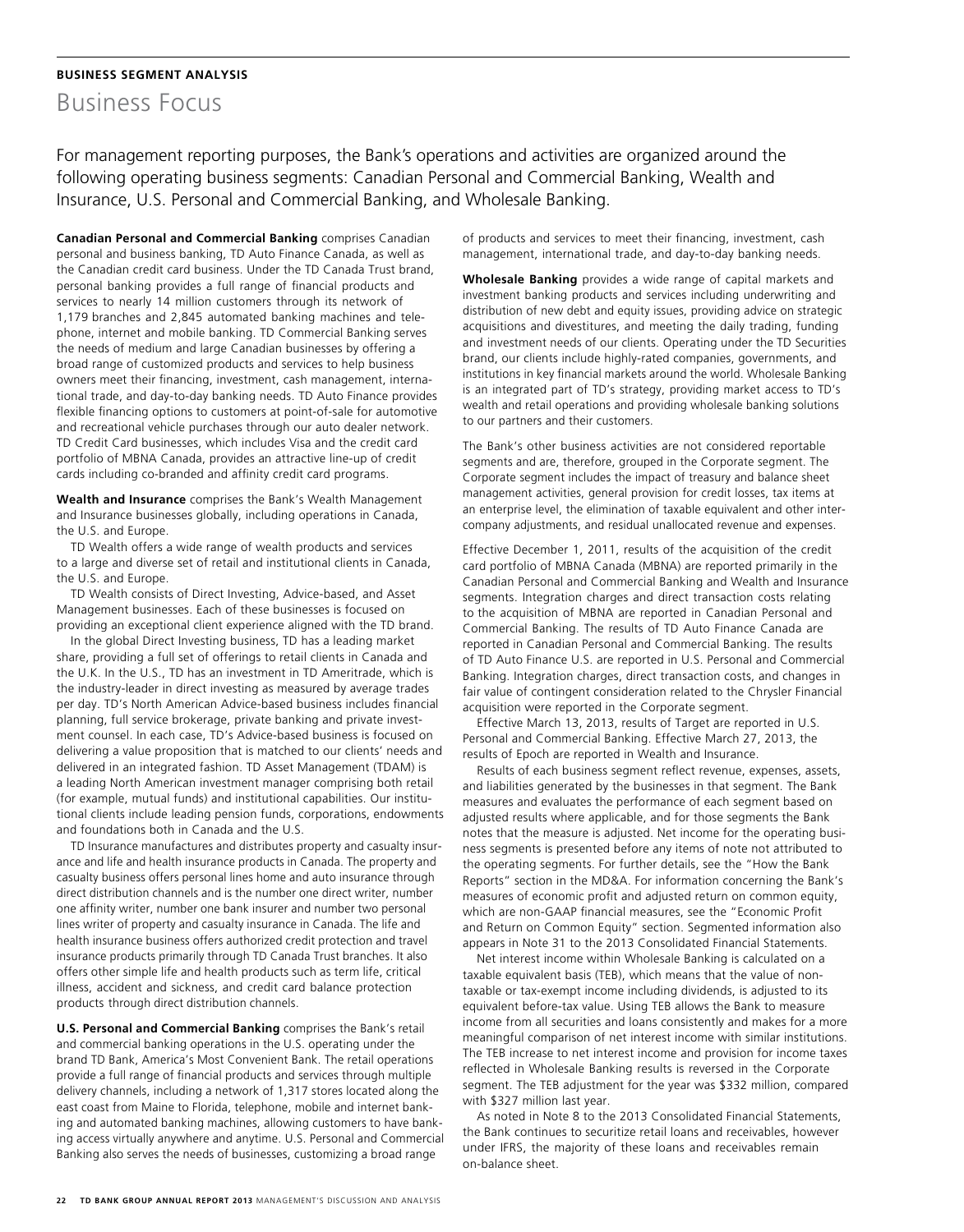### **BUSINESS SEGMENT ANALYSIS**

## Business Focus

For management reporting purposes, the Bank's operations and activities are organized around the following operating business segments: Canadian Personal and Commercial Banking, Wealth and Insurance, U.S. Personal and Commercial Banking, and Wholesale Banking.

**Canadian Personal and Commercial Banking** comprises Canadian personal and business banking, TD Auto Finance Canada, as well as the Canadian credit card business. Under the TD Canada Trust brand, personal banking provides a full range of financial products and services to nearly 14 million customers through its network of 1,179 branches and 2,845 automated banking machines and telephone, internet and mobile banking. TD Commercial Banking serves the needs of medium and large Canadian businesses by offering a broad range of customized products and services to help business owners meet their financing, investment, cash management, international trade, and day-to-day banking needs. TD Auto Finance provides flexible financing options to customers at point-of-sale for automotive and recreational vehicle purchases through our auto dealer network. TD Credit Card businesses, which includes Visa and the credit card portfolio of MBNA Canada, provides an attractive line-up of credit cards including co-branded and affinity credit card programs.

**Wealth and Insurance** comprises the Bank's Wealth Management and Insurance businesses globally, including operations in Canada, the U.S. and Europe.

TD Wealth offers a wide range of wealth products and services to a large and diverse set of retail and institutional clients in Canada, the U.S. and Europe.

TD Wealth consists of Direct Investing, Advice-based, and Asset Management businesses. Each of these businesses is focused on providing an exceptional client experience aligned with the TD brand.

In the global Direct Investing business, TD has a leading market share, providing a full set of offerings to retail clients in Canada and the U.K. In the U.S., TD has an investment in TD Ameritrade, which is the industry-leader in direct investing as measured by average trades per day. TD's North American Advice-based business includes financial planning, full service brokerage, private banking and private investment counsel. In each case, TD's Advice-based business is focused on delivering a value proposition that is matched to our clients' needs and delivered in an integrated fashion. TD Asset Management (TDAM) is a leading North American investment manager comprising both retail (for example, mutual funds) and institutional capabilities. Our institutional clients include leading pension funds, corporations, endowments and foundations both in Canada and the U.S.

TD Insurance manufactures and distributes property and casualty insurance and life and health insurance products in Canada. The property and casualty business offers personal lines home and auto insurance through direct distribution channels and is the number one direct writer, number one affinity writer, number one bank insurer and number two personal lines writer of property and casualty insurance in Canada. The life and health insurance business offers authorized credit protection and travel insurance products primarily through TD Canada Trust branches. It also offers other simple life and health products such as term life, critical illness, accident and sickness, and credit card balance protection products through direct distribution channels.

**U.S. Personal and Commercial Banking** comprises the Bank's retail and commercial banking operations in the U.S. operating under the brand TD Bank, America's Most Convenient Bank. The retail operations provide a full range of financial products and services through multiple delivery channels, including a network of 1,317 stores located along the east coast from Maine to Florida, telephone, mobile and internet banking and automated banking machines, allowing customers to have banking access virtually anywhere and anytime. U.S. Personal and Commercial Banking also serves the needs of businesses, customizing a broad range

of products and services to meet their financing, investment, cash management, international trade, and day-to-day banking needs.

**Wholesale Banking** provides a wide range of capital markets and investment banking products and services including underwriting and distribution of new debt and equity issues, providing advice on strategic acquisitions and divestitures, and meeting the daily trading, funding and investment needs of our clients. Operating under the TD Securities brand, our clients include highly-rated companies, governments, and institutions in key financial markets around the world. Wholesale Banking is an integrated part of TD's strategy, providing market access to TD's wealth and retail operations and providing wholesale banking solutions to our partners and their customers.

The Bank's other business activities are not considered reportable segments and are, therefore, grouped in the Corporate segment. The Corporate segment includes the impact of treasury and balance sheet management activities, general provision for credit losses, tax items at an enterprise level, the elimination of taxable equivalent and other intercompany adjustments, and residual unallocated revenue and expenses.

Effective December 1, 2011, results of the acquisition of the credit card portfolio of MBNA Canada (MBNA) are reported primarily in the Canadian Personal and Commercial Banking and Wealth and Insurance segments. Integration charges and direct transaction costs relating to the acquisition of MBNA are reported in Canadian Personal and Commercial Banking. The results of TD Auto Finance Canada are reported in Canadian Personal and Commercial Banking. The results of TD Auto Finance U.S. are reported in U.S. Personal and Commercial Banking. Integration charges, direct transaction costs, and changes in fair value of contingent consideration related to the Chrysler Financial acquisition were reported in the Corporate segment.

Effective March 13, 2013, results of Target are reported in U.S. Personal and Commercial Banking. Effective March 27, 2013, the results of Epoch are reported in Wealth and Insurance.

Results of each business segment reflect revenue, expenses, assets, and liabilities generated by the businesses in that segment. The Bank measures and evaluates the performance of each segment based on adjusted results where applicable, and for those segments the Bank notes that the measure is adjusted. Net income for the operating business segments is presented before any items of note not attributed to the operating segments. For further details, see the "How the Bank Reports" section in the MD&A. For information concerning the Bank's measures of economic profit and adjusted return on common equity, which are non-GAAP financial measures, see the "Economic Profit and Return on Common Equity" section. Segmented information also appears in Note 31 to the 2013 Consolidated Financial Statements.

Net interest income within Wholesale Banking is calculated on a taxable equivalent basis (TEB), which means that the value of nontaxable or tax-exempt income including dividends, is adjusted to its equivalent before-tax value. Using TEB allows the Bank to measure income from all securities and loans consistently and makes for a more meaningful comparison of net interest income with similar institutions. The TEB increase to net interest income and provision for income taxes reflected in Wholesale Banking results is reversed in the Corporate segment. The TEB adjustment for the year was \$332 million, compared with \$327 million last year.

As noted in Note 8 to the 2013 Consolidated Financial Statements, the Bank continues to securitize retail loans and receivables, however under IFRS, the majority of these loans and receivables remain on-balance sheet.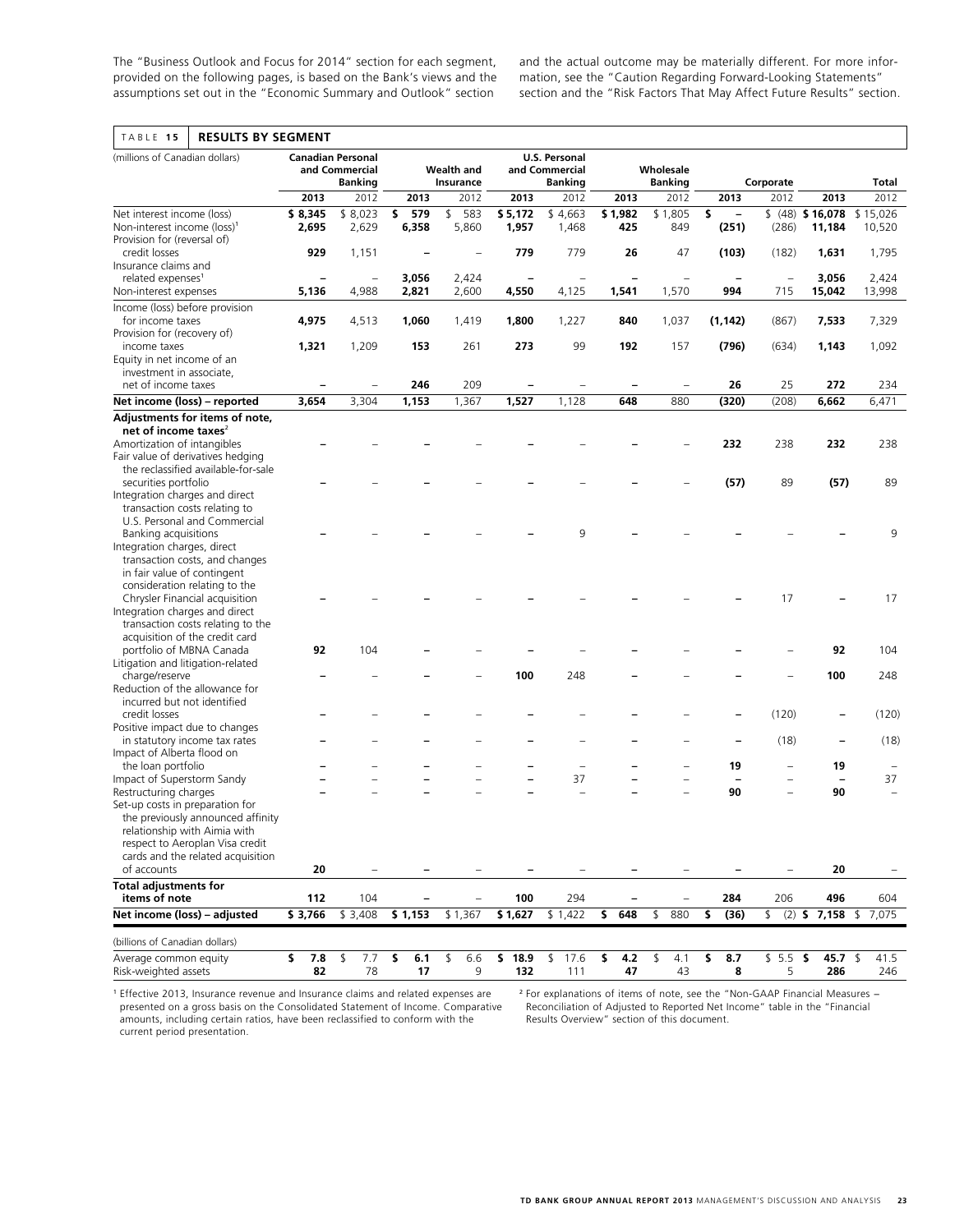The "Business Outlook and Focus for 2014" section for each segment, provided on the following pages, is based on the Bank's views and the assumptions set out in the "Economic Summary and Outlook" section

and the actual outcome may be materially different. For more information, see the "Caution Regarding Forward-Looking Statements" section and the "Risk Factors That May Affect Future Results" section.

| <b>RESULTS BY SEGMENT</b><br>TABLE 15                                  |           |                                            |           |            |         |                                        |            |                |                                |            |                                |          |
|------------------------------------------------------------------------|-----------|--------------------------------------------|-----------|------------|---------|----------------------------------------|------------|----------------|--------------------------------|------------|--------------------------------|----------|
| (millions of Canadian dollars)                                         |           | <b>Canadian Personal</b><br>and Commercial |           | Wealth and |         | <b>U.S. Personal</b><br>and Commercial |            | Wholesale      |                                |            |                                |          |
|                                                                        |           | <b>Banking</b>                             |           | Insurance  |         | Banking                                |            | <b>Banking</b> |                                | Corporate  |                                | Total    |
|                                                                        | 2013      | 2012                                       | 2013      | 2012       | 2013    | 2012                                   | 2013       | 2012           | 2013                           | 2012       | 2013                           | 2012     |
| Net interest income (loss)                                             | \$8,345   | \$8,023                                    | \$<br>579 | \$<br>583  | \$5.172 | \$4.663                                | \$1,982    | \$1,805        | \$<br>$\overline{\phantom{a}}$ | \$ (48)    | \$16,078                       | \$15.026 |
| Non-interest income (loss) <sup>1</sup><br>Provision for (reversal of) | 2,695     | 2,629                                      | 6,358     | 5,860      | 1,957   | 1,468                                  | 425        | 849            | (251)                          | (286)      | 11,184                         | 10,520   |
| credit losses                                                          | 929       | 1,151                                      |           | -          | 779     | 779                                    | 26         | 47             | (103)                          | (182)      | 1,631                          | 1,795    |
| Insurance claims and                                                   |           |                                            |           |            |         |                                        |            |                |                                |            |                                |          |
| related expenses <sup>1</sup>                                          |           | $\overline{a}$                             | 3,056     | 2,424      |         |                                        |            |                |                                | ۰          | 3,056                          | 2,424    |
| Non-interest expenses                                                  | 5,136     | 4,988                                      | 2,821     | 2,600      | 4,550   | 4,125                                  | 1,541      | 1,570          | 994                            | 715        | 15,042                         | 13,998   |
| Income (loss) before provision                                         |           |                                            |           |            |         |                                        |            |                |                                |            |                                |          |
| for income taxes                                                       | 4,975     | 4,513                                      | 1,060     | 1,419      | 1,800   | 1,227                                  | 840        | 1,037          | (1, 142)                       | (867)      | 7,533                          | 7,329    |
| Provision for (recovery of)                                            |           |                                            |           |            |         |                                        |            |                |                                |            |                                |          |
| income taxes                                                           | 1,321     | 1,209                                      | 153       | 261        | 273     | 99                                     | 192        | 157            | (796)                          | (634)      | 1,143                          | 1,092    |
| Equity in net income of an                                             |           |                                            |           |            |         |                                        |            |                |                                |            |                                |          |
| investment in associate,                                               |           |                                            |           |            |         |                                        |            |                |                                |            |                                |          |
| net of income taxes                                                    |           |                                            | 246       | 209        |         | -                                      |            |                | 26                             | 25         | 272                            | 234      |
| Net income (loss) – reported                                           | 3,654     | 3,304                                      | 1,153     | 1,367      | 1,527   | 1,128                                  | 648        | 880            | (320)                          | (208)      | 6,662                          | 6,471    |
| Adjustments for items of note,                                         |           |                                            |           |            |         |                                        |            |                |                                |            |                                |          |
| net of income taxes <sup>2</sup>                                       |           |                                            |           |            |         |                                        |            |                |                                |            |                                |          |
| Amortization of intangibles                                            |           |                                            |           |            |         |                                        |            |                | 232                            | 238        | 232                            | 238      |
| Fair value of derivatives hedging                                      |           |                                            |           |            |         |                                        |            |                |                                |            |                                |          |
| the reclassified available-for-sale                                    |           |                                            |           |            |         |                                        |            |                |                                |            |                                |          |
| securities portfolio<br>Integration charges and direct                 |           |                                            |           |            |         |                                        |            |                | (57)                           | 89         | (57)                           | 89       |
| transaction costs relating to                                          |           |                                            |           |            |         |                                        |            |                |                                |            |                                |          |
| U.S. Personal and Commercial                                           |           |                                            |           |            |         |                                        |            |                |                                |            |                                |          |
| Banking acquisitions                                                   |           |                                            |           |            |         | 9                                      |            |                |                                |            |                                | 9        |
| Integration charges, direct                                            |           |                                            |           |            |         |                                        |            |                |                                |            |                                |          |
| transaction costs, and changes                                         |           |                                            |           |            |         |                                        |            |                |                                |            |                                |          |
| in fair value of contingent                                            |           |                                            |           |            |         |                                        |            |                |                                |            |                                |          |
| consideration relating to the                                          |           |                                            |           |            |         |                                        |            |                |                                |            |                                |          |
| Chrysler Financial acquisition                                         |           |                                            |           |            |         |                                        |            |                |                                | 17         |                                | 17       |
| Integration charges and direct                                         |           |                                            |           |            |         |                                        |            |                |                                |            |                                |          |
| transaction costs relating to the                                      |           |                                            |           |            |         |                                        |            |                |                                |            |                                |          |
| acquisition of the credit card<br>portfolio of MBNA Canada             | 92        | 104                                        |           |            |         |                                        |            |                |                                |            | 92                             | 104      |
| Litigation and litigation-related                                      |           |                                            |           |            |         |                                        |            |                |                                |            |                                |          |
| charge/reserve                                                         |           |                                            |           |            | 100     | 248                                    |            |                |                                |            | 100                            | 248      |
| Reduction of the allowance for                                         |           |                                            |           |            |         |                                        |            |                |                                |            |                                |          |
| incurred but not identified                                            |           |                                            |           |            |         |                                        |            |                |                                |            |                                |          |
| credit losses                                                          |           |                                            |           |            |         |                                        |            |                |                                | (120)      |                                | (120)    |
| Positive impact due to changes                                         |           |                                            |           |            |         |                                        |            |                |                                |            |                                |          |
| in statutory income tax rates                                          |           |                                            |           |            |         |                                        |            |                |                                | (18)       | $\overline{\phantom{0}}$       | (18)     |
| Impact of Alberta flood on                                             |           |                                            |           |            |         |                                        |            |                |                                |            |                                |          |
| the loan portfolio                                                     |           |                                            |           |            |         |                                        |            |                | 19                             |            | 19                             |          |
| Impact of Superstorm Sandy<br>Restructuring charges                    |           |                                            |           |            |         | 37                                     |            |                | $\overline{\phantom{0}}$<br>90 |            | $\overline{\phantom{a}}$<br>90 | 37       |
| Set-up costs in preparation for                                        |           |                                            |           |            |         |                                        |            |                |                                |            |                                |          |
| the previously announced affinity                                      |           |                                            |           |            |         |                                        |            |                |                                |            |                                |          |
| relationship with Aimia with                                           |           |                                            |           |            |         |                                        |            |                |                                |            |                                |          |
| respect to Aeroplan Visa credit                                        |           |                                            |           |            |         |                                        |            |                |                                |            |                                |          |
| cards and the related acquisition                                      |           |                                            |           |            |         |                                        |            |                |                                |            |                                |          |
| of accounts                                                            | 20        |                                            |           |            |         |                                        |            |                |                                |            | 20                             |          |
| <b>Total adjustments for</b>                                           |           |                                            |           |            |         |                                        |            |                |                                |            |                                |          |
| items of note                                                          | 112       | 104                                        |           |            | 100     | 294                                    |            | -              | 284                            | 206        | 496                            | 604      |
| Net income (loss) - adjusted                                           | \$3,766   | \$3,408                                    | \$1,153   | \$1,367    | \$1,627 | \$1,422                                | 648<br>\$. | \$<br>880      | (36)<br>\$                     | $\sqrt{2}$ | $(2)$ \$ 7,158 \$ 7,075        |          |
| (billions of Canadian dollars)                                         |           |                                            |           |            |         |                                        |            |                |                                |            |                                |          |
| Average common equity                                                  | \$<br>7.8 | \$<br>7.7                                  | \$<br>6.1 | \$<br>6.6  | \$18.9  | 17.6<br>\$                             | 4.2<br>\$  | \$<br>4.1      | \$<br>8.7                      | \$5.5      | \$<br>45.7 \$                  | 41.5     |
| Risk-weighted assets                                                   | 82        | 78                                         | 17        | 9          | 132     | 111                                    | 47         | 43             | 8                              | 5          | 286                            | 246      |

<sup>1</sup> Effective 2013, Insurance revenue and Insurance claims and related expenses are presented on a gross basis on the Consolidated Statement of Income. Comparative amounts, including certain ratios, have been reclassified to conform with the current period presentation.

<sup>2</sup> For explanations of items of note, see the "Non-GAAP Financial Measures − Reconciliation of Adjusted to Reported Net Income" table in the "Financial Results Overview" section of this document.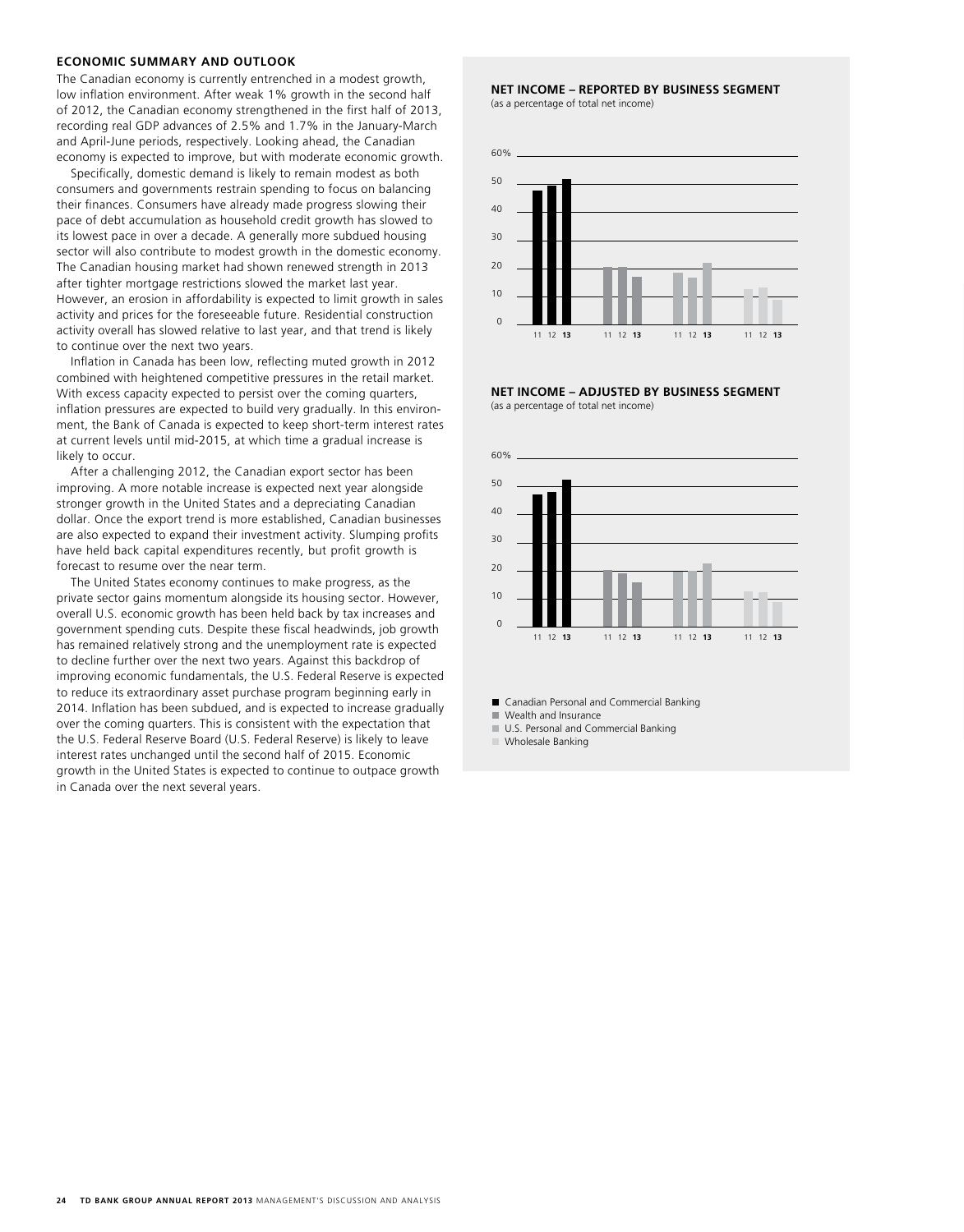#### **ECONOMIC SUMMARY AND OUTLOOK**

The Canadian economy is currently entrenched in a modest growth, low inflation environment. After weak 1% growth in the second half of 2012, the Canadian economy strengthened in the first half of 2013, recording real GDP advances of 2.5% and 1.7% in the January-March and April-June periods, respectively. Looking ahead, the Canadian economy is expected to improve, but with moderate economic growth.

Specifically, domestic demand is likely to remain modest as both consumers and governments restrain spending to focus on balancing their finances. Consumers have already made progress slowing their pace of debt accumulation as household credit growth has slowed to its lowest pace in over a decade. A generally more subdued housing sector will also contribute to modest growth in the domestic economy. The Canadian housing market had shown renewed strength in 2013 after tighter mortgage restrictions slowed the market last year. However, an erosion in affordability is expected to limit growth in sales activity and prices for the foreseeable future. Residential construction activity overall has slowed relative to last year, and that trend is likely to continue over the next two years.

Inflation in Canada has been low, reflecting muted growth in 2012 combined with heightened competitive pressures in the retail market. With excess capacity expected to persist over the coming quarters, inflation pressures are expected to build very gradually. In this environment, the Bank of Canada is expected to keep short-term interest rates at current levels until mid-2015, at which time a gradual increase is likely to occur.

After a challenging 2012, the Canadian export sector has been improving. A more notable increase is expected next year alongside stronger growth in the United States and a depreciating Canadian dollar. Once the export trend is more established, Canadian businesses are also expected to expand their investment activity. Slumping profits have held back capital expenditures recently, but profit growth is forecast to resume over the near term.

The United States economy continues to make progress, as the private sector gains momentum alongside its housing sector. However, overall U.S. economic growth has been held back by tax increases and government spending cuts. Despite these fiscal headwinds, job growth has remained relatively strong and the unemployment rate is expected to decline further over the next two years. Against this backdrop of improving economic fundamentals, the U.S. Federal Reserve is expected to reduce its extraordinary asset purchase program beginning early in 2014. Inflation has been subdued, and is expected to increase gradually over the coming quarters. This is consistent with the expectation that the U.S. Federal Reserve Board (U.S. Federal Reserve) is likely to leave interest rates unchanged until the second half of 2015. Economic growth in the United States is expected to continue to outpace growth in Canada over the next several years.

#### **NET INCOME – REPORTED BY BUSINESS SEGMENT** (as a percentage of total net income)



**NET INCOME – ADJUSTED BY BUSINESS SEGMENT** (as a percentage of total net income)

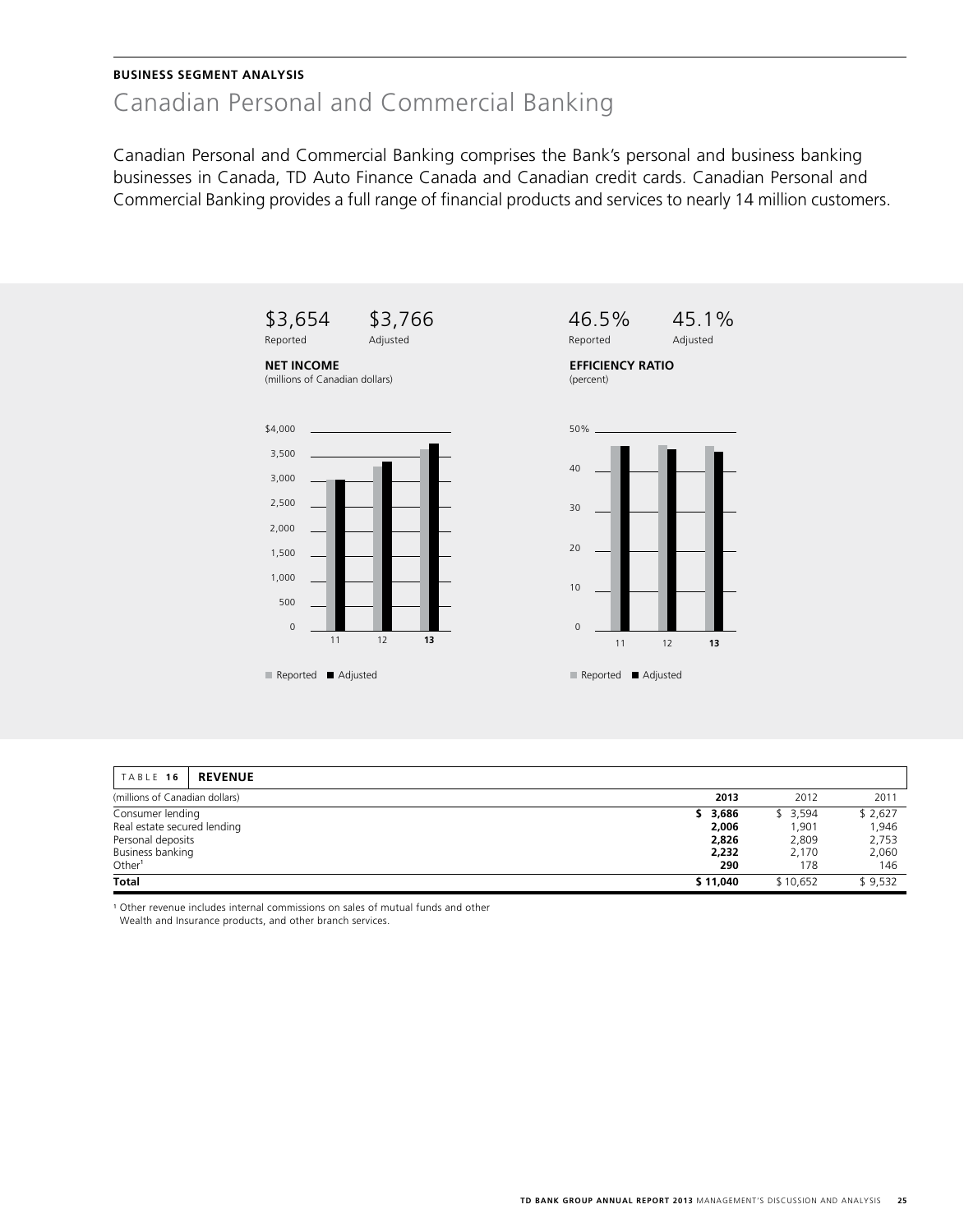### **BUSINESS SEGMENT ANALYSIS**

# Canadian Personal and Commercial Banking

Canadian Personal and Commercial Banking comprises the Bank's personal and business banking businesses in Canada, TD Auto Finance Canada and Canadian credit cards. Canadian Personal and Commercial Banking provides a full range of financial products and services to nearly 14 million customers.



| TABLE 16                       | <b>REVENUE</b> |          |          |         |
|--------------------------------|----------------|----------|----------|---------|
| (millions of Canadian dollars) |                | 2013     | 2012     | 2011    |
| Consumer lending               |                | 3,686    | \$3,594  | \$2,627 |
| Real estate secured lending    |                | 2,006    | 1,901    | 1,946   |
| Personal deposits              |                | 2,826    | 2,809    | 2,753   |
| Business banking               |                | 2,232    | 2.170    | 2,060   |
| Other <sup>1</sup>             |                | 290      | 178      | 146     |
| Total                          |                | \$11,040 | \$10.652 | \$9,532 |

<sup>1</sup> Other revenue includes internal commissions on sales of mutual funds and other

Wealth and Insurance products, and other branch services.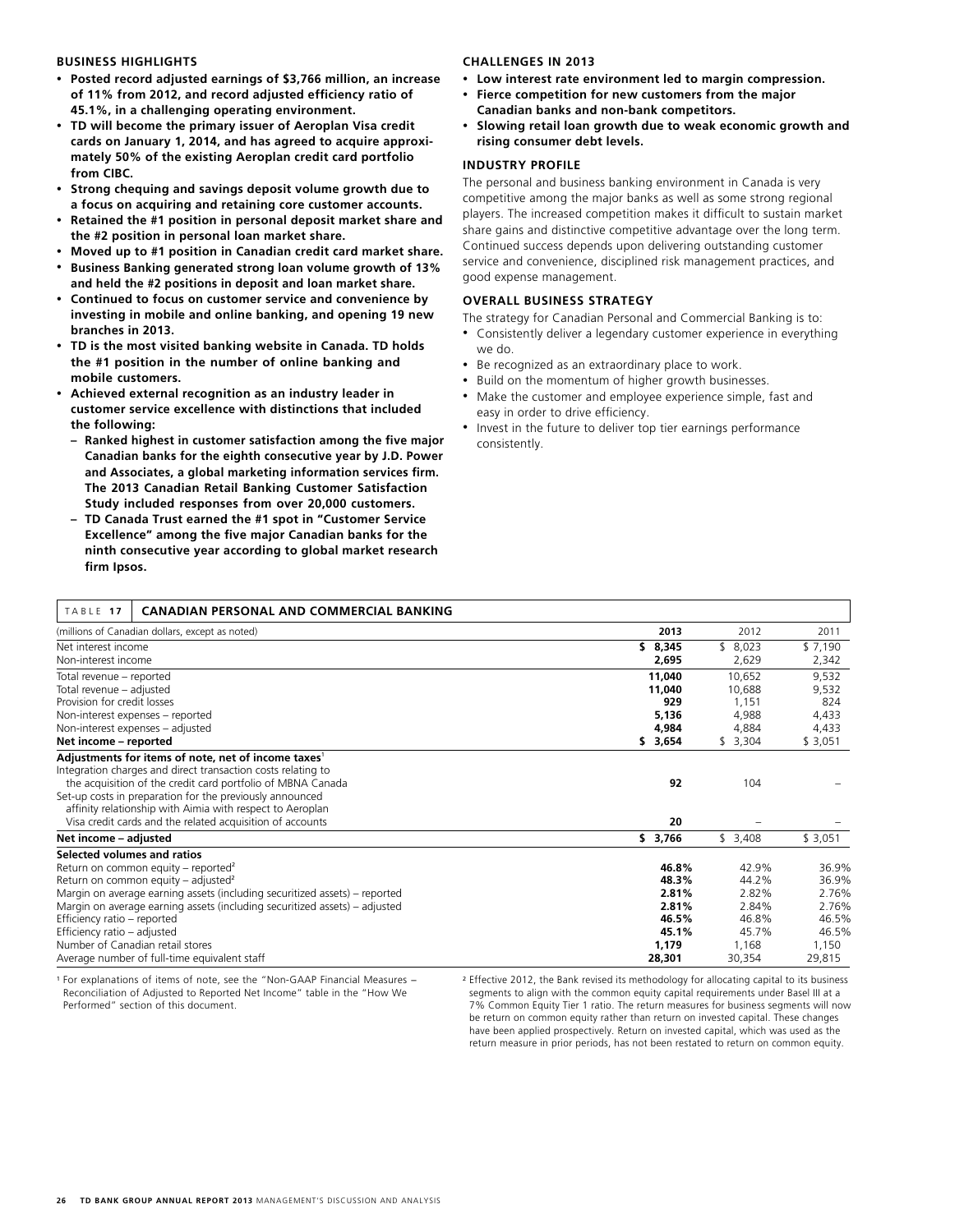#### **BUSINESS HIGHLIGHTS**

- **Posted record adjusted earnings of \$3,766 million, an increase of 11% from 2012, and record adjusted efficiency ratio of 45.1%, in a challenging operating environment.**
- **TD will become the primary issuer of Aeroplan Visa credit cards on January 1, 2014, and has agreed to acquire approximately 50% of the existing Aeroplan credit card portfolio from CIBC.**
- **Strong chequing and savings deposit volume growth due to a focus on acquiring and retaining core customer accounts.**
- **Retained the #1 position in personal deposit market share and the #2 position in personal loan market share.**
- **Moved up to #1 position in Canadian credit card market share.**
- **Business Banking generated strong loan volume growth of 13% and held the #2 positions in deposit and loan market share.**
- **Continued to focus on customer service and convenience by investing in mobile and online banking, and opening 19 new branches in 2013.**
- **TD is the most visited banking website in Canada. TD holds the #1 position in the number of online banking and mobile customers.**
- **Achieved external recognition as an industry leader in customer service excellence with distinctions that included the following:**
	- **Ranked highest in customer satisfaction among the five major Canadian banks for the eighth consecutive year by J.D. Power and Associates, a global marketing information services firm. The 2013 Canadian Retail Banking Customer Satisfaction Study included responses from over 20,000 customers.**
	- **TD Canada Trust earned the #1 spot in "Customer Service Excellence" among the five major Canadian banks for the ninth consecutive year according to global market research firm Ipsos.**

#### **CHALLENGES IN 2013**

- **Low interest rate environment led to margin compression.**
- **Fierce competition for new customers from the major**
- **Canadian banks and non-bank competitors.**
- **Slowing retail loan growth due to weak economic growth and rising consumer debt levels.**

#### **INDUSTRY PROFILE**

The personal and business banking environment in Canada is very competitive among the major banks as well as some strong regional players. The increased competition makes it difficult to sustain market share gains and distinctive competitive advantage over the long term. Continued success depends upon delivering outstanding customer service and convenience, disciplined risk management practices, and good expense management.

#### **OVERALL BUSINESS STRATEGY**

The strategy for Canadian Personal and Commercial Banking is to:

- Consistently deliver a legendary customer experience in everything we do.
- Be recognized as an extraordinary place to work.
- Build on the momentum of higher growth businesses.
- Make the customer and employee experience simple, fast and easy in order to drive efficiency.
- Invest in the future to deliver top tier earnings performance consistently.

| <b>TABIF 17</b>             | CANADIAN PERSONAL AND COMMERCIAL BANKING                                   |         |         |         |
|-----------------------------|----------------------------------------------------------------------------|---------|---------|---------|
|                             | (millions of Canadian dollars, except as noted)                            | 2013    | 2012    | 2011    |
| Net interest income         |                                                                            | \$8,345 | \$8,023 | \$7,190 |
| Non-interest income         |                                                                            | 2,695   | 2,629   | 2,342   |
| Total revenue - reported    |                                                                            | 11,040  | 10,652  | 9,532   |
| Total revenue - adjusted    |                                                                            | 11,040  | 10,688  | 9,532   |
| Provision for credit losses |                                                                            | 929     | 1,151   | 824     |
|                             | Non-interest expenses - reported                                           | 5,136   | 4,988   | 4,433   |
|                             | Non-interest expenses - adjusted                                           | 4.984   | 4,884   | 4,433   |
| Net income - reported       |                                                                            | \$3,654 | \$3,304 | \$3,051 |
|                             | Adjustments for items of note, net of income taxes <sup>1</sup>            |         |         |         |
|                             | Integration charges and direct transaction costs relating to               |         |         |         |
|                             | the acquisition of the credit card portfolio of MBNA Canada                | 92      | 104     |         |
|                             | Set-up costs in preparation for the previously announced                   |         |         |         |
|                             | affinity relationship with Aimia with respect to Aeroplan                  |         |         |         |
|                             | Visa credit cards and the related acquisition of accounts                  | 20      |         |         |
| Net income - adjusted       |                                                                            | \$3,766 | \$3,408 | \$3,051 |
| Selected volumes and ratios |                                                                            |         |         |         |
|                             | Return on common equity – reported <sup>2</sup>                            | 46.8%   | 42.9%   | 36.9%   |
|                             | Return on common equity – adjusted <sup>2</sup>                            | 48.3%   | 44.2%   | 36.9%   |
|                             | Margin on average earning assets (including securitized assets) – reported | 2.81%   | 2.82%   | 2.76%   |
|                             | Margin on average earning assets (including securitized assets) – adjusted | 2.81%   | 2.84%   | 2.76%   |
| Efficiency ratio - reported |                                                                            | 46.5%   | 46.8%   | 46.5%   |
| Efficiency ratio - adjusted |                                                                            | 45.1%   | 45.7%   | 46.5%   |
|                             | Number of Canadian retail stores                                           | 1,179   | 1,168   | 1,150   |
|                             | Average number of full-time equivalent staff                               | 28,301  | 30,354  | 29,815  |

<sup>1</sup> For explanations of items of note, see the "Non-GAAP Financial Measures − Reconciliation of Adjusted to Reported Net Income" table in the "How We Performed" section of this document.

<sup>2</sup> Effective 2012, the Bank revised its methodology for allocating capital to its business segments to align with the common equity capital requirements under Basel III at a 7% Common Equity Tier 1 ratio. The return measures for business segments will now be return on common equity rather than return on invested capital. These changes have been applied prospectively. Return on invested capital, which was used as the return measure in prior periods, has not been restated to return on common equity.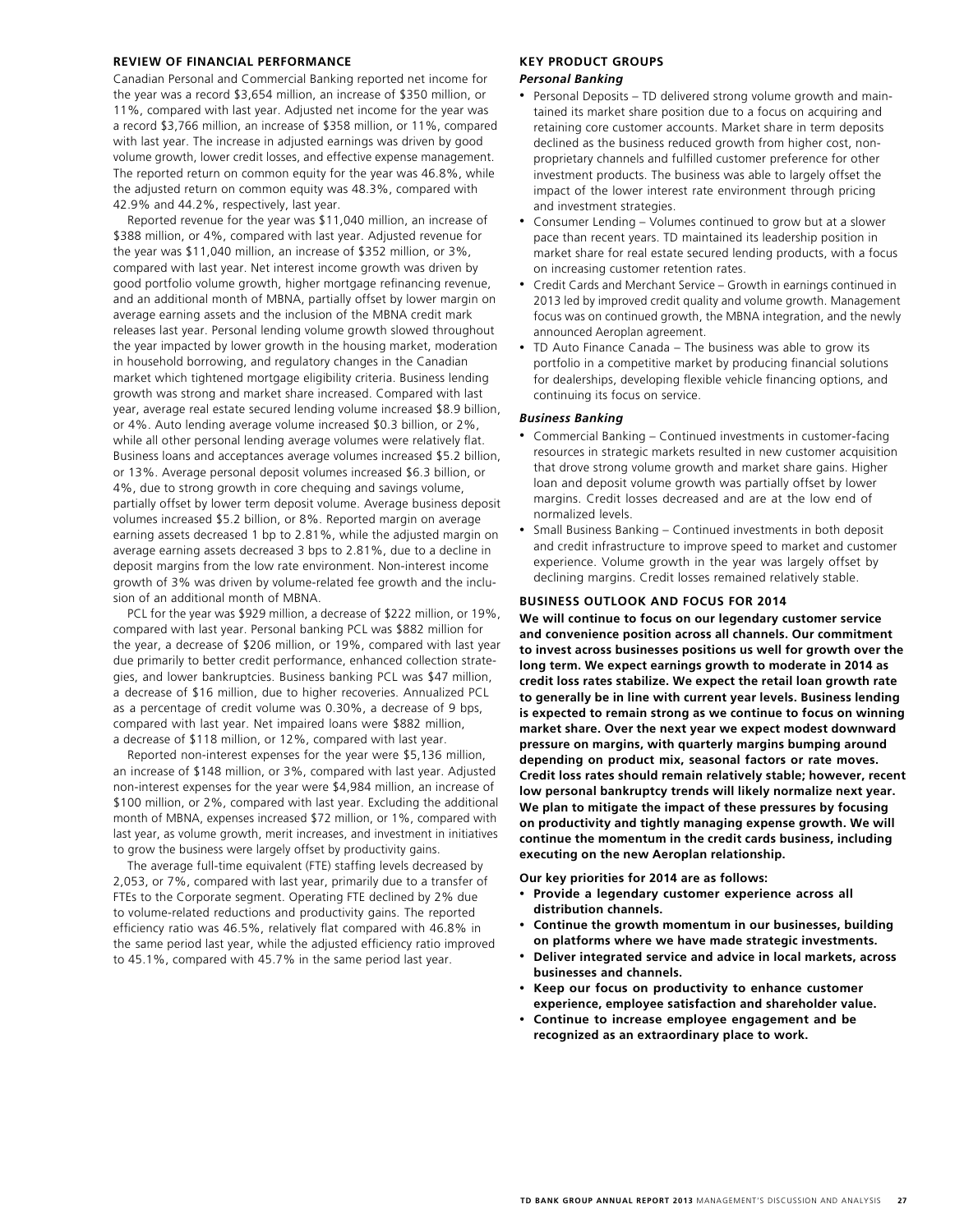#### **REVIEW OF FINANCIAL PERFORMANCE**

Canadian Personal and Commercial Banking reported net income for the year was a record \$3,654 million, an increase of \$350 million, or 11%, compared with last year. Adjusted net income for the year was a record \$3,766 million, an increase of \$358 million, or 11%, compared with last year. The increase in adjusted earnings was driven by good volume growth, lower credit losses, and effective expense management. The reported return on common equity for the year was 46.8%, while the adjusted return on common equity was 48.3%, compared with 42.9% and 44.2%, respectively, last year.

Reported revenue for the year was \$11,040 million, an increase of \$388 million, or 4%, compared with last year. Adjusted revenue for the year was \$11,040 million, an increase of \$352 million, or 3%, compared with last year. Net interest income growth was driven by good portfolio volume growth, higher mortgage refinancing revenue, and an additional month of MBNA, partially offset by lower margin on average earning assets and the inclusion of the MBNA credit mark releases last year. Personal lending volume growth slowed throughout the year impacted by lower growth in the housing market, moderation in household borrowing, and regulatory changes in the Canadian market which tightened mortgage eligibility criteria. Business lending growth was strong and market share increased. Compared with last year, average real estate secured lending volume increased \$8.9 billion, or 4%. Auto lending average volume increased \$0.3 billion, or 2%, while all other personal lending average volumes were relatively flat. Business loans and acceptances average volumes increased \$5.2 billion, or 13%. Average personal deposit volumes increased \$6.3 billion, or 4%, due to strong growth in core chequing and savings volume, partially offset by lower term deposit volume. Average business deposit volumes increased \$5.2 billion, or 8%. Reported margin on average earning assets decreased 1 bp to 2.81%, while the adjusted margin on average earning assets decreased 3 bps to 2.81%, due to a decline in deposit margins from the low rate environment. Non-interest income growth of 3% was driven by volume-related fee growth and the inclusion of an additional month of MBNA.

PCL for the year was \$929 million, a decrease of \$222 million, or 19%, compared with last year. Personal banking PCL was \$882 million for the year, a decrease of \$206 million, or 19%, compared with last year due primarily to better credit performance, enhanced collection strategies, and lower bankruptcies. Business banking PCL was \$47 million, a decrease of \$16 million, due to higher recoveries. Annualized PCL as a percentage of credit volume was 0.30%, a decrease of 9 bps, compared with last year. Net impaired loans were \$882 million, a decrease of \$118 million, or 12%, compared with last year.

Reported non-interest expenses for the year were \$5,136 million, an increase of \$148 million, or 3%, compared with last year. Adjusted non-interest expenses for the year were \$4,984 million, an increase of \$100 million, or 2%, compared with last year. Excluding the additional month of MBNA, expenses increased \$72 million, or 1%, compared with last year, as volume growth, merit increases, and investment in initiatives to grow the business were largely offset by productivity gains.

The average full-time equivalent (FTE) staffing levels decreased by 2,053, or 7%, compared with last year, primarily due to a transfer of FTEs to the Corporate segment. Operating FTE declined by 2% due to volume-related reductions and productivity gains. The reported efficiency ratio was 46.5%, relatively flat compared with 46.8% in the same period last year, while the adjusted efficiency ratio improved to 45.1%, compared with 45.7% in the same period last year.

#### **KEY PRODUCT GROUPS** *Personal Banking*

#### • Personal Deposits – TD delivered strong volume growth and maintained its market share position due to a focus on acquiring and retaining core customer accounts. Market share in term deposits declined as the business reduced growth from higher cost, nonproprietary channels and fulfilled customer preference for other investment products. The business was able to largely offset the impact of the lower interest rate environment through pricing and investment strategies.

- Consumer Lending Volumes continued to grow but at a slower pace than recent years. TD maintained its leadership position in market share for real estate secured lending products, with a focus on increasing customer retention rates.
- Credit Cards and Merchant Service Growth in earnings continued in 2013 led by improved credit quality and volume growth. Management focus was on continued growth, the MBNA integration, and the newly announced Aeroplan agreement.
- TD Auto Finance Canada The business was able to grow its portfolio in a competitive market by producing financial solutions for dealerships, developing flexible vehicle financing options, and continuing its focus on service.

#### *Business Banking*

- Commercial Banking Continued investments in customer-facing resources in strategic markets resulted in new customer acquisition that drove strong volume growth and market share gains. Higher loan and deposit volume growth was partially offset by lower margins. Credit losses decreased and are at the low end of normalized levels.
- Small Business Banking Continued investments in both deposit and credit infrastructure to improve speed to market and customer experience. Volume growth in the year was largely offset by declining margins. Credit losses remained relatively stable.

#### **BUSINESS OUTLOOK AND FOCUS FOR 2014**

**We will continue to focus on our legendary customer service and convenience position across all channels. Our commitment to invest across businesses positions us well for growth over the long term. We expect earnings growth to moderate in 2014 as credit loss rates stabilize. We expect the retail loan growth rate to generally be in line with current year levels. Business lending is expected to remain strong as we continue to focus on winning market share. Over the next year we expect modest downward pressure on margins, with quarterly margins bumping around depending on product mix, seasonal factors or rate moves. Credit loss rates should remain relatively stable; however, recent low personal bankruptcy trends will likely normalize next year. We plan to mitigate the impact of these pressures by focusing on productivity and tightly managing expense growth. We will continue the momentum in the credit cards business, including executing on the new Aeroplan relationship.**

**Our key priorities for 2014 are as follows:**

- **Provide a legendary customer experience across all distribution channels.**
- **Continue the growth momentum in our businesses, building on platforms where we have made strategic investments.**
- **Deliver integrated service and advice in local markets, across businesses and channels.**
- **Keep our focus on productivity to enhance customer experience, employee satisfaction and shareholder value.**
- **Continue to increase employee engagement and be recognized as an extraordinary place to work.**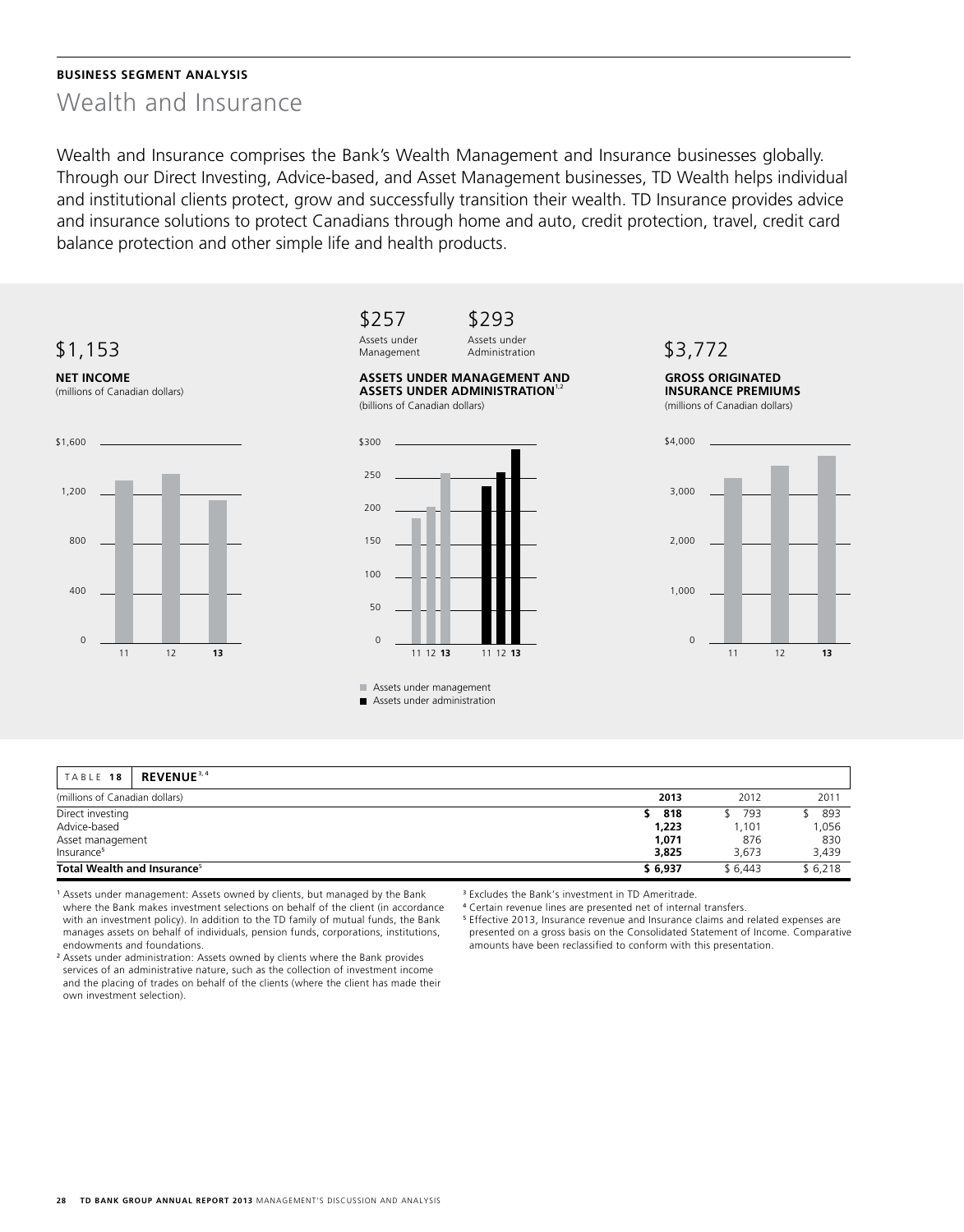### **BUSINESS SEGMENT ANALYSIS**

 $\Omega$ 

11 12 **13**

## Wealth and Insurance

Wealth and Insurance comprises the Bank's Wealth Management and Insurance businesses globally. Through our Direct Investing, Advice-based, and Asset Management businesses, TD Wealth helps individual and institutional clients protect, grow and successfully transition their wealth. TD Insurance provides advice and insurance solutions to protect Canadians through home and auto, credit protection, travel, credit card balance protection and other simple life and health products.



| TABLE 18                                | <b>REVENUE</b> <sup>3,4</sup> |         |         |         |
|-----------------------------------------|-------------------------------|---------|---------|---------|
| (millions of Canadian dollars)          |                               | 2013    | 2012    | 2011    |
| Direct investing                        |                               | 818     | 793     | 893     |
| Advice-based                            |                               | 1,223   | 1.101   | 1.056   |
| Asset management                        |                               | 1,071   | 876     | 830     |
| Insurance <sup>5</sup>                  |                               | 3,825   | 3,673   | 3,439   |
| Total Wealth and Insurance <sup>5</sup> |                               | \$6,937 | \$6.443 | \$6,218 |

Assets under management Assets under administration

11 12 **13**

11 12 **13**

 $\Omega$ 

<sup>1</sup> Assets under management: Assets owned by clients, but managed by the Bank where the Bank makes investment selections on behalf of the client (in accordance with an investment policy). In addition to the TD family of mutual funds, the Bank manages assets on behalf of individuals, pension funds, corporations, institutions, endowments and foundations.

<sup>2</sup> Assets under administration: Assets owned by clients where the Bank provides services of an administrative nature, such as the collection of investment income and the placing of trades on behalf of the clients (where the client has made their own investment selection).

<sup>3</sup> Excludes the Bank's investment in TD Ameritrade

<sup>4</sup> Certain revenue lines are presented net of internal transfers.

<sup>5</sup> Effective 2013, Insurance revenue and Insurance claims and related expenses are presented on a gross basis on the Consolidated Statement of Income. Comparative amounts have been reclassified to conform with this presentation.

 $\Omega$ 

11 12 **13**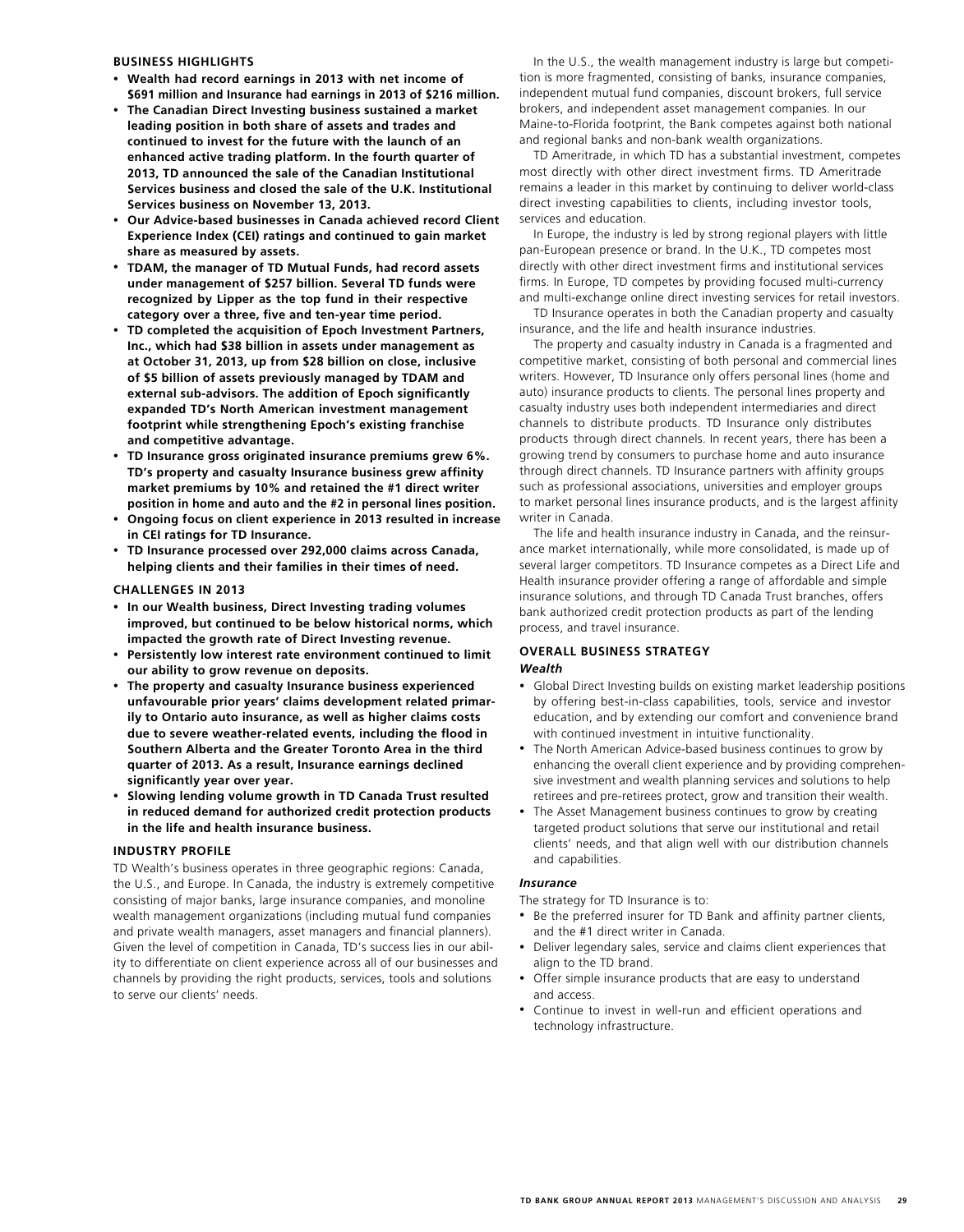#### **BUSINESS HIGHLIGHTS**

- **Wealth had record earnings in 2013 with net income of \$691 million and Insurance had earnings in 2013 of \$216 million.**
- **The Canadian Direct Investing business sustained a market leading position in both share of assets and trades and continued to invest for the future with the launch of an enhanced active trading platform. In the fourth quarter of 2013, TD announced the sale of the Canadian Institutional Services business and closed the sale of the U.K. Institutional Services business on November 13, 2013.**
- **Our Advice-based businesses in Canada achieved record Client Experience Index (CEI) ratings and continued to gain market share as measured by assets.**
- **TDAM, the manager of TD Mutual Funds, had record assets under management of \$257 billion. Several TD funds were recognized by Lipper as the top fund in their respective category over a three, five and ten-year time period.**
- **TD completed the acquisition of Epoch Investment Partners, Inc., which had \$38 billion in assets under management as at October 31, 2013, up from \$28 billion on close, inclusive of \$5 billion of assets previously managed by TDAM and external sub-advisors. The addition of Epoch significantly expanded TD's North American investment management footprint while strengthening Epoch's existing franchise and competitive advantage.**
- **TD Insurance gross originated insurance premiums grew 6%. TD's property and casualty Insurance business grew affinity market premiums by 10% and retained the #1 direct writer position in home and auto and the #2 in personal lines position.**
- **Ongoing focus on client experience in 2013 resulted in increase in CEI ratings for TD Insurance.**
- **TD Insurance processed over 292,000 claims across Canada, helping clients and their families in their times of need.**

#### **CHALLENGES IN 2013**

- **In our Wealth business, Direct Investing trading volumes improved, but continued to be below historical norms, which impacted the growth rate of Direct Investing revenue.**
- **Persistently low interest rate environment continued to limit our ability to grow revenue on deposits.**
- **The property and casualty Insurance business experienced unfavourable prior years' claims development related primarily to Ontario auto insurance, as well as higher claims costs due to severe weather-related events, including the flood in Southern Alberta and the Greater Toronto Area in the third quarter of 2013. As a result, Insurance earnings declined significantly year over year.**
- **Slowing lending volume growth in TD Canada Trust resulted in reduced demand for authorized credit protection products in the life and health insurance business.**

#### **INDUSTRY PROFILE**

TD Wealth's business operates in three geographic regions: Canada, the U.S., and Europe. In Canada, the industry is extremely competitive consisting of major banks, large insurance companies, and monoline wealth management organizations (including mutual fund companies and private wealth managers, asset managers and financial planners). Given the level of competition in Canada, TD's success lies in our ability to differentiate on client experience across all of our businesses and channels by providing the right products, services, tools and solutions to serve our clients' needs.

In the U.S., the wealth management industry is large but competition is more fragmented, consisting of banks, insurance companies, independent mutual fund companies, discount brokers, full service brokers, and independent asset management companies. In our Maine-to-Florida footprint, the Bank competes against both national and regional banks and non-bank wealth organizations.

TD Ameritrade, in which TD has a substantial investment, competes most directly with other direct investment firms. TD Ameritrade remains a leader in this market by continuing to deliver world-class direct investing capabilities to clients, including investor tools, services and education.

In Europe, the industry is led by strong regional players with little pan-European presence or brand. In the U.K., TD competes most directly with other direct investment firms and institutional services firms. In Europe, TD competes by providing focused multi-currency and multi-exchange online direct investing services for retail investors.

TD Insurance operates in both the Canadian property and casualty insurance, and the life and health insurance industries.

The property and casualty industry in Canada is a fragmented and competitive market, consisting of both personal and commercial lines writers. However, TD Insurance only offers personal lines (home and auto) insurance products to clients. The personal lines property and casualty industry uses both independent intermediaries and direct channels to distribute products. TD Insurance only distributes products through direct channels. In recent years, there has been a growing trend by consumers to purchase home and auto insurance through direct channels. TD Insurance partners with affinity groups such as professional associations, universities and employer groups to market personal lines insurance products, and is the largest affinity writer in Canada.

The life and health insurance industry in Canada, and the reinsurance market internationally, while more consolidated, is made up of several larger competitors. TD Insurance competes as a Direct Life and Health insurance provider offering a range of affordable and simple insurance solutions, and through TD Canada Trust branches, offers bank authorized credit protection products as part of the lending process, and travel insurance.

#### **OVERALL BUSINESS STRATEGY**

#### *Wealth*

- Global Direct Investing builds on existing market leadership positions by offering best-in-class capabilities, tools, service and investor education, and by extending our comfort and convenience brand with continued investment in intuitive functionality.
- The North American Advice-based business continues to grow by enhancing the overall client experience and by providing comprehensive investment and wealth planning services and solutions to help retirees and pre-retirees protect, grow and transition their wealth.
- The Asset Management business continues to grow by creating targeted product solutions that serve our institutional and retail clients' needs, and that align well with our distribution channels and capabilities.

#### *Insurance*

The strategy for TD Insurance is to:

- Be the preferred insurer for TD Bank and affinity partner clients, and the #1 direct writer in Canada.
- Deliver legendary sales, service and claims client experiences that align to the TD brand.
- Offer simple insurance products that are easy to understand and access.
- Continue to invest in well-run and efficient operations and technology infrastructure.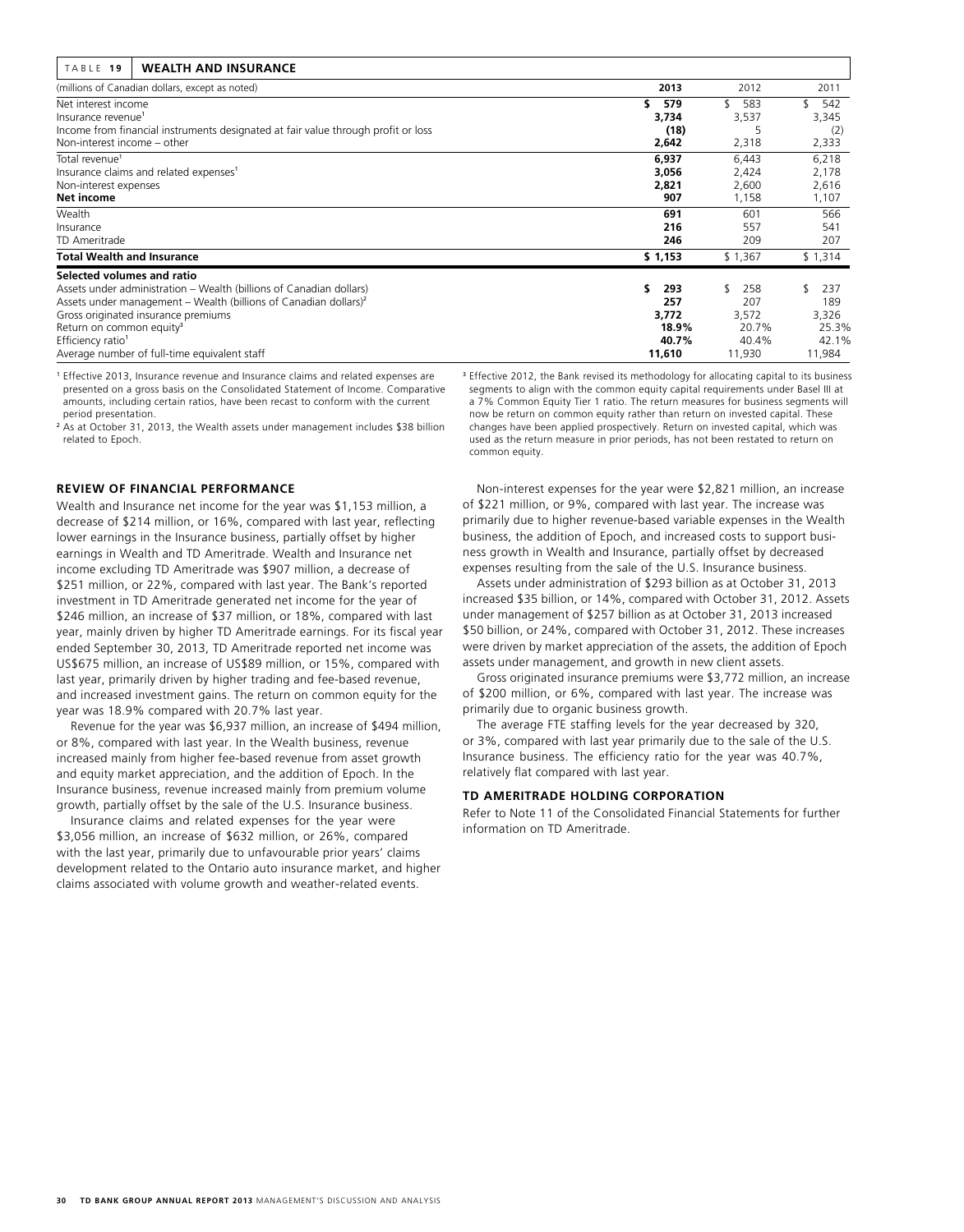| <b>WEALTH AND INSURANCE</b><br>TABLE 19                                           |           |           |           |
|-----------------------------------------------------------------------------------|-----------|-----------|-----------|
| (millions of Canadian dollars, except as noted)                                   | 2013      | 2012      | 2011      |
| Net interest income                                                               | 579       | 583       | \$<br>542 |
| Insurance revenue <sup>1</sup>                                                    | 3.734     | 3,537     | 3,345     |
| Income from financial instruments designated at fair value through profit or loss | (18)      | 5         | (2)       |
| Non-interest income - other                                                       | 2,642     | 2,318     | 2,333     |
| Total revenue <sup>1</sup>                                                        | 6,937     | 6,443     | 6,218     |
| Insurance claims and related expenses <sup>1</sup>                                | 3,056     | 2,424     | 2,178     |
| Non-interest expenses                                                             | 2,821     | 2,600     | 2,616     |
| Net income                                                                        | 907       | 1,158     | 1,107     |
| Wealth                                                                            | 691       | 601       | 566       |
| Insurance                                                                         | 216       | 557       | 541       |
| TD Ameritrade                                                                     | 246       | 209       | 207       |
| <b>Total Wealth and Insurance</b>                                                 | \$1,153   | \$1,367   | \$1,314   |
| Selected volumes and ratio                                                        |           |           |           |
| Assets under administration – Wealth (billions of Canadian dollars)               | \$<br>293 | 258<br>٢. | \$<br>237 |
| Assets under management – Wealth (billions of Canadian dollars) <sup>2</sup>      | 257       | 207       | 189       |
| Gross originated insurance premiums                                               | 3,772     | 3,572     | 3,326     |
| Return on common equity <sup>3</sup>                                              | 18.9%     | 20.7%     | 25.3%     |
| Efficiency ratio <sup>1</sup>                                                     | 40.7%     | 40.4%     | 42.1%     |
| Average number of full-time equivalent staff                                      | 11,610    | 11,930    | 11,984    |

<sup>1</sup> Effective 2013, Insurance revenue and Insurance claims and related expenses are presented on a gross basis on the Consolidated Statement of Income. Comparative amounts, including certain ratios, have been recast to conform with the current period presentation.

<sup>2</sup> As at October 31, 2013, the Wealth assets under management includes \$38 billion related to Epoch.

#### **REVIEW OF FINANCIAL PERFORMANCE**

Wealth and Insurance net income for the year was \$1,153 million, a decrease of \$214 million, or 16%, compared with last year, reflecting lower earnings in the Insurance business, partially offset by higher earnings in Wealth and TD Ameritrade. Wealth and Insurance net income excluding TD Ameritrade was \$907 million, a decrease of \$251 million, or 22%, compared with last year. The Bank's reported investment in TD Ameritrade generated net income for the year of \$246 million, an increase of \$37 million, or 18%, compared with last year, mainly driven by higher TD Ameritrade earnings. For its fiscal year ended September 30, 2013, TD Ameritrade reported net income was US\$675 million, an increase of US\$89 million, or 15%, compared with last year, primarily driven by higher trading and fee-based revenue, and increased investment gains. The return on common equity for the year was 18.9% compared with 20.7% last year.

Revenue for the year was \$6,937 million, an increase of \$494 million, or 8%, compared with last year. In the Wealth business, revenue increased mainly from higher fee-based revenue from asset growth and equity market appreciation, and the addition of Epoch. In the Insurance business, revenue increased mainly from premium volume growth, partially offset by the sale of the U.S. Insurance business.

Insurance claims and related expenses for the year were \$3,056 million, an increase of \$632 million, or 26%, compared with the last year, primarily due to unfavourable prior years' claims development related to the Ontario auto insurance market, and higher claims associated with volume growth and weather-related events.

<sup>3</sup> Effective 2012, the Bank revised its methodology for allocating capital to its business segments to align with the common equity capital requirements under Basel III at a 7% Common Equity Tier 1 ratio. The return measures for business segments will now be return on common equity rather than return on invested capital. These changes have been applied prospectively. Return on invested capital, which was used as the return measure in prior periods, has not been restated to return on common equity.

Non-interest expenses for the year were \$2,821 million, an increase of \$221 million, or 9%, compared with last year. The increase was primarily due to higher revenue-based variable expenses in the Wealth business, the addition of Epoch, and increased costs to support business growth in Wealth and Insurance, partially offset by decreased expenses resulting from the sale of the U.S. Insurance business.

Assets under administration of \$293 billion as at October 31, 2013 increased \$35 billion, or 14%, compared with October 31, 2012. Assets under management of \$257 billion as at October 31, 2013 increased \$50 billion, or 24%, compared with October 31, 2012. These increases were driven by market appreciation of the assets, the addition of Epoch assets under management, and growth in new client assets.

Gross originated insurance premiums were \$3,772 million, an increase of \$200 million, or 6%, compared with last year. The increase was primarily due to organic business growth.

The average FTE staffing levels for the year decreased by 320, or 3%, compared with last year primarily due to the sale of the U.S. Insurance business. The efficiency ratio for the year was 40.7%, relatively flat compared with last year.

#### **TD AMERITRADE HOLDING CORPORATION**

Refer to Note 11 of the Consolidated Financial Statements for further information on TD Ameritrade.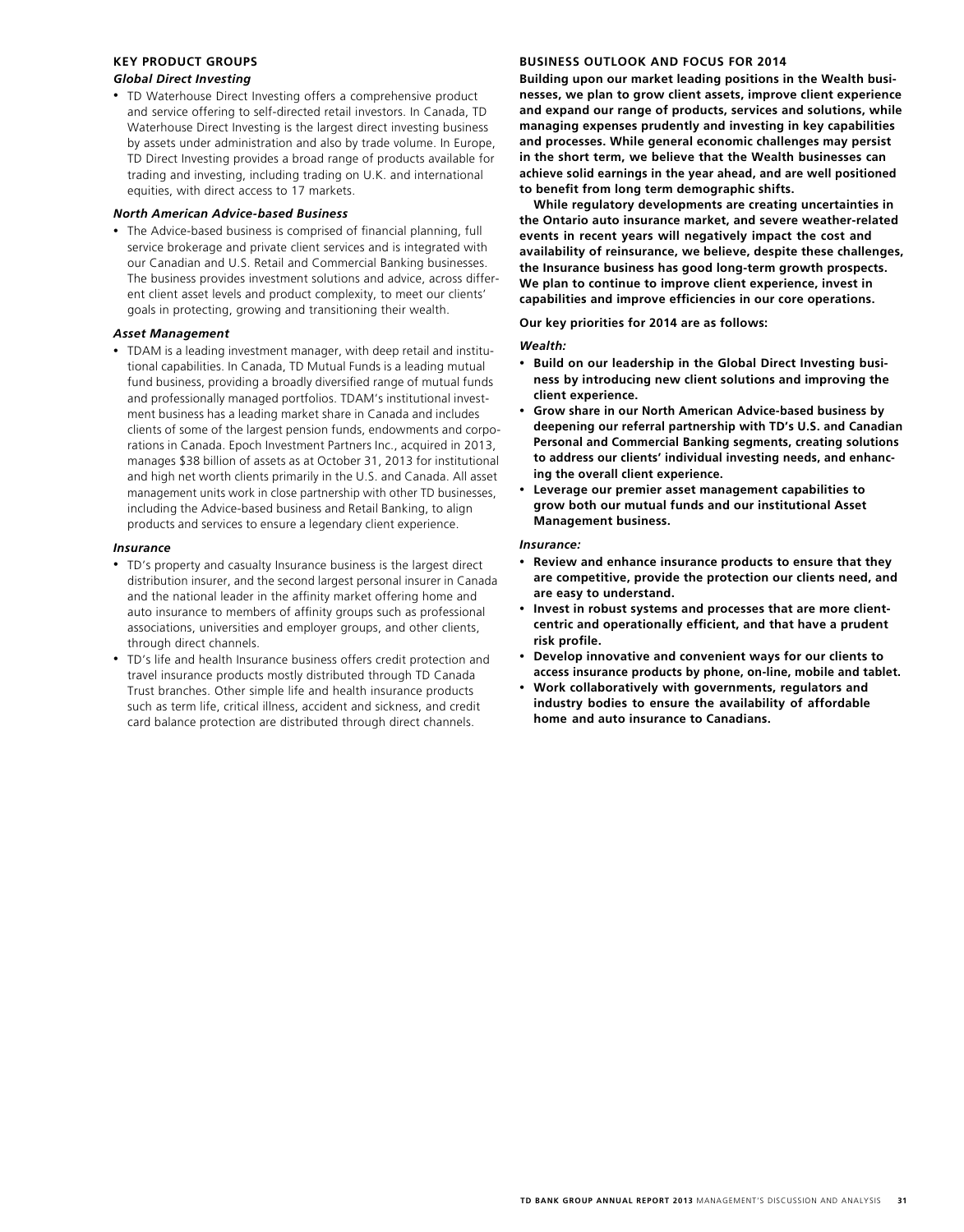#### **KEY PRODUCT GROUPS** *Global Direct Investing*

• TD Waterhouse Direct Investing offers a comprehensive product and service offering to self-directed retail investors. In Canada, TD Waterhouse Direct Investing is the largest direct investing business by assets under administration and also by trade volume. In Europe, TD Direct Investing provides a broad range of products available for trading and investing, including trading on U.K. and international equities, with direct access to 17 markets.

#### *North American Advice-based Business*

• The Advice-based business is comprised of financial planning, full service brokerage and private client services and is integrated with our Canadian and U.S. Retail and Commercial Banking businesses. The business provides investment solutions and advice, across different client asset levels and product complexity, to meet our clients' goals in protecting, growing and transitioning their wealth.

#### *Asset Management*

• TDAM is a leading investment manager, with deep retail and institutional capabilities. In Canada, TD Mutual Funds is a leading mutual fund business, providing a broadly diversified range of mutual funds and professionally managed portfolios. TDAM's institutional investment business has a leading market share in Canada and includes clients of some of the largest pension funds, endowments and corporations in Canada. Epoch Investment Partners Inc., acquired in 2013, manages \$38 billion of assets as at October 31, 2013 for institutional and high net worth clients primarily in the U.S. and Canada. All asset management units work in close partnership with other TD businesses, including the Advice-based business and Retail Banking, to align products and services to ensure a legendary client experience.

#### *Insurance*

- TD's property and casualty Insurance business is the largest direct distribution insurer, and the second largest personal insurer in Canada and the national leader in the affinity market offering home and auto insurance to members of affinity groups such as professional associations, universities and employer groups, and other clients, through direct channels.
- TD's life and health Insurance business offers credit protection and travel insurance products mostly distributed through TD Canada Trust branches. Other simple life and health insurance products such as term life, critical illness, accident and sickness, and credit card balance protection are distributed through direct channels.

#### **BUSINESS OUTLOOK AND FOCUS FOR 2014**

**Building upon our market leading positions in the Wealth businesses, we plan to grow client assets, improve client experience and expand our range of products, services and solutions, while managing expenses prudently and investing in key capabilities and processes. While general economic challenges may persist in the short term, we believe that the Wealth businesses can achieve solid earnings in the year ahead, and are well positioned to benefit from long term demographic shifts.**

**While regulatory developments are creating uncertainties in the Ontario auto insurance market, and severe weather-related events in recent years will negatively impact the cost and availability of reinsurance, we believe, despite these challenges, the Insurance business has good long-term growth prospects. We plan to continue to improve client experience, invest in capabilities and improve efficiencies in our core operations.**

**Our key priorities for 2014 are as follows:**

#### *Wealth:*

- **Build on our leadership in the Global Direct Investing business by introducing new client solutions and improving the client experience.**
- **Grow share in our North American Advice-based business by deepening our referral partnership with TD's U.S. and Canadian Personal and Commercial Banking segments, creating solutions to address our clients' individual investing needs, and enhancing the overall client experience.**
- **Leverage our premier asset management capabilities to grow both our mutual funds and our institutional Asset Management business.**

#### *Insurance:*

- **Review and enhance insurance products to ensure that they are competitive, provide the protection our clients need, and are easy to understand.**
- **Invest in robust systems and processes that are more clientcentric and operationally efficient, and that have a prudent risk profile.**
- **Develop innovative and convenient ways for our clients to access insurance products by phone, on-line, mobile and tablet.**
- **Work collaboratively with governments, regulators and industry bodies to ensure the availability of affordable home and auto insurance to Canadians.**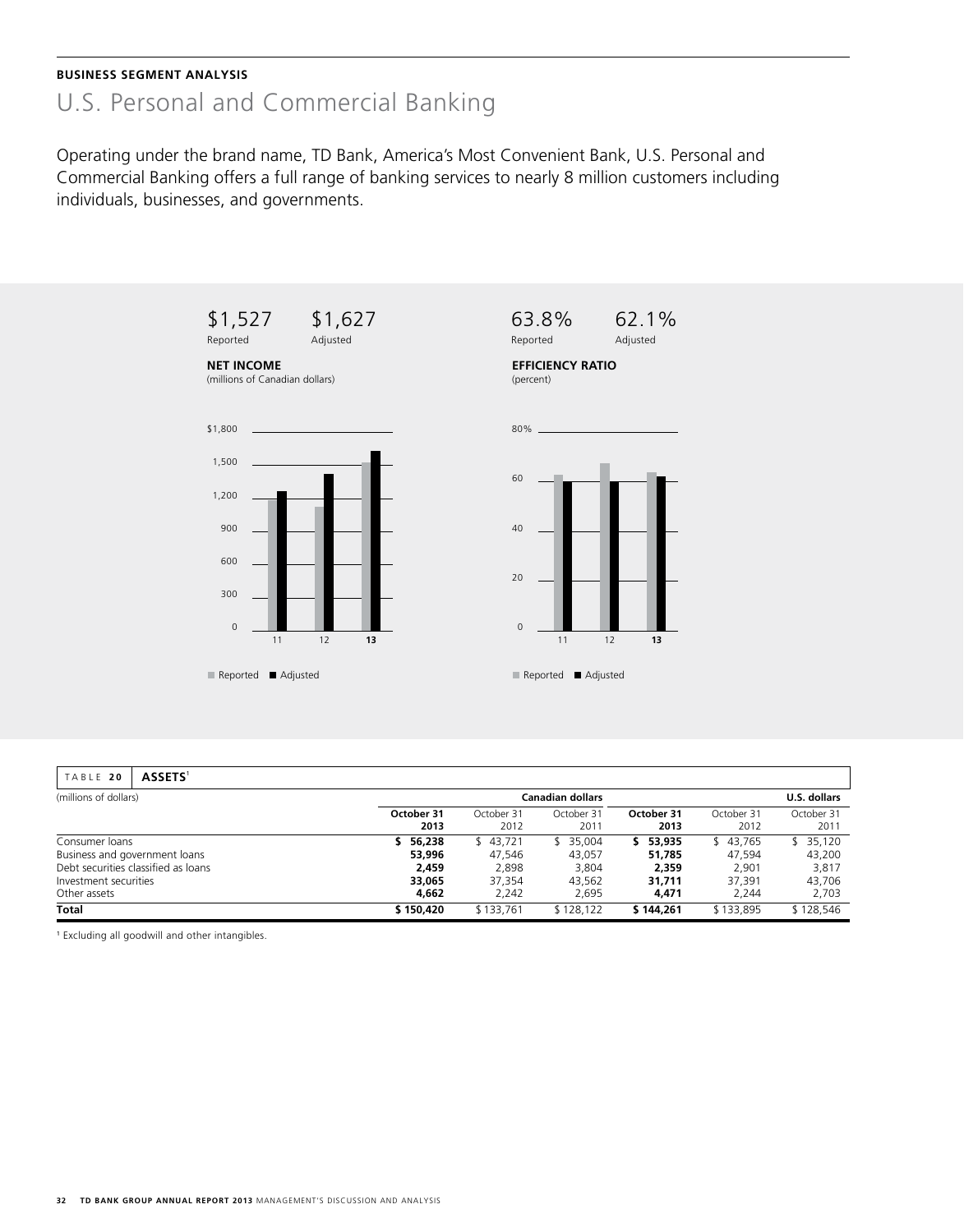### **BUSINESS SEGMENT ANALYSIS**

# U.S. Personal and Commercial Banking

Operating under the brand name, TD Bank, America's Most Convenient Bank, U.S. Personal and Commercial Banking offers a full range of banking services to nearly 8 million customers including individuals, businesses, and governments.



| TABLE 20                                                                                 | <b>ASSETS</b> <sup>1</sup>          |                                              |                                                |                                              |                                                |                                                |                                              |
|------------------------------------------------------------------------------------------|-------------------------------------|----------------------------------------------|------------------------------------------------|----------------------------------------------|------------------------------------------------|------------------------------------------------|----------------------------------------------|
| (millions of dollars)                                                                    |                                     |                                              |                                                | Canadian dollars                             |                                                |                                                | U.S. dollars                                 |
|                                                                                          |                                     | October 31<br>2013                           | October 31<br>2012                             | October 31<br>2011                           | October 31<br>2013                             | October 31<br>2012                             | October 31<br>2011                           |
| Consumer loans<br>Business and government loans<br>Investment securities<br>Other assets | Debt securities classified as loans | 56,238<br>53,996<br>2,459<br>33,065<br>4,662 | \$43.721<br>47.546<br>2.898<br>37.354<br>2,242 | 35,004<br>43.057<br>3,804<br>43,562<br>2,695 | \$53.935<br>51.785<br>2,359<br>31,711<br>4,471 | \$43.765<br>47.594<br>2.901<br>37.391<br>2.244 | 35,120<br>43,200<br>3,817<br>43.706<br>2,703 |
| <b>Total</b>                                                                             |                                     | \$150,420                                    | \$133.761                                      | \$128.122                                    | \$144,261                                      | \$133,895                                      | \$128,546                                    |

<sup>1</sup> Excluding all goodwill and other intangibles.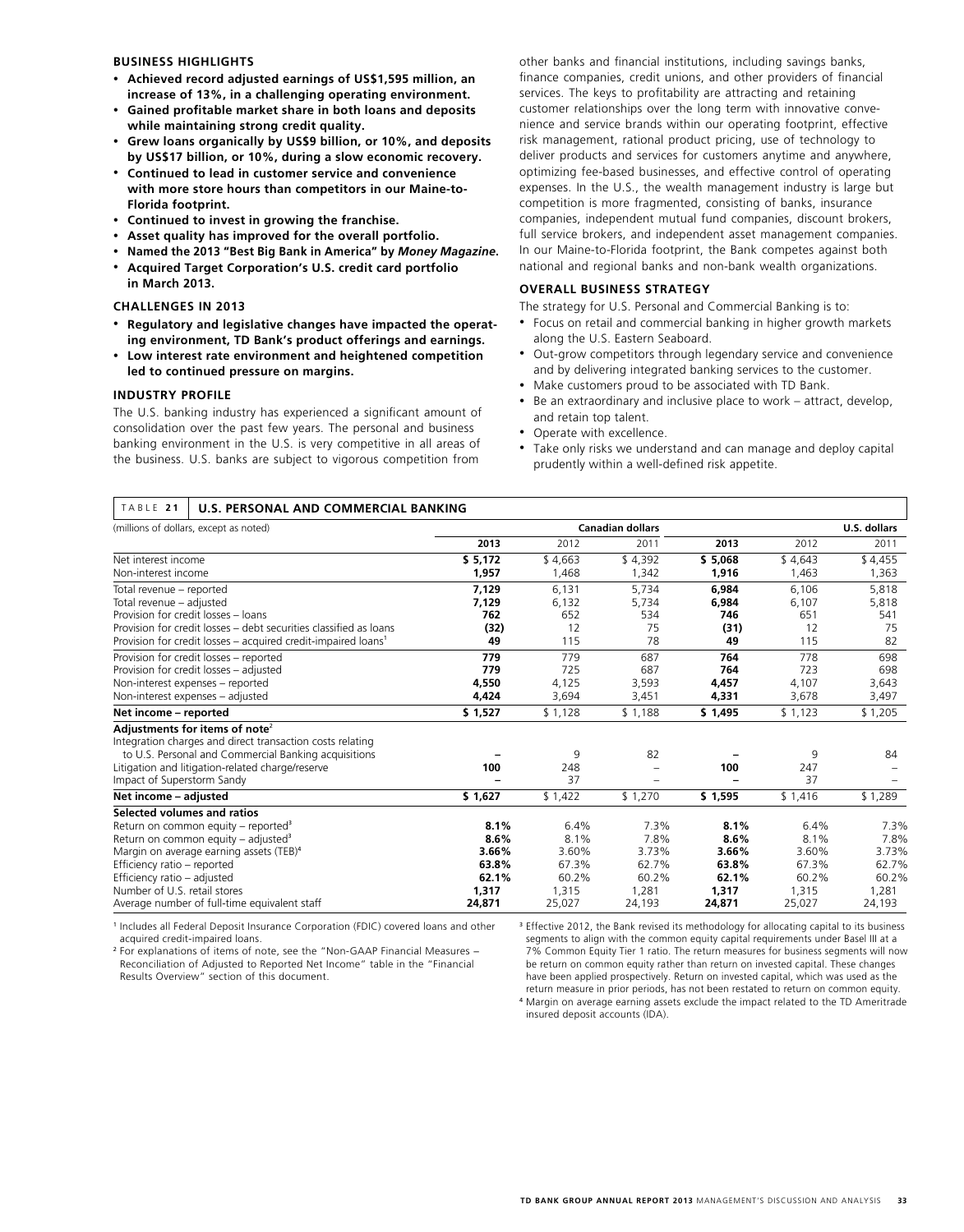#### **BUSINESS HIGHLIGHTS**

- **Achieved record adjusted earnings of US\$1,595 million, an increase of 13%, in a challenging operating environment.**
- **Gained profitable market share in both loans and deposits while maintaining strong credit quality.**
- **Grew loans organically by US\$9 billion, or 10%, and deposits by US\$17 billion, or 10%, during a slow economic recovery.**
- **Continued to lead in customer service and convenience with more store hours than competitors in our Maine-to-Florida footprint.**
- **Continued to invest in growing the franchise.**
- **Asset quality has improved for the overall portfolio.**
- **Named the 2013 "Best Big Bank in America" by** *Money Magazine***. • Acquired Target Corporation's U.S. credit card portfolio in March 2013.**
- **CHALLENGES IN 2013**
- **Regulatory and legislative changes have impacted the operating environment, TD Bank's product offerings and earnings.**
- **Low interest rate environment and heightened competition led to continued pressure on margins.**

#### **INDUSTRY PROFILE**

The U.S. banking industry has experienced a significant amount of consolidation over the past few years. The personal and business banking environment in the U.S. is very competitive in all areas of the business. U.S. banks are subject to vigorous competition from

other banks and financial institutions, including savings banks, finance companies, credit unions, and other providers of financial services. The keys to profitability are attracting and retaining customer relationships over the long term with innovative convenience and service brands within our operating footprint, effective risk management, rational product pricing, use of technology to deliver products and services for customers anytime and anywhere, optimizing fee-based businesses, and effective control of operating expenses. In the U.S., the wealth management industry is large but competition is more fragmented, consisting of banks, insurance companies, independent mutual fund companies, discount brokers, full service brokers, and independent asset management companies. In our Maine-to-Florida footprint, the Bank competes against both national and regional banks and non-bank wealth organizations.

#### **OVERALL BUSINESS STRATEGY**

The strategy for U.S. Personal and Commercial Banking is to:

- Focus on retail and commercial banking in higher growth markets along the U.S. Eastern Seaboard.
- Out-grow competitors through legendary service and convenience and by delivering integrated banking services to the customer.
- Make customers proud to be associated with TD Bank.
- Be an extraordinary and inclusive place to work attract, develop, and retain top talent.
- Operate with excellence.
- Take only risks we understand and can manage and deploy capital prudently within a well-defined risk appetite.

#### TABLE **2 1 U.S. PERSONAL AND COMMERCIAL BANKING**

| (millions of dollars, except as noted)                                    |         |         | <b>Canadian dollars</b> |         |         | U.S. dollars |
|---------------------------------------------------------------------------|---------|---------|-------------------------|---------|---------|--------------|
|                                                                           | 2013    | 2012    | 2011                    | 2013    | 2012    | 2011         |
| Net interest income                                                       | \$5,172 | \$4,663 | \$4,392                 | \$5,068 | \$4,643 | \$4,455      |
| Non-interest income                                                       | 1,957   | 1,468   | 1,342                   | 1,916   | 1,463   | 1,363        |
| Total revenue - reported                                                  | 7,129   | 6,131   | 5,734                   | 6.984   | 6,106   | 5,818        |
| Total revenue - adjusted                                                  | 7,129   | 6,132   | 5,734                   | 6,984   | 6,107   | 5,818        |
| Provision for credit losses - loans                                       | 762     | 652     | 534                     | 746     | 651     | 541          |
| Provision for credit losses – debt securities classified as loans         | (32)    | 12      | 75                      | (31)    | 12      | 75           |
| Provision for credit losses – acquired credit-impaired loans <sup>1</sup> | 49      | 115     | 78                      | 49      | 115     | 82           |
| Provision for credit losses - reported                                    | 779     | 779     | 687                     | 764     | 778     | 698          |
| Provision for credit losses - adjusted                                    | 779     | 725     | 687                     | 764     | 723     | 698          |
| Non-interest expenses - reported                                          | 4,550   | 4,125   | 3,593                   | 4,457   | 4,107   | 3,643        |
| Non-interest expenses - adjusted                                          | 4,424   | 3,694   | 3,451                   | 4,331   | 3,678   | 3,497        |
| Net income - reported                                                     | \$1,527 | \$1,128 | \$1,188                 | \$1,495 | \$1,123 | \$1,205      |
| Adjustments for items of note <sup>2</sup>                                |         |         |                         |         |         |              |
| Integration charges and direct transaction costs relating                 |         |         |                         |         |         |              |
| to U.S. Personal and Commercial Banking acquisitions                      |         | 9       | 82                      |         | 9       | 84           |
| Litigation and litigation-related charge/reserve                          | 100     | 248     |                         | 100     | 247     |              |
| Impact of Superstorm Sandy                                                |         | 37      |                         |         | 37      |              |
| Net income - adjusted                                                     | \$1,627 | \$1,422 | \$1,270                 | \$1,595 | \$1,416 | \$1,289      |
| Selected volumes and ratios                                               |         |         |                         |         |         |              |
| Return on common equity – reported <sup>3</sup>                           | 8.1%    | 6.4%    | 7.3%                    | 8.1%    | 6.4%    | 7.3%         |
| Return on common equity – adjusted <sup>3</sup>                           | 8.6%    | 8.1%    | 7.8%                    | 8.6%    | 8.1%    | 7.8%         |
| Margin on average earning assets (TEB) <sup>4</sup>                       | 3.66%   | 3.60%   | 3.73%                   | 3.66%   | 3.60%   | 3.73%        |
| Efficiency ratio - reported                                               | 63.8%   | 67.3%   | 62.7%                   | 63.8%   | 67.3%   | 62.7%        |
| Efficiency ratio - adjusted                                               | 62.1%   | 60.2%   | 60.2%                   | 62.1%   | 60.2%   | 60.2%        |
| Number of U.S. retail stores                                              | 1,317   | 1,315   | 1,281                   | 1,317   | 1,315   | 1,281        |
| Average number of full-time equivalent staff                              | 24,871  | 25,027  | 24,193                  | 24,871  | 25,027  | 24,193       |

<sup>1</sup> Includes all Federal Deposit Insurance Corporation (FDIC) covered loans and other acquired credit-impaired loans.

<sup>2</sup> For explanations of items of note, see the "Non-GAAP Financial Measures − Reconciliation of Adjusted to Reported Net Income" table in the "Financial Results Overview" section of this document.

<sup>3</sup> Effective 2012, the Bank revised its methodology for allocating capital to its business segments to align with the common equity capital requirements under Basel III at a 7% Common Equity Tier 1 ratio. The return measures for business segments will now be return on common equity rather than return on invested capital. These changes have been applied prospectively. Return on invested capital, which was used as the return measure in prior periods, has not been restated to return on common equity. <sup>4</sup> Margin on average earning assets exclude the impact related to the TD Ameritrade insured deposit accounts (IDA).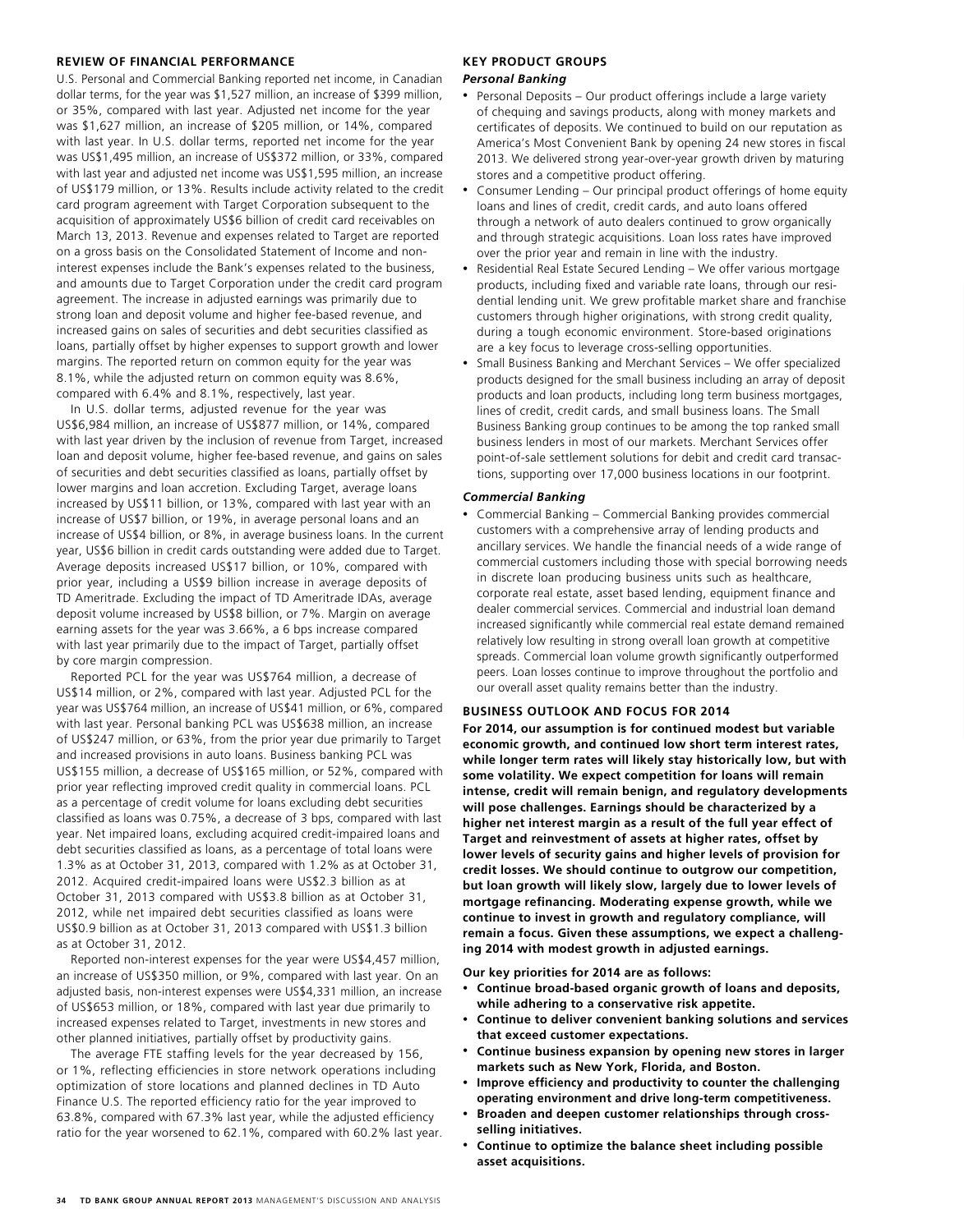#### **REVIEW OF FINANCIAL PERFORMANCE**

U.S. Personal and Commercial Banking reported net income, in Canadian dollar terms, for the year was \$1,527 million, an increase of \$399 million, or 35%, compared with last year. Adjusted net income for the year was \$1,627 million, an increase of \$205 million, or 14%, compared with last year. In U.S. dollar terms, reported net income for the year was US\$1,495 million, an increase of US\$372 million, or 33%, compared with last year and adjusted net income was US\$1,595 million, an increase of US\$179 million, or 13%. Results include activity related to the credit card program agreement with Target Corporation subsequent to the acquisition of approximately US\$6 billion of credit card receivables on March 13, 2013. Revenue and expenses related to Target are reported on a gross basis on the Consolidated Statement of Income and noninterest expenses include the Bank's expenses related to the business, and amounts due to Target Corporation under the credit card program agreement. The increase in adjusted earnings was primarily due to strong loan and deposit volume and higher fee-based revenue, and increased gains on sales of securities and debt securities classified as loans, partially offset by higher expenses to support growth and lower margins. The reported return on common equity for the year was 8.1%, while the adjusted return on common equity was 8.6%, compared with 6.4% and 8.1%, respectively, last year.

In U.S. dollar terms, adjusted revenue for the year was US\$6,984 million, an increase of US\$877 million, or 14%, compared with last year driven by the inclusion of revenue from Target, increased loan and deposit volume, higher fee-based revenue, and gains on sales of securities and debt securities classified as loans, partially offset by lower margins and loan accretion. Excluding Target, average loans increased by US\$11 billion, or 13%, compared with last year with an increase of US\$7 billion, or 19%, in average personal loans and an increase of US\$4 billion, or 8%, in average business loans. In the current year, US\$6 billion in credit cards outstanding were added due to Target. Average deposits increased US\$17 billion, or 10%, compared with prior year, including a US\$9 billion increase in average deposits of TD Ameritrade. Excluding the impact of TD Ameritrade IDAs, average deposit volume increased by US\$8 billion, or 7%. Margin on average earning assets for the year was 3.66%, a 6 bps increase compared with last year primarily due to the impact of Target, partially offset by core margin compression.

Reported PCL for the year was US\$764 million, a decrease of US\$14 million, or 2%, compared with last year. Adjusted PCL for the year was US\$764 million, an increase of US\$41 million, or 6%, compared with last year. Personal banking PCL was US\$638 million, an increase of US\$247 million, or 63%, from the prior year due primarily to Target and increased provisions in auto loans. Business banking PCL was US\$155 million, a decrease of US\$165 million, or 52%, compared with prior year reflecting improved credit quality in commercial loans. PCL as a percentage of credit volume for loans excluding debt securities classified as loans was 0.75%, a decrease of 3 bps, compared with last year. Net impaired loans, excluding acquired credit-impaired loans and debt securities classified as loans, as a percentage of total loans were 1.3% as at October 31, 2013, compared with 1.2% as at October 31, 2012. Acquired credit-impaired loans were US\$2.3 billion as at October 31, 2013 compared with US\$3.8 billion as at October 31, 2012, while net impaired debt securities classified as loans were US\$0.9 billion as at October 31, 2013 compared with US\$1.3 billion as at October 31, 2012.

Reported non-interest expenses for the year were US\$4,457 million, an increase of US\$350 million, or 9%, compared with last year. On an adjusted basis, non-interest expenses were US\$4,331 million, an increase of US\$653 million, or 18%, compared with last year due primarily to increased expenses related to Target, investments in new stores and other planned initiatives, partially offset by productivity gains.

The average FTE staffing levels for the year decreased by 156, or 1%, reflecting efficiencies in store network operations including optimization of store locations and planned declines in TD Auto Finance U.S. The reported efficiency ratio for the year improved to 63.8%, compared with 67.3% last year, while the adjusted efficiency ratio for the year worsened to 62.1%, compared with 60.2% last year.

#### **KEY PRODUCT GROUPS** *Personal Banking*

- Personal Deposits Our product offerings include a large variety of chequing and savings products, along with money markets and certificates of deposits. We continued to build on our reputation as America's Most Convenient Bank by opening 24 new stores in fiscal 2013. We delivered strong year-over-year growth driven by maturing stores and a competitive product offering.
- Consumer Lending Our principal product offerings of home equity loans and lines of credit, credit cards, and auto loans offered through a network of auto dealers continued to grow organically and through strategic acquisitions. Loan loss rates have improved over the prior year and remain in line with the industry.
- Residential Real Estate Secured Lending We offer various mortgage products, including fixed and variable rate loans, through our residential lending unit. We grew profitable market share and franchise customers through higher originations, with strong credit quality, during a tough economic environment. Store-based originations are a key focus to leverage cross-selling opportunities.
- Small Business Banking and Merchant Services We offer specialized products designed for the small business including an array of deposit products and loan products, including long term business mortgages, lines of credit, credit cards, and small business loans. The Small Business Banking group continues to be among the top ranked small business lenders in most of our markets. Merchant Services offer point-of-sale settlement solutions for debit and credit card transactions, supporting over 17,000 business locations in our footprint.

#### *Commercial Banking*

• Commercial Banking – Commercial Banking provides commercial customers with a comprehensive array of lending products and ancillary services. We handle the financial needs of a wide range of commercial customers including those with special borrowing needs in discrete loan producing business units such as healthcare, corporate real estate, asset based lending, equipment finance and dealer commercial services. Commercial and industrial loan demand increased significantly while commercial real estate demand remained relatively low resulting in strong overall loan growth at competitive spreads. Commercial loan volume growth significantly outperformed peers. Loan losses continue to improve throughout the portfolio and our overall asset quality remains better than the industry.

#### **BUSINESS OUTLOOK AND FOCUS FOR 2014**

**For 2014, our assumption is for continued modest but variable economic growth, and continued low short term interest rates, while longer term rates will likely stay historically low, but with some volatility. We expect competition for loans will remain intense, credit will remain benign, and regulatory developments will pose challenges. Earnings should be characterized by a higher net interest margin as a result of the full year effect of Target and reinvestment of assets at higher rates, offset by lower levels of security gains and higher levels of provision for credit losses. We should continue to outgrow our competition, but loan growth will likely slow, largely due to lower levels of mortgage refinancing. Moderating expense growth, while we continue to invest in growth and regulatory compliance, will remain a focus. Given these assumptions, we expect a challenging 2014 with modest growth in adjusted earnings.**

**Our key priorities for 2014 are as follows:**

- **Continue broad-based organic growth of loans and deposits, while adhering to a conservative risk appetite.**
- **Continue to deliver convenient banking solutions and services that exceed customer expectations.**
- **Continue business expansion by opening new stores in larger markets such as New York, Florida, and Boston.**
- **Improve efficiency and productivity to counter the challenging operating environment and drive long-term competitiveness.**
- **Broaden and deepen customer relationships through crossselling initiatives.**
- **Continue to optimize the balance sheet including possible asset acquisitions.**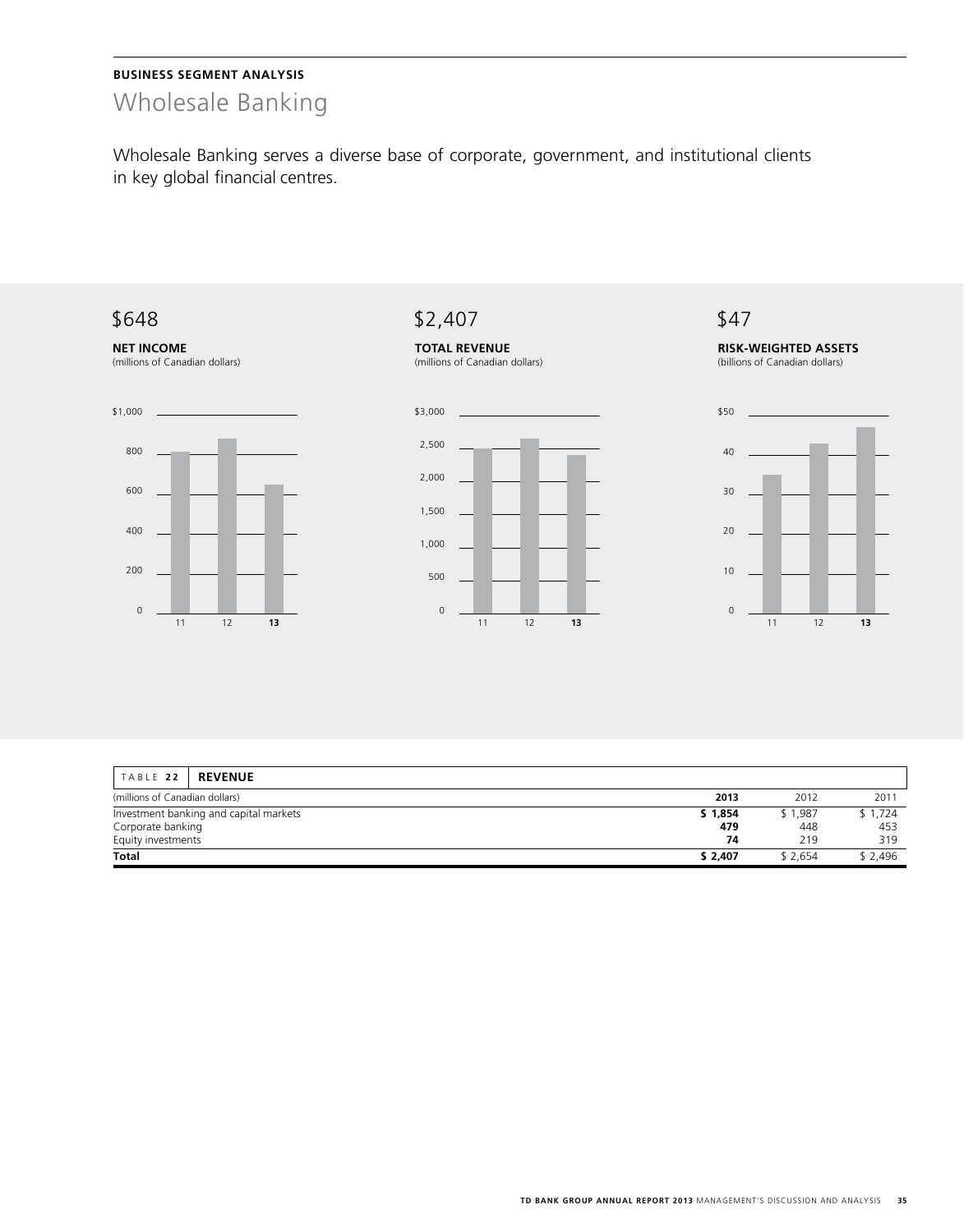## **BUSINESS SEGMENT ANALYSIS**

# Wholesale Banking

Wholesale Banking serves a diverse base of corporate, government, and institutional clients in key global financial centres.



| TABLE 22                       | <b>REVENUE</b>                         |          |         |         |
|--------------------------------|----------------------------------------|----------|---------|---------|
| (millions of Canadian dollars) | 2012                                   | 2011     |         |         |
|                                | Investment banking and capital markets | \$1,854  | \$1,987 | \$1.724 |
| Corporate banking              |                                        | 479      | 448     | 453     |
| Equity investments             |                                        | 74       | 219     | 319     |
| <b>Total</b>                   |                                        | \$ 2,407 | \$2,654 | \$2.496 |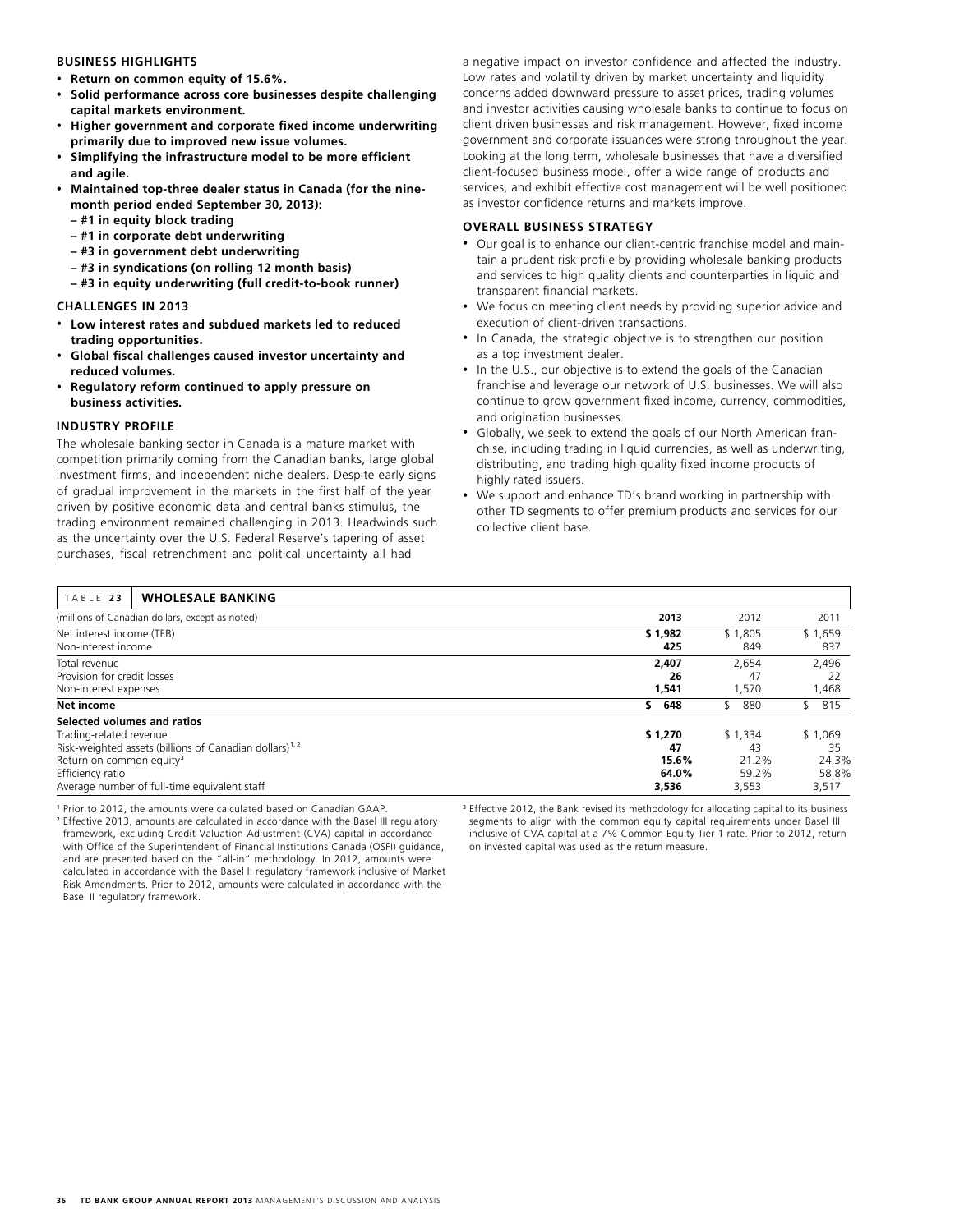#### **BUSINESS HIGHLIGHTS**

- **Return on common equity of 15.6%.**
- **Solid performance across core businesses despite challenging capital markets environment.**
- **Higher government and corporate fixed income underwriting primarily due to improved new issue volumes.**
- **Simplifying the infrastructure model to be more efficient and agile.**
- **Maintained top-three dealer status in Canada (for the ninemonth period ended September 30, 2013):**
	- **#1 in equity block trading**
	- **#1 in corporate debt underwriting – #3 in government debt underwriting**
	- **#3 in syndications (on rolling 12 month basis)**
	- **#3 in equity underwriting (full credit-to-book runner)**

#### **CHALLENGES IN 2013**

- **Low interest rates and subdued markets led to reduced trading opportunities.**
- **Global fiscal challenges caused investor uncertainty and reduced volumes.**
- **Regulatory reform continued to apply pressure on business activities.**

#### **INDUSTRY PROFILE**

The wholesale banking sector in Canada is a mature market with competition primarily coming from the Canadian banks, large global investment firms, and independent niche dealers. Despite early signs of gradual improvement in the markets in the first half of the year driven by positive economic data and central banks stimulus, the trading environment remained challenging in 2013. Headwinds such as the uncertainty over the U.S. Federal Reserve's tapering of asset purchases, fiscal retrenchment and political uncertainty all had

a negative impact on investor confidence and affected the industry. Low rates and volatility driven by market uncertainty and liquidity concerns added downward pressure to asset prices, trading volumes and investor activities causing wholesale banks to continue to focus on client driven businesses and risk management. However, fixed income government and corporate issuances were strong throughout the year. Looking at the long term, wholesale businesses that have a diversified client-focused business model, offer a wide range of products and services, and exhibit effective cost management will be well positioned as investor confidence returns and markets improve.

#### **OVERALL BUSINESS STRATEGY**

- Our goal is to enhance our client-centric franchise model and maintain a prudent risk profile by providing wholesale banking products and services to high quality clients and counterparties in liquid and transparent financial markets.
- We focus on meeting client needs by providing superior advice and execution of client-driven transactions.
- In Canada, the strategic objective is to strengthen our position as a top investment dealer.
- In the U.S., our objective is to extend the goals of the Canadian franchise and leverage our network of U.S. businesses. We will also continue to grow government fixed income, currency, commodities, and origination businesses.
- Globally, we seek to extend the goals of our North American franchise, including trading in liquid currencies, as well as underwriting, distributing, and trading high quality fixed income products of highly rated issuers.
- We support and enhance TD's brand working in partnership with other TD segments to offer premium products and services for our collective client base.

| TABLE 23                             | <b>WHOLESALE BANKING</b>                                           |         |           |         |
|--------------------------------------|--------------------------------------------------------------------|---------|-----------|---------|
|                                      | (millions of Canadian dollars, except as noted)                    | 2013    | 2012      | 2011    |
| Net interest income (TEB)            |                                                                    | \$1,982 | \$1,805   | \$1,659 |
| Non-interest income                  |                                                                    | 425     | 849       | 837     |
| Total revenue                        |                                                                    | 2,407   | 2,654     | 2,496   |
| Provision for credit losses          |                                                                    | 26      | 47        | 22      |
| Non-interest expenses                |                                                                    | 1,541   | 1,570     | 1,468   |
| <b>Net income</b>                    |                                                                    | 648     | 880<br>٢. | \$815   |
| Selected volumes and ratios          |                                                                    |         |           |         |
| Trading-related revenue              |                                                                    | \$1,270 | \$1,334   | \$1,069 |
|                                      | Risk-weighted assets (billions of Canadian dollars) <sup>1,2</sup> | 47      | 43        | 35      |
| Return on common equity <sup>3</sup> |                                                                    | 15.6%   | 21.2%     | 24.3%   |
| Efficiency ratio                     |                                                                    | 64.0%   | 59.2%     | 58.8%   |
|                                      | Average number of full-time equivalent staff                       | 3,536   | 3,553     | 3,517   |

<sup>1</sup> Prior to 2012, the amounts were calculated based on Canadian GAAP.

<sup>2</sup> Effective 2013, amounts are calculated in accordance with the Basel III regulatory framework, excluding Credit Valuation Adjustment (CVA) capital in accordance with Office of the Superintendent of Financial Institutions Canada (OSFI) guidance, and are presented based on the "all-in" methodology. In 2012, amounts were calculated in accordance with the Basel II regulatory framework inclusive of Market Risk Amendments. Prior to 2012, amounts were calculated in accordance with the Basel II regulatory framework.

<sup>3</sup> Effective 2012, the Bank revised its methodology for allocating capital to its business segments to align with the common equity capital requirements under Basel III inclusive of CVA capital at a 7% Common Equity Tier 1 rate. Prior to 2012, return on invested capital was used as the return measure.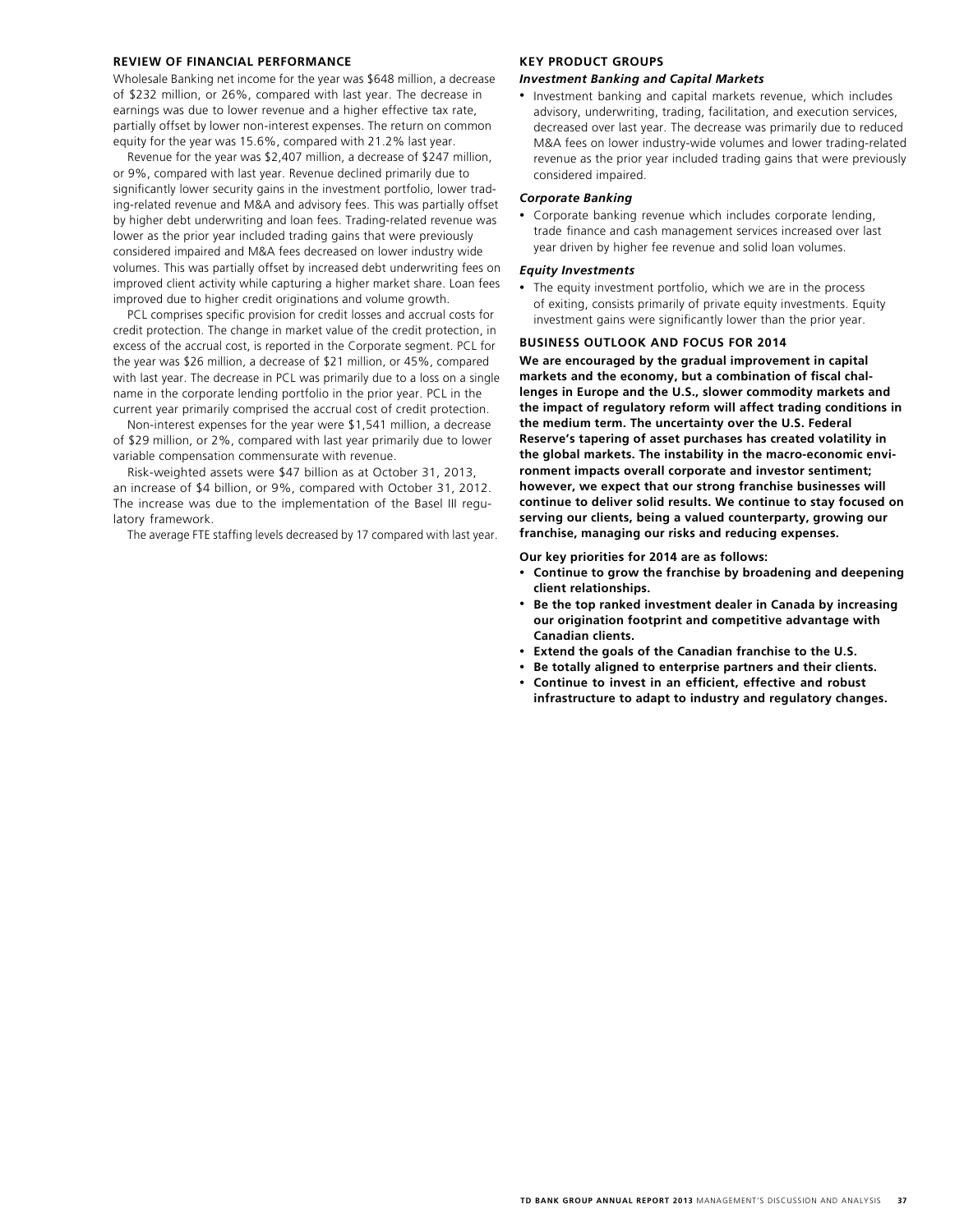#### **REVIEW OF FINANCIAL PERFORMANCE**

Wholesale Banking net income for the year was \$648 million, a decrease of \$232 million, or 26%, compared with last year. The decrease in earnings was due to lower revenue and a higher effective tax rate, partially offset by lower non-interest expenses. The return on common equity for the year was 15.6%, compared with 21.2% last year.

Revenue for the year was \$2,407 million, a decrease of \$247 million, or 9%, compared with last year. Revenue declined primarily due to significantly lower security gains in the investment portfolio, lower trading-related revenue and M&A and advisory fees. This was partially offset by higher debt underwriting and loan fees. Trading-related revenue was lower as the prior year included trading gains that were previously considered impaired and M&A fees decreased on lower industry wide volumes. This was partially offset by increased debt underwriting fees on improved client activity while capturing a higher market share. Loan fees improved due to higher credit originations and volume growth.

PCL comprises specific provision for credit losses and accrual costs for credit protection. The change in market value of the credit protection, in excess of the accrual cost, is reported in the Corporate segment. PCL for the year was \$26 million, a decrease of \$21 million, or 45%, compared with last year. The decrease in PCL was primarily due to a loss on a single name in the corporate lending portfolio in the prior year. PCL in the current year primarily comprised the accrual cost of credit protection.

Non-interest expenses for the year were \$1,541 million, a decrease of \$29 million, or 2%, compared with last year primarily due to lower variable compensation commensurate with revenue.

Risk-weighted assets were \$47 billion as at October 31, 2013, an increase of \$4 billion, or 9%, compared with October 31, 2012. The increase was due to the implementation of the Basel III regulatory framework.

The average FTE staffing levels decreased by 17 compared with last year.

#### **KEY PRODUCT GROUPS**

#### *Investment Banking and Capital Markets*

• Investment banking and capital markets revenue, which includes advisory, underwriting, trading, facilitation, and execution services, decreased over last year. The decrease was primarily due to reduced M&A fees on lower industry-wide volumes and lower trading-related revenue as the prior year included trading gains that were previously considered impaired.

#### *Corporate Banking*

• Corporate banking revenue which includes corporate lending, trade finance and cash management services increased over last year driven by higher fee revenue and solid loan volumes.

#### *Equity Investments*

• The equity investment portfolio, which we are in the process of exiting, consists primarily of private equity investments. Equity investment gains were significantly lower than the prior year.

#### **BUSINESS OUTLOOK AND FOCUS FOR 2014**

**We are encouraged by the gradual improvement in capital markets and the economy, but a combination of fiscal challenges in Europe and the U.S., slower commodity markets and the impact of regulatory reform will affect trading conditions in the medium term. The uncertainty over the U.S. Federal Reserve's tapering of asset purchases has created volatility in the global markets. The instability in the macro-economic environment impacts overall corporate and investor sentiment; however, we expect that our strong franchise businesses will continue to deliver solid results. We continue to stay focused on serving our clients, being a valued counterparty, growing our franchise, managing our risks and reducing expenses.**

**Our key priorities for 2014 are as follows:**

- **Continue to grow the franchise by broadening and deepening client relationships.**
- **Be the top ranked investment dealer in Canada by increasing our origination footprint and competitive advantage with Canadian clients.**
- **Extend the goals of the Canadian franchise to the U.S.**
- **Be totally aligned to enterprise partners and their clients.**
- **Continue to invest in an efficient, effective and robust infrastructure to adapt to industry and regulatory changes.**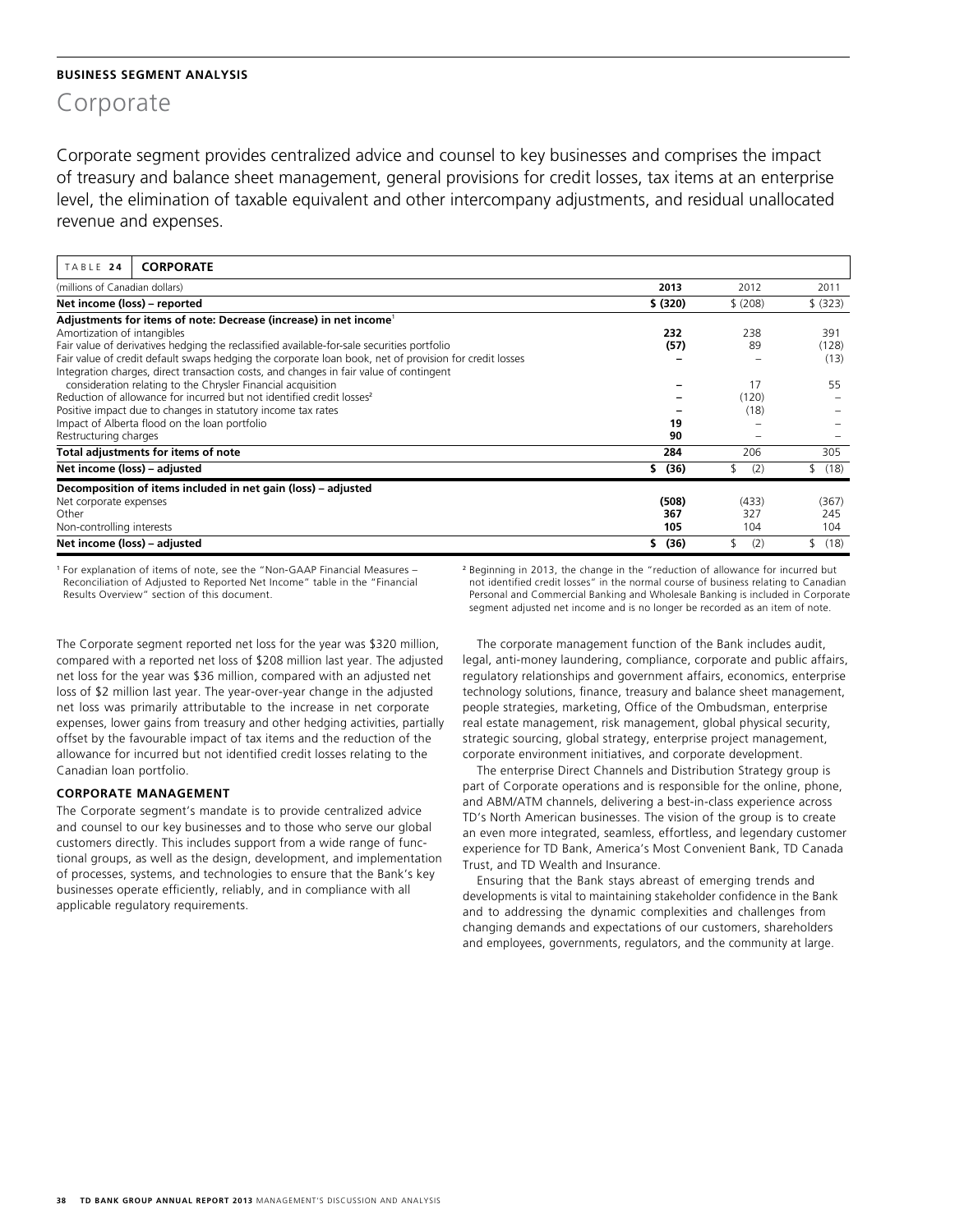### **BUSINESS SEGMENT ANALYSIS**

Corporate

Corporate segment provides centralized advice and counsel to key businesses and comprises the impact of treasury and balance sheet management, general provisions for credit losses, tax items at an enterprise level, the elimination of taxable equivalent and other intercompany adjustments, and residual unallocated revenue and expenses.

| <b>CORPORATE</b><br>TABLE 24                                                                           |             |          |             |
|--------------------------------------------------------------------------------------------------------|-------------|----------|-------------|
| (millions of Canadian dollars)                                                                         | 2013        | 2012     | 2011        |
| Net income (loss) – reported                                                                           | \$ (320)    | \$ (208) | \$ (323)    |
| Adjustments for items of note: Decrease (increase) in net income <sup>1</sup>                          |             |          |             |
| Amortization of intangibles                                                                            | 232         | 238      | 391         |
| Fair value of derivatives hedging the reclassified available-for-sale securities portfolio             | (57)        | 89       | (128)       |
| Fair value of credit default swaps hedging the corporate loan book, net of provision for credit losses |             |          | (13)        |
| Integration charges, direct transaction costs, and changes in fair value of contingent                 |             |          |             |
| consideration relating to the Chrysler Financial acquisition                                           |             | 17       | 55          |
| Reduction of allowance for incurred but not identified credit losses <sup>2</sup>                      |             | (120)    |             |
| Positive impact due to changes in statutory income tax rates                                           |             | (18)     |             |
| Impact of Alberta flood on the loan portfolio                                                          | 19          |          |             |
| Restructuring charges                                                                                  | 90          |          |             |
| Total adjustments for items of note                                                                    | 284         | 206      | 305         |
| Net income (loss) – adjusted                                                                           | \$.<br>(36) | (2)      | (18)<br>٢.  |
| Decomposition of items included in net gain (loss) – adjusted                                          |             |          |             |
| Net corporate expenses                                                                                 | (508)       | (433)    | (367)       |
| Other                                                                                                  | 367         | 327      | 245         |
| Non-controlling interests                                                                              | 105         | 104      | 104         |
| Net income (loss) - adjusted                                                                           | \$.<br>(36) | (2)      | \$.<br>(18) |

<sup>1</sup> For explanation of items of note, see the "Non-GAAP Financial Measures – Reconciliation of Adjusted to Reported Net Income" table in the "Financial Results Overview" section of this document.

<sup>2</sup> Beginning in 2013, the change in the "reduction of allowance for incurred but not identified credit losses" in the normal course of business relating to Canadian Personal and Commercial Banking and Wholesale Banking is included in Corporate segment adjusted net income and is no longer be recorded as an item of note.

The Corporate segment reported net loss for the year was \$320 million, compared with a reported net loss of \$208 million last year. The adjusted net loss for the year was \$36 million, compared with an adjusted net loss of \$2 million last year. The year-over-year change in the adjusted net loss was primarily attributable to the increase in net corporate expenses, lower gains from treasury and other hedging activities, partially offset by the favourable impact of tax items and the reduction of the allowance for incurred but not identified credit losses relating to the Canadian loan portfolio.

#### **CORPORATE MANAGEMENT**

The Corporate segment's mandate is to provide centralized advice and counsel to our key businesses and to those who serve our global customers directly. This includes support from a wide range of functional groups, as well as the design, development, and implementation of processes, systems, and technologies to ensure that the Bank's key businesses operate efficiently, reliably, and in compliance with all applicable regulatory requirements.

The corporate management function of the Bank includes audit, legal, anti-money laundering, compliance, corporate and public affairs, regulatory relationships and government affairs, economics, enterprise technology solutions, finance, treasury and balance sheet management, people strategies, marketing, Office of the Ombudsman, enterprise real estate management, risk management, global physical security, strategic sourcing, global strategy, enterprise project management, corporate environment initiatives, and corporate development.

The enterprise Direct Channels and Distribution Strategy group is part of Corporate operations and is responsible for the online, phone, and ABM/ATM channels, delivering a best-in-class experience across TD's North American businesses. The vision of the group is to create an even more integrated, seamless, effortless, and legendary customer experience for TD Bank, America's Most Convenient Bank, TD Canada Trust, and TD Wealth and Insurance.

Ensuring that the Bank stays abreast of emerging trends and developments is vital to maintaining stakeholder confidence in the Bank and to addressing the dynamic complexities and challenges from changing demands and expectations of our customers, shareholders and employees, governments, regulators, and the community at large.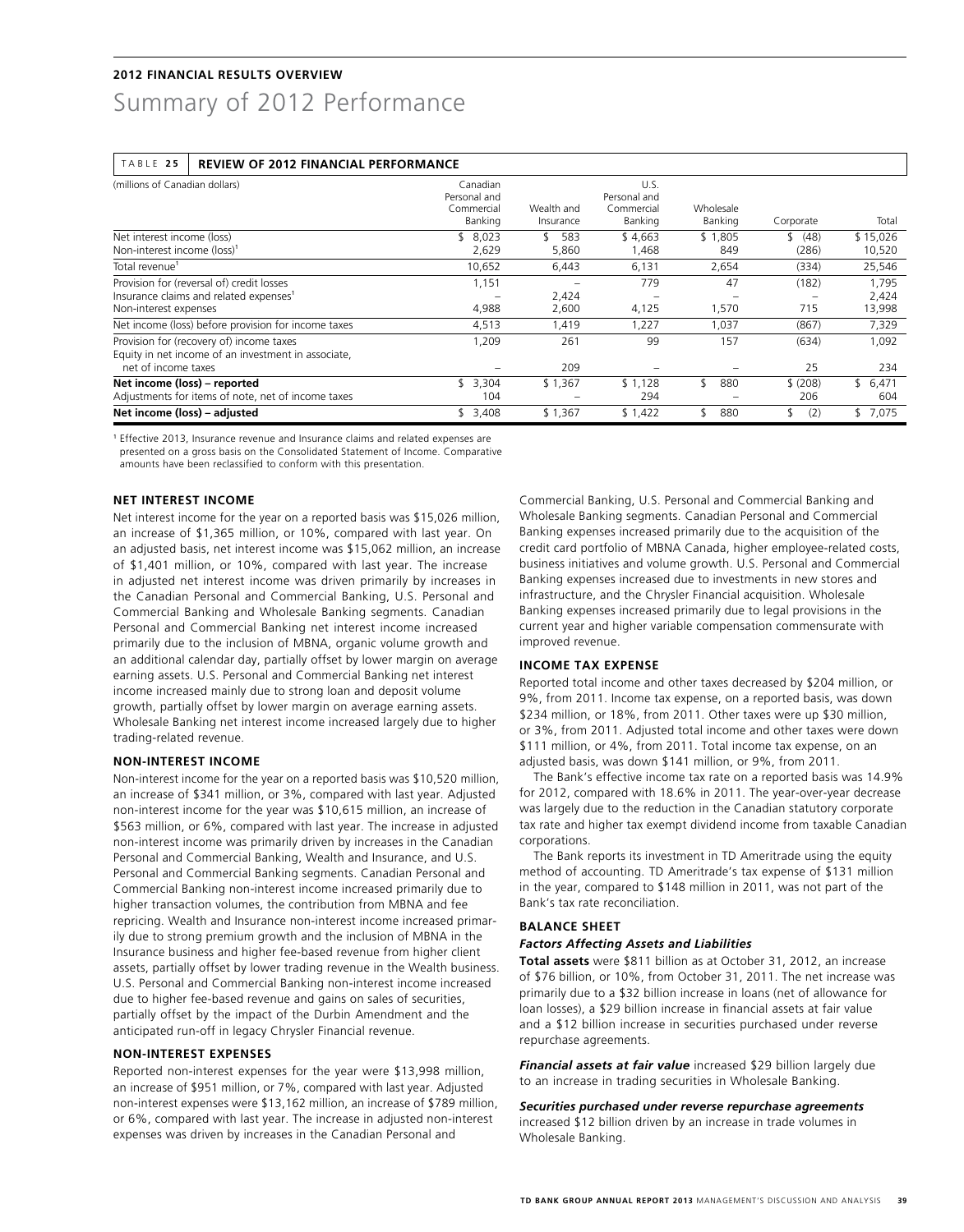#### **2012 FINANCIAL RESULTS OVERVIEW**

## Summary of 2012 Performance

## TABLE **2 5 REVIEW OF 2012 FINANCIAL PERFORMANCE**

| (millions of Canadian dollars)                                                                                           | Canadian<br>Personal and<br>Commercial<br>Banking | Wealth and<br>Insurance | U.S.<br>Personal and<br>Commercial<br>Banking | Wholesale<br>Banking | Corporate      | Total                    |
|--------------------------------------------------------------------------------------------------------------------------|---------------------------------------------------|-------------------------|-----------------------------------------------|----------------------|----------------|--------------------------|
| Net interest income (loss)<br>Non-interest income (loss) <sup>1</sup>                                                    | \$8,023                                           | 583<br>\$               | \$4,663                                       | \$1,805<br>849       | (48)           | \$15,026                 |
|                                                                                                                          | 2,629                                             | 5,860                   | 1,468                                         |                      | (286)          | 10,520                   |
| Total revenue <sup>1</sup>                                                                                               | 10,652                                            | 6,443                   | 6,131                                         | 2,654                | (334)          | 25,546                   |
| Provision for (reversal of) credit losses<br>Insurance claims and related expenses <sup>1</sup><br>Non-interest expenses | 1,151<br>4,988                                    | 2,424<br>2,600          | 779<br>4,125                                  | 47<br>1,570          | (182)<br>715   | 1,795<br>2,424<br>13,998 |
| Net income (loss) before provision for income taxes                                                                      | 4,513                                             | 1,419                   | 1,227                                         | 1,037                | (867)          | 7,329                    |
| Provision for (recovery of) income taxes<br>Equity in net income of an investment in associate,<br>net of income taxes   | 1,209                                             | 261<br>209              | 99<br>-                                       | 157<br>-             | (634)<br>25    | 1,092<br>234             |
| Net income (loss) - reported<br>Adjustments for items of note, net of income taxes                                       | 3,304<br>104                                      | \$1,367                 | \$1,128<br>294                                | 880                  | \$(208)<br>206 | 6,471<br>\$<br>604       |
| Net income (loss) - adjusted                                                                                             | 3,408<br>S.                                       | \$1,367                 | \$1,422                                       | 880                  | (2)            | 7,075                    |

<sup>1</sup> Effective 2013, Insurance revenue and Insurance claims and related expenses are presented on a gross basis on the Consolidated Statement of Income. Comparative

amounts have been reclassified to conform with this presentation.

#### **NET INTEREST INCOME**

Net interest income for the year on a reported basis was \$15,026 million, an increase of \$1,365 million, or 10%, compared with last year. On an adjusted basis, net interest income was \$15,062 million, an increase of \$1,401 million, or 10%, compared with last year. The increase in adjusted net interest income was driven primarily by increases in the Canadian Personal and Commercial Banking, U.S. Personal and Commercial Banking and Wholesale Banking segments. Canadian Personal and Commercial Banking net interest income increased primarily due to the inclusion of MBNA, organic volume growth and an additional calendar day, partially offset by lower margin on average earning assets. U.S. Personal and Commercial Banking net interest income increased mainly due to strong loan and deposit volume growth, partially offset by lower margin on average earning assets. Wholesale Banking net interest income increased largely due to higher trading-related revenue.

#### **NON-INTEREST INCOME**

Non-interest income for the year on a reported basis was \$10,520 million, an increase of \$341 million, or 3%, compared with last year. Adjusted non-interest income for the year was \$10,615 million, an increase of \$563 million, or 6%, compared with last year. The increase in adjusted non-interest income was primarily driven by increases in the Canadian Personal and Commercial Banking, Wealth and Insurance, and U.S. Personal and Commercial Banking segments. Canadian Personal and Commercial Banking non-interest income increased primarily due to higher transaction volumes, the contribution from MBNA and fee repricing. Wealth and Insurance non-interest income increased primarily due to strong premium growth and the inclusion of MBNA in the Insurance business and higher fee-based revenue from higher client assets, partially offset by lower trading revenue in the Wealth business. U.S. Personal and Commercial Banking non-interest income increased due to higher fee-based revenue and gains on sales of securities, partially offset by the impact of the Durbin Amendment and the anticipated run-off in legacy Chrysler Financial revenue.

#### **NON-INTEREST EXPENSES**

Reported non-interest expenses for the year were \$13,998 million, an increase of \$951 million, or 7%, compared with last year. Adjusted non-interest expenses were \$13,162 million, an increase of \$789 million, or 6%, compared with last year. The increase in adjusted non-interest expenses was driven by increases in the Canadian Personal and

Commercial Banking, U.S. Personal and Commercial Banking and Wholesale Banking segments. Canadian Personal and Commercial Banking expenses increased primarily due to the acquisition of the credit card portfolio of MBNA Canada, higher employee-related costs, business initiatives and volume growth. U.S. Personal and Commercial Banking expenses increased due to investments in new stores and infrastructure, and the Chrysler Financial acquisition. Wholesale Banking expenses increased primarily due to legal provisions in the current year and higher variable compensation commensurate with improved revenue.

#### **INCOME TAX EXPENSE**

Reported total income and other taxes decreased by \$204 million, or 9%, from 2011. Income tax expense, on a reported basis, was down \$234 million, or 18%, from 2011. Other taxes were up \$30 million, or 3%, from 2011. Adjusted total income and other taxes were down \$111 million, or 4%, from 2011. Total income tax expense, on an adjusted basis, was down \$141 million, or 9%, from 2011.

The Bank's effective income tax rate on a reported basis was 14.9% for 2012, compared with 18.6% in 2011. The year-over-year decrease was largely due to the reduction in the Canadian statutory corporate tax rate and higher tax exempt dividend income from taxable Canadian corporations.

The Bank reports its investment in TD Ameritrade using the equity method of accounting. TD Ameritrade's tax expense of \$131 million in the year, compared to \$148 million in 2011, was not part of the Bank's tax rate reconciliation.

#### **BALANCE SHEET**

#### *Factors Affecting Assets and Liabilities*

**Total assets** were \$811 billion as at October 31, 2012, an increase of \$76 billion, or 10%, from October 31, 2011. The net increase was primarily due to a \$32 billion increase in loans (net of allowance for loan losses), a \$29 billion increase in financial assets at fair value and a \$12 billion increase in securities purchased under reverse repurchase agreements.

*Financial assets at fair value* increased \$29 billion largely due to an increase in trading securities in Wholesale Banking.

*Securities purchased under reverse repurchase agreements*  increased \$12 billion driven by an increase in trade volumes in Wholesale Banking.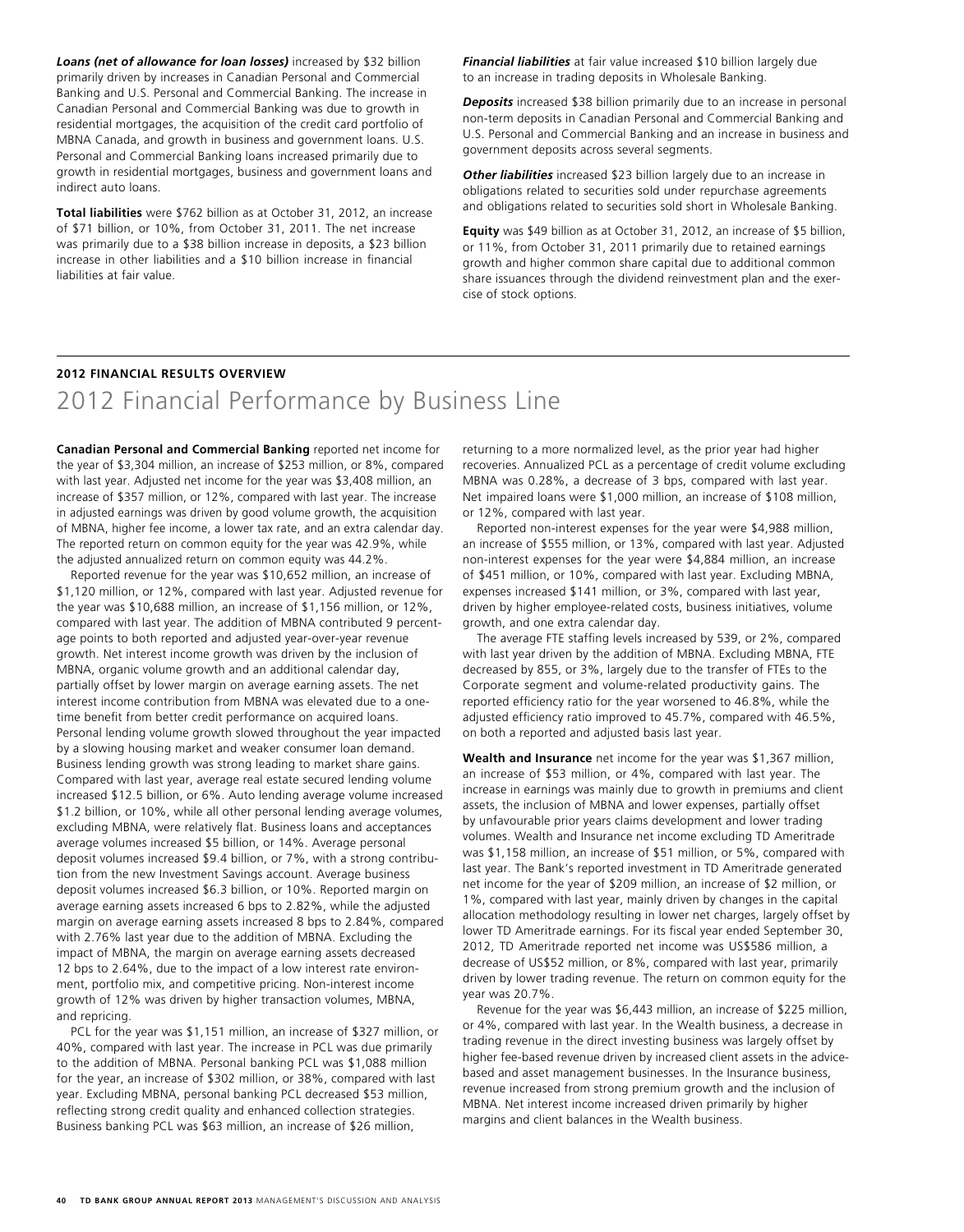*Loans (net of allowance for loan losses)* increased by \$32 billion primarily driven by increases in Canadian Personal and Commercial Banking and U.S. Personal and Commercial Banking. The increase in Canadian Personal and Commercial Banking was due to growth in residential mortgages, the acquisition of the credit card portfolio of MBNA Canada, and growth in business and government loans. U.S. Personal and Commercial Banking loans increased primarily due to growth in residential mortgages, business and government loans and indirect auto loans.

**Total liabilities** were \$762 billion as at October 31, 2012, an increase of \$71 billion, or 10%, from October 31, 2011. The net increase was primarily due to a \$38 billion increase in deposits, a \$23 billion increase in other liabilities and a \$10 billion increase in financial liabilities at fair value.

*Financial liabilities* at fair value increased \$10 billion largely due to an increase in trading deposits in Wholesale Banking.

*Deposits* increased \$38 billion primarily due to an increase in personal non-term deposits in Canadian Personal and Commercial Banking and U.S. Personal and Commercial Banking and an increase in business and government deposits across several segments.

*Other liabilities* increased \$23 billion largely due to an increase in obligations related to securities sold under repurchase agreements and obligations related to securities sold short in Wholesale Banking.

**Equity** was \$49 billion as at October 31, 2012, an increase of \$5 billion, or 11%, from October 31, 2011 primarily due to retained earnings growth and higher common share capital due to additional common share issuances through the dividend reinvestment plan and the exercise of stock options.

## **2012 FINANCIAL RESULTS OVERVIEW** 2012 Financial Performance by Business Line

**Canadian Personal and Commercial Banking** reported net income for the year of \$3,304 million, an increase of \$253 million, or 8%, compared with last year. Adjusted net income for the year was \$3,408 million, an increase of \$357 million, or 12%, compared with last year. The increase in adjusted earnings was driven by good volume growth, the acquisition of MBNA, higher fee income, a lower tax rate, and an extra calendar day. The reported return on common equity for the year was 42.9%, while the adjusted annualized return on common equity was 44.2%.

Reported revenue for the year was \$10,652 million, an increase of \$1,120 million, or 12%, compared with last year. Adjusted revenue for the year was \$10,688 million, an increase of \$1,156 million, or 12%, compared with last year. The addition of MBNA contributed 9 percentage points to both reported and adjusted year-over-year revenue growth. Net interest income growth was driven by the inclusion of MBNA, organic volume growth and an additional calendar day, partially offset by lower margin on average earning assets. The net interest income contribution from MBNA was elevated due to a onetime benefit from better credit performance on acquired loans. Personal lending volume growth slowed throughout the year impacted by a slowing housing market and weaker consumer loan demand. Business lending growth was strong leading to market share gains. Compared with last year, average real estate secured lending volume increased \$12.5 billion, or 6%. Auto lending average volume increased \$1.2 billion, or 10%, while all other personal lending average volumes, excluding MBNA, were relatively flat. Business loans and acceptances average volumes increased \$5 billion, or 14%. Average personal deposit volumes increased \$9.4 billion, or 7%, with a strong contribution from the new Investment Savings account. Average business deposit volumes increased \$6.3 billion, or 10%. Reported margin on average earning assets increased 6 bps to 2.82%, while the adjusted margin on average earning assets increased 8 bps to 2.84%, compared with 2.76% last year due to the addition of MBNA. Excluding the impact of MBNA, the margin on average earning assets decreased 12 bps to 2.64%, due to the impact of a low interest rate environment, portfolio mix, and competitive pricing. Non-interest income growth of 12% was driven by higher transaction volumes, MBNA, and repricing.

PCL for the year was \$1,151 million, an increase of \$327 million, or 40%, compared with last year. The increase in PCL was due primarily to the addition of MBNA. Personal banking PCL was \$1,088 million for the year, an increase of \$302 million, or 38%, compared with last year. Excluding MBNA, personal banking PCL decreased \$53 million, reflecting strong credit quality and enhanced collection strategies. Business banking PCL was \$63 million, an increase of \$26 million,

returning to a more normalized level, as the prior year had higher recoveries. Annualized PCL as a percentage of credit volume excluding MBNA was 0.28%, a decrease of 3 bps, compared with last year. Net impaired loans were \$1,000 million, an increase of \$108 million, or 12%, compared with last year.

Reported non-interest expenses for the year were \$4,988 million, an increase of \$555 million, or 13%, compared with last year. Adjusted non-interest expenses for the year were \$4,884 million, an increase of \$451 million, or 10%, compared with last year. Excluding MBNA, expenses increased \$141 million, or 3%, compared with last year, driven by higher employee-related costs, business initiatives, volume growth, and one extra calendar day.

The average FTE staffing levels increased by 539, or 2%, compared with last year driven by the addition of MBNA. Excluding MBNA, FTE decreased by 855, or 3%, largely due to the transfer of FTEs to the Corporate segment and volume-related productivity gains. The reported efficiency ratio for the year worsened to 46.8%, while the adjusted efficiency ratio improved to 45.7%, compared with 46.5%, on both a reported and adjusted basis last year.

**Wealth and Insurance** net income for the year was \$1,367 million, an increase of \$53 million, or 4%, compared with last year. The increase in earnings was mainly due to growth in premiums and client assets, the inclusion of MBNA and lower expenses, partially offset by unfavourable prior years claims development and lower trading volumes. Wealth and Insurance net income excluding TD Ameritrade was \$1,158 million, an increase of \$51 million, or 5%, compared with last year. The Bank's reported investment in TD Ameritrade generated net income for the year of \$209 million, an increase of \$2 million, or 1%, compared with last year, mainly driven by changes in the capital allocation methodology resulting in lower net charges, largely offset by lower TD Ameritrade earnings. For its fiscal year ended September 30, 2012, TD Ameritrade reported net income was US\$586 million, a decrease of US\$52 million, or 8%, compared with last year, primarily driven by lower trading revenue. The return on common equity for the year was 20.7%.

Revenue for the year was \$6,443 million, an increase of \$225 million, or 4%, compared with last year. In the Wealth business, a decrease in trading revenue in the direct investing business was largely offset by higher fee-based revenue driven by increased client assets in the advicebased and asset management businesses. In the Insurance business, revenue increased from strong premium growth and the inclusion of MBNA. Net interest income increased driven primarily by higher margins and client balances in the Wealth business.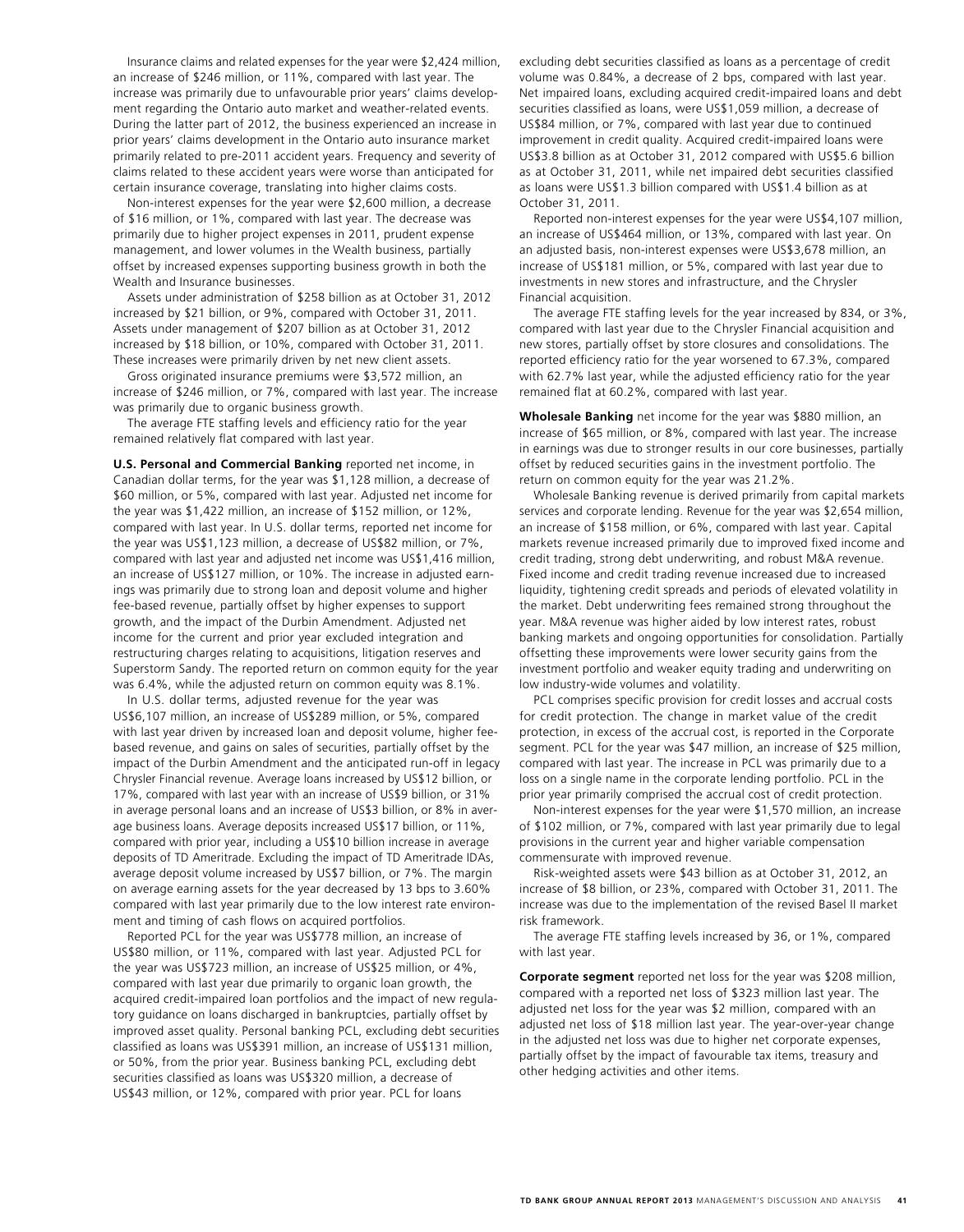Insurance claims and related expenses for the year were \$2,424 million, an increase of \$246 million, or 11%, compared with last year. The increase was primarily due to unfavourable prior years' claims development regarding the Ontario auto market and weather-related events. During the latter part of 2012, the business experienced an increase in prior years' claims development in the Ontario auto insurance market primarily related to pre-2011 accident years. Frequency and severity of claims related to these accident years were worse than anticipated for certain insurance coverage, translating into higher claims costs.

Non-interest expenses for the year were \$2,600 million, a decrease of \$16 million, or 1%, compared with last year. The decrease was primarily due to higher project expenses in 2011, prudent expense management, and lower volumes in the Wealth business, partially offset by increased expenses supporting business growth in both the Wealth and Insurance businesses.

Assets under administration of \$258 billion as at October 31, 2012 increased by \$21 billion, or 9%, compared with October 31, 2011. Assets under management of \$207 billion as at October 31, 2012 increased by \$18 billion, or 10%, compared with October 31, 2011. These increases were primarily driven by net new client assets.

Gross originated insurance premiums were \$3,572 million, an increase of \$246 million, or 7%, compared with last year. The increase was primarily due to organic business growth.

The average FTE staffing levels and efficiency ratio for the year remained relatively flat compared with last year.

**U.S. Personal and Commercial Banking** reported net income, in Canadian dollar terms, for the year was \$1,128 million, a decrease of \$60 million, or 5%, compared with last year. Adjusted net income for the year was \$1,422 million, an increase of \$152 million, or 12%, compared with last year. In U.S. dollar terms, reported net income for the year was US\$1,123 million, a decrease of US\$82 million, or 7%, compared with last year and adjusted net income was US\$1,416 million, an increase of US\$127 million, or 10%. The increase in adjusted earnings was primarily due to strong loan and deposit volume and higher fee-based revenue, partially offset by higher expenses to support growth, and the impact of the Durbin Amendment. Adjusted net income for the current and prior year excluded integration and restructuring charges relating to acquisitions, litigation reserves and Superstorm Sandy. The reported return on common equity for the year was 6.4%, while the adjusted return on common equity was 8.1%.

In U.S. dollar terms, adjusted revenue for the year was US\$6,107 million, an increase of US\$289 million, or 5%, compared with last year driven by increased loan and deposit volume, higher feebased revenue, and gains on sales of securities, partially offset by the impact of the Durbin Amendment and the anticipated run-off in legacy Chrysler Financial revenue. Average loans increased by US\$12 billion, or 17%, compared with last year with an increase of US\$9 billion, or 31% in average personal loans and an increase of US\$3 billion, or 8% in average business loans. Average deposits increased US\$17 billion, or 11%, compared with prior year, including a US\$10 billion increase in average deposits of TD Ameritrade. Excluding the impact of TD Ameritrade IDAs, average deposit volume increased by US\$7 billion, or 7%. The margin on average earning assets for the year decreased by 13 bps to 3.60% compared with last year primarily due to the low interest rate environment and timing of cash flows on acquired portfolios.

Reported PCL for the year was US\$778 million, an increase of US\$80 million, or 11%, compared with last year. Adjusted PCL for the year was US\$723 million, an increase of US\$25 million, or 4%, compared with last year due primarily to organic loan growth, the acquired credit-impaired loan portfolios and the impact of new regulatory guidance on loans discharged in bankruptcies, partially offset by improved asset quality. Personal banking PCL, excluding debt securities classified as loans was US\$391 million, an increase of US\$131 million, or 50%, from the prior year. Business banking PCL, excluding debt securities classified as loans was US\$320 million, a decrease of US\$43 million, or 12%, compared with prior year. PCL for loans

excluding debt securities classified as loans as a percentage of credit volume was 0.84%, a decrease of 2 bps, compared with last year. Net impaired loans, excluding acquired credit-impaired loans and debt securities classified as loans, were US\$1,059 million, a decrease of US\$84 million, or 7%, compared with last year due to continued improvement in credit quality. Acquired credit-impaired loans were US\$3.8 billion as at October 31, 2012 compared with US\$5.6 billion as at October 31, 2011, while net impaired debt securities classified as loans were US\$1.3 billion compared with US\$1.4 billion as at October 31, 2011.

Reported non-interest expenses for the year were US\$4,107 million, an increase of US\$464 million, or 13%, compared with last year. On an adjusted basis, non-interest expenses were US\$3,678 million, an increase of US\$181 million, or 5%, compared with last year due to investments in new stores and infrastructure, and the Chrysler Financial acquisition.

The average FTE staffing levels for the year increased by 834, or 3%, compared with last year due to the Chrysler Financial acquisition and new stores, partially offset by store closures and consolidations. The reported efficiency ratio for the year worsened to 67.3%, compared with 62.7% last year, while the adjusted efficiency ratio for the year remained flat at 60.2%, compared with last year.

**Wholesale Banking** net income for the year was \$880 million, an increase of \$65 million, or 8%, compared with last year. The increase in earnings was due to stronger results in our core businesses, partially offset by reduced securities gains in the investment portfolio. The return on common equity for the year was 21.2%.

Wholesale Banking revenue is derived primarily from capital markets services and corporate lending. Revenue for the year was \$2,654 million, an increase of \$158 million, or 6%, compared with last year. Capital markets revenue increased primarily due to improved fixed income and credit trading, strong debt underwriting, and robust M&A revenue. Fixed income and credit trading revenue increased due to increased liquidity, tightening credit spreads and periods of elevated volatility in the market. Debt underwriting fees remained strong throughout the year. M&A revenue was higher aided by low interest rates, robust banking markets and ongoing opportunities for consolidation. Partially offsetting these improvements were lower security gains from the investment portfolio and weaker equity trading and underwriting on low industry-wide volumes and volatility.

PCL comprises specific provision for credit losses and accrual costs for credit protection. The change in market value of the credit protection, in excess of the accrual cost, is reported in the Corporate segment. PCL for the year was \$47 million, an increase of \$25 million, compared with last year. The increase in PCL was primarily due to a loss on a single name in the corporate lending portfolio. PCL in the prior year primarily comprised the accrual cost of credit protection.

Non-interest expenses for the year were \$1,570 million, an increase of \$102 million, or 7%, compared with last year primarily due to legal provisions in the current year and higher variable compensation commensurate with improved revenue.

Risk-weighted assets were \$43 billion as at October 31, 2012, an increase of \$8 billion, or 23%, compared with October 31, 2011. The increase was due to the implementation of the revised Basel II market risk framework.

The average FTE staffing levels increased by 36, or 1%, compared with last year.

**Corporate segment** reported net loss for the year was \$208 million, compared with a reported net loss of \$323 million last year. The adjusted net loss for the year was \$2 million, compared with an adjusted net loss of \$18 million last year. The year-over-year change in the adjusted net loss was due to higher net corporate expenses, partially offset by the impact of favourable tax items, treasury and other hedging activities and other items.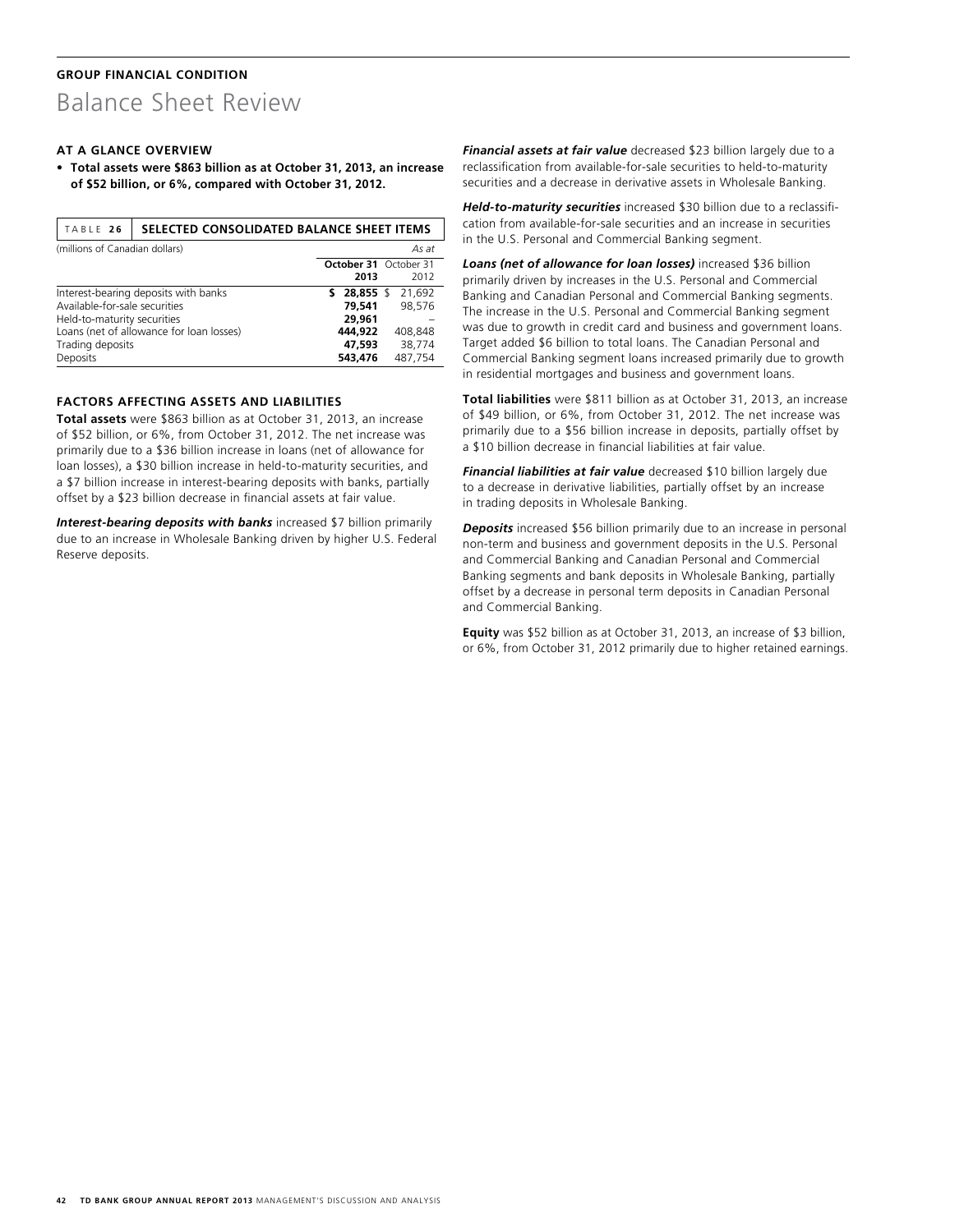# Balance Sheet Review

#### **AT A GLANCE OVERVIEW**

**• Total assets were \$863 billion as at October 31, 2013, an increase of \$52 billion, or 6%, compared with October 31, 2012.**

| TABLE 26                                 | SELECTED CONSOLIDATED BALANCE SHEET ITEMS |  |  |  |  |  |
|------------------------------------------|-------------------------------------------|--|--|--|--|--|
| (millions of Canadian dollars)           | As at                                     |  |  |  |  |  |
|                                          | October 31 October 31                     |  |  |  |  |  |
|                                          | 2013<br>2012                              |  |  |  |  |  |
| Interest-bearing deposits with banks     | 28.855 \$<br>21.692<br>s.                 |  |  |  |  |  |
| Available-for-sale securities            | 98.576<br>79,541                          |  |  |  |  |  |
| Held-to-maturity securities              | 29,961                                    |  |  |  |  |  |
| Loans (net of allowance for loan losses) | 444.922<br>408,848                        |  |  |  |  |  |
| Trading deposits                         | 38,774<br>47.593                          |  |  |  |  |  |
| Deposits                                 | 487.754<br>543,476                        |  |  |  |  |  |

#### **FACTORS AFFECTING ASSETS AND LIABILITIES**

**Total assets** were \$863 billion as at October 31, 2013, an increase of \$52 billion, or 6%, from October 31, 2012. The net increase was primarily due to a \$36 billion increase in loans (net of allowance for loan losses), a \$30 billion increase in held-to-maturity securities, and a \$7 billion increase in interest-bearing deposits with banks, partially offset by a \$23 billion decrease in financial assets at fair value.

*Interest-bearing deposits with banks* increased \$7 billion primarily due to an increase in Wholesale Banking driven by higher U.S. Federal Reserve deposits.

*Financial assets at fair value* decreased \$23 billion largely due to a reclassification from available-for-sale securities to held-to-maturity securities and a decrease in derivative assets in Wholesale Banking.

*Held-to-maturity securities* increased \$30 billion due to a reclassification from available-for-sale securities and an increase in securities in the U.S. Personal and Commercial Banking segment.

*Loans (net of allowance for loan losses)* increased \$36 billion primarily driven by increases in the U.S. Personal and Commercial Banking and Canadian Personal and Commercial Banking segments. The increase in the U.S. Personal and Commercial Banking segment was due to growth in credit card and business and government loans. Target added \$6 billion to total loans. The Canadian Personal and Commercial Banking segment loans increased primarily due to growth in residential mortgages and business and government loans.

**Total liabilities** were \$811 billion as at October 31, 2013, an increase of \$49 billion, or 6%, from October 31, 2012. The net increase was primarily due to a \$56 billion increase in deposits, partially offset by a \$10 billion decrease in financial liabilities at fair value.

*Financial liabilities at fair value* decreased \$10 billion largely due to a decrease in derivative liabilities, partially offset by an increase in trading deposits in Wholesale Banking.

*Deposits* increased \$56 billion primarily due to an increase in personal non-term and business and government deposits in the U.S. Personal and Commercial Banking and Canadian Personal and Commercial Banking segments and bank deposits in Wholesale Banking, partially offset by a decrease in personal term deposits in Canadian Personal and Commercial Banking.

**Equity** was \$52 billion as at October 31, 2013, an increase of \$3 billion, or 6%, from October 31, 2012 primarily due to higher retained earnings.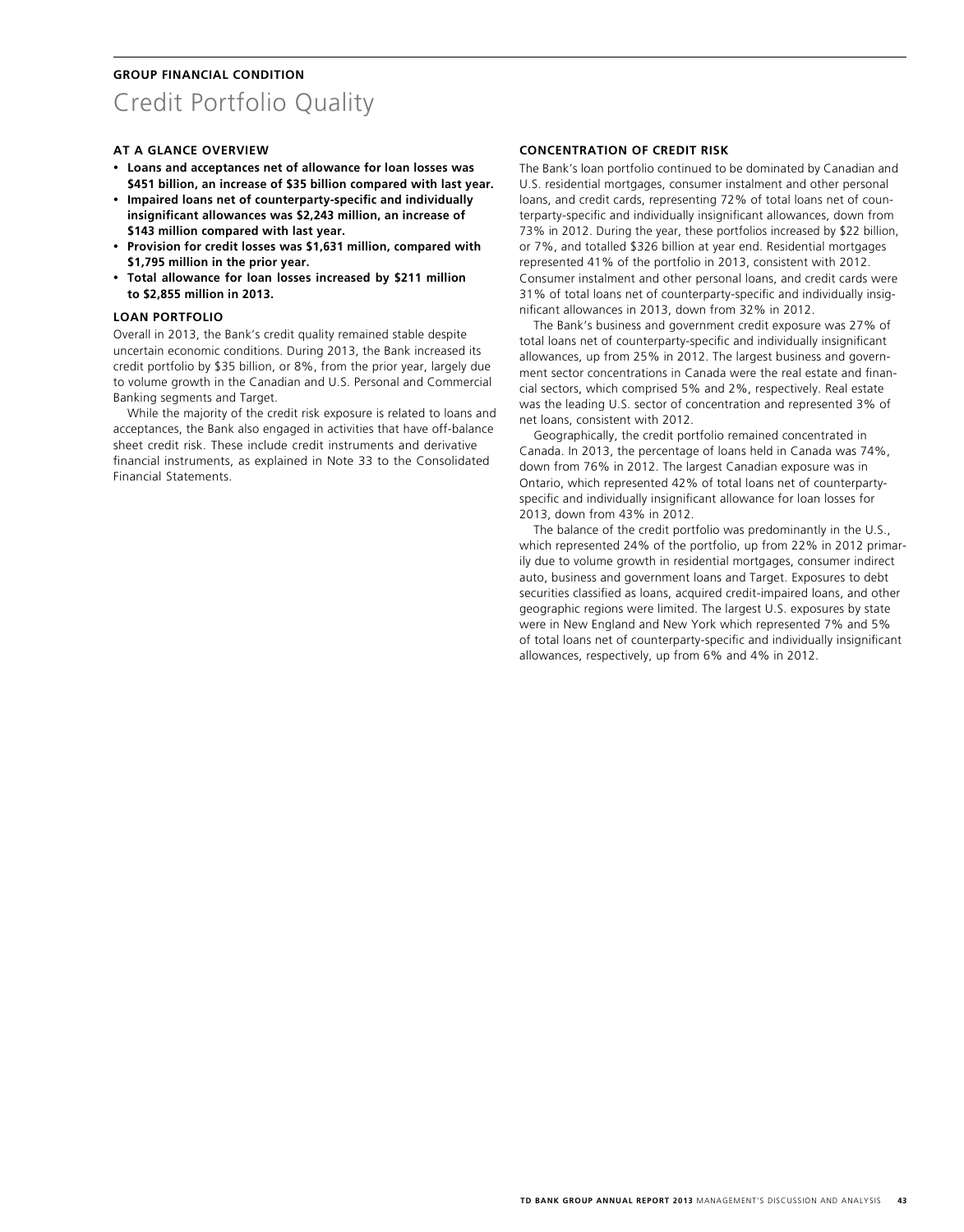# **GROUP FINANCIAL CONDITION**

# Credit Portfolio Quality

### **AT A GLANCE OVERVIEW**

- **Loans and acceptances net of allowance for loan losses was \$451 billion, an increase of \$35 billion compared with last year.**
- **Impaired loans net of counterparty-specific and individually insignificant allowances was \$2,243 million, an increase of \$143 million compared with last year.**
- **Provision for credit losses was \$1,631 million, compared with \$1,795 million in the prior year.**
- **Total allowance for loan losses increased by \$211 million to \$2,855 million in 2013.**

### **LOAN PORTFOLIO**

Overall in 2013, the Bank's credit quality remained stable despite uncertain economic conditions. During 2013, the Bank increased its credit portfolio by \$35 billion, or 8%, from the prior year, largely due to volume growth in the Canadian and U.S. Personal and Commercial Banking segments and Target.

While the majority of the credit risk exposure is related to loans and acceptances, the Bank also engaged in activities that have off-balance sheet credit risk. These include credit instruments and derivative financial instruments, as explained in Note 33 to the Consolidated Financial Statements.

#### **CONCENTRATION OF CREDIT RISK**

The Bank's loan portfolio continued to be dominated by Canadian and U.S. residential mortgages, consumer instalment and other personal loans, and credit cards, representing 72% of total loans net of counterparty-specific and individually insignificant allowances, down from 73% in 2012. During the year, these portfolios increased by \$22 billion, or 7%, and totalled \$326 billion at year end. Residential mortgages represented 41% of the portfolio in 2013, consistent with 2012. Consumer instalment and other personal loans, and credit cards were 31% of total loans net of counterparty-specific and individually insignificant allowances in 2013, down from 32% in 2012.

The Bank's business and government credit exposure was 27% of total loans net of counterparty-specific and individually insignificant allowances, up from 25% in 2012. The largest business and government sector concentrations in Canada were the real estate and financial sectors, which comprised 5% and 2%, respectively. Real estate was the leading U.S. sector of concentration and represented 3% of net loans, consistent with 2012.

Geographically, the credit portfolio remained concentrated in Canada. In 2013, the percentage of loans held in Canada was 74%, down from 76% in 2012. The largest Canadian exposure was in Ontario, which represented 42% of total loans net of counterpartyspecific and individually insignificant allowance for loan losses for 2013, down from 43% in 2012.

The balance of the credit portfolio was predominantly in the U.S., which represented 24% of the portfolio, up from 22% in 2012 primarily due to volume growth in residential mortgages, consumer indirect auto, business and government loans and Target. Exposures to debt securities classified as loans, acquired credit-impaired loans, and other geographic regions were limited. The largest U.S. exposures by state were in New England and New York which represented 7% and 5% of total loans net of counterparty-specific and individually insignificant allowances, respectively, up from 6% and 4% in 2012.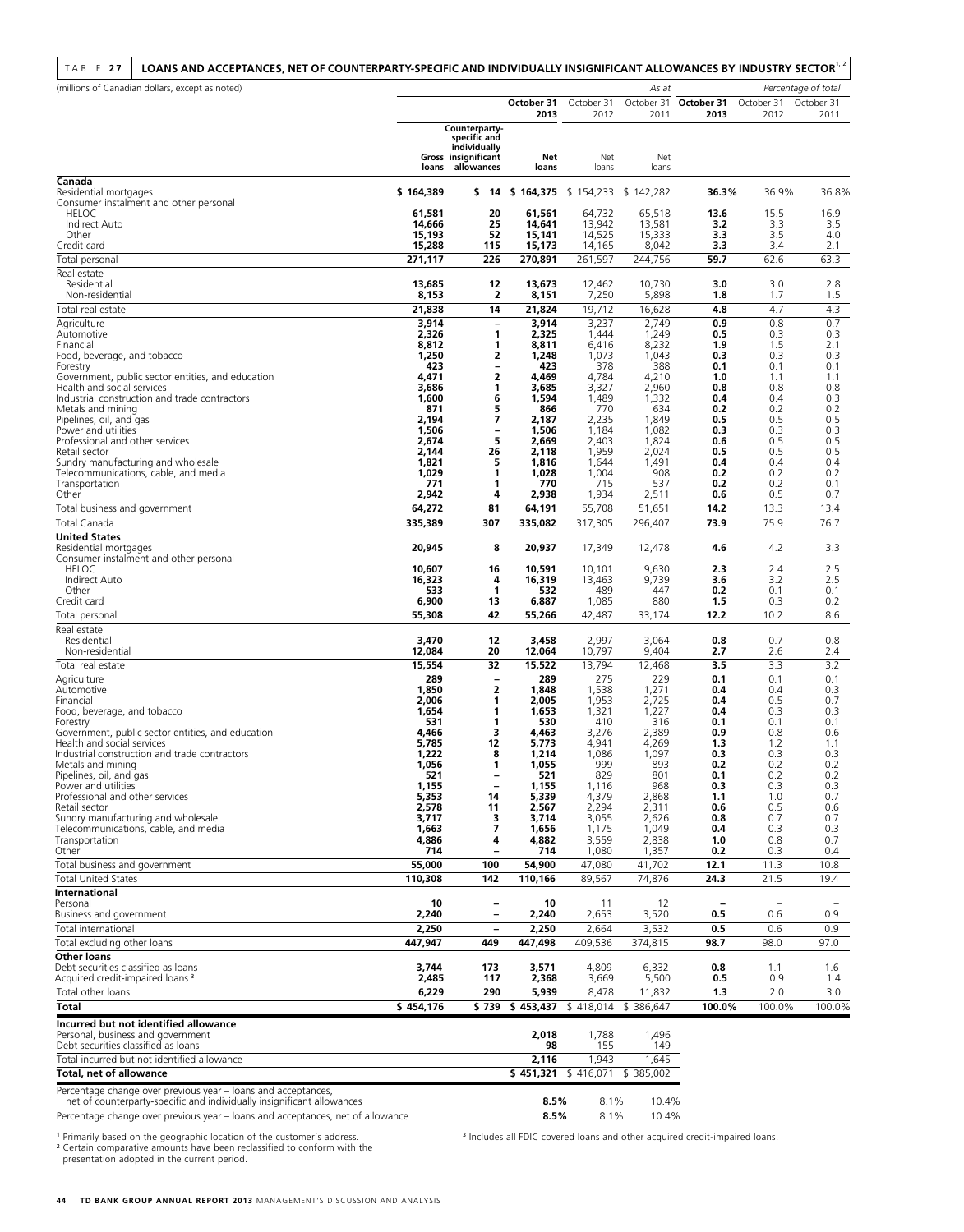| LOANS AND ACCEPTANCES, NET OF COUNTERPARTY-SPECIFIC AND INDIVIDUALLY INSIGNIFICANT ALLOWANCES BY INDUSTRY SECTOR <sup>1, 2</sup><br>TABLE 27 |                   |                                      |                                        |                               |                  |                               |                    |                     |
|----------------------------------------------------------------------------------------------------------------------------------------------|-------------------|--------------------------------------|----------------------------------------|-------------------------------|------------------|-------------------------------|--------------------|---------------------|
| (millions of Canadian dollars, except as noted)                                                                                              |                   |                                      |                                        |                               | As at            |                               |                    | Percentage of total |
|                                                                                                                                              |                   |                                      | October 31<br>2013                     | October 31<br>2012            | 2011             | October 31 October 31<br>2013 | October 31<br>2012 | October 31<br>2011  |
|                                                                                                                                              |                   | Counterparty-                        |                                        |                               |                  |                               |                    |                     |
|                                                                                                                                              |                   | specific and<br>individually         |                                        |                               |                  |                               |                    |                     |
|                                                                                                                                              | loans             | Gross insignificant<br>allowances    | Net<br>loans                           | Net<br>loans                  | Net<br>loans     |                               |                    |                     |
| Canada                                                                                                                                       | \$164,389         |                                      |                                        |                               |                  | 36.3%                         | 36.9%              |                     |
| Residential mortgages<br>Consumer instalment and other personal                                                                              |                   |                                      | \$ 14 \$ 164,375 \$ 154,233 \$ 142,282 |                               |                  |                               |                    | 36.8%               |
| <b>HELOC</b><br>Indirect Auto                                                                                                                | 61,581<br>14,666  | 20<br>25                             | 61,561<br>14,641                       | 64,732<br>13,942              | 65,518<br>13,581 | 13.6<br>3.2                   | 15.5<br>3.3        | 16.9<br>3.5         |
| Other<br>Credit card                                                                                                                         | 15,193            | 52                                   | 15,141                                 | 14,525                        | 15,333           | 3.3                           | 3.5                | 4.0                 |
| Total personal                                                                                                                               | 15,288<br>271,117 | 115<br>226                           | 15,173<br>270,891                      | 14,165<br>261,597             | 8,042<br>244,756 | 3.3<br>59.7                   | 3.4<br>62.6        | 2.1<br>63.3         |
| Real estate                                                                                                                                  |                   |                                      |                                        |                               |                  |                               |                    |                     |
| Residential<br>Non-residential                                                                                                               | 13,685<br>8,153   | 12<br>2                              | 13,673<br>8,151                        | 12,462<br>7,250               | 10,730<br>5,898  | 3.0<br>1.8                    | 3.0<br>1.7         | 2.8<br>1.5          |
| Total real estate                                                                                                                            | 21,838            | 14                                   | 21,824                                 | 19,712                        | 16,628           | 4.8                           | 4.7                | 4.3                 |
| Agriculture                                                                                                                                  | 3,914             | $\overline{\phantom{0}}$             | 3,914                                  | 3,237                         | 2,749            | 0.9                           | 0.8                | 0.7                 |
| Automotive<br>Financial                                                                                                                      | 2,326<br>8,812    | 1<br>1                               | 2,325<br>8,811                         | 1,444<br>6,416                | 1,249<br>8,232   | 0.5<br>1.9                    | 0.3<br>1.5         | 0.3<br>2.1          |
| Food, beverage, and tobacco                                                                                                                  | 1,250             | 2                                    | 1,248                                  | 1,073                         | 1,043            | 0.3                           | 0.3                | 0.3                 |
| Forestry<br>Government, public sector entities, and education                                                                                | 423<br>4,471      | $\qquad \qquad -$<br>2               | 423<br>4,469                           | 378<br>4,784                  | 388<br>4,210     | 0.1<br>1.0                    | 0.1<br>1.1         | 0.1<br>1.1          |
| Health and social services                                                                                                                   | 3,686             | 1                                    | 3,685                                  | 3,327                         | 2,960            | 0.8                           | 0.8                | 0.8                 |
| Industrial construction and trade contractors<br>Metals and mining                                                                           | 1,600<br>871      | 6<br>5                               | 1,594<br>866                           | 1,489<br>770                  | 1,332<br>634     | 0.4<br>0.2                    | 0.4<br>0.2         | 0.3<br>0.2          |
| Pipelines, oil, and gas                                                                                                                      | 2,194             | 7                                    | 2,187                                  | 2,235                         | 1,849            | 0.5                           | 0.5                | 0.5                 |
| Power and utilities<br>Professional and other services                                                                                       | 1,506<br>2,674    | $\overline{\phantom{0}}$<br>5        | 1,506<br>2,669                         | 1,184<br>2,403                | 1,082<br>1,824   | 0.3<br>0.6                    | 0.3<br>0.5         | 0.3<br>0.5          |
| Retail sector                                                                                                                                | 2,144<br>1,821    | 26<br>5                              | 2,118<br>1,816                         | 1,959<br>1,644                | 2,024<br>1,491   | 0.5<br>0.4                    | 0.5<br>0.4         | 0.5<br>0.4          |
| Sundry manufacturing and wholesale<br>Telecommunications, cable, and media                                                                   | 1,029             | 1                                    | 1,028                                  | 1,004                         | 908              | 0.2                           | 0.2                | 0.2                 |
| Transportation<br>Other                                                                                                                      | 771<br>2,942      | 1<br>4                               | 770<br>2,938                           | 715<br>1,934                  | 537<br>2,511     | 0.2<br>0.6                    | 0.2<br>0.5         | 0.1<br>0.7          |
| Total business and government                                                                                                                | 64,272            | 81                                   | 64,191                                 | 55,708                        | 51,651           | 14.2                          | 13.3               | 13.4                |
| Total Canada                                                                                                                                 | 335,389           | 307                                  | 335,082                                | 317,305                       | 296,407          | 73.9                          | 75.9               | 76.7                |
| <b>United States</b>                                                                                                                         |                   |                                      |                                        |                               |                  |                               |                    |                     |
| Residential mortgages<br>Consumer instalment and other personal                                                                              | 20,945            | 8                                    | 20,937                                 | 17,349                        | 12,478           | 4.6                           | 4.2                | 3.3                 |
| <b>HELOC</b><br>Indirect Auto                                                                                                                | 10,607<br>16,323  | 16<br>4                              | 10,591<br>16,319                       | 10,101<br>13,463              | 9,630<br>9,739   | 2.3<br>3.6                    | 2.4<br>3.2         | 2.5<br>2.5          |
| Other                                                                                                                                        | 533               | $\mathbf{1}$                         | 532                                    | 489                           | 447              | 0.2                           | 0.1                | 0.1                 |
| Credit card                                                                                                                                  | 6,900             | 13                                   | 6,887                                  | 1,085                         | 880              | 1.5                           | 0.3                | 0.2                 |
| Total personal<br>Real estate                                                                                                                | 55,308            | 42                                   | 55,266                                 | 42,487                        | 33,174           | 12.2                          | 10.2               | 8.6                 |
| Residential                                                                                                                                  | 3,470             | 12                                   | 3,458                                  | 2,997                         | 3,064            | 0.8                           | 0.7                | 0.8                 |
| Non-residential<br>Total real estate                                                                                                         | 12,084<br>15,554  | 20<br>32                             | 12,064<br>15,522                       | 10,797<br>13,794              | 9,404<br>12,468  | 2.7<br>3.5                    | 2.6<br>3.3         | 2.4<br>3.2          |
| Agriculture                                                                                                                                  | 289               | $\overline{\phantom{0}}$             | 289                                    | 275                           | 229              | 0.1                           | 0.1                | 0.1                 |
| Automotive                                                                                                                                   | 1,850             | 2                                    | 1,848                                  | 1,538                         | 1,271            | 0.4                           | 0.4                | 0.3                 |
| Financial<br>Food, beverage, and tobacco                                                                                                     | 2,006<br>1,654    | 1<br>1                               | 2,005<br>1,653                         | 1,953<br>1,321                | 2,725<br>1,227   | 0.4<br>0.4                    | 0.5<br>0.3         | 0.7<br>0.3          |
| Forestry<br>Government, public sector entities, and education                                                                                | 531<br>4,466      | 1<br>3                               | 530<br>4,463                           | 410<br>3,276                  | 316<br>2,389     | 0.1<br>0.9                    | 0.1<br>0.8         | 0.1<br>0.6          |
| Health and social services                                                                                                                   | 5,785             | 12                                   | 5,773                                  | 4,941                         | 4,269            | 1.3                           | 1.2                | 1.1                 |
| Industrial construction and trade contractors<br>Metals and mining                                                                           | 1,222<br>1,056    | 8                                    | 1,214<br>1,055                         | 1,086<br>999                  | 1,097<br>893     | 0.3<br>0.2                    | 0.3<br>0.2         | 0.3<br>0.2          |
| Pipelines, oil, and gas                                                                                                                      | 521               | $\overline{\phantom{0}}$             | 521                                    | 829                           | 801              | 0.1                           | 0.2                | 0.2                 |
| Power and utilities<br>Professional and other services                                                                                       | 1,155<br>5,353    | 14                                   | 1,155<br>5,339                         | 1,116<br>4,379                | 968<br>2,868     | 0.3<br>1.1                    | 0.3<br>1.0         | 0.3<br>0.7          |
| Retail sector                                                                                                                                | 2,578             | 11                                   | 2,567                                  | 2,294                         | 2,311            | 0.6                           | 0.5                | 0.6                 |
| Sundry manufacturing and wholesale<br>Telecommunications, cable, and media                                                                   | 3,717<br>1,663    | 3<br>7                               | 3,714<br>1,656                         | 3,055<br>1,175                | 2,626<br>1,049   | 0.8<br>0.4                    | 0.7<br>0.3         | 0.7<br>0.3          |
| Transportation                                                                                                                               | 4,886<br>714      | 4                                    | 4,882<br>714                           | 3,559                         | 2,838            | 1.0                           | 0.8                | 0.7                 |
| Other<br>Total business and government                                                                                                       | 55,000            | 100                                  | 54,900                                 | 1,080<br>47,080               | 1,357<br>41,702  | 0.2<br>12.1                   | 0.3<br>11.3        | 0.4<br>10.8         |
| <b>Total United States</b>                                                                                                                   | 110,308           | 142                                  | 110,166                                | 89,567                        | 74,876           | 24.3                          | 21.5               | 19.4                |
| <b>International</b>                                                                                                                         |                   |                                      |                                        |                               |                  |                               |                    |                     |
| Personal<br>Business and government                                                                                                          | 10<br>2,240       | <b>-</b><br>$\overline{\phantom{a}}$ | 10<br>2,240                            | 11<br>2,653                   | 12<br>3,520      | 0.5                           | 0.6                | 0.9                 |
| Total international                                                                                                                          | 2,250             | $\overline{\phantom{a}}$             | 2,250                                  | 2,664                         | 3,532            | 0.5                           | 0.6                | 0.9                 |
| Total excluding other loans                                                                                                                  | 447,947           | 449                                  | 447,498                                | 409,536                       | 374,815          | 98.7                          | 98.0               | 97.0                |
| Other loans<br>Debt securities classified as loans                                                                                           | 3,744             | 173                                  | 3,571                                  | 4,809                         | 6,332            | 0.8                           | 1.1                | 1.6                 |
| Acquired credit-impaired loans <sup>3</sup>                                                                                                  | 2,485             | 117                                  | 2,368                                  | 3,669                         | 5,500            | 0.5                           | 0.9                | 1.4                 |
| Total other loans                                                                                                                            | 6,229             | 290                                  | 5,939                                  | 8,478                         | 11,832           | 1.3                           | 2.0                | 3.0                 |
| <b>Total</b>                                                                                                                                 | \$454,176         | \$739                                |                                        | \$453,437 \$418,014 \$386,647 |                  | 100.0%                        | 100.0%             | 100.0%              |
| Incurred but not identified allowance<br>Personal, business and government                                                                   |                   |                                      | 2,018                                  | 1,788                         | 1,496            |                               |                    |                     |
| Debt securities classified as loans                                                                                                          |                   |                                      | 98                                     | 155                           | 149              |                               |                    |                     |
| Total incurred but not identified allowance                                                                                                  |                   |                                      | 2,116                                  | 1,943                         | 1,645            |                               |                    |                     |
| Total, net of allowance                                                                                                                      |                   |                                      |                                        | \$451,321 \$416,071 \$385,002 |                  |                               |                    |                     |
| Percentage change over previous year - loans and acceptances,<br>net of counterparty-specific and individually insignificant allowances      |                   |                                      | 8.5%                                   | 8.1%                          | 10.4%            |                               |                    |                     |
| Percentage change over previous year - loans and acceptances, net of allowance                                                               |                   |                                      | 8.5%                                   | 8.1%                          | 10.4%            |                               |                    |                     |

<sup>1</sup> Primarily based on the geographic location of the customer's address. <sup>2</sup> Certain comparative amounts have been reclassified to conform with the presentation adopted in the current period.

<sup>3</sup> Includes all FDIC covered loans and other acquired credit-impaired loans.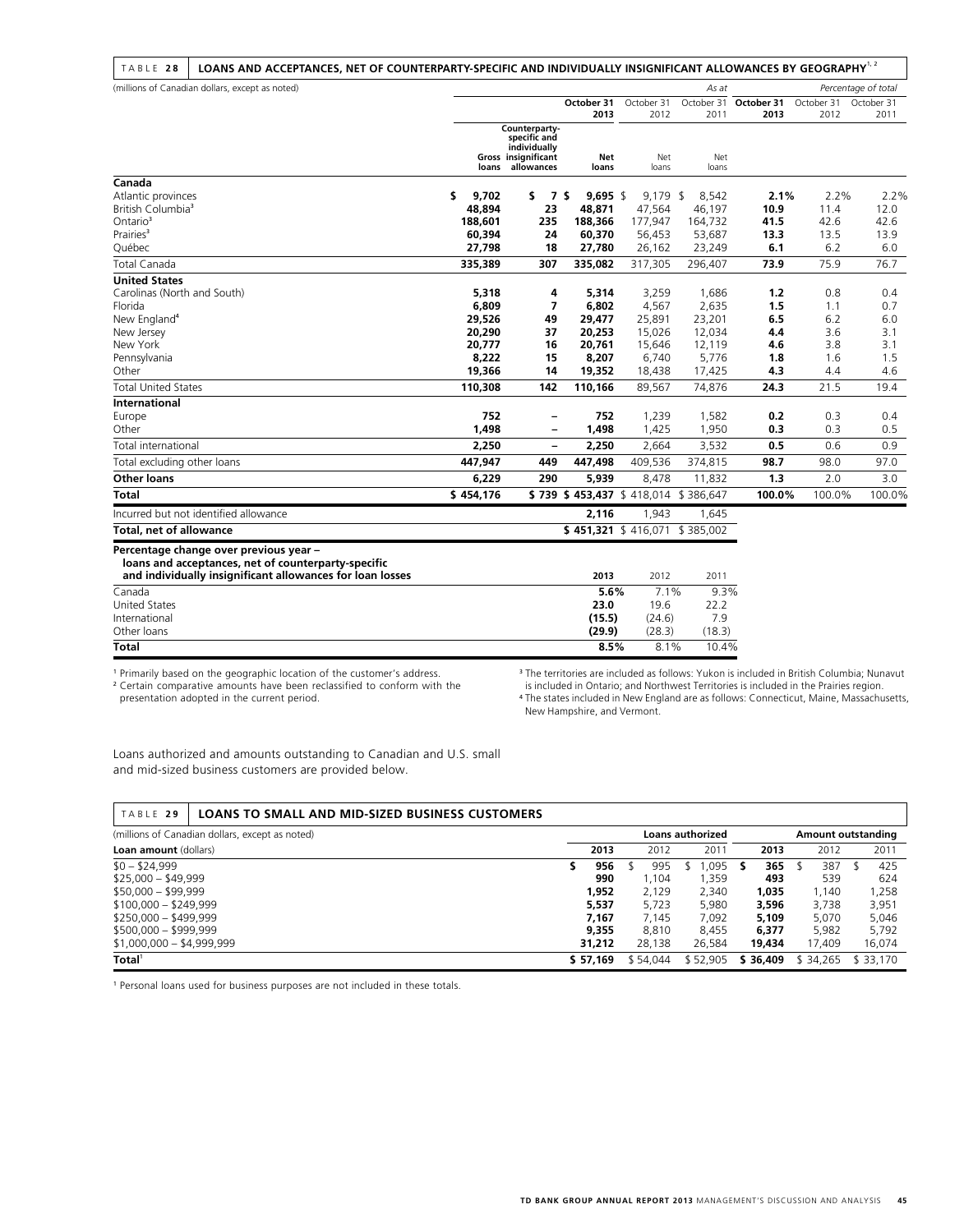| TABLE 28                                                | LOANS AND ACCEPTANCES, NET OF COUNTERPARTY-SPECIFIC AND INDIVIDUALLY INSIGNIFICANT ALLOWANCES BY GEOGRAPHY <sup>1,2</sup>                                  |                             |                                                                                    |                                     |                               |                             |                               |                     |                     |
|---------------------------------------------------------|------------------------------------------------------------------------------------------------------------------------------------------------------------|-----------------------------|------------------------------------------------------------------------------------|-------------------------------------|-------------------------------|-----------------------------|-------------------------------|---------------------|---------------------|
|                                                         | (millions of Canadian dollars, except as noted)                                                                                                            |                             |                                                                                    |                                     |                               | As at                       |                               |                     | Percentage of total |
|                                                         |                                                                                                                                                            |                             |                                                                                    | October 31<br>2013                  | October 31<br>2012            | 2011                        | October 31 October 31<br>2013 | October 31<br>2012  | October 31<br>2011  |
|                                                         |                                                                                                                                                            | loans                       | Counterparty-<br>specific and<br>individually<br>Gross insignificant<br>allowances | Net<br>loans                        | Net<br>loans                  | Net<br>loans                |                               |                     |                     |
| Canada                                                  |                                                                                                                                                            |                             |                                                                                    |                                     |                               |                             |                               |                     |                     |
| Atlantic provinces<br>British Columbia <sup>3</sup>     |                                                                                                                                                            | \$<br>9,702<br>48,894       | \$<br>$\overline{7}$<br>23                                                         | \$<br>$9,695$ \$<br>48,871          | $9,179$ \$<br>47,564          | 8,542<br>46,197             | 2.1%<br>10.9                  | 2.2%<br>11.4        | 2.2%<br>12.0        |
| Ontario <sup>3</sup><br>Prairies <sup>3</sup><br>Québec |                                                                                                                                                            | 188,601<br>60,394<br>27,798 | 235<br>24<br>18                                                                    | 188,366<br>60,370<br>27,780         | 177,947<br>56,453<br>26,162   | 164,732<br>53,687<br>23,249 | 41.5<br>13.3<br>6.1           | 42.6<br>13.5<br>6.2 | 42.6<br>13.9<br>6.0 |
| <b>Total Canada</b>                                     |                                                                                                                                                            | 335,389                     | 307                                                                                | 335,082                             | 317,305                       | 296,407                     | 73.9                          | 75.9                | 76.7                |
| <b>United States</b>                                    |                                                                                                                                                            |                             |                                                                                    |                                     |                               |                             |                               |                     |                     |
| Carolinas (North and South)<br>Florida                  |                                                                                                                                                            | 5,318<br>6,809              | 4<br>$\overline{\phantom{a}}$                                                      | 5,314<br>6,802                      | 3,259<br>4,567                | 1,686<br>2,635              | 1.2<br>1.5                    | 0.8<br>1.1          | 0.4<br>0.7          |
| New England <sup>4</sup>                                |                                                                                                                                                            | 29,526                      | 49                                                                                 | 29,477                              | 25,891                        | 23,201                      | 6.5                           | 6.2                 | 6.0                 |
| New Jersey                                              |                                                                                                                                                            | 20,290                      | 37                                                                                 | 20,253                              | 15,026                        | 12,034                      | 4.4                           | 3.6                 | 3.1                 |
| New York                                                |                                                                                                                                                            | 20,777                      | 16                                                                                 | 20,761                              | 15,646                        | 12,119                      | 4.6                           | 3.8                 | 3.1                 |
| Pennsylvania<br>Other                                   |                                                                                                                                                            | 8,222<br>19,366             | 15<br>14                                                                           | 8,207<br>19,352                     | 6,740<br>18,438               | 5,776<br>17,425             | 1.8<br>4.3                    | 1.6<br>4.4          | 1.5<br>4.6          |
| <b>Total United States</b>                              |                                                                                                                                                            | 110,308                     | 142                                                                                | 110,166                             | 89,567                        | 74,876                      | 24.3                          | 21.5                | 19.4                |
| <b>International</b>                                    |                                                                                                                                                            |                             |                                                                                    |                                     |                               |                             |                               |                     |                     |
| Europe<br>Other                                         |                                                                                                                                                            | 752<br>1,498                | $\overline{\phantom{0}}$<br>-                                                      | 752<br>1,498                        | 1,239<br>1,425                | 1,582<br>1,950              | 0.2<br>0.3                    | 0.3<br>0.3          | 0.4<br>0.5          |
| Total international                                     |                                                                                                                                                            | 2,250                       | $\overline{\phantom{0}}$                                                           | 2,250                               | 2,664                         | 3,532                       | 0.5                           | 0.6                 | 0.9                 |
| Total excluding other loans                             |                                                                                                                                                            | 447,947                     | 449                                                                                | 447,498                             | 409,536                       | 374,815                     | 98.7                          | 98.0                | 97.0                |
| <b>Other loans</b>                                      |                                                                                                                                                            | 6,229                       | 290                                                                                | 5,939                               | 8,478                         | 11,832                      | 1.3                           | 2.0                 | 3.0                 |
| Total                                                   |                                                                                                                                                            | \$454,176                   |                                                                                    | \$739 \$453,437 \$418,014 \$386,647 |                               |                             | 100.0%                        | 100.0%              | 100.0%              |
|                                                         | Incurred but not identified allowance                                                                                                                      |                             |                                                                                    | 2,116                               | 1,943                         | 1,645                       |                               |                     |                     |
| <b>Total, net of allowance</b>                          |                                                                                                                                                            |                             |                                                                                    |                                     | \$451,321 \$416,071 \$385,002 |                             |                               |                     |                     |
|                                                         | Percentage change over previous year -<br>loans and acceptances, net of counterparty-specific<br>and individually insignificant allowances for loan losses |                             |                                                                                    | 2013                                | 2012                          | 2011                        |                               |                     |                     |
| Canada                                                  |                                                                                                                                                            |                             |                                                                                    | 5.6%                                | 7.1%                          | 9.3%                        |                               |                     |                     |
| <b>United States</b>                                    |                                                                                                                                                            |                             |                                                                                    | 23.0                                | 19.6                          | 22.2                        |                               |                     |                     |
| International                                           |                                                                                                                                                            |                             |                                                                                    | (15.5)                              | (24.6)                        | 7.9                         |                               |                     |                     |
| Other loans                                             |                                                                                                                                                            |                             |                                                                                    | (29.9)                              | (28.3)                        | (18.3)                      |                               |                     |                     |
| Total                                                   |                                                                                                                                                            |                             |                                                                                    | 8.5%                                | 8.1%                          | 10.4%                       |                               |                     |                     |

<sup>1</sup> Primarily based on the geographic location of the customer's address.

<sup>2</sup> Certain comparative amounts have been reclassified to conform with the presentation adopted in the current period.

<sup>3</sup> The territories are included as follows: Yukon is included in British Columbia; Nunavut is included in Ontario; and Northwest Territories is included in the Prairies region. <sup>4</sup> The states included in New England are as follows: Connecticut, Maine, Massachusetts,

New Hampshire, and Vermont.

Loans authorized and amounts outstanding to Canadian and U.S. small and mid-sized business customers are provided below.

| TABLE 29                     | <b>LOANS TO SMALL AND MID-SIZED BUSINESS CUSTOMERS</b> |          |                    |          |           |          |          |
|------------------------------|--------------------------------------------------------|----------|--------------------|----------|-----------|----------|----------|
|                              | (millions of Canadian dollars, except as noted)        |          | Amount outstanding |          |           |          |          |
| <b>Loan amount (dollars)</b> |                                                        | 2013     | 2012               | 2011     | 2013      | 2012     | 2011     |
| $$0 - $24.999$               |                                                        | 956      | 995                | .095     | 365<br>5. | 387      | 425      |
| $$25,000 - $49,999$          |                                                        | 990      | 1.104              | .359     | 493       | 539      | 624      |
| $$50.000 - $99.999$          |                                                        | 1.952    | 2.129              | 2,340    | 1.035     | 1.140    | 1,258    |
| $$100.000 - $249.999$        |                                                        | 5.537    | 5.723              | 5.980    | 3,596     | 3.738    | 3,951    |
| $$250.000 - $499.999$        |                                                        | 7.167    | 7.145              | 7.092    | 5.109     | 5.070    | 5.046    |
| $$500,000 - $999,999$        |                                                        | 9,355    | 8.810              | 8.455    | 6.377     | 5.982    | 5.792    |
| $$1,000,000 - $4,999,999$    |                                                        | 31,212   | 28,138             | 26.584   | 19,434    | 17,409   | 16,074   |
| Total <sup>1</sup>           |                                                        | \$57.169 | \$54,044           | \$52,905 | \$36,409  | \$34,265 | \$33,170 |

<sup>1</sup> Personal loans used for business purposes are not included in these totals.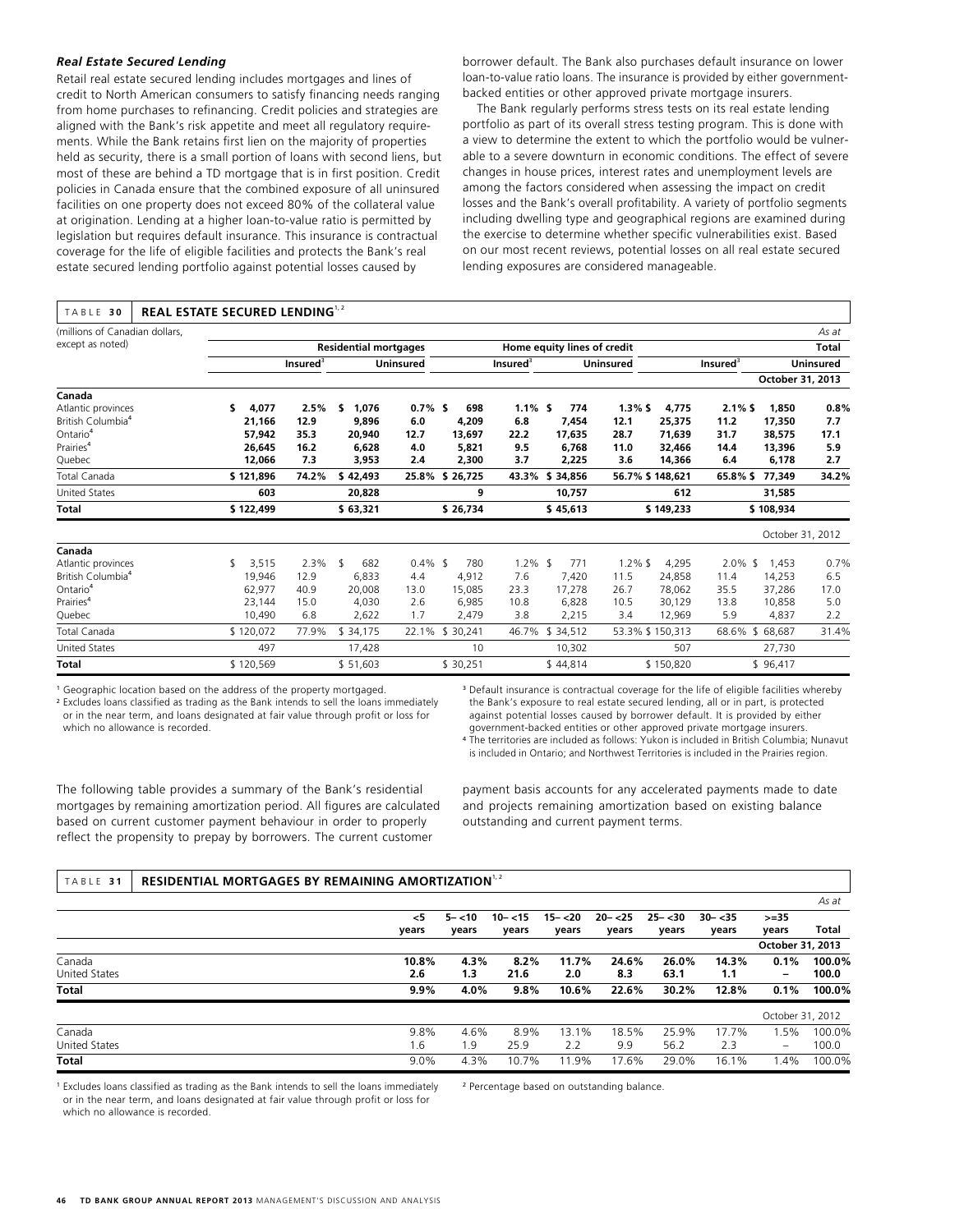# *Real Estate Secured Lending*

Retail real estate secured lending includes mortgages and lines of credit to North American consumers to satisfy financing needs ranging from home purchases to refinancing. Credit policies and strategies are aligned with the Bank's risk appetite and meet all regulatory requirements. While the Bank retains first lien on the majority of properties held as security, there is a small portion of loans with second liens, but most of these are behind a TD mortgage that is in first position. Credit policies in Canada ensure that the combined exposure of all uninsured facilities on one property does not exceed 80% of the collateral value at origination. Lending at a higher loan-to-value ratio is permitted by legislation but requires default insurance. This insurance is contractual coverage for the life of eligible facilities and protects the Bank's real estate secured lending portfolio against potential losses caused by

borrower default. The Bank also purchases default insurance on lower loan-to-value ratio loans. The insurance is provided by either governmentbacked entities or other approved private mortgage insurers.

The Bank regularly performs stress tests on its real estate lending portfolio as part of its overall stress testing program. This is done with a view to determine the extent to which the portfolio would be vulnerable to a severe downturn in economic conditions. The effect of severe changes in house prices, interest rates and unemployment levels are among the factors considered when assessing the impact on credit losses and the Bank's overall profitability. A variety of portfolio segments including dwelling type and geographical regions are examined during the exercise to determine whether specific vulnerabilities exist. Based on our most recent reviews, potential losses on all real estate secured lending exposures are considered manageable.

| (millions of Canadian dollars, |             |                                                                    |                                                                   |                                                                                                                      |                                                                                      |                                                                                                                       |                                                         |                                                                                                   |                                                                                               |                                                                                                                                                      |                                                    | As at                                                                                                                         |
|--------------------------------|-------------|--------------------------------------------------------------------|-------------------------------------------------------------------|----------------------------------------------------------------------------------------------------------------------|--------------------------------------------------------------------------------------|-----------------------------------------------------------------------------------------------------------------------|---------------------------------------------------------|---------------------------------------------------------------------------------------------------|-----------------------------------------------------------------------------------------------|------------------------------------------------------------------------------------------------------------------------------------------------------|----------------------------------------------------|-------------------------------------------------------------------------------------------------------------------------------|
|                                |             |                                                                    |                                                                   |                                                                                                                      |                                                                                      |                                                                                                                       |                                                         |                                                                                                   |                                                                                               |                                                                                                                                                      |                                                    | <b>Total</b>                                                                                                                  |
|                                |             |                                                                    |                                                                   |                                                                                                                      |                                                                                      | Insured <sup>3</sup>                                                                                                  |                                                         |                                                                                                   |                                                                                               | Insured <sup>3</sup>                                                                                                                                 |                                                    | <b>Uninsured</b>                                                                                                              |
|                                |             |                                                                    |                                                                   |                                                                                                                      |                                                                                      |                                                                                                                       |                                                         |                                                                                                   |                                                                                               |                                                                                                                                                      |                                                    |                                                                                                                               |
|                                |             |                                                                    |                                                                   |                                                                                                                      |                                                                                      |                                                                                                                       |                                                         |                                                                                                   |                                                                                               |                                                                                                                                                      |                                                    |                                                                                                                               |
| Atlantic provinces             | 4,077<br>s  | 2.5%                                                               | 1.076<br>s                                                        |                                                                                                                      | 698                                                                                  |                                                                                                                       | 774                                                     |                                                                                                   | 4.775                                                                                         | $2.1\%$ \$                                                                                                                                           | 1,850                                              | 0.8%                                                                                                                          |
|                                |             |                                                                    |                                                                   | 6.0                                                                                                                  |                                                                                      |                                                                                                                       | 7,454                                                   | 12.1                                                                                              |                                                                                               |                                                                                                                                                      | 17,350                                             | 7.7                                                                                                                           |
|                                |             |                                                                    |                                                                   |                                                                                                                      |                                                                                      |                                                                                                                       |                                                         |                                                                                                   |                                                                                               |                                                                                                                                                      |                                                    | 17.1                                                                                                                          |
|                                |             |                                                                    |                                                                   |                                                                                                                      |                                                                                      |                                                                                                                       |                                                         |                                                                                                   |                                                                                               |                                                                                                                                                      |                                                    | 5.9                                                                                                                           |
|                                |             |                                                                    |                                                                   |                                                                                                                      |                                                                                      |                                                                                                                       |                                                         |                                                                                                   |                                                                                               |                                                                                                                                                      |                                                    | 2.7                                                                                                                           |
|                                | \$121,896   | 74.2%                                                              | \$42,493                                                          |                                                                                                                      |                                                                                      |                                                                                                                       |                                                         |                                                                                                   |                                                                                               | 65.8% \$                                                                                                                                             | 77.349                                             | 34.2%                                                                                                                         |
|                                | 603         |                                                                    | 20,828                                                            |                                                                                                                      | 9                                                                                    |                                                                                                                       | 10,757                                                  |                                                                                                   | 612                                                                                           |                                                                                                                                                      | 31,585                                             |                                                                                                                               |
|                                | \$122,499   |                                                                    | \$63,321                                                          |                                                                                                                      | \$26,734                                                                             |                                                                                                                       | \$45,613                                                |                                                                                                   |                                                                                               |                                                                                                                                                      |                                                    |                                                                                                                               |
|                                |             |                                                                    |                                                                   |                                                                                                                      |                                                                                      |                                                                                                                       |                                                         |                                                                                                   |                                                                                               |                                                                                                                                                      | October 31, 2012                                   |                                                                                                                               |
|                                |             |                                                                    |                                                                   |                                                                                                                      |                                                                                      |                                                                                                                       |                                                         |                                                                                                   |                                                                                               |                                                                                                                                                      |                                                    |                                                                                                                               |
|                                | 3,515<br>\$ | 2.3%                                                               | \$<br>682                                                         |                                                                                                                      | 780                                                                                  |                                                                                                                       | 771                                                     |                                                                                                   | 4,295                                                                                         |                                                                                                                                                      | 1,453                                              | 0.7%                                                                                                                          |
|                                | 19,946      |                                                                    |                                                                   | 4.4                                                                                                                  | 4,912                                                                                |                                                                                                                       | 7.420                                                   | 11.5                                                                                              | 24,858                                                                                        | 11.4                                                                                                                                                 | 14,253                                             | 6.5                                                                                                                           |
|                                |             | 40.9                                                               |                                                                   | 13.0                                                                                                                 | 15,085                                                                               |                                                                                                                       | 17,278                                                  |                                                                                                   | 78,062                                                                                        |                                                                                                                                                      |                                                    | 17.0                                                                                                                          |
|                                |             |                                                                    |                                                                   |                                                                                                                      |                                                                                      |                                                                                                                       |                                                         |                                                                                                   |                                                                                               |                                                                                                                                                      |                                                    | 5.0                                                                                                                           |
|                                |             |                                                                    |                                                                   |                                                                                                                      |                                                                                      |                                                                                                                       |                                                         |                                                                                                   |                                                                                               |                                                                                                                                                      |                                                    | 2.2                                                                                                                           |
|                                | \$120,072   | 77.9%                                                              | \$34,175                                                          |                                                                                                                      |                                                                                      |                                                                                                                       | \$34,512                                                |                                                                                                   |                                                                                               |                                                                                                                                                      | 68,687                                             | 31.4%                                                                                                                         |
|                                | 497         |                                                                    | 17,428                                                            |                                                                                                                      | 10                                                                                   |                                                                                                                       | 10,302                                                  |                                                                                                   | 507                                                                                           |                                                                                                                                                      | 27,730                                             |                                                                                                                               |
|                                | \$120,569   |                                                                    | \$51,603                                                          |                                                                                                                      | \$30,251                                                                             |                                                                                                                       | \$44,814                                                |                                                                                                   |                                                                                               |                                                                                                                                                      |                                                    |                                                                                                                               |
|                                |             | 21,166<br>57,942<br>26,645<br>12,066<br>62,977<br>23,144<br>10,490 | Insured $3$<br>12.9<br>35.3<br>16.2<br>7.3<br>12.9<br>15.0<br>6.8 | REAL ESTATE SECURED LENDING <sup>1,2</sup><br>9.896<br>20,940<br>6.628<br>3,953<br>6.833<br>20,008<br>4.030<br>2,622 | <b>Residential mortgages</b><br><b>Uninsured</b><br>12.7<br>4.0<br>2.4<br>2.6<br>1.7 | $0.7\%$ \$<br>4.209<br>13,697<br>5.821<br>2,300<br>25.8% \$ 26.725<br>$0.4\%$ \$<br>6.985<br>2,479<br>22.1% \$ 30,241 | 6.8<br>22.2<br>9.5<br>3.7<br>7.6<br>23.3<br>10.8<br>3.8 | $1.1\%$ \$<br>17,635<br>6.768<br>2.225<br>43.3% \$34.856<br>$1.2\%$ \$<br>6.828<br>2,215<br>46.7% | Home equity lines of credit<br><b>Uninsured</b><br>28.7<br>11.0<br>3.6<br>26.7<br>10.5<br>3.4 | $1.3\%$ \$<br>25,375<br>71,639<br>32,466<br>14,366<br>56.7% \$148.621<br>\$149,233<br>$1.2\%$ \$<br>30.129<br>12,969<br>53.3% \$150,313<br>\$150,820 | 11.2<br>31.7<br>14.4<br>6.4<br>35.5<br>13.8<br>5.9 | October 31, 2013<br>38,575<br>13,396<br>6.178<br>\$108.934<br>$2.0\%$ \$<br>37,286<br>10.858<br>4,837<br>68.6% \$<br>\$96,417 |

<sup>1</sup> Geographic location based on the address of the property mortgaged.

<sup>2</sup> Excludes loans classified as trading as the Bank intends to sell the loans immediately or in the near term, and loans designated at fair value through profit or loss for which no allowance is recorded.

<sup>3</sup> Default insurance is contractual coverage for the life of eligible facilities whereby the Bank's exposure to real estate secured lending, all or in part, is protected against potential losses caused by borrower default. It is provided by either government-backed entities or other approved private mortgage insurers. <sup>4</sup> The territories are included as follows: Yukon is included in British Columbia; Nunavut

is included in Ontario; and Northwest Territories is included in the Prairies region.

The following table provides a summary of the Bank's residential mortgages by remaining amortization period. All figures are calculated based on current customer payment behaviour in order to properly reflect the propensity to prepay by borrowers. The current customer

payment basis accounts for any accelerated payments made to date and projects remaining amortization based on existing balance outstanding and current payment terms.

| TABLE 31                       | <b>RESIDENTIAL MORTGAGES BY REMAINING AMORTIZATION<sup>1,2</sup></b> |              |             |              |              |              |               |              |                  |                 |
|--------------------------------|----------------------------------------------------------------------|--------------|-------------|--------------|--------------|--------------|---------------|--------------|------------------|-----------------|
|                                |                                                                      |              |             |              |              |              |               |              |                  | As at           |
|                                |                                                                      | $<$ 5        | $5 - < 10$  | $10 - 15$    | $15 - 20$    | $20 - 25$    | $25 - 30$     | $30 - 35$    | $>= 35$<br>years | Total           |
|                                |                                                                      | years        | years       | years        | years        | years        | years         | years        | October 31, 2013 |                 |
| Canada<br><b>United States</b> |                                                                      | 10.8%<br>2.6 | 4.3%<br>1.3 | 8.2%<br>21.6 | 11.7%<br>2.0 | 24.6%<br>8.3 | 26.0%<br>63.1 | 14.3%<br>1.1 | 0.1%<br>-        | 100.0%<br>100.0 |
| <b>Total</b>                   |                                                                      | 9.9%         | 4.0%        | 9.8%         | 10.6%        | 22.6%        | 30.2%         | 12.8%        | 0.1%             | 100.0%          |
|                                |                                                                      |              |             |              |              |              |               |              | October 31, 2012 |                 |
| Canada<br><b>United States</b> |                                                                      | 9.8%<br>1.6  | 4.6%<br>1.9 | 8.9%<br>25.9 | 13.1%<br>2.2 | 18.5%<br>9.9 | 25.9%<br>56.2 | 17.7%<br>2.3 | .5%<br>-         | 100.0%<br>100.0 |
| <b>Total</b>                   |                                                                      | 9.0%         | 4.3%        | 10.7%        | 11.9%        | 17.6%        | 29.0%         | 16.1%        | .4%              | 100.0%          |

<sup>1</sup> Excludes loans classified as trading as the Bank intends to sell the loans immediately or in the near term, and loans designated at fair value through profit or loss for which no allowance is recorded.

<sup>2</sup> Percentage based on outstanding balance.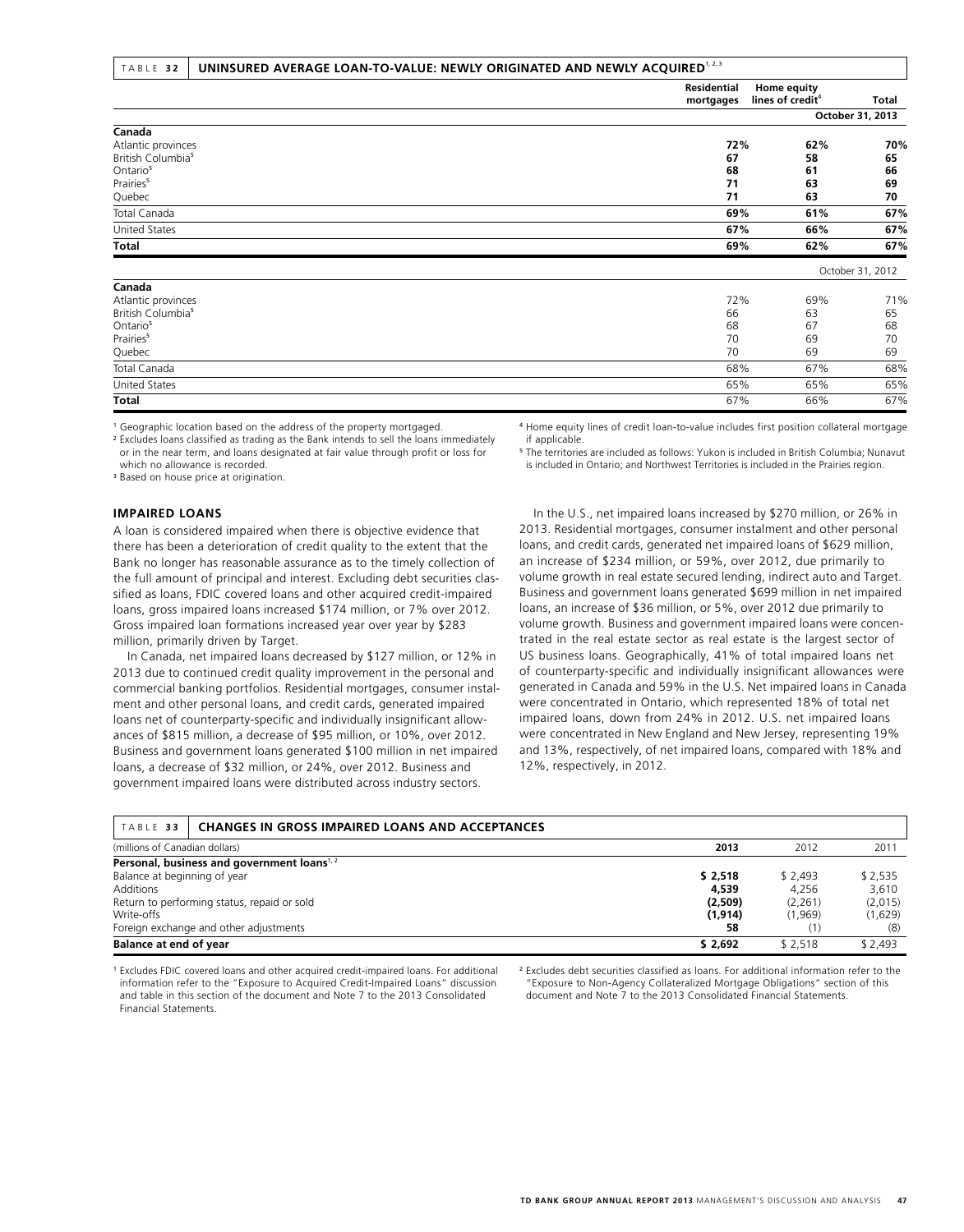# **UNINSURED AVERAGE LOAN-TO-VALUE: NEWLY ORIGINATED AND NEWLY ACQUIRED<sup>1,2,3</sup>**

|                               | <b>Residential</b><br>mortgages | Home equity<br>lines of credit <sup>4</sup> | Total            |
|-------------------------------|---------------------------------|---------------------------------------------|------------------|
|                               |                                 |                                             | October 31, 2013 |
| Canada                        |                                 |                                             |                  |
| Atlantic provinces            | 72%                             | 62%                                         | 70%              |
| British Columbia <sup>5</sup> | 67                              | 58                                          | 65               |
| Ontario <sup>5</sup>          | 68                              | 61                                          | 66               |
| Prairies <sup>5</sup>         | 71                              | 63                                          | 69               |
| Quebec                        | 71                              | 63                                          | 70               |
| Total Canada                  | 69%                             | 61%                                         | 67%              |
| <b>United States</b>          | 67%                             | 66%                                         | 67%              |
| Total                         | 69%                             | 62%                                         | 67%              |
|                               |                                 |                                             | October 31, 2012 |
| Canada                        |                                 |                                             |                  |
| Atlantic provinces            | 72%                             | 69%                                         | 71%              |
| British Columbia <sup>5</sup> | 66                              | 63                                          | 65               |
| Ontario <sup>5</sup>          | 68                              | 67                                          | 68               |
| Prairies <sup>5</sup>         | 70                              | 69                                          | 70               |
| Quebec                        | 70                              | 69                                          | 69               |
| Total Canada                  | 68%                             | 67%                                         | 68%              |
| <b>United States</b>          | 65%                             | 65%                                         | 65%              |
| Total                         | 67%                             | 66%                                         | 67%              |

<sup>1</sup> Geographic location based on the address of the property mortgaged.

<sup>2</sup> Excludes loans classified as trading as the Bank intends to sell the loans immediately or in the near term, and loans designated at fair value through profit or loss for which no allowance is recorded.

<sup>3</sup> Based on house price at origination.

#### **IMPAIRED LOANS**

A loan is considered impaired when there is objective evidence that there has been a deterioration of credit quality to the extent that the Bank no longer has reasonable assurance as to the timely collection of the full amount of principal and interest. Excluding debt securities classified as loans, FDIC covered loans and other acquired credit-impaired loans, gross impaired loans increased \$174 million, or 7% over 2012. Gross impaired loan formations increased year over year by \$283 million, primarily driven by Target.

In Canada, net impaired loans decreased by \$127 million, or 12% in 2013 due to continued credit quality improvement in the personal and commercial banking portfolios. Residential mortgages, consumer instalment and other personal loans, and credit cards, generated impaired loans net of counterparty-specific and individually insignificant allowances of \$815 million, a decrease of \$95 million, or 10%, over 2012. Business and government loans generated \$100 million in net impaired loans, a decrease of \$32 million, or 24%, over 2012. Business and government impaired loans were distributed across industry sectors.

<sup>4</sup> Home equity lines of credit loan-to-value includes first position collateral mortgage if applicable.

<sup>5</sup> The territories are included as follows: Yukon is included in British Columbia; Nunavut is included in Ontario; and Northwest Territories is included in the Prairies region.

In the U.S., net impaired loans increased by \$270 million, or 26% in 2013. Residential mortgages, consumer instalment and other personal loans, and credit cards, generated net impaired loans of \$629 million, an increase of \$234 million, or 59%, over 2012, due primarily to volume growth in real estate secured lending, indirect auto and Target. Business and government loans generated \$699 million in net impaired loans, an increase of \$36 million, or 5%, over 2012 due primarily to volume growth. Business and government impaired loans were concentrated in the real estate sector as real estate is the largest sector of US business loans. Geographically, 41% of total impaired loans net of counterparty-specific and individually insignificant allowances were generated in Canada and 59% in the U.S. Net impaired loans in Canada were concentrated in Ontario, which represented 18% of total net impaired loans, down from 24% in 2012. U.S. net impaired loans were concentrated in New England and New Jersey, representing 19% and 13%, respectively, of net impaired loans, compared with 18% and 12%, respectively, in 2012.

| TABLE 33                       | <b>CHANGES IN GROSS IMPAIRED LOANS AND ACCEPTANCES</b> |          |         |         |
|--------------------------------|--------------------------------------------------------|----------|---------|---------|
| (millions of Canadian dollars) |                                                        | 2013     | 2012    | 2011    |
|                                | Personal, business and government loans <sup>1,2</sup> |          |         |         |
| Balance at beginning of year   |                                                        | \$ 2,518 | \$2,493 | \$2.535 |
| Additions                      |                                                        | 4,539    | 4.256   | 3.610   |
|                                | Return to performing status, repaid or sold            | (2,509)  | (2,261) | (2,015) |
| Write-offs                     |                                                        | (1, 914) | (1,969) | (1,629) |
|                                | Foreign exchange and other adjustments                 | 58       | (1)     | (8)     |
| <b>Balance at end of year</b>  |                                                        | \$2.692  | \$2.518 | \$2,493 |

<sup>1</sup> Excludes FDIC covered loans and other acquired credit-impaired loans. For additional information refer to the "Exposure to Acquired Credit-Impaired Loans" discussion and table in this section of the document and Note 7 to the 2013 Consolidated Financial Statements.

<sup>2</sup> Excludes debt securities classified as loans. For additional information refer to the "Exposure to Non-Agency Collateralized Mortgage Obligations" section of this document and Note 7 to the 2013 Consolidated Financial Statements.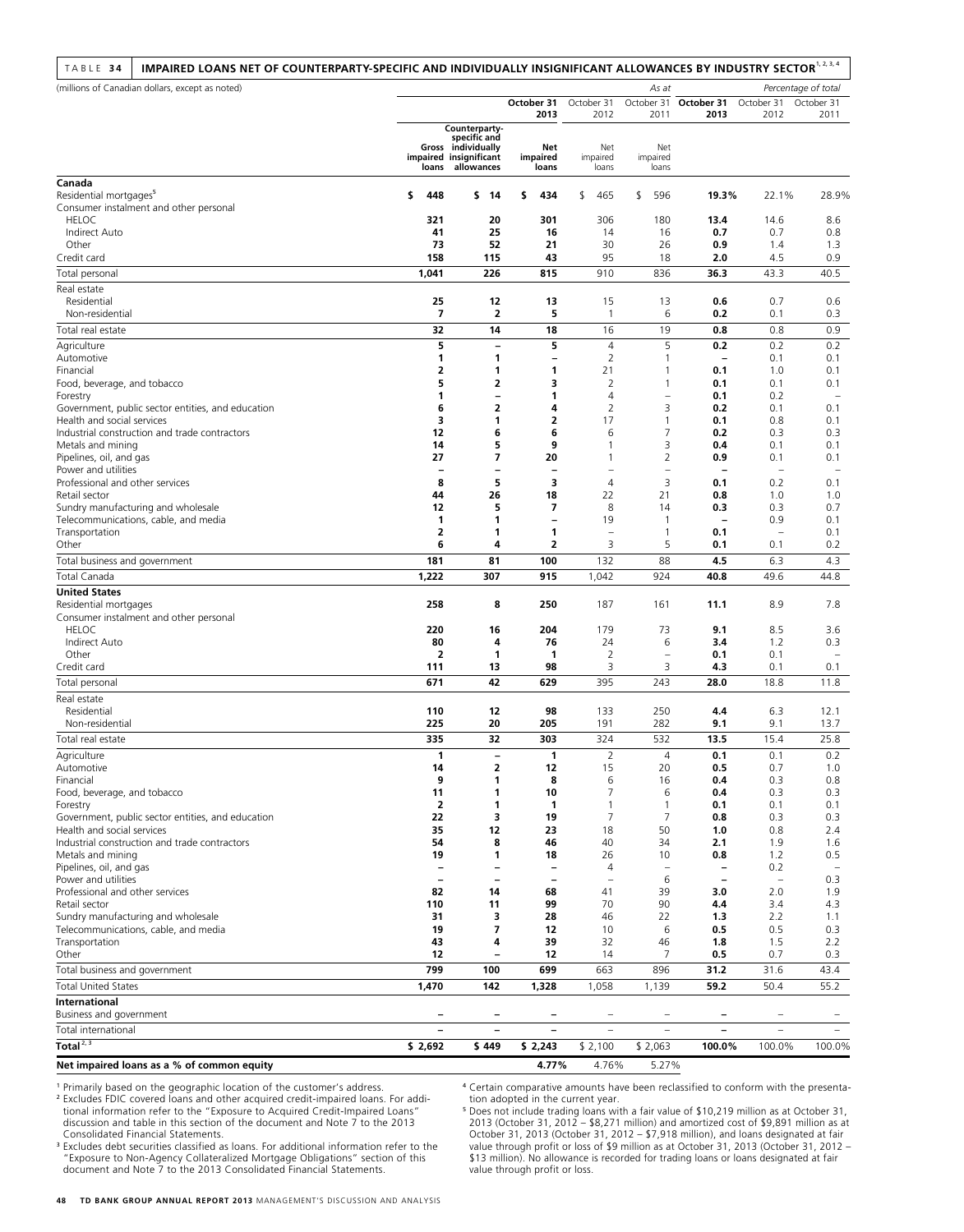| TABLE 34                                         | IMPAIRED LOANS NET OF COUNTERPARTY-SPECIFIC AND INDIVIDUALLY INSIGNIFICANT ALLOWANCES BY INDUSTRY SECTOR <sup>1,2,3,4</sup> |                                                      |                                    |                          |                                |                                |                               |                                 |                     |
|--------------------------------------------------|-----------------------------------------------------------------------------------------------------------------------------|------------------------------------------------------|------------------------------------|--------------------------|--------------------------------|--------------------------------|-------------------------------|---------------------------------|---------------------|
|                                                  | (millions of Canadian dollars, except as noted)                                                                             |                                                      |                                    |                          |                                | As at                          |                               |                                 | Percentage of total |
|                                                  |                                                                                                                             |                                                      |                                    | October 31<br>2013       | October 31                     |                                | October 31 October 31<br>2013 | October 31                      | October 31          |
|                                                  |                                                                                                                             |                                                      | Counterparty-                      |                          | 2012                           | 2011                           |                               | 2012                            | 2011                |
|                                                  |                                                                                                                             |                                                      | specific and<br>Gross individually | Net                      | Net                            |                                |                               |                                 |                     |
|                                                  |                                                                                                                             |                                                      | impaired insignificant             | impaired                 | impaired                       | Net<br>impaired                |                               |                                 |                     |
| Canada                                           |                                                                                                                             | loans                                                | allowances                         | loans                    | loans                          | loans                          |                               |                                 |                     |
| Residential mortgages <sup>5</sup>               |                                                                                                                             | \$<br>448                                            | \$14                               | \$<br>434                | \$<br>465                      | \$<br>596                      | 19.3%                         | 22.1%                           | 28.9%               |
|                                                  | Consumer instalment and other personal                                                                                      |                                                      |                                    |                          |                                |                                |                               |                                 |                     |
| <b>HELOC</b>                                     |                                                                                                                             | 321<br>41                                            | 20<br>25                           | 301<br>16                | 306<br>14                      | 180<br>16                      | 13.4<br>0.7                   | 14.6<br>0.7                     | 8.6<br>0.8          |
| Indirect Auto<br>Other                           |                                                                                                                             | 73                                                   | 52                                 | 21                       | 30                             | 26                             | 0.9                           | 1.4                             | 1.3                 |
| Credit card                                      |                                                                                                                             | 158                                                  | 115                                | 43                       | 95                             | 18                             | 2.0                           | 4.5                             | 0.9                 |
| Total personal                                   |                                                                                                                             | 1,041                                                | 226                                | 815                      | 910                            | 836                            | 36.3                          | 43.3                            | 40.5                |
| Real estate                                      |                                                                                                                             |                                                      |                                    |                          |                                |                                |                               |                                 |                     |
| Residential<br>Non-residential                   |                                                                                                                             | 25<br>$\overline{\mathbf{z}}$                        | 12<br>$\overline{2}$               | 13<br>5                  | 15<br>$\mathbf{1}$             | 13<br>6                        | 0.6<br>0.2                    | 0.7<br>0.1                      | 0.6<br>0.3          |
| Total real estate                                |                                                                                                                             | 32                                                   | 14                                 | 18                       | 16                             | 19                             | 0.8                           | 0.8                             | 0.9                 |
| Agriculture                                      |                                                                                                                             | 5                                                    | $\overline{\phantom{0}}$           | 5                        | $\overline{4}$                 | 5                              | 0.2                           | 0.2                             | 0.2                 |
| Automotive                                       |                                                                                                                             | 1                                                    | 1                                  | $\overline{\phantom{0}}$ | $\overline{2}$                 | 1                              | $\overline{\phantom{0}}$      | 0.1                             | 0.1                 |
| Financial<br>Food, beverage, and tobacco         |                                                                                                                             | $\overline{\mathbf{2}}$<br>5                         | 1<br>2                             | 1<br>3                   | 21<br>$\overline{2}$           | 1<br>1                         | 0.1<br>0.1                    | 1.0<br>0.1                      | 0.1<br>0.1          |
| Forestry                                         |                                                                                                                             | 1                                                    | L,                                 | 1                        | 4                              | $\overline{a}$                 | 0.1                           | 0.2                             |                     |
|                                                  | Government, public sector entities, and education                                                                           | 6                                                    | 2                                  | 4                        | $\overline{2}$                 | 3                              | 0.2                           | 0.1                             | 0.1                 |
| Health and social services                       |                                                                                                                             | 3<br>12                                              | 1<br>6                             | 2<br>6                   | 17                             | 1<br>7                         | 0.1<br>0.2                    | 0.8                             | 0.1                 |
| Metals and mining                                | Industrial construction and trade contractors                                                                               | 14                                                   | 5                                  | 9                        | 6<br>1                         | 3                              | 0.4                           | 0.3<br>0.1                      | 0.3<br>0.1          |
| Pipelines, oil, and gas                          |                                                                                                                             | 27                                                   | 7                                  | 20                       | $\mathbf{1}$                   | 2                              | 0.9                           | 0.1                             | 0.1                 |
| Power and utilities                              |                                                                                                                             | $\overline{\phantom{0}}$                             | ÷<br>5                             | L.                       |                                | $\overline{a}$                 |                               | $\equiv$                        |                     |
| Professional and other services<br>Retail sector |                                                                                                                             | 8<br>44                                              | 26                                 | 3<br>18                  | $\overline{4}$<br>22           | 3<br>21                        | 0.1<br>0.8                    | 0.2<br>1.0                      | 0.1<br>1.0          |
|                                                  | Sundry manufacturing and wholesale                                                                                          | 12                                                   | 5                                  | 7                        | 8                              | 14                             | 0.3                           | 0.3                             | 0.7                 |
|                                                  | Telecommunications, cable, and media                                                                                        | 1                                                    | 1                                  | ۳                        | 19                             | $\mathbf{1}$                   |                               | 0.9                             | 0.1                 |
| Transportation<br>Other                          |                                                                                                                             | $\overline{\mathbf{2}}$<br>6                         | 1<br>4                             | 1<br>2                   | 3                              | $\mathbf{1}$<br>5              | 0.1<br>0.1                    | $\overline{a}$<br>0.1           | 0.1<br>0.2          |
| Total business and government                    |                                                                                                                             | 181                                                  | 81                                 | 100                      | 132                            | 88                             | 4.5                           | 6.3                             | 4.3                 |
| Total Canada                                     |                                                                                                                             | 1,222                                                | 307                                | 915                      | 1,042                          | 924                            | 40.8                          | 49.6                            | 44.8                |
| <b>United States</b>                             |                                                                                                                             |                                                      |                                    |                          |                                |                                |                               |                                 |                     |
| Residential mortgages                            | Consumer instalment and other personal                                                                                      | 258                                                  | 8                                  | 250                      | 187                            | 161                            | 11.1                          | 8.9                             | 7.8                 |
| <b>HELOC</b>                                     |                                                                                                                             | 220                                                  | 16                                 | 204                      | 179                            | 73                             | 9.1                           | 8.5                             | 3.6                 |
| Indirect Auto                                    |                                                                                                                             | 80                                                   | 4                                  | 76                       | 24                             | 6                              | 3.4                           | 1.2                             | 0.3                 |
| Other                                            |                                                                                                                             | $\overline{2}$                                       | $\mathbf{1}$                       | $\mathbf{1}$             | 2                              | $\overline{a}$                 | 0.1                           | 0.1                             |                     |
| Credit card<br>Total personal                    |                                                                                                                             | 111<br>671                                           | 13<br>42                           | 98<br>629                | 3<br>395                       | 3<br>243                       | 4.3<br>28.0                   | 0.1<br>18.8                     | 0.1<br>11.8         |
| Real estate                                      |                                                                                                                             |                                                      |                                    |                          |                                |                                |                               |                                 |                     |
| Residential                                      |                                                                                                                             | 110                                                  | 12                                 | 98                       | 133                            | 250                            | 4.4                           | 6.3                             | 12.1                |
| Non-residential                                  |                                                                                                                             | 225                                                  | 20                                 | 205                      | 191                            | 282                            | 9.1                           | 9.1                             | 13.7                |
| Total real estate                                |                                                                                                                             | 335                                                  | 32                                 | 303                      | 324                            | 532                            | 13.5                          | 15.4                            | 25.8                |
| Agriculture<br>Automotive                        |                                                                                                                             | 1<br>14                                              | $\qquad \qquad -$<br>2             | 1<br>12                  | $\overline{2}$<br>15           | 4<br>20                        | 0.1<br>0.5                    | 0.1<br>0.7                      | 0.2<br>1.0          |
| Financial                                        |                                                                                                                             | 9                                                    | 1                                  | 8                        | 6                              | 16                             | 0.4                           | 0.3                             | 0.8                 |
| Food, beverage, and tobacco                      |                                                                                                                             | 11                                                   | 1                                  | 10                       | $\overline{7}$                 | 6                              | 0.4                           | 0.3                             | 0.3                 |
| Forestry                                         | Government, public sector entities, and education                                                                           | $\overline{\mathbf{2}}$<br>22                        | 1<br>3                             | $\mathbf{1}$<br>19       | $\mathbf{1}$<br>$\overline{7}$ | $\mathbf{1}$<br>$\overline{7}$ | 0.1<br>0.8                    | 0.1<br>0.3                      | 0.1<br>0.3          |
| Health and social services                       |                                                                                                                             | 35                                                   | 12                                 | 23                       | 18                             | 50                             | 1.0                           | 0.8                             | 2.4                 |
|                                                  | Industrial construction and trade contractors                                                                               | 54                                                   | 8                                  | 46                       | 40                             | 34                             | 2.1                           | 1.9                             | 1.6                 |
| Metals and mining                                |                                                                                                                             | 19                                                   | 1<br>$\overline{\phantom{0}}$      | 18                       | 26                             | 10<br>$\overline{\phantom{0}}$ | 0.8                           | 1.2                             | 0.5                 |
| Pipelines, oil, and gas<br>Power and utilities   |                                                                                                                             | $\overline{\phantom{a}}$<br>$\overline{\phantom{a}}$ | $\overline{\phantom{0}}$           |                          | 4                              | 6                              |                               | 0.2<br>$\overline{\phantom{0}}$ | 0.3                 |
| Professional and other services                  |                                                                                                                             | 82                                                   | 14                                 | 68                       | 41                             | 39                             | 3.0                           | 2.0                             | 1.9                 |
| Retail sector                                    | Sundry manufacturing and wholesale                                                                                          | 110                                                  | 11<br>3                            | 99                       | 70                             | 90<br>22                       | 4.4                           | 3.4<br>2.2                      | 4.3                 |
|                                                  | Telecommunications, cable, and media                                                                                        | 31<br>19                                             | 7                                  | 28<br>12                 | 46<br>10                       | 6                              | 1.3<br>0.5                    | 0.5                             | 1.1<br>0.3          |
| Transportation                                   |                                                                                                                             | 43                                                   | 4                                  | 39                       | 32                             | 46                             | 1.8                           | 1.5                             | 2.2                 |
| Other                                            |                                                                                                                             | 12                                                   | $\overline{\phantom{0}}$           | 12                       | 14                             | 7                              | 0.5                           | 0.7                             | 0.3                 |
| Total business and government                    |                                                                                                                             | 799                                                  | 100                                | 699                      | 663                            | 896                            | 31.2                          | 31.6                            | 43.4                |
| <b>Total United States</b>                       |                                                                                                                             | 1,470                                                | 142                                | 1,328                    | 1,058                          | 1,139                          | 59.2                          | 50.4                            | 55.2                |
| International<br>Business and government         |                                                                                                                             |                                                      | ۰                                  |                          |                                |                                |                               |                                 |                     |
| Total international                              |                                                                                                                             | $\overline{\phantom{0}}$                             | $\qquad \qquad -$                  | $\overline{\phantom{0}}$ | $\overline{a}$                 | $\overline{a}$                 | $\overline{\phantom{a}}$      | $\overline{\phantom{0}}$        |                     |
| Total $^{2,3}$                                   |                                                                                                                             | \$ 2,692                                             | \$449                              | \$2,243                  | \$2,100                        | \$2,063                        | 100.0%                        | 100.0%                          | 100.0%              |
|                                                  | Net impaired loans as a % of common equity                                                                                  |                                                      |                                    | 4.77%                    | 4.76%                          | 5.27%                          |                               |                                 |                     |

1 Primarily based on the geographic location of the customer's address.<br><sup>2</sup> Excludes FDIC covered loans and other acquired credit-impaired loans. For additional information refer to the "Exposure to Acquired Credit-Impaired Loans" discussion and table in this section of the document and Note 7 to the 2013 Consolidated Financial Statements.

<sup>3</sup> Excludes debt securities classified as loans. For additional information refer to the "Exposure to Non-Agency Collateralized Mortgage Obligations" section of this document and Note 7 to the 2013 Consolidated Financial Statements.

<sup>4</sup> Certain comparative amounts have been reclassified to conform with the presentation adopted in the current year.

<sup>5</sup> Does not include trading loans with a fair value of \$10,219 million as at October 31, 2013 (October 31, 2012 – \$8,271 million, and amortized cost of \$9,891 million as at October 31, 2013 (October 31, 2012 – \$7,918 mil value through profit or loss.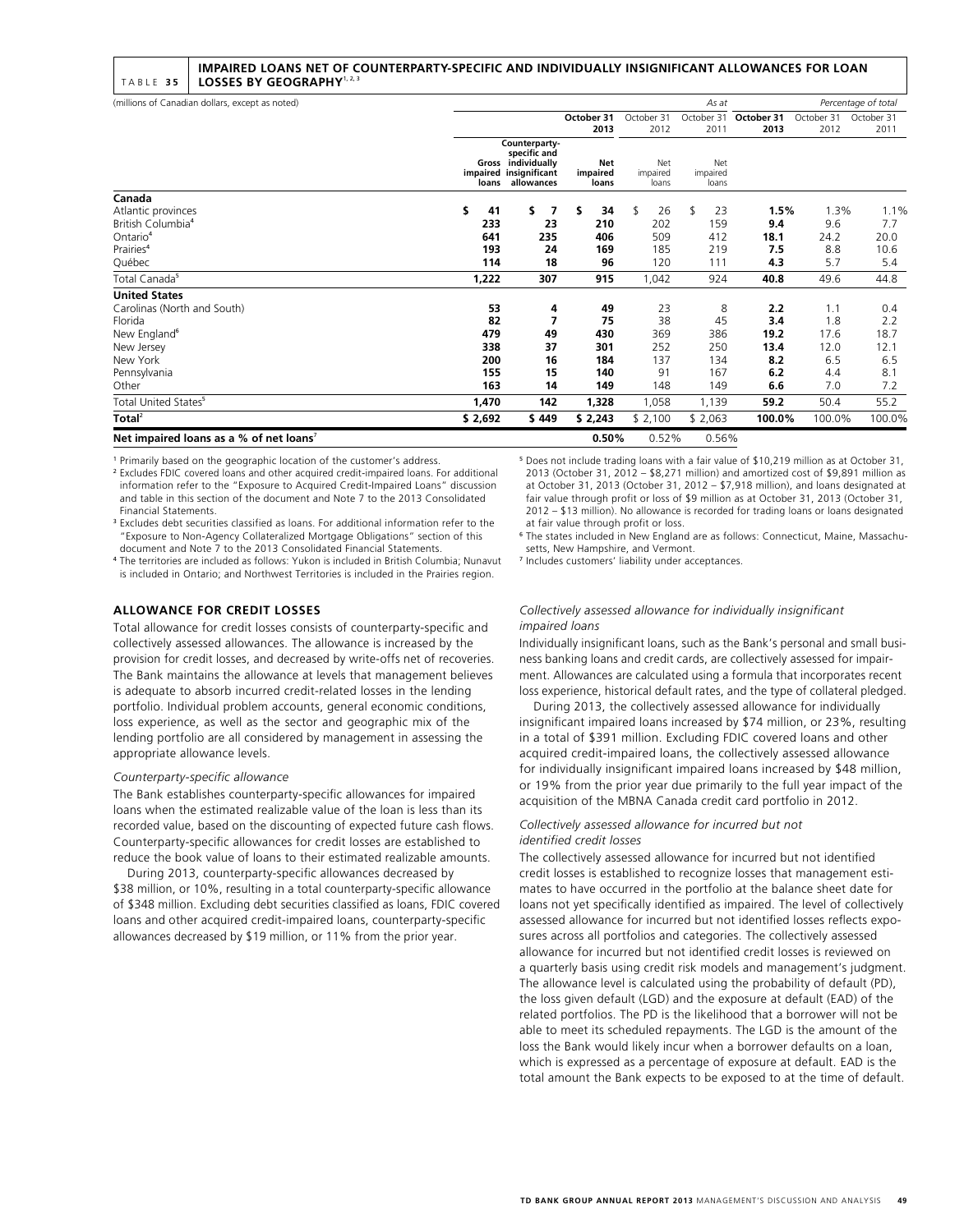#### **IMPAIRED LOANS NET OF COUNTERPARTY-SPECIFIC AND INDIVIDUALLY INSIGNIFICANT ALLOWANCES FOR LOAN LOSSES BY GEOGRAPHY**1, 2, 3 TABLE **3 5**

| (millions of Canadian dollars, except as noted)       |         |                                                                                                      |   |                          |                          |            | As at                    |            |            | Percentage of total |
|-------------------------------------------------------|---------|------------------------------------------------------------------------------------------------------|---|--------------------------|--------------------------|------------|--------------------------|------------|------------|---------------------|
|                                                       |         |                                                                                                      |   | October 31               | October 31               | October 31 |                          | October 31 | October 31 | October 31          |
|                                                       |         |                                                                                                      |   | 2013                     | 2012                     |            | 2011                     | 2013       | 2012       | 2011                |
|                                                       |         | Counterparty-<br>specific and<br>Gross individually<br>impaired insignificant<br>allowances<br>loans |   | Net<br>impaired<br>loans | Net<br>impaired<br>loans |            | Net<br>impaired<br>loans |            |            |                     |
| Canada                                                |         |                                                                                                      |   |                          |                          |            |                          |            |            |                     |
| Atlantic provinces                                    | s       | s.<br>41<br>7                                                                                        | s | 34                       | \$<br>26                 | \$         | 23                       | 1.5%       | 1.3%       | 1.1%                |
| British Columbia <sup>4</sup>                         |         | 233<br>23                                                                                            |   | 210                      | 202                      |            | 159                      | 9.4        | 9.6        | 7.7                 |
| Ontario <sup>4</sup>                                  |         | 641<br>235                                                                                           |   | 406                      | 509                      |            | 412                      | 18.1       | 24.2       | 20.0                |
| Prairies <sup>4</sup>                                 |         | 193<br>24                                                                                            |   | 169                      | 185                      |            | 219                      | 7.5        | 8.8        | 10.6                |
| Québec                                                |         | 18<br>114                                                                                            |   | 96                       | 120                      |            | 111                      | 4.3        | 5.7        | 5.4                 |
| Total Canada <sup>5</sup>                             | 1,222   | 307                                                                                                  |   | 915                      | 1,042                    |            | 924                      | 40.8       | 49.6       | 44.8                |
| <b>United States</b>                                  |         |                                                                                                      |   |                          |                          |            |                          |            |            |                     |
| Carolinas (North and South)                           |         | 53<br>4                                                                                              |   | 49                       | 23                       |            | 8                        | 2.2        | 1.1        | 0.4                 |
| Florida                                               |         | 82<br>7                                                                                              |   | 75                       | 38                       |            | 45                       | 3.4        | 1.8        | 2.2                 |
| New England <sup>6</sup>                              |         | 479<br>49                                                                                            |   | 430                      | 369                      |            | 386                      | 19.2       | 17.6       | 18.7                |
| New Jersey                                            |         | 338<br>37                                                                                            |   | 301                      | 252                      |            | 250                      | 13.4       | 12.0       | 12.1                |
| New York                                              |         | 16<br>200                                                                                            |   | 184                      | 137                      |            | 134                      | 8.2        | 6.5        | 6.5                 |
| Pennsylvania                                          |         | 155<br>15                                                                                            |   | 140                      | 91                       |            | 167                      | 6.2        | 4.4        | 8.1                 |
| Other                                                 |         | 163<br>14                                                                                            |   | 149                      | 148                      |            | 149                      | 6.6        | 7.0        | 7.2                 |
| Total United States <sup>5</sup>                      | 1,470   | 142                                                                                                  |   | 1,328                    | 1,058                    |            | 1,139                    | 59.2       | 50.4       | 55.2                |
| Total <sup>2</sup>                                    | \$2,692 | \$449                                                                                                |   | \$2,243                  | \$2,100                  |            | \$2,063                  | 100.0%     | 100.0%     | 100.0%              |
| Net impaired loans as a $%$ of net loans <sup>7</sup> |         |                                                                                                      |   | 0.50%                    | 0.52%                    |            | 0.56%                    |            |            |                     |

<sup>1</sup> Primarily based on the geographic location of the customer's address.

<sup>2</sup> Excludes FDIC covered loans and other acquired credit-impaired loans. For additional information refer to the "Exposure to Acquired Credit-Impaired Loans" discussion and table in this section of the document and Note 7 to the 2013 Consolidated Financial Statements.

<sup>3</sup> Excludes debt securities classified as loans. For additional information refer to the "Exposure to Non-Agency Collateralized Mortgage Obligations" section of this document and Note 7 to the 2013 Consolidated Financial Statements.

<sup>4</sup> The territories are included as follows: Yukon is included in British Columbia; Nunavut is included in Ontario; and Northwest Territories is included in the Prairies region.

#### **ALLOWANCE FOR CREDIT LOSSES**

Total allowance for credit losses consists of counterparty-specific and collectively assessed allowances. The allowance is increased by the provision for credit losses, and decreased by write-offs net of recoveries. The Bank maintains the allowance at levels that management believes is adequate to absorb incurred credit-related losses in the lending portfolio. Individual problem accounts, general economic conditions, loss experience, as well as the sector and geographic mix of the lending portfolio are all considered by management in assessing the appropriate allowance levels.

#### *Counterparty-specific allowance*

The Bank establishes counterparty-specific allowances for impaired loans when the estimated realizable value of the loan is less than its recorded value, based on the discounting of expected future cash flows. Counterparty-specific allowances for credit losses are established to reduce the book value of loans to their estimated realizable amounts.

During 2013, counterparty-specific allowances decreased by \$38 million, or 10%, resulting in a total counterparty-specific allowance of \$348 million. Excluding debt securities classified as loans, FDIC covered loans and other acquired credit-impaired loans, counterparty-specific allowances decreased by \$19 million, or 11% from the prior year.

<sup>5</sup> Does not include trading loans with a fair value of \$10,219 million as at October 31, 2013 (October 31, 2012 – \$8,271 million) and amortized cost of \$9,891 million as at October 31, 2013 (October 31, 2012 – \$7,918 million), and loans designated at fair value through profit or loss of \$9 million as at October 31, 2013 (October 31, 2012 – \$13 million). No allowance is recorded for trading loans or loans designated at fair value through profit or loss.

<sup>6</sup> The states included in New England are as follows: Connecticut, Maine, Massachusetts, New Hampshire, and Vermont.

<sup>7</sup> Includes customers' liability under acceptances.

#### *Collectively assessed allowance for individually insignificant impaired loans*

Individually insignificant loans, such as the Bank's personal and small business banking loans and credit cards, are collectively assessed for impairment. Allowances are calculated using a formula that incorporates recent loss experience, historical default rates, and the type of collateral pledged.

During 2013, the collectively assessed allowance for individually insignificant impaired loans increased by \$74 million, or 23%, resulting in a total of \$391 million. Excluding FDIC covered loans and other acquired credit-impaired loans, the collectively assessed allowance for individually insignificant impaired loans increased by \$48 million, or 19% from the prior year due primarily to the full year impact of the acquisition of the MBNA Canada credit card portfolio in 2012.

#### *Collectively assessed allowance for incurred but not identified credit losses*

The collectively assessed allowance for incurred but not identified credit losses is established to recognize losses that management estimates to have occurred in the portfolio at the balance sheet date for loans not yet specifically identified as impaired. The level of collectively assessed allowance for incurred but not identified losses reflects exposures across all portfolios and categories. The collectively assessed allowance for incurred but not identified credit losses is reviewed on a quarterly basis using credit risk models and management's judgment. The allowance level is calculated using the probability of default (PD), the loss given default (LGD) and the exposure at default (EAD) of the related portfolios. The PD is the likelihood that a borrower will not be able to meet its scheduled repayments. The LGD is the amount of the loss the Bank would likely incur when a borrower defaults on a loan, which is expressed as a percentage of exposure at default. EAD is the total amount the Bank expects to be exposed to at the time of default.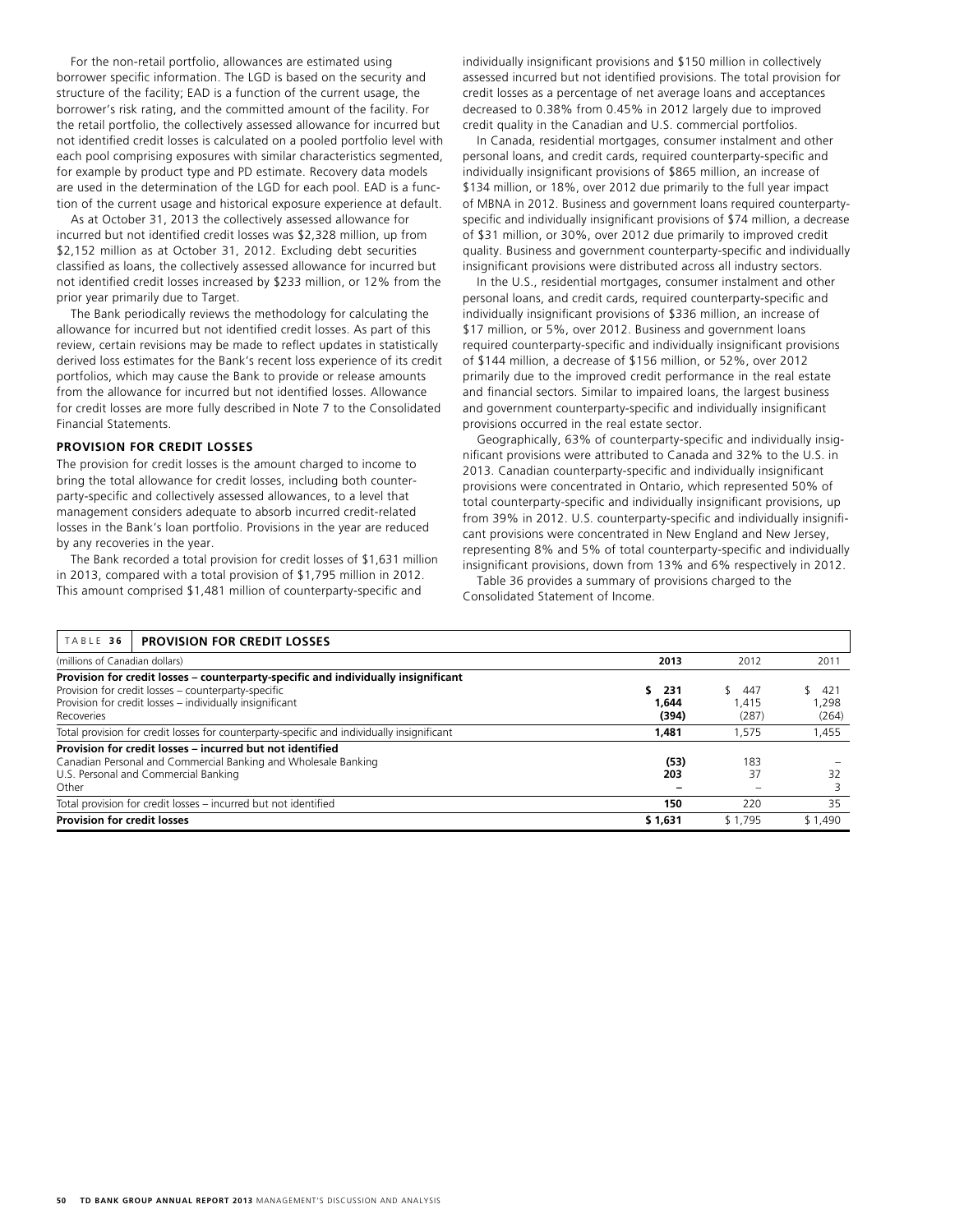For the non-retail portfolio, allowances are estimated using borrower specific information. The LGD is based on the security and structure of the facility; EAD is a function of the current usage, the borrower's risk rating, and the committed amount of the facility. For the retail portfolio, the collectively assessed allowance for incurred but not identified credit losses is calculated on a pooled portfolio level with each pool comprising exposures with similar characteristics segmented, for example by product type and PD estimate. Recovery data models are used in the determination of the LGD for each pool. EAD is a function of the current usage and historical exposure experience at default.

As at October 31, 2013 the collectively assessed allowance for incurred but not identified credit losses was \$2,328 million, up from \$2,152 million as at October 31, 2012. Excluding debt securities classified as loans, the collectively assessed allowance for incurred but not identified credit losses increased by \$233 million, or 12% from the prior year primarily due to Target.

The Bank periodically reviews the methodology for calculating the allowance for incurred but not identified credit losses. As part of this review, certain revisions may be made to reflect updates in statistically derived loss estimates for the Bank's recent loss experience of its credit portfolios, which may cause the Bank to provide or release amounts from the allowance for incurred but not identified losses. Allowance for credit losses are more fully described in Note 7 to the Consolidated Financial Statements.

#### **PROVISION FOR CREDIT LOSSES**

The provision for credit losses is the amount charged to income to bring the total allowance for credit losses, including both counterparty-specific and collectively assessed allowances, to a level that management considers adequate to absorb incurred credit-related losses in the Bank's loan portfolio. Provisions in the year are reduced by any recoveries in the year.

The Bank recorded a total provision for credit losses of \$1,631 million in 2013, compared with a total provision of \$1,795 million in 2012. This amount comprised \$1,481 million of counterparty-specific and

individually insignificant provisions and \$150 million in collectively assessed incurred but not identified provisions. The total provision for credit losses as a percentage of net average loans and acceptances decreased to 0.38% from 0.45% in 2012 largely due to improved credit quality in the Canadian and U.S. commercial portfolios.

In Canada, residential mortgages, consumer instalment and other personal loans, and credit cards, required counterparty-specific and individually insignificant provisions of \$865 million, an increase of \$134 million, or 18%, over 2012 due primarily to the full year impact of MBNA in 2012. Business and government loans required counterpartyspecific and individually insignificant provisions of \$74 million, a decrease of \$31 million, or 30%, over 2012 due primarily to improved credit quality. Business and government counterparty-specific and individually insignificant provisions were distributed across all industry sectors.

In the U.S., residential mortgages, consumer instalment and other personal loans, and credit cards, required counterparty-specific and individually insignificant provisions of \$336 million, an increase of \$17 million, or 5%, over 2012. Business and government loans required counterparty-specific and individually insignificant provisions of \$144 million, a decrease of \$156 million, or 52%, over 2012 primarily due to the improved credit performance in the real estate and financial sectors. Similar to impaired loans, the largest business and government counterparty-specific and individually insignificant provisions occurred in the real estate sector.

Geographically, 63% of counterparty-specific and individually insignificant provisions were attributed to Canada and 32% to the U.S. in 2013. Canadian counterparty-specific and individually insignificant provisions were concentrated in Ontario, which represented 50% of total counterparty-specific and individually insignificant provisions, up from 39% in 2012. U.S. counterparty-specific and individually insignificant provisions were concentrated in New England and New Jersey, representing 8% and 5% of total counterparty-specific and individually insignificant provisions, down from 13% and 6% respectively in 2012.

Table 36 provides a summary of provisions charged to the Consolidated Statement of Income.

| TABLE 36                           | <b>PROVISION FOR CREDIT LOSSES</b>                                                                                                                                                                    |                       |                       |                      |
|------------------------------------|-------------------------------------------------------------------------------------------------------------------------------------------------------------------------------------------------------|-----------------------|-----------------------|----------------------|
| (millions of Canadian dollars)     |                                                                                                                                                                                                       | 2013                  | 2012                  | 2011                 |
| Recoveries                         | Provision for credit losses - counterparty-specific and individually insignificant<br>Provision for credit losses - counterparty-specific<br>Provision for credit losses - individually insignificant | 231<br>1.644<br>(394) | 447<br>1.415<br>(287) | 421<br>.298<br>(264) |
|                                    | Total provision for credit losses for counterparty-specific and individually insignificant                                                                                                            | 1.481                 | 1.575                 | 455,                 |
| Other                              | Provision for credit losses – incurred but not identified<br>Canadian Personal and Commercial Banking and Wholesale Banking<br>U.S. Personal and Commercial Banking                                   | (53)<br>203           | 183<br>37             | 32                   |
|                                    | Total provision for credit losses - incurred but not identified                                                                                                                                       | 150                   | 220                   | 35                   |
| <b>Provision for credit losses</b> |                                                                                                                                                                                                       | \$1.631               | \$1,795               | \$1,490              |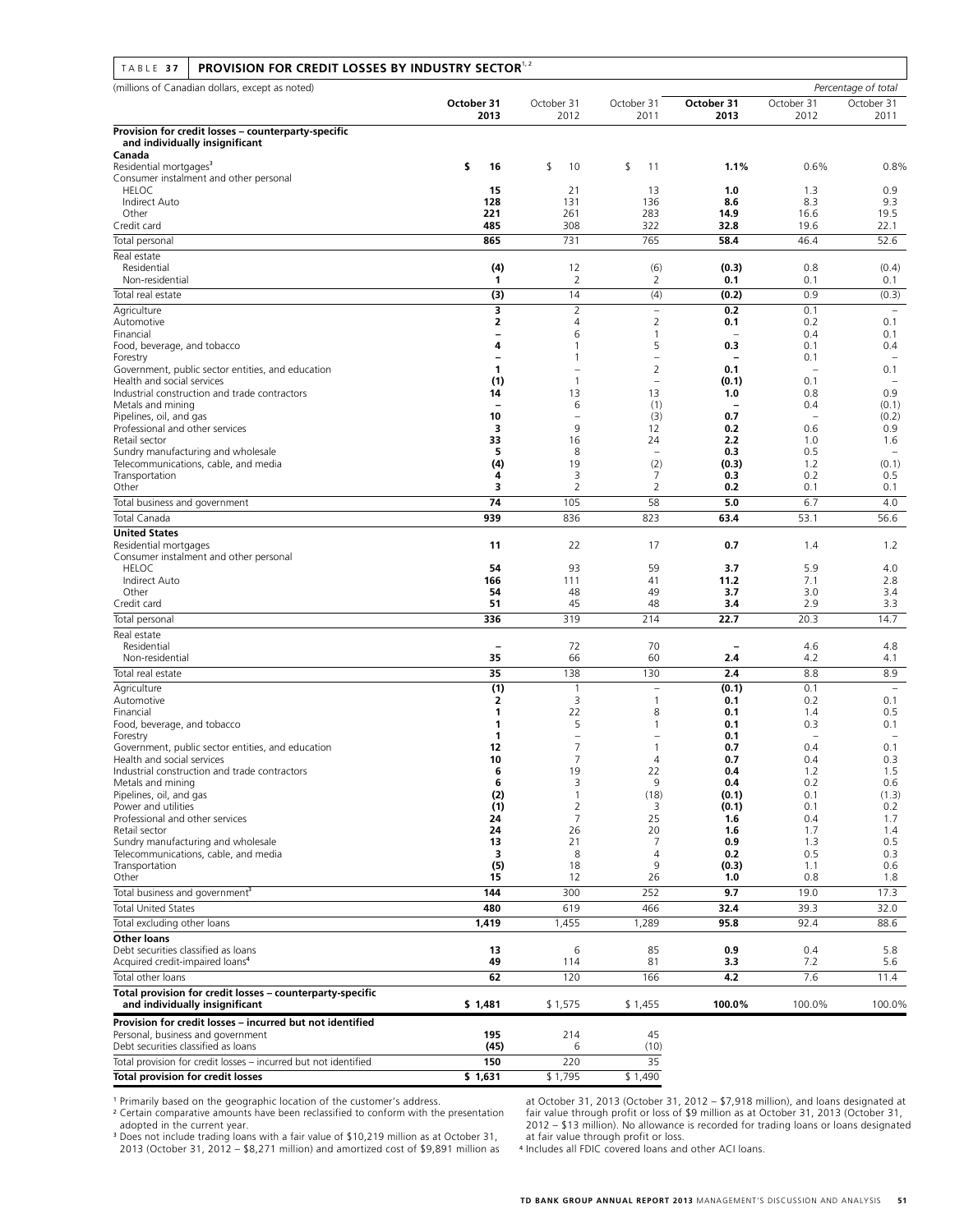| TABLE 37                                                                           | <b>PROVISION FOR CREDIT LOSSES BY INDUSTRY SECTOR<sup>1,2</sup></b>                            |                    |                               |                                            |                    |                                 |                          |
|------------------------------------------------------------------------------------|------------------------------------------------------------------------------------------------|--------------------|-------------------------------|--------------------------------------------|--------------------|---------------------------------|--------------------------|
|                                                                                    | (millions of Canadian dollars, except as noted)                                                |                    |                               |                                            |                    |                                 | Percentage of total      |
|                                                                                    |                                                                                                | October 31<br>2013 | October 31<br>2012            | October 31<br>2011                         | October 31<br>2013 | October 31<br>2012              | October 31<br>2011       |
|                                                                                    | Provision for credit losses - counterparty-specific                                            |                    |                               |                                            |                    |                                 |                          |
|                                                                                    | and individually insignificant                                                                 |                    |                               |                                            |                    |                                 |                          |
| Canada<br>Residential mortgages <sup>3</sup>                                       |                                                                                                | \$<br>16           | \$<br>10                      | \$<br>11                                   | 1.1%               | 0.6%                            | 0.8%                     |
|                                                                                    | Consumer instalment and other personal                                                         |                    |                               |                                            |                    |                                 |                          |
| <b>HELOC</b><br>Indirect Auto                                                      |                                                                                                | 15<br>128          | 21<br>131                     | 13<br>136                                  | 1.0<br>8.6         | 1.3<br>8.3                      | 0.9<br>9.3               |
| Other                                                                              |                                                                                                | 221                | 261                           | 283                                        | 14.9               | 16.6                            | 19.5                     |
| Credit card<br>Total personal                                                      |                                                                                                | 485<br>865         | 308<br>731                    | 322<br>765                                 | 32.8<br>58.4       | 19.6<br>46.4                    | 22.1<br>52.6             |
| Real estate                                                                        |                                                                                                |                    |                               |                                            |                    |                                 |                          |
| Residential                                                                        |                                                                                                | (4)                | 12                            | (6)                                        | (0.3)              | 0.8                             | (0.4)                    |
| Non-residential<br>Total real estate                                               |                                                                                                | 1<br>(3)           | $\overline{2}$<br>14          | $\overline{2}$<br>(4)                      | 0.1<br>(0.2)       | 0.1<br>0.9                      | 0.1<br>(0.3)             |
| Agriculture                                                                        |                                                                                                | 3                  | $\overline{2}$                | $\overline{\phantom{a}}$                   | 0.2                | 0.1                             | $\overline{\phantom{a}}$ |
| Automotive                                                                         |                                                                                                | $\overline{2}$     | $\overline{4}$                | $\overline{2}$                             | 0.1                | 0.2                             | 0.1                      |
| Financial<br>Food, beverage, and tobacco                                           |                                                                                                | 4                  | 6<br>$\mathbf{1}$             | 1<br>5                                     | 0.3                | 0.4<br>0.1                      | 0.1<br>0.4               |
| Forestry                                                                           |                                                                                                |                    | 1                             | $\qquad \qquad -$                          |                    | 0.1                             | $\overline{a}$           |
| Health and social services                                                         | Government, public sector entities, and education                                              | 1<br>(1)           | $\mathbf{1}$                  | $\overline{2}$<br>$\overline{\phantom{a}}$ | 0.1<br>(0.1)       | $\overline{\phantom{a}}$<br>0.1 | 0.1                      |
|                                                                                    | Industrial construction and trade contractors                                                  | 14                 | 13                            | 13                                         | 1.0                | 0.8                             | 0.9                      |
| Metals and mining                                                                  |                                                                                                | 10                 | 6<br>$\overline{\phantom{0}}$ | (1)                                        | 0.7                | 0.4                             | (0.1)<br>(0.2)           |
| Pipelines, oil, and gas<br>Professional and other services                         |                                                                                                | 3                  | 9                             | (3)<br>12                                  | 0.2                | 0.6                             | 0.9                      |
| Retail sector                                                                      |                                                                                                | 33                 | 16                            | 24                                         | 2.2                | 1.0                             | 1.6                      |
|                                                                                    | Sundry manufacturing and wholesale<br>Telecommunications, cable, and media                     | 5<br>(4)           | 8<br>19                       | $\overline{a}$<br>(2)                      | 0.3<br>(0.3)       | 0.5<br>1.2                      | (0.1)                    |
| Transportation                                                                     |                                                                                                | 4                  | $\overline{3}$                | 7                                          | 0.3                | 0.2                             | 0.5                      |
| Other                                                                              |                                                                                                | 3<br>74            | $\overline{2}$                | 2                                          | 0.2                | 0.1                             | 0.1                      |
| Total business and government<br>Total Canada                                      |                                                                                                | 939                | 105<br>836                    | 58<br>823                                  | 5.0<br>63.4        | 6.7<br>53.1                     | 4.0<br>56.6              |
| <b>United States</b>                                                               |                                                                                                |                    |                               |                                            |                    |                                 |                          |
| Residential mortgages                                                              |                                                                                                | 11                 | 22                            | 17                                         | 0.7                | 1.4                             | 1.2                      |
| <b>HELOC</b>                                                                       | Consumer instalment and other personal                                                         | 54                 | 93                            | 59                                         | 3.7                | 5.9                             | 4.0                      |
| Indirect Auto                                                                      |                                                                                                | 166                | 111                           | 41                                         | 11.2               | 7.1                             | 2.8                      |
| Other<br>Credit card                                                               |                                                                                                | 54<br>51           | 48<br>45                      | 49<br>48                                   | 3.7<br>3.4         | 3.0<br>2.9                      | 3.4<br>3.3               |
| Total personal                                                                     |                                                                                                | 336                | 319                           | 214                                        | 22.7               | 20.3                            | 14.7                     |
| Real estate                                                                        |                                                                                                |                    |                               |                                            |                    |                                 |                          |
| Residential                                                                        |                                                                                                | 35                 | 72                            | 70                                         |                    | 4.6                             | 4.8                      |
| Non-residential<br>Total real estate                                               |                                                                                                | 35                 | 66<br>138                     | 60<br>130                                  | 2.4<br>2.4         | 4.2<br>8.8                      | 4.1<br>8.9               |
| Agriculture                                                                        |                                                                                                | (1)                | $\overline{1}$                | $\overline{\phantom{0}}$                   | (0.1)              | 0.1                             | $\equiv$                 |
| Automotive                                                                         |                                                                                                | 2                  | 3                             | $\mathbf{1}$                               | 0.1                | 0.2                             | 0.1                      |
| Financial<br>Food, beverage, and tobacco                                           |                                                                                                | 1<br>1             | 22<br>5                       | 8<br>$\mathbf{1}$                          | 0.1<br>0.1         | 1.4<br>0.3                      | 0.5<br>0.1               |
| Forestry                                                                           |                                                                                                | 1                  | $\overline{a}$                |                                            | 0.1                |                                 | $\overline{a}$           |
| Health and social services                                                         | Government, public sector entities, and education                                              | 12<br>10           | 7<br>$\overline{7}$           | $\mathbf{1}$<br>$\overline{4}$             | 0.7<br>0.7         | 0.4<br>0.4                      | 0.1<br>0.3               |
|                                                                                    | Industrial construction and trade contractors                                                  | 6                  | 19                            | 22                                         | 0.4                | 1.2                             | 1.5                      |
| Metals and mining<br>Pipelines, oil, and gas                                       |                                                                                                | 6                  | 3<br>$\mathbf{1}$             | $\overline{9}$                             | 0.4                | 0.2                             | 0.6                      |
| Power and utilities                                                                |                                                                                                | (2)<br>(1)         | $\overline{2}$                | (18)<br>3                                  | (0.1)<br>(0.1)     | 0.1<br>0.1                      | (1.3)<br>0.2             |
| Professional and other services                                                    |                                                                                                | 24                 | $\overline{7}$                | 25                                         | 1.6                | 0.4                             | 1.7                      |
| Retail sector                                                                      | Sundry manufacturing and wholesale                                                             | 24<br>13           | 26<br>21                      | 20<br>7                                    | 1.6<br>0.9         | 1.7<br>1.3                      | 1.4<br>0.5               |
|                                                                                    | Telecommunications, cable, and media                                                           | 3                  | 8                             | $\overline{4}$                             | 0.2                | 0.5                             | 0.3                      |
| Transportation<br>Other                                                            |                                                                                                | (5)<br>15          | 18<br>12                      | 9<br>26                                    | (0.3)<br>1.0       | 1.1<br>0.8                      | 0.6<br>1.8               |
| Total business and government <sup>3</sup>                                         |                                                                                                | 144                | 300                           | 252                                        | 9.7                | 19.0                            | 17.3                     |
| <b>Total United States</b>                                                         |                                                                                                | 480                | 619                           | 466                                        | 32.4               | 39.3                            | 32.0                     |
| Total excluding other loans                                                        |                                                                                                | 1,419              | 1,455                         | 1,289                                      | 95.8               | 92.4                            | 88.6                     |
| <b>Other loans</b>                                                                 |                                                                                                |                    |                               |                                            |                    |                                 |                          |
| Debt securities classified as loans<br>Acquired credit-impaired loans <sup>4</sup> |                                                                                                | 13<br>49           | 6<br>114                      | 85<br>81                                   | 0.9<br>3.3         | 0.4<br>7.2                      | 5.8<br>5.6               |
| Total other loans                                                                  |                                                                                                | 62                 | 120                           | 166                                        | 4.2                | 7.6                             | 11.4                     |
|                                                                                    | Total provision for credit losses - counterparty-specific                                      |                    |                               |                                            |                    |                                 |                          |
|                                                                                    | and individually insignificant                                                                 | \$1,481            | \$1,575                       | \$1,455                                    | 100.0%             | 100.0%                          | 100.0%                   |
|                                                                                    | Provision for credit losses - incurred but not identified<br>Personal, business and government | 195                | 214                           | 45                                         |                    |                                 |                          |
| Debt securities classified as loans                                                |                                                                                                | (45)               | 6                             | (10)                                       |                    |                                 |                          |
|                                                                                    | Total provision for credit losses - incurred but not identified                                | 150                | 220                           | $\overline{35}$                            |                    |                                 |                          |
|                                                                                    | <b>Total provision for credit losses</b>                                                       | \$1,631            | \$1,795                       | \$1,490                                    |                    |                                 |                          |

<sup>1</sup> Primarily based on the geographic location of the customer's address. <sup>2</sup> Certain comparative amounts have been reclassified to conform with the presentation adopted in the current year.

<sup>3</sup> Does not include trading loans with a fair value of \$10,219 million as at October 31, 2013 (October 31, 2012 – \$8,271 million) and amortized cost of \$9,891 million as

at October 31, 2013 (October 31, 2012 – \$7,918 million), and loans designated at<br>fair value through profit or loss of \$9 million as at October 31, 2013 (October 31,<br>2012 – \$13 million). No allowance is recorded for trading at fair value through profit or loss.

<sup>4</sup> Includes all FDIC covered loans and other ACI loans.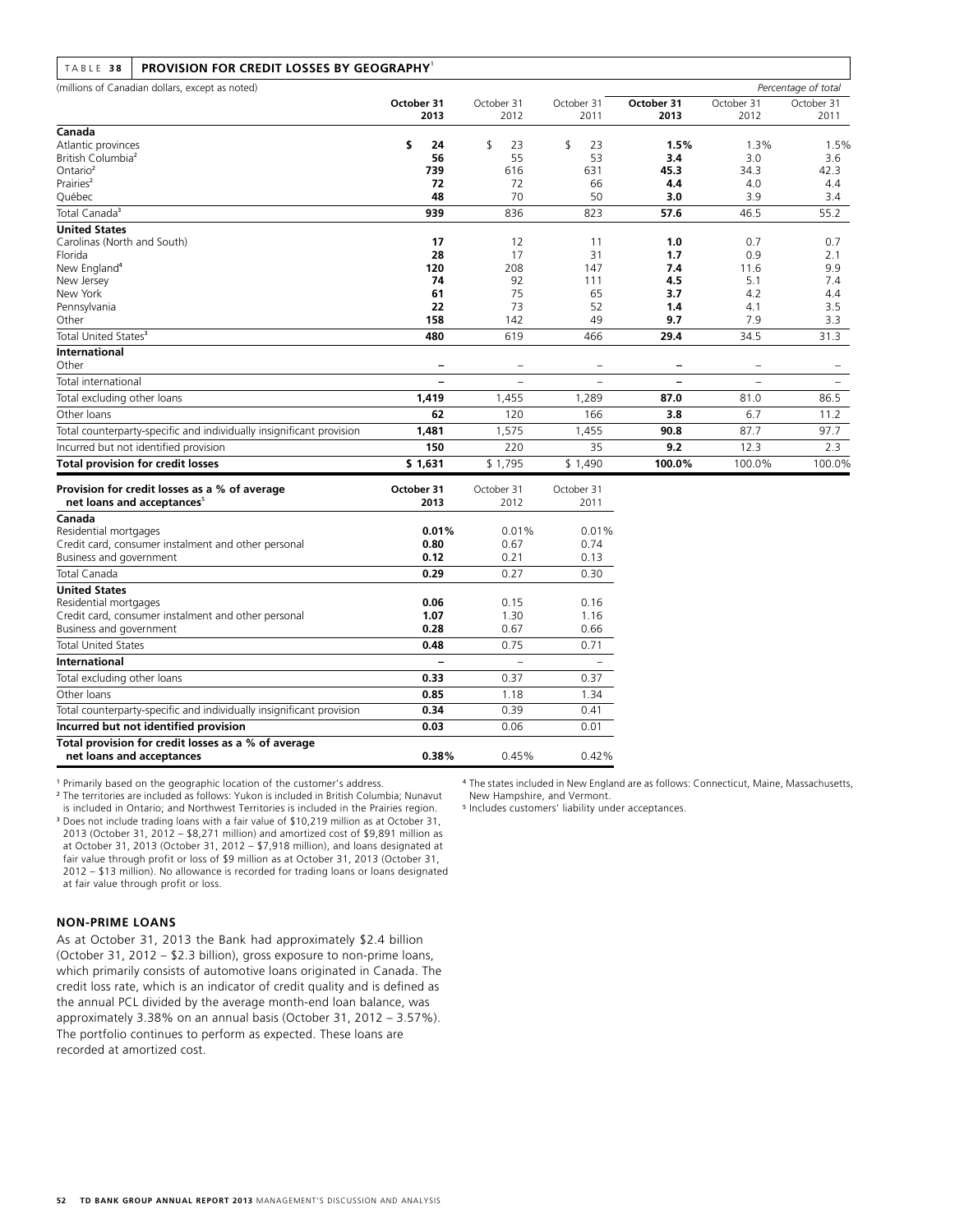| TABLE 38                         | <b>PROVISION FOR CREDIT LOSSES BY GEOGRAPHY</b>                      |                    |                          |                    |                          |                          |                     |
|----------------------------------|----------------------------------------------------------------------|--------------------|--------------------------|--------------------|--------------------------|--------------------------|---------------------|
|                                  | (millions of Canadian dollars, except as noted)                      |                    |                          |                    |                          |                          | Percentage of total |
|                                  |                                                                      | October 31<br>2013 | October 31<br>2012       | October 31<br>2011 | October 31<br>2013       | October 31<br>2012       | October 31<br>2011  |
| Canada                           |                                                                      |                    |                          |                    |                          |                          |                     |
| Atlantic provinces               |                                                                      | \$<br>24           | \$<br>23                 | \$<br>23           | 1.5%                     | 1.3%                     | 1.5%                |
| British Columbia <sup>2</sup>    |                                                                      | 56                 | 55                       | 53                 | 3.4                      | 3.0                      | 3.6                 |
| Ontario <sup>2</sup>             |                                                                      | 739                | 616                      | 631                | 45.3                     | 34.3                     | 42.3                |
| Prairies <sup>2</sup>            |                                                                      | 72                 | 72                       | 66                 | 4.4                      | 4.0                      | 4.4                 |
| Québec                           |                                                                      | 48                 | 70                       | 50                 | 3.0                      | 3.9                      | 3.4                 |
| Total Canada <sup>3</sup>        |                                                                      | 939                | 836                      | 823                | 57.6                     | 46.5                     | 55.2                |
| <b>United States</b>             |                                                                      |                    |                          |                    |                          |                          |                     |
| Carolinas (North and South)      |                                                                      | 17                 | 12                       | 11                 | 1.0                      | 0.7                      | 0.7                 |
| Florida                          |                                                                      | 28                 | 17                       | 31                 | 1.7                      | 0.9                      | 2.1                 |
| New England <sup>4</sup>         |                                                                      | 120                | 208                      | 147                | 7.4                      | 11.6                     | 9.9                 |
| New Jersey                       |                                                                      | 74<br>61           | 92<br>75                 | 111<br>65          | 4.5<br>3.7               | 5.1<br>4.2               | 7.4<br>4.4          |
| New York<br>Pennsylvania         |                                                                      | 22                 | 73                       | 52                 | 1.4                      | 4.1                      | 3.5                 |
| Other                            |                                                                      | 158                | 142                      | 49                 | 9.7                      | 7.9                      | 3.3                 |
| Total United States <sup>3</sup> |                                                                      | 480                | 619                      | 466                | 29.4                     | 34.5                     | 31.3                |
| <b>International</b>             |                                                                      |                    |                          |                    |                          |                          |                     |
| Other                            |                                                                      |                    |                          |                    |                          |                          |                     |
| Total international              |                                                                      |                    | L.                       | ÷                  | $\overline{\phantom{0}}$ | $\overline{\phantom{0}}$ |                     |
| Total excluding other loans      |                                                                      | 1,419              | 1,455                    | 1,289              | 87.0                     | 81.0                     | 86.5                |
| Other loans                      |                                                                      | 62                 | 120                      | 166                | 3.8                      | 6.7                      | 11.2                |
|                                  | Total counterparty-specific and individually insignificant provision | 1,481              | 1,575                    | 1,455              | 90.8                     | 87.7                     | 97.7                |
|                                  | Incurred but not identified provision                                | 150                | 220                      | 35                 | 9.2                      | 12.3                     | 2.3                 |
|                                  | <b>Total provision for credit losses</b>                             | \$1,631            | \$1,795                  | \$1,490            | 100.0%                   | 100.0%                   | 100.0%              |
|                                  | Provision for credit losses as a % of average                        | October 31         | October 31               | October 31         |                          |                          |                     |
|                                  | net loans and acceptances <sup>5</sup>                               | 2013               | 2012                     | 2011               |                          |                          |                     |
| Canada                           |                                                                      |                    |                          |                    |                          |                          |                     |
| Residential mortgages            |                                                                      | 0.01%              | 0.01%                    | 0.01%              |                          |                          |                     |
|                                  | Credit card, consumer instalment and other personal                  | 0.80               | 0.67                     | 0.74               |                          |                          |                     |
| Business and government          |                                                                      | 0.12               | 0.21                     | 0.13               |                          |                          |                     |
| Total Canada                     |                                                                      | 0.29               | 0.27                     | 0.30               |                          |                          |                     |
| <b>United States</b>             |                                                                      |                    |                          |                    |                          |                          |                     |
| Residential mortgages            |                                                                      | 0.06               | 0.15                     | 0.16               |                          |                          |                     |
|                                  | Credit card, consumer instalment and other personal                  | 1.07               | 1.30                     | 1.16               |                          |                          |                     |
| Business and government          |                                                                      | 0.28               | 0.67                     | 0.66               |                          |                          |                     |
| <b>Total United States</b>       |                                                                      | 0.48               | 0.75                     | 0.71               |                          |                          |                     |
| <b>International</b>             |                                                                      |                    | $\overline{\phantom{0}}$ | ÷                  |                          |                          |                     |
| Total excluding other loans      |                                                                      | 0.33               | 0.37                     | 0.37               |                          |                          |                     |
| Other loans                      |                                                                      | 0.85               | 1.18                     | 1.34               |                          |                          |                     |

**Total provision for credit losses as a % of average net loans and acceptances 0.38%** 0.45% 0.42%

<sup>1</sup> Primarily based on the geographic location of the customer's address.

<sup>4</sup> The states included in New England are as follows: Connecticut, Maine, Massachusetts, New Hampshire, and Vermont.

<sup>5</sup> Includes customers' liability under acceptances.

<sup>2</sup> The territories are included as follows: Yukon is included in British Columbia; Nunavut is included in Ontario; and Northwest Territories is included in the Prairies region. <sup>3</sup> Does not include trading loans with a fair value of \$10,219 million as at October 31, 2013 (October 31, 2012 – \$8,271 million) and amortized cost of \$9,891 million as at October 31, 2013 (October 31, 2012 – \$7,918 million), and loans designated at fair value through profit or loss of \$9 million as at October 31, 2013 (October 31, 2012 – \$13 million). No allowance is recorded for trading loans or loans designated at fair value through profit or loss.

Total counterparty-specific and individually insignificant provision **0.34** 0.39 0.41 **Incurred but not identified provision 10.03** 0.06 0.01 0.01

#### **NON-PRIME LOANS**

As at October 31, 2013 the Bank had approximately \$2.4 billion (October 31, 2012 – \$2.3 billion), gross exposure to non-prime loans, which primarily consists of automotive loans originated in Canada. The credit loss rate, which is an indicator of credit quality and is defined as the annual PCL divided by the average month-end loan balance, was approximately 3.38% on an annual basis (October 31, 2012 – 3.57%). The portfolio continues to perform as expected. These loans are recorded at amortized cost.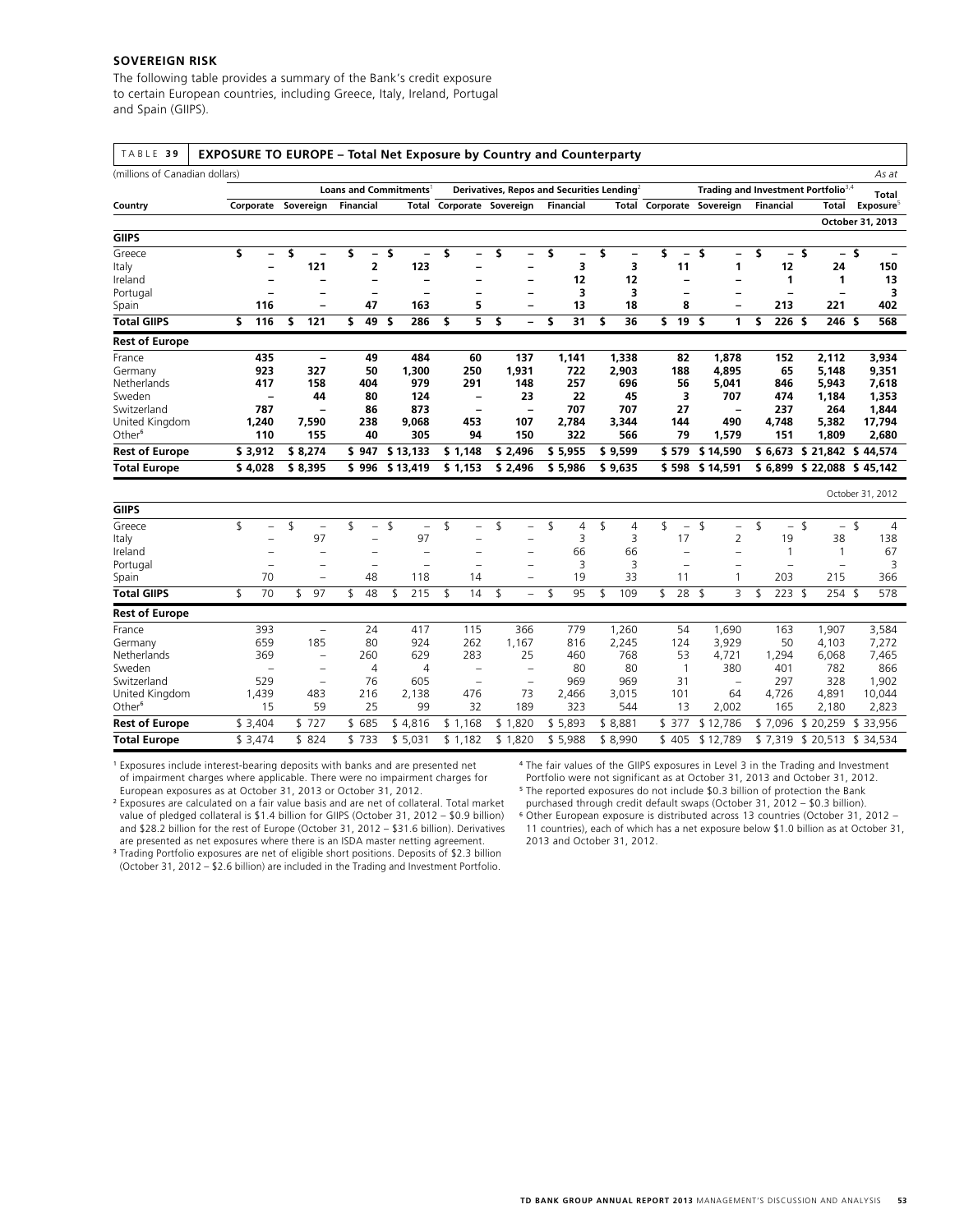#### **SOVEREIGN RISK**

The following table provides a summary of the Bank's credit exposure to certain European countries, including Greece, Italy, Ireland, Portugal and Spain (GIIPS).

# TABLE **3 9 EXPOSURE TO EUROPE – Total Net Exposure by Country and Counterparty**

| (millions of Canadian dollars) |           |               |                          |                       |           |    |                          |                                                        |                          |    |                          |    |           |     |         |                                                 |                          |    |                          |                                 |    |                           | As at                 |
|--------------------------------|-----------|---------------|--------------------------|-----------------------|-----------|----|--------------------------|--------------------------------------------------------|--------------------------|----|--------------------------|----|-----------|-----|---------|-------------------------------------------------|--------------------------|----|--------------------------|---------------------------------|----|---------------------------|-----------------------|
|                                |           |               |                          | Loans and Commitments |           |    |                          | Derivatives, Repos and Securities Lending <sup>4</sup> |                          |    |                          |    |           |     |         | Trading and Investment Portfolio <sup>3,4</sup> |                          |    |                          | Total                           |    |                           |                       |
| Country                        |           |               | Corporate Sovereign      |                       | Financial |    | Total                    |                                                        |                          |    | Corporate Sovereign      |    | Financial |     |         | Total Corporate Sovereign                       |                          |    |                          | Financial                       |    | Total                     | Exposure <sup>5</sup> |
|                                |           |               |                          |                       |           |    |                          |                                                        |                          |    |                          |    |           |     |         |                                                 |                          |    |                          |                                 |    |                           | October 31, 2013      |
| <b>GIIPS</b>                   |           |               |                          |                       |           |    |                          |                                                        |                          |    |                          |    |           |     |         |                                                 |                          |    |                          |                                 |    |                           |                       |
| Greece                         | \$        | S             |                          | \$                    | -         | S  |                          | \$                                                     |                          | S  |                          | s  | -         | Ś   | -       | s.                                              | $\overline{\phantom{0}}$ | s  |                          | \$<br>$\qquad \qquad -$         | Ŝ. | - \$                      |                       |
| Italy                          |           |               | 121                      |                       | 2         |    | 123                      |                                                        |                          |    |                          |    | 3         |     | 3       |                                                 | 11                       |    | 1                        | 12                              |    | 24                        | 150                   |
| Ireland                        |           |               |                          |                       |           |    | $\overline{\phantom{0}}$ |                                                        |                          |    |                          |    | 12        |     | 12      |                                                 |                          |    |                          | 1                               |    | 1                         | 13                    |
| Portugal<br>Spain              | 116       |               | -                        |                       | -<br>47   |    | $\equiv$<br>163          |                                                        | 5                        |    | $\equiv$                 |    | 3<br>13   |     | 3<br>18 |                                                 | -<br>8                   |    |                          | $\overline{\phantom{0}}$<br>213 |    | -<br>221                  | 3<br>402              |
| <b>Total GIIPS</b>             | \$<br>116 | S             | 121                      | \$                    | 49 \$     |    | 286                      | \$                                                     | 5                        | Ŝ. | $\overline{\phantom{0}}$ | \$ | 31        | \$  | 36      |                                                 | $5$ 19 $5$               |    | 1                        | \$<br>226S                      |    | 246 S                     | 568                   |
|                                |           |               |                          |                       |           |    |                          |                                                        |                          |    |                          |    |           |     |         |                                                 |                          |    |                          |                                 |    |                           |                       |
| <b>Rest of Europe</b>          |           |               |                          |                       |           |    |                          |                                                        |                          |    |                          |    |           |     |         |                                                 |                          |    |                          |                                 |    |                           |                       |
| France                         | 435       |               | $\overline{\phantom{0}}$ |                       | 49        |    | 484                      |                                                        | 60                       |    | 137                      |    | 1,141     |     | 1,338   |                                                 | 82                       |    | 1,878                    | 152                             |    | 2,112                     | 3,934                 |
| Germany                        | 923       |               | 327                      |                       | 50        |    | 1,300                    |                                                        | 250                      |    | 1,931                    |    | 722       |     | 2,903   |                                                 | 188                      |    | 4,895                    | 65                              |    | 5.148                     | 9,351                 |
| Netherlands                    | 417       |               | 158                      |                       | 404       |    | 979                      |                                                        | 291                      |    | 148                      |    | 257       |     | 696     |                                                 | 56                       |    | 5,041                    | 846                             |    | 5,943                     | 7,618                 |
| Sweden                         |           |               | 44                       |                       | 80        |    | 124                      |                                                        |                          |    | 23                       |    | 22        |     | 45      |                                                 | 3                        |    | 707                      | 474                             |    | 1,184                     | 1,353                 |
| Switzerland                    | 787       |               | $\equiv$                 |                       | 86        |    | 873                      |                                                        | ۳                        |    | $\overline{\phantom{0}}$ |    | 707       |     | 707     |                                                 | 27                       |    |                          | 237                             |    | 264                       | 1,844                 |
| United Kingdom                 | 1,240     |               | 7,590                    |                       | 238       |    | 9,068                    |                                                        | 453                      |    | 107                      |    | 2,784     |     | 3,344   |                                                 | 144                      |    | 490                      | 4.748                           |    | 5,382                     | 17,794                |
| Other <sup>6</sup>             | 110       |               | 155                      |                       | 40        |    | 305                      |                                                        | 94                       |    | 150                      |    | 322       |     | 566     |                                                 | 79                       |    | 1,579                    | 151                             |    | 1,809                     | 2,680                 |
| <b>Rest of Europe</b>          | \$3,912   |               | \$8,274                  |                       | \$947     |    | \$13,133                 |                                                        | \$1,148                  |    | \$ 2,496                 |    | \$5,955   |     | \$9,599 |                                                 | \$579                    |    | \$14,590                 | \$6.673                         |    | \$21,842 \$44,574         |                       |
| <b>Total Europe</b>            | \$4,028   |               | \$8,395                  |                       | \$996     |    | \$13,419                 |                                                        | \$1,153                  |    | \$ 2,496                 |    | \$5,986   |     | \$9.635 |                                                 |                          |    | \$598 \$14,591           |                                 |    | \$6,899 \$22,088 \$45,142 |                       |
|                                |           |               |                          |                       |           |    |                          |                                                        |                          |    |                          |    |           |     |         |                                                 |                          |    |                          |                                 |    |                           | October 31, 2012      |
| <b>GIIPS</b>                   |           |               |                          |                       |           |    |                          |                                                        |                          |    |                          |    |           |     |         |                                                 |                          |    |                          |                                 |    |                           |                       |
| Greece                         | \$        | \$            |                          | \$                    | -         | \$ | $\overline{\phantom{0}}$ | \$                                                     |                          | \$ | -                        | \$ | 4         | \$  | 4       | \$                                              | -                        | \$ | $\overline{\phantom{0}}$ | \$<br>$\overline{\phantom{0}}$  | \$ | $-5$                      | 4                     |
| Italy                          |           |               | 97                       |                       |           |    | 97                       |                                                        |                          |    |                          |    | 3         |     | 3       |                                                 | 17                       |    | $\overline{2}$           | 19                              |    | 38                        | 138                   |
| Ireland                        |           |               |                          |                       |           |    | ۰                        |                                                        |                          |    |                          |    | 66        |     | 66      |                                                 |                          |    |                          | 1                               |    | 1                         | 67                    |
| Portugal                       |           |               |                          |                       |           |    | $\overline{a}$           |                                                        |                          |    |                          |    | 3         |     | 3       |                                                 |                          |    |                          | ÷                               |    | $\overline{\phantom{0}}$  | 3                     |
| Spain                          | 70        |               |                          |                       | 48        |    | 118                      |                                                        | 14                       |    |                          |    | 19        |     | 33      |                                                 | 11                       |    | $\mathbf{1}$             | 203                             |    | 215                       | 366                   |
| <b>Total GIIPS</b>             | \$<br>70  | $\mathcal{L}$ | 97                       | \$                    | 48        | \$ | 215                      | \$                                                     | 14                       | \$ | $\overline{\phantom{0}}$ | \$ | 95        | \$. | 109     | \$                                              | 28 <sup>5</sup>          |    | 3                        | \$<br>$223$ \$                  |    | $254$ \$                  | 578                   |
| <b>Rest of Europe</b>          |           |               |                          |                       |           |    |                          |                                                        |                          |    |                          |    |           |     |         |                                                 |                          |    |                          |                                 |    |                           |                       |
| France                         | 393       |               | $\overline{\phantom{a}}$ |                       | 24        |    | 417                      |                                                        | 115                      |    | 366                      |    | 779       |     | 1,260   |                                                 | 54                       |    | 1,690                    | 163                             |    | 1,907                     | 3,584                 |
| Germany                        | 659       |               | 185                      |                       | 80        |    | 924                      |                                                        | 262                      |    | 1,167                    |    | 816       |     | 2,245   |                                                 | 124                      |    | 3,929                    | 50                              |    | 4,103                     | 7,272                 |
| Netherlands                    | 369       |               | $\overline{\phantom{0}}$ |                       | 260       |    | 629                      |                                                        | 283                      |    | 25                       |    | 460       |     | 768     |                                                 | 53                       |    | 4,721                    | 1,294                           |    | 6,068                     | 7,465                 |
| Sweden                         |           |               | $\overline{\phantom{a}}$ |                       | 4         |    | 4                        |                                                        | -                        |    | $\overline{\phantom{a}}$ |    | 80        |     | 80      |                                                 | $\overline{1}$           |    | 380                      | 401                             |    | 782                       | 866                   |
| Switzerland                    | 529       |               | $\overline{\phantom{a}}$ |                       | 76        |    | 605                      |                                                        | $\overline{\phantom{a}}$ |    | $\overline{\phantom{a}}$ |    | 969       |     | 969     |                                                 | 31                       |    | $\overline{\phantom{a}}$ | 297                             |    | 328                       | 1,902                 |
| United Kingdom                 | 1,439     |               | 483                      |                       | 216       |    | 2.138                    |                                                        | 476                      |    | 73                       |    | 2,466     |     | 3,015   |                                                 | 101                      |    | 64                       | 4,726                           |    | 4,891                     | 10,044                |
| Other <sup>6</sup>             | 15        |               | 59                       |                       | 25        |    | 99                       |                                                        | 32                       |    | 189                      |    | 323       |     | 544     |                                                 | 13                       |    | 2,002                    | 165                             |    | 2,180                     | 2,823                 |
| <b>Rest of Europe</b>          | \$3.404   |               | \$727                    |                       | \$ 685    |    | \$4.816                  |                                                        | \$1.168                  |    | \$1.820                  |    | \$5.893   |     | \$8,881 |                                                 | \$377                    |    | \$12,786                 | \$7.096                         | s. | 20.259 \$33.956           |                       |

**Total Europe** \$ 3,474 \$ 824 \$ 733 \$ 5,031 \$ 1,182 \$ 1,820 \$ 5,988 \$ 8,990 \$ 405 \$ 12,789 \$ 7,319 \$ 20,513 \$ 34,534

<sup>1</sup> Exposures include interest-bearing deposits with banks and are presented net of impairment charges where applicable. There were no impairment charges for European exposures as at October 31, 2013 or October 31, 2012.

<sup>2</sup> Exposures are calculated on a fair value basis and are net of collateral. Total market value of pledged collateral is \$1.4 billion for GIIPS (October 31, 2012 – \$0.9 billion) and \$28.2 billion for the rest of Europe (October 31, 2012 – \$31.6 billion). Derivatives are presented as net exposures where there is an ISDA master netting agreement.

<sup>4</sup> The fair values of the GIIPS exposures in Level 3 in the Trading and Investment Portfolio were not significant as at October 31, 2013 and October 31, 2012. <sup>5</sup> The reported exposures do not include \$0.3 billion of protection the Bank

purchased through credit default swaps (October 31, 2012 – \$0.3 billion). <sup>6</sup> Other European exposure is distributed across 13 countries (October 31, 2012 – 11 countries), each of which has a net exposure below \$1.0 billion as at October 31, 2013 and October 31, 2012.

<sup>3</sup> Trading Portfolio exposures are net of eligible short positions. Deposits of \$2.3 billion (October 31, 2012 – \$2.6 billion) are included in the Trading and Investment Portfolio.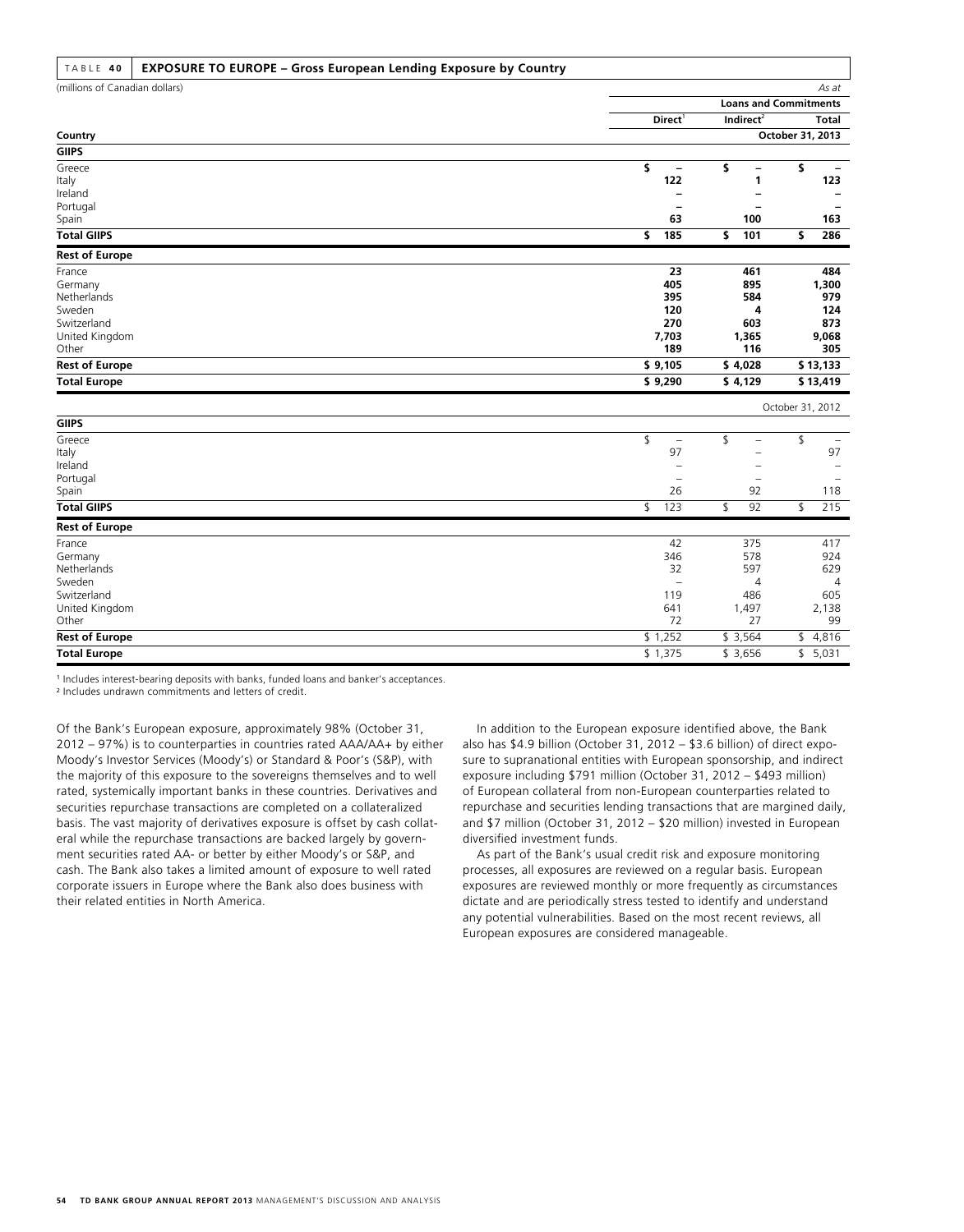| TABLE 40                       | <b>EXPOSURE TO EUROPE - Gross European Lending Exposure by Country</b> |                                |         |                                |                              |                |
|--------------------------------|------------------------------------------------------------------------|--------------------------------|---------|--------------------------------|------------------------------|----------------|
| (millions of Canadian dollars) |                                                                        |                                |         |                                |                              | As at          |
|                                |                                                                        |                                |         |                                | <b>Loans and Commitments</b> |                |
|                                |                                                                        | Direct <sup>1</sup>            |         | Indirect <sup>2</sup>          |                              | Total          |
| Country                        |                                                                        |                                |         |                                | October 31, 2013             |                |
| <b>GIIPS</b>                   |                                                                        |                                |         |                                |                              |                |
| Greece                         |                                                                        | \$                             | \$      | $\overline{\phantom{0}}$       | \$                           |                |
| Italy                          |                                                                        | 122                            |         | 1                              |                              | 123            |
| Ireland                        |                                                                        |                                |         | $\overline{\phantom{0}}$       |                              |                |
| Portugal<br>Spain              |                                                                        | 63                             |         | 100                            |                              | 163            |
| <b>Total GIIPS</b>             |                                                                        | \$<br>185                      | \$      | 101                            | \$                           | 286            |
|                                |                                                                        |                                |         |                                |                              |                |
| <b>Rest of Europe</b>          |                                                                        |                                |         |                                |                              |                |
| France<br>Germany              |                                                                        | 23<br>405                      |         | 461<br>895                     |                              | 484<br>1,300   |
| Netherlands                    |                                                                        | 395                            |         | 584                            |                              | 979            |
| Sweden                         |                                                                        | 120                            |         | 4                              |                              | 124            |
| Switzerland                    |                                                                        | 270                            |         | 603                            |                              | 873            |
| United Kingdom                 |                                                                        | 7,703                          |         | 1,365                          |                              | 9,068          |
| Other                          |                                                                        | 189                            |         | 116                            |                              | 305            |
| <b>Rest of Europe</b>          |                                                                        | \$9,105                        |         | \$4,028                        |                              | \$13,133       |
| <b>Total Europe</b>            |                                                                        | \$9,290                        |         | \$4,129                        |                              | \$13,419       |
|                                |                                                                        |                                |         |                                | October 31, 2012             |                |
| <b>GIIPS</b>                   |                                                                        |                                |         |                                |                              |                |
| Greece                         |                                                                        | \$<br>$\overline{\phantom{a}}$ | \$      | $\overline{\phantom{0}}$       | \$                           |                |
| Italy                          |                                                                        | 97                             |         |                                |                              | 97             |
| Ireland                        |                                                                        | $\sim$                         |         |                                |                              |                |
| Portugal<br>Spain              |                                                                        | $\overline{\phantom{a}}$<br>26 |         | $\overline{\phantom{a}}$<br>92 |                              | 118            |
| <b>Total GIIPS</b>             |                                                                        | \$<br>123                      | \$      | 92                             | \$                           | 215            |
|                                |                                                                        |                                |         |                                |                              |                |
| <b>Rest of Europe</b>          |                                                                        | 42                             |         | 375                            |                              | 417            |
| France<br>Germany              |                                                                        | 346                            |         | 578                            |                              | 924            |
| Netherlands                    |                                                                        | 32                             |         | 597                            |                              | 629            |
| Sweden                         |                                                                        | $\overline{\phantom{a}}$       |         | $\overline{4}$                 |                              | $\overline{4}$ |
| Switzerland                    |                                                                        | 119                            |         | 486                            |                              | 605            |
| United Kingdom                 |                                                                        | 641                            |         | 1,497                          |                              | 2,138          |
| Other                          |                                                                        | 72                             |         | 27                             |                              | 99             |
| <b>Rest of Europe</b>          |                                                                        | \$1,252                        |         | \$3,564                        |                              | \$4,816        |
| <b>Total Europe</b>            |                                                                        | \$1,375                        | \$3,656 |                                |                              | \$5,031        |

<sup>1</sup> Includes interest-bearing deposits with banks, funded loans and banker's acceptances. <sup>2</sup> Includes undrawn commitments and letters of credit.

Of the Bank's European exposure, approximately 98% (October 31, 2012 – 97%) is to counterparties in countries rated AAA/AA+ by either Moody's Investor Services (Moody's) or Standard & Poor's (S&P), with the majority of this exposure to the sovereigns themselves and to well rated, systemically important banks in these countries. Derivatives and securities repurchase transactions are completed on a collateralized basis. The vast majority of derivatives exposure is offset by cash collateral while the repurchase transactions are backed largely by government securities rated AA- or better by either Moody's or S&P, and cash. The Bank also takes a limited amount of exposure to well rated corporate issuers in Europe where the Bank also does business with their related entities in North America.

In addition to the European exposure identified above, the Bank also has \$4.9 billion (October 31, 2012 – \$3.6 billion) of direct exposure to supranational entities with European sponsorship, and indirect exposure including \$791 million (October 31, 2012 – \$493 million) of European collateral from non-European counterparties related to repurchase and securities lending transactions that are margined daily, and \$7 million (October 31, 2012 – \$20 million) invested in European diversified investment funds.

As part of the Bank's usual credit risk and exposure monitoring processes, all exposures are reviewed on a regular basis. European exposures are reviewed monthly or more frequently as circumstances dictate and are periodically stress tested to identify and understand any potential vulnerabilities. Based on the most recent reviews, all European exposures are considered manageable.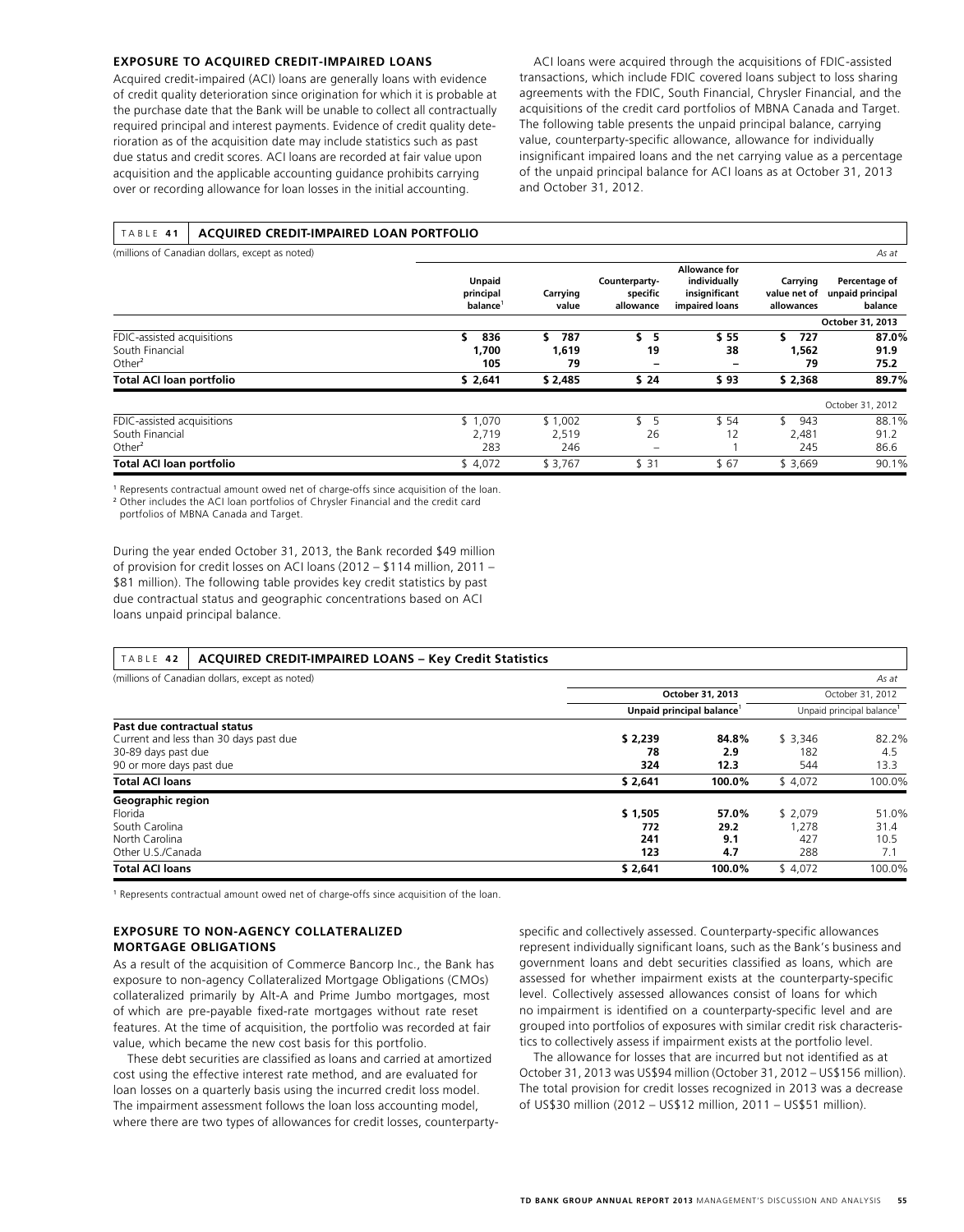#### **EXPOSURE TO ACQUIRED CREDIT-IMPAIRED LOANS**

Acquired credit-impaired (ACI) loans are generally loans with evidence of credit quality deterioration since origination for which it is probable at the purchase date that the Bank will be unable to collect all contractually required principal and interest payments. Evidence of credit quality deterioration as of the acquisition date may include statistics such as past due status and credit scores. ACI loans are recorded at fair value upon acquisition and the applicable accounting guidance prohibits carrying over or recording allowance for loan losses in the initial accounting.

ACI loans were acquired through the acquisitions of FDIC-assisted transactions, which include FDIC covered loans subject to loss sharing agreements with the FDIC, South Financial, Chrysler Financial, and the acquisitions of the credit card portfolios of MBNA Canada and Target. The following table presents the unpaid principal balance, carrying value, counterparty-specific allowance, allowance for individually insignificant impaired loans and the net carrying value as a percentage of the unpaid principal balance for ACI loans as at October 31, 2013 and October 31, 2012.

# TABLE **4 1 ACQUIRED CREDIT-IMPAIRED LOAN PORTFOLIO**

| (millions of Canadian dollars, except as noted)            |                                       |                         |                                        |                                                                         |                                        | As at                                        |
|------------------------------------------------------------|---------------------------------------|-------------------------|----------------------------------------|-------------------------------------------------------------------------|----------------------------------------|----------------------------------------------|
|                                                            | <b>Unpaid</b><br>principal<br>balance | Carrying<br>value       | Counterparty-<br>specific<br>allowance | <b>Allowance for</b><br>individually<br>insignificant<br>impaired loans | Carrying<br>value net of<br>allowances | Percentage of<br>unpaid principal<br>balance |
|                                                            |                                       |                         |                                        |                                                                         |                                        | October 31, 2013                             |
| FDIC-assisted acquisitions<br>South Financial<br>Other $2$ | 836<br>1,700<br>105                   | 787<br>1,619<br>79      | \$.<br>-5<br>19<br>-                   | \$ 55<br>38<br>-                                                        | 727<br>1,562<br>79                     | 87.0%<br>91.9<br>75.2                        |
| <b>Total ACI loan portfolio</b>                            | \$2,641                               | \$2,485                 | \$24                                   | \$93                                                                    | \$2,368                                | 89.7%                                        |
|                                                            |                                       |                         |                                        |                                                                         |                                        | October 31, 2012                             |
| FDIC-assisted acquisitions<br>South Financial<br>Other $2$ | \$1,070<br>2.719<br>283               | \$1,002<br>2.519<br>246 | \$5<br>26<br>-                         | \$54<br>12                                                              | 943<br>2,481<br>245                    | 88.1%<br>91.2<br>86.6                        |
| <b>Total ACI loan portfolio</b>                            | \$4,072                               | \$3,767                 | \$31                                   | \$67                                                                    | \$3,669                                | 90.1%                                        |

<sup>1</sup> Represents contractual amount owed net of charge-offs since acquisition of the loan.

<sup>2</sup> Other includes the ACI loan portfolios of Chrysler Financial and the credit card

portfolios of MBNA Canada and Target.

During the year ended October 31, 2013, the Bank recorded \$49 million of provision for credit losses on ACI loans (2012 – \$114 million, 2011 – \$81 million). The following table provides key credit statistics by past due contractual status and geographic concentrations based on ACI loans unpaid principal balance.

| TABLE 42                    | <b>ACQUIRED CREDIT-IMPAIRED LOANS - Key Credit Statistics</b> |          |                                       |         |                                       |  |
|-----------------------------|---------------------------------------------------------------|----------|---------------------------------------|---------|---------------------------------------|--|
|                             | (millions of Canadian dollars, except as noted)               |          |                                       |         | As at                                 |  |
|                             |                                                               |          | October 31, 2013                      |         | October 31, 2012                      |  |
|                             |                                                               |          | Unpaid principal balance <sup>1</sup> |         | Unpaid principal balance <sup>1</sup> |  |
| Past due contractual status |                                                               |          |                                       |         |                                       |  |
|                             | Current and less than 30 days past due                        | \$ 2,239 | 84.8%                                 | \$3.346 | 82.2%                                 |  |
| 30-89 days past due         |                                                               | 78       | 2.9                                   | 182     | 4.5                                   |  |
| 90 or more days past due    |                                                               | 324      | 12.3                                  | 544     | 13.3                                  |  |
| <b>Total ACI loans</b>      |                                                               | \$2,641  | 100.0%                                | \$4.072 | 100.0%                                |  |
| Geographic region           |                                                               |          |                                       |         |                                       |  |
| Florida                     |                                                               | \$1,505  | 57.0%                                 | \$2.079 | 51.0%                                 |  |
| South Carolina              |                                                               | 772      | 29.2                                  | .278    | 31.4                                  |  |
| North Carolina              |                                                               | 241      | 9.1                                   | 427     | 10.5                                  |  |
| Other U.S./Canada           |                                                               | 123      | 4.7                                   | 288     | 7.1                                   |  |
| <b>Total ACI loans</b>      |                                                               | \$2.641  | 100.0%                                | \$4,072 | 100.0%                                |  |

<sup>1</sup> Represents contractual amount owed net of charge-offs since acquisition of the loan.

#### **EXPOSURE TO NON-AGENCY COLLATERALIZED MORTGAGE OBLIGATIONS**

As a result of the acquisition of Commerce Bancorp Inc., the Bank has exposure to non-agency Collateralized Mortgage Obligations (CMOs) collateralized primarily by Alt-A and Prime Jumbo mortgages, most of which are pre-payable fixed-rate mortgages without rate reset features. At the time of acquisition, the portfolio was recorded at fair value, which became the new cost basis for this portfolio.

These debt securities are classified as loans and carried at amortized cost using the effective interest rate method, and are evaluated for loan losses on a quarterly basis using the incurred credit loss model. The impairment assessment follows the loan loss accounting model, where there are two types of allowances for credit losses, counterparty-

specific and collectively assessed. Counterparty-specific allowances represent individually significant loans, such as the Bank's business and government loans and debt securities classified as loans, which are assessed for whether impairment exists at the counterparty-specific level. Collectively assessed allowances consist of loans for which no impairment is identified on a counterparty-specific level and are grouped into portfolios of exposures with similar credit risk characteristics to collectively assess if impairment exists at the portfolio level.

The allowance for losses that are incurred but not identified as at October 31, 2013 was US\$94 million (October 31, 2012 – US\$156 million). The total provision for credit losses recognized in 2013 was a decrease of US\$30 million (2012 – US\$12 million, 2011 – US\$51 million).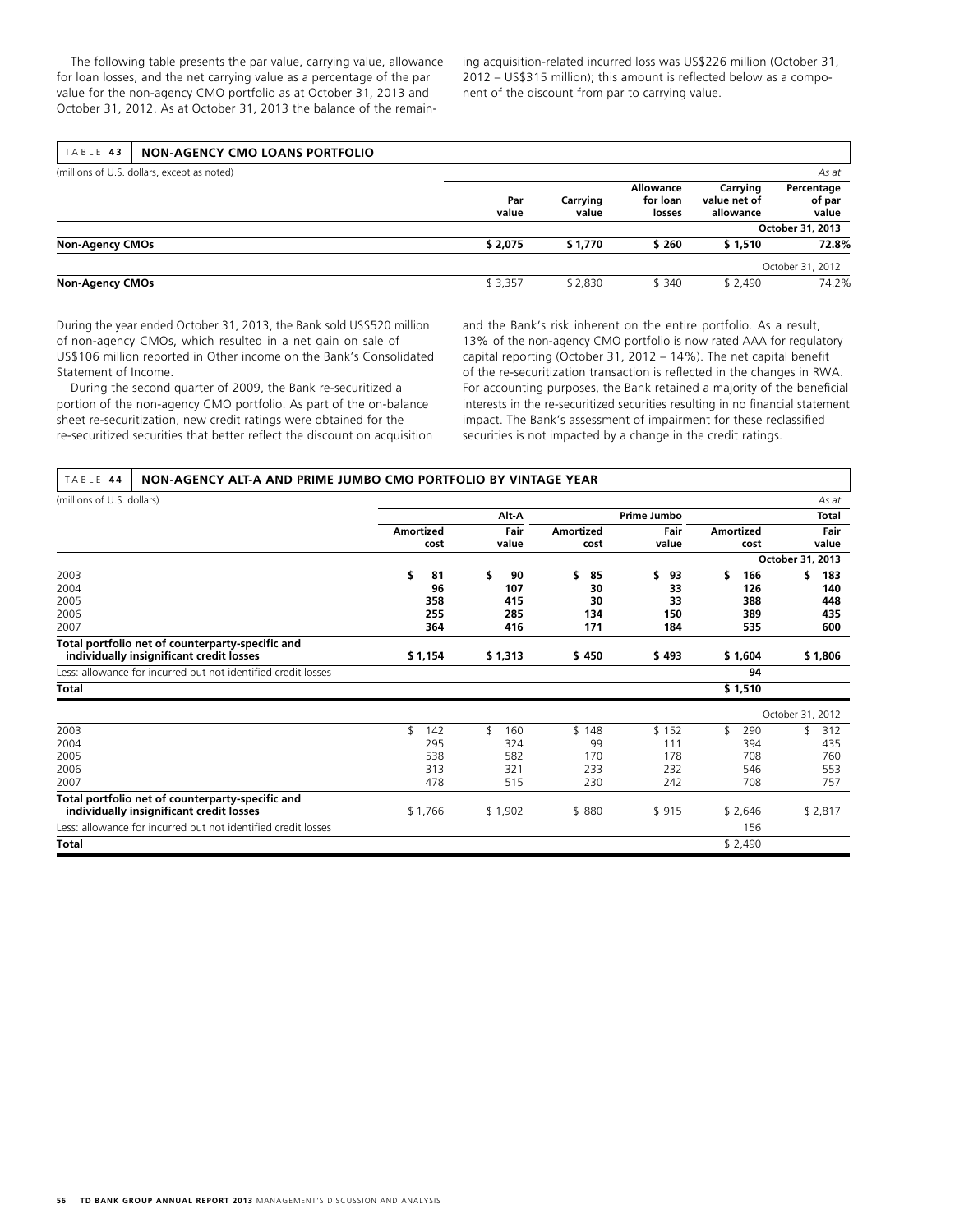The following table presents the par value, carrying value, allowance for loan losses, and the net carrying value as a percentage of the par value for the non-agency CMO portfolio as at October 31, 2013 and October 31, 2012. As at October 31, 2013 the balance of the remaining acquisition-related incurred loss was US\$226 million (October 31, 2012 – US\$315 million); this amount is reflected below as a component of the discount from par to carrying value.

| TABLE 43               | <b>NON-AGENCY CMO LOANS PORTFOLIO</b>       |              |                   |                                        |                                       |                               |
|------------------------|---------------------------------------------|--------------|-------------------|----------------------------------------|---------------------------------------|-------------------------------|
|                        | (millions of U.S. dollars, except as noted) |              |                   |                                        |                                       | As at                         |
|                        |                                             | Par<br>value | Carrying<br>value | <b>Allowance</b><br>for loan<br>losses | Carrying<br>value net of<br>allowance | Percentage<br>of par<br>value |
|                        |                                             |              |                   |                                        |                                       | October 31, 2013              |
| <b>Non-Agency CMOs</b> |                                             | \$2,075      | \$1,770           | \$ 260                                 | \$1,510                               | 72.8%                         |
|                        |                                             |              |                   |                                        |                                       | October 31, 2012              |
| <b>Non-Agency CMOs</b> |                                             | \$3,357      | \$2,830           | \$ 340                                 | \$2.490                               | 74.2%                         |

During the year ended October 31, 2013, the Bank sold US\$520 million of non-agency CMOs, which resulted in a net gain on sale of US\$106 million reported in Other income on the Bank's Consolidated Statement of Income.

During the second quarter of 2009, the Bank re-securitized a portion of the non-agency CMO portfolio. As part of the on-balance sheet re-securitization, new credit ratings were obtained for the re-securitized securities that better reflect the discount on acquisition and the Bank's risk inherent on the entire portfolio. As a result, 13% of the non-agency CMO portfolio is now rated AAA for regulatory capital reporting (October 31, 2012 – 14%). The net capital benefit of the re-securitization transaction is reflected in the changes in RWA. For accounting purposes, the Bank retained a majority of the beneficial interests in the re-securitized securities resulting in no financial statement impact. The Bank's assessment of impairment for these reclassified securities is not impacted by a change in the credit ratings.

| (millions of U.S. dollars)                                    |                                          |      |                                 |      |                                      |                                                                       |                           |      | As at                                                        |
|---------------------------------------------------------------|------------------------------------------|------|---------------------------------|------|--------------------------------------|-----------------------------------------------------------------------|---------------------------|------|--------------------------------------------------------------|
|                                                               |                                          |      |                                 |      |                                      |                                                                       |                           |      | Total                                                        |
|                                                               |                                          |      |                                 | Fair | Amortized                            | Fair                                                                  |                           |      | Fair                                                         |
|                                                               |                                          | cost |                                 |      | cost                                 | value                                                                 |                           | cost | value                                                        |
|                                                               |                                          |      |                                 |      |                                      |                                                                       |                           |      | October 31, 2013                                             |
|                                                               | \$                                       | 81   | \$                              | 90   | 85<br>\$.                            | Ś.<br>93                                                              | \$.                       | 166  | \$<br>183                                                    |
|                                                               |                                          | 96   |                                 | 107  | 30                                   | 33                                                                    |                           | 126  | 140                                                          |
|                                                               |                                          | 358  |                                 | 415  | 30                                   | 33                                                                    |                           | 388  | 448                                                          |
|                                                               |                                          | 255  |                                 | 285  | 134                                  | 150                                                                   |                           | 389  | 435                                                          |
|                                                               |                                          | 364  |                                 | 416  |                                      |                                                                       |                           | 535  | 600                                                          |
| Total portfolio net of counterparty-specific and              |                                          |      |                                 |      |                                      |                                                                       |                           |      |                                                              |
|                                                               |                                          |      |                                 |      | \$450                                | \$493                                                                 |                           |      | \$1,806                                                      |
| Less: allowance for incurred but not identified credit losses |                                          |      |                                 |      |                                      |                                                                       |                           | 94   |                                                              |
|                                                               |                                          |      |                                 |      |                                      |                                                                       |                           |      |                                                              |
|                                                               |                                          |      |                                 |      |                                      |                                                                       |                           |      | October 31, 2012                                             |
|                                                               | \$                                       | 142  | $\mathcal{L}$                   | 160  | \$148                                | \$152                                                                 | \$                        | 290  | 312<br>\$                                                    |
|                                                               |                                          | 295  |                                 | 324  | 99                                   | 111                                                                   |                           | 394  | 435                                                          |
|                                                               |                                          | 538  |                                 | 582  | 170                                  | 178                                                                   |                           | 708  | 760                                                          |
|                                                               |                                          | 313  |                                 | 321  | 233                                  | 232                                                                   |                           | 546  | 553                                                          |
|                                                               |                                          | 478  |                                 | 515  | 230                                  | 242                                                                   |                           | 708  | 757                                                          |
| Total portfolio net of counterparty-specific and              |                                          |      |                                 |      |                                      |                                                                       |                           |      |                                                              |
| individually insignificant credit losses                      |                                          |      |                                 |      | \$ 880                               | \$915                                                                 |                           |      | \$2,817                                                      |
| Less: allowance for incurred but not identified credit losses |                                          |      |                                 |      |                                      |                                                                       |                           | 156  |                                                              |
|                                                               |                                          |      |                                 |      |                                      |                                                                       |                           |      |                                                              |
|                                                               | individually insignificant credit losses |      | Amortized<br>\$1,154<br>\$1,766 |      | Alt-A<br>value<br>\$1,313<br>\$1,902 | NON-AGENCY ALT-A AND PRIME JUMBO CMO PORTFOLIO BY VINTAGE YEAR<br>171 | <b>Prime Jumbo</b><br>184 |      | <b>Amortized</b><br>\$1,604<br>\$1,510<br>\$2,646<br>\$2,490 |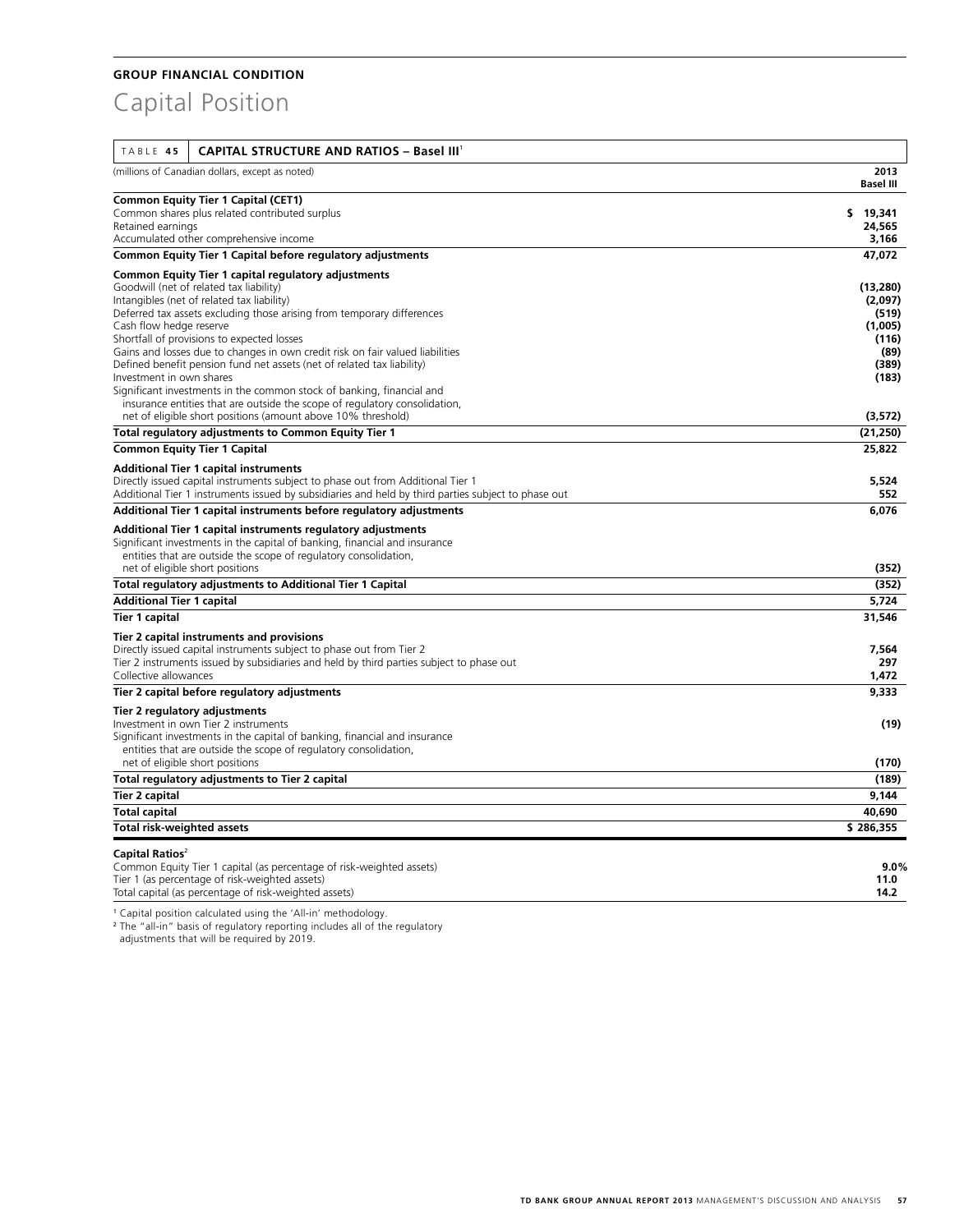# **GROUP FINANCIAL CONDITION**

Capital Position

| TABLE 45<br><b>CAPITAL STRUCTURE AND RATIOS - Basel III</b>                                                                                                                                                                                                                                                                                                                                                                                                                                                                                                                                                                                   |                                                                            |
|-----------------------------------------------------------------------------------------------------------------------------------------------------------------------------------------------------------------------------------------------------------------------------------------------------------------------------------------------------------------------------------------------------------------------------------------------------------------------------------------------------------------------------------------------------------------------------------------------------------------------------------------------|----------------------------------------------------------------------------|
| (millions of Canadian dollars, except as noted)                                                                                                                                                                                                                                                                                                                                                                                                                                                                                                                                                                                               | 2013<br><b>Basel III</b>                                                   |
| Common Equity Tier 1 Capital (CET1)<br>Common shares plus related contributed surplus<br>Retained earnings<br>Accumulated other comprehensive income                                                                                                                                                                                                                                                                                                                                                                                                                                                                                          | \$.<br>19,341<br>24,565<br>3,166                                           |
| Common Equity Tier 1 Capital before regulatory adjustments                                                                                                                                                                                                                                                                                                                                                                                                                                                                                                                                                                                    | 47,072                                                                     |
|                                                                                                                                                                                                                                                                                                                                                                                                                                                                                                                                                                                                                                               |                                                                            |
| Common Equity Tier 1 capital regulatory adjustments<br>Goodwill (net of related tax liability)<br>Intangibles (net of related tax liability)<br>Deferred tax assets excluding those arising from temporary differences<br>Cash flow hedge reserve<br>Shortfall of provisions to expected losses<br>Gains and losses due to changes in own credit risk on fair valued liabilities<br>Defined benefit pension fund net assets (net of related tax liability)<br>Investment in own shares<br>Significant investments in the common stock of banking, financial and<br>insurance entities that are outside the scope of regulatory consolidation, | (13,280)<br>(2,097)<br>(519)<br>(1,005)<br>(116)<br>(89)<br>(389)<br>(183) |
| net of eligible short positions (amount above 10% threshold)                                                                                                                                                                                                                                                                                                                                                                                                                                                                                                                                                                                  | (3,572)                                                                    |
| Total regulatory adjustments to Common Equity Tier 1                                                                                                                                                                                                                                                                                                                                                                                                                                                                                                                                                                                          | (21, 250)                                                                  |
| <b>Common Equity Tier 1 Capital</b>                                                                                                                                                                                                                                                                                                                                                                                                                                                                                                                                                                                                           | 25,822                                                                     |
| <b>Additional Tier 1 capital instruments</b><br>Directly issued capital instruments subject to phase out from Additional Tier 1<br>Additional Tier 1 instruments issued by subsidiaries and held by third parties subject to phase out                                                                                                                                                                                                                                                                                                                                                                                                        | 5,524<br>552                                                               |
| Additional Tier 1 capital instruments before regulatory adjustments                                                                                                                                                                                                                                                                                                                                                                                                                                                                                                                                                                           | 6,076                                                                      |
| Additional Tier 1 capital instruments regulatory adjustments<br>Significant investments in the capital of banking, financial and insurance<br>entities that are outside the scope of regulatory consolidation,<br>net of eligible short positions                                                                                                                                                                                                                                                                                                                                                                                             | (352)                                                                      |
| <b>Total regulatory adjustments to Additional Tier 1 Capital</b>                                                                                                                                                                                                                                                                                                                                                                                                                                                                                                                                                                              | (352)                                                                      |
| <b>Additional Tier 1 capital</b>                                                                                                                                                                                                                                                                                                                                                                                                                                                                                                                                                                                                              | 5,724                                                                      |
| <b>Tier 1 capital</b>                                                                                                                                                                                                                                                                                                                                                                                                                                                                                                                                                                                                                         | 31,546                                                                     |
| Tier 2 capital instruments and provisions<br>Directly issued capital instruments subject to phase out from Tier 2<br>Tier 2 instruments issued by subsidiaries and held by third parties subject to phase out<br>Collective allowances                                                                                                                                                                                                                                                                                                                                                                                                        | 7,564<br>297<br>1,472                                                      |
| Tier 2 capital before regulatory adjustments                                                                                                                                                                                                                                                                                                                                                                                                                                                                                                                                                                                                  | 9,333                                                                      |
| Tier 2 regulatory adjustments<br>Investment in own Tier 2 instruments<br>Significant investments in the capital of banking, financial and insurance<br>entities that are outside the scope of regulatory consolidation,<br>net of eligible short positions                                                                                                                                                                                                                                                                                                                                                                                    | (19)<br>(170)                                                              |
| Total regulatory adjustments to Tier 2 capital                                                                                                                                                                                                                                                                                                                                                                                                                                                                                                                                                                                                | (189)                                                                      |
| Tier 2 capital                                                                                                                                                                                                                                                                                                                                                                                                                                                                                                                                                                                                                                | 9,144                                                                      |
| <b>Total capital</b>                                                                                                                                                                                                                                                                                                                                                                                                                                                                                                                                                                                                                          | 40,690                                                                     |
| <b>Total risk-weighted assets</b>                                                                                                                                                                                                                                                                                                                                                                                                                                                                                                                                                                                                             | \$286,355                                                                  |
| Capital Ratios<br>Common Equity Tier 1 capital (as percentage of risk-weighted assets)<br>Tier 1 (as percentage of risk-weighted assets)<br>Total capital (as percentage of risk-weighted assets)<br><sup>1</sup> Capital position calculated using the 'All-in' methodology.                                                                                                                                                                                                                                                                                                                                                                 | $9.0\%$<br>11.0<br>14.2                                                    |
|                                                                                                                                                                                                                                                                                                                                                                                                                                                                                                                                                                                                                                               |                                                                            |

<sup>2</sup> The "all-in" basis of regulatory reporting includes all of the regulatory

adjustments that will be required by 2019.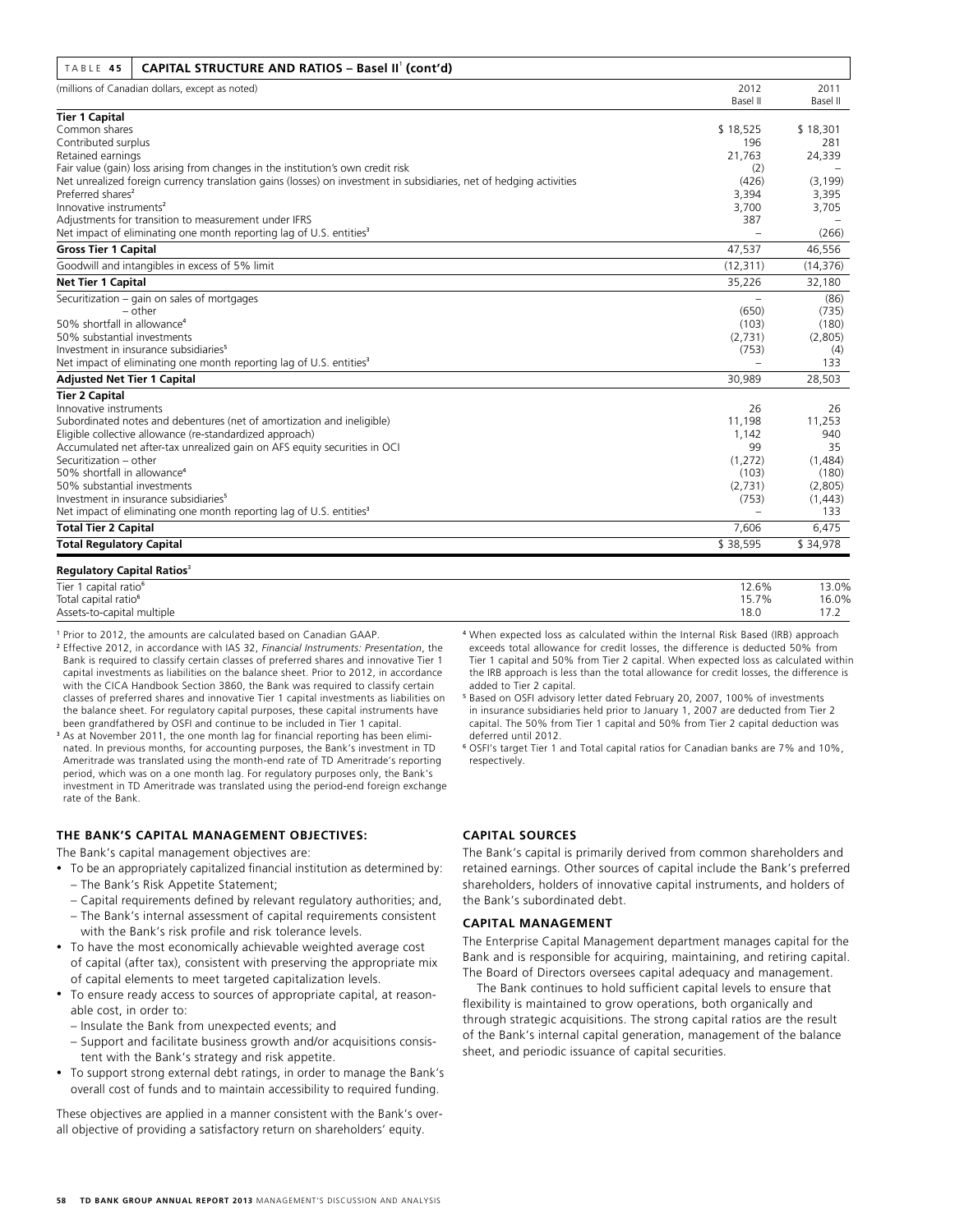| TABLE 45                                | CAPITAL STRUCTURE AND RATIOS - Basel II' (cont'd)                                                                   |                          |           |
|-----------------------------------------|---------------------------------------------------------------------------------------------------------------------|--------------------------|-----------|
|                                         | (millions of Canadian dollars, except as noted)                                                                     | 2012                     | 2011      |
|                                         |                                                                                                                     | Basel II                 | Basel II  |
| <b>Tier 1 Capital</b>                   |                                                                                                                     |                          |           |
| Common shares                           |                                                                                                                     | \$18,525                 | \$18,301  |
| Contributed surplus                     |                                                                                                                     | 196                      | 281       |
| Retained earnings                       |                                                                                                                     | 21,763                   | 24,339    |
|                                         | Fair value (gain) loss arising from changes in the institution's own credit risk                                    | (2)                      |           |
|                                         | Net unrealized foreign currency translation gains (losses) on investment in subsidiaries, net of hedging activities | (426)                    | (3, 199)  |
| Preferred shares <sup>2</sup>           |                                                                                                                     | 3,394                    | 3,395     |
| Innovative instruments <sup>2</sup>     |                                                                                                                     | 3,700                    | 3,705     |
|                                         | Adjustments for transition to measurement under IFRS                                                                | 387                      |           |
|                                         | Net impact of eliminating one month reporting lag of U.S. entities <sup>3</sup>                                     |                          | (266)     |
| <b>Gross Tier 1 Capital</b>             |                                                                                                                     | 47,537                   | 46,556    |
|                                         | Goodwill and intangibles in excess of 5% limit                                                                      | (12, 311)                | (14, 376) |
| <b>Net Tier 1 Capital</b>               |                                                                                                                     | 35,226                   | 32,180    |
|                                         | Securitization - gain on sales of mortgages                                                                         | $\overline{\phantom{0}}$ | (86)      |
|                                         | $-$ other                                                                                                           | (650)                    | (735)     |
| 50% shortfall in allowance <sup>4</sup> |                                                                                                                     | (103)                    | (180)     |
| 50% substantial investments             |                                                                                                                     | (2,731)                  | (2,805)   |
|                                         | Investment in insurance subsidiaries <sup>5</sup>                                                                   | (753)                    | (4)       |
|                                         | Net impact of eliminating one month reporting lag of U.S. entities <sup>3</sup>                                     |                          | 133       |
| <b>Adjusted Net Tier 1 Capital</b>      |                                                                                                                     | 30,989                   | 28,503    |
| <b>Tier 2 Capital</b>                   |                                                                                                                     |                          |           |
| Innovative instruments                  |                                                                                                                     | 26                       | 26        |
|                                         | Subordinated notes and debentures (net of amortization and ineligible)                                              | 11,198                   | 11,253    |
|                                         | Eligible collective allowance (re-standardized approach)                                                            | 1,142                    | 940       |
|                                         | Accumulated net after-tax unrealized gain on AFS equity securities in OCI                                           | 99                       | 35        |
| Securitization - other                  |                                                                                                                     | (1, 272)                 | (1,484)   |
| 50% shortfall in allowance <sup>4</sup> |                                                                                                                     | (103)                    | (180)     |
| 50% substantial investments             |                                                                                                                     | (2,731)                  | (2,805)   |
|                                         | Investment in insurance subsidiaries <sup>5</sup>                                                                   | (753)                    | (1,443)   |
|                                         | Net impact of eliminating one month reporting lag of U.S. entities <sup>3</sup>                                     |                          | 133       |
| <b>Total Tier 2 Capital</b>             |                                                                                                                     | 7,606                    | 6.475     |
| <b>Total Regulatory Capital</b>         |                                                                                                                     | \$38,595                 | \$34,978  |
| Regulatory Capital Ratios <sup>3</sup>  |                                                                                                                     |                          |           |

| -----------------                    |       |       |
|--------------------------------------|-------|-------|
| Tier 1<br>capital ratio <sup>6</sup> | 12.6% | 13.0% |
| Total capital ratio <sup>6</sup>     | 15.7% | 16.0% |
| Assets-to-capital multiple           | 18.0  | .     |
|                                      |       |       |

- <sup>1</sup> Prior to 2012, the amounts are calculated based on Canadian GAAP.
- <sup>2</sup> Effective 2012, in accordance with IAS 32, *Financial Instruments: Presentation*, the Bank is required to classify certain classes of preferred shares and innovative Tier 1 capital investments as liabilities on the balance sheet. Prior to 2012, in accordance with the CICA Handbook Section 3860, the Bank was required to classify certain classes of preferred shares and innovative Tier 1 capital investments as liabilities on the balance sheet. For regulatory capital purposes, these capital instruments have been grandfathered by OSFI and continue to be included in Tier 1 capital.
- <sup>3</sup> As at November 2011, the one month lag for financial reporting has been eliminated. In previous months, for accounting purposes, the Bank's investment in TD Ameritrade was translated using the month-end rate of TD Ameritrade's reporting period, which was on a one month lag. For regulatory purposes only, the Bank's investment in TD Ameritrade was translated using the period-end foreign exchange rate of the Bank.

# **THE BANK'S CAPITAL MANAGEMENT OBJECTIVES:**

The Bank's capital management objectives are:

- To be an appropriately capitalized financial institution as determined by: – The Bank's Risk Appetite Statement;
	- Capital requirements defined by relevant regulatory authorities; and,
	- The Bank's internal assessment of capital requirements consistent with the Bank's risk profile and risk tolerance levels.
- To have the most economically achievable weighted average cost of capital (after tax), consistent with preserving the appropriate mix of capital elements to meet targeted capitalization levels.
- To ensure ready access to sources of appropriate capital, at reasonable cost, in order to:
	- Insulate the Bank from unexpected events; and
	- Support and facilitate business growth and/or acquisitions consistent with the Bank's strategy and risk appetite.
- To support strong external debt ratings, in order to manage the Bank's overall cost of funds and to maintain accessibility to required funding.

These objectives are applied in a manner consistent with the Bank's overall objective of providing a satisfactory return on shareholders' equity.

<sup>4</sup> When expected loss as calculated within the Internal Risk Based (IRB) approach exceeds total allowance for credit losses, the difference is deducted 50% from Tier 1 capital and 50% from Tier 2 capital. When expected loss as calculated within the IRB approach is less than the total allowance for credit losses, the difference is added to Tier 2 capital.

<sup>5</sup> Based on OSFI advisory letter dated February 20, 2007, 100% of investments in insurance subsidiaries held prior to January 1, 2007 are deducted from Tier 2 capital. The 50% from Tier 1 capital and 50% from Tier 2 capital deduction was deferred until 2012.

<sup>6</sup> OSFI's target Tier 1 and Total capital ratios for Canadian banks are 7% and 10%, respectively.

#### **CAPITAL SOURCES**

The Bank's capital is primarily derived from common shareholders and retained earnings. Other sources of capital include the Bank's preferred shareholders, holders of innovative capital instruments, and holders of the Bank's subordinated debt.

#### **CAPITAL MANAGEMENT**

The Enterprise Capital Management department manages capital for the Bank and is responsible for acquiring, maintaining, and retiring capital. The Board of Directors oversees capital adequacy and management.

The Bank continues to hold sufficient capital levels to ensure that flexibility is maintained to grow operations, both organically and through strategic acquisitions. The strong capital ratios are the result of the Bank's internal capital generation, management of the balance sheet, and periodic issuance of capital securities.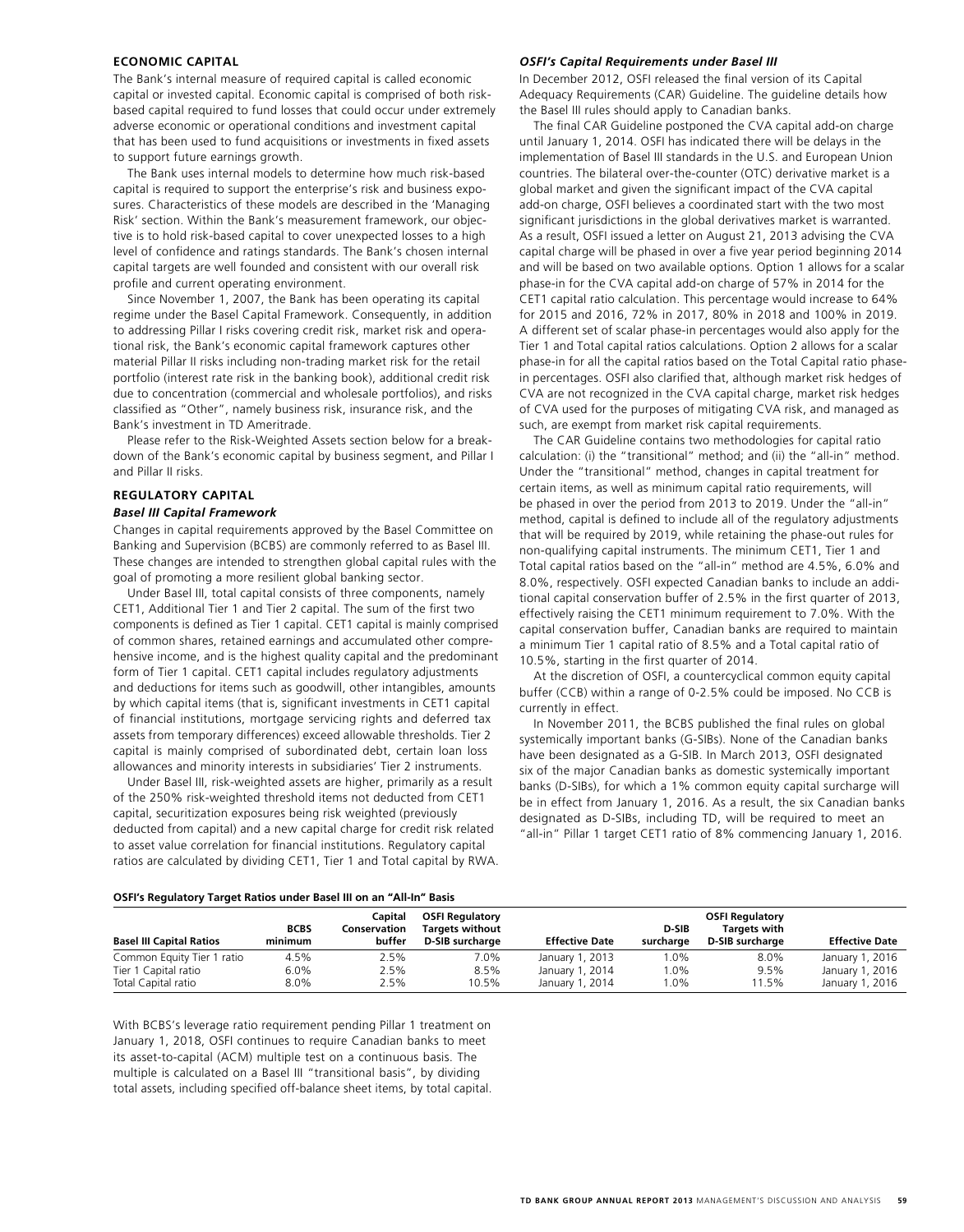#### **ECONOMIC CAPITAL**

The Bank's internal measure of required capital is called economic capital or invested capital. Economic capital is comprised of both riskbased capital required to fund losses that could occur under extremely adverse economic or operational conditions and investment capital that has been used to fund acquisitions or investments in fixed assets to support future earnings growth.

The Bank uses internal models to determine how much risk-based capital is required to support the enterprise's risk and business exposures. Characteristics of these models are described in the 'Managing Risk' section. Within the Bank's measurement framework, our objective is to hold risk-based capital to cover unexpected losses to a high level of confidence and ratings standards. The Bank's chosen internal capital targets are well founded and consistent with our overall risk profile and current operating environment.

Since November 1, 2007, the Bank has been operating its capital regime under the Basel Capital Framework. Consequently, in addition to addressing Pillar I risks covering credit risk, market risk and operational risk, the Bank's economic capital framework captures other material Pillar II risks including non-trading market risk for the retail portfolio (interest rate risk in the banking book), additional credit risk due to concentration (commercial and wholesale portfolios), and risks classified as "Other", namely business risk, insurance risk, and the Bank's investment in TD Ameritrade.

Please refer to the Risk-Weighted Assets section below for a breakdown of the Bank's economic capital by business segment, and Pillar I and Pillar II risks.

#### **REGULATORY CAPITAL** *Basel III Capital Framework*

Changes in capital requirements approved by the Basel Committee on Banking and Supervision (BCBS) are commonly referred to as Basel III. These changes are intended to strengthen global capital rules with the goal of promoting a more resilient global banking sector.

Under Basel III, total capital consists of three components, namely CET1, Additional Tier 1 and Tier 2 capital. The sum of the first two components is defined as Tier 1 capital. CET1 capital is mainly comprised of common shares, retained earnings and accumulated other comprehensive income, and is the highest quality capital and the predominant form of Tier 1 capital. CET1 capital includes regulatory adjustments and deductions for items such as goodwill, other intangibles, amounts by which capital items (that is, significant investments in CET1 capital of financial institutions, mortgage servicing rights and deferred tax assets from temporary differences) exceed allowable thresholds. Tier 2 capital is mainly comprised of subordinated debt, certain loan loss allowances and minority interests in subsidiaries' Tier 2 instruments.

Under Basel III, risk-weighted assets are higher, primarily as a result of the 250% risk-weighted threshold items not deducted from CET1 capital, securitization exposures being risk weighted (previously deducted from capital) and a new capital charge for credit risk related to asset value correlation for financial institutions. Regulatory capital ratios are calculated by dividing CET1, Tier 1 and Total capital by RWA.

#### *OSFI's Capital Requirements under Basel III*

In December 2012, OSFI released the final version of its Capital Adequacy Requirements (CAR) Guideline. The guideline details how the Basel III rules should apply to Canadian banks.

The final CAR Guideline postponed the CVA capital add-on charge until January 1, 2014. OSFI has indicated there will be delays in the implementation of Basel III standards in the U.S. and European Union countries. The bilateral over-the-counter (OTC) derivative market is a global market and given the significant impact of the CVA capital add-on charge, OSFI believes a coordinated start with the two most significant jurisdictions in the global derivatives market is warranted. As a result, OSFI issued a letter on August 21, 2013 advising the CVA capital charge will be phased in over a five year period beginning 2014 and will be based on two available options. Option 1 allows for a scalar phase-in for the CVA capital add-on charge of 57% in 2014 for the CET1 capital ratio calculation. This percentage would increase to 64% for 2015 and 2016, 72% in 2017, 80% in 2018 and 100% in 2019. A different set of scalar phase-in percentages would also apply for the Tier 1 and Total capital ratios calculations. Option 2 allows for a scalar phase-in for all the capital ratios based on the Total Capital ratio phasein percentages. OSFI also clarified that, although market risk hedges of CVA are not recognized in the CVA capital charge, market risk hedges of CVA used for the purposes of mitigating CVA risk, and managed as such, are exempt from market risk capital requirements.

The CAR Guideline contains two methodologies for capital ratio calculation: (i) the "transitional" method; and (ii) the "all-in" method. Under the "transitional" method, changes in capital treatment for certain items, as well as minimum capital ratio requirements, will be phased in over the period from 2013 to 2019. Under the "all-in" method, capital is defined to include all of the regulatory adjustments that will be required by 2019, while retaining the phase-out rules for non-qualifying capital instruments. The minimum CET1, Tier 1 and Total capital ratios based on the "all-in" method are 4.5%, 6.0% and 8.0%, respectively. OSFI expected Canadian banks to include an additional capital conservation buffer of 2.5% in the first quarter of 2013, effectively raising the CET1 minimum requirement to 7.0%. With the capital conservation buffer, Canadian banks are required to maintain a minimum Tier 1 capital ratio of 8.5% and a Total capital ratio of 10.5%, starting in the first quarter of 2014.

At the discretion of OSFI, a countercyclical common equity capital buffer (CCB) within a range of 0-2.5% could be imposed. No CCB is currently in effect.

In November 2011, the BCBS published the final rules on global systemically important banks (G-SIBs). None of the Canadian banks have been designated as a G-SIB. In March 2013, OSFI designated six of the major Canadian banks as domestic systemically important banks (D-SIBs), for which a 1% common equity capital surcharge will be in effect from January 1, 2016. As a result, the six Canadian banks designated as D-SIBs, including TD, will be required to meet an "all-in" Pillar 1 target CET1 ratio of 8% commencing January 1, 2016.

#### **OSFI's Regulatory Target Ratios under Basel III on an "All-In" Basis**

| <b>Basel III Capital Ratios</b> | <b>BCBS</b><br>minimum | Capital<br>Conservation<br>buffer | <b>OSFI Regulatory</b><br><b>Targets without</b><br>D-SIB surcharge | <b>Effective Date</b> | D-SIB<br>surcharge | <b>OSFI Regulatory</b><br><b>Targets with</b><br>D-SIB surcharge | <b>Effective Date</b> |
|---------------------------------|------------------------|-----------------------------------|---------------------------------------------------------------------|-----------------------|--------------------|------------------------------------------------------------------|-----------------------|
| Common Equity Tier 1 ratio      | 4.5%                   | 2.5%                              | 7.0%                                                                | January 1, 2013       | $.0\%$             | 8.0%                                                             | January 1, 2016       |
| Tier 1 Capital ratio            | 6.0%                   | 2.5%                              | 8.5%                                                                | January 1, 2014       | $.0\%$             | 9.5%                                                             | January 1, 2016       |
| Total Capital ratio             | 8.0%                   | 2.5%                              | 10.5%                                                               | January 1, 2014       | $.0\%$             | $1.5\%$                                                          | January 1, 2016       |

With BCBS's leverage ratio requirement pending Pillar 1 treatment on January 1, 2018, OSFI continues to require Canadian banks to meet its asset-to-capital (ACM) multiple test on a continuous basis. The multiple is calculated on a Basel III "transitional basis", by dividing total assets, including specified off-balance sheet items, by total capital.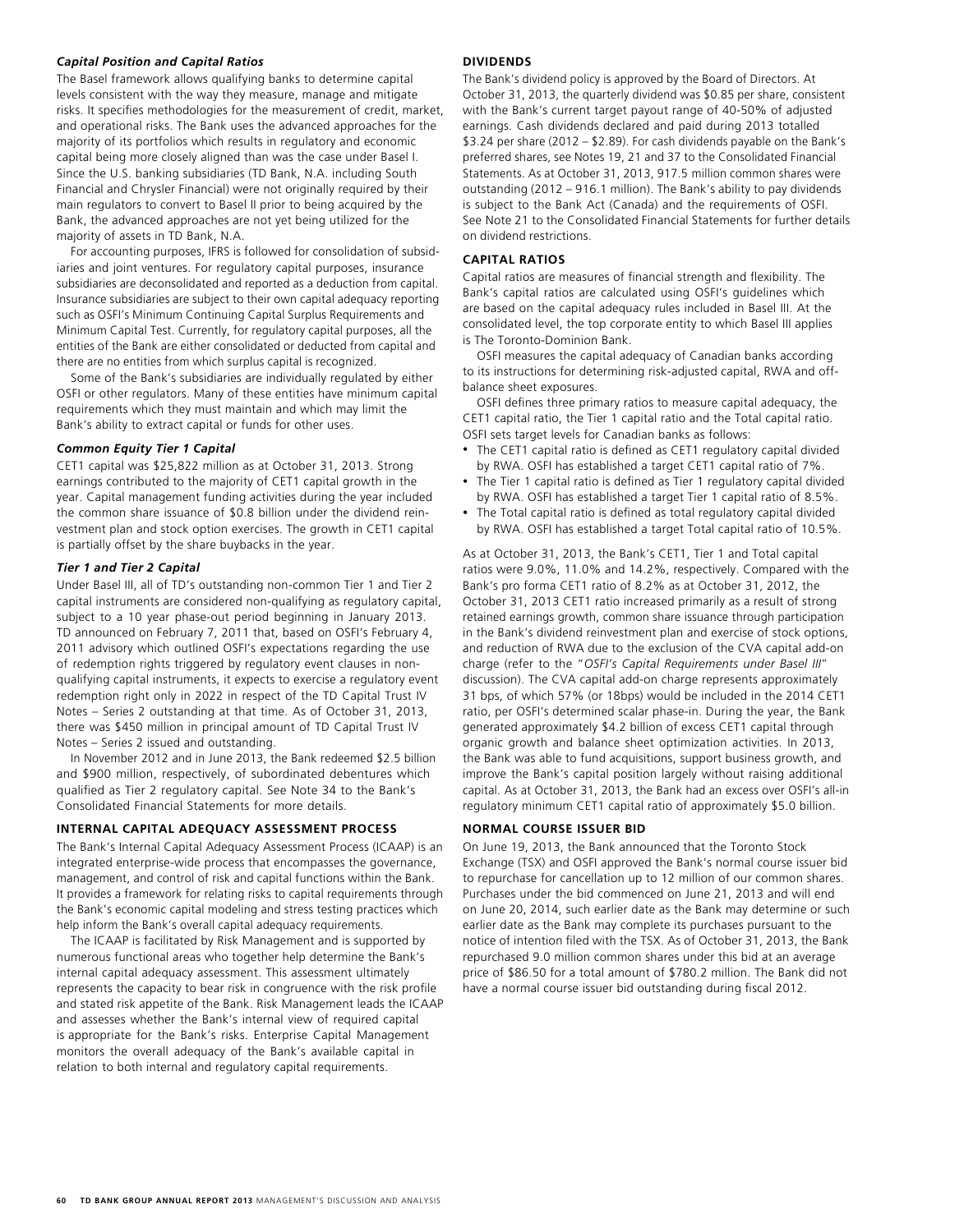#### *Capital Position and Capital Ratios*

The Basel framework allows qualifying banks to determine capital levels consistent with the way they measure, manage and mitigate risks. It specifies methodologies for the measurement of credit, market, and operational risks. The Bank uses the advanced approaches for the majority of its portfolios which results in regulatory and economic capital being more closely aligned than was the case under Basel I. Since the U.S. banking subsidiaries (TD Bank, N.A. including South Financial and Chrysler Financial) were not originally required by their main regulators to convert to Basel II prior to being acquired by the Bank, the advanced approaches are not yet being utilized for the majority of assets in TD Bank, N.A.

For accounting purposes, IFRS is followed for consolidation of subsidiaries and joint ventures. For regulatory capital purposes, insurance subsidiaries are deconsolidated and reported as a deduction from capital. Insurance subsidiaries are subject to their own capital adequacy reporting such as OSFI's Minimum Continuing Capital Surplus Requirements and Minimum Capital Test. Currently, for regulatory capital purposes, all the entities of the Bank are either consolidated or deducted from capital and there are no entities from which surplus capital is recognized.

Some of the Bank's subsidiaries are individually regulated by either OSFI or other regulators. Many of these entities have minimum capital requirements which they must maintain and which may limit the Bank's ability to extract capital or funds for other uses.

#### *Common Equity Tier 1 Capital*

CET1 capital was \$25,822 million as at October 31, 2013. Strong earnings contributed to the majority of CET1 capital growth in the year. Capital management funding activities during the year included the common share issuance of \$0.8 billion under the dividend reinvestment plan and stock option exercises. The growth in CET1 capital is partially offset by the share buybacks in the year.

#### *Tier 1 and Tier 2 Capital*

Under Basel III, all of TD's outstanding non-common Tier 1 and Tier 2 capital instruments are considered non-qualifying as regulatory capital, subject to a 10 year phase-out period beginning in January 2013. TD announced on February 7, 2011 that, based on OSFI's February 4, 2011 advisory which outlined OSFI's expectations regarding the use of redemption rights triggered by regulatory event clauses in nonqualifying capital instruments, it expects to exercise a regulatory event redemption right only in 2022 in respect of the TD Capital Trust IV Notes – Series 2 outstanding at that time. As of October 31, 2013, there was \$450 million in principal amount of TD Capital Trust IV Notes – Series 2 issued and outstanding.

In November 2012 and in June 2013, the Bank redeemed \$2.5 billion and \$900 million, respectively, of subordinated debentures which qualified as Tier 2 regulatory capital. See Note 34 to the Bank's Consolidated Financial Statements for more details.

#### **INTERNAL CAPITAL ADEQUACY ASSESSMENT PROCESS**

The Bank's Internal Capital Adequacy Assessment Process (ICAAP) is an integrated enterprise-wide process that encompasses the governance, management, and control of risk and capital functions within the Bank. It provides a framework for relating risks to capital requirements through the Bank's economic capital modeling and stress testing practices which help inform the Bank's overall capital adequacy requirements.

The ICAAP is facilitated by Risk Management and is supported by numerous functional areas who together help determine the Bank's internal capital adequacy assessment. This assessment ultimately represents the capacity to bear risk in congruence with the risk profile and stated risk appetite of the Bank. Risk Management leads the ICAAP and assesses whether the Bank's internal view of required capital is appropriate for the Bank's risks. Enterprise Capital Management monitors the overall adequacy of the Bank's available capital in relation to both internal and regulatory capital requirements.

#### **DIVIDENDS**

The Bank's dividend policy is approved by the Board of Directors. At October 31, 2013, the quarterly dividend was \$0.85 per share, consistent with the Bank's current target payout range of 40-50% of adjusted earnings. Cash dividends declared and paid during 2013 totalled \$3.24 per share (2012 – \$2.89). For cash dividends payable on the Bank's preferred shares, see Notes 19, 21 and 37 to the Consolidated Financial Statements. As at October 31, 2013, 917.5 million common shares were outstanding (2012 – 916.1 million). The Bank's ability to pay dividends is subject to the Bank Act (Canada) and the requirements of OSFI. See Note 21 to the Consolidated Financial Statements for further details on dividend restrictions.

#### **CAPITAL RATIOS**

Capital ratios are measures of financial strength and flexibility. The Bank's capital ratios are calculated using OSFI's guidelines which are based on the capital adequacy rules included in Basel III. At the consolidated level, the top corporate entity to which Basel III applies is The Toronto-Dominion Bank.

OSFI measures the capital adequacy of Canadian banks according to its instructions for determining risk-adjusted capital, RWA and offbalance sheet exposures.

OSFI defines three primary ratios to measure capital adequacy, the CET1 capital ratio, the Tier 1 capital ratio and the Total capital ratio. OSFI sets target levels for Canadian banks as follows:

- The CET1 capital ratio is defined as CET1 regulatory capital divided by RWA. OSFI has established a target CET1 capital ratio of 7%.
- The Tier 1 capital ratio is defined as Tier 1 regulatory capital divided by RWA. OSFI has established a target Tier 1 capital ratio of 8.5%.
- The Total capital ratio is defined as total regulatory capital divided by RWA. OSFI has established a target Total capital ratio of 10.5%.

As at October 31, 2013, the Bank's CET1, Tier 1 and Total capital ratios were 9.0%, 11.0% and 14.2%, respectively. Compared with the Bank's pro forma CET1 ratio of 8.2% as at October 31, 2012, the October 31, 2013 CET1 ratio increased primarily as a result of strong retained earnings growth, common share issuance through participation in the Bank's dividend reinvestment plan and exercise of stock options, and reduction of RWA due to the exclusion of the CVA capital add-on charge (refer to the "*OSFI's Capital Requirements under Basel III*" discussion). The CVA capital add-on charge represents approximately 31 bps, of which 57% (or 18bps) would be included in the 2014 CET1 ratio, per OSFI's determined scalar phase-in. During the year, the Bank generated approximately \$4.2 billion of excess CET1 capital through organic growth and balance sheet optimization activities. In 2013, the Bank was able to fund acquisitions, support business growth, and improve the Bank's capital position largely without raising additional capital. As at October 31, 2013, the Bank had an excess over OSFI's all-in regulatory minimum CET1 capital ratio of approximately \$5.0 billion.

#### **NORMAL COURSE ISSUER BID**

On June 19, 2013, the Bank announced that the Toronto Stock Exchange (TSX) and OSFI approved the Bank's normal course issuer bid to repurchase for cancellation up to 12 million of our common shares. Purchases under the bid commenced on June 21, 2013 and will end on June 20, 2014, such earlier date as the Bank may determine or such earlier date as the Bank may complete its purchases pursuant to the notice of intention filed with the TSX. As of October 31, 2013, the Bank repurchased 9.0 million common shares under this bid at an average price of \$86.50 for a total amount of \$780.2 million. The Bank did not have a normal course issuer bid outstanding during fiscal 2012.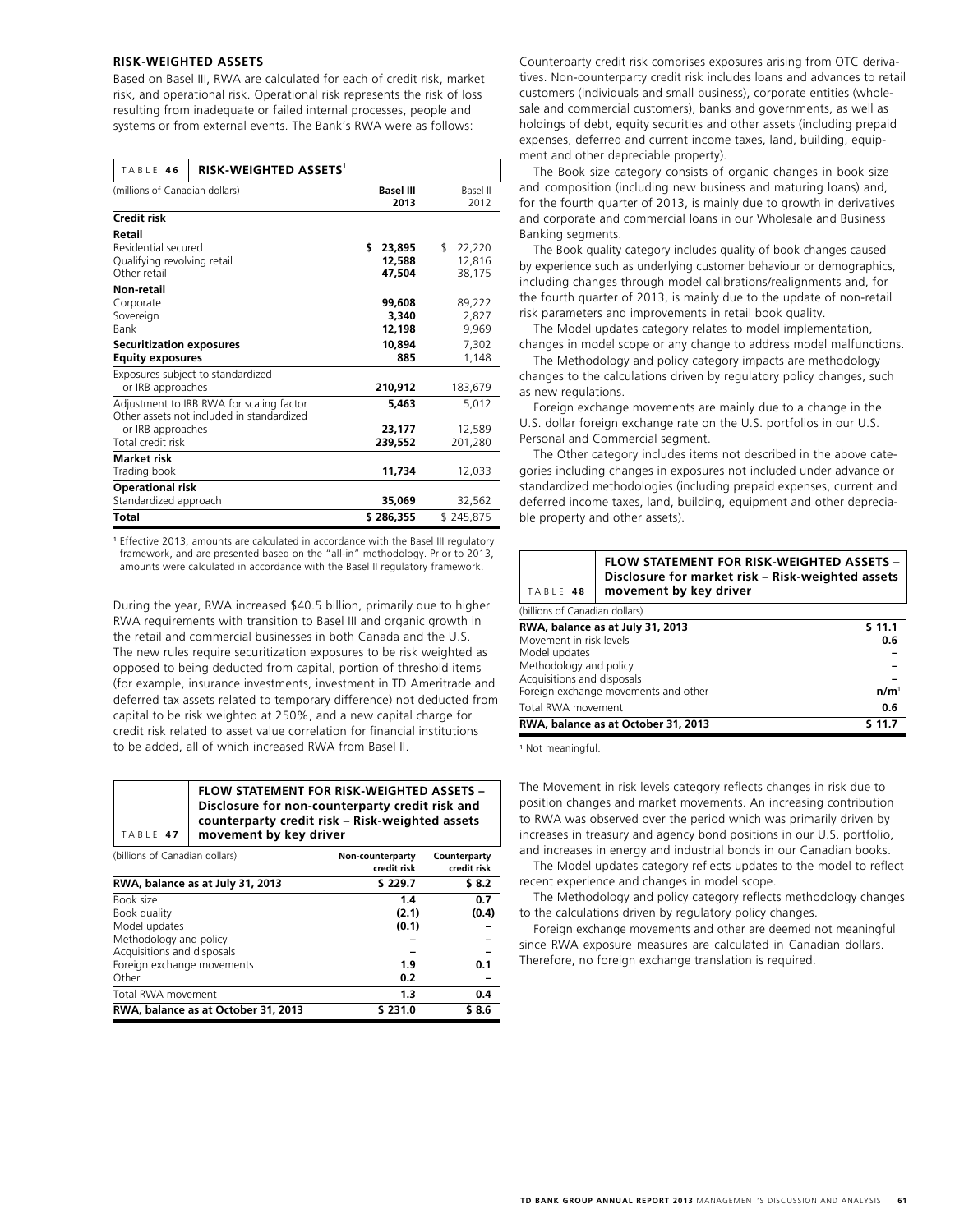#### **RISK-WEIGHTED ASSETS**

Based on Basel III, RWA are calculated for each of credit risk, market risk, and operational risk. Operational risk represents the risk of loss resulting from inadequate or failed internal processes, people and systems or from external events. The Bank's RWA were as follows:

| <b>TABIF 46</b>                                              | RISK-WEIGHTED ASSETS'                                                                 |                           |                          |
|--------------------------------------------------------------|---------------------------------------------------------------------------------------|---------------------------|--------------------------|
| (millions of Canadian dollars)                               |                                                                                       | <b>Basel III</b><br>2013  | Basel II<br>2012         |
| Credit risk                                                  |                                                                                       |                           |                          |
| Retail<br>Residential secured<br>Qualifying revolving retail |                                                                                       | s<br>23,895<br>12,588     | \$<br>22,220<br>12,816   |
| Other retail                                                 |                                                                                       | 47.504                    | 38,175                   |
| Non-retail<br>Corporate<br>Sovereign<br>Bank                 |                                                                                       | 99,608<br>3,340<br>12,198 | 89,222<br>2,827<br>9,969 |
| <b>Securitization exposures</b><br><b>Equity exposures</b>   |                                                                                       | 10,894<br>885             | 7.302<br>1,148           |
| or IRB approaches                                            | Exposures subject to standardized                                                     | 210,912                   | 183,679                  |
|                                                              | Adjustment to IRB RWA for scaling factor<br>Other assets not included in standardized | 5.463                     | 5,012                    |
| or IRB approaches<br>Total credit risk                       |                                                                                       | 23.177<br>239,552         | 12,589<br>201,280        |
| Market risk<br>Trading book                                  |                                                                                       | 11.734                    | 12,033                   |
| <b>Operational risk</b><br>Standardized approach             |                                                                                       | 35,069                    | 32,562                   |
| <b>Total</b>                                                 |                                                                                       | \$286,355                 | \$245,875                |

<sup>1</sup> Effective 2013, amounts are calculated in accordance with the Basel III regulatory framework, and are presented based on the "all-in" methodology. Prior to 2013, amounts were calculated in accordance with the Basel II regulatory framework.

During the year, RWA increased \$40.5 billion, primarily due to higher RWA requirements with transition to Basel III and organic growth in the retail and commercial businesses in both Canada and the U.S. The new rules require securitization exposures to be risk weighted as opposed to being deducted from capital, portion of threshold items (for example, insurance investments, investment in TD Ameritrade and deferred tax assets related to temporary difference) not deducted from capital to be risk weighted at 250%, and a new capital charge for credit risk related to asset value correlation for financial institutions to be added, all of which increased RWA from Basel II.

**FLOW STATEMENT FOR RISK-WEIGHTED ASSETS – Disclosure for non-counterparty credit risk and counterparty credit risk – Risk-weighted assets**  TABLE **4 7 movement by key driver**

| (billions of Canadian dollars)      | Non-counterparty<br>credit risk | Counterparty<br>credit risk |
|-------------------------------------|---------------------------------|-----------------------------|
| RWA, balance as at July 31, 2013    | \$229.7                         | \$8.2                       |
| Book size                           | 1.4                             | 0.7                         |
| Book quality                        | (2.1)                           | (0.4)                       |
| Model updates                       | (0.1)                           |                             |
| Methodology and policy              |                                 |                             |
| Acquisitions and disposals          |                                 |                             |
| Foreign exchange movements          | 1.9                             | 0.1                         |
| Other                               | 0.2                             |                             |
| Total RWA movement                  | 1.3                             | 0.4                         |
| RWA, balance as at October 31, 2013 | \$231.0                         | \$ 8.6                      |

Counterparty credit risk comprises exposures arising from OTC derivatives. Non-counterparty credit risk includes loans and advances to retail customers (individuals and small business), corporate entities (wholesale and commercial customers), banks and governments, as well as holdings of debt, equity securities and other assets (including prepaid expenses, deferred and current income taxes, land, building, equipment and other depreciable property).

The Book size category consists of organic changes in book size and composition (including new business and maturing loans) and, for the fourth quarter of 2013, is mainly due to growth in derivatives and corporate and commercial loans in our Wholesale and Business Banking segments.

The Book quality category includes quality of book changes caused by experience such as underlying customer behaviour or demographics, including changes through model calibrations/realignments and, for the fourth quarter of 2013, is mainly due to the update of non-retail risk parameters and improvements in retail book quality.

The Model updates category relates to model implementation, changes in model scope or any change to address model malfunctions.

The Methodology and policy category impacts are methodology changes to the calculations driven by regulatory policy changes, such as new regulations.

Foreign exchange movements are mainly due to a change in the U.S. dollar foreign exchange rate on the U.S. portfolios in our U.S. Personal and Commercial segment.

The Other category includes items not described in the above categories including changes in exposures not included under advance or standardized methodologies (including prepaid expenses, current and deferred income taxes, land, building, equipment and other depreciable property and other assets).

| <b>TABIF 48</b>                      | <b>FLOW STATEMENT FOR RISK-WEIGHTED ASSETS -</b><br>Disclosure for market risk - Risk-weighted assets<br>movement by key driver |        |
|--------------------------------------|---------------------------------------------------------------------------------------------------------------------------------|--------|
| (billions of Canadian dollars)       |                                                                                                                                 |        |
|                                      | RWA, balance as at July 31, 2013                                                                                                | \$11.1 |
| Movement in risk levels              | 0.6                                                                                                                             |        |
| Model updates                        |                                                                                                                                 |        |
| Methodology and policy               |                                                                                                                                 |        |
| Acquisitions and disposals           |                                                                                                                                 |        |
| Foreign exchange movements and other | n/m <sup>1</sup>                                                                                                                |        |
| Total RWA movement                   | 0.6                                                                                                                             |        |
|                                      | RWA, balance as at October 31, 2013                                                                                             | \$11.7 |

<sup>1</sup> Not meaningful.

The Movement in risk levels category reflects changes in risk due to position changes and market movements. An increasing contribution to RWA was observed over the period which was primarily driven by increases in treasury and agency bond positions in our U.S. portfolio, and increases in energy and industrial bonds in our Canadian books.

The Model updates category reflects updates to the model to reflect recent experience and changes in model scope.

The Methodology and policy category reflects methodology changes to the calculations driven by regulatory policy changes.

Foreign exchange movements and other are deemed not meaningful since RWA exposure measures are calculated in Canadian dollars. Therefore, no foreign exchange translation is required.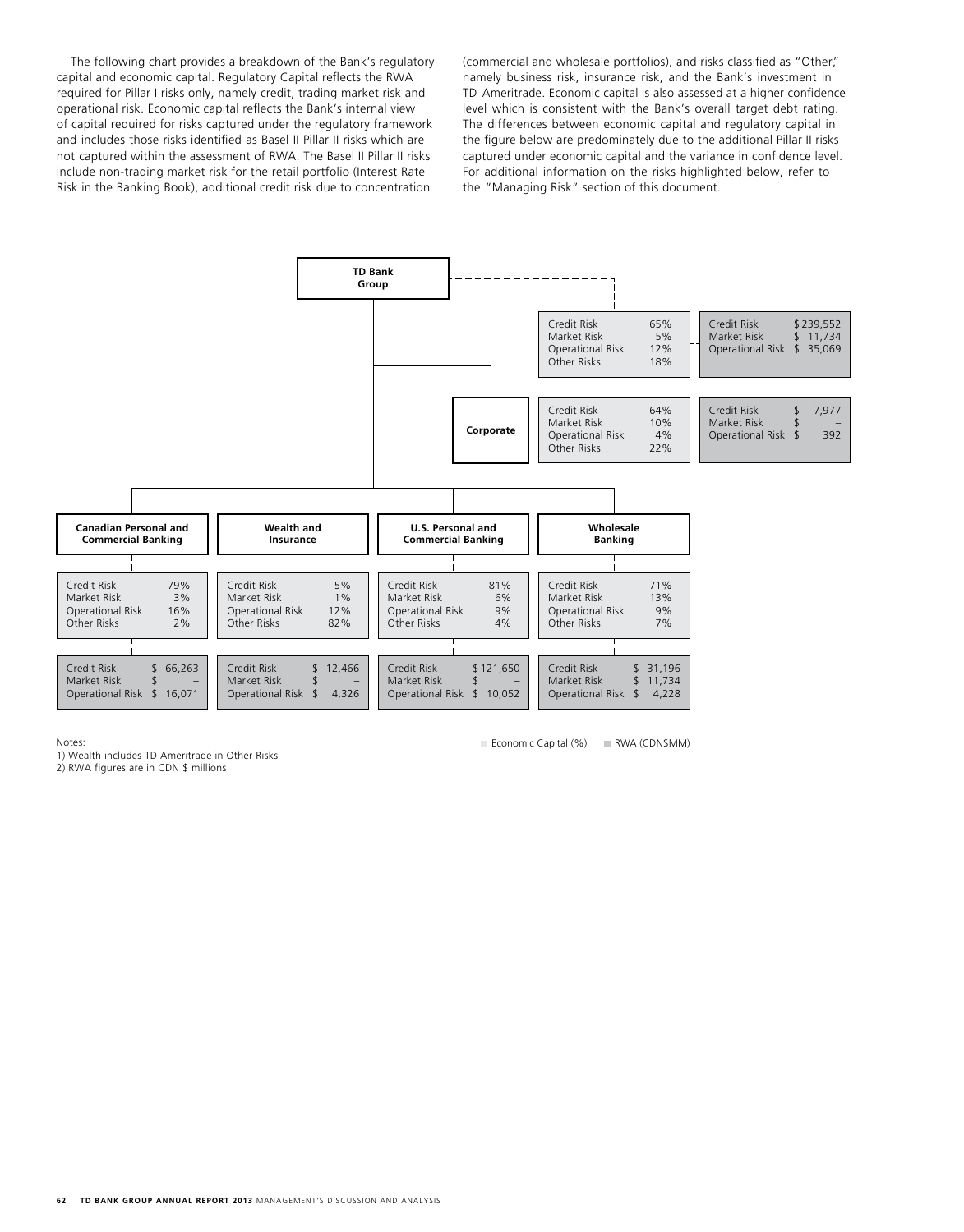The following chart provides a breakdown of the Bank's regulatory capital and economic capital. Regulatory Capital reflects the RWA required for Pillar I risks only, namely credit, trading market risk and operational risk. Economic capital reflects the Bank's internal view of capital required for risks captured under the regulatory framework and includes those risks identified as Basel II Pillar II risks which are not captured within the assessment of RWA. The Basel II Pillar II risks include non-trading market risk for the retail portfolio (Interest Rate Risk in the Banking Book), additional credit risk due to concentration

(commercial and wholesale portfolios), and risks classified as "Other," namely business risk, insurance risk, and the Bank's investment in TD Ameritrade. Economic capital is also assessed at a higher confidence level which is consistent with the Bank's overall target debt rating. The differences between economic capital and regulatory capital in the figure below are predominately due to the additional Pillar II risks captured under economic capital and the variance in confidence level. For additional information on the risks highlighted below, refer to the "Managing Risk" section of this document.



Notes:

1) Wealth includes TD Ameritrade in Other Risks 2) RWA figures are in CDN \$ millions

Economic Capital (%) RWA (CDN\$MM)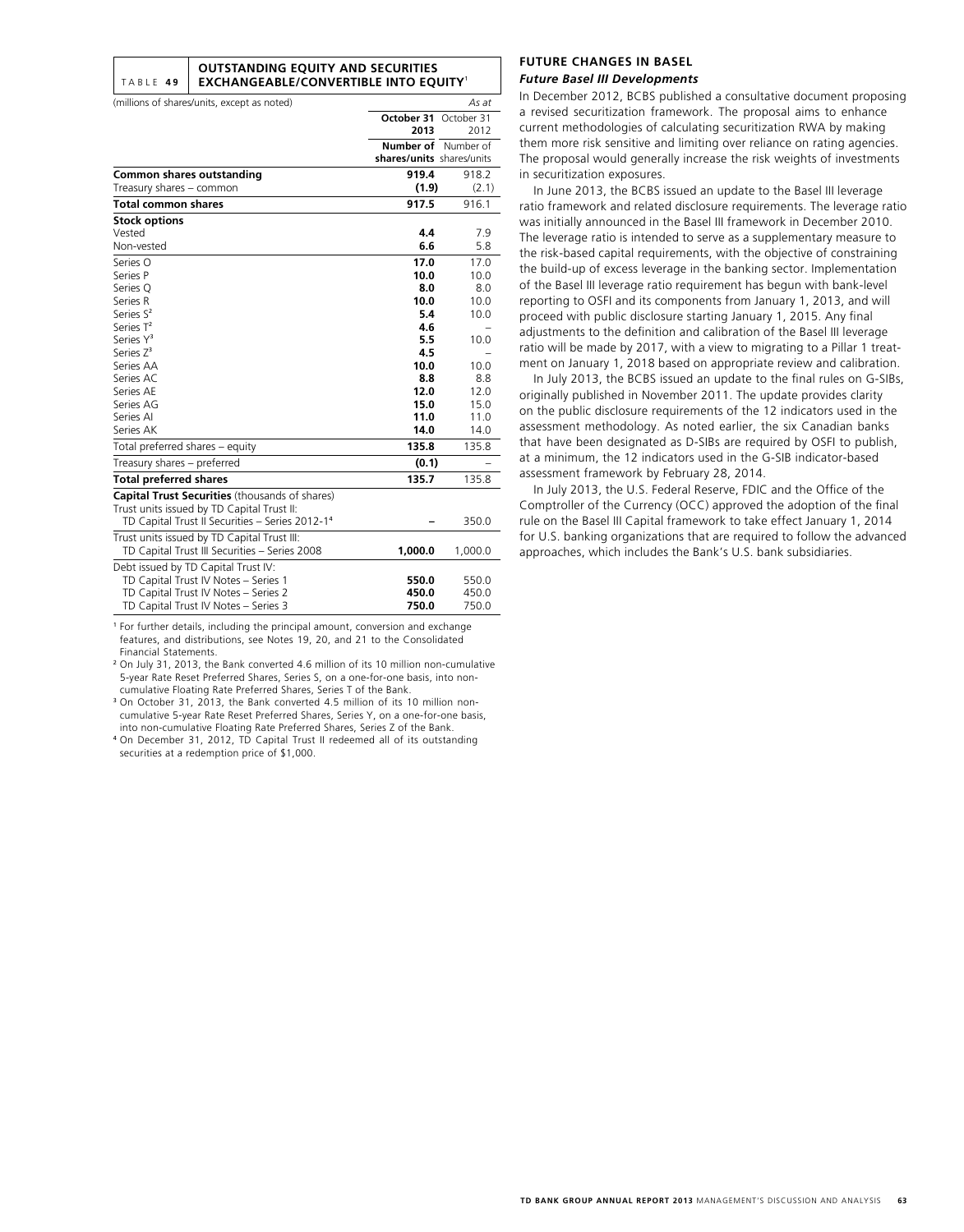# **OUTSTANDING EQUITY AND SECURITIES EXCHANGEABLE/CONVERTIBLE INTO EQUITY**<sup>1</sup> TABLE **4 9**

(millions of shares/units, except as noted) *As at* **October 31** October 31 **2013** 2012 **Number of** Number of **shares/units** shares/units **Common shares outstanding 919.4** 918.2<br>Treasury shares – common **(1.9)** (2.1) Treasury shares – common **Total common shares 917.5** 916.1 **Stock options** Vested **4.4** 7.9 Non-vested **6.6** 5.8 Series O **17.0** 17.0 Series P **10.0** 10.0 Series Q **8.0** 8.0 Series R **10.0** 10.0 Series  $S^2$  **5.4** 10.0 Series  $T^2$  **4.6** – **4.6** – **4.6** – **4.6** – **4.6** – **4.6** – **4.6** – **4.6** – **4.6** – **4.6** – **4.6** – **4.6** – **4.6** – **4.6** – **4.6** – **4.6** – **4.6** – **4.6** – **4.6** – **4.6** – **4.6** – **4.6** – **4.6** – **4.6** – **4.6** – **4.6** – Series  $Y^3$  5.5 10.0<br>Series  $Z^3$  4.5 – Series  $Z^3$  **4.5** – **4.5** – **4.5** Series AA **10.0** 10.0 Series AC **8.8** 8.8 Series AE **12.0** 12.0 Series AG **15.0** 15.0 Series AI **11.0** 11.0 Series AK **14.0** 14.0 Total preferred shares – equity **135.8** 135.8 Treasury shares – preferred **(0.1)** – **Total preferred shares 135.7** 135.8 **Capital Trust Securities** (thousands of shares) Trust units issued by TD Capital Trust II: TD Capital Trust II Securities – Series 2012-1<sup>4</sup> **–** 350.0 Trust units issued by TD Capital Trust III: TD Capital Trust III Securities – Series 2008 **1,000.0** 1,000.0 Debt issued by TD Capital Trust IV: TD Capital Trust IV Notes – Series 1 **550.0** 550.0 TD Capital Trust IV Notes – Series 2 **450.0** 450.0 TD Capital Trust IV Notes – Series 3 **750.0** 750.0

<sup>1</sup> For further details, including the principal amount, conversion and exchange features, and distributions, see Notes 19, 20, and 21 to the Consolidated Financial Statements.

<sup>2</sup> On July 31, 2013, the Bank converted 4.6 million of its 10 million non-cumulative 5-year Rate Reset Preferred Shares, Series S, on a one-for-one basis, into noncumulative Floating Rate Preferred Shares, Series T of the Bank.

<sup>3</sup> On October 31, 2013, the Bank converted 4.5 million of its 10 million noncumulative 5-year Rate Reset Preferred Shares, Series Y, on a one-for-one basis, into non-cumulative Floating Rate Preferred Shares, Series Z of the Bank.

<sup>4</sup> On December 31, 2012, TD Capital Trust II redeemed all of its outstanding securities at a redemption price of \$1,000.

#### **FUTURE CHANGES IN BASEL** *Future Basel III Developments*

In December 2012, BCBS published a consultative document proposing a revised securitization framework. The proposal aims to enhance current methodologies of calculating securitization RWA by making them more risk sensitive and limiting over reliance on rating agencies. The proposal would generally increase the risk weights of investments in securitization exposures.

In June 2013, the BCBS issued an update to the Basel III leverage ratio framework and related disclosure requirements. The leverage ratio was initially announced in the Basel III framework in December 2010. The leverage ratio is intended to serve as a supplementary measure to the risk-based capital requirements, with the objective of constraining the build-up of excess leverage in the banking sector. Implementation of the Basel III leverage ratio requirement has begun with bank-level reporting to OSFI and its components from January 1, 2013, and will proceed with public disclosure starting January 1, 2015. Any final adjustments to the definition and calibration of the Basel III leverage ratio will be made by 2017, with a view to migrating to a Pillar 1 treatment on January 1, 2018 based on appropriate review and calibration.

In July 2013, the BCBS issued an update to the final rules on G-SIBs, originally published in November 2011. The update provides clarity on the public disclosure requirements of the 12 indicators used in the assessment methodology. As noted earlier, the six Canadian banks that have been designated as D-SIBs are required by OSFI to publish, at a minimum, the 12 indicators used in the G-SIB indicator-based assessment framework by February 28, 2014.

In July 2013, the U.S. Federal Reserve, FDIC and the Office of the Comptroller of the Currency (OCC) approved the adoption of the final rule on the Basel III Capital framework to take effect January 1, 2014 for U.S. banking organizations that are required to follow the advanced approaches, which includes the Bank's U.S. bank subsidiaries.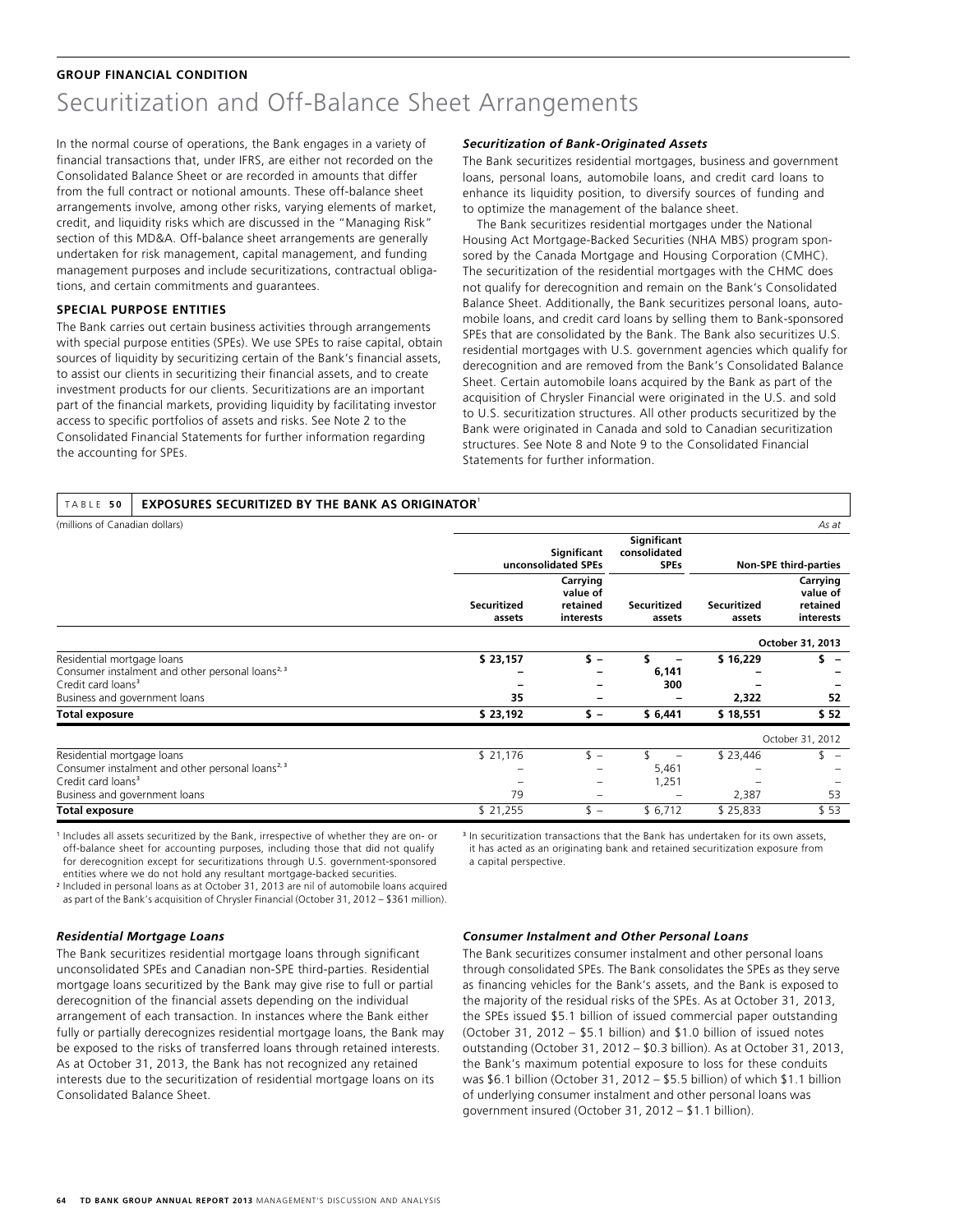# **GROUP FINANCIAL CONDITION**

# Securitization and Off-Balance Sheet Arrangements

In the normal course of operations, the Bank engages in a variety of financial transactions that, under IFRS, are either not recorded on the Consolidated Balance Sheet or are recorded in amounts that differ from the full contract or notional amounts. These off-balance sheet arrangements involve, among other risks, varying elements of market, credit, and liquidity risks which are discussed in the "Managing Risk" section of this MD&A. Off-balance sheet arrangements are generally undertaken for risk management, capital management, and funding management purposes and include securitizations, contractual obligations, and certain commitments and guarantees.

# **SPECIAL PURPOSE ENTITIES**

The Bank carries out certain business activities through arrangements with special purpose entities (SPEs). We use SPEs to raise capital, obtain sources of liquidity by securitizing certain of the Bank's financial assets, to assist our clients in securitizing their financial assets, and to create investment products for our clients. Securitizations are an important part of the financial markets, providing liquidity by facilitating investor access to specific portfolios of assets and risks. See Note 2 to the Consolidated Financial Statements for further information regarding the accounting for SPEs.

#### *Securitization of Bank-Originated Assets*

The Bank securitizes residential mortgages, business and government loans, personal loans, automobile loans, and credit card loans to enhance its liquidity position, to diversify sources of funding and to optimize the management of the balance sheet.

The Bank securitizes residential mortgages under the National Housing Act Mortgage-Backed Securities (NHA MBS) program sponsored by the Canada Mortgage and Housing Corporation (CMHC). The securitization of the residential mortgages with the CHMC does not qualify for derecognition and remain on the Bank's Consolidated Balance Sheet. Additionally, the Bank securitizes personal loans, automobile loans, and credit card loans by selling them to Bank-sponsored SPEs that are consolidated by the Bank. The Bank also securitizes U.S. residential mortgages with U.S. government agencies which qualify for derecognition and are removed from the Bank's Consolidated Balance Sheet. Certain automobile loans acquired by the Bank as part of the acquisition of Chrysler Financial were originated in the U.S. and sold to U.S. securitization structures. All other products securitized by the Bank were originated in Canada and sold to Canadian securitization structures. See Note 8 and Note 9 to the Consolidated Financial Statements for further information.

| TABLE 50                       | <b>EXPOSURES SECURITIZED BY THE BANK AS ORIGINATOR</b>       |                       |                                               |                                            |                       |                                               |
|--------------------------------|--------------------------------------------------------------|-----------------------|-----------------------------------------------|--------------------------------------------|-----------------------|-----------------------------------------------|
| (millions of Canadian dollars) |                                                              |                       |                                               |                                            |                       | As at                                         |
|                                |                                                              |                       | Significant<br>unconsolidated SPEs            | Significant<br>consolidated<br><b>SPEs</b> |                       | <b>Non-SPE third-parties</b>                  |
|                                |                                                              | Securitized<br>assets | Carrying<br>value of<br>retained<br>interests | <b>Securitized</b><br>assets               | Securitized<br>assets | Carrying<br>value of<br>retained<br>interests |
|                                |                                                              |                       |                                               |                                            |                       | October 31, 2013                              |
| Residential mortgage loans     |                                                              | \$23,157              | \$ –                                          |                                            | \$16,229              |                                               |
|                                | Consumer instalment and other personal loans <sup>2, 3</sup> |                       |                                               | 6,141                                      |                       |                                               |
| Credit card loans <sup>3</sup> |                                                              |                       |                                               | 300                                        |                       |                                               |
| Business and government loans  |                                                              | 35                    |                                               |                                            | 2,322                 | 52                                            |
| <b>Total exposure</b>          |                                                              | \$23,192              | \$ –                                          | \$6,441                                    | \$18,551              | \$ 52                                         |
|                                |                                                              |                       |                                               |                                            |                       | October 31, 2012                              |
| Residential mortgage loans     |                                                              | \$21,176              | $s -$                                         | -                                          | \$23,446              | $\overline{\phantom{a}}$                      |
|                                | Consumer instalment and other personal loans <sup>2, 3</sup> |                       |                                               | 5,461                                      |                       |                                               |
| Credit card loans <sup>3</sup> |                                                              |                       |                                               | 1,251                                      |                       |                                               |
| Business and government loans  |                                                              | 79                    | -                                             |                                            | 2,387                 | 53                                            |
| <b>Total exposure</b>          |                                                              | \$21,255              | $s -$                                         | \$6,712                                    | \$25,833              | \$53                                          |

<sup>1</sup> Includes all assets securitized by the Bank, irrespective of whether they are on- or off-balance sheet for accounting purposes, including those that did not qualify for derecognition except for securitizations through U.S. government-sponsored entities where we do not hold any resultant mortgage-backed securities.

<sup>3</sup> In securitization transactions that the Bank has undertaken for its own assets, it has acted as an originating bank and retained securitization exposure from a capital perspective.

<sup>2</sup> Included in personal loans as at October 31, 2013 are nil of automobile loans acquired as part of the Bank's acquisition of Chrysler Financial (October 31, 2012 – \$361 million).

#### *Residential Mortgage Loans*

The Bank securitizes residential mortgage loans through significant unconsolidated SPEs and Canadian non-SPE third-parties. Residential mortgage loans securitized by the Bank may give rise to full or partial derecognition of the financial assets depending on the individual arrangement of each transaction. In instances where the Bank either fully or partially derecognizes residential mortgage loans, the Bank may be exposed to the risks of transferred loans through retained interests. As at October 31, 2013, the Bank has not recognized any retained interests due to the securitization of residential mortgage loans on its Consolidated Balance Sheet.

#### *Consumer Instalment and Other Personal Loans*

The Bank securitizes consumer instalment and other personal loans through consolidated SPEs. The Bank consolidates the SPEs as they serve as financing vehicles for the Bank's assets, and the Bank is exposed to the majority of the residual risks of the SPEs. As at October 31, 2013, the SPEs issued \$5.1 billion of issued commercial paper outstanding (October 31, 2012 – \$5.1 billion) and \$1.0 billion of issued notes outstanding (October 31, 2012 – \$0.3 billion). As at October 31, 2013, the Bank's maximum potential exposure to loss for these conduits was \$6.1 billion (October 31, 2012 – \$5.5 billion) of which \$1.1 billion of underlying consumer instalment and other personal loans was government insured (October 31, 2012 – \$1.1 billion).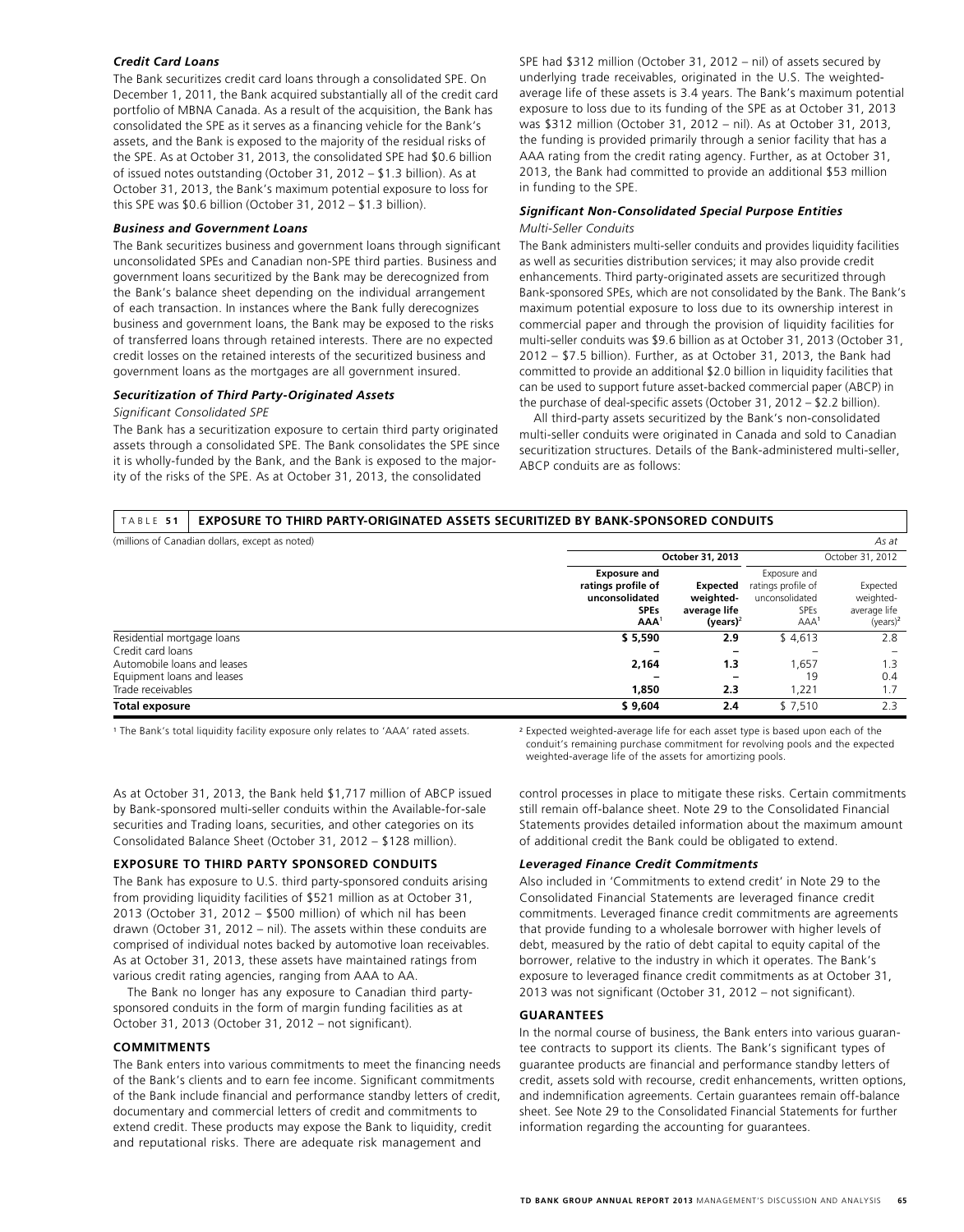#### *Credit Card Loans*

The Bank securitizes credit card loans through a consolidated SPE. On December 1, 2011, the Bank acquired substantially all of the credit card portfolio of MBNA Canada. As a result of the acquisition, the Bank has consolidated the SPE as it serves as a financing vehicle for the Bank's assets, and the Bank is exposed to the majority of the residual risks of the SPE. As at October 31, 2013, the consolidated SPE had \$0.6 billion of issued notes outstanding (October 31, 2012 – \$1.3 billion). As at October 31, 2013, the Bank's maximum potential exposure to loss for this SPE was \$0.6 billion (October 31, 2012 – \$1.3 billion).

#### *Business and Government Loans*

The Bank securitizes business and government loans through significant unconsolidated SPEs and Canadian non-SPE third parties. Business and government loans securitized by the Bank may be derecognized from the Bank's balance sheet depending on the individual arrangement of each transaction. In instances where the Bank fully derecognizes business and government loans, the Bank may be exposed to the risks of transferred loans through retained interests. There are no expected credit losses on the retained interests of the securitized business and government loans as the mortgages are all government insured.

#### *Securitization of Third Party-Originated Assets*

#### *Significant Consolidated SPE*

The Bank has a securitization exposure to certain third party originated assets through a consolidated SPE. The Bank consolidates the SPE since it is wholly-funded by the Bank, and the Bank is exposed to the majority of the risks of the SPE. As at October 31, 2013, the consolidated

SPE had \$312 million (October 31, 2012 – nil) of assets secured by underlying trade receivables, originated in the U.S. The weightedaverage life of these assets is 3.4 years. The Bank's maximum potential exposure to loss due to its funding of the SPE as at October 31, 2013 was \$312 million (October 31, 2012 – nil). As at October 31, 2013, the funding is provided primarily through a senior facility that has a AAA rating from the credit rating agency. Further, as at October 31, 2013, the Bank had committed to provide an additional \$53 million in funding to the SPE.

#### *Significant Non-Consolidated Special Purpose Entities Multi-Seller Conduits*

The Bank administers multi-seller conduits and provides liquidity facilities as well as securities distribution services; it may also provide credit enhancements. Third party-originated assets are securitized through Bank-sponsored SPEs, which are not consolidated by the Bank. The Bank's maximum potential exposure to loss due to its ownership interest in commercial paper and through the provision of liquidity facilities for multi-seller conduits was \$9.6 billion as at October 31, 2013 (October 31, 2012 – \$7.5 billion). Further, as at October 31, 2013, the Bank had committed to provide an additional \$2.0 billion in liquidity facilities that can be used to support future asset-backed commercial paper (ABCP) in the purchase of deal-specific assets (October 31, 2012 – \$2.2 billion).

All third-party assets securitized by the Bank's non-consolidated multi-seller conduits were originated in Canada and sold to Canadian securitization structures. Details of the Bank-administered multi-seller, ABCP conduits are as follows:

#### TABLE **5 1 EXPOSURE TO THIRD PARTY-ORIGINATED ASSETS SECURITIZED BY BANK-SPONSORED CONDUITS**

| (millions of Canadian dollars, except as noted) | As at               |                  |                    |              |  |  |  |
|-------------------------------------------------|---------------------|------------------|--------------------|--------------|--|--|--|
|                                                 | October 31, 2013    | October 31, 2012 |                    |              |  |  |  |
|                                                 | <b>Exposure and</b> |                  | Exposure and       |              |  |  |  |
|                                                 | ratings profile of  | <b>Expected</b>  | ratings profile of | Expected     |  |  |  |
|                                                 | unconsolidated      | weighted-        | unconsolidated     | weighted-    |  |  |  |
|                                                 | <b>SPEs</b>         | average life     | SPEs               | average life |  |  |  |
|                                                 | AAA <sup>1</sup>    | $(vears)^2$      | AAA                | $(years)^2$  |  |  |  |
| Residential mortgage loans                      | \$5,590             | 2.9              | \$4,613            | 2.8          |  |  |  |
| Credit card loans                               |                     |                  |                    |              |  |  |  |
| Automobile loans and leases                     | 2,164               | 1.3              | ,657               | 1.3          |  |  |  |
| Equipment loans and leases                      |                     |                  | 19                 | 0.4          |  |  |  |
| Trade receivables                               | 1,850               | 2.3              | .221               | 1.7          |  |  |  |
| <b>Total exposure</b>                           | \$9,604             | 2.4              | \$7,510            | 2.3          |  |  |  |

<sup>1</sup> The Bank's total liquidity facility exposure only relates to 'AAA' rated assets.

<sup>2</sup> Expected weighted-average life for each asset type is based upon each of the conduit's remaining purchase commitment for revolving pools and the expected weighted-average life of the assets for amortizing pools.

As at October 31, 2013, the Bank held \$1,717 million of ABCP issued by Bank-sponsored multi-seller conduits within the Available-for-sale securities and Trading loans, securities, and other categories on its Consolidated Balance Sheet (October 31, 2012 – \$128 million).

#### **EXPOSURE TO THIRD PARTY SPONSORED CONDUITS**

The Bank has exposure to U.S. third party-sponsored conduits arising from providing liquidity facilities of \$521 million as at October 31, 2013 (October 31, 2012 – \$500 million) of which nil has been drawn (October 31, 2012 – nil). The assets within these conduits are comprised of individual notes backed by automotive loan receivables. As at October 31, 2013, these assets have maintained ratings from various credit rating agencies, ranging from AAA to AA.

The Bank no longer has any exposure to Canadian third partysponsored conduits in the form of margin funding facilities as at October 31, 2013 (October 31, 2012 – not significant).

#### **COMMITMENTS**

The Bank enters into various commitments to meet the financing needs of the Bank's clients and to earn fee income. Significant commitments of the Bank include financial and performance standby letters of credit, documentary and commercial letters of credit and commitments to extend credit. These products may expose the Bank to liquidity, credit and reputational risks. There are adequate risk management and

control processes in place to mitigate these risks. Certain commitments still remain off-balance sheet. Note 29 to the Consolidated Financial Statements provides detailed information about the maximum amount of additional credit the Bank could be obligated to extend.

#### *Leveraged Finance Credit Commitments*

Also included in 'Commitments to extend credit' in Note 29 to the Consolidated Financial Statements are leveraged finance credit commitments. Leveraged finance credit commitments are agreements that provide funding to a wholesale borrower with higher levels of debt, measured by the ratio of debt capital to equity capital of the borrower, relative to the industry in which it operates. The Bank's exposure to leveraged finance credit commitments as at October 31, 2013 was not significant (October 31, 2012 – not significant).

#### **GUARANTEES**

In the normal course of business, the Bank enters into various guarantee contracts to support its clients. The Bank's significant types of guarantee products are financial and performance standby letters of credit, assets sold with recourse, credit enhancements, written options, and indemnification agreements. Certain guarantees remain off-balance sheet. See Note 29 to the Consolidated Financial Statements for further information regarding the accounting for guarantees.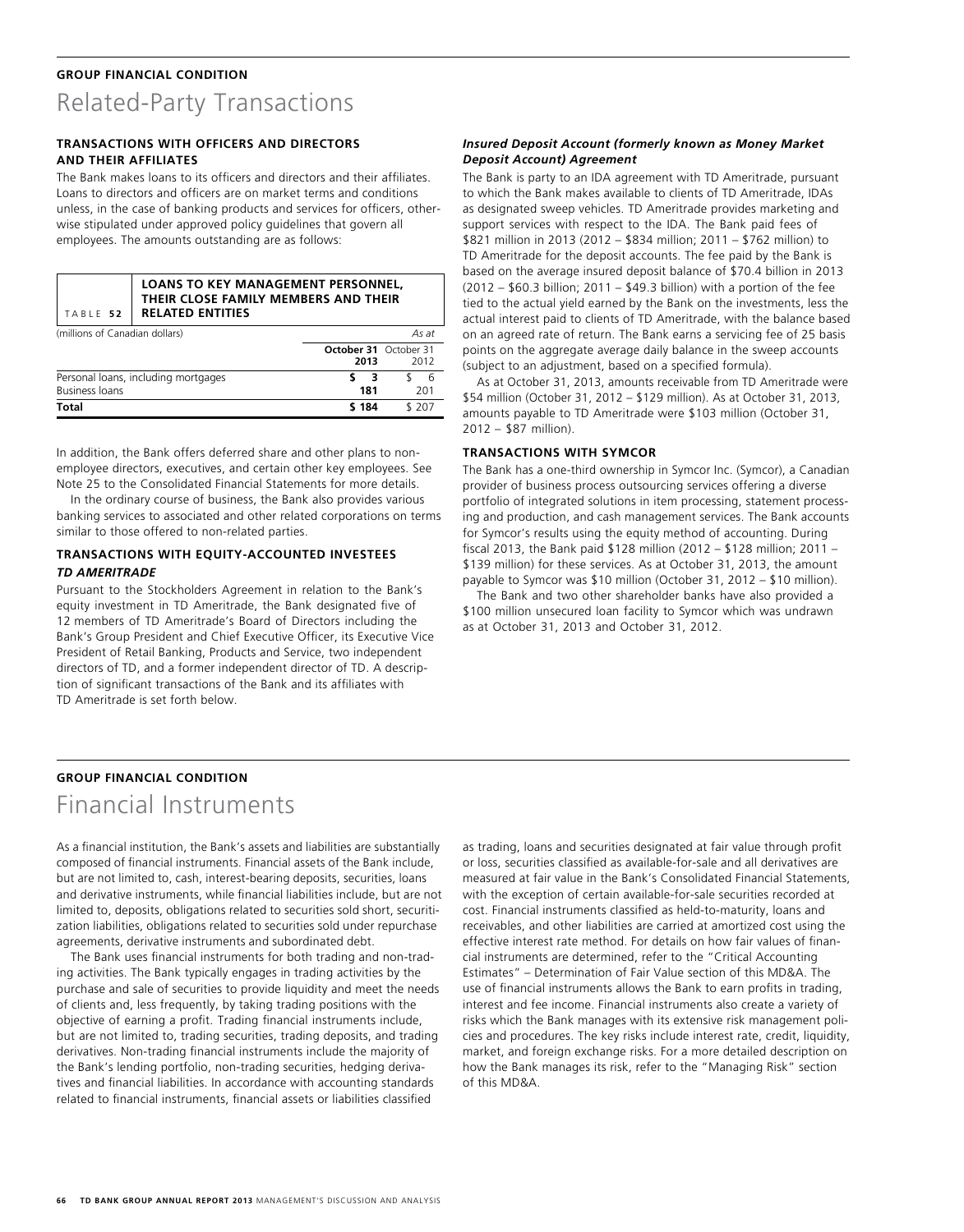# **GROUP FINANCIAL CONDITION**

# Related-Party Transactions

### **TRANSACTIONS WITH OFFICERS AND DIRECTORS AND THEIR AFFILIATES**

The Bank makes loans to its officers and directors and their affiliates. Loans to directors and officers are on market terms and conditions unless, in the case of banking products and services for officers, otherwise stipulated under approved policy guidelines that govern all employees. The amounts outstanding are as follows:

| (millions of Canadian dollars)      |                               | As at |
|-------------------------------------|-------------------------------|-------|
|                                     | October 31 October 31<br>2013 | 2012  |
| Personal loans, including mortgages |                               |       |
| <b>Business loans</b>               | 181                           | 201   |
| Total                               | \$184                         | \$207 |

In addition, the Bank offers deferred share and other plans to nonemployee directors, executives, and certain other key employees. See Note 25 to the Consolidated Financial Statements for more details.

In the ordinary course of business, the Bank also provides various banking services to associated and other related corporations on terms similar to those offered to non-related parties.

# **TRANSACTIONS WITH EQUITY-ACCOUNTED INVESTEES** *TD AMERITRADE*

Pursuant to the Stockholders Agreement in relation to the Bank's equity investment in TD Ameritrade, the Bank designated five of 12 members of TD Ameritrade's Board of Directors including the Bank's Group President and Chief Executive Officer, its Executive Vice President of Retail Banking, Products and Service, two independent directors of TD, and a former independent director of TD. A description of significant transactions of the Bank and its affiliates with TD Ameritrade is set forth below.

# **GROUP FINANCIAL CONDITION**

# Financial Instruments

As a financial institution, the Bank's assets and liabilities are substantially composed of financial instruments. Financial assets of the Bank include, but are not limited to, cash, interest-bearing deposits, securities, loans and derivative instruments, while financial liabilities include, but are not limited to, deposits, obligations related to securities sold short, securitization liabilities, obligations related to securities sold under repurchase agreements, derivative instruments and subordinated debt.

The Bank uses financial instruments for both trading and non-trading activities. The Bank typically engages in trading activities by the purchase and sale of securities to provide liquidity and meet the needs of clients and, less frequently, by taking trading positions with the objective of earning a profit. Trading financial instruments include, but are not limited to, trading securities, trading deposits, and trading derivatives. Non-trading financial instruments include the majority of the Bank's lending portfolio, non-trading securities, hedging derivatives and financial liabilities. In accordance with accounting standards related to financial instruments, financial assets or liabilities classified

#### *Insured Deposit Account (formerly known as Money Market Deposit Account) Agreement*

The Bank is party to an IDA agreement with TD Ameritrade, pursuant to which the Bank makes available to clients of TD Ameritrade, IDAs as designated sweep vehicles. TD Ameritrade provides marketing and support services with respect to the IDA. The Bank paid fees of \$821 million in 2013 (2012 – \$834 million; 2011 – \$762 million) to TD Ameritrade for the deposit accounts. The fee paid by the Bank is based on the average insured deposit balance of \$70.4 billion in 2013  $(2012 - $60.3$  billion;  $2011 - $49.3$  billion) with a portion of the fee tied to the actual yield earned by the Bank on the investments, less the actual interest paid to clients of TD Ameritrade, with the balance based on an agreed rate of return. The Bank earns a servicing fee of 25 basis points on the aggregate average daily balance in the sweep accounts (subject to an adjustment, based on a specified formula).

As at October 31, 2013, amounts receivable from TD Ameritrade were \$54 million (October 31, 2012 – \$129 million). As at October 31, 2013, amounts payable to TD Ameritrade were \$103 million (October 31, 2012 – \$87 million).

### **TRANSACTIONS WITH SYMCOR**

The Bank has a one-third ownership in Symcor Inc. (Symcor), a Canadian provider of business process outsourcing services offering a diverse portfolio of integrated solutions in item processing, statement processing and production, and cash management services. The Bank accounts for Symcor's results using the equity method of accounting. During fiscal 2013, the Bank paid \$128 million (2012 – \$128 million; 2011 – \$139 million) for these services. As at October 31, 2013, the amount payable to Symcor was \$10 million (October 31, 2012 – \$10 million).

The Bank and two other shareholder banks have also provided a \$100 million unsecured loan facility to Symcor which was undrawn as at October 31, 2013 and October 31, 2012.

as trading, loans and securities designated at fair value through profit or loss, securities classified as available-for-sale and all derivatives are measured at fair value in the Bank's Consolidated Financial Statements, with the exception of certain available-for-sale securities recorded at cost. Financial instruments classified as held-to-maturity, loans and receivables, and other liabilities are carried at amortized cost using the effective interest rate method. For details on how fair values of financial instruments are determined, refer to the "Critical Accounting Estimates" – Determination of Fair Value section of this MD&A. The use of financial instruments allows the Bank to earn profits in trading, interest and fee income. Financial instruments also create a variety of risks which the Bank manages with its extensive risk management policies and procedures. The key risks include interest rate, credit, liquidity, market, and foreign exchange risks. For a more detailed description on how the Bank manages its risk, refer to the "Managing Risk" section of this MD&A.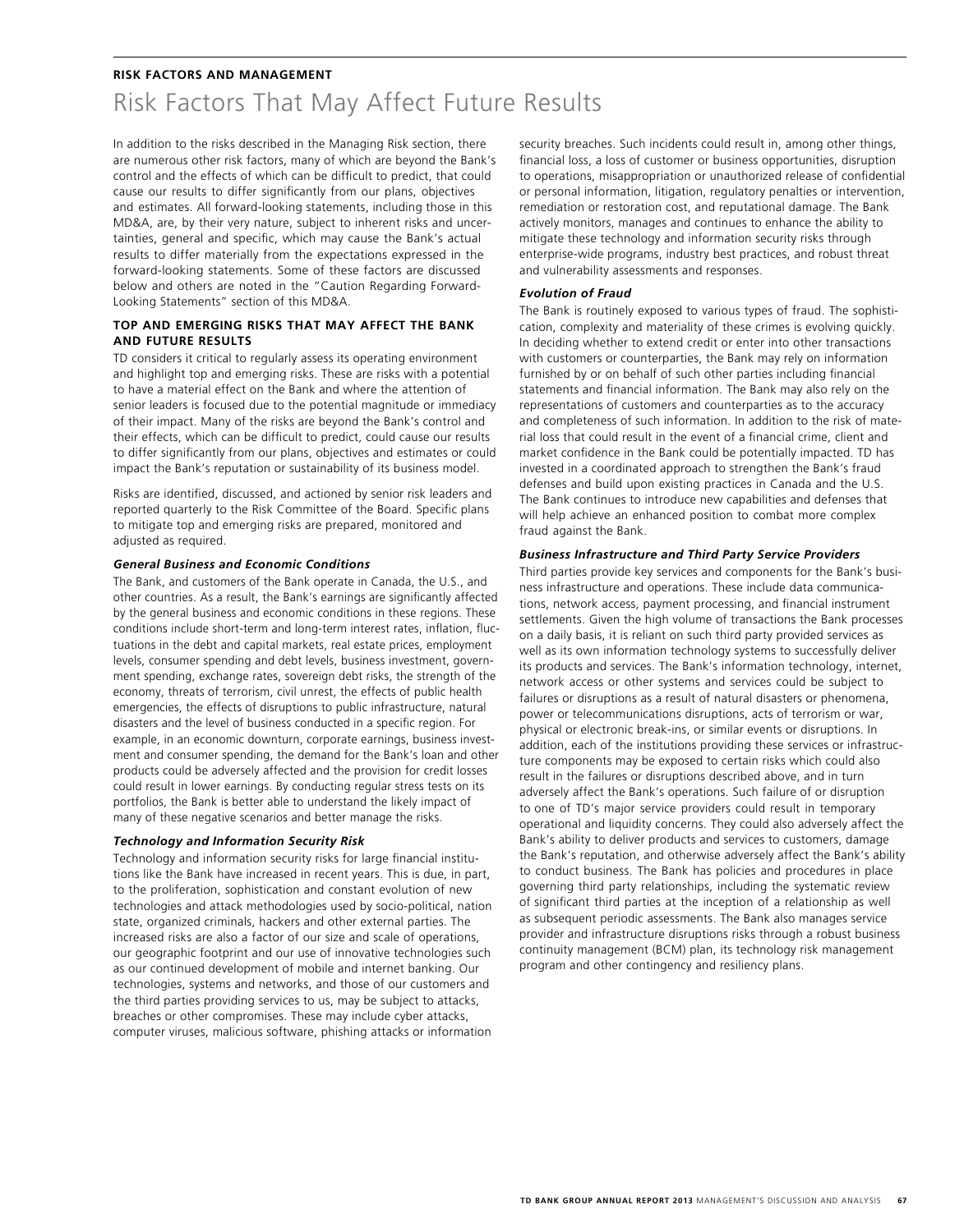# **RISK FACTORS AND MANAGEMENT**

# Risk Factors That May Affect Future Results

In addition to the risks described in the Managing Risk section, there are numerous other risk factors, many of which are beyond the Bank's control and the effects of which can be difficult to predict, that could cause our results to differ significantly from our plans, objectives and estimates. All forward-looking statements, including those in this MD&A, are, by their very nature, subject to inherent risks and uncertainties, general and specific, which may cause the Bank's actual results to differ materially from the expectations expressed in the forward-looking statements. Some of these factors are discussed below and others are noted in the "Caution Regarding Forward-Looking Statements" section of this MD&A.

# **TOP AND EMERGING RISKS THAT MAY AFFECT THE BANK AND FUTURE RESULTS**

TD considers it critical to regularly assess its operating environment and highlight top and emerging risks. These are risks with a potential to have a material effect on the Bank and where the attention of senior leaders is focused due to the potential magnitude or immediacy of their impact. Many of the risks are beyond the Bank's control and their effects, which can be difficult to predict, could cause our results to differ significantly from our plans, objectives and estimates or could impact the Bank's reputation or sustainability of its business model.

Risks are identified, discussed, and actioned by senior risk leaders and reported quarterly to the Risk Committee of the Board. Specific plans to mitigate top and emerging risks are prepared, monitored and adjusted as required.

#### *General Business and Economic Conditions*

The Bank, and customers of the Bank operate in Canada, the U.S., and other countries. As a result, the Bank's earnings are significantly affected by the general business and economic conditions in these regions. These conditions include short-term and long-term interest rates, inflation, fluctuations in the debt and capital markets, real estate prices, employment levels, consumer spending and debt levels, business investment, government spending, exchange rates, sovereign debt risks, the strength of the economy, threats of terrorism, civil unrest, the effects of public health emergencies, the effects of disruptions to public infrastructure, natural disasters and the level of business conducted in a specific region. For example, in an economic downturn, corporate earnings, business investment and consumer spending, the demand for the Bank's loan and other products could be adversely affected and the provision for credit losses could result in lower earnings. By conducting regular stress tests on its portfolios, the Bank is better able to understand the likely impact of many of these negative scenarios and better manage the risks.

#### *Technology and Information Security Risk*

Technology and information security risks for large financial institutions like the Bank have increased in recent years. This is due, in part, to the proliferation, sophistication and constant evolution of new technologies and attack methodologies used by socio-political, nation state, organized criminals, hackers and other external parties. The increased risks are also a factor of our size and scale of operations, our geographic footprint and our use of innovative technologies such as our continued development of mobile and internet banking. Our technologies, systems and networks, and those of our customers and the third parties providing services to us, may be subject to attacks, breaches or other compromises. These may include cyber attacks, computer viruses, malicious software, phishing attacks or information

security breaches. Such incidents could result in, among other things, financial loss, a loss of customer or business opportunities, disruption to operations, misappropriation or unauthorized release of confidential or personal information, litigation, regulatory penalties or intervention, remediation or restoration cost, and reputational damage. The Bank actively monitors, manages and continues to enhance the ability to mitigate these technology and information security risks through enterprise-wide programs, industry best practices, and robust threat and vulnerability assessments and responses.

#### *Evolution of Fraud*

The Bank is routinely exposed to various types of fraud. The sophistication, complexity and materiality of these crimes is evolving quickly. In deciding whether to extend credit or enter into other transactions with customers or counterparties, the Bank may rely on information furnished by or on behalf of such other parties including financial statements and financial information. The Bank may also rely on the representations of customers and counterparties as to the accuracy and completeness of such information. In addition to the risk of material loss that could result in the event of a financial crime, client and market confidence in the Bank could be potentially impacted. TD has invested in a coordinated approach to strengthen the Bank's fraud defenses and build upon existing practices in Canada and the U.S. The Bank continues to introduce new capabilities and defenses that will help achieve an enhanced position to combat more complex fraud against the Bank.

#### *Business Infrastructure and Third Party Service Providers*

Third parties provide key services and components for the Bank's business infrastructure and operations. These include data communications, network access, payment processing, and financial instrument settlements. Given the high volume of transactions the Bank processes on a daily basis, it is reliant on such third party provided services as well as its own information technology systems to successfully deliver its products and services. The Bank's information technology, internet, network access or other systems and services could be subject to failures or disruptions as a result of natural disasters or phenomena, power or telecommunications disruptions, acts of terrorism or war, physical or electronic break-ins, or similar events or disruptions. In addition, each of the institutions providing these services or infrastructure components may be exposed to certain risks which could also result in the failures or disruptions described above, and in turn adversely affect the Bank's operations. Such failure of or disruption to one of TD's major service providers could result in temporary operational and liquidity concerns. They could also adversely affect the Bank's ability to deliver products and services to customers, damage the Bank's reputation, and otherwise adversely affect the Bank's ability to conduct business. The Bank has policies and procedures in place governing third party relationships, including the systematic review of significant third parties at the inception of a relationship as well as subsequent periodic assessments. The Bank also manages service provider and infrastructure disruptions risks through a robust business continuity management (BCM) plan, its technology risk management program and other contingency and resiliency plans.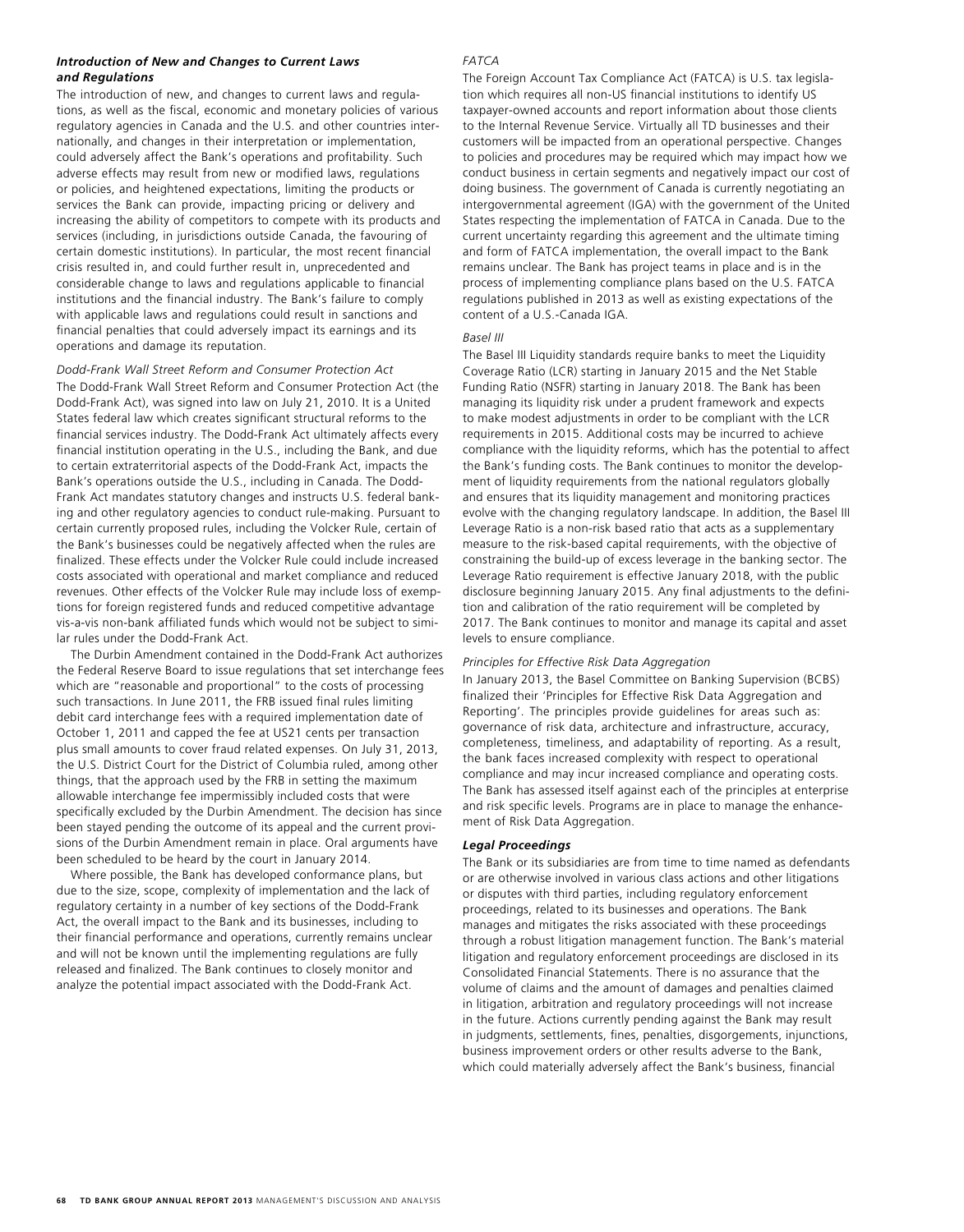#### *Introduction of New and Changes to Current Laws and Regulations*

The introduction of new, and changes to current laws and regulations, as well as the fiscal, economic and monetary policies of various regulatory agencies in Canada and the U.S. and other countries internationally, and changes in their interpretation or implementation, could adversely affect the Bank's operations and profitability. Such adverse effects may result from new or modified laws, regulations or policies, and heightened expectations, limiting the products or services the Bank can provide, impacting pricing or delivery and increasing the ability of competitors to compete with its products and services (including, in jurisdictions outside Canada, the favouring of certain domestic institutions). In particular, the most recent financial crisis resulted in, and could further result in, unprecedented and considerable change to laws and regulations applicable to financial institutions and the financial industry. The Bank's failure to comply with applicable laws and regulations could result in sanctions and financial penalties that could adversely impact its earnings and its operations and damage its reputation.

#### *Dodd-Frank Wall Street Reform and Consumer Protection Act*

The Dodd-Frank Wall Street Reform and Consumer Protection Act (the Dodd-Frank Act), was signed into law on July 21, 2010. It is a United States federal law which creates significant structural reforms to the financial services industry. The Dodd-Frank Act ultimately affects every financial institution operating in the U.S., including the Bank, and due to certain extraterritorial aspects of the Dodd-Frank Act, impacts the Bank's operations outside the U.S., including in Canada. The Dodd-Frank Act mandates statutory changes and instructs U.S. federal banking and other regulatory agencies to conduct rule-making. Pursuant to certain currently proposed rules, including the Volcker Rule, certain of the Bank's businesses could be negatively affected when the rules are finalized. These effects under the Volcker Rule could include increased costs associated with operational and market compliance and reduced revenues. Other effects of the Volcker Rule may include loss of exemptions for foreign registered funds and reduced competitive advantage vis-a-vis non-bank affiliated funds which would not be subject to similar rules under the Dodd-Frank Act.

The Durbin Amendment contained in the Dodd-Frank Act authorizes the Federal Reserve Board to issue regulations that set interchange fees which are "reasonable and proportional" to the costs of processing such transactions. In June 2011, the FRB issued final rules limiting debit card interchange fees with a required implementation date of October 1, 2011 and capped the fee at US21 cents per transaction plus small amounts to cover fraud related expenses. On July 31, 2013, the U.S. District Court for the District of Columbia ruled, among other things, that the approach used by the FRB in setting the maximum allowable interchange fee impermissibly included costs that were specifically excluded by the Durbin Amendment. The decision has since been stayed pending the outcome of its appeal and the current provisions of the Durbin Amendment remain in place. Oral arguments have been scheduled to be heard by the court in January 2014.

Where possible, the Bank has developed conformance plans, but due to the size, scope, complexity of implementation and the lack of regulatory certainty in a number of key sections of the Dodd-Frank Act, the overall impact to the Bank and its businesses, including to their financial performance and operations, currently remains unclear and will not be known until the implementing regulations are fully released and finalized. The Bank continues to closely monitor and analyze the potential impact associated with the Dodd-Frank Act.

#### *FATCA*

The Foreign Account Tax Compliance Act (FATCA) is U.S. tax legislation which requires all non-US financial institutions to identify US taxpayer-owned accounts and report information about those clients to the Internal Revenue Service. Virtually all TD businesses and their customers will be impacted from an operational perspective. Changes to policies and procedures may be required which may impact how we conduct business in certain segments and negatively impact our cost of doing business. The government of Canada is currently negotiating an intergovernmental agreement (IGA) with the government of the United States respecting the implementation of FATCA in Canada. Due to the current uncertainty regarding this agreement and the ultimate timing and form of FATCA implementation, the overall impact to the Bank remains unclear. The Bank has project teams in place and is in the process of implementing compliance plans based on the U.S. FATCA regulations published in 2013 as well as existing expectations of the content of a U.S.-Canada IGA.

#### *Basel III*

The Basel III Liquidity standards require banks to meet the Liquidity Coverage Ratio (LCR) starting in January 2015 and the Net Stable Funding Ratio (NSFR) starting in January 2018. The Bank has been managing its liquidity risk under a prudent framework and expects to make modest adjustments in order to be compliant with the LCR requirements in 2015. Additional costs may be incurred to achieve compliance with the liquidity reforms, which has the potential to affect the Bank's funding costs. The Bank continues to monitor the development of liquidity requirements from the national regulators globally and ensures that its liquidity management and monitoring practices evolve with the changing regulatory landscape. In addition, the Basel III Leverage Ratio is a non-risk based ratio that acts as a supplementary measure to the risk-based capital requirements, with the objective of constraining the build-up of excess leverage in the banking sector. The Leverage Ratio requirement is effective January 2018, with the public disclosure beginning January 2015. Any final adjustments to the definition and calibration of the ratio requirement will be completed by 2017. The Bank continues to monitor and manage its capital and asset levels to ensure compliance.

# *Principles for Effective Risk Data Aggregation*

In January 2013, the Basel Committee on Banking Supervision (BCBS) finalized their 'Principles for Effective Risk Data Aggregation and Reporting'. The principles provide guidelines for areas such as: governance of risk data, architecture and infrastructure, accuracy, completeness, timeliness, and adaptability of reporting. As a result, the bank faces increased complexity with respect to operational compliance and may incur increased compliance and operating costs. The Bank has assessed itself against each of the principles at enterprise and risk specific levels. Programs are in place to manage the enhancement of Risk Data Aggregation.

#### *Legal Proceedings*

The Bank or its subsidiaries are from time to time named as defendants or are otherwise involved in various class actions and other litigations or disputes with third parties, including regulatory enforcement proceedings, related to its businesses and operations. The Bank manages and mitigates the risks associated with these proceedings through a robust litigation management function. The Bank's material litigation and regulatory enforcement proceedings are disclosed in its Consolidated Financial Statements. There is no assurance that the volume of claims and the amount of damages and penalties claimed in litigation, arbitration and regulatory proceedings will not increase in the future. Actions currently pending against the Bank may result in judgments, settlements, fines, penalties, disgorgements, injunctions, business improvement orders or other results adverse to the Bank, which could materially adversely affect the Bank's business, financial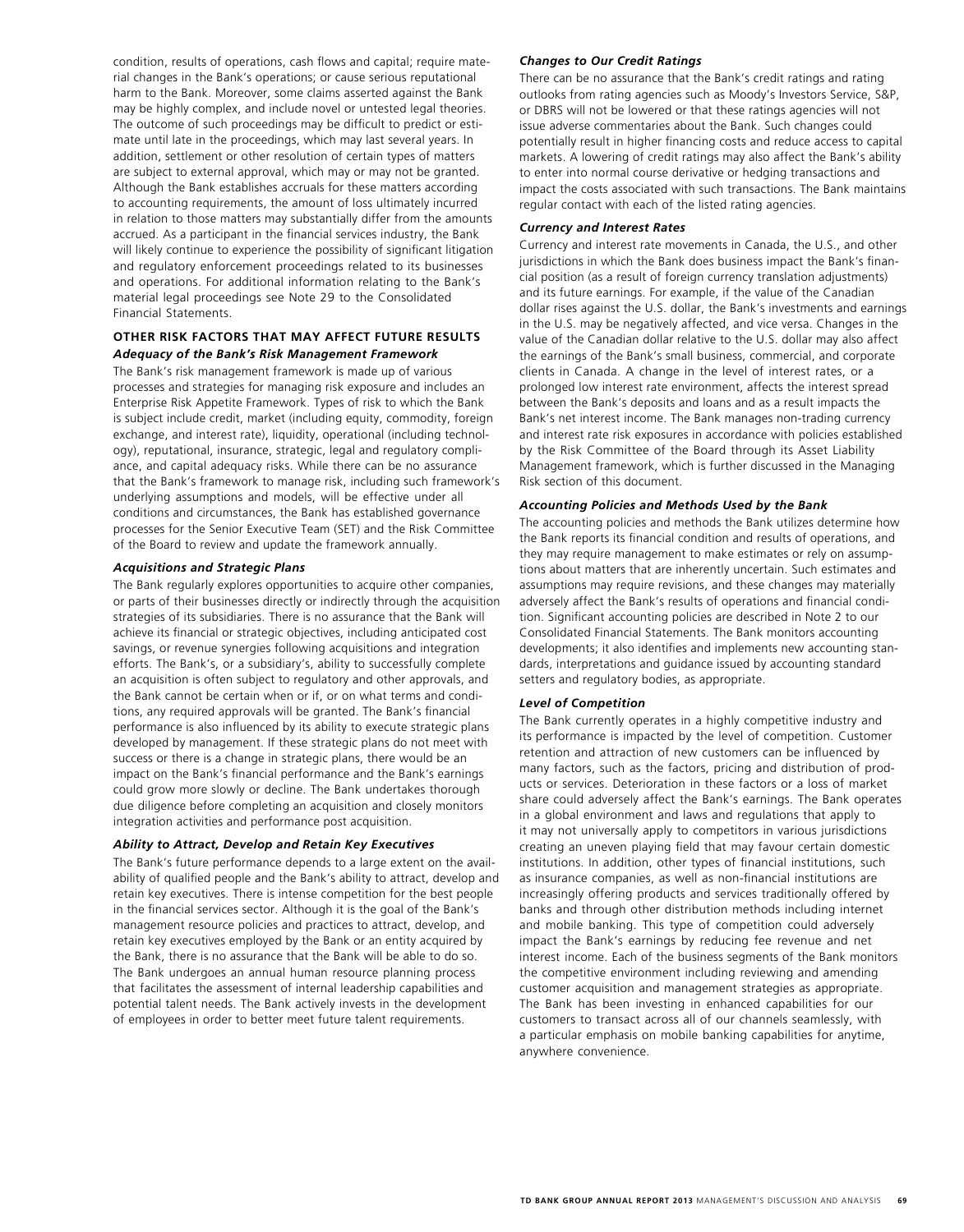condition, results of operations, cash flows and capital; require material changes in the Bank's operations; or cause serious reputational harm to the Bank. Moreover, some claims asserted against the Bank may be highly complex, and include novel or untested legal theories. The outcome of such proceedings may be difficult to predict or estimate until late in the proceedings, which may last several years. In addition, settlement or other resolution of certain types of matters are subject to external approval, which may or may not be granted. Although the Bank establishes accruals for these matters according to accounting requirements, the amount of loss ultimately incurred in relation to those matters may substantially differ from the amounts accrued. As a participant in the financial services industry, the Bank will likely continue to experience the possibility of significant litigation and regulatory enforcement proceedings related to its businesses and operations. For additional information relating to the Bank's material legal proceedings see Note 29 to the Consolidated Financial Statements.

### **OTHER RISK FACTORS THAT MAY AFFECT FUTURE RESULTS** *Adequacy of the Bank's Risk Management Framework*

The Bank's risk management framework is made up of various processes and strategies for managing risk exposure and includes an Enterprise Risk Appetite Framework. Types of risk to which the Bank is subject include credit, market (including equity, commodity, foreign exchange, and interest rate), liquidity, operational (including technology), reputational, insurance, strategic, legal and regulatory compliance, and capital adequacy risks. While there can be no assurance that the Bank's framework to manage risk, including such framework's underlying assumptions and models, will be effective under all conditions and circumstances, the Bank has established governance processes for the Senior Executive Team (SET) and the Risk Committee of the Board to review and update the framework annually.

#### *Acquisitions and Strategic Plans*

The Bank regularly explores opportunities to acquire other companies, or parts of their businesses directly or indirectly through the acquisition strategies of its subsidiaries. There is no assurance that the Bank will achieve its financial or strategic objectives, including anticipated cost savings, or revenue synergies following acquisitions and integration efforts. The Bank's, or a subsidiary's, ability to successfully complete an acquisition is often subject to regulatory and other approvals, and the Bank cannot be certain when or if, or on what terms and conditions, any required approvals will be granted. The Bank's financial performance is also influenced by its ability to execute strategic plans developed by management. If these strategic plans do not meet with success or there is a change in strategic plans, there would be an impact on the Bank's financial performance and the Bank's earnings could grow more slowly or decline. The Bank undertakes thorough due diligence before completing an acquisition and closely monitors integration activities and performance post acquisition.

#### *Ability to Attract, Develop and Retain Key Executives*

The Bank's future performance depends to a large extent on the availability of qualified people and the Bank's ability to attract, develop and retain key executives. There is intense competition for the best people in the financial services sector. Although it is the goal of the Bank's management resource policies and practices to attract, develop, and retain key executives employed by the Bank or an entity acquired by the Bank, there is no assurance that the Bank will be able to do so. The Bank undergoes an annual human resource planning process that facilitates the assessment of internal leadership capabilities and potential talent needs. The Bank actively invests in the development of employees in order to better meet future talent requirements.

#### *Changes to Our Credit Ratings*

There can be no assurance that the Bank's credit ratings and rating outlooks from rating agencies such as Moody's Investors Service, S&P, or DBRS will not be lowered or that these ratings agencies will not issue adverse commentaries about the Bank. Such changes could potentially result in higher financing costs and reduce access to capital markets. A lowering of credit ratings may also affect the Bank's ability to enter into normal course derivative or hedging transactions and impact the costs associated with such transactions. The Bank maintains regular contact with each of the listed rating agencies.

#### *Currency and Interest Rates*

Currency and interest rate movements in Canada, the U.S., and other jurisdictions in which the Bank does business impact the Bank's financial position (as a result of foreign currency translation adjustments) and its future earnings. For example, if the value of the Canadian dollar rises against the U.S. dollar, the Bank's investments and earnings in the U.S. may be negatively affected, and vice versa. Changes in the value of the Canadian dollar relative to the U.S. dollar may also affect the earnings of the Bank's small business, commercial, and corporate clients in Canada. A change in the level of interest rates, or a prolonged low interest rate environment, affects the interest spread between the Bank's deposits and loans and as a result impacts the Bank's net interest income. The Bank manages non-trading currency and interest rate risk exposures in accordance with policies established by the Risk Committee of the Board through its Asset Liability Management framework, which is further discussed in the Managing Risk section of this document.

#### *Accounting Policies and Methods Used by the Bank*

The accounting policies and methods the Bank utilizes determine how the Bank reports its financial condition and results of operations, and they may require management to make estimates or rely on assumptions about matters that are inherently uncertain. Such estimates and assumptions may require revisions, and these changes may materially adversely affect the Bank's results of operations and financial condition. Significant accounting policies are described in Note 2 to our Consolidated Financial Statements. The Bank monitors accounting developments; it also identifies and implements new accounting standards, interpretations and guidance issued by accounting standard setters and regulatory bodies, as appropriate.

#### *Level of Competition*

The Bank currently operates in a highly competitive industry and its performance is impacted by the level of competition. Customer retention and attraction of new customers can be influenced by many factors, such as the factors, pricing and distribution of products or services. Deterioration in these factors or a loss of market share could adversely affect the Bank's earnings. The Bank operates in a global environment and laws and regulations that apply to it may not universally apply to competitors in various jurisdictions creating an uneven playing field that may favour certain domestic institutions. In addition, other types of financial institutions, such as insurance companies, as well as non-financial institutions are increasingly offering products and services traditionally offered by banks and through other distribution methods including internet and mobile banking. This type of competition could adversely impact the Bank's earnings by reducing fee revenue and net interest income. Each of the business segments of the Bank monitors the competitive environment including reviewing and amending customer acquisition and management strategies as appropriate. The Bank has been investing in enhanced capabilities for our customers to transact across all of our channels seamlessly, with a particular emphasis on mobile banking capabilities for anytime, anywhere convenience.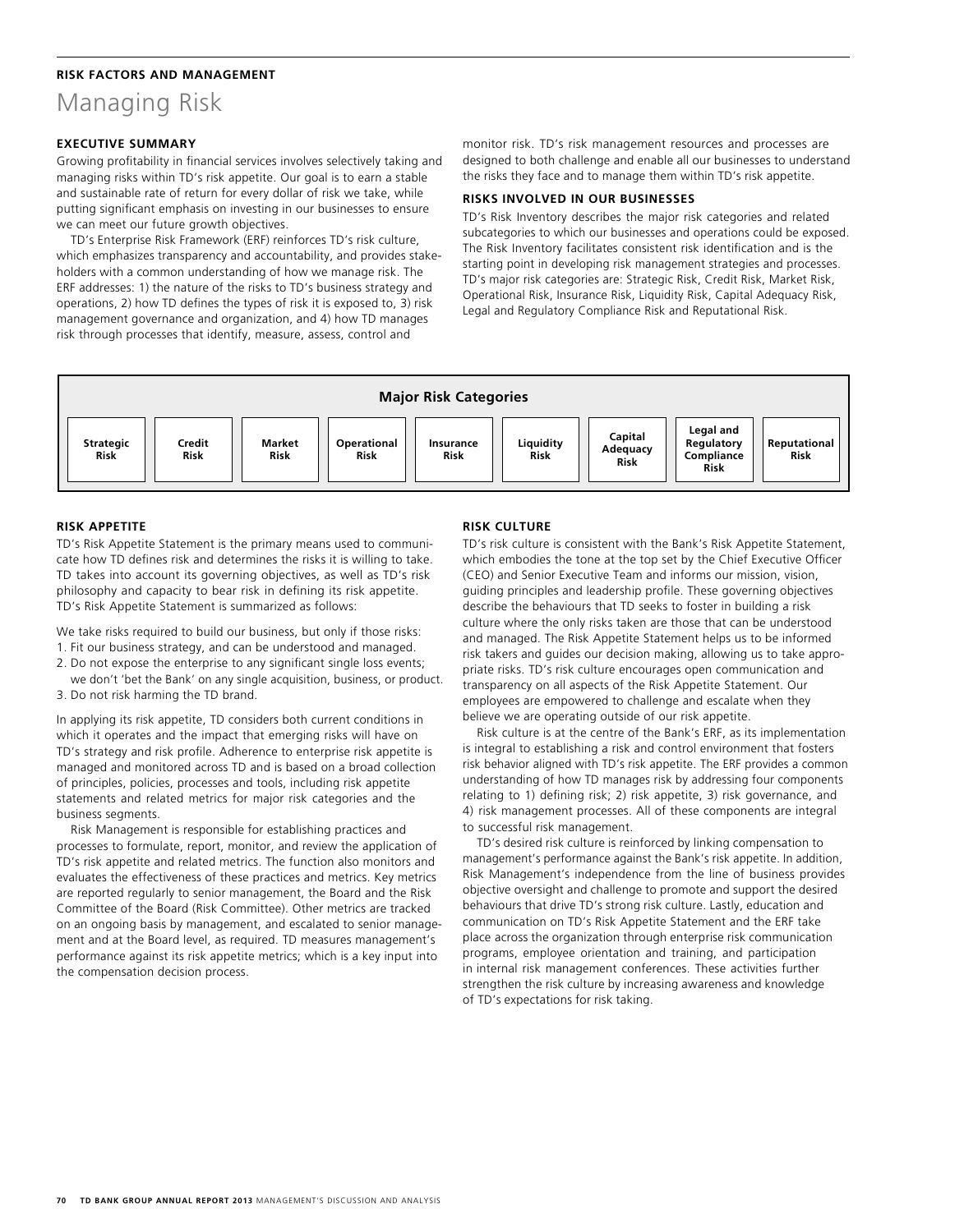# **RISK FACTORS AND MANAGEMENT**

# Managing Risk

# **EXECUTIVE SUMMARY**

Growing profitability in financial services involves selectively taking and managing risks within TD's risk appetite. Our goal is to earn a stable and sustainable rate of return for every dollar of risk we take, while putting significant emphasis on investing in our businesses to ensure we can meet our future growth objectives.

TD's Enterprise Risk Framework (ERF) reinforces TD's risk culture, which emphasizes transparency and accountability, and provides stakeholders with a common understanding of how we manage risk. The ERF addresses: 1) the nature of the risks to TD's business strategy and operations, 2) how TD defines the types of risk it is exposed to, 3) risk management governance and organization, and 4) how TD manages risk through processes that identify, measure, assess, control and

monitor risk. TD's risk management resources and processes are designed to both challenge and enable all our businesses to understand the risks they face and to manage them within TD's risk appetite.

#### **RISKS INVOLVED IN OUR BUSINESSES**

TD's Risk Inventory describes the major risk categories and related subcategories to which our businesses and operations could be exposed. The Risk Inventory facilitates consistent risk identification and is the starting point in developing risk management strategies and processes. TD's major risk categories are: Strategic Risk, Credit Risk, Market Risk, Operational Risk, Insurance Risk, Liquidity Risk, Capital Adequacy Risk, Legal and Regulatory Compliance Risk and Reputational Risk.



#### **RISK APPETITE**

TD's Risk Appetite Statement is the primary means used to communicate how TD defines risk and determines the risks it is willing to take. TD takes into account its governing objectives, as well as TD's risk philosophy and capacity to bear risk in defining its risk appetite. TD's Risk Appetite Statement is summarized as follows:

We take risks required to build our business, but only if those risks: 1. Fit our business strategy, and can be understood and managed.

- 2. Do not expose the enterprise to any significant single loss events;
- we don't 'bet the Bank' on any single acquisition, business, or product. 3. Do not risk harming the TD brand.

In applying its risk appetite, TD considers both current conditions in which it operates and the impact that emerging risks will have on TD's strategy and risk profile. Adherence to enterprise risk appetite is managed and monitored across TD and is based on a broad collection of principles, policies, processes and tools, including risk appetite statements and related metrics for major risk categories and the business segments.

Risk Management is responsible for establishing practices and processes to formulate, report, monitor, and review the application of TD's risk appetite and related metrics. The function also monitors and evaluates the effectiveness of these practices and metrics. Key metrics are reported regularly to senior management, the Board and the Risk Committee of the Board (Risk Committee). Other metrics are tracked on an ongoing basis by management, and escalated to senior management and at the Board level, as required. TD measures management's performance against its risk appetite metrics; which is a key input into the compensation decision process.

#### **RISK CULTURE**

TD's risk culture is consistent with the Bank's Risk Appetite Statement, which embodies the tone at the top set by the Chief Executive Officer (CEO) and Senior Executive Team and informs our mission, vision, guiding principles and leadership profile. These governing objectives describe the behaviours that TD seeks to foster in building a risk culture where the only risks taken are those that can be understood and managed. The Risk Appetite Statement helps us to be informed risk takers and guides our decision making, allowing us to take appropriate risks. TD's risk culture encourages open communication and transparency on all aspects of the Risk Appetite Statement. Our employees are empowered to challenge and escalate when they believe we are operating outside of our risk appetite.

Risk culture is at the centre of the Bank's ERF, as its implementation is integral to establishing a risk and control environment that fosters risk behavior aligned with TD's risk appetite. The ERF provides a common understanding of how TD manages risk by addressing four components relating to 1) defining risk; 2) risk appetite, 3) risk governance, and 4) risk management processes. All of these components are integral to successful risk management.

TD's desired risk culture is reinforced by linking compensation to management's performance against the Bank's risk appetite. In addition, Risk Management's independence from the line of business provides objective oversight and challenge to promote and support the desired behaviours that drive TD's strong risk culture. Lastly, education and communication on TD's Risk Appetite Statement and the ERF take place across the organization through enterprise risk communication programs, employee orientation and training, and participation in internal risk management conferences. These activities further strengthen the risk culture by increasing awareness and knowledge of TD's expectations for risk taking.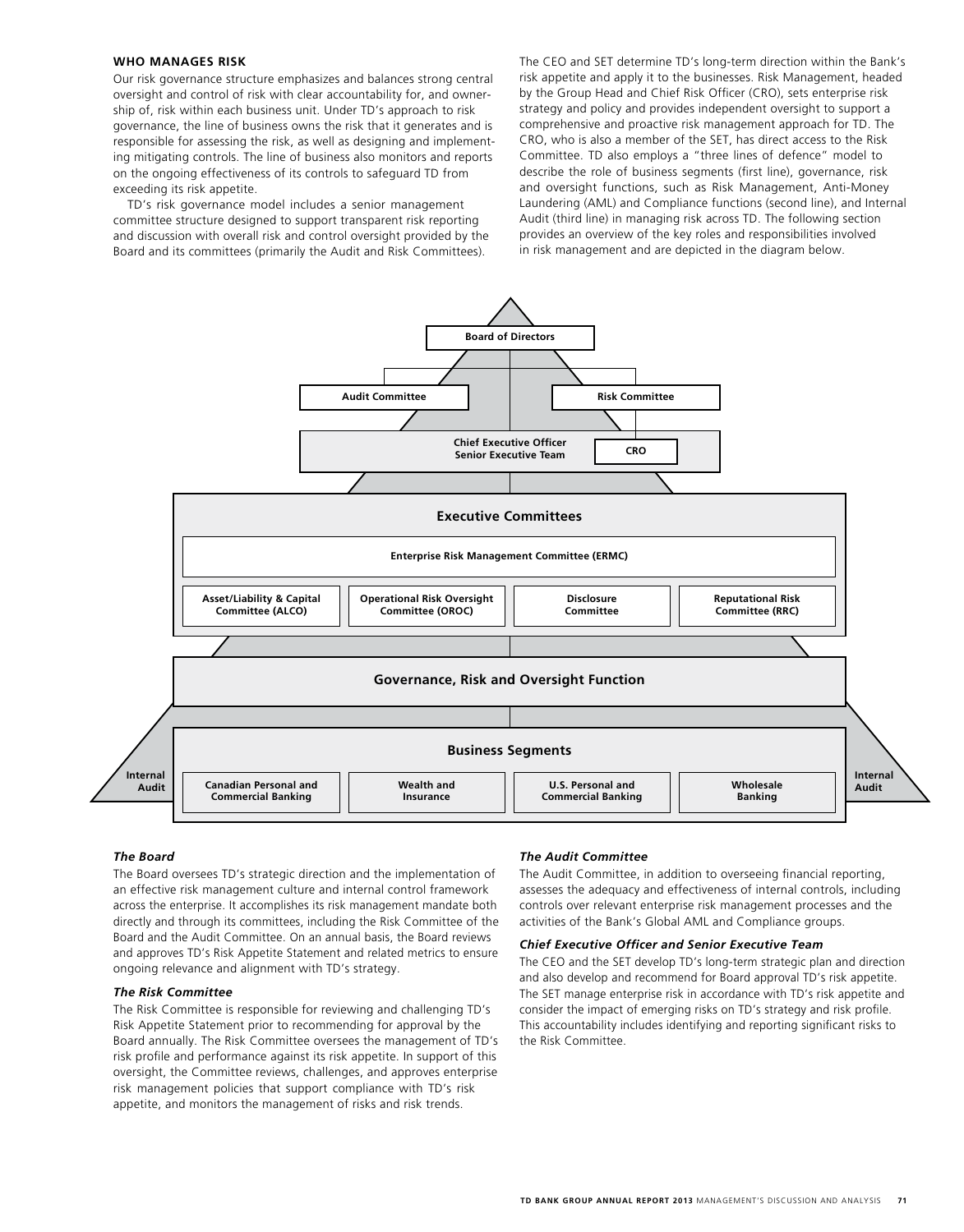#### **WHO MANAGES RISK**

Our risk governance structure emphasizes and balances strong central oversight and control of risk with clear accountability for, and ownership of, risk within each business unit. Under TD's approach to risk governance, the line of business owns the risk that it generates and is responsible for assessing the risk, as well as designing and implementing mitigating controls. The line of business also monitors and reports on the ongoing effectiveness of its controls to safeguard TD from exceeding its risk appetite.

TD's risk governance model includes a senior management committee structure designed to support transparent risk reporting and discussion with overall risk and control oversight provided by the Board and its committees (primarily the Audit and Risk Committees).

The CEO and SET determine TD's long-term direction within the Bank's risk appetite and apply it to the businesses. Risk Management, headed by the Group Head and Chief Risk Officer (CRO), sets enterprise risk strategy and policy and provides independent oversight to support a comprehensive and proactive risk management approach for TD. The CRO, who is also a member of the SET, has direct access to the Risk Committee. TD also employs a "three lines of defence" model to describe the role of business segments (first line), governance, risk and oversight functions, such as Risk Management, Anti-Money Laundering (AML) and Compliance functions (second line), and Internal Audit (third line) in managing risk across TD. The following section provides an overview of the key roles and responsibilities involved in risk management and are depicted in the diagram below.



#### *The Board*

The Board oversees TD's strategic direction and the implementation of an effective risk management culture and internal control framework across the enterprise. It accomplishes its risk management mandate both directly and through its committees, including the Risk Committee of the Board and the Audit Committee. On an annual basis, the Board reviews and approves TD's Risk Appetite Statement and related metrics to ensure ongoing relevance and alignment with TD's strategy.

#### *The Risk Committee*

The Risk Committee is responsible for reviewing and challenging TD's Risk Appetite Statement prior to recommending for approval by the Board annually. The Risk Committee oversees the management of TD's risk profile and performance against its risk appetite. In support of this oversight, the Committee reviews, challenges, and approves enterprise risk management policies that support compliance with TD's risk appetite, and monitors the management of risks and risk trends.

#### *The Audit Committee*

The Audit Committee, in addition to overseeing financial reporting, assesses the adequacy and effectiveness of internal controls, including controls over relevant enterprise risk management processes and the activities of the Bank's Global AML and Compliance groups.

#### *Chief Executive Officer and Senior Executive Team*

The CEO and the SET develop TD's long-term strategic plan and direction and also develop and recommend for Board approval TD's risk appetite. The SET manage enterprise risk in accordance with TD's risk appetite and consider the impact of emerging risks on TD's strategy and risk profile. This accountability includes identifying and reporting significant risks to the Risk Committee.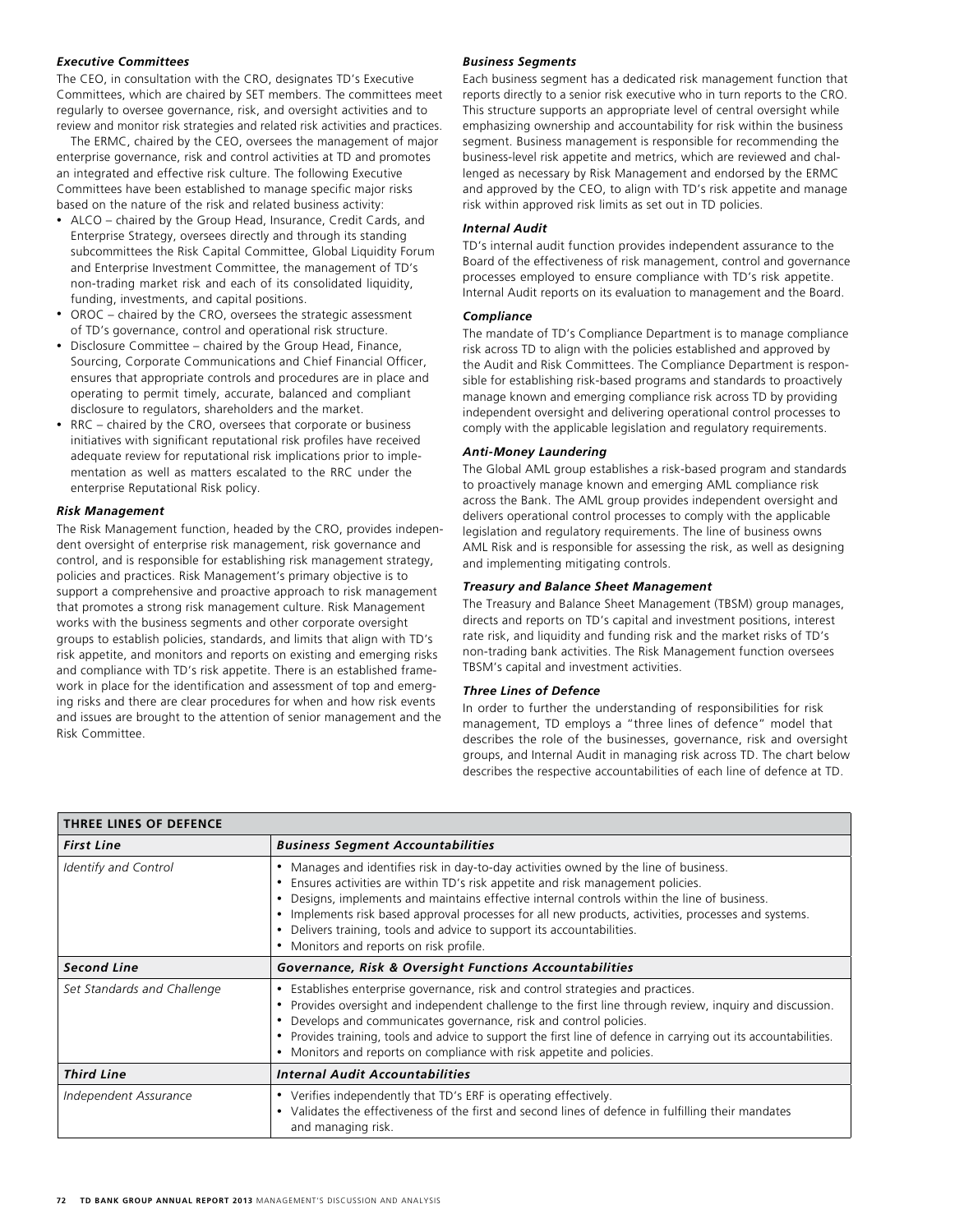#### *Executive Committees*

The CEO, in consultation with the CRO, designates TD's Executive Committees, which are chaired by SET members. The committees meet regularly to oversee governance, risk, and oversight activities and to review and monitor risk strategies and related risk activities and practices.

The ERMC, chaired by the CEO, oversees the management of major enterprise governance, risk and control activities at TD and promotes an integrated and effective risk culture. The following Executive Committees have been established to manage specific major risks based on the nature of the risk and related business activity:

- ALCO chaired by the Group Head, Insurance, Credit Cards, and Enterprise Strategy, oversees directly and through its standing subcommittees the Risk Capital Committee, Global Liquidity Forum and Enterprise Investment Committee, the management of TD's non-trading market risk and each of its consolidated liquidity, funding, investments, and capital positions.
- OROC chaired by the CRO, oversees the strategic assessment of TD's governance, control and operational risk structure.
- Disclosure Committee chaired by the Group Head, Finance, Sourcing, Corporate Communications and Chief Financial Officer, ensures that appropriate controls and procedures are in place and operating to permit timely, accurate, balanced and compliant disclosure to regulators, shareholders and the market.
- RRC chaired by the CRO, oversees that corporate or business initiatives with significant reputational risk profiles have received adequate review for reputational risk implications prior to implementation as well as matters escalated to the RRC under the enterprise Reputational Risk policy.

#### *Risk Management*

The Risk Management function, headed by the CRO, provides independent oversight of enterprise risk management, risk governance and control, and is responsible for establishing risk management strategy, policies and practices. Risk Management's primary objective is to support a comprehensive and proactive approach to risk management that promotes a strong risk management culture. Risk Management works with the business segments and other corporate oversight groups to establish policies, standards, and limits that align with TD's risk appetite, and monitors and reports on existing and emerging risks and compliance with TD's risk appetite. There is an established framework in place for the identification and assessment of top and emerging risks and there are clear procedures for when and how risk events and issues are brought to the attention of senior management and the Risk Committee.

#### *Business Segments*

Each business segment has a dedicated risk management function that reports directly to a senior risk executive who in turn reports to the CRO. This structure supports an appropriate level of central oversight while emphasizing ownership and accountability for risk within the business segment. Business management is responsible for recommending the business-level risk appetite and metrics, which are reviewed and challenged as necessary by Risk Management and endorsed by the ERMC and approved by the CEO, to align with TD's risk appetite and manage risk within approved risk limits as set out in TD policies.

#### *Internal Audit*

TD's internal audit function provides independent assurance to the Board of the effectiveness of risk management, control and governance processes employed to ensure compliance with TD's risk appetite. Internal Audit reports on its evaluation to management and the Board.

#### *Compliance*

The mandate of TD's Compliance Department is to manage compliance risk across TD to align with the policies established and approved by the Audit and Risk Committees. The Compliance Department is responsible for establishing risk-based programs and standards to proactively manage known and emerging compliance risk across TD by providing independent oversight and delivering operational control processes to comply with the applicable legislation and regulatory requirements.

#### *Anti-Money Laundering*

The Global AML group establishes a risk-based program and standards to proactively manage known and emerging AML compliance risk across the Bank. The AML group provides independent oversight and delivers operational control processes to comply with the applicable legislation and regulatory requirements. The line of business owns AML Risk and is responsible for assessing the risk, as well as designing and implementing mitigating controls.

#### *Treasury and Balance Sheet Management*

The Treasury and Balance Sheet Management (TBSM) group manages, directs and reports on TD's capital and investment positions, interest rate risk, and liquidity and funding risk and the market risks of TD's non-trading bank activities. The Risk Management function oversees TBSM's capital and investment activities.

#### *Three Lines of Defence*

In order to further the understanding of responsibilities for risk management, TD employs a "three lines of defence" model that describes the role of the businesses, governance, risk and oversight groups, and Internal Audit in managing risk across TD. The chart below describes the respective accountabilities of each line of defence at TD.

| THREE LINES OF DEFENCE      |                                                                                                                                                                                                                                                                                                                                                                                                                                                                                           |
|-----------------------------|-------------------------------------------------------------------------------------------------------------------------------------------------------------------------------------------------------------------------------------------------------------------------------------------------------------------------------------------------------------------------------------------------------------------------------------------------------------------------------------------|
| <b>First Line</b>           | <b>Business Segment Accountabilities</b>                                                                                                                                                                                                                                                                                                                                                                                                                                                  |
| Identify and Control        | Manages and identifies risk in day-to-day activities owned by the line of business.<br>Ensures activities are within TD's risk appetite and risk management policies.<br>Designs, implements and maintains effective internal controls within the line of business.<br>Implements risk based approval processes for all new products, activities, processes and systems.<br>Delivers training, tools and advice to support its accountabilities.<br>Monitors and reports on risk profile. |
| <b>Second Line</b>          | <b>Governance, Risk &amp; Oversight Functions Accountabilities</b>                                                                                                                                                                                                                                                                                                                                                                                                                        |
| Set Standards and Challenge | Establishes enterprise governance, risk and control strategies and practices.<br>Provides oversight and independent challenge to the first line through review, inquiry and discussion.<br>Develops and communicates governance, risk and control policies.<br>Provides training, tools and advice to support the first line of defence in carrying out its accountabilities.<br>Monitors and reports on compliance with risk appetite and policies.                                      |
| <b>Third Line</b>           | Internal Audit Accountabilities                                                                                                                                                                                                                                                                                                                                                                                                                                                           |
| Independent Assurance       | • Verifies independently that TD's ERF is operating effectively.<br>• Validates the effectiveness of the first and second lines of defence in fulfilling their mandates<br>and managing risk.                                                                                                                                                                                                                                                                                             |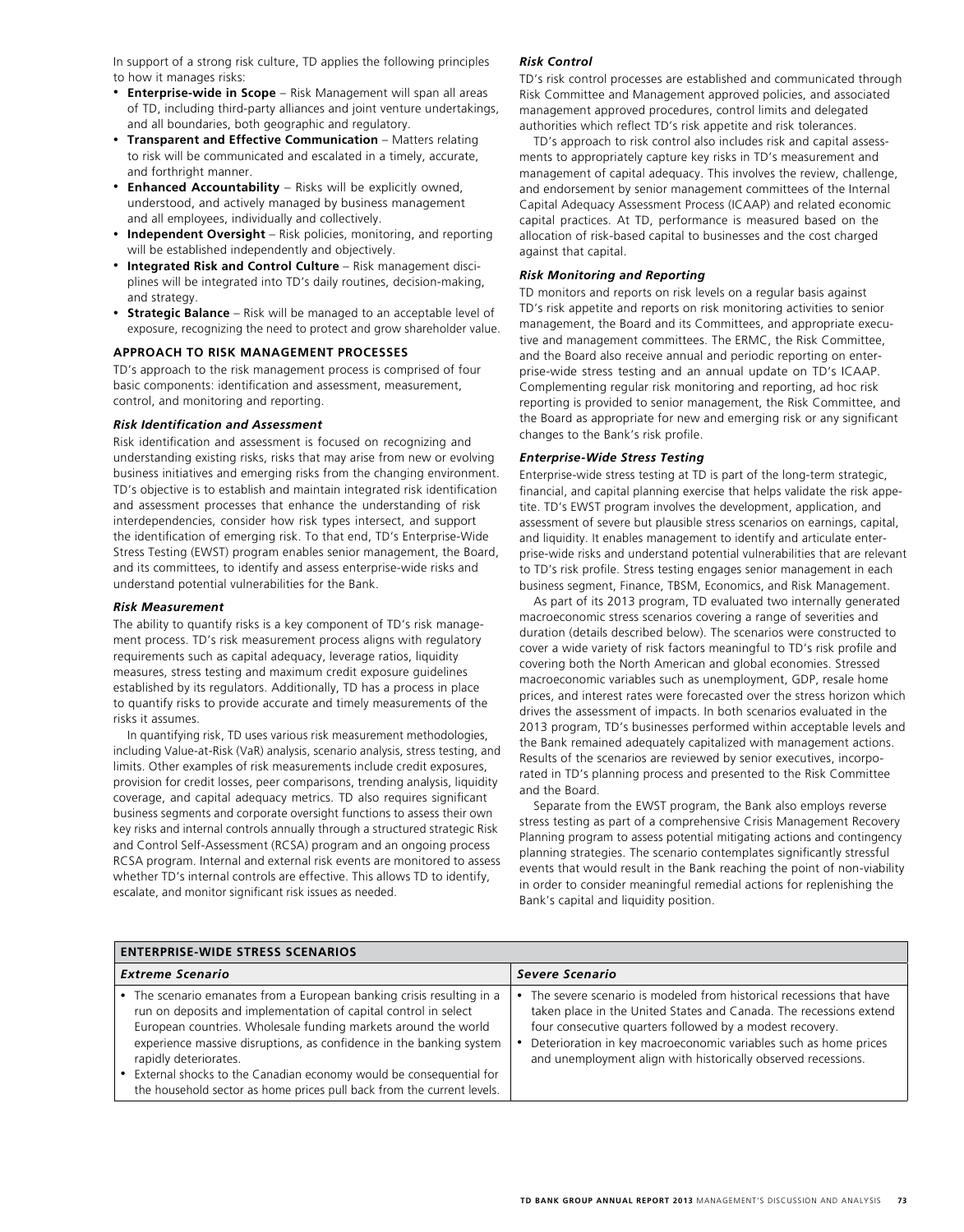In support of a strong risk culture, TD applies the following principles to how it manages risks:

- **Enterprise-wide in Scope** Risk Management will span all areas of TD, including third-party alliances and joint venture undertakings, and all boundaries, both geographic and regulatory.
- **Transparent and Effective Communication** Matters relating to risk will be communicated and escalated in a timely, accurate, and forthright manner.
- **Enhanced Accountability** Risks will be explicitly owned, understood, and actively managed by business management and all employees, individually and collectively.
- **Independent Oversight** Risk policies, monitoring, and reporting will be established independently and objectively.
- **Integrated Risk and Control Culture** Risk management disciplines will be integrated into TD's daily routines, decision-making, and strategy.
- **Strategic Balance** Risk will be managed to an acceptable level of exposure, recognizing the need to protect and grow shareholder value.

#### **APPROACH TO RISK MANAGEMENT PROCESSES**

TD's approach to the risk management process is comprised of four basic components: identification and assessment, measurement, control, and monitoring and reporting.

#### *Risk Identification and Assessment*

Risk identification and assessment is focused on recognizing and understanding existing risks, risks that may arise from new or evolving business initiatives and emerging risks from the changing environment. TD's objective is to establish and maintain integrated risk identification and assessment processes that enhance the understanding of risk interdependencies, consider how risk types intersect, and support the identification of emerging risk. To that end, TD's Enterprise-Wide Stress Testing (EWST) program enables senior management, the Board, and its committees, to identify and assess enterprise-wide risks and understand potential vulnerabilities for the Bank.

#### *Risk Measurement*

The ability to quantify risks is a key component of TD's risk management process. TD's risk measurement process aligns with regulatory requirements such as capital adequacy, leverage ratios, liquidity measures, stress testing and maximum credit exposure guidelines established by its regulators. Additionally, TD has a process in place to quantify risks to provide accurate and timely measurements of the risks it assumes.

In quantifying risk, TD uses various risk measurement methodologies, including Value-at-Risk (VaR) analysis, scenario analysis, stress testing, and limits. Other examples of risk measurements include credit exposures, provision for credit losses, peer comparisons, trending analysis, liquidity coverage, and capital adequacy metrics. TD also requires significant business segments and corporate oversight functions to assess their own key risks and internal controls annually through a structured strategic Risk and Control Self-Assessment (RCSA) program and an ongoing process RCSA program. Internal and external risk events are monitored to assess whether TD's internal controls are effective. This allows TD to identify, escalate, and monitor significant risk issues as needed.

#### *Risk Control*

TD's risk control processes are established and communicated through Risk Committee and Management approved policies, and associated management approved procedures, control limits and delegated authorities which reflect TD's risk appetite and risk tolerances.

TD's approach to risk control also includes risk and capital assessments to appropriately capture key risks in TD's measurement and management of capital adequacy. This involves the review, challenge, and endorsement by senior management committees of the Internal Capital Adequacy Assessment Process (ICAAP) and related economic capital practices. At TD, performance is measured based on the allocation of risk-based capital to businesses and the cost charged against that capital.

#### *Risk Monitoring and Reporting*

TD monitors and reports on risk levels on a regular basis against TD's risk appetite and reports on risk monitoring activities to senior management, the Board and its Committees, and appropriate executive and management committees. The ERMC, the Risk Committee, and the Board also receive annual and periodic reporting on enterprise-wide stress testing and an annual update on TD's ICAAP. Complementing regular risk monitoring and reporting, ad hoc risk reporting is provided to senior management, the Risk Committee, and the Board as appropriate for new and emerging risk or any significant changes to the Bank's risk profile.

#### *Enterprise-Wide Stress Testing*

Enterprise-wide stress testing at TD is part of the long-term strategic, financial, and capital planning exercise that helps validate the risk appetite. TD's EWST program involves the development, application, and assessment of severe but plausible stress scenarios on earnings, capital, and liquidity. It enables management to identify and articulate enterprise-wide risks and understand potential vulnerabilities that are relevant to TD's risk profile. Stress testing engages senior management in each business segment, Finance, TBSM, Economics, and Risk Management.

As part of its 2013 program, TD evaluated two internally generated macroeconomic stress scenarios covering a range of severities and duration (details described below). The scenarios were constructed to cover a wide variety of risk factors meaningful to TD's risk profile and covering both the North American and global economies. Stressed macroeconomic variables such as unemployment, GDP, resale home prices, and interest rates were forecasted over the stress horizon which drives the assessment of impacts. In both scenarios evaluated in the 2013 program, TD's businesses performed within acceptable levels and the Bank remained adequately capitalized with management actions. Results of the scenarios are reviewed by senior executives, incorporated in TD's planning process and presented to the Risk Committee and the Board.

Separate from the EWST program, the Bank also employs reverse stress testing as part of a comprehensive Crisis Management Recovery Planning program to assess potential mitigating actions and contingency planning strategies. The scenario contemplates significantly stressful events that would result in the Bank reaching the point of non-viability in order to consider meaningful remedial actions for replenishing the Bank's capital and liquidity position.

| <b>ENTERPRISE-WIDE STRESS SCENARIOS</b>                                                                                                                                                                                                                                                                                                                                                                                                                    |                                                                                                                                                                                                                                                                                                                                            |  |  |  |  |  |  |
|------------------------------------------------------------------------------------------------------------------------------------------------------------------------------------------------------------------------------------------------------------------------------------------------------------------------------------------------------------------------------------------------------------------------------------------------------------|--------------------------------------------------------------------------------------------------------------------------------------------------------------------------------------------------------------------------------------------------------------------------------------------------------------------------------------------|--|--|--|--|--|--|
| <b>Extreme Scenario</b>                                                                                                                                                                                                                                                                                                                                                                                                                                    | Severe Scenario                                                                                                                                                                                                                                                                                                                            |  |  |  |  |  |  |
| • The scenario emanates from a European banking crisis resulting in a<br>run on deposits and implementation of capital control in select<br>European countries. Wholesale funding markets around the world<br>experience massive disruptions, as confidence in the banking system<br>rapidly deteriorates.<br>External shocks to the Canadian economy would be consequential for<br>the household sector as home prices pull back from the current levels. | The severe scenario is modeled from historical recessions that have<br>taken place in the United States and Canada. The recessions extend<br>four consecutive quarters followed by a modest recovery.<br>Deterioration in key macroeconomic variables such as home prices<br>and unemployment align with historically observed recessions. |  |  |  |  |  |  |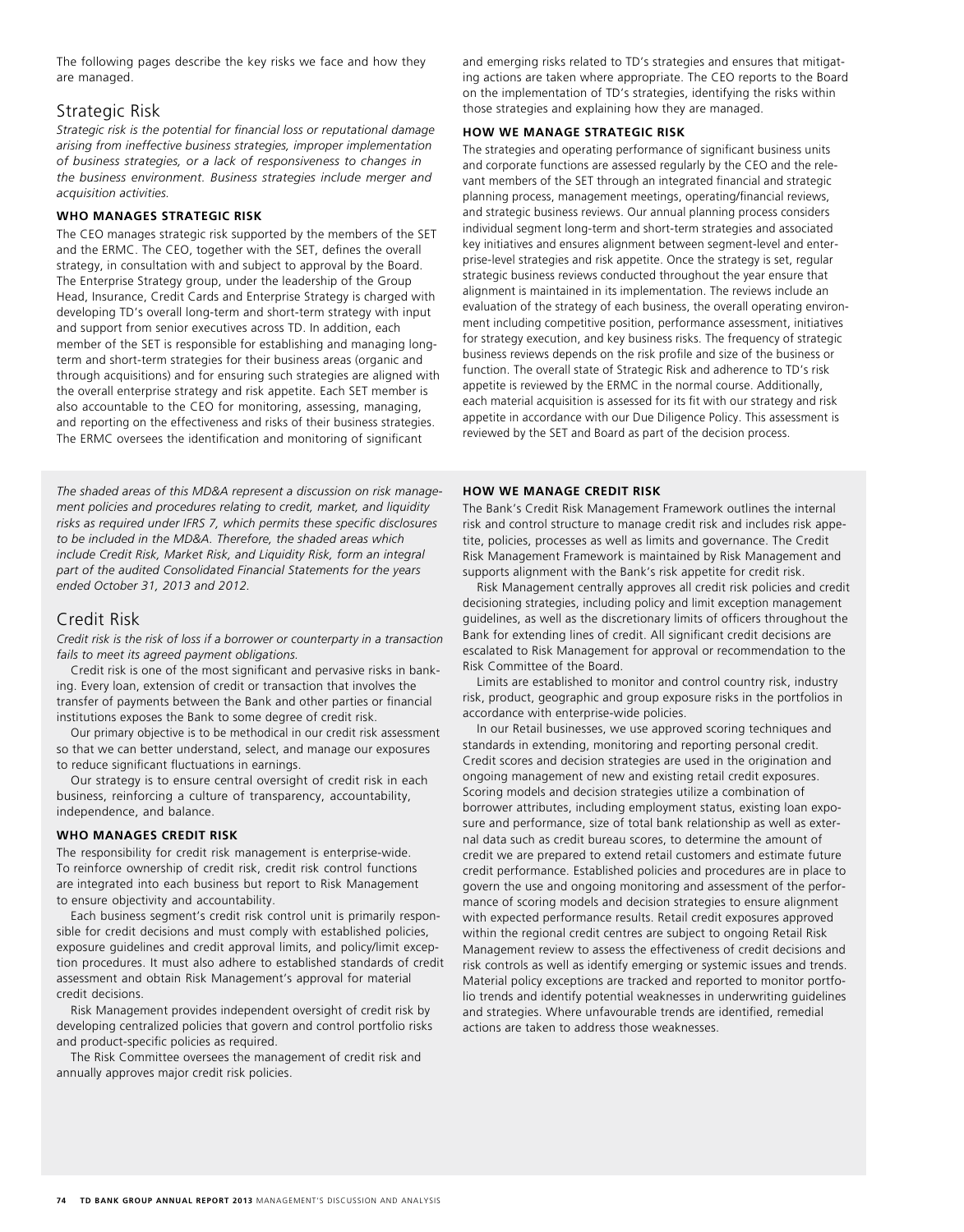The following pages describe the key risks we face and how they are managed.

# Strategic Risk

*Strategic risk is the potential for financial loss or reputational damage arising from ineffective business strategies, improper implementation of business strategies, or a lack of responsiveness to changes in the business environment. Business strategies include merger and acquisition activities.*

# **WHO MANAGES STRATEGIC RISK**

The CEO manages strategic risk supported by the members of the SET and the ERMC. The CEO, together with the SET, defines the overall strategy, in consultation with and subject to approval by the Board. The Enterprise Strategy group, under the leadership of the Group Head, Insurance, Credit Cards and Enterprise Strategy is charged with developing TD's overall long-term and short-term strategy with input and support from senior executives across TD. In addition, each member of the SET is responsible for establishing and managing longterm and short-term strategies for their business areas (organic and through acquisitions) and for ensuring such strategies are aligned with the overall enterprise strategy and risk appetite. Each SET member is also accountable to the CEO for monitoring, assessing, managing, and reporting on the effectiveness and risks of their business strategies. The ERMC oversees the identification and monitoring of significant

*The shaded areas of this MD&A represent a discussion on risk management policies and procedures relating to credit, market, and liquidity risks as required under IFRS 7, which permits these specific disclosures to be included in the MD&A. Therefore, the shaded areas which include Credit Risk, Market Risk, and Liquidity Risk, form an integral part of the audited Consolidated Financial Statements for the years ended October 31, 2013 and 2012.*

# Credit Risk

*Credit risk is the risk of loss if a borrower or counterparty in a transaction fails to meet its agreed payment obligations.*

Credit risk is one of the most significant and pervasive risks in banking. Every loan, extension of credit or transaction that involves the transfer of payments between the Bank and other parties or financial institutions exposes the Bank to some degree of credit risk.

Our primary objective is to be methodical in our credit risk assessment so that we can better understand, select, and manage our exposures to reduce significant fluctuations in earnings.

Our strategy is to ensure central oversight of credit risk in each business, reinforcing a culture of transparency, accountability, independence, and balance.

#### **WHO MANAGES CREDIT RISK**

The responsibility for credit risk management is enterprise-wide. To reinforce ownership of credit risk, credit risk control functions are integrated into each business but report to Risk Management to ensure objectivity and accountability.

Each business segment's credit risk control unit is primarily responsible for credit decisions and must comply with established policies, exposure guidelines and credit approval limits, and policy/limit exception procedures. It must also adhere to established standards of credit assessment and obtain Risk Management's approval for material credit decisions.

Risk Management provides independent oversight of credit risk by developing centralized policies that govern and control portfolio risks and product-specific policies as required.

The Risk Committee oversees the management of credit risk and annually approves major credit risk policies.

and emerging risks related to TD's strategies and ensures that mitigating actions are taken where appropriate. The CEO reports to the Board on the implementation of TD's strategies, identifying the risks within those strategies and explaining how they are managed.

### **HOW WE MANAGE STRATEGIC RISK**

The strategies and operating performance of significant business units and corporate functions are assessed regularly by the CEO and the relevant members of the SET through an integrated financial and strategic planning process, management meetings, operating/financial reviews, and strategic business reviews. Our annual planning process considers individual segment long-term and short-term strategies and associated key initiatives and ensures alignment between segment-level and enterprise-level strategies and risk appetite. Once the strategy is set, regular strategic business reviews conducted throughout the year ensure that alignment is maintained in its implementation. The reviews include an evaluation of the strategy of each business, the overall operating environment including competitive position, performance assessment, initiatives for strategy execution, and key business risks. The frequency of strategic business reviews depends on the risk profile and size of the business or function. The overall state of Strategic Risk and adherence to TD's risk appetite is reviewed by the ERMC in the normal course. Additionally, each material acquisition is assessed for its fit with our strategy and risk appetite in accordance with our Due Diligence Policy. This assessment is reviewed by the SET and Board as part of the decision process.

#### **HOW WE MANAGE CREDIT RISK**

The Bank's Credit Risk Management Framework outlines the internal risk and control structure to manage credit risk and includes risk appetite, policies, processes as well as limits and governance. The Credit Risk Management Framework is maintained by Risk Management and supports alignment with the Bank's risk appetite for credit risk.

Risk Management centrally approves all credit risk policies and credit decisioning strategies, including policy and limit exception management guidelines, as well as the discretionary limits of officers throughout the Bank for extending lines of credit. All significant credit decisions are escalated to Risk Management for approval or recommendation to the Risk Committee of the Board.

Limits are established to monitor and control country risk, industry risk, product, geographic and group exposure risks in the portfolios in accordance with enterprise-wide policies.

In our Retail businesses, we use approved scoring techniques and standards in extending, monitoring and reporting personal credit. Credit scores and decision strategies are used in the origination and ongoing management of new and existing retail credit exposures. Scoring models and decision strategies utilize a combination of borrower attributes, including employment status, existing loan exposure and performance, size of total bank relationship as well as external data such as credit bureau scores, to determine the amount of credit we are prepared to extend retail customers and estimate future credit performance. Established policies and procedures are in place to govern the use and ongoing monitoring and assessment of the performance of scoring models and decision strategies to ensure alignment with expected performance results. Retail credit exposures approved within the regional credit centres are subject to ongoing Retail Risk Management review to assess the effectiveness of credit decisions and risk controls as well as identify emerging or systemic issues and trends. Material policy exceptions are tracked and reported to monitor portfolio trends and identify potential weaknesses in underwriting guidelines and strategies. Where unfavourable trends are identified, remedial actions are taken to address those weaknesses.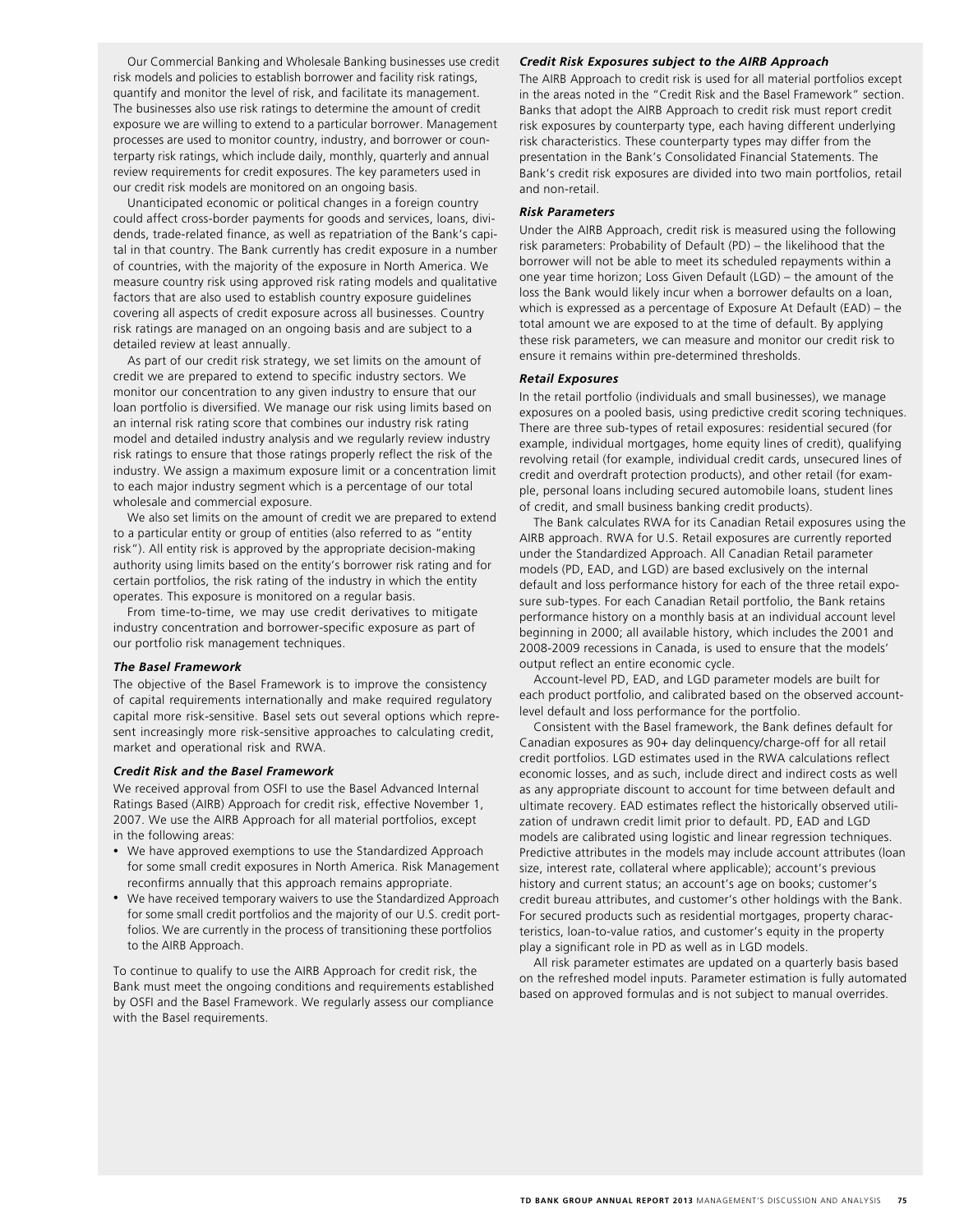Our Commercial Banking and Wholesale Banking businesses use credit risk models and policies to establish borrower and facility risk ratings, quantify and monitor the level of risk, and facilitate its management. The businesses also use risk ratings to determine the amount of credit exposure we are willing to extend to a particular borrower. Management processes are used to monitor country, industry, and borrower or counterparty risk ratings, which include daily, monthly, quarterly and annual review requirements for credit exposures. The key parameters used in our credit risk models are monitored on an ongoing basis.

Unanticipated economic or political changes in a foreign country could affect cross-border payments for goods and services, loans, dividends, trade-related finance, as well as repatriation of the Bank's capital in that country. The Bank currently has credit exposure in a number of countries, with the majority of the exposure in North America. We measure country risk using approved risk rating models and qualitative factors that are also used to establish country exposure guidelines covering all aspects of credit exposure across all businesses. Country risk ratings are managed on an ongoing basis and are subject to a detailed review at least annually.

As part of our credit risk strategy, we set limits on the amount of credit we are prepared to extend to specific industry sectors. We monitor our concentration to any given industry to ensure that our loan portfolio is diversified. We manage our risk using limits based on an internal risk rating score that combines our industry risk rating model and detailed industry analysis and we regularly review industry risk ratings to ensure that those ratings properly reflect the risk of the industry. We assign a maximum exposure limit or a concentration limit to each major industry segment which is a percentage of our total wholesale and commercial exposure.

We also set limits on the amount of credit we are prepared to extend to a particular entity or group of entities (also referred to as "entity risk"). All entity risk is approved by the appropriate decision-making authority using limits based on the entity's borrower risk rating and for certain portfolios, the risk rating of the industry in which the entity operates. This exposure is monitored on a regular basis.

From time-to-time, we may use credit derivatives to mitigate industry concentration and borrower-specific exposure as part of our portfolio risk management techniques.

#### *The Basel Framework*

The objective of the Basel Framework is to improve the consistency of capital requirements internationally and make required regulatory capital more risk-sensitive. Basel sets out several options which represent increasingly more risk-sensitive approaches to calculating credit, market and operational risk and RWA.

#### *Credit Risk and the Basel Framework*

We received approval from OSFI to use the Basel Advanced Internal Ratings Based (AIRB) Approach for credit risk, effective November 1, 2007. We use the AIRB Approach for all material portfolios, except in the following areas:

- We have approved exemptions to use the Standardized Approach for some small credit exposures in North America. Risk Management reconfirms annually that this approach remains appropriate.
- We have received temporary waivers to use the Standardized Approach for some small credit portfolios and the majority of our U.S. credit portfolios. We are currently in the process of transitioning these portfolios to the AIRB Approach.

To continue to qualify to use the AIRB Approach for credit risk, the Bank must meet the ongoing conditions and requirements established by OSFI and the Basel Framework. We regularly assess our compliance with the Basel requirements.

#### *Credit Risk Exposures subject to the AIRB Approach*

The AIRB Approach to credit risk is used for all material portfolios except in the areas noted in the "Credit Risk and the Basel Framework" section. Banks that adopt the AIRB Approach to credit risk must report credit risk exposures by counterparty type, each having different underlying risk characteristics. These counterparty types may differ from the presentation in the Bank's Consolidated Financial Statements. The Bank's credit risk exposures are divided into two main portfolios, retail and non-retail.

#### *Risk Parameters*

Under the AIRB Approach, credit risk is measured using the following risk parameters: Probability of Default (PD) – the likelihood that the borrower will not be able to meet its scheduled repayments within a one year time horizon; Loss Given Default (LGD) – the amount of the loss the Bank would likely incur when a borrower defaults on a loan, which is expressed as a percentage of Exposure At Default (EAD) – the total amount we are exposed to at the time of default. By applying these risk parameters, we can measure and monitor our credit risk to ensure it remains within pre-determined thresholds.

#### *Retail Exposures*

In the retail portfolio (individuals and small businesses), we manage exposures on a pooled basis, using predictive credit scoring techniques. There are three sub-types of retail exposures: residential secured (for example, individual mortgages, home equity lines of credit), qualifying revolving retail (for example, individual credit cards, unsecured lines of credit and overdraft protection products), and other retail (for example, personal loans including secured automobile loans, student lines of credit, and small business banking credit products).

The Bank calculates RWA for its Canadian Retail exposures using the AIRB approach. RWA for U.S. Retail exposures are currently reported under the Standardized Approach. All Canadian Retail parameter models (PD, EAD, and LGD) are based exclusively on the internal default and loss performance history for each of the three retail exposure sub-types. For each Canadian Retail portfolio, the Bank retains performance history on a monthly basis at an individual account level beginning in 2000; all available history, which includes the 2001 and 2008-2009 recessions in Canada, is used to ensure that the models' output reflect an entire economic cycle.

Account-level PD, EAD, and LGD parameter models are built for each product portfolio, and calibrated based on the observed accountlevel default and loss performance for the portfolio.

Consistent with the Basel framework, the Bank defines default for Canadian exposures as 90+ day delinquency/charge-off for all retail credit portfolios. LGD estimates used in the RWA calculations reflect economic losses, and as such, include direct and indirect costs as well as any appropriate discount to account for time between default and ultimate recovery. EAD estimates reflect the historically observed utilization of undrawn credit limit prior to default. PD, EAD and LGD models are calibrated using logistic and linear regression techniques. Predictive attributes in the models may include account attributes (loan size, interest rate, collateral where applicable); account's previous history and current status; an account's age on books; customer's credit bureau attributes, and customer's other holdings with the Bank. For secured products such as residential mortgages, property characteristics, loan-to-value ratios, and customer's equity in the property play a significant role in PD as well as in LGD models.

All risk parameter estimates are updated on a quarterly basis based on the refreshed model inputs. Parameter estimation is fully automated based on approved formulas and is not subject to manual overrides.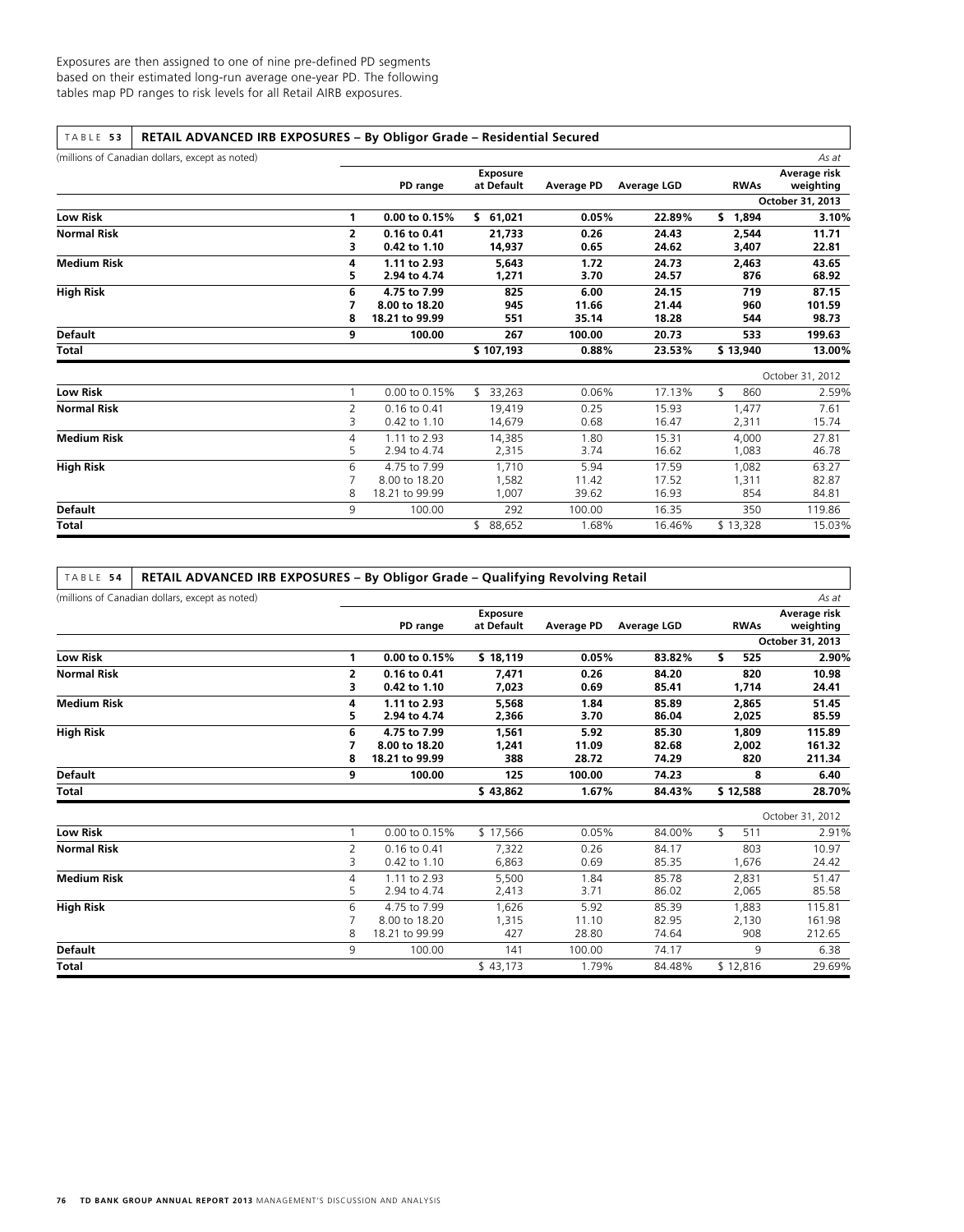Exposures are then assigned to one of nine pre-defined PD segments based on their estimated long-run average one-year PD. The following tables map PD ranges to risk levels for all Retail AIRB exposures.

# TABLE **5 3 RETAIL ADVANCED IRB EXPOSURES – By Obligor Grade – Residential Secured**

|    |                |                 |                   |        |             | As at            |
|----|----------------|-----------------|-------------------|--------|-------------|------------------|
|    |                | <b>Exposure</b> |                   |        |             | Average risk     |
|    | PD range       | at Default      | <b>Average PD</b> |        | <b>RWAs</b> | weighting        |
|    |                |                 |                   |        |             | October 31, 2013 |
|    | 0.00 to 0.15%  | 61,021<br>\$.   | 0.05%             | 22.89% | \$1,894     | 3.10%            |
| 2  | 0.16 to 0.41   | 21,733          | 0.26              | 24.43  | 2,544       | 11.71            |
| 3  | 0.42 to 1.10   | 14,937          | 0.65              | 24.62  | 3,407       | 22.81            |
| 4  | 1.11 to 2.93   | 5,643           | 1.72              | 24.73  | 2,463       | 43.65            |
| 5. | 2.94 to 4.74   | 1,271           | 3.70              | 24.57  | 876         | 68.92            |
| 6  | 4.75 to 7.99   | 825             | 6.00              | 24.15  | 719         | 87.15            |
|    | 8.00 to 18.20  | 945             | 11.66             | 21.44  | 960         | 101.59           |
|    | 18.21 to 99.99 | 551             | 35.14             | 18.28  | 544         | 98.73            |
| 9  | 100.00         | 267             | 100.00            | 20.73  | 533         | 199.63           |
|    |                | \$107,193       | 0.88%             | 23.53% | \$13,940    | 13.00%           |
|    |                |                 |                   |        |             | October 31, 2012 |
|    | 0.00 to 0.15%  | 33,263<br>\$    | 0.06%             | 17.13% | \$<br>860   | 2.59%            |
| 2  | 0.16 to 0.41   | 19,419          | 0.25              | 15.93  |             | 7.61             |
| 3  | 0.42 to 1.10   | 14,679          | 0.68              | 16.47  | 2,311       | 15.74            |
| 4  | 1.11 to 2.93   | 14,385          | 1.80              | 15.31  | 4,000       | 27.81            |
| 5  | 2.94 to 4.74   | 2,315           | 3.74              | 16.62  | 1,083       | 46.78            |
| 6  | 4.75 to 7.99   | 1,710           | 5.94              | 17.59  | 1,082       | 63.27            |
|    | 8.00 to 18.20  | 1,582           | 11.42             | 17.52  | 1,311       | 82.87            |
| 8  | 18.21 to 99.99 | 1,007           | 39.62             | 16.93  | 854         | 84.81            |
| 9  | 100.00         | 292             | 100.00            | 16.35  | 350         | 119.86           |
|    |                | 88,652<br>\$    | 1.68%             | 16.46% | \$13,328    | 15.03%           |
|    |                |                 |                   |        | Average LGD | 1,477            |

| TABLE 54           | RETAIL ADVANCED IRB EXPOSURES - By Obligor Grade - Qualifying Revolving Retail |        |                                                 |                               |                        |                         |                       |                            |  |
|--------------------|--------------------------------------------------------------------------------|--------|-------------------------------------------------|-------------------------------|------------------------|-------------------------|-----------------------|----------------------------|--|
|                    | (millions of Canadian dollars, except as noted)                                |        |                                                 |                               |                        |                         |                       | As at                      |  |
|                    |                                                                                |        | PD range                                        | <b>Exposure</b><br>at Default | <b>Average PD</b>      | <b>Average LGD</b>      | <b>RWAs</b>           | Average risk<br>weighting  |  |
|                    |                                                                                |        |                                                 |                               |                        |                         |                       | October 31, 2013           |  |
| Low Risk           |                                                                                | 1      | 0.00 to 0.15%                                   | \$18,119                      | 0.05%                  | 83.82%                  | \$.<br>525            | 2.90%                      |  |
| <b>Normal Risk</b> |                                                                                | 2<br>3 | 0.16 to 0.41<br>0.42 to 1.10                    | 7,471<br>7,023                | 0.26<br>0.69           | 84.20<br>85.41          | 820<br>1,714          | 10.98<br>24.41             |  |
| <b>Medium Risk</b> |                                                                                | 4<br>5 | 1.11 to 2.93<br>2.94 to 4.74                    | 5,568<br>2,366                | 1.84<br>3.70           | 85.89<br>86.04          | 2,865<br>2,025        | 51.45<br>85.59             |  |
| <b>High Risk</b>   |                                                                                | 6<br>8 | 4.75 to 7.99<br>8.00 to 18.20<br>18.21 to 99.99 | 1.561<br>1,241<br>388         | 5.92<br>11.09<br>28.72 | 85.30<br>82.68<br>74.29 | 1,809<br>2,002<br>820 | 115.89<br>161.32<br>211.34 |  |
| <b>Default</b>     |                                                                                | 9      | 100.00                                          | 125                           | 100.00                 | 74.23                   | 8                     | 6.40                       |  |
| <b>Total</b>       |                                                                                |        |                                                 | \$43,862                      | 1.67%                  | 84.43%                  | \$12,588              | 28.70%                     |  |
|                    |                                                                                |        |                                                 |                               |                        |                         |                       | October 31, 2012           |  |
| Low Risk           |                                                                                |        | 0.00 to 0.15%                                   | \$17,566                      | 0.05%                  | 84.00%                  | \$<br>511             | 2.91%                      |  |
| <b>Normal Risk</b> |                                                                                | 2<br>3 | 0.16 to 0.41<br>0.42 to 1.10                    | 7,322<br>6,863                | 0.26<br>0.69           | 84.17<br>85.35          | 803<br>1,676          | 10.97<br>24.42             |  |
| <b>Medium Risk</b> |                                                                                | 4<br>5 | 1.11 to 2.93<br>2.94 to 4.74                    | 5,500<br>2,413                | 1.84<br>3.71           | 85.78<br>86.02          | 2,831<br>2,065        | 51.47<br>85.58             |  |
| <b>High Risk</b>   |                                                                                | 6<br>8 | 4.75 to 7.99<br>8.00 to 18.20<br>18.21 to 99.99 | 1,626<br>1,315<br>427         | 5.92<br>11.10<br>28.80 | 85.39<br>82.95<br>74.64 | 1.883<br>2,130<br>908 | 115.81<br>161.98<br>212.65 |  |
| <b>Default</b>     |                                                                                | 9      | 100.00                                          | 141                           | 100.00                 | 74.17                   | 9                     | 6.38                       |  |
| <b>Total</b>       |                                                                                |        |                                                 | \$43,173                      | 1.79%                  | 84.48%                  | \$12,816              | 29.69%                     |  |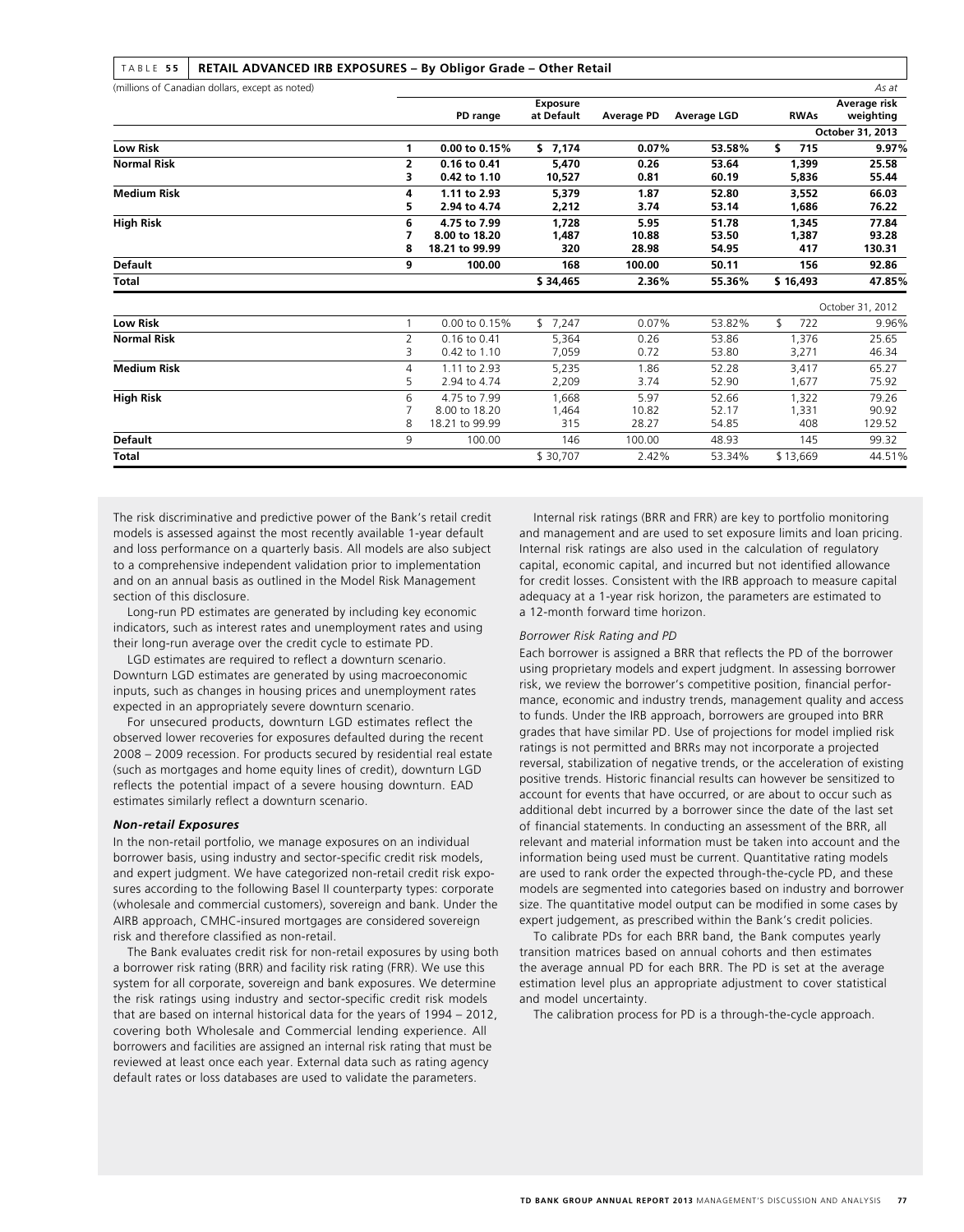| TABLE 55           | RETAIL ADVANCED IRB EXPOSURES - By Obligor Grade - Other Retail |                |                |                 |                   |                    |                      |                  |
|--------------------|-----------------------------------------------------------------|----------------|----------------|-----------------|-------------------|--------------------|----------------------|------------------|
|                    | (millions of Canadian dollars, except as noted)                 |                |                |                 |                   |                    |                      | As at            |
|                    |                                                                 |                |                | <b>Exposure</b> |                   |                    |                      | Average risk     |
|                    |                                                                 |                | PD range       | at Default      | <b>Average PD</b> | <b>Average LGD</b> | <b>RWAs</b>          | weighting        |
|                    |                                                                 |                |                |                 |                   |                    |                      | October 31, 2013 |
| <b>Low Risk</b>    |                                                                 | 1              | 0.00 to 0.15%  | \$7,174         | 0.07%             | 53.58%             | \$.<br>715           | 9.97%            |
| <b>Normal Risk</b> |                                                                 | $\overline{2}$ | 0.16 to 0.41   | 5,470           | 0.26              | 53.64              | 1,399                | 25.58            |
|                    |                                                                 | 3              | 0.42 to 1.10   | 10,527          | 0.81              | 60.19              | 5,836                | 55.44            |
| <b>Medium Risk</b> |                                                                 | 4              | 1.11 to 2.93   | 5,379           | 1.87              | 52.80              | 3,552                | 66.03            |
|                    |                                                                 | 5              | 2.94 to 4.74   | 2,212           | 3.74              | 53.14              | 1,686                | 76.22            |
| <b>High Risk</b>   |                                                                 | 6              | 4.75 to 7.99   | 1,728           | 5.95              | 51.78              | 1,345                | 77.84            |
|                    |                                                                 |                | 8.00 to 18.20  | 1,487           | 10.88             | 53.50              | 1,387                | 93.28            |
|                    |                                                                 | 8              | 18.21 to 99.99 | 320             | 28.98             | 54.95              | 417                  | 130.31           |
| <b>Default</b>     |                                                                 | 9              | 100.00         | 168             | 100.00            | 50.11              | 156                  | 92.86            |
| Total              |                                                                 |                |                | \$34,465        | 2.36%             | 55.36%             | \$16,493             | 47.85%           |
|                    |                                                                 |                |                |                 |                   |                    |                      | October 31, 2012 |
| <b>Low Risk</b>    |                                                                 |                | 0.00 to 0.15%  | \$7,247         | 0.07%             | 53.82%             | $\mathsf{\$}$<br>722 | 9.96%            |
| <b>Normal Risk</b> |                                                                 | 2              | 0.16 to 0.41   | 5,364           | 0.26              | 53.86              | 1,376                | 25.65            |
|                    |                                                                 | 3              | 0.42 to 1.10   | 7,059           | 0.72              | 53.80              | 3,271                | 46.34            |
| <b>Medium Risk</b> |                                                                 | 4              | 1.11 to 2.93   | 5,235           | 1.86              | 52.28              | 3,417                | 65.27            |
|                    |                                                                 | 5              | 2.94 to 4.74   | 2,209           | 3.74              | 52.90              | 1,677                | 75.92            |
| <b>High Risk</b>   |                                                                 | 6              | 4.75 to 7.99   | 1.668           | 5.97              | 52.66              | 1,322                | 79.26            |
|                    |                                                                 |                | 8.00 to 18.20  | 1,464           | 10.82             | 52.17              | 1,331                | 90.92            |
|                    |                                                                 | 8              | 18.21 to 99.99 | 315             | 28.27             | 54.85              | 408                  | 129.52           |
| <b>Default</b>     |                                                                 | 9              | 100.00         | 146             | 100.00            | 48.93              | 145                  | 99.32            |
| Total              |                                                                 |                |                | \$30,707        | 2.42%             | 53.34%             | \$13,669             | 44.51%           |

The risk discriminative and predictive power of the Bank's retail credit models is assessed against the most recently available 1-year default and loss performance on a quarterly basis. All models are also subject to a comprehensive independent validation prior to implementation and on an annual basis as outlined in the Model Risk Management section of this disclosure.

Long-run PD estimates are generated by including key economic indicators, such as interest rates and unemployment rates and using their long-run average over the credit cycle to estimate PD.

LGD estimates are required to reflect a downturn scenario. Downturn LGD estimates are generated by using macroeconomic inputs, such as changes in housing prices and unemployment rates expected in an appropriately severe downturn scenario.

For unsecured products, downturn LGD estimates reflect the observed lower recoveries for exposures defaulted during the recent 2008 – 2009 recession. For products secured by residential real estate (such as mortgages and home equity lines of credit), downturn LGD reflects the potential impact of a severe housing downturn. EAD estimates similarly reflect a downturn scenario.

#### *Non-retail Exposures*

In the non-retail portfolio, we manage exposures on an individual borrower basis, using industry and sector-specific credit risk models, and expert judgment. We have categorized non-retail credit risk exposures according to the following Basel II counterparty types: corporate (wholesale and commercial customers), sovereign and bank. Under the AIRB approach, CMHC-insured mortgages are considered sovereign risk and therefore classified as non-retail.

The Bank evaluates credit risk for non-retail exposures by using both a borrower risk rating (BRR) and facility risk rating (FRR). We use this system for all corporate, sovereign and bank exposures. We determine the risk ratings using industry and sector-specific credit risk models that are based on internal historical data for the years of 1994 – 2012, covering both Wholesale and Commercial lending experience. All borrowers and facilities are assigned an internal risk rating that must be reviewed at least once each year. External data such as rating agency default rates or loss databases are used to validate the parameters.

Internal risk ratings (BRR and FRR) are key to portfolio monitoring and management and are used to set exposure limits and loan pricing. Internal risk ratings are also used in the calculation of regulatory capital, economic capital, and incurred but not identified allowance for credit losses. Consistent with the IRB approach to measure capital adequacy at a 1-year risk horizon, the parameters are estimated to a 12-month forward time horizon.

#### *Borrower Risk Rating and PD*

Each borrower is assigned a BRR that reflects the PD of the borrower using proprietary models and expert judgment. In assessing borrower risk, we review the borrower's competitive position, financial performance, economic and industry trends, management quality and access to funds. Under the IRB approach, borrowers are grouped into BRR grades that have similar PD. Use of projections for model implied risk ratings is not permitted and BRRs may not incorporate a projected reversal, stabilization of negative trends, or the acceleration of existing positive trends. Historic financial results can however be sensitized to account for events that have occurred, or are about to occur such as additional debt incurred by a borrower since the date of the last set of financial statements. In conducting an assessment of the BRR, all relevant and material information must be taken into account and the information being used must be current. Quantitative rating models are used to rank order the expected through-the-cycle PD, and these models are segmented into categories based on industry and borrower size. The quantitative model output can be modified in some cases by expert judgement, as prescribed within the Bank's credit policies.

To calibrate PDs for each BRR band, the Bank computes yearly transition matrices based on annual cohorts and then estimates the average annual PD for each BRR. The PD is set at the average estimation level plus an appropriate adjustment to cover statistical and model uncertainty.

The calibration process for PD is a through-the-cycle approach.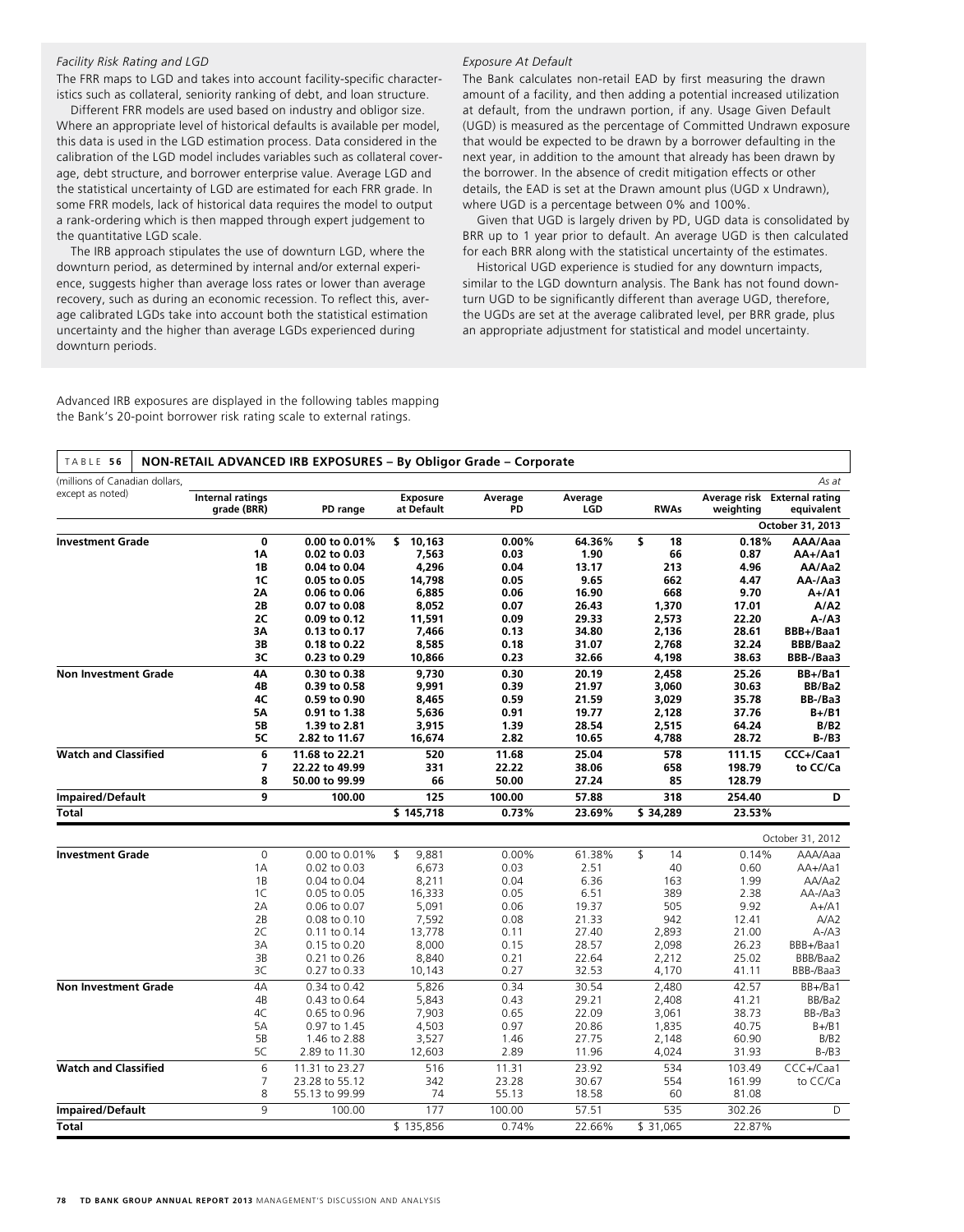### *Facility Risk Rating and LGD*

The FRR maps to LGD and takes into account facility-specific characteristics such as collateral, seniority ranking of debt, and loan structure.

Different FRR models are used based on industry and obligor size. Where an appropriate level of historical defaults is available per model, this data is used in the LGD estimation process. Data considered in the calibration of the LGD model includes variables such as collateral coverage, debt structure, and borrower enterprise value. Average LGD and the statistical uncertainty of LGD are estimated for each FRR grade. In some FRR models, lack of historical data requires the model to output a rank-ordering which is then mapped through expert judgement to the quantitative LGD scale.

The IRB approach stipulates the use of downturn LGD, where the downturn period, as determined by internal and/or external experience, suggests higher than average loss rates or lower than average recovery, such as during an economic recession. To reflect this, average calibrated LGDs take into account both the statistical estimation uncertainty and the higher than average LGDs experienced during downturn periods.

*Exposure At Default*

The Bank calculates non-retail EAD by first measuring the drawn amount of a facility, and then adding a potential increased utilization at default, from the undrawn portion, if any. Usage Given Default (UGD) is measured as the percentage of Committed Undrawn exposure that would be expected to be drawn by a borrower defaulting in the next year, in addition to the amount that already has been drawn by the borrower. In the absence of credit mitigation effects or other details, the EAD is set at the Drawn amount plus (UGD x Undrawn), where UGD is a percentage between 0% and 100%.

Given that UGD is largely driven by PD, UGD data is consolidated by BRR up to 1 year prior to default. An average UGD is then calculated for each BRR along with the statistical uncertainty of the estimates.

Historical UGD experience is studied for any downturn impacts, similar to the LGD downturn analysis. The Bank has not found downturn UGD to be significantly different than average UGD, therefore, the UGDs are set at the average calibrated level, per BRR grade, plus an appropriate adjustment for statistical and model uncertainty.

| TABLE 56                       |                                        | NON-RETAIL ADVANCED IRB EXPOSURES - By Obligor Grade - Corporate |     |                               |               |                 |    |                |                |                                            |
|--------------------------------|----------------------------------------|------------------------------------------------------------------|-----|-------------------------------|---------------|-----------------|----|----------------|----------------|--------------------------------------------|
| (millions of Canadian dollars, |                                        |                                                                  |     |                               |               |                 |    |                |                | As at                                      |
| except as noted)               | <b>Internal ratings</b><br>grade (BRR) | PD range                                                         |     | <b>Exposure</b><br>at Default | Average<br>PD | Average<br>I GD |    | <b>RWAs</b>    | weighting      | Average risk External rating<br>equivalent |
|                                |                                        |                                                                  |     |                               |               |                 |    |                |                | October 31, 2013                           |
| <b>Investment Grade</b>        | 0                                      | 0.00 to 0.01%                                                    | \$. | 10,163                        | $0.00\%$      | 64.36%          | Ś. | 18             | 0.18%          | AAA/Aaa                                    |
|                                | 1Α                                     | 0.02 to 0.03                                                     |     | 7,563                         | 0.03          | 1.90            |    | 66             | 0.87           | AA+/Aa1                                    |
|                                | 1B                                     | 0.04 to 0.04                                                     |     | 4,296                         | 0.04          | 13.17           |    | 213            | 4.96           | AA/Aa2                                     |
|                                | 1C                                     | 0.05 to 0.05                                                     |     | 14,798                        | 0.05          | 9.65            |    | 662            | 4.47           | AA-/Aa3                                    |
|                                | 2Α                                     | 0.06 to 0.06                                                     |     | 6,885                         | 0.06          | 16.90           |    | 668            | 9.70           | $A+/A1$                                    |
|                                | 2В                                     | 0.07 to 0.08                                                     |     | 8,052                         | 0.07          | 26.43           |    | 1,370          | 17.01          | A/A2                                       |
|                                | 2C                                     | 0.09 to 0.12                                                     |     | 11,591                        | 0.09          | 29.33           |    | 2,573          | 22.20          | $A-1A3$                                    |
|                                | ЗΑ                                     | 0.13 to 0.17                                                     |     | 7,466                         | 0.13          | 34.80           |    | 2,136          | 28.61          | BBB+/Baa1                                  |
|                                | 3В                                     | 0.18 to 0.22                                                     |     | 8,585                         | 0.18          | 31.07           |    | 2,768          | 32.24          | BBB/Baa2                                   |
|                                | зс                                     | 0.23 to 0.29                                                     |     | 10,866                        | 0.23          | 32.66           |    | 4,198          | 38.63          | BBB-/Baa3                                  |
| <b>Non Investment Grade</b>    | 4Α                                     | 0.30 to 0.38                                                     |     | 9,730                         | 0.30          | 20.19           |    | 2,458          | 25.26          | BB+/Ba1                                    |
|                                | 4B                                     | 0.39 to 0.58                                                     |     | 9,991                         | 0.39          | 21.97           |    | 3,060          | 30.63          | BB/Ba2                                     |
|                                | 4С                                     | 0.59 to 0.90                                                     |     | 8,465                         | 0.59          | 21.59           |    | 3,029          | 35.78          | BB-/Ba3                                    |
|                                | 5Α                                     | 0.91 to 1.38                                                     |     | 5,636                         | 0.91          | 19.77           |    | 2,128          | 37.76          | B+/B1                                      |
|                                | 5В<br>5C                               | 1.39 to 2.81<br>2.82 to 11.67                                    |     | 3,915<br>16,674               | 1.39<br>2.82  | 28.54<br>10.65  |    | 2,515<br>4,788 | 64.24<br>28.72 | B/B2<br><b>B-/B3</b>                       |
| <b>Watch and Classified</b>    | 6                                      | 11.68 to 22.21                                                   |     | 520                           | 11.68         | 25.04           |    | 578            | 111.15         | CCC+/Caa1                                  |
|                                | $\overline{ }$                         | 22.22 to 49.99                                                   |     | 331                           | 22.22         | 38.06           |    | 658            | 198.79         | to CC/Ca                                   |
|                                | 8                                      | 50.00 to 99.99                                                   |     | 66                            | 50.00         | 27.24           |    | 85             | 128.79         |                                            |
| <b>Impaired/Default</b>        | 9                                      | 100.00                                                           |     | 125                           | 100.00        | 57.88           |    | 318            | 254.40         | D                                          |
| Total                          |                                        |                                                                  |     | \$145,718                     | 0.73%         | 23.69%          |    | \$34,289       | 23.53%         |                                            |
|                                |                                        |                                                                  |     |                               |               |                 |    |                |                |                                            |
|                                |                                        |                                                                  |     |                               |               |                 |    |                |                | October 31, 2012                           |
| <b>Investment Grade</b>        | $\mathbf 0$                            | 0.00 to 0.01%                                                    | \$  | 9,881                         | $0.00\%$      | 61.38%          | \$ | 14             | 0.14%          | AAA/Aaa                                    |
|                                | 1A                                     | 0.02 to 0.03                                                     |     | 6,673                         | 0.03          | 2.51            |    | 40             | 0.60           | AA+/Aa1                                    |
|                                | 1B<br>1C                               | 0.04 to 0.04                                                     |     | 8,211                         | 0.04          | 6.36            |    | 163            | 1.99           | AA/Aa2<br>AA-/Aa3                          |
|                                | 2A                                     | 0.05 to 0.05                                                     |     | 16,333<br>5,091               | 0.05<br>0.06  | 6.51<br>19.37   |    | 389<br>505     | 2.38<br>9.92   | $A + / A1$                                 |
|                                | 2B                                     | 0.06 to 0.07<br>0.08 to 0.10                                     |     | 7,592                         | 0.08          | 21.33           |    | 942            | 12.41          | A/42                                       |
|                                | 2C                                     | 0.11 to 0.14                                                     |     | 13,778                        | 0.11          | 27.40           |    | 2,893          | 21.00          | $A-A3$                                     |
|                                | 3A                                     | 0.15 to 0.20                                                     |     | 8,000                         | 0.15          | 28.57           |    | 2,098          | 26.23          | BBB+/Baa1                                  |
|                                | 3B                                     | 0.21 to 0.26                                                     |     | 8,840                         | 0.21          | 22.64           |    | 2,212          | 25.02          | BBB/Baa2                                   |
|                                | ЗC                                     | 0.27 to 0.33                                                     |     | 10,143                        | 0.27          | 32.53           |    | 4,170          | 41.11          | BBB-/Baa3                                  |
| <b>Non Investment Grade</b>    | 4A                                     | 0.34 to 0.42                                                     |     | 5,826                         | 0.34          | 30.54           |    | 2,480          | 42.57          | BB+/Ba1                                    |
|                                | 4B                                     | 0.43 to 0.64                                                     |     | 5,843                         | 0.43          | 29.21           |    | 2,408          | 41.21          | BB/Ba2                                     |
|                                |                                        |                                                                  |     |                               |               | 22.09           |    | 3,061          | 38.73          | BB-/Ba3                                    |
|                                |                                        |                                                                  |     |                               |               |                 |    |                |                |                                            |
|                                | 4C                                     | 0.65 to 0.96                                                     |     | 7,903                         | 0.65          |                 |    |                |                |                                            |
|                                | 5A<br>5Β                               | 0.97 to 1.45                                                     |     | 4,503                         | 0.97          | 20.86           |    | 1,835          | 40.75          | $B + / B1$                                 |
|                                | 5C                                     | 1.46 to 2.88<br>2.89 to 11.30                                    |     | 3,527<br>12,603               | 1.46<br>2.89  | 27.75<br>11.96  |    | 2,148<br>4,024 | 60.90<br>31.93 | B/B2<br>$B-AB3$                            |
| <b>Watch and Classified</b>    | 6                                      | 11.31 to 23.27                                                   |     | 516                           | 11.31         | 23.92           |    | 534            | 103.49         | CCC+/Caa1                                  |
|                                | 7                                      | 23.28 to 55.12                                                   |     | 342                           | 23.28         | 30.67           |    | 554            | 161.99         | to CC/Ca                                   |
|                                | 8                                      | 55.13 to 99.99                                                   |     | 74                            | 55.13         | 18.58           |    | 60             | 81.08          |                                            |
| <b>Impaired/Default</b>        | 9                                      | 100.00                                                           |     | 177                           | 100.00        | 57.51           |    | 535            | 302.26         | D                                          |

Advanced IRB exposures are displayed in the following tables mapping the Bank's 20-point borrower risk rating scale to external ratings.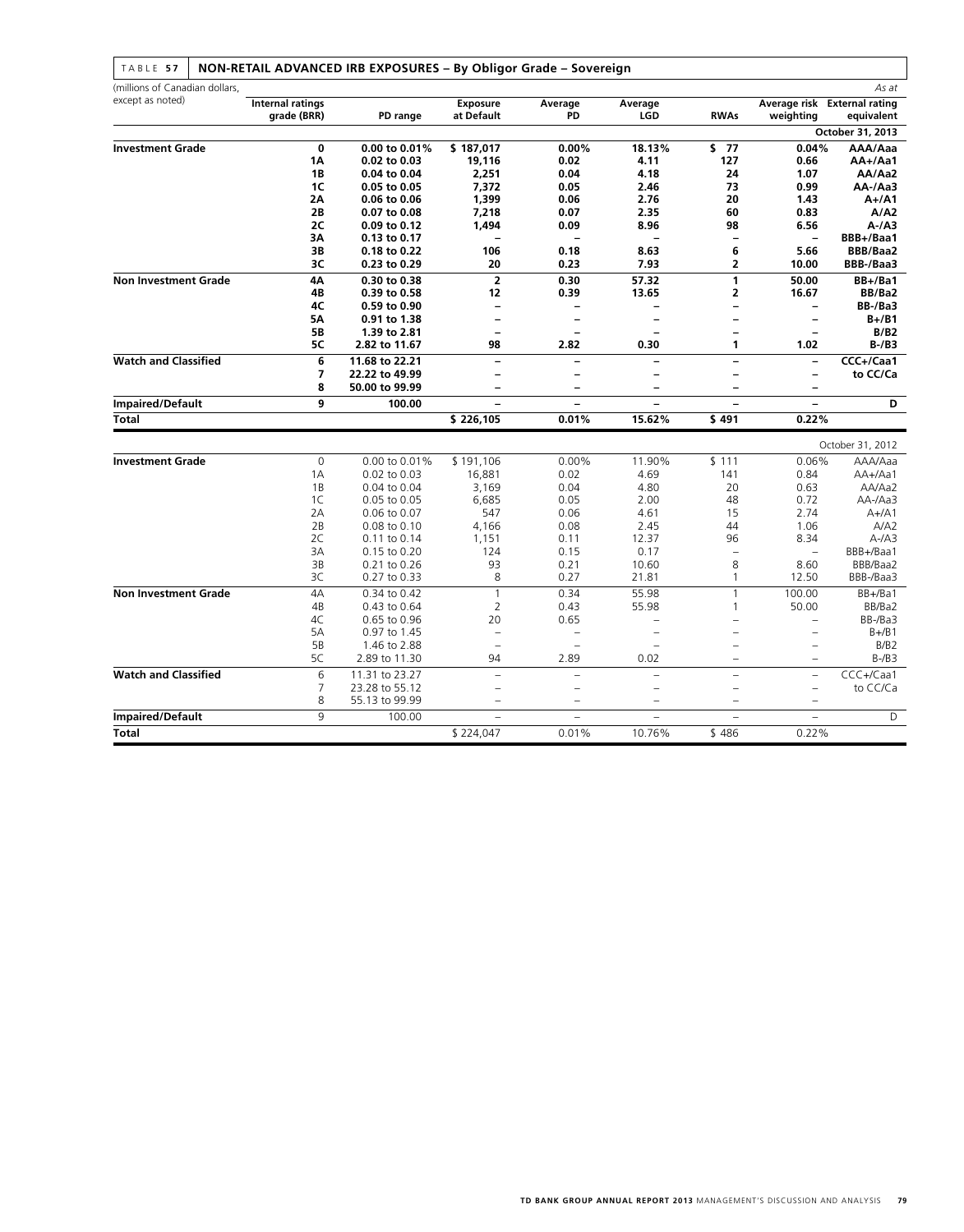| TABLE 57                       |                                        | NON-RETAIL ADVANCED IRB EXPOSURES - By Obligor Grade - Sovereign |                               |                          |                          |                          |                          |                                            |
|--------------------------------|----------------------------------------|------------------------------------------------------------------|-------------------------------|--------------------------|--------------------------|--------------------------|--------------------------|--------------------------------------------|
| (millions of Canadian dollars, |                                        |                                                                  |                               |                          |                          |                          |                          | As at                                      |
| except as noted)               | <b>Internal ratings</b><br>grade (BRR) | PD range                                                         | <b>Exposure</b><br>at Default | Average<br>PD            | Average<br>LGD           | <b>RWAs</b>              | weighting                | Average risk External rating<br>equivalent |
|                                |                                        |                                                                  |                               |                          |                          |                          |                          | October 31, 2013                           |
| <b>Investment Grade</b>        | $\bf{0}$                               | 0.00 to 0.01%                                                    | \$187,017                     | 0.00%                    | 18.13%                   | \$77                     | 0.04%                    | AAA/Aaa                                    |
|                                | 1Α                                     | 0.02 to 0.03                                                     | 19,116                        | 0.02                     | 4.11                     | 127                      | 0.66                     | $AA+/Aa1$                                  |
|                                | 1B                                     | 0.04 to 0.04                                                     | 2,251                         | 0.04                     | 4.18                     | 24                       | 1.07                     | AA/Aa2                                     |
|                                | 1C                                     | 0.05 to 0.05                                                     | 7,372                         | 0.05                     | 2.46                     | 73                       | 0.99                     | AA-/Aa3                                    |
|                                | 2Λ                                     | 0.06 to 0.06                                                     | 1,399                         | 0.06                     | 2.76                     | 20                       | 1.43                     | A+/A1                                      |
|                                | 2В                                     | 0.07 to 0.08                                                     | 7,218                         | 0.07                     | 2.35                     | 60                       | 0.83                     | A/A2                                       |
|                                | 2C                                     | 0.09 to 0.12                                                     | 1,494                         | 0.09                     | 8.96                     | 98                       | 6.56                     | $A$ -/ $A$ 3                               |
|                                | ЗΑ                                     | 0.13 to 0.17                                                     |                               |                          |                          |                          |                          | BBB+/Baa1                                  |
|                                | 3B                                     | 0.18 to 0.22                                                     | 106                           | 0.18                     | 8.63                     | 6                        | 5.66                     | BBB/Baa2                                   |
|                                | зс                                     | 0.23 to 0.29                                                     | 20                            | 0.23                     | 7.93                     | 2                        | 10.00                    | BBB-/Baa3                                  |
| <b>Non Investment Grade</b>    | 4Α                                     | 0.30 to 0.38                                                     | $\overline{\mathbf{c}}$       | 0.30                     | 57.32                    | 1                        | 50.00                    | BB+/Ba1                                    |
|                                | 4B                                     | 0.39 to 0.58                                                     | 12                            | 0.39                     | 13.65                    | 2                        | 16.67                    | BB/Ba2                                     |
|                                | 4C                                     | 0.59 to 0.90                                                     | $\overline{\phantom{0}}$      |                          |                          | $\overline{\phantom{0}}$ | ÷                        | BB-/Ba3                                    |
|                                | 5Α                                     | 0.91 to 1.38                                                     | $\overline{\phantom{0}}$      |                          |                          |                          | $\overline{\phantom{a}}$ | B+/B1                                      |
|                                | 5В                                     | 1.39 to 2.81                                                     | $\overline{\phantom{0}}$      |                          |                          | $\overline{\phantom{0}}$ | $\overline{\phantom{0}}$ | <b>B/B2</b>                                |
|                                | 5С                                     | 2.82 to 11.67                                                    | 98                            | 2.82                     | 0.30                     | 1                        | 1.02                     | $B$ -/ $B3$                                |
| <b>Watch and Classified</b>    | 6                                      | 11.68 to 22.21                                                   | $\overline{\phantom{0}}$      |                          | $\equiv$                 | $\equiv$                 | $\overline{\phantom{a}}$ | CCC+/Caa1                                  |
|                                | 7                                      | 22.22 to 49.99                                                   |                               |                          | ÷                        | $\overline{\phantom{0}}$ | $\qquad \qquad -$        | to CC/Ca                                   |
|                                | 8                                      | 50.00 to 99.99                                                   | $\overline{\phantom{0}}$      | L.                       | $\overline{\phantom{0}}$ |                          | -                        |                                            |
| <b>Impaired/Default</b>        | 9                                      | 100.00                                                           |                               | $\overline{\phantom{0}}$ |                          | $\overline{\phantom{0}}$ | $\overline{\phantom{0}}$ | D                                          |
| Total                          |                                        |                                                                  | \$226,105                     | 0.01%                    | 15.62%                   | \$491                    | 0.22%                    |                                            |
|                                |                                        |                                                                  |                               |                          |                          |                          |                          | October 31, 2012                           |
| <b>Investment Grade</b>        | $\mathsf{O}\xspace$                    | 0.00 to 0.01%                                                    | \$191,106                     | 0.00%                    | 11.90%                   | \$111                    | 0.06%                    | AAA/Aaa                                    |
|                                | 1A                                     | 0.02 to 0.03                                                     | 16,881                        | 0.02                     | 4.69                     | 141                      | 0.84                     | AA+/Aa1                                    |
|                                | 1B                                     | 0.04 to 0.04                                                     | 3,169                         | 0.04                     | 4.80                     | 20                       | 0.63                     | AA/Aa2                                     |
|                                | 1C                                     | 0.05 to 0.05                                                     | 6,685                         | 0.05                     | 2.00                     | 48                       | 0.72                     | AA-/Aa3                                    |
|                                | 2A                                     | 0.06 to 0.07                                                     | 547                           | 0.06                     | 4.61                     | 15                       | 2.74                     | $A + / A1$                                 |
|                                | 2B                                     | 0.08 to 0.10                                                     | 4,166                         | 0.08                     | 2.45                     | 44                       | 1.06                     | A/A2                                       |
|                                | 2C                                     | 0.11 to 0.14                                                     | 1,151                         | 0.11                     | 12.37                    | 96                       | 8.34                     | $A-A3$                                     |
|                                | 3A                                     | 0.15 to 0.20                                                     | 124                           | 0.15                     | 0.17                     | $\qquad \qquad -$        | $\overline{\phantom{a}}$ | BBB+/Baa1                                  |
|                                | 3B                                     | 0.21 to 0.26                                                     | 93                            | 0.21                     | 10.60                    | 8                        | 8.60                     | BBB/Baa2                                   |
|                                | ЗC                                     | 0.27 to 0.33                                                     | 8                             | 0.27                     | 21.81                    | 1                        | 12.50                    | BBB-/Baa3                                  |
| <b>Non Investment Grade</b>    | 4A                                     | 0.34 to 0.42                                                     | $\mathbf{1}$                  | 0.34                     | 55.98                    | $\mathbf{1}$             | 100.00                   | BB+/Ba1                                    |
|                                | 4B                                     | 0.43 to 0.64                                                     | $\overline{2}$                | 0.43                     | 55.98                    | $\mathbf{1}$             | 50.00                    | BB/Ba2                                     |
|                                | 4C                                     | 0.65 to 0.96                                                     | 20                            | 0.65                     | ۳                        | L.                       | $\overline{\phantom{a}}$ | BB-/Ba3                                    |
|                                | 5A                                     | 0.97 to 1.45                                                     | $\overline{\phantom{0}}$      | ÷                        | L.                       |                          | $\overline{\phantom{0}}$ | $B + / B1$                                 |
|                                | 5B                                     | 1.46 to 2.88                                                     | $\overline{\phantom{0}}$      |                          |                          | $\overline{\phantom{0}}$ |                          | B/B <sub>2</sub>                           |
|                                | 5C                                     | 2.89 to 11.30                                                    | 94                            | 2.89                     | 0.02                     | $\overline{a}$           | $\overline{\phantom{0}}$ | $B-AB3$                                    |
| <b>Watch and Classified</b>    | 6                                      | 11.31 to 23.27                                                   | $\overline{\phantom{a}}$      | L.                       | $\overline{\phantom{0}}$ | $\sim$                   | $\bar{ }$                | CCC+/Caa1                                  |
|                                |                                        |                                                                  | ÷,                            | ÷                        | ۳                        | $\overline{\phantom{0}}$ | $\overline{\phantom{m}}$ | to CC/Ca                                   |
|                                | 7                                      | 23.28 to 55.12                                                   |                               |                          |                          |                          |                          |                                            |
|                                | 8                                      | 55.13 to 99.99                                                   | $\qquad \qquad -$             | $\qquad \qquad -$        | -                        | $\qquad \qquad -$        | -                        |                                            |
| <b>Impaired/Default</b>        | 9                                      | 100.00                                                           | ÷,                            | Ē,                       |                          | L.                       | $\overline{\phantom{0}}$ | D                                          |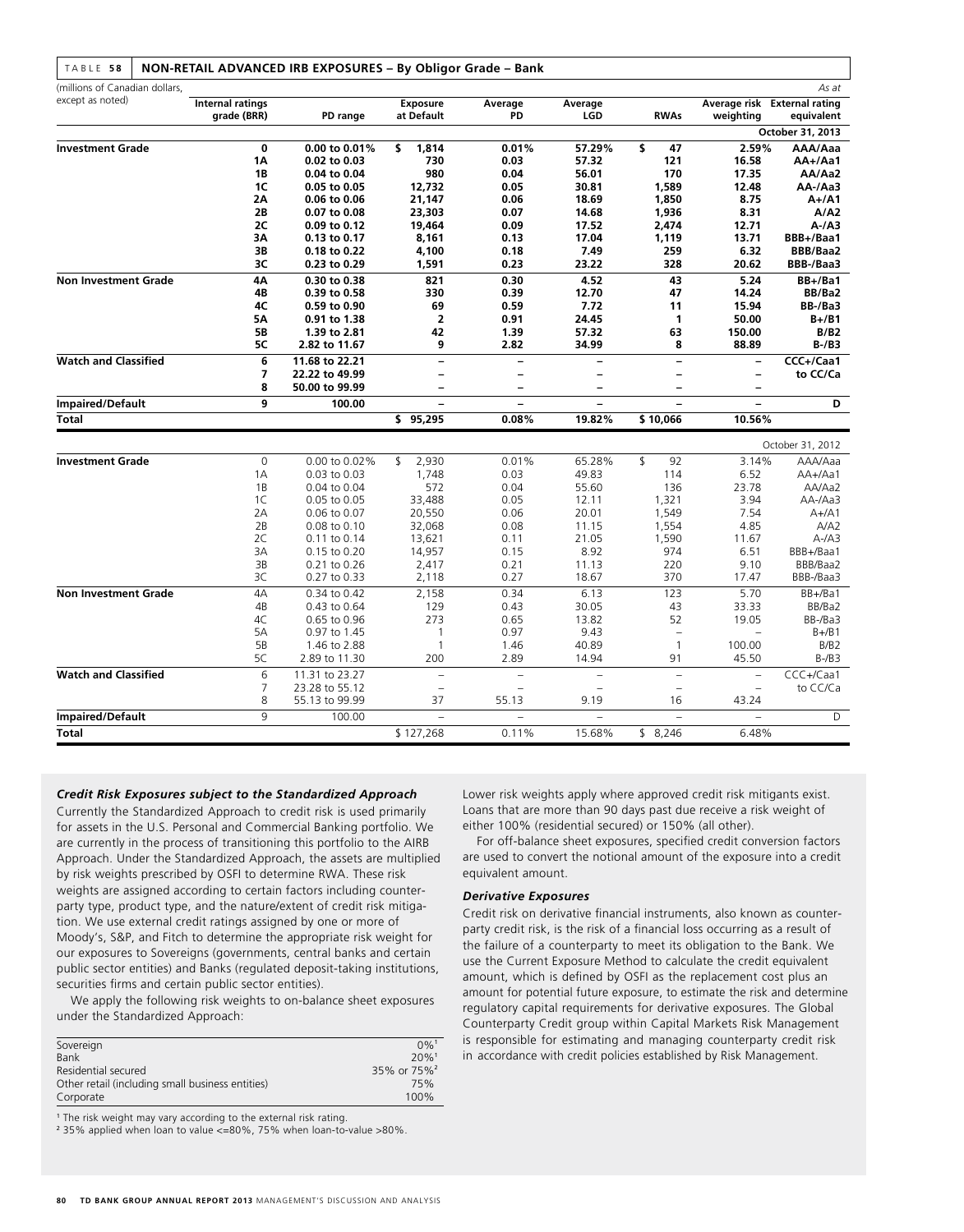|                                         |                                        |                              |                               | NON-RETAIL ADVANCED IRB EXPOSURES - By Obligor Grade - Bank |                          |                                |                                           |                       |
|-----------------------------------------|----------------------------------------|------------------------------|-------------------------------|-------------------------------------------------------------|--------------------------|--------------------------------|-------------------------------------------|-----------------------|
| (millions of Canadian dollars,          |                                        |                              |                               |                                                             |                          |                                |                                           | As at                 |
| except as noted)                        | <b>Internal ratings</b><br>grade (BRR) | PD range                     | <b>Exposure</b><br>at Default | Average<br>PD                                               | Average<br>LGD           | <b>RWAs</b>                    | Average risk External rating<br>weighting | equivalent            |
|                                         |                                        |                              |                               |                                                             |                          |                                |                                           | October 31, 2013      |
| <b>Investment Grade</b>                 | $\mathbf 0$                            | 0.00 to 0.01%                | 1,814<br>s                    | 0.01%                                                       | 57.29%                   | \$<br>47                       | 2.59%                                     | AAA/Aaa               |
|                                         | 1A                                     | 0.02 to 0.03                 | 730                           | 0.03                                                        | 57.32                    | 121                            | 16.58                                     | AA+/Aa1               |
|                                         | 1B                                     | 0.04 to 0.04                 | 980                           | 0.04                                                        | 56.01                    | 170                            | 17.35                                     | AA/Aa2                |
|                                         | 1C                                     | 0.05 to 0.05                 | 12,732                        | 0.05                                                        | 30.81                    | 1,589                          | 12.48                                     | AA-/Aa3               |
|                                         | 2Α                                     | 0.06 to 0.06                 | 21,147                        | 0.06                                                        | 18.69                    | 1,850                          | 8.75                                      | A+/A1                 |
|                                         | 2В                                     | 0.07 to 0.08                 | 23,303                        | 0.07                                                        | 14.68                    | 1,936                          | 8.31                                      | A/A2                  |
|                                         | 2C                                     | 0.09 to 0.12                 | 19,464                        | 0.09                                                        | 17.52                    | 2,474                          | 12.71                                     | A-/A3                 |
|                                         | 3Λ<br>3В                               | 0.13 to 0.17                 | 8,161                         | 0.13                                                        | 17.04<br>7.49            | 1,119<br>259                   | 13.71<br>6.32                             | BBB+/Baa1<br>BBB/Baa2 |
|                                         | зс                                     | 0.18 to 0.22<br>0.23 to 0.29 | 4,100<br>1,591                | 0.18<br>0.23                                                | 23.22                    | 328                            | 20.62                                     | BBB-/Baa3             |
|                                         |                                        |                              |                               |                                                             | 4.52                     |                                | 5.24                                      |                       |
| <b>Non Investment Grade</b>             | 4Α<br>4B                               | 0.30 to 0.38<br>0.39 to 0.58 | 821<br>330                    | 0.30<br>0.39                                                | 12.70                    | 43<br>47                       | 14.24                                     | BB+/Ba1<br>BB/Ba2     |
|                                         | 4C                                     | 0.59 to 0.90                 | 69                            | 0.59                                                        | 7.72                     | 11                             | 15.94                                     | BB-/Ba3               |
|                                         | 5Α                                     | 0.91 to 1.38                 | $\overline{\mathbf{2}}$       | 0.91                                                        | 24.45                    | 1                              | 50.00                                     | B+/B1                 |
|                                         | 5В                                     | 1.39 to 2.81                 | 42                            | 1.39                                                        | 57.32                    | 63                             | 150.00                                    | <b>B/B2</b>           |
|                                         | 5С                                     | 2.82 to 11.67                | 9                             | 2.82                                                        | 34.99                    | 8                              | 88.89                                     | B /B3                 |
| <b>Watch and Classified</b>             | 6                                      | 11.68 to 22.21               | $\overline{a}$                | $\overline{\phantom{0}}$                                    | $\overline{\phantom{0}}$ | $\overline{a}$                 | $\overline{\phantom{0}}$                  | CCC+/Caa1             |
|                                         | $\overline{\phantom{a}}$               | 22.22 to 49.99               | $\qquad \qquad -$             | $\qquad \qquad -$                                           | $\qquad \qquad -$        | $\overline{\phantom{0}}$       | -                                         | to CC/Ca              |
|                                         | 8                                      | 50.00 to 99.99               | $\overline{\phantom{0}}$      | $\overline{\phantom{0}}$                                    | $\overline{\phantom{0}}$ | $\overline{\phantom{0}}$       | $\overline{\phantom{0}}$                  |                       |
| <b>Impaired/Default</b>                 | 9                                      | 100.00                       | $\qquad \qquad -$             | $\overline{\phantom{a}}$                                    | $\qquad \qquad -$        | $\overline{\phantom{0}}$       | $\overline{\phantom{0}}$                  | D                     |
| <b>Total</b>                            |                                        |                              | \$95,295                      | 0.08%                                                       | 19.82%                   | \$10,066                       | 10.56%                                    |                       |
|                                         |                                        |                              |                               |                                                             |                          |                                |                                           |                       |
|                                         |                                        |                              |                               |                                                             |                          |                                |                                           | October 31, 2012      |
| <b>Investment Grade</b>                 | 0                                      | 0.00 to 0.02%                | 2,930<br>\$                   | 0.01%                                                       | 65.28%                   | \$<br>92                       | 3.14%                                     | AAA/Aaa               |
|                                         | 1A                                     | 0.03 to 0.03                 | 1,748                         | 0.03                                                        | 49.83                    | 114                            | 6.52                                      | AA+/Aa1               |
|                                         | 1B                                     | 0.04 to 0.04                 | 572                           | 0.04                                                        | 55.60                    | 136                            | 23.78                                     | AA/Aa2                |
|                                         | 1 <sup>C</sup>                         | 0.05 to 0.05                 | 33,488                        | 0.05                                                        | 12.11                    | 1,321                          | 3.94                                      | AA-/Aa3               |
|                                         | 2A                                     | 0.06 to 0.07                 | 20,550                        | 0.06                                                        | 20.01                    | 1,549                          | 7.54                                      | $A + / A1$            |
|                                         | 2B                                     | 0.08 to 0.10                 | 32,068                        | 0.08                                                        | 11.15                    | 1,554                          | 4.85                                      | A/A2                  |
|                                         | 2C                                     | 0.11 to 0.14                 | 13,621                        | 0.11                                                        | 21.05                    | 1,590                          | 11.67                                     | $A-A3$                |
|                                         | 3A                                     | 0.15 to 0.20                 | 14,957                        | 0.15                                                        | 8.92                     | 974                            | 6.51                                      | BBB+/Baa1             |
|                                         | 3B<br>3C                               | 0.21 to 0.26                 | 2,417                         | 0.21<br>0.27                                                | 11.13<br>18.67           | 220<br>370                     | 9.10<br>17.47                             | BBB/Baa2<br>BBB-/Baa3 |
|                                         |                                        | 0.27 to 0.33                 | 2,118                         |                                                             |                          |                                |                                           |                       |
| <b>Non Investment Grade</b>             | 4A<br>4B                               | 0.34 to 0.42                 | 2,158<br>129                  | 0.34                                                        | 6.13                     | 123                            | 5.70                                      | BB+/Ba1<br>BB/Ba2     |
|                                         |                                        | 0.43 to 0.64                 |                               | 0.43                                                        | 30.05                    | 43                             | 33.33                                     |                       |
|                                         | 4C<br>5A                               | 0.65 to 0.96<br>0.97 to 1.45 | 273<br>1                      | 0.65<br>0.97                                                | 13.82<br>9.43            | 52<br>$\overline{\phantom{0}}$ | 19.05                                     | BB-/Ba3<br>$B + / B1$ |
|                                         | 5B                                     | 1.46 to 2.88                 | $\mathbf{1}$                  | 1.46                                                        | 40.89                    | $\mathbf{1}$                   | 100.00                                    | B/B2                  |
|                                         | 5C                                     | 2.89 to 11.30                | 200                           | 2.89                                                        | 14.94                    | 91                             | 45.50                                     | $B-AB3$               |
| <b>Watch and Classified</b>             | 6                                      | 11.31 to 23.27               | $\overline{\phantom{a}}$      | $\hspace{1.0cm} - \hspace{1.0cm}$                           | $\qquad \qquad -$        | $\overline{\phantom{a}}$       | $\overline{\phantom{0}}$                  | CCC+/Caa1             |
|                                         | 7                                      | 23.28 to 55.12               | $\qquad \qquad -$             |                                                             | $\overline{\phantom{0}}$ | $\overline{\phantom{0}}$       |                                           | to CC/Ca              |
|                                         | 8                                      | 55.13 to 99.99               | 37                            | 55.13                                                       | 9.19                     | 16                             | 43.24                                     |                       |
| <b>Impaired/Default</b><br><b>Total</b> | 9                                      | 100.00                       | $\overline{\phantom{a}}$      | $\hspace{1.0cm} - \hspace{1.0cm}$                           | $\qquad \qquad -$        | $\qquad \qquad -$              | $\overline{\phantom{0}}$                  | D                     |

# *Credit Risk Exposures subject to the Standardized Approach*

Currently the Standardized Approach to credit risk is used primarily for assets in the U.S. Personal and Commercial Banking portfolio. We are currently in the process of transitioning this portfolio to the AIRB Approach. Under the Standardized Approach, the assets are multiplied by risk weights prescribed by OSFI to determine RWA. These risk weights are assigned according to certain factors including counterparty type, product type, and the nature/extent of credit risk mitigation. We use external credit ratings assigned by one or more of Moody's, S&P, and Fitch to determine the appropriate risk weight for our exposures to Sovereigns (governments, central banks and certain public sector entities) and Banks (regulated deposit-taking institutions, securities firms and certain public sector entities).

We apply the following risk weights to on-balance sheet exposures under the Standardized Approach:

| $0\%$ <sup>1</sup>      |
|-------------------------|
| $20\%$ <sup>1</sup>     |
| 35% or 75% <sup>2</sup> |
| 75%                     |
| 100%                    |
|                         |

<sup>1</sup> The risk weight may vary according to the external risk rating.

<sup>2</sup> 35% applied when loan to value <=80%, 75% when loan-to-value >80%.

Lower risk weights apply where approved credit risk mitigants exist. Loans that are more than 90 days past due receive a risk weight of either 100% (residential secured) or 150% (all other).

For off-balance sheet exposures, specified credit conversion factors are used to convert the notional amount of the exposure into a credit equivalent amount.

#### *Derivative Exposures*

Credit risk on derivative financial instruments, also known as counterparty credit risk, is the risk of a financial loss occurring as a result of the failure of a counterparty to meet its obligation to the Bank. We use the Current Exposure Method to calculate the credit equivalent amount, which is defined by OSFI as the replacement cost plus an amount for potential future exposure, to estimate the risk and determine regulatory capital requirements for derivative exposures. The Global Counterparty Credit group within Capital Markets Risk Management is responsible for estimating and managing counterparty credit risk in accordance with credit policies established by Risk Management.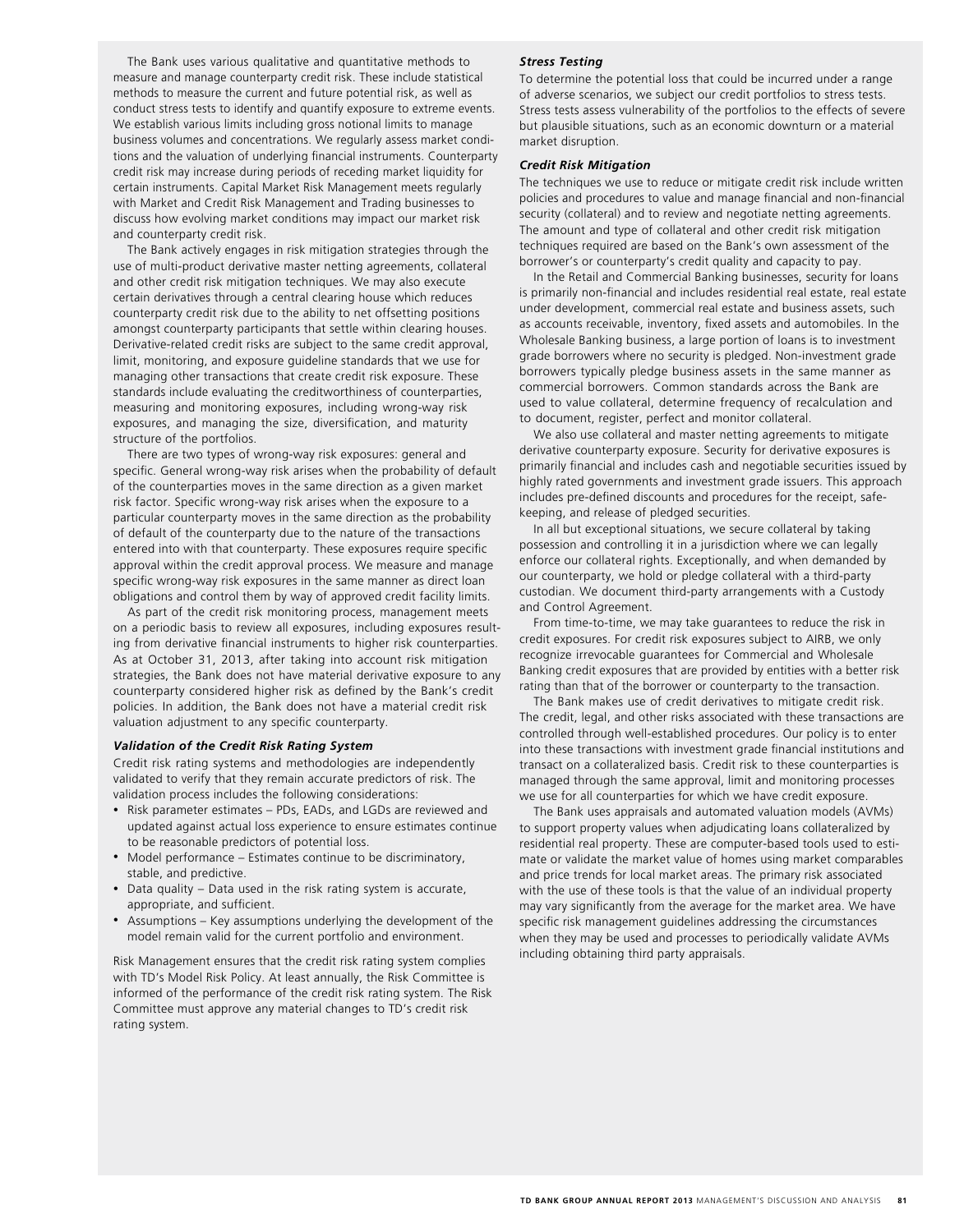The Bank uses various qualitative and quantitative methods to measure and manage counterparty credit risk. These include statistical methods to measure the current and future potential risk, as well as conduct stress tests to identify and quantify exposure to extreme events. We establish various limits including gross notional limits to manage business volumes and concentrations. We regularly assess market conditions and the valuation of underlying financial instruments. Counterparty credit risk may increase during periods of receding market liquidity for certain instruments. Capital Market Risk Management meets regularly with Market and Credit Risk Management and Trading businesses to discuss how evolving market conditions may impact our market risk and counterparty credit risk.

The Bank actively engages in risk mitigation strategies through the use of multi-product derivative master netting agreements, collateral and other credit risk mitigation techniques. We may also execute certain derivatives through a central clearing house which reduces counterparty credit risk due to the ability to net offsetting positions amongst counterparty participants that settle within clearing houses. Derivative-related credit risks are subject to the same credit approval, limit, monitoring, and exposure guideline standards that we use for managing other transactions that create credit risk exposure. These standards include evaluating the creditworthiness of counterparties, measuring and monitoring exposures, including wrong-way risk exposures, and managing the size, diversification, and maturity structure of the portfolios.

There are two types of wrong-way risk exposures: general and specific. General wrong-way risk arises when the probability of default of the counterparties moves in the same direction as a given market risk factor. Specific wrong-way risk arises when the exposure to a particular counterparty moves in the same direction as the probability of default of the counterparty due to the nature of the transactions entered into with that counterparty. These exposures require specific approval within the credit approval process. We measure and manage specific wrong-way risk exposures in the same manner as direct loan obligations and control them by way of approved credit facility limits.

As part of the credit risk monitoring process, management meets on a periodic basis to review all exposures, including exposures resulting from derivative financial instruments to higher risk counterparties. As at October 31, 2013, after taking into account risk mitigation strategies, the Bank does not have material derivative exposure to any counterparty considered higher risk as defined by the Bank's credit policies. In addition, the Bank does not have a material credit risk valuation adjustment to any specific counterparty.

#### *Validation of the Credit Risk Rating System*

Credit risk rating systems and methodologies are independently validated to verify that they remain accurate predictors of risk. The validation process includes the following considerations:

- Risk parameter estimates PDs, EADs, and LGDs are reviewed and updated against actual loss experience to ensure estimates continue to be reasonable predictors of potential loss.
- Model performance Estimates continue to be discriminatory, stable, and predictive.
- Data quality Data used in the risk rating system is accurate, appropriate, and sufficient.
- Assumptions Key assumptions underlying the development of the model remain valid for the current portfolio and environment.

Risk Management ensures that the credit risk rating system complies with TD's Model Risk Policy. At least annually, the Risk Committee is informed of the performance of the credit risk rating system. The Risk Committee must approve any material changes to TD's credit risk rating system.

#### *Stress Testing*

To determine the potential loss that could be incurred under a range of adverse scenarios, we subject our credit portfolios to stress tests. Stress tests assess vulnerability of the portfolios to the effects of severe but plausible situations, such as an economic downturn or a material market disruption.

# *Credit Risk Mitigation*

The techniques we use to reduce or mitigate credit risk include written policies and procedures to value and manage financial and non-financial security (collateral) and to review and negotiate netting agreements. The amount and type of collateral and other credit risk mitigation techniques required are based on the Bank's own assessment of the borrower's or counterparty's credit quality and capacity to pay.

In the Retail and Commercial Banking businesses, security for loans is primarily non-financial and includes residential real estate, real estate under development, commercial real estate and business assets, such as accounts receivable, inventory, fixed assets and automobiles. In the Wholesale Banking business, a large portion of loans is to investment grade borrowers where no security is pledged. Non-investment grade borrowers typically pledge business assets in the same manner as commercial borrowers. Common standards across the Bank are used to value collateral, determine frequency of recalculation and to document, register, perfect and monitor collateral.

We also use collateral and master netting agreements to mitigate derivative counterparty exposure. Security for derivative exposures is primarily financial and includes cash and negotiable securities issued by highly rated governments and investment grade issuers. This approach includes pre-defined discounts and procedures for the receipt, safekeeping, and release of pledged securities.

In all but exceptional situations, we secure collateral by taking possession and controlling it in a jurisdiction where we can legally enforce our collateral rights. Exceptionally, and when demanded by our counterparty, we hold or pledge collateral with a third-party custodian. We document third-party arrangements with a Custody and Control Agreement.

From time-to-time, we may take guarantees to reduce the risk in credit exposures. For credit risk exposures subject to AIRB, we only recognize irrevocable guarantees for Commercial and Wholesale Banking credit exposures that are provided by entities with a better risk rating than that of the borrower or counterparty to the transaction.

The Bank makes use of credit derivatives to mitigate credit risk. The credit, legal, and other risks associated with these transactions are controlled through well-established procedures. Our policy is to enter into these transactions with investment grade financial institutions and transact on a collateralized basis. Credit risk to these counterparties is managed through the same approval, limit and monitoring processes we use for all counterparties for which we have credit exposure.

The Bank uses appraisals and automated valuation models (AVMs) to support property values when adjudicating loans collateralized by residential real property. These are computer-based tools used to estimate or validate the market value of homes using market comparables and price trends for local market areas. The primary risk associated with the use of these tools is that the value of an individual property may vary significantly from the average for the market area. We have specific risk management guidelines addressing the circumstances when they may be used and processes to periodically validate AVMs including obtaining third party appraisals.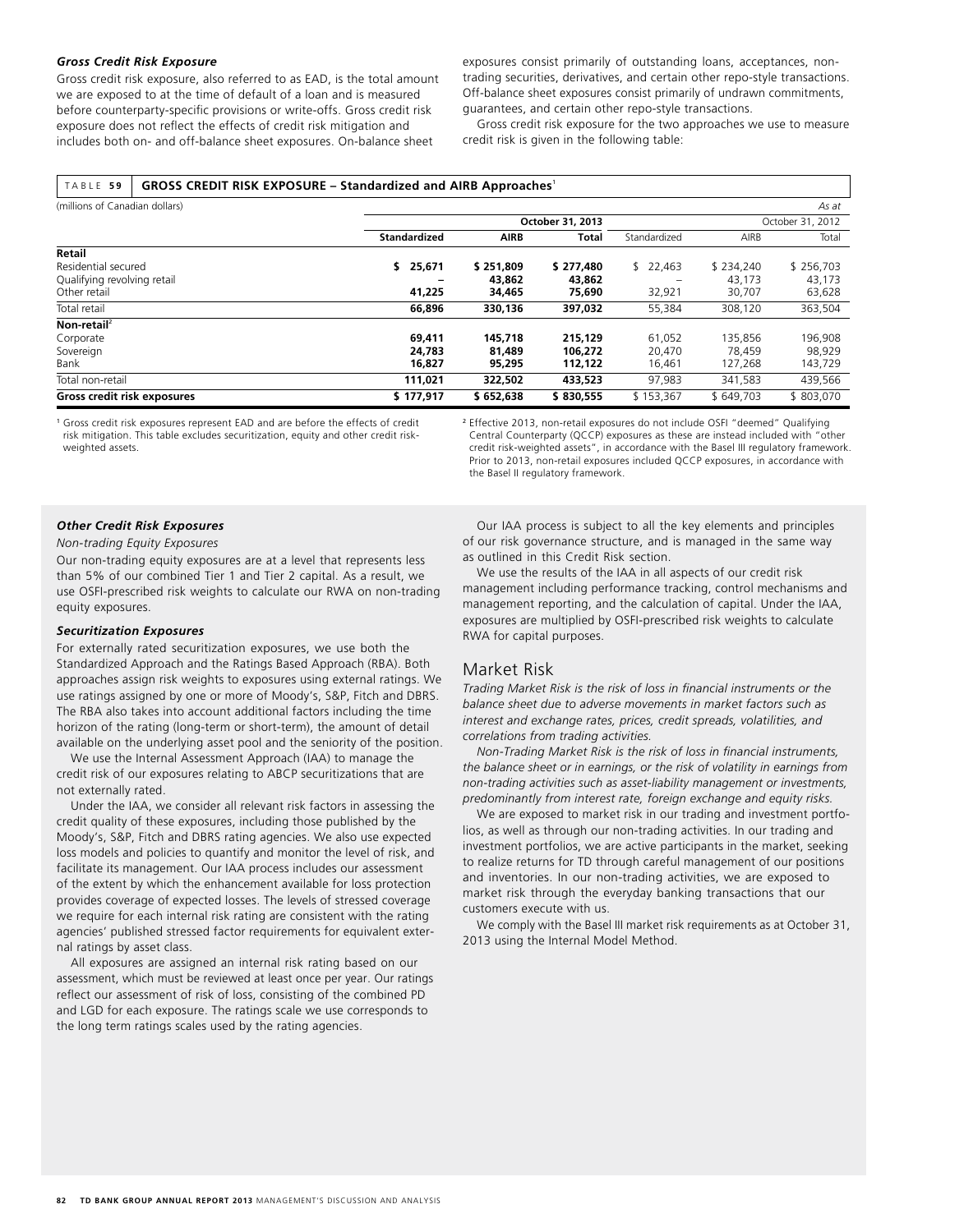# *Gross Credit Risk Exposure*

Gross credit risk exposure, also referred to as EAD, is the total amount we are exposed to at the time of default of a loan and is measured before counterparty-specific provisions or write-offs. Gross credit risk exposure does not reflect the effects of credit risk mitigation and includes both on- and off-balance sheet exposures. On-balance sheet

exposures consist primarily of outstanding loans, acceptances, nontrading securities, derivatives, and certain other repo-style transactions. Off-balance sheet exposures consist primarily of undrawn commitments, guarantees, and certain other repo-style transactions.

Gross credit risk exposure for the two approaches we use to measure credit risk is given in the following table:

# **GROSS CREDIT RISK EXPOSURE – Standardized and AIRB Approaches<sup>1</sup> TABLE 59** GROSS CREDIT RISK EXPOSURE – Standardized and AIRB Approaches<sup>1</sup>

|                                    |                                      | . .         |           |              |           |           |  |
|------------------------------------|--------------------------------------|-------------|-----------|--------------|-----------|-----------|--|
| (millions of Canadian dollars)     |                                      |             |           |              |           | As at     |  |
|                                    | October 31, 2013<br>October 31, 2012 |             |           |              |           |           |  |
|                                    | <b>Standardized</b>                  | <b>AIRB</b> | Total     | Standardized | AIRB      | Total     |  |
| Retail                             |                                      |             |           |              |           |           |  |
| Residential secured                | 25,671<br>s.                         | \$251,809   | \$277,480 | \$22,463     | \$234,240 | \$256,703 |  |
| Qualifying revolving retail        |                                      | 43,862      | 43,862    | -            | 43.173    | 43,173    |  |
| Other retail                       | 41,225                               | 34,465      | 75,690    | 32,921       | 30,707    | 63,628    |  |
| Total retail                       | 66,896                               | 330,136     | 397.032   | 55,384       | 308,120   | 363,504   |  |
| Non-retail <sup>2</sup>            |                                      |             |           |              |           |           |  |
| Corporate                          | 69,411                               | 145,718     | 215,129   | 61.052       | 135,856   | 196,908   |  |
| Sovereign                          | 24,783                               | 81,489      | 106,272   | 20,470       | 78.459    | 98,929    |  |
| Bank                               | 16,827                               | 95,295      | 112,122   | 16,461       | 127,268   | 143,729   |  |
| Total non-retail                   | 111.021                              | 322,502     | 433,523   | 97,983       | 341.583   | 439,566   |  |
| <b>Gross credit risk exposures</b> | \$177.917                            | \$652,638   | \$830,555 | \$153,367    | \$649,703 | \$803,070 |  |

<sup>1</sup> Gross credit risk exposures represent EAD and are before the effects of credit risk mitigation. This table excludes securitization, equity and other credit riskweighted assets.

<sup>2</sup> Effective 2013, non-retail exposures do not include OSFI "deemed" Qualifying Central Counterparty (QCCP) exposures as these are instead included with "other credit risk-weighted assets", in accordance with the Basel III regulatory framework. Prior to 2013, non-retail exposures included QCCP exposures, in accordance with the Basel II regulatory framework.

## *Other Credit Risk Exposures*

*Non-trading Equity Exposures*

Our non-trading equity exposures are at a level that represents less than 5% of our combined Tier 1 and Tier 2 capital. As a result, we use OSFI-prescribed risk weights to calculate our RWA on non-trading equity exposures.

## *Securitization Exposures*

For externally rated securitization exposures, we use both the Standardized Approach and the Ratings Based Approach (RBA). Both approaches assign risk weights to exposures using external ratings. We use ratings assigned by one or more of Moody's, S&P, Fitch and DBRS. The RBA also takes into account additional factors including the time horizon of the rating (long-term or short-term), the amount of detail available on the underlying asset pool and the seniority of the position.

We use the Internal Assessment Approach (IAA) to manage the credit risk of our exposures relating to ABCP securitizations that are not externally rated.

Under the IAA, we consider all relevant risk factors in assessing the credit quality of these exposures, including those published by the Moody's, S&P, Fitch and DBRS rating agencies. We also use expected loss models and policies to quantify and monitor the level of risk, and facilitate its management. Our IAA process includes our assessment of the extent by which the enhancement available for loss protection provides coverage of expected losses. The levels of stressed coverage we require for each internal risk rating are consistent with the rating agencies' published stressed factor requirements for equivalent external ratings by asset class.

All exposures are assigned an internal risk rating based on our assessment, which must be reviewed at least once per year. Our ratings reflect our assessment of risk of loss, consisting of the combined PD and LGD for each exposure. The ratings scale we use corresponds to the long term ratings scales used by the rating agencies.

Our IAA process is subject to all the key elements and principles of our risk governance structure, and is managed in the same way as outlined in this Credit Risk section.

We use the results of the IAA in all aspects of our credit risk management including performance tracking, control mechanisms and management reporting, and the calculation of capital. Under the IAA, exposures are multiplied by OSFI-prescribed risk weights to calculate RWA for capital purposes.

# Market Risk

*Trading Market Risk is the risk of loss in financial instruments or the balance sheet due to adverse movements in market factors such as interest and exchange rates, prices, credit spreads, volatilities, and correlations from trading activities.*

*Non-Trading Market Risk is the risk of loss in financial instruments, the balance sheet or in earnings, or the risk of volatility in earnings from non-trading activities such as asset-liability management or investments, predominantly from interest rate, foreign exchange and equity risks.*

We are exposed to market risk in our trading and investment portfolios, as well as through our non-trading activities. In our trading and investment portfolios, we are active participants in the market, seeking to realize returns for TD through careful management of our positions and inventories. In our non-trading activities, we are exposed to market risk through the everyday banking transactions that our customers execute with us.

We comply with the Basel III market risk requirements as at October 31, 2013 using the Internal Model Method.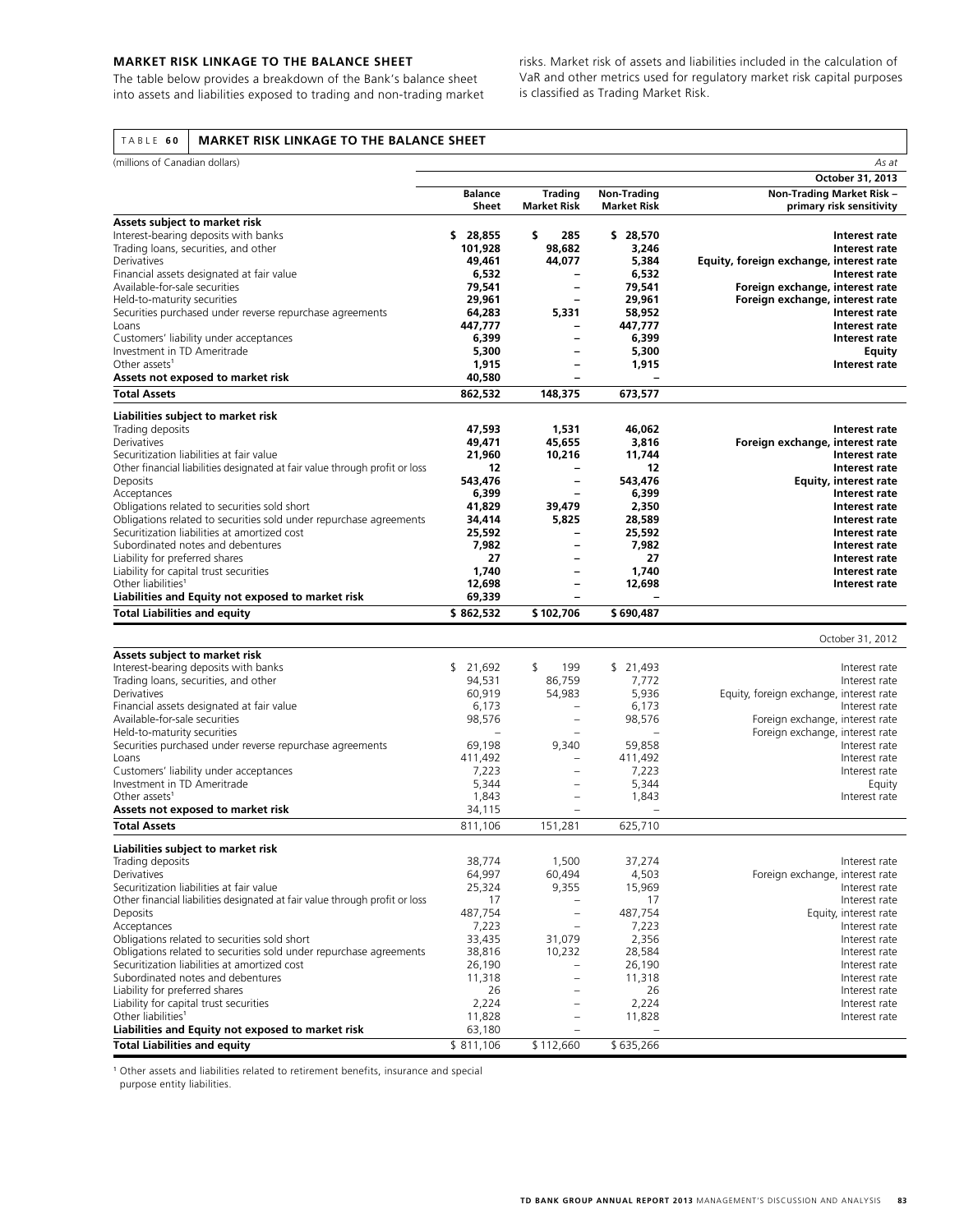# **MARKET RISK LINKAGE TO THE BALANCE SHEET**

The table below provides a breakdown of the Bank's balance sheet into assets and liabilities exposed to trading and non-trading market risks. Market risk of assets and liabilities included in the calculation of VaR and other metrics used for regulatory market risk capital purposes is classified as Trading Market Risk.

# TABLE **6 0 MARKET RISK LINKAGE TO THE BALANCE SHEET**

| (millions of Canadian dollars)                                              |                  |                          |                    | As at                                         |
|-----------------------------------------------------------------------------|------------------|--------------------------|--------------------|-----------------------------------------------|
|                                                                             |                  |                          |                    | October 31, 2013                              |
|                                                                             | <b>Balance</b>   | <b>Trading</b>           | <b>Non-Trading</b> | Non-Trading Market Risk -                     |
|                                                                             | Sheet            | <b>Market Risk</b>       | <b>Market Risk</b> | primary risk sensitivity                      |
| Assets subject to market risk<br>Interest-bearing deposits with banks       | \$28,855         | \$<br>285                | \$28,570           | Interest rate                                 |
| Trading loans, securities, and other                                        | 101,928          | 98,682                   | 3,246              | Interest rate                                 |
| Derivatives                                                                 | 49,461           | 44,077                   | 5,384              | Equity, foreign exchange, interest rate       |
| Financial assets designated at fair value                                   | 6,532            |                          | 6,532              | Interest rate                                 |
| Available-for-sale securities                                               | 79,541           |                          | 79,541             | Foreign exchange, interest rate               |
| Held-to-maturity securities                                                 | 29,961           |                          | 29,961             | Foreign exchange, interest rate               |
| Securities purchased under reverse repurchase agreements                    | 64,283           | 5,331                    | 58,952             | Interest rate                                 |
| Loans                                                                       | 447,777          |                          | 447.777            | Interest rate                                 |
| Customers' liability under acceptances                                      | 6,399            | ۳                        | 6,399              | Interest rate                                 |
| Investment in TD Ameritrade                                                 | 5,300            |                          | 5,300              | <b>Equity</b>                                 |
| Other assets <sup>1</sup>                                                   | 1,915            | -                        | 1,915              | Interest rate                                 |
| Assets not exposed to market risk                                           | 40,580           |                          |                    |                                               |
| <b>Total Assets</b>                                                         | 862,532          | 148,375                  | 673,577            |                                               |
| Liabilities subject to market risk                                          |                  |                          |                    |                                               |
| Trading deposits                                                            | 47,593           | 1,531                    | 46,062             | Interest rate                                 |
| Derivatives                                                                 | 49,471           | 45,655                   | 3,816              | Foreign exchange, interest rate               |
| Securitization liabilities at fair value                                    | 21,960           | 10,216                   | 11,744             | Interest rate                                 |
| Other financial liabilities designated at fair value through profit or loss | 12               | ÷                        | 12<br>543,476      | Interest rate                                 |
| Deposits<br>Acceptances                                                     | 543,476<br>6,399 |                          | 6,399              | <b>Equity, interest rate</b><br>Interest rate |
| Obligations related to securities sold short                                | 41,829           | 39,479                   | 2,350              | Interest rate                                 |
| Obligations related to securities sold under repurchase agreements          | 34,414           | 5,825                    | 28,589             | Interest rate                                 |
| Securitization liabilities at amortized cost                                | 25,592           |                          | 25,592             | Interest rate                                 |
| Subordinated notes and debentures                                           | 7,982            | ÷                        | 7,982              | Interest rate                                 |
| Liability for preferred shares                                              | 27               | $\overline{\phantom{0}}$ | 27                 | Interest rate                                 |
| Liability for capital trust securities                                      | 1,740            |                          | 1,740              | Interest rate                                 |
| Other liabilities <sup>1</sup>                                              | 12,698           | $\overline{\phantom{0}}$ | 12,698             | Interest rate                                 |
| Liabilities and Equity not exposed to market risk                           | 69,339           |                          |                    |                                               |
|                                                                             |                  |                          |                    |                                               |
| <b>Total Liabilities and equity</b>                                         | \$862,532        | \$102,706                | \$690,487          |                                               |
|                                                                             |                  |                          |                    | October 31, 2012                              |
| Assets subject to market risk                                               |                  |                          |                    |                                               |
| Interest-bearing deposits with banks                                        | 21,692<br>\$     | \$<br>199                | \$21,493           | Interest rate                                 |
| Trading loans, securities, and other                                        | 94,531           | 86,759                   | 7,772              | Interest rate                                 |
| Derivatives                                                                 | 60,919           | 54,983                   | 5,936              | Equity, foreign exchange, interest rate       |
| Financial assets designated at fair value                                   | 6,173            |                          | 6,173              | Interest rate                                 |
| Available-for-sale securities                                               | 98,576           | L.                       | 98,576             | Foreign exchange, interest rate               |
| Held-to-maturity securities                                                 |                  |                          |                    | Foreign exchange, interest rate               |
| Securities purchased under reverse repurchase agreements                    | 69,198           | 9,340                    | 59,858             | Interest rate                                 |
| Loans                                                                       | 411,492          | L.                       | 411,492            | Interest rate                                 |
| Customers' liability under acceptances<br>Investment in TD Ameritrade       | 7,223            |                          | 7,223              | Interest rate<br>Equity                       |
| Other assets <sup>1</sup>                                                   | 5,344<br>1,843   | $\overline{\phantom{0}}$ | 5,344<br>1,843     | Interest rate                                 |
| Assets not exposed to market risk                                           | 34,115           |                          |                    |                                               |
| <b>Total Assets</b>                                                         | 811,106          | 151,281                  | 625,710            |                                               |
|                                                                             |                  |                          |                    |                                               |
| Liabilities subject to market risk                                          |                  |                          |                    | Interest rate                                 |
| Trading deposits<br>Derivatives                                             | 38,774<br>64,997 | 1,500<br>60,494          | 37,274<br>4,503    | Foreign exchange, interest rate               |
| Securitization liabilities at fair value                                    | 25,324           | 9,355                    | 15,969             | Interest rate                                 |
| Other financial liabilities designated at fair value through profit or loss | 17               |                          | 17                 | Interest rate                                 |
| Deposits                                                                    | 487,754          |                          | 487,754            | Equity, interest rate                         |
| Acceptances                                                                 | 7,223            |                          | 7,223              | Interest rate                                 |
| Obligations related to securities sold short                                | 33,435           | 31,079                   | 2,356              | Interest rate                                 |
| Obligations related to securities sold under repurchase agreements          | 38,816           | 10,232                   | 28,584             | Interest rate                                 |
| Securitization liabilities at amortized cost                                | 26,190           |                          | 26,190             | Interest rate                                 |
| Subordinated notes and debentures                                           | 11,318           | $\overline{\phantom{0}}$ | 11,318             | Interest rate                                 |
| Liability for preferred shares                                              | 26               |                          | 26                 | Interest rate                                 |
| Liability for capital trust securities<br>Other liabilities <sup>1</sup>    | 2,224<br>11,828  | $\overline{\phantom{0}}$ | 2,224<br>11,828    | Interest rate<br>Interest rate                |
| Liabilities and Equity not exposed to market risk                           | 63,180           | -                        |                    |                                               |

<sup>1</sup> Other assets and liabilities related to retirement benefits, insurance and special

purpose entity liabilities.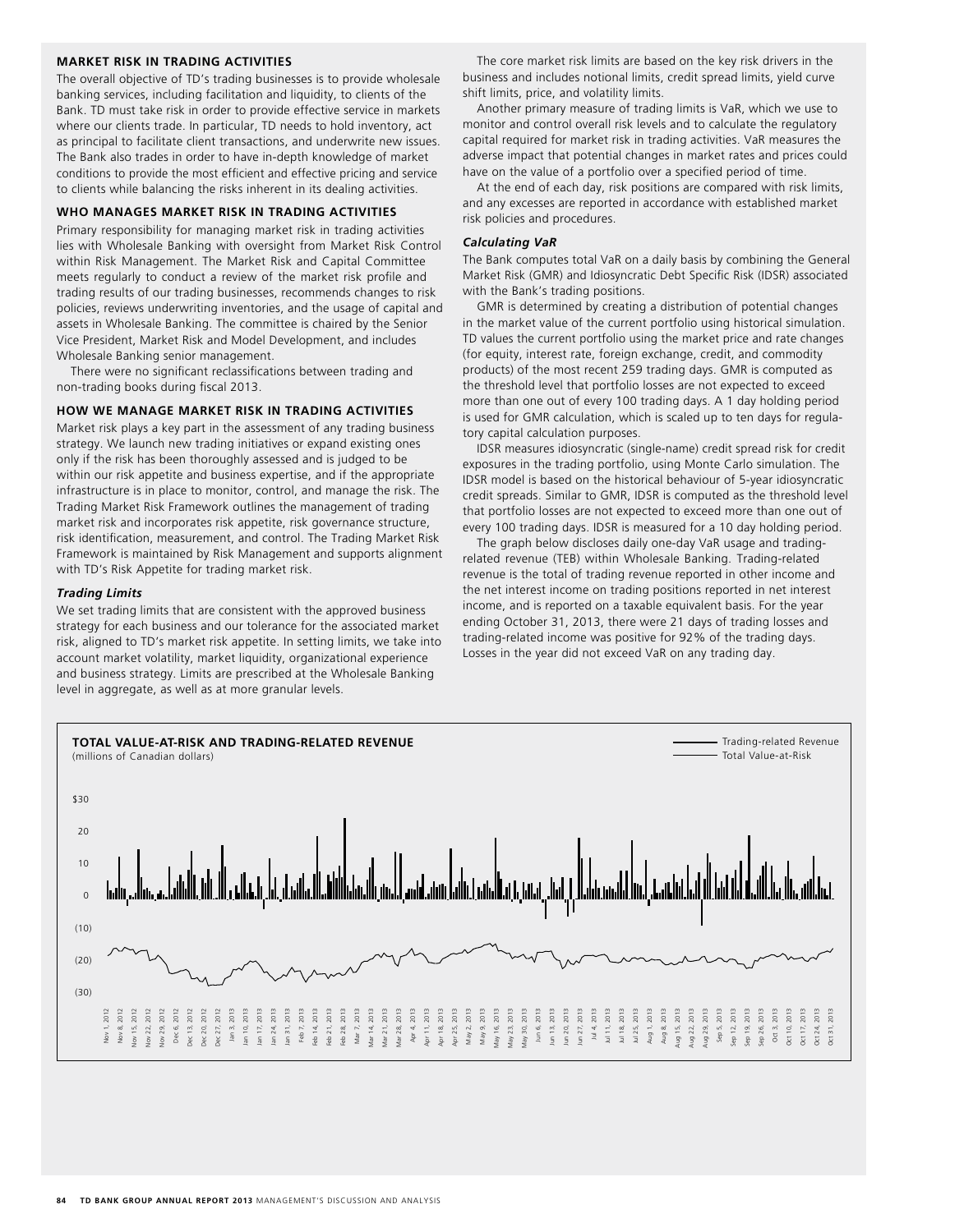# **MARKET RISK IN TRADING ACTIVITIES**

The overall objective of TD's trading businesses is to provide wholesale banking services, including facilitation and liquidity, to clients of the Bank. TD must take risk in order to provide effective service in markets where our clients trade. In particular, TD needs to hold inventory, act as principal to facilitate client transactions, and underwrite new issues. The Bank also trades in order to have in-depth knowledge of market conditions to provide the most efficient and effective pricing and service to clients while balancing the risks inherent in its dealing activities.

## **WHO MANAGES MARKET RISK IN TRADING ACTIVITIES**

Primary responsibility for managing market risk in trading activities lies with Wholesale Banking with oversight from Market Risk Control within Risk Management. The Market Risk and Capital Committee meets regularly to conduct a review of the market risk profile and trading results of our trading businesses, recommends changes to risk policies, reviews underwriting inventories, and the usage of capital and assets in Wholesale Banking. The committee is chaired by the Senior Vice President, Market Risk and Model Development, and includes Wholesale Banking senior management.

There were no significant reclassifications between trading and non-trading books during fiscal 2013.

# **HOW WE MANAGE MARKET RISK IN TRADING ACTIVITIES**

Market risk plays a key part in the assessment of any trading business strategy. We launch new trading initiatives or expand existing ones only if the risk has been thoroughly assessed and is judged to be within our risk appetite and business expertise, and if the appropriate infrastructure is in place to monitor, control, and manage the risk. The Trading Market Risk Framework outlines the management of trading market risk and incorporates risk appetite, risk governance structure, risk identification, measurement, and control. The Trading Market Risk Framework is maintained by Risk Management and supports alignment with TD's Risk Appetite for trading market risk.

# *Trading Limits*

We set trading limits that are consistent with the approved business strategy for each business and our tolerance for the associated market risk, aligned to TD's market risk appetite. In setting limits, we take into account market volatility, market liquidity, organizational experience and business strategy. Limits are prescribed at the Wholesale Banking level in aggregate, as well as at more granular levels.

The core market risk limits are based on the key risk drivers in the business and includes notional limits, credit spread limits, yield curve shift limits, price, and volatility limits.

Another primary measure of trading limits is VaR, which we use to monitor and control overall risk levels and to calculate the regulatory capital required for market risk in trading activities. VaR measures the adverse impact that potential changes in market rates and prices could have on the value of a portfolio over a specified period of time.

At the end of each day, risk positions are compared with risk limits, and any excesses are reported in accordance with established market risk policies and procedures.

#### *Calculating VaR*

The Bank computes total VaR on a daily basis by combining the General Market Risk (GMR) and Idiosyncratic Debt Specific Risk (IDSR) associated with the Bank's trading positions.

GMR is determined by creating a distribution of potential changes in the market value of the current portfolio using historical simulation. TD values the current portfolio using the market price and rate changes (for equity, interest rate, foreign exchange, credit, and commodity products) of the most recent 259 trading days. GMR is computed as the threshold level that portfolio losses are not expected to exceed more than one out of every 100 trading days. A 1 day holding period is used for GMR calculation, which is scaled up to ten days for regulatory capital calculation purposes.

IDSR measures idiosyncratic (single-name) credit spread risk for credit exposures in the trading portfolio, using Monte Carlo simulation. The IDSR model is based on the historical behaviour of 5-year idiosyncratic credit spreads. Similar to GMR, IDSR is computed as the threshold level that portfolio losses are not expected to exceed more than one out of every 100 trading days. IDSR is measured for a 10 day holding period.

The graph below discloses daily one-day VaR usage and tradingrelated revenue (TEB) within Wholesale Banking. Trading-related revenue is the total of trading revenue reported in other income and the net interest income on trading positions reported in net interest income, and is reported on a taxable equivalent basis. For the year ending October 31, 2013, there were 21 days of trading losses and trading-related income was positive for 92% of the trading days. Losses in the year did not exceed VaR on any trading day.

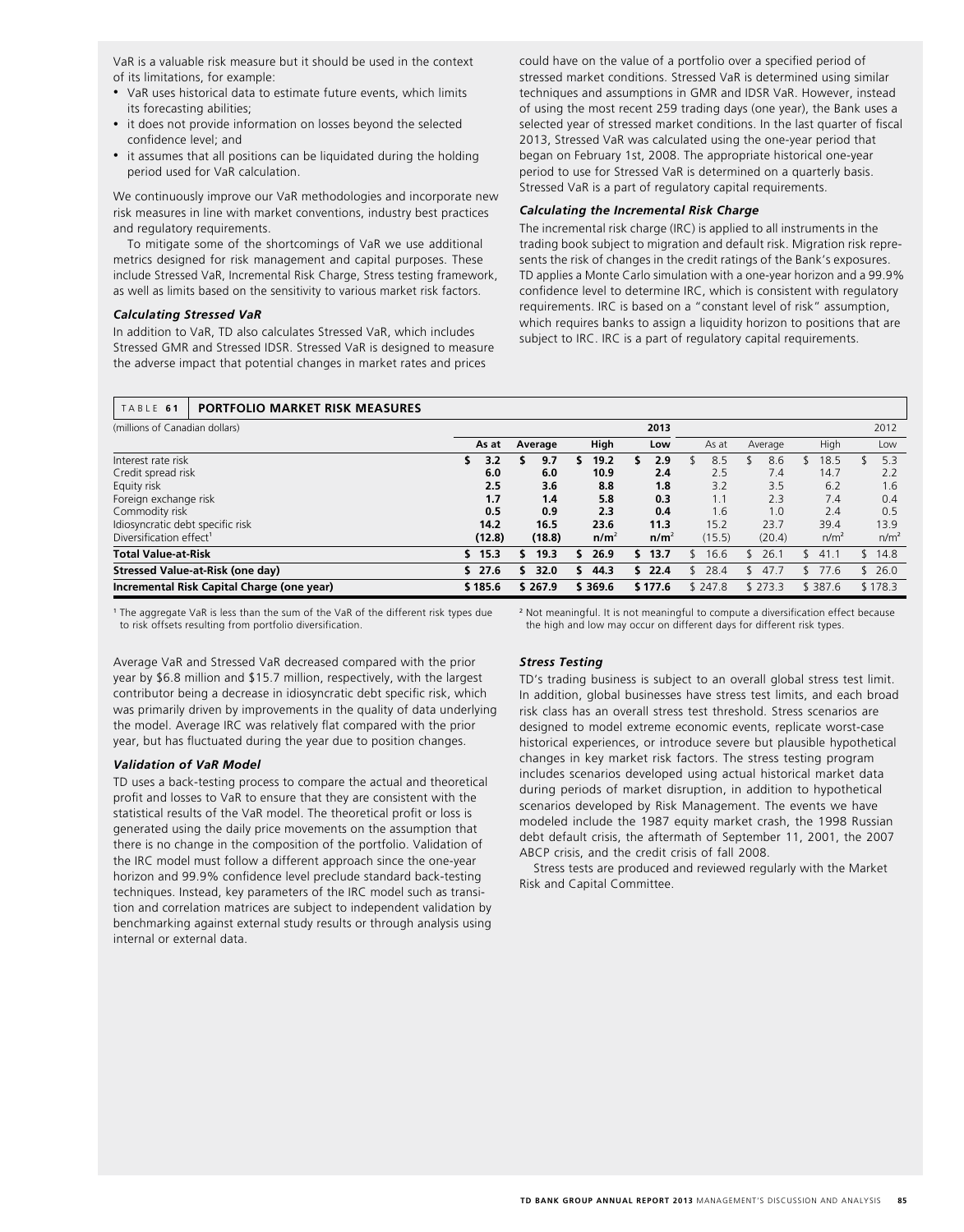VaR is a valuable risk measure but it should be used in the context of its limitations, for example:

- VaR uses historical data to estimate future events, which limits its forecasting abilities;
- it does not provide information on losses beyond the selected confidence level; and
- it assumes that all positions can be liquidated during the holding period used for VaR calculation.

We continuously improve our VaR methodologies and incorporate new risk measures in line with market conventions, industry best practices and regulatory requirements.

To mitigate some of the shortcomings of VaR we use additional metrics designed for risk management and capital purposes. These include Stressed VaR, Incremental Risk Charge, Stress testing framework, as well as limits based on the sensitivity to various market risk factors.

# *Calculating Stressed VaR*

In addition to VaR, TD also calculates Stressed VaR, which includes Stressed GMR and Stressed IDSR. Stressed VaR is designed to measure the adverse impact that potential changes in market rates and prices

could have on the value of a portfolio over a specified period of stressed market conditions. Stressed VaR is determined using similar techniques and assumptions in GMR and IDSR VaR. However, instead of using the most recent 259 trading days (one year), the Bank uses a selected year of stressed market conditions. In the last quarter of fiscal 2013, Stressed VaR was calculated using the one-year period that began on February 1st, 2008. The appropriate historical one-year period to use for Stressed VaR is determined on a quarterly basis. Stressed VaR is a part of regulatory capital requirements.

### *Calculating the Incremental Risk Charge*

The incremental risk charge (IRC) is applied to all instruments in the trading book subject to migration and default risk. Migration risk represents the risk of changes in the credit ratings of the Bank's exposures. TD applies a Monte Carlo simulation with a one-year horizon and a 99.9% confidence level to determine IRC, which is consistent with regulatory requirements. IRC is based on a "constant level of risk" assumption, which requires banks to assign a liquidity horizon to positions that are subject to IRC. IRC is a part of regulatory capital requirements.

# TABLE **6 1 PORTFOLIO MARKET RISK MEASURES**

| (millions of Canadian dollars)             | 2013<br>2012 |         |                  |                  |         |         |                  |                  |
|--------------------------------------------|--------------|---------|------------------|------------------|---------|---------|------------------|------------------|
|                                            | As at        | Average | High             | Low              | As at   | Average | High             | Low              |
| Interest rate risk                         | 3.2          | 9.7     | 19.2             | 2.9              | 8.5     | 8.6     | 18.5             | 5.3              |
| Credit spread risk                         | 6.0          | 6.0     | 10.9             | 2.4              | 2.5     | 7.4     | 14.7             | 2.2              |
| Equity risk                                | 2.5          | 3.6     | 8.8              | 1.8              | 3.2     | 3.5     | 6.2              | 1.6              |
| Foreign exchange risk                      | 1.7          | 1.4     | 5.8              | 0.3              | 1.1     | 2.3     | 7.4              | 0.4              |
| Commodity risk                             | 0.5          | 0.9     | 2.3              | 0.4              | 1.6     | 1.0     | 2.4              | 0.5              |
| Idiosyncratic debt specific risk           | 14.2         | 16.5    | 23.6             | 11.3             | 15.2    | 23.7    | 39.4             | 13.9             |
| Diversification effect <sup>1</sup>        | (12.8)       | (18.8)  | n/m <sup>2</sup> | n/m <sup>2</sup> | (15.5)  | (20.4)  | n/m <sup>2</sup> | n/m <sup>2</sup> |
| <b>Total Value-at-Risk</b>                 | 15.3         | 19.3    | 26.9             | 13.7             | 16.6    | 26.1    | 41.1             | 14.8<br>S.       |
| Stressed Value-at-Risk (one day)           | \$27.6       | 32.0    | 44.3             | 22.4             | 28.4    | 47.7    | 77.6             | \$26.0           |
| Incremental Risk Capital Charge (one year) | \$185.6      | \$267.9 | \$369.6          | \$177.6          | \$247.8 | \$273.3 | \$387.6          | \$178.3          |

<sup>1</sup> The aggregate VaR is less than the sum of the VaR of the different risk types due to risk offsets resulting from portfolio diversification.

Average VaR and Stressed VaR decreased compared with the prior year by \$6.8 million and \$15.7 million, respectively, with the largest contributor being a decrease in idiosyncratic debt specific risk, which was primarily driven by improvements in the quality of data underlying the model. Average IRC was relatively flat compared with the prior year, but has fluctuated during the year due to position changes.

### *Validation of VaR Model*

TD uses a back-testing process to compare the actual and theoretical profit and losses to VaR to ensure that they are consistent with the statistical results of the VaR model. The theoretical profit or loss is generated using the daily price movements on the assumption that there is no change in the composition of the portfolio. Validation of the IRC model must follow a different approach since the one-year horizon and 99.9% confidence level preclude standard back-testing techniques. Instead, key parameters of the IRC model such as transition and correlation matrices are subject to independent validation by benchmarking against external study results or through analysis using internal or external data.

#### *Stress Testing*

TD's trading business is subject to an overall global stress test limit. In addition, global businesses have stress test limits, and each broad risk class has an overall stress test threshold. Stress scenarios are designed to model extreme economic events, replicate worst-case historical experiences, or introduce severe but plausible hypothetical changes in key market risk factors. The stress testing program includes scenarios developed using actual historical market data during periods of market disruption, in addition to hypothetical scenarios developed by Risk Management. The events we have modeled include the 1987 equity market crash, the 1998 Russian debt default crisis, the aftermath of September 11, 2001, the 2007 ABCP crisis, and the credit crisis of fall 2008.

<sup>2</sup> Not meaningful. It is not meaningful to compute a diversification effect because the high and low may occur on different days for different risk types.

Stress tests are produced and reviewed regularly with the Market Risk and Capital Committee.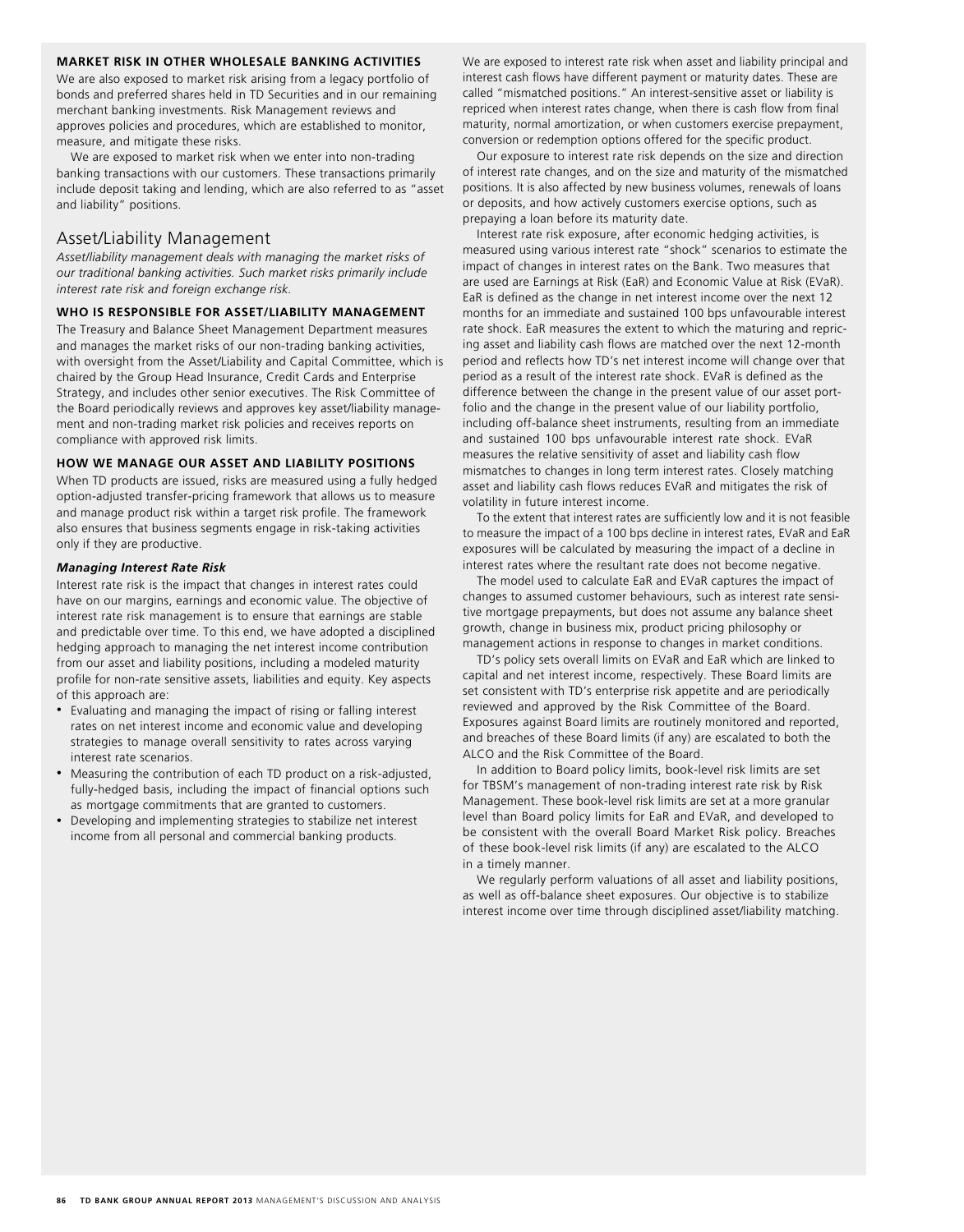# **MARKET RISK IN OTHER WHOLESALE BANKING ACTIVITIES**

We are also exposed to market risk arising from a legacy portfolio of bonds and preferred shares held in TD Securities and in our remaining merchant banking investments. Risk Management reviews and approves policies and procedures, which are established to monitor, measure, and mitigate these risks.

We are exposed to market risk when we enter into non-trading banking transactions with our customers. These transactions primarily include deposit taking and lending, which are also referred to as "asset and liability" positions.

# Asset/Liability Management

*Asset/liability management deals with managing the market risks of our traditional banking activities. Such market risks primarily include interest rate risk and foreign exchange risk.*

# **WHO IS RESPONSIBLE FOR ASSET/LIABILITY MANAGEMENT**

The Treasury and Balance Sheet Management Department measures and manages the market risks of our non-trading banking activities, with oversight from the Asset/Liability and Capital Committee, which is chaired by the Group Head Insurance, Credit Cards and Enterprise Strategy, and includes other senior executives. The Risk Committee of the Board periodically reviews and approves key asset/liability management and non-trading market risk policies and receives reports on compliance with approved risk limits.

## **HOW WE MANAGE OUR ASSET AND LIABILITY POSITIONS**

When TD products are issued, risks are measured using a fully hedged option-adjusted transfer-pricing framework that allows us to measure and manage product risk within a target risk profile. The framework also ensures that business segments engage in risk-taking activities only if they are productive.

# *Managing Interest Rate Risk*

Interest rate risk is the impact that changes in interest rates could have on our margins, earnings and economic value. The objective of interest rate risk management is to ensure that earnings are stable and predictable over time. To this end, we have adopted a disciplined hedging approach to managing the net interest income contribution from our asset and liability positions, including a modeled maturity profile for non-rate sensitive assets, liabilities and equity. Key aspects of this approach are:

- Evaluating and managing the impact of rising or falling interest rates on net interest income and economic value and developing strategies to manage overall sensitivity to rates across varying interest rate scenarios.
- Measuring the contribution of each TD product on a risk-adjusted, fully-hedged basis, including the impact of financial options such as mortgage commitments that are granted to customers.
- Developing and implementing strategies to stabilize net interest income from all personal and commercial banking products.

We are exposed to interest rate risk when asset and liability principal and interest cash flows have different payment or maturity dates. These are called "mismatched positions." An interest-sensitive asset or liability is repriced when interest rates change, when there is cash flow from final maturity, normal amortization, or when customers exercise prepayment, conversion or redemption options offered for the specific product.

Our exposure to interest rate risk depends on the size and direction of interest rate changes, and on the size and maturity of the mismatched positions. It is also affected by new business volumes, renewals of loans or deposits, and how actively customers exercise options, such as prepaying a loan before its maturity date.

Interest rate risk exposure, after economic hedging activities, is measured using various interest rate "shock" scenarios to estimate the impact of changes in interest rates on the Bank. Two measures that are used are Earnings at Risk (EaR) and Economic Value at Risk (EVaR). EaR is defined as the change in net interest income over the next 12 months for an immediate and sustained 100 bps unfavourable interest rate shock. EaR measures the extent to which the maturing and repricing asset and liability cash flows are matched over the next 12-month period and reflects how TD's net interest income will change over that period as a result of the interest rate shock. EVaR is defined as the difference between the change in the present value of our asset portfolio and the change in the present value of our liability portfolio, including off-balance sheet instruments, resulting from an immediate and sustained 100 bps unfavourable interest rate shock. EVaR measures the relative sensitivity of asset and liability cash flow mismatches to changes in long term interest rates. Closely matching asset and liability cash flows reduces EVaR and mitigates the risk of volatility in future interest income.

To the extent that interest rates are sufficiently low and it is not feasible to measure the impact of a 100 bps decline in interest rates, EVaR and EaR exposures will be calculated by measuring the impact of a decline in interest rates where the resultant rate does not become negative.

The model used to calculate EaR and EVaR captures the impact of changes to assumed customer behaviours, such as interest rate sensitive mortgage prepayments, but does not assume any balance sheet growth, change in business mix, product pricing philosophy or management actions in response to changes in market conditions.

TD's policy sets overall limits on EVaR and EaR which are linked to capital and net interest income, respectively. These Board limits are set consistent with TD's enterprise risk appetite and are periodically reviewed and approved by the Risk Committee of the Board. Exposures against Board limits are routinely monitored and reported, and breaches of these Board limits (if any) are escalated to both the ALCO and the Risk Committee of the Board.

In addition to Board policy limits, book-level risk limits are set for TBSM's management of non-trading interest rate risk by Risk Management. These book-level risk limits are set at a more granular level than Board policy limits for EaR and EVaR, and developed to be consistent with the overall Board Market Risk policy. Breaches of these book-level risk limits (if any) are escalated to the ALCO in a timely manner.

We regularly perform valuations of all asset and liability positions, as well as off-balance sheet exposures. Our objective is to stabilize interest income over time through disciplined asset/liability matching.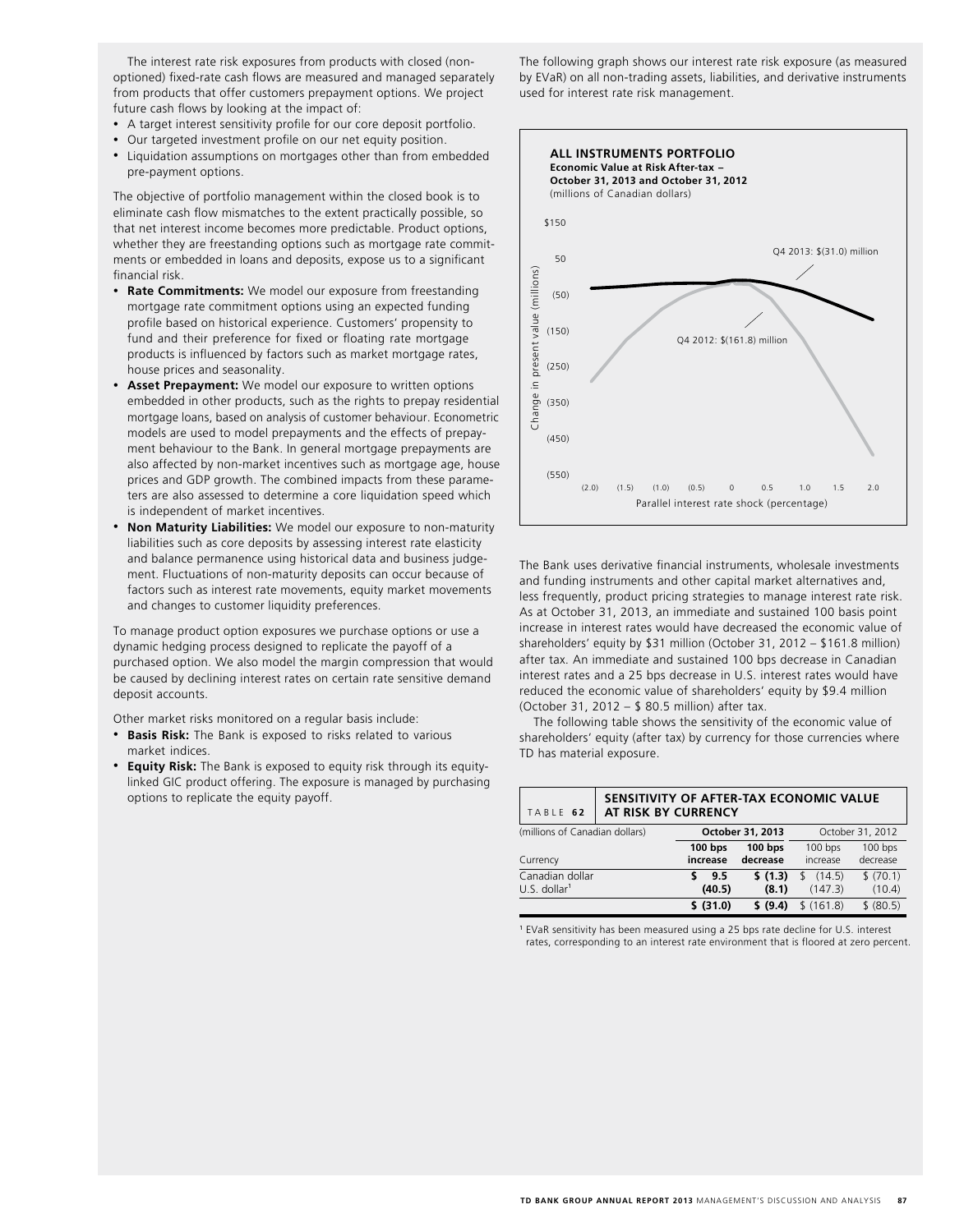The interest rate risk exposures from products with closed (nonoptioned) fixed-rate cash flows are measured and managed separately from products that offer customers prepayment options. We project future cash flows by looking at the impact of:

- A target interest sensitivity profile for our core deposit portfolio.
- Our targeted investment profile on our net equity position.
- Liquidation assumptions on mortgages other than from embedded pre-payment options.

The objective of portfolio management within the closed book is to eliminate cash flow mismatches to the extent practically possible, so that net interest income becomes more predictable. Product options, whether they are freestanding options such as mortgage rate commitments or embedded in loans and deposits, expose us to a significant financial risk.

- **Rate Commitments:** We model our exposure from freestanding mortgage rate commitment options using an expected funding profile based on historical experience. Customers' propensity to fund and their preference for fixed or floating rate mortgage products is influenced by factors such as market mortgage rates, house prices and seasonality.
- **Asset Prepayment:** We model our exposure to written options embedded in other products, such as the rights to prepay residential mortgage loans, based on analysis of customer behaviour. Econometric models are used to model prepayments and the effects of prepayment behaviour to the Bank. In general mortgage prepayments are also affected by non-market incentives such as mortgage age, house prices and GDP growth. The combined impacts from these parameters are also assessed to determine a core liquidation speed which is independent of market incentives.
- **Non Maturity Liabilities:** We model our exposure to non-maturity liabilities such as core deposits by assessing interest rate elasticity and balance permanence using historical data and business judgement. Fluctuations of non-maturity deposits can occur because of factors such as interest rate movements, equity market movements and changes to customer liquidity preferences.

To manage product option exposures we purchase options or use a dynamic hedging process designed to replicate the payoff of a purchased option. We also model the margin compression that would be caused by declining interest rates on certain rate sensitive demand deposit accounts.

Other market risks monitored on a regular basis include:

- **Basis Risk:** The Bank is exposed to risks related to various market indices.
- **Equity Risk:** The Bank is exposed to equity risk through its equitylinked GIC product offering. The exposure is managed by purchasing options to replicate the equity payoff.

The following graph shows our interest rate risk exposure (as measured by EVaR) on all non-trading assets, liabilities, and derivative instruments used for interest rate risk management.



The Bank uses derivative financial instruments, wholesale investments and funding instruments and other capital market alternatives and, less frequently, product pricing strategies to manage interest rate risk. As at October 31, 2013, an immediate and sustained 100 basis point increase in interest rates would have decreased the economic value of shareholders' equity by \$31 million (October 31, 2012 – \$161.8 million) after tax. An immediate and sustained 100 bps decrease in Canadian interest rates and a 25 bps decrease in U.S. interest rates would have reduced the economic value of shareholders' equity by \$9.4 million (October 31, 2012 – \$ 80.5 million) after tax.

The following table shows the sensitivity of the economic value of shareholders' equity (after tax) by currency for those currencies where TD has material exposure.

| TABLE 62                                                               | SENSITIVITY OF AFTER-TAX ECONOMIC VALUE<br>AT RISK BY CURRENCY                                   |               |                  |                                   |                    |  |  |  |  |
|------------------------------------------------------------------------|--------------------------------------------------------------------------------------------------|---------------|------------------|-----------------------------------|--------------------|--|--|--|--|
| (millions of Canadian dollars)<br>October 31, 2013<br>October 31, 2012 |                                                                                                  |               |                  |                                   |                    |  |  |  |  |
| Currency                                                               | $100$ bps<br>$100$ bps<br>$100$ bps<br>$100$ bps<br>decrease<br>decrease<br>increase<br>increase |               |                  |                                   |                    |  |  |  |  |
| Canadian dollar<br>$U.S.$ dollar <sup>1</sup>                          |                                                                                                  | 9.5<br>(40.5) | \$(1.3)<br>(8.1) | (14.5)<br>$\mathbb{S}$<br>(147.3) | \$(70.1)<br>(10.4) |  |  |  |  |
|                                                                        |                                                                                                  | (31.0)        | (9.4)            | (161.8)<br>\$                     | (80.5)             |  |  |  |  |

<sup>1</sup> EVaR sensitivity has been measured using a 25 bps rate decline for U.S. interest rates, corresponding to an interest rate environment that is floored at zero percent.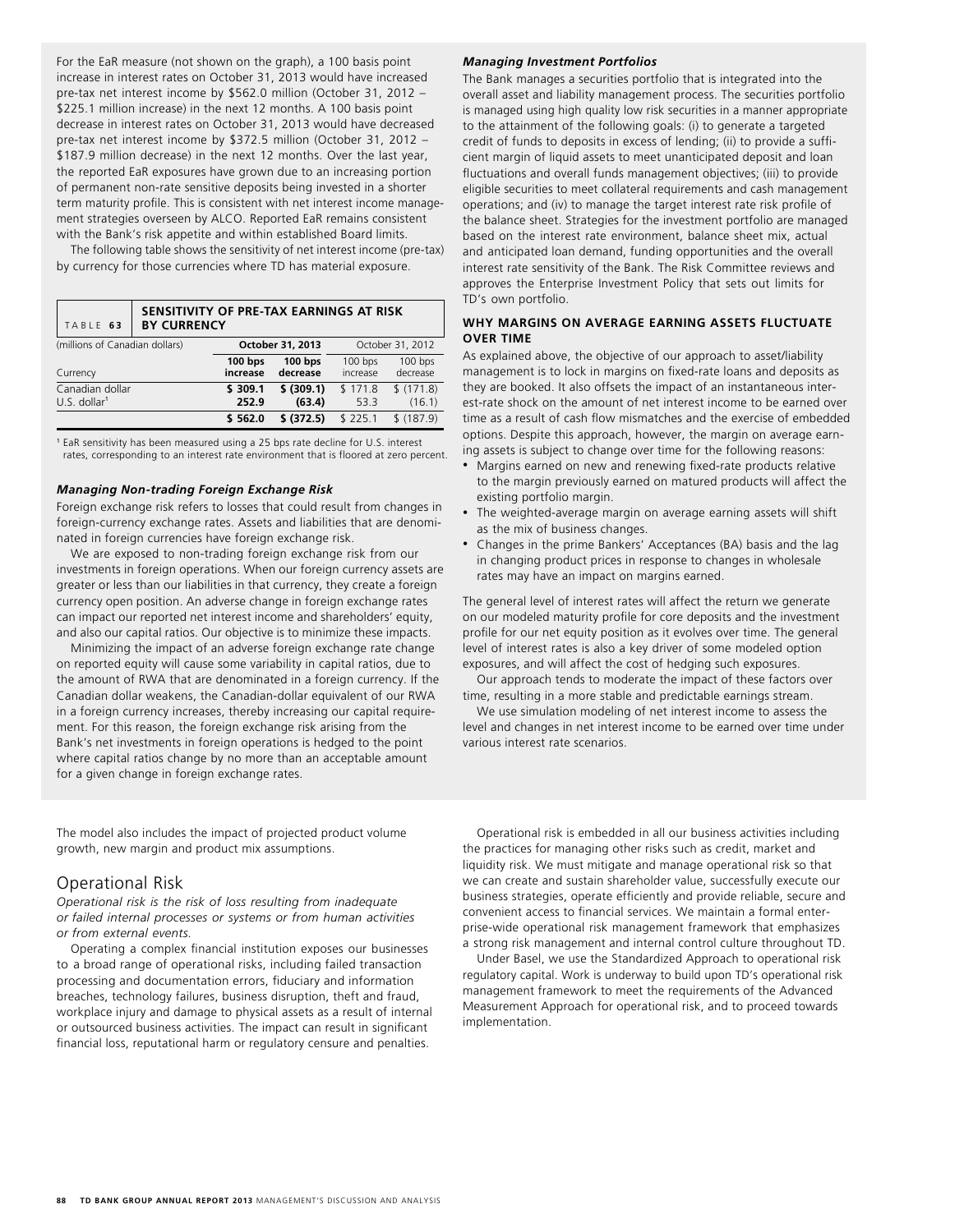For the EaR measure (not shown on the graph), a 100 basis point increase in interest rates on October 31, 2013 would have increased pre-tax net interest income by \$562.0 million (October 31, 2012 – \$225.1 million increase) in the next 12 months. A 100 basis point decrease in interest rates on October 31, 2013 would have decreased pre-tax net interest income by \$372.5 million (October 31, 2012 – \$187.9 million decrease) in the next 12 months. Over the last year, the reported EaR exposures have grown due to an increasing portion of permanent non-rate sensitive deposits being invested in a shorter term maturity profile. This is consistent with net interest income management strategies overseen by ALCO. Reported EaR remains consistent with the Bank's risk appetite and within established Board limits.

The following table shows the sensitivity of net interest income (pre-tax) by currency for those currencies where TD has material exposure.

| TABLE 63                                                               | SENSITIVITY OF PRE-TAX EARNINGS AT RISK<br><b>BY CURRENCY</b> |           |            |           |           |  |  |  |  |
|------------------------------------------------------------------------|---------------------------------------------------------------|-----------|------------|-----------|-----------|--|--|--|--|
| (millions of Canadian dollars)<br>October 31, 2013<br>October 31, 2012 |                                                               |           |            |           |           |  |  |  |  |
|                                                                        |                                                               | $100$ bps | $100$ bps  | $100$ bps | $100$ bps |  |  |  |  |
| Currency                                                               |                                                               | increase  | decrease   | increase  | decrease  |  |  |  |  |
| Canadian dollar                                                        |                                                               | \$309.1   | \$ (309.1) | \$171.8   | \$(171.8) |  |  |  |  |
| $U.S.$ dollar <sup>1</sup>                                             |                                                               | 252.9     | (63.4)     | 53.3      | (16.1)    |  |  |  |  |
|                                                                        |                                                               | \$562.0   | \$ (372.5) | \$225.1   | \$(187.9) |  |  |  |  |

<sup>1</sup> EaR sensitivity has been measured using a 25 bps rate decline for U.S. interest rates, corresponding to an interest rate environment that is floored at zero percent.

### *Managing Non-trading Foreign Exchange Risk*

Foreign exchange risk refers to losses that could result from changes in foreign-currency exchange rates. Assets and liabilities that are denominated in foreign currencies have foreign exchange risk.

We are exposed to non-trading foreign exchange risk from our investments in foreign operations. When our foreign currency assets are greater or less than our liabilities in that currency, they create a foreign currency open position. An adverse change in foreign exchange rates can impact our reported net interest income and shareholders' equity, and also our capital ratios. Our objective is to minimize these impacts.

Minimizing the impact of an adverse foreign exchange rate change on reported equity will cause some variability in capital ratios, due to the amount of RWA that are denominated in a foreign currency. If the Canadian dollar weakens, the Canadian-dollar equivalent of our RWA in a foreign currency increases, thereby increasing our capital requirement. For this reason, the foreign exchange risk arising from the Bank's net investments in foreign operations is hedged to the point where capital ratios change by no more than an acceptable amount for a given change in foreign exchange rates.

The model also includes the impact of projected product volume growth, new margin and product mix assumptions.

# Operational Risk

*Operational risk is the risk of loss resulting from inadequate or failed internal processes or systems or from human activities or from external events.*

Operating a complex financial institution exposes our businesses to a broad range of operational risks, including failed transaction processing and documentation errors, fiduciary and information breaches, technology failures, business disruption, theft and fraud, workplace injury and damage to physical assets as a result of internal or outsourced business activities. The impact can result in significant financial loss, reputational harm or regulatory censure and penalties.

#### *Managing Investment Portfolios*

The Bank manages a securities portfolio that is integrated into the overall asset and liability management process. The securities portfolio is managed using high quality low risk securities in a manner appropriate to the attainment of the following goals: (i) to generate a targeted credit of funds to deposits in excess of lending; (ii) to provide a sufficient margin of liquid assets to meet unanticipated deposit and loan fluctuations and overall funds management objectives; (iii) to provide eligible securities to meet collateral requirements and cash management operations; and (iv) to manage the target interest rate risk profile of the balance sheet. Strategies for the investment portfolio are managed based on the interest rate environment, balance sheet mix, actual and anticipated loan demand, funding opportunities and the overall interest rate sensitivity of the Bank. The Risk Committee reviews and approves the Enterprise Investment Policy that sets out limits for TD's own portfolio.

# **WHY MARGINS ON AVERAGE EARNING ASSETS FLUCTUATE OVER TIME**

As explained above, the objective of our approach to asset/liability management is to lock in margins on fixed-rate loans and deposits as they are booked. It also offsets the impact of an instantaneous interest-rate shock on the amount of net interest income to be earned over time as a result of cash flow mismatches and the exercise of embedded options. Despite this approach, however, the margin on average earning assets is subject to change over time for the following reasons:

- Margins earned on new and renewing fixed-rate products relative to the margin previously earned on matured products will affect the existing portfolio margin.
- The weighted-average margin on average earning assets will shift as the mix of business changes.
- Changes in the prime Bankers' Acceptances (BA) basis and the lag in changing product prices in response to changes in wholesale rates may have an impact on margins earned.

The general level of interest rates will affect the return we generate on our modeled maturity profile for core deposits and the investment profile for our net equity position as it evolves over time. The general level of interest rates is also a key driver of some modeled option exposures, and will affect the cost of hedging such exposures.

Our approach tends to moderate the impact of these factors over time, resulting in a more stable and predictable earnings stream.

We use simulation modeling of net interest income to assess the level and changes in net interest income to be earned over time under various interest rate scenarios.

Operational risk is embedded in all our business activities including the practices for managing other risks such as credit, market and liquidity risk. We must mitigate and manage operational risk so that we can create and sustain shareholder value, successfully execute our business strategies, operate efficiently and provide reliable, secure and convenient access to financial services. We maintain a formal enterprise-wide operational risk management framework that emphasizes a strong risk management and internal control culture throughout TD.

Under Basel, we use the Standardized Approach to operational risk regulatory capital. Work is underway to build upon TD's operational risk management framework to meet the requirements of the Advanced Measurement Approach for operational risk, and to proceed towards implementation.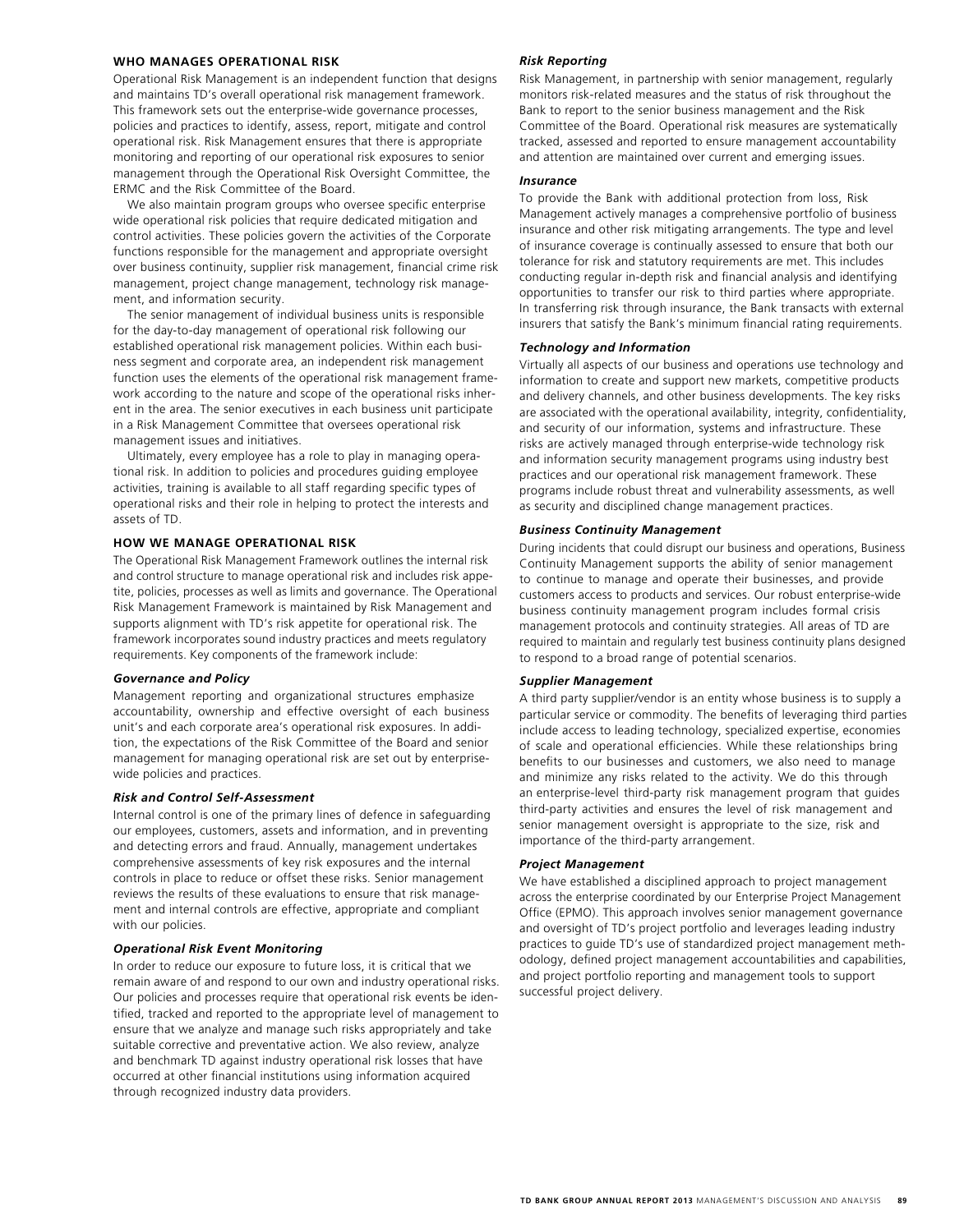#### **WHO MANAGES OPERATIONAL RISK**

Operational Risk Management is an independent function that designs and maintains TD's overall operational risk management framework. This framework sets out the enterprise-wide governance processes, policies and practices to identify, assess, report, mitigate and control operational risk. Risk Management ensures that there is appropriate monitoring and reporting of our operational risk exposures to senior management through the Operational Risk Oversight Committee, the ERMC and the Risk Committee of the Board.

We also maintain program groups who oversee specific enterprise wide operational risk policies that require dedicated mitigation and control activities. These policies govern the activities of the Corporate functions responsible for the management and appropriate oversight over business continuity, supplier risk management, financial crime risk management, project change management, technology risk management, and information security.

The senior management of individual business units is responsible for the day-to-day management of operational risk following our established operational risk management policies. Within each business segment and corporate area, an independent risk management function uses the elements of the operational risk management framework according to the nature and scope of the operational risks inherent in the area. The senior executives in each business unit participate in a Risk Management Committee that oversees operational risk management issues and initiatives.

Ultimately, every employee has a role to play in managing operational risk. In addition to policies and procedures guiding employee activities, training is available to all staff regarding specific types of operational risks and their role in helping to protect the interests and assets of TD.

### **HOW WE MANAGE OPERATIONAL RISK**

The Operational Risk Management Framework outlines the internal risk and control structure to manage operational risk and includes risk appetite, policies, processes as well as limits and governance. The Operational Risk Management Framework is maintained by Risk Management and supports alignment with TD's risk appetite for operational risk. The framework incorporates sound industry practices and meets regulatory requirements. Key components of the framework include:

#### *Governance and Policy*

Management reporting and organizational structures emphasize accountability, ownership and effective oversight of each business unit's and each corporate area's operational risk exposures. In addition, the expectations of the Risk Committee of the Board and senior management for managing operational risk are set out by enterprisewide policies and practices.

### *Risk and Control Self-Assessment*

Internal control is one of the primary lines of defence in safeguarding our employees, customers, assets and information, and in preventing and detecting errors and fraud. Annually, management undertakes comprehensive assessments of key risk exposures and the internal controls in place to reduce or offset these risks. Senior management reviews the results of these evaluations to ensure that risk management and internal controls are effective, appropriate and compliant with our policies.

#### *Operational Risk Event Monitoring*

In order to reduce our exposure to future loss, it is critical that we remain aware of and respond to our own and industry operational risks. Our policies and processes require that operational risk events be identified, tracked and reported to the appropriate level of management to ensure that we analyze and manage such risks appropriately and take suitable corrective and preventative action. We also review, analyze and benchmark TD against industry operational risk losses that have occurred at other financial institutions using information acquired through recognized industry data providers.

### *Risk Reporting*

Risk Management, in partnership with senior management, regularly monitors risk-related measures and the status of risk throughout the Bank to report to the senior business management and the Risk Committee of the Board. Operational risk measures are systematically tracked, assessed and reported to ensure management accountability and attention are maintained over current and emerging issues.

### *Insurance*

To provide the Bank with additional protection from loss, Risk Management actively manages a comprehensive portfolio of business insurance and other risk mitigating arrangements. The type and level of insurance coverage is continually assessed to ensure that both our tolerance for risk and statutory requirements are met. This includes conducting regular in-depth risk and financial analysis and identifying opportunities to transfer our risk to third parties where appropriate. In transferring risk through insurance, the Bank transacts with external insurers that satisfy the Bank's minimum financial rating requirements.

#### *Technology and Information*

Virtually all aspects of our business and operations use technology and information to create and support new markets, competitive products and delivery channels, and other business developments. The key risks are associated with the operational availability, integrity, confidentiality, and security of our information, systems and infrastructure. These risks are actively managed through enterprise-wide technology risk and information security management programs using industry best practices and our operational risk management framework. These programs include robust threat and vulnerability assessments, as well as security and disciplined change management practices.

#### *Business Continuity Management*

During incidents that could disrupt our business and operations, Business Continuity Management supports the ability of senior management to continue to manage and operate their businesses, and provide customers access to products and services. Our robust enterprise-wide business continuity management program includes formal crisis management protocols and continuity strategies. All areas of TD are required to maintain and regularly test business continuity plans designed to respond to a broad range of potential scenarios.

#### *Supplier Management*

A third party supplier/vendor is an entity whose business is to supply a particular service or commodity. The benefits of leveraging third parties include access to leading technology, specialized expertise, economies of scale and operational efficiencies. While these relationships bring benefits to our businesses and customers, we also need to manage and minimize any risks related to the activity. We do this through an enterprise-level third-party risk management program that guides third-party activities and ensures the level of risk management and senior management oversight is appropriate to the size, risk and importance of the third-party arrangement.

#### *Project Management*

We have established a disciplined approach to project management across the enterprise coordinated by our Enterprise Project Management Office (EPMO). This approach involves senior management governance and oversight of TD's project portfolio and leverages leading industry practices to guide TD's use of standardized project management methodology, defined project management accountabilities and capabilities, and project portfolio reporting and management tools to support successful project delivery.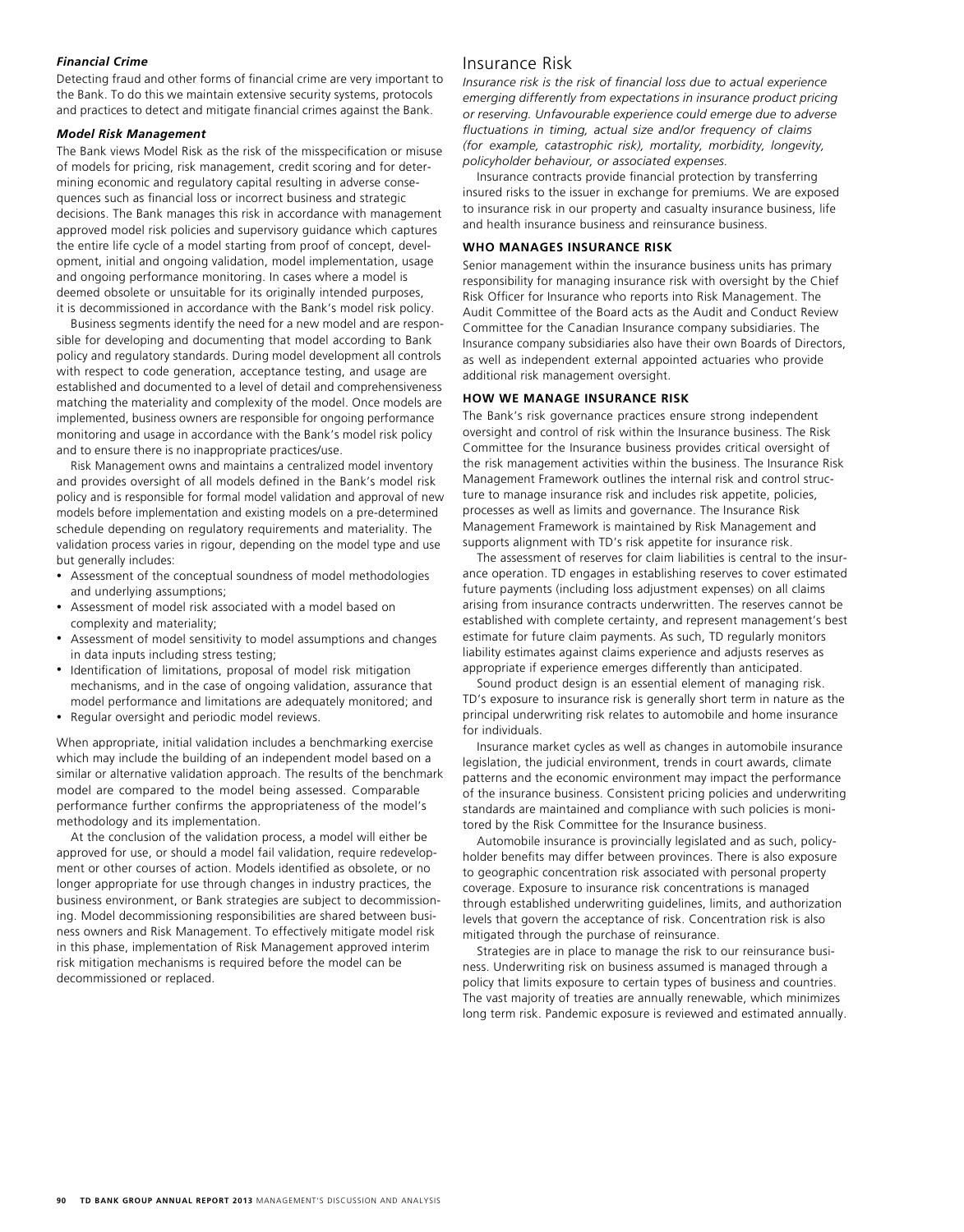## *Financial Crime*

Detecting fraud and other forms of financial crime are very important to the Bank. To do this we maintain extensive security systems, protocols and practices to detect and mitigate financial crimes against the Bank.

#### *Model Risk Management*

The Bank views Model Risk as the risk of the misspecification or misuse of models for pricing, risk management, credit scoring and for determining economic and regulatory capital resulting in adverse consequences such as financial loss or incorrect business and strategic decisions. The Bank manages this risk in accordance with management approved model risk policies and supervisory guidance which captures the entire life cycle of a model starting from proof of concept, development, initial and ongoing validation, model implementation, usage and ongoing performance monitoring. In cases where a model is deemed obsolete or unsuitable for its originally intended purposes, it is decommissioned in accordance with the Bank's model risk policy.

Business segments identify the need for a new model and are responsible for developing and documenting that model according to Bank policy and regulatory standards. During model development all controls with respect to code generation, acceptance testing, and usage are established and documented to a level of detail and comprehensiveness matching the materiality and complexity of the model. Once models are implemented, business owners are responsible for ongoing performance monitoring and usage in accordance with the Bank's model risk policy and to ensure there is no inappropriate practices/use.

Risk Management owns and maintains a centralized model inventory and provides oversight of all models defined in the Bank's model risk policy and is responsible for formal model validation and approval of new models before implementation and existing models on a pre-determined schedule depending on regulatory requirements and materiality. The validation process varies in rigour, depending on the model type and use but generally includes:

- Assessment of the conceptual soundness of model methodologies and underlying assumptions;
- Assessment of model risk associated with a model based on complexity and materiality;
- Assessment of model sensitivity to model assumptions and changes in data inputs including stress testing;
- Identification of limitations, proposal of model risk mitigation mechanisms, and in the case of ongoing validation, assurance that model performance and limitations are adequately monitored; and
- Regular oversight and periodic model reviews.

When appropriate, initial validation includes a benchmarking exercise which may include the building of an independent model based on a similar or alternative validation approach. The results of the benchmark model are compared to the model being assessed. Comparable performance further confirms the appropriateness of the model's methodology and its implementation.

At the conclusion of the validation process, a model will either be approved for use, or should a model fail validation, require redevelopment or other courses of action. Models identified as obsolete, or no longer appropriate for use through changes in industry practices, the business environment, or Bank strategies are subject to decommissioning. Model decommissioning responsibilities are shared between business owners and Risk Management. To effectively mitigate model risk in this phase, implementation of Risk Management approved interim risk mitigation mechanisms is required before the model can be decommissioned or replaced.

# Insurance Risk

*Insurance risk is the risk of financial loss due to actual experience emerging differently from expectations in insurance product pricing or reserving. Unfavourable experience could emerge due to adverse fluctuations in timing, actual size and/or frequency of claims (for example, catastrophic risk), mortality, morbidity, longevity, policyholder behaviour, or associated expenses.*

Insurance contracts provide financial protection by transferring insured risks to the issuer in exchange for premiums. We are exposed to insurance risk in our property and casualty insurance business, life and health insurance business and reinsurance business.

## **WHO MANAGES INSURANCE RISK**

Senior management within the insurance business units has primary responsibility for managing insurance risk with oversight by the Chief Risk Officer for Insurance who reports into Risk Management. The Audit Committee of the Board acts as the Audit and Conduct Review Committee for the Canadian Insurance company subsidiaries. The Insurance company subsidiaries also have their own Boards of Directors, as well as independent external appointed actuaries who provide additional risk management oversight.

#### **HOW WE MANAGE INSURANCE RISK**

The Bank's risk governance practices ensure strong independent oversight and control of risk within the Insurance business. The Risk Committee for the Insurance business provides critical oversight of the risk management activities within the business. The Insurance Risk Management Framework outlines the internal risk and control structure to manage insurance risk and includes risk appetite, policies, processes as well as limits and governance. The Insurance Risk Management Framework is maintained by Risk Management and supports alignment with TD's risk appetite for insurance risk.

The assessment of reserves for claim liabilities is central to the insurance operation. TD engages in establishing reserves to cover estimated future payments (including loss adjustment expenses) on all claims arising from insurance contracts underwritten. The reserves cannot be established with complete certainty, and represent management's best estimate for future claim payments. As such, TD regularly monitors liability estimates against claims experience and adjusts reserves as appropriate if experience emerges differently than anticipated.

Sound product design is an essential element of managing risk. TD's exposure to insurance risk is generally short term in nature as the principal underwriting risk relates to automobile and home insurance for individuals.

Insurance market cycles as well as changes in automobile insurance legislation, the judicial environment, trends in court awards, climate patterns and the economic environment may impact the performance of the insurance business. Consistent pricing policies and underwriting standards are maintained and compliance with such policies is monitored by the Risk Committee for the Insurance business.

Automobile insurance is provincially legislated and as such, policyholder benefits may differ between provinces. There is also exposure to geographic concentration risk associated with personal property coverage. Exposure to insurance risk concentrations is managed through established underwriting guidelines, limits, and authorization levels that govern the acceptance of risk. Concentration risk is also mitigated through the purchase of reinsurance.

Strategies are in place to manage the risk to our reinsurance business. Underwriting risk on business assumed is managed through a policy that limits exposure to certain types of business and countries. The vast majority of treaties are annually renewable, which minimizes long term risk. Pandemic exposure is reviewed and estimated annually.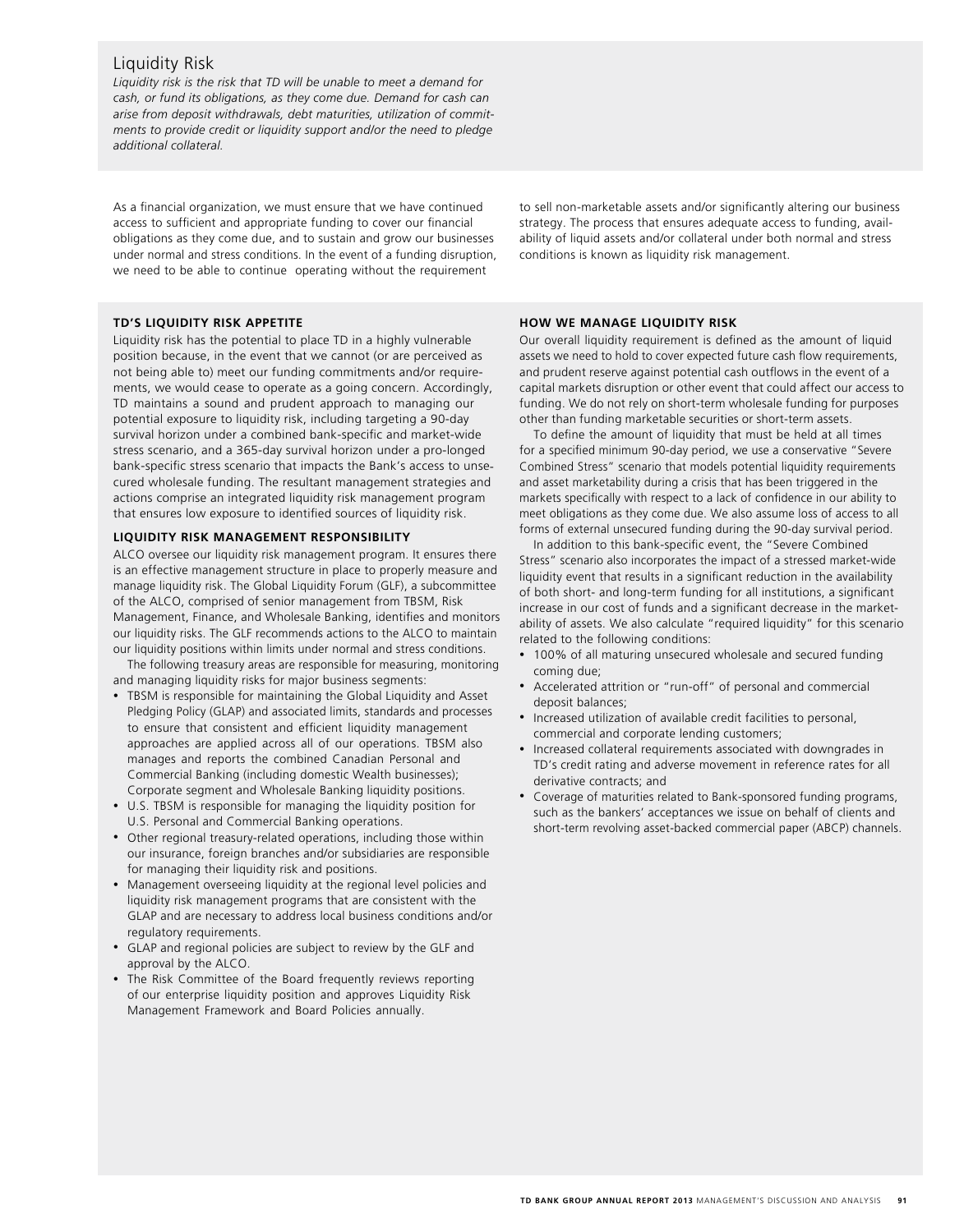# Liquidity Risk

*Liquidity risk is the risk that TD will be unable to meet a demand for cash, or fund its obligations, as they come due. Demand for cash can arise from deposit withdrawals, debt maturities, utilization of commitments to provide credit or liquidity support and/or the need to pledge additional collateral.*

As a financial organization, we must ensure that we have continued access to sufficient and appropriate funding to cover our financial obligations as they come due, and to sustain and grow our businesses under normal and stress conditions. In the event of a funding disruption, we need to be able to continue operating without the requirement

## **TD'S LIQUIDITY RISK APPETITE**

Liquidity risk has the potential to place TD in a highly vulnerable position because, in the event that we cannot (or are perceived as not being able to) meet our funding commitments and/or requirements, we would cease to operate as a going concern. Accordingly, TD maintains a sound and prudent approach to managing our potential exposure to liquidity risk, including targeting a 90-day survival horizon under a combined bank-specific and market-wide stress scenario, and a 365-day survival horizon under a pro-longed bank-specific stress scenario that impacts the Bank's access to unsecured wholesale funding. The resultant management strategies and actions comprise an integrated liquidity risk management program that ensures low exposure to identified sources of liquidity risk.

# **LIQUIDITY RISK MANAGEMENT RESPONSIBILITY**

ALCO oversee our liquidity risk management program. It ensures there is an effective management structure in place to properly measure and manage liquidity risk. The Global Liquidity Forum (GLF), a subcommittee of the ALCO, comprised of senior management from TBSM, Risk Management, Finance, and Wholesale Banking, identifies and monitors our liquidity risks. The GLF recommends actions to the ALCO to maintain our liquidity positions within limits under normal and stress conditions.

The following treasury areas are responsible for measuring, monitoring and managing liquidity risks for major business segments:

- TBSM is responsible for maintaining the Global Liquidity and Asset Pledging Policy (GLAP) and associated limits, standards and processes to ensure that consistent and efficient liquidity management approaches are applied across all of our operations. TBSM also manages and reports the combined Canadian Personal and Commercial Banking (including domestic Wealth businesses); Corporate segment and Wholesale Banking liquidity positions.
- U.S. TBSM is responsible for managing the liquidity position for U.S. Personal and Commercial Banking operations.
- Other regional treasury-related operations, including those within our insurance, foreign branches and/or subsidiaries are responsible for managing their liquidity risk and positions.
- Management overseeing liquidity at the regional level policies and liquidity risk management programs that are consistent with the GLAP and are necessary to address local business conditions and/or regulatory requirements.
- GLAP and regional policies are subject to review by the GLF and approval by the ALCO.
- The Risk Committee of the Board frequently reviews reporting of our enterprise liquidity position and approves Liquidity Risk Management Framework and Board Policies annually.

to sell non-marketable assets and/or significantly altering our business strategy. The process that ensures adequate access to funding, availability of liquid assets and/or collateral under both normal and stress conditions is known as liquidity risk management.

#### **HOW WE MANAGE LIQUIDITY RISK**

Our overall liquidity requirement is defined as the amount of liquid assets we need to hold to cover expected future cash flow requirements, and prudent reserve against potential cash outflows in the event of a capital markets disruption or other event that could affect our access to funding. We do not rely on short-term wholesale funding for purposes other than funding marketable securities or short-term assets.

To define the amount of liquidity that must be held at all times for a specified minimum 90-day period, we use a conservative "Severe Combined Stress" scenario that models potential liquidity requirements and asset marketability during a crisis that has been triggered in the markets specifically with respect to a lack of confidence in our ability to meet obligations as they come due. We also assume loss of access to all forms of external unsecured funding during the 90-day survival period.

In addition to this bank-specific event, the "Severe Combined Stress" scenario also incorporates the impact of a stressed market-wide liquidity event that results in a significant reduction in the availability of both short- and long-term funding for all institutions, a significant increase in our cost of funds and a significant decrease in the marketability of assets. We also calculate "required liquidity" for this scenario related to the following conditions:

- 100% of all maturing unsecured wholesale and secured funding coming due;
- Accelerated attrition or "run-off" of personal and commercial deposit balances;
- Increased utilization of available credit facilities to personal, commercial and corporate lending customers;
- Increased collateral requirements associated with downgrades in TD's credit rating and adverse movement in reference rates for all derivative contracts; and
- Coverage of maturities related to Bank-sponsored funding programs, such as the bankers' acceptances we issue on behalf of clients and short-term revolving asset-backed commercial paper (ABCP) channels.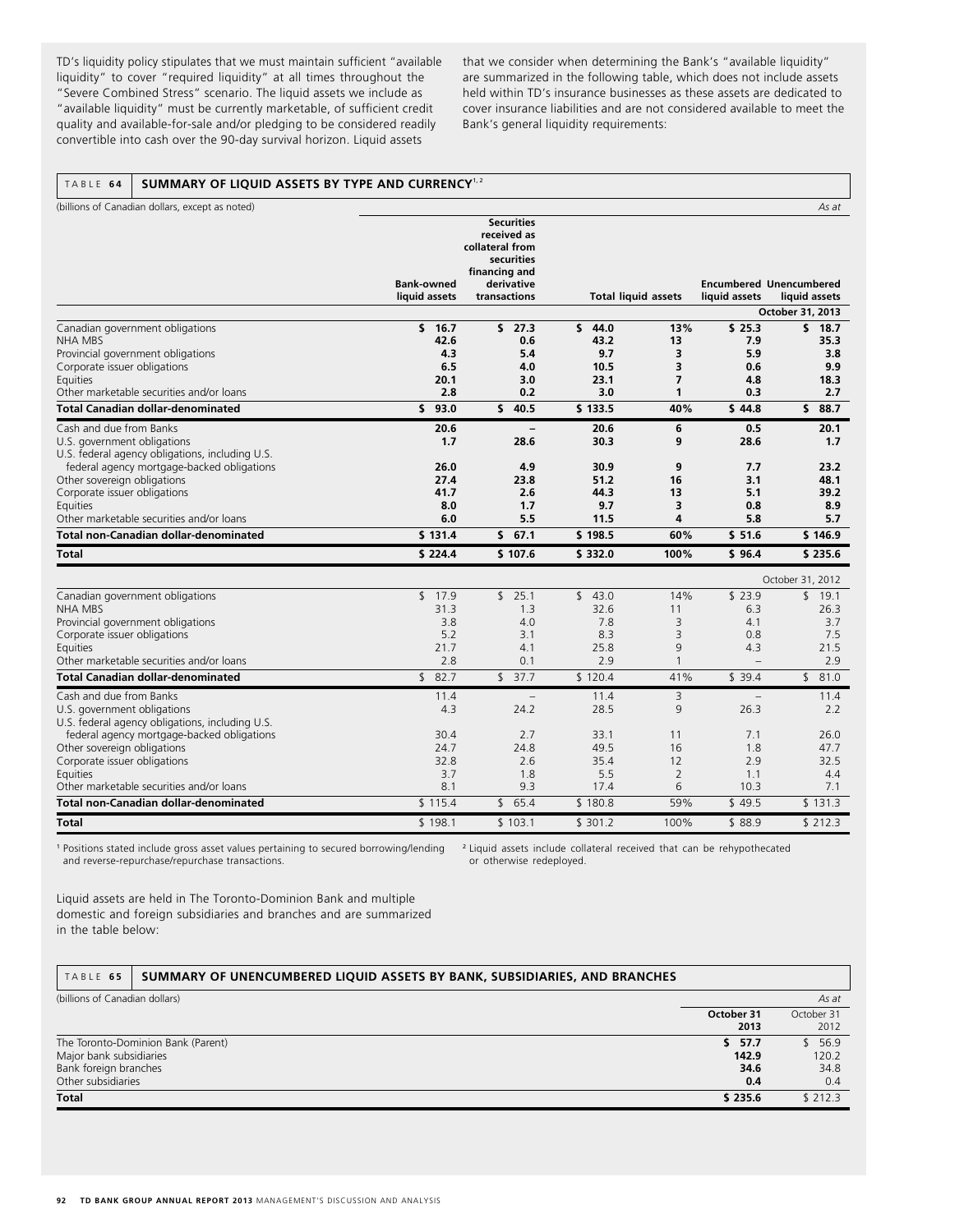TD's liquidity policy stipulates that we must maintain sufficient "available liquidity" to cover "required liquidity" at all times throughout the "Severe Combined Stress" scenario. The liquid assets we include as "available liquidity" must be currently marketable, of sufficient credit quality and available-for-sale and/or pledging to be considered readily convertible into cash over the 90-day survival horizon. Liquid assets

that we consider when determining the Bank's "available liquidity" are summarized in the following table, which does not include assets held within TD's insurance businesses as these assets are dedicated to cover insurance liabilities and are not considered available to meet the Bank's general liquidity requirements:

# TABLE 64 | SUMMARY OF LIQUID ASSETS BY TYPE AND CURRENCY<sup>1,2</sup>

| (billions of Canadian dollars, except as noted)                                               |                                |                                |                            |                |               | As at                           |
|-----------------------------------------------------------------------------------------------|--------------------------------|--------------------------------|----------------------------|----------------|---------------|---------------------------------|
|                                                                                               |                                | <b>Securities</b>              |                            |                |               |                                 |
|                                                                                               |                                | received as<br>collateral from |                            |                |               |                                 |
|                                                                                               |                                | securities                     |                            |                |               |                                 |
|                                                                                               |                                | financing and                  |                            |                |               |                                 |
|                                                                                               | <b>Bank-owned</b>              | derivative                     |                            |                |               | <b>Encumbered Unencumbered</b>  |
|                                                                                               | liquid assets                  | transactions                   | <b>Total liquid assets</b> |                | liquid assets | liquid assets                   |
|                                                                                               |                                |                                |                            |                |               | October 31, 2013                |
| Canadian government obligations                                                               | $\mathsf{s}$<br>16.7           | 527.3                          | \$44.0                     | 13%            | \$25.3        | \$ 18.7                         |
| <b>NHA MBS</b>                                                                                | 42.6                           | 0.6                            | 43.2                       | 13             | 7.9           | 35.3                            |
| Provincial government obligations                                                             | 4.3                            | 5.4                            | 9.7                        | 3              | 5.9           | 3.8                             |
| Corporate issuer obligations                                                                  | 6.5                            | 4.0                            | 10.5                       | 3              | 0.6           | 9.9                             |
| Equities                                                                                      | 20.1                           | 3.0                            | 23.1                       | $\overline{ }$ | 4.8           | 18.3                            |
| Other marketable securities and/or loans                                                      | 2.8                            | 0.2                            | 3.0                        | 1              | 0.3           | 2.7                             |
| <b>Total Canadian dollar-denominated</b>                                                      | 93.0<br>\$                     | 540.5                          | \$133.5                    | 40%            | \$44.8        | \$88.7                          |
| Cash and due from Banks                                                                       | 20.6                           |                                | 20.6                       | 6              | 0.5           | 20.1                            |
| U.S. government obligations                                                                   | 1.7                            | 28.6                           | 30.3                       | 9              | 28.6          | 1.7                             |
| U.S. federal agency obligations, including U.S.<br>federal agency mortgage-backed obligations | 26.0                           | 4.9                            | 30.9                       | 9              | 7.7           | 23.2                            |
| Other sovereign obligations                                                                   | 27.4                           | 23.8                           | 51.2                       | 16             | 3.1           | 48.1                            |
| Corporate issuer obligations                                                                  | 41.7                           | 2.6                            | 44.3                       | 13             | 5.1           | 39.2                            |
| Equities                                                                                      | 8.0                            | 1.7                            | 9.7                        | 3              | 0.8           | 8.9                             |
| Other marketable securities and/or loans                                                      | 6.0                            | 5.5                            | 11.5                       | 4              | 5.8           | 5.7                             |
| <b>Total non-Canadian dollar-denominated</b>                                                  | \$131.4                        | 5, 67.1                        | \$198.5                    | 60%            | \$51.6        | \$146.9                         |
| Total                                                                                         | \$224.4                        | \$107.6                        | \$332.0                    | 100%           | \$96.4        | \$235.6                         |
|                                                                                               |                                |                                |                            |                |               |                                 |
|                                                                                               |                                |                                |                            |                | \$23.9        | October 31, 2012                |
| Canadian government obligations                                                               | $\mathfrak{L}$<br>17.9<br>31.3 | \$25.1                         | $\mathfrak{S}$<br>43.0     | 14%            | 6.3           | \$19.1<br>26.3                  |
| <b>NHA MBS</b>                                                                                | 3.8                            | 1.3<br>4.0                     | 32.6<br>7.8                | 11             | 4.1           |                                 |
| Provincial government obligations                                                             | 5.2                            | 3.1                            | 8.3                        | 3<br>3         | 0.8           | 3.7                             |
| Corporate issuer obligations<br>Equities                                                      | 21.7                           | 4.1                            | 25.8                       | 9              | 4.3           | 7.5<br>21.5                     |
| Other marketable securities and/or loans                                                      | 2.8                            | 0.1                            | 2.9                        | $\mathbf{1}$   |               | 2.9                             |
| <b>Total Canadian dollar-denominated</b>                                                      | $\mathcal{L}$<br>82.7          | $\mathcal{L}$<br>37.7          | \$120.4                    | 41%            | \$39.4        | $\overline{\mathbb{S}}$<br>81.0 |
| Cash and due from Banks                                                                       | 11.4                           | $\overline{\phantom{0}}$       | 11.4                       | 3              |               | 11.4                            |
| U.S. government obligations                                                                   | 4.3                            | 24.2                           | 28.5                       | 9              | 26.3          | 2.2                             |
| U.S. federal agency obligations, including U.S.                                               |                                |                                |                            |                |               |                                 |
| federal agency mortgage-backed obligations                                                    | 30.4                           | 2.7                            | 33.1                       | 11             | 7.1           | 26.0                            |
| Other sovereign obligations                                                                   | 24.7                           | 24.8                           | 49.5                       | 16             | 1.8           | 47.7                            |
| Corporate issuer obligations                                                                  | 32.8                           | 2.6                            | 35.4                       | 12             | 2.9           | 32.5                            |
| Equities                                                                                      | 3.7                            | 1.8                            | 5.5                        | 2              | 1.1           | 4.4                             |
| Other marketable securities and/or loans                                                      | 8.1                            | 9.3                            | 17.4                       | 6              | 10.3          | 7.1                             |
| <b>Total non-Canadian dollar-denominated</b>                                                  | \$115.4                        | \$65.4                         | \$180.8                    | 59%            | \$49.5        | \$131.3                         |
| Total                                                                                         | \$198.1                        | \$103.1                        | \$301.2                    | 100%           | \$88.9        | \$212.3                         |

<sup>1</sup> Positions stated include gross asset values pertaining to secured borrowing/lending and reverse-repurchase/repurchase transactions.

<sup>2</sup> Liquid assets include collateral received that can be rehypothecated or otherwise redeployed.

Liquid assets are held in The Toronto-Dominion Bank and multiple domestic and foreign subsidiaries and branches and are summarized in the table below:

| TABLE 65                       | SUMMARY OF UNENCUMBERED LIQUID ASSETS BY BANK, SUBSIDIARIES, AND BRANCHES |                    |                    |
|--------------------------------|---------------------------------------------------------------------------|--------------------|--------------------|
| (billions of Canadian dollars) |                                                                           |                    | As at              |
|                                |                                                                           | October 31<br>2013 | October 31<br>2012 |
|                                | The Toronto-Dominion Bank (Parent)                                        | \$57.7             | 56.9               |
| Major bank subsidiaries        |                                                                           | 142.9              | 120.2              |
| Bank foreign branches          |                                                                           | 34.6               | 34.8               |
| Other subsidiaries             |                                                                           | 0.4                | 0.4                |
| <b>Total</b>                   |                                                                           | \$235.6            | \$212.3            |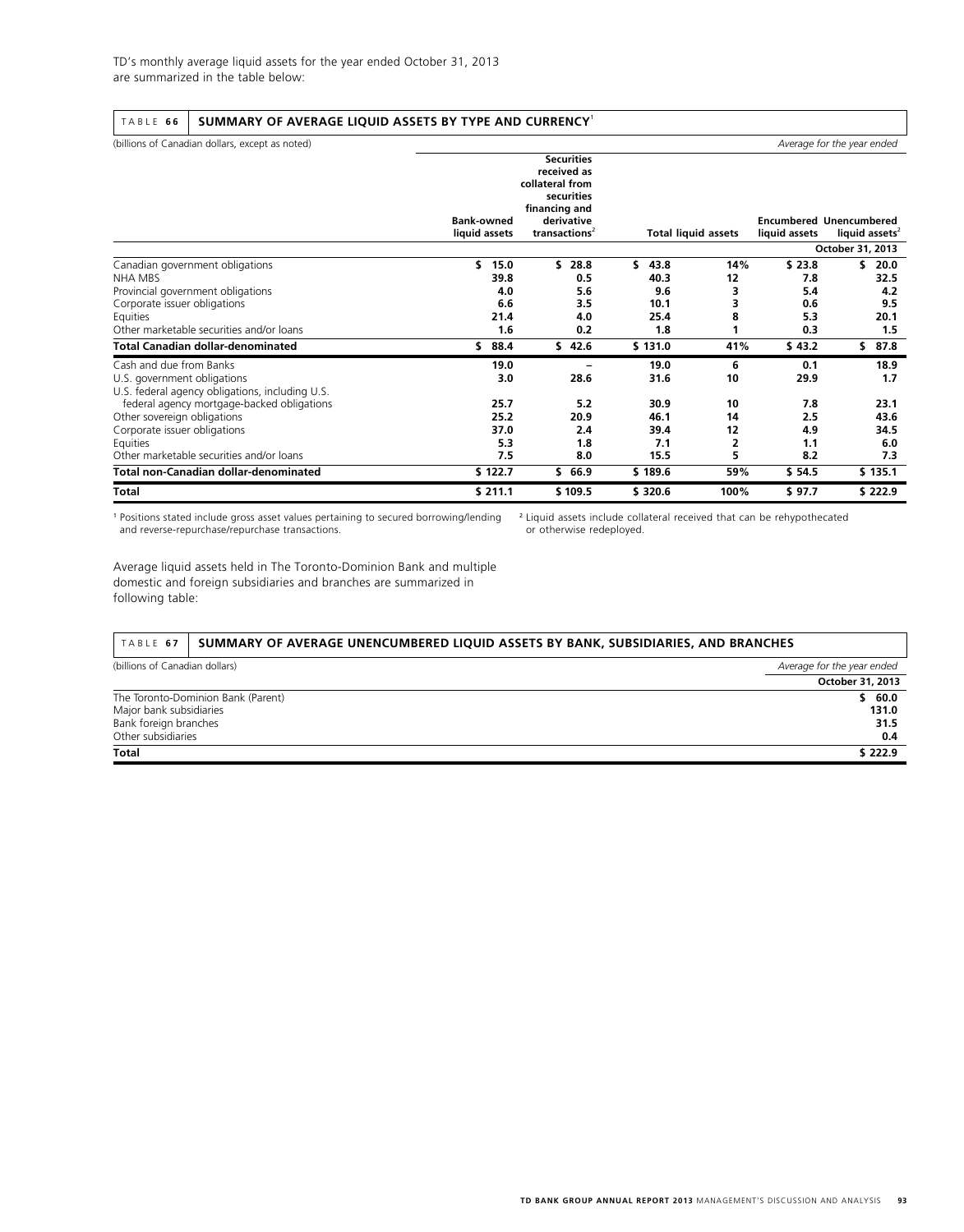# **TABLE 66 SUMMARY OF AVERAGE LIQUID ASSETS BY TYPE AND CURRENCY<sup>1</sup>**

| (billions of Canadian dollars, except as noted)   |                   |                                                                                                  |                            |        |               | Average for the year ended     |
|---------------------------------------------------|-------------------|--------------------------------------------------------------------------------------------------|----------------------------|--------|---------------|--------------------------------|
|                                                   | <b>Bank-owned</b> | <b>Securities</b><br>received as<br>collateral from<br>securities<br>financing and<br>derivative |                            |        |               | <b>Encumbered Unencumbered</b> |
|                                                   | liquid assets     | transactions <sup>2</sup>                                                                        | <b>Total liquid assets</b> |        | liquid assets | liquid assets $2$              |
|                                                   |                   |                                                                                                  |                            |        |               | October 31, 2013               |
| Canadian government obligations<br><b>NHA MBS</b> | s<br>15.0         | \$28.8                                                                                           | \$.<br>43.8                | 14%    | \$23.8        | 20.0<br>s                      |
|                                                   | 39.8<br>4.0       | 0.5<br>5.6                                                                                       | 40.3<br>9.6                | 12     | 7.8<br>5.4    | 32.5<br>4.2                    |
| Provincial government obligations                 | 6.6               | 3.5                                                                                              | 10.1                       | 3<br>3 | 0.6           | 9.5                            |
| Corporate issuer obligations<br>Equities          | 21.4              | 4.0                                                                                              | 25.4                       | 8      | 5.3           | 20.1                           |
| Other marketable securities and/or loans          | 1.6               | 0.2                                                                                              | 1.8                        |        | 0.3           | 1.5                            |
| <b>Total Canadian dollar-denominated</b>          | \$<br>88.4        | \$42.6                                                                                           | \$131.0                    | 41%    | \$43.2        | \$<br>87.8                     |
| Cash and due from Banks                           | 19.0              |                                                                                                  | 19.0                       | 6      | 0.1           | 18.9                           |
| U.S. government obligations                       | 3.0               | 28.6                                                                                             | 31.6                       | 10     | 29.9          | 1.7                            |
| U.S. federal agency obligations, including U.S.   |                   |                                                                                                  |                            |        |               |                                |
| federal agency mortgage-backed obligations        | 25.7              | 5.2                                                                                              | 30.9                       | 10     | 7.8           | 23.1                           |
| Other sovereign obligations                       | 25.2              | 20.9                                                                                             | 46.1                       | 14     | 2.5           | 43.6                           |
| Corporate issuer obligations                      | 37.0              | 2.4                                                                                              | 39.4                       | 12     | 4.9           | 34.5                           |
| Equities                                          | 5.3               | 1.8                                                                                              | 7.1                        | 2      | 1.1           | 6.0                            |
| Other marketable securities and/or loans          | 7.5               | 8.0                                                                                              | 15.5                       | 5      | 8.2           | 7.3                            |
| <b>Total non-Canadian dollar-denominated</b>      | \$122.7           | \$66.9                                                                                           | \$189.6                    | 59%    | \$54.5        | \$135.1                        |
| Total                                             | \$211.1           | \$109.5                                                                                          | \$320.6                    | 100%   | \$97.7        | \$222.9                        |

<sup>1</sup> Positions stated include gross asset values pertaining to secured borrowing/lending and reverse-repurchase/repurchase transactions.

<sup>2</sup> Liquid assets include collateral received that can be rehypothecated or otherwise redeployed.

Average liquid assets held in The Toronto-Dominion Bank and multiple domestic and foreign subsidiaries and branches are summarized in following table:

| TABLE 67                       | SUMMARY OF AVERAGE UNENCUMBERED LIQUID ASSETS BY BANK, SUBSIDIARIES, AND BRANCHES |                            |  |  |  |  |
|--------------------------------|-----------------------------------------------------------------------------------|----------------------------|--|--|--|--|
| (billions of Canadian dollars) |                                                                                   | Average for the year ended |  |  |  |  |
|                                |                                                                                   | October 31, 2013           |  |  |  |  |
|                                | The Toronto-Dominion Bank (Parent)                                                | - 60.0                     |  |  |  |  |
| Major bank subsidiaries        |                                                                                   | 131.0                      |  |  |  |  |
| Bank foreign branches          |                                                                                   | 31.5                       |  |  |  |  |
| Other subsidiaries             |                                                                                   |                            |  |  |  |  |
| Total                          |                                                                                   | \$222.9                    |  |  |  |  |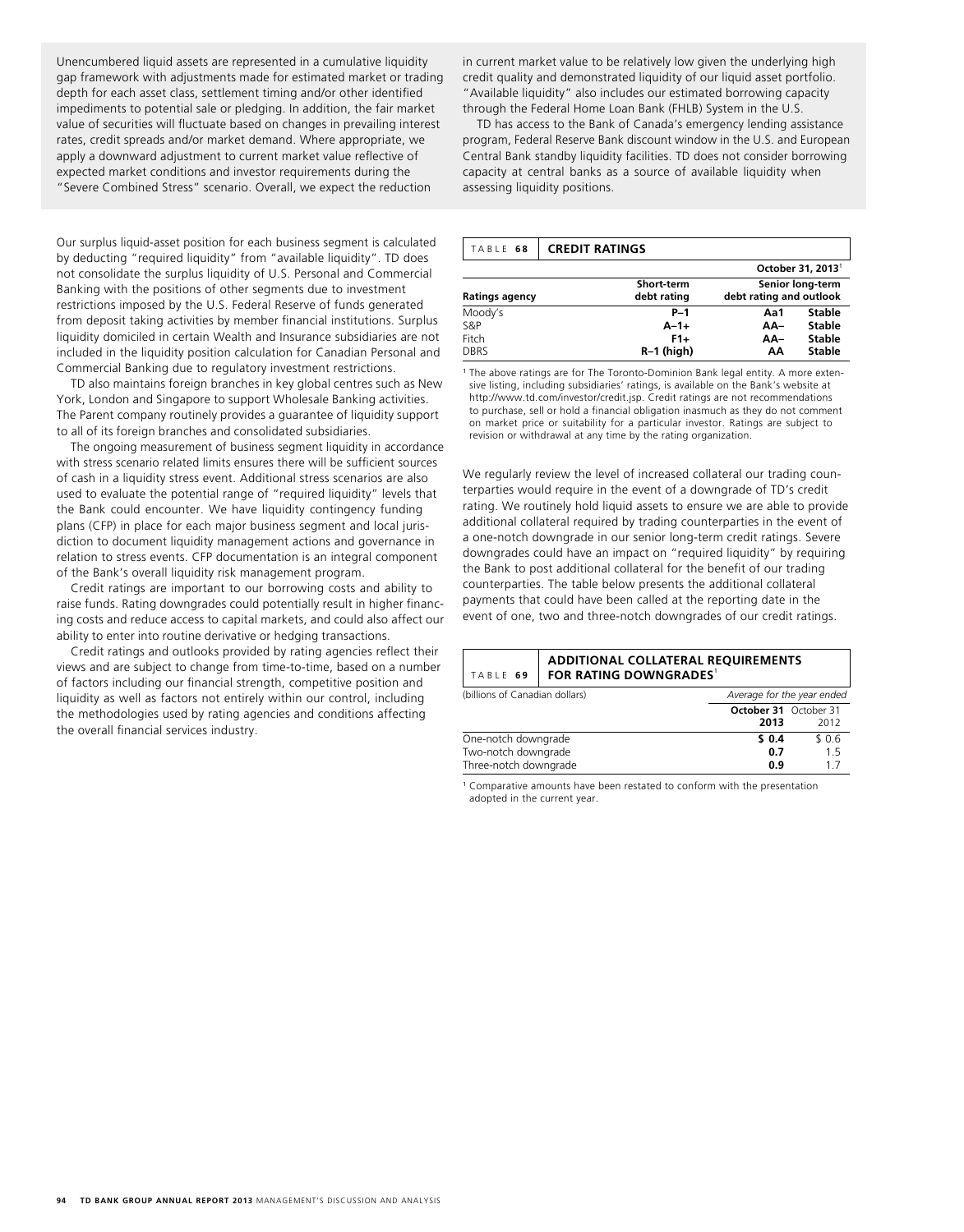Unencumbered liquid assets are represented in a cumulative liquidity gap framework with adjustments made for estimated market or trading depth for each asset class, settlement timing and/or other identified impediments to potential sale or pledging. In addition, the fair market value of securities will fluctuate based on changes in prevailing interest rates, credit spreads and/or market demand. Where appropriate, we apply a downward adjustment to current market value reflective of expected market conditions and investor requirements during the "Severe Combined Stress" scenario. Overall, we expect the reduction

Our surplus liquid-asset position for each business segment is calculated by deducting "required liquidity" from "available liquidity". TD does not consolidate the surplus liquidity of U.S. Personal and Commercial Banking with the positions of other segments due to investment restrictions imposed by the U.S. Federal Reserve of funds generated from deposit taking activities by member financial institutions. Surplus liquidity domiciled in certain Wealth and Insurance subsidiaries are not included in the liquidity position calculation for Canadian Personal and Commercial Banking due to regulatory investment restrictions.

TD also maintains foreign branches in key global centres such as New York, London and Singapore to support Wholesale Banking activities. The Parent company routinely provides a guarantee of liquidity support to all of its foreign branches and consolidated subsidiaries.

The ongoing measurement of business segment liquidity in accordance with stress scenario related limits ensures there will be sufficient sources of cash in a liquidity stress event. Additional stress scenarios are also used to evaluate the potential range of "required liquidity" levels that the Bank could encounter. We have liquidity contingency funding plans (CFP) in place for each major business segment and local jurisdiction to document liquidity management actions and governance in relation to stress events. CFP documentation is an integral component of the Bank's overall liquidity risk management program.

Credit ratings are important to our borrowing costs and ability to raise funds. Rating downgrades could potentially result in higher financing costs and reduce access to capital markets, and could also affect our ability to enter into routine derivative or hedging transactions.

Credit ratings and outlooks provided by rating agencies reflect their views and are subject to change from time-to-time, based on a number of factors including our financial strength, competitive position and liquidity as well as factors not entirely within our control, including the methodologies used by rating agencies and conditions affecting the overall financial services industry.

in current market value to be relatively low given the underlying high credit quality and demonstrated liquidity of our liquid asset portfolio. "Available liquidity" also includes our estimated borrowing capacity through the Federal Home Loan Bank (FHLB) System in the U.S.

TD has access to the Bank of Canada's emergency lending assistance program, Federal Reserve Bank discount window in the U.S. and European Central Bank standby liquidity facilities. TD does not consider borrowing capacity at central banks as a source of available liquidity when assessing liquidity positions.

| TABLE 68       | <b>CREDIT RATINGS</b>                                                    |                               |  |  |  |  |  |
|----------------|--------------------------------------------------------------------------|-------------------------------|--|--|--|--|--|
|                |                                                                          | October 31, 2013 <sup>1</sup> |  |  |  |  |  |
| Ratings agency | Senior long-term<br>Short-term<br>debt rating and outlook<br>debt rating |                               |  |  |  |  |  |
| Moody's        | $P-1$                                                                    | <b>Stable</b><br>Aa1          |  |  |  |  |  |
| S&P            | $A - 1 +$                                                                | <b>Stable</b><br>AA-          |  |  |  |  |  |
| Fitch          | F1+                                                                      | <b>Stable</b><br>AA-          |  |  |  |  |  |
| <b>DBRS</b>    | $R-1$ (high)                                                             | <b>Stable</b><br>АА           |  |  |  |  |  |

<sup>1</sup> The above ratings are for The Toronto-Dominion Bank legal entity. A more extensive listing, including subsidiaries' ratings, is available on the Bank's website at http://www.td.com/investor/credit.jsp. Credit ratings are not recommendations to purchase, sell or hold a financial obligation inasmuch as they do not comment on market price or suitability for a particular investor. Ratings are subject to revision or withdrawal at any time by the rating organization.

We regularly review the level of increased collateral our trading counterparties would require in the event of a downgrade of TD's credit rating. We routinely hold liquid assets to ensure we are able to provide additional collateral required by trading counterparties in the event of a one-notch downgrade in our senior long-term credit ratings. Severe downgrades could have an impact on "required liquidity" by requiring the Bank to post additional collateral for the benefit of our trading counterparties. The table below presents the additional collateral payments that could have been called at the reporting date in the event of one, two and three-notch downgrades of our credit ratings.

| TABLE 69                                                     | <b>ADDITIONAL COLLATERAL REQUIREMENTS</b><br><b>FOR RATING DOWNGRADES<sup>1</sup></b> |                               |       |  |  |  |  |  |
|--------------------------------------------------------------|---------------------------------------------------------------------------------------|-------------------------------|-------|--|--|--|--|--|
| (billions of Canadian dollars)<br>Average for the year ended |                                                                                       |                               |       |  |  |  |  |  |
|                                                              |                                                                                       | October 31 October 31<br>2013 | 2012  |  |  |  |  |  |
| One-notch downgrade                                          |                                                                                       | \$0.4                         | \$0.6 |  |  |  |  |  |
| Two-notch downgrade                                          |                                                                                       | 0.7                           | 15    |  |  |  |  |  |
| Three-notch downgrade<br>0.9<br>17                           |                                                                                       |                               |       |  |  |  |  |  |

<sup>1</sup> Comparative amounts have been restated to conform with the presentation adopted in the current year.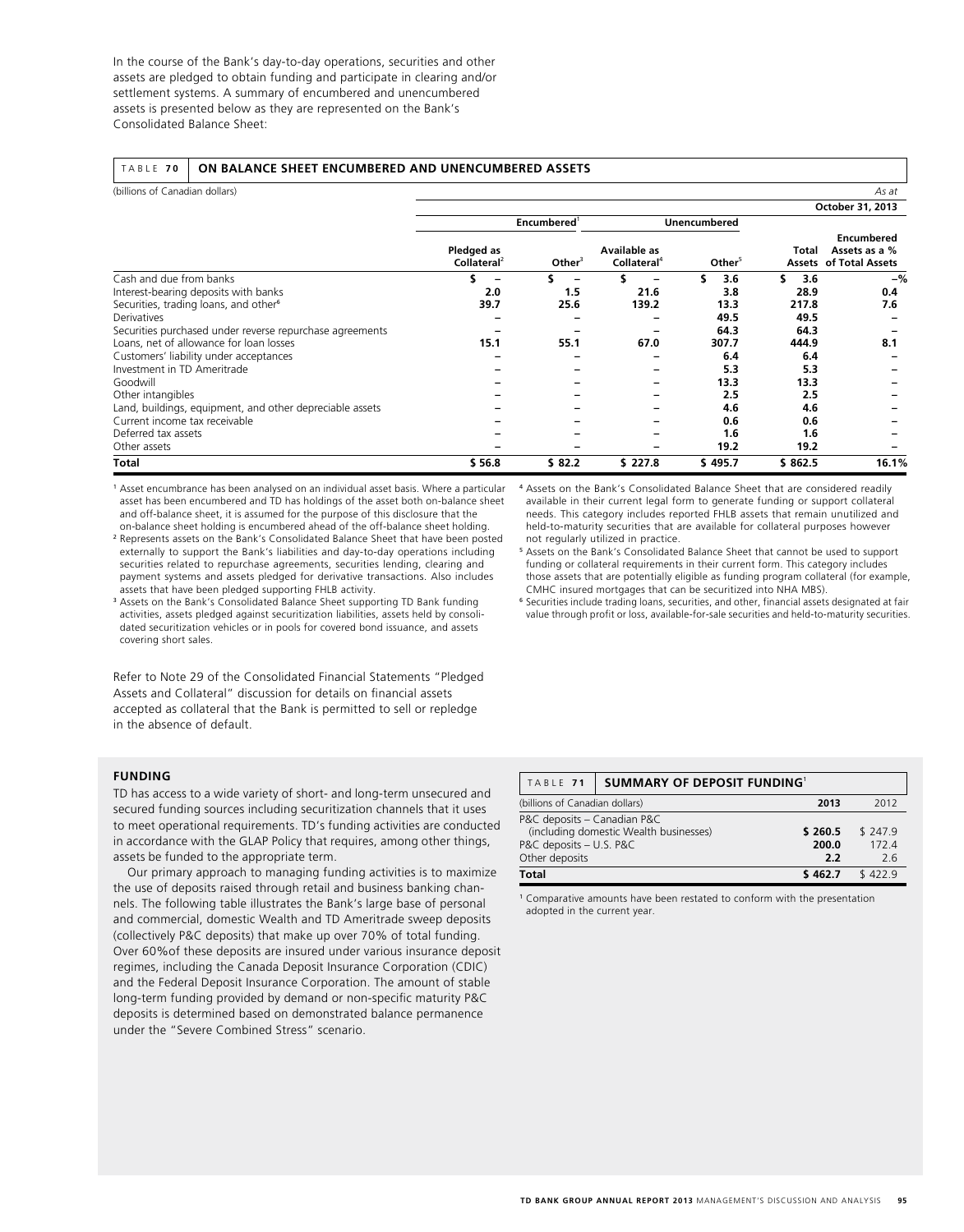In the course of the Bank's day-to-day operations, securities and other assets are pledged to obtain funding and participate in clearing and/or settlement systems. A summary of encumbered and unencumbered assets is presented below as they are represented on the Bank's Consolidated Balance Sheet:

### TABLE **7 0 ON BALANCE SHEET ENCUMBERED AND UNENCUMBERED ASSETS**

(billions of Canadian dollars) *As at*

|                                                          |                                       |                         |                                         |                     |         | October 31, 2013                                                    |
|----------------------------------------------------------|---------------------------------------|-------------------------|-----------------------------------------|---------------------|---------|---------------------------------------------------------------------|
|                                                          |                                       | $\mathsf{Encumbered}^1$ |                                         | <b>Unencumbered</b> |         |                                                                     |
|                                                          | Pledged as<br>Collateral <sup>2</sup> | Other <sup>3</sup>      | Available as<br>Collateral <sup>4</sup> | Other <sup>5</sup>  | Total   | <b>Encumbered</b><br>Assets as a %<br><b>Assets of Total Assets</b> |
| Cash and due from banks                                  |                                       |                         |                                         | 3.6                 | 3.6     | $-$ %                                                               |
| Interest-bearing deposits with banks                     | 2.0                                   | 1.5                     | 21.6                                    | 3.8                 | 28.9    | 0.4                                                                 |
| Securities, trading loans, and other <sup>6</sup>        | 39.7                                  | 25.6                    | 139.2                                   | 13.3                | 217.8   | 7.6                                                                 |
| Derivatives                                              |                                       |                         |                                         | 49.5                | 49.5    |                                                                     |
| Securities purchased under reverse repurchase agreements |                                       |                         |                                         | 64.3                | 64.3    |                                                                     |
| Loans, net of allowance for loan losses                  | 15.1                                  | 55.1                    | 67.0                                    | 307.7               | 444.9   | 8.1                                                                 |
| Customers' liability under acceptances                   |                                       |                         |                                         | 6.4                 | 6.4     |                                                                     |
| Investment in TD Ameritrade                              |                                       |                         |                                         | 5.3                 | 5.3     |                                                                     |
| Goodwill                                                 |                                       |                         |                                         | 13.3                | 13.3    |                                                                     |
| Other intangibles                                        |                                       |                         |                                         | 2.5                 | 2.5     |                                                                     |
| Land, buildings, equipment, and other depreciable assets |                                       |                         |                                         | 4.6                 | 4.6     |                                                                     |
| Current income tax receivable                            |                                       |                         |                                         | 0.6                 | 0.6     |                                                                     |
| Deferred tax assets                                      |                                       |                         |                                         | 1.6                 | 1.6     |                                                                     |
| Other assets                                             |                                       |                         |                                         | 19.2                | 19.2    |                                                                     |
| Total                                                    | \$56.8                                | \$82.2                  | \$227.8                                 | \$495.7             | \$862.5 | 16.1%                                                               |

<sup>1</sup> Asset encumbrance has been analysed on an individual asset basis. Where a particular asset has been encumbered and TD has holdings of the asset both on-balance sheet and off-balance sheet, it is assumed for the purpose of this disclosure that the on-balance sheet holding is encumbered ahead of the off-balance sheet holding.

<sup>2</sup> Represents assets on the Bank's Consolidated Balance Sheet that have been posted externally to support the Bank's liabilities and day-to-day operations including securities related to repurchase agreements, securities lending, clearing and payment systems and assets pledged for derivative transactions. Also includes assets that have been pledged supporting FHLB activity.

<sup>3</sup> Assets on the Bank's Consolidated Balance Sheet supporting TD Bank funding activities, assets pledged against securitization liabilities, assets held by consolidated securitization vehicles or in pools for covered bond issuance, and assets covering short sales.

Refer to Note 29 of the Consolidated Financial Statements "Pledged Assets and Collateral" discussion for details on financial assets accepted as collateral that the Bank is permitted to sell or repledge in the absence of default.

# **FUNDING**

TD has access to a wide variety of short- and long-term unsecured and secured funding sources including securitization channels that it uses to meet operational requirements. TD's funding activities are conducted in accordance with the GLAP Policy that requires, among other things, assets be funded to the appropriate term.

Our primary approach to managing funding activities is to maximize the use of deposits raised through retail and business banking channels. The following table illustrates the Bank's large base of personal and commercial, domestic Wealth and TD Ameritrade sweep deposits (collectively P&C deposits) that make up over 70% of total funding. Over 60%of these deposits are insured under various insurance deposit regimes, including the Canada Deposit Insurance Corporation (CDIC) and the Federal Deposit Insurance Corporation. The amount of stable long-term funding provided by demand or non-specific maturity P&C deposits is determined based on demonstrated balance permanence under the "Severe Combined Stress" scenario.

<sup>4</sup> Assets on the Bank's Consolidated Balance Sheet that are considered readily available in their current legal form to generate funding or support collateral needs. This category includes reported FHLB assets that remain unutilized and held-to-maturity securities that are available for collateral purposes however not regularly utilized in practice.

<sup>5</sup> Assets on the Bank's Consolidated Balance Sheet that cannot be used to support funding or collateral requirements in their current form. This category includes those assets that are potentially eligible as funding program collateral (for example, CMHC insured mortgages that can be securitized into NHA MBS).

<sup>6</sup> Securities include trading loans, securities, and other, financial assets designated at fair value through profit or loss, available-for-sale securities and held-to-maturity securities.

| TABLE 71                                                                 | SUMMARY OF DEPOSIT FUNDING                                                                  |        |        |  |  |  |  |  |  |
|--------------------------------------------------------------------------|---------------------------------------------------------------------------------------------|--------|--------|--|--|--|--|--|--|
| (billions of Canadian dollars)<br>2013<br>2012                           |                                                                                             |        |        |  |  |  |  |  |  |
|                                                                          | P&C deposits - Canadian P&C<br>(including domestic Wealth businesses)<br>\$247.9<br>\$260.5 |        |        |  |  |  |  |  |  |
| P&C deposits - U.S. P&C<br>1724<br>200.0<br>Other deposits<br>2.6<br>2.2 |                                                                                             |        |        |  |  |  |  |  |  |
| Total                                                                    |                                                                                             | \$4627 | \$4229 |  |  |  |  |  |  |

<sup>1</sup> Comparative amounts have been restated to conform with the presentation adopted in the current year.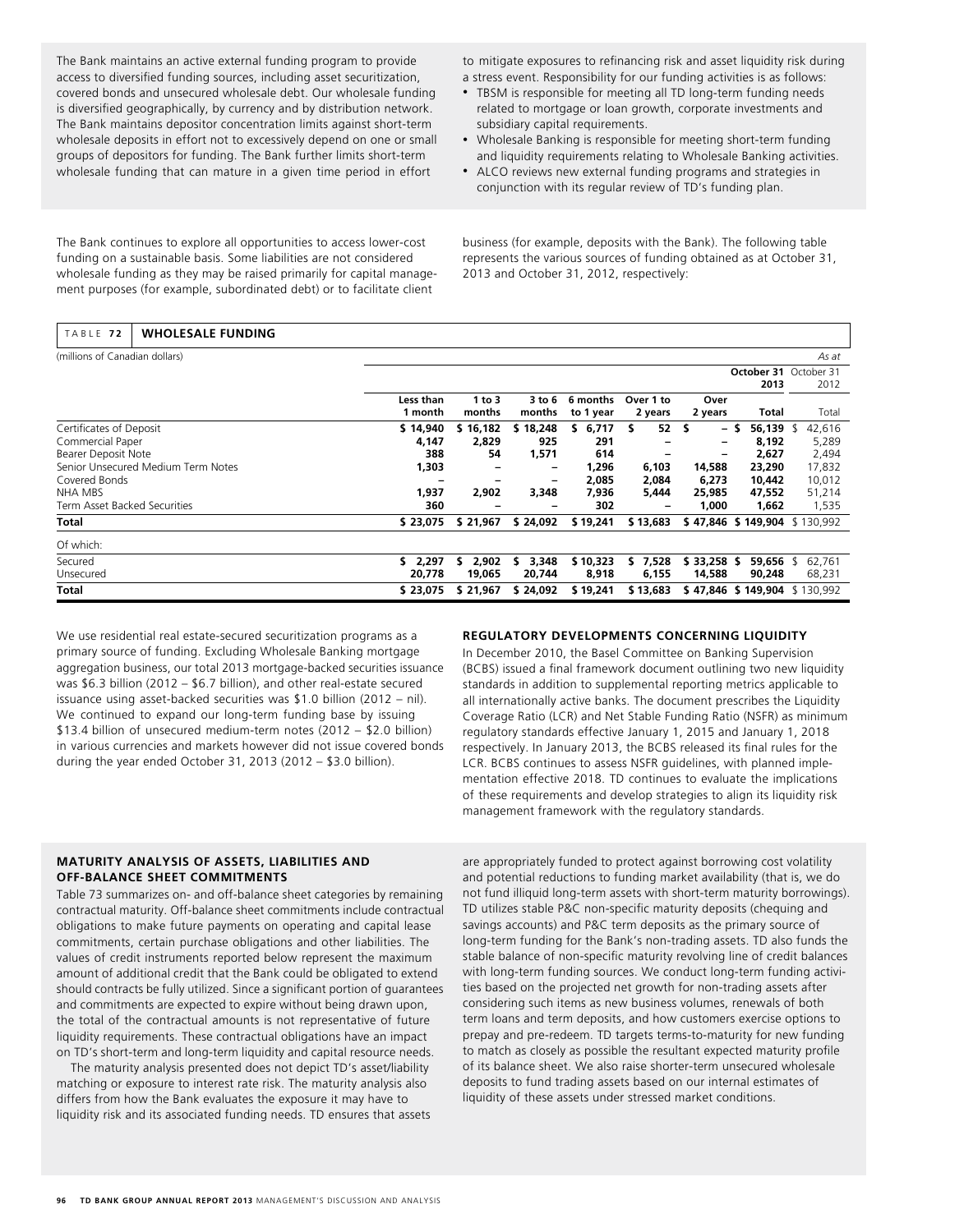The Bank maintains an active external funding program to provide access to diversified funding sources, including asset securitization, covered bonds and unsecured wholesale debt. Our wholesale funding is diversified geographically, by currency and by distribution network. The Bank maintains depositor concentration limits against short-term wholesale deposits in effort not to excessively depend on one or small groups of depositors for funding. The Bank further limits short-term wholesale funding that can mature in a given time period in effort

to mitigate exposures to refinancing risk and asset liquidity risk during a stress event. Responsibility for our funding activities is as follows:

- TBSM is responsible for meeting all TD long-term funding needs related to mortgage or loan growth, corporate investments and subsidiary capital requirements.
- Wholesale Banking is responsible for meeting short-term funding and liquidity requirements relating to Wholesale Banking activities.
- ALCO reviews new external funding programs and strategies in conjunction with its regular review of TD's funding plan.

The Bank continues to explore all opportunities to access lower-cost funding on a sustainable basis. Some liabilities are not considered wholesale funding as they may be raised primarily for capital management purposes (for example, subordinated debt) or to facilitate client

business (for example, deposits with the Bank). The following table represents the various sources of funding obtained as at October 31, 2013 and October 31, 2012, respectively:

| TABLE 72                                                                                                                                       | <b>WHOLESALE FUNDING</b>           |                                                               |                                                        |                                               |                                                                     |                                                                            |                                                          |                                                                    |                                                                                                 |
|------------------------------------------------------------------------------------------------------------------------------------------------|------------------------------------|---------------------------------------------------------------|--------------------------------------------------------|-----------------------------------------------|---------------------------------------------------------------------|----------------------------------------------------------------------------|----------------------------------------------------------|--------------------------------------------------------------------|-------------------------------------------------------------------------------------------------|
| (millions of Canadian dollars)                                                                                                                 |                                    |                                                               |                                                        |                                               |                                                                     |                                                                            | As at                                                    |                                                                    |                                                                                                 |
|                                                                                                                                                |                                    |                                                               |                                                        |                                               |                                                                     |                                                                            |                                                          | 2013                                                               | October 31 October 31<br>2012                                                                   |
|                                                                                                                                                |                                    | Less than<br>1 month                                          | 1 to 3<br>months                                       | $3$ to $6$<br>months                          | 6 months<br>to 1 year                                               | Over 1 to<br>2 years                                                       | Over<br>2 years                                          | Total                                                              | Total                                                                                           |
| Certificates of Deposit<br>Commercial Paper<br>Bearer Deposit Note<br>Covered Bonds<br><b>NHA MBS</b><br>Term Asset Backed Securities<br>Total | Senior Unsecured Medium Term Notes | \$14,940<br>4,147<br>388<br>1,303<br>1,937<br>360<br>\$23,075 | \$16,182<br>2,829<br>54<br>-<br>2,902<br>-<br>\$21,967 | \$18,248<br>925<br>1,571<br>3,348<br>\$24,092 | \$6,717<br>291<br>614<br>1,296<br>2,085<br>7,936<br>302<br>\$19,241 | 52<br>s<br>6,103<br>2,084<br>5,444<br>$\overline{\phantom{0}}$<br>\$13,683 | – s<br>S<br>-<br>-<br>14,588<br>6,273<br>25,985<br>1,000 | 56,139 \$<br>8,192<br>2,627<br>23,290<br>10,442<br>47,552<br>1,662 | 42,616<br>5,289<br>2,494<br>17,832<br>10,012<br>51,214<br>1,535<br>\$47,846 \$149,904 \$130,992 |
| Of which:<br>Secured<br>Unsecured<br>Total                                                                                                     |                                    | \$<br>2,297<br>20,778<br>\$23.075                             | 2,902<br>19,065<br>\$21,967                            | 3,348<br>S<br>20,744<br>\$24,092              | \$10,323<br>8,918<br>\$19,241                                       | 7,528<br>6,155<br>\$13,683                                                 | \$33,258 \$<br>14,588                                    | 59,656 \$<br>90,248                                                | 62,761<br>68,231<br>\$47,846 \$149,904 \$130,992                                                |

We use residential real estate-secured securitization programs as a primary source of funding. Excluding Wholesale Banking mortgage aggregation business, our total 2013 mortgage-backed securities issuance was \$6.3 billion (2012 – \$6.7 billion), and other real-estate secured issuance using asset-backed securities was \$1.0 billion (2012 – nil). We continued to expand our long-term funding base by issuing \$13.4 billion of unsecured medium-term notes (2012 – \$2.0 billion) in various currencies and markets however did not issue covered bonds during the year ended October 31, 2013 (2012 – \$3.0 billion).

### **REGULATORY DEVELOPMENTS CONCERNING LIQUIDITY**

In December 2010, the Basel Committee on Banking Supervision (BCBS) issued a final framework document outlining two new liquidity standards in addition to supplemental reporting metrics applicable to all internationally active banks. The document prescribes the Liquidity Coverage Ratio (LCR) and Net Stable Funding Ratio (NSFR) as minimum regulatory standards effective January 1, 2015 and January 1, 2018 respectively. In January 2013, the BCBS released its final rules for the LCR. BCBS continues to assess NSFR guidelines, with planned implementation effective 2018. TD continues to evaluate the implications of these requirements and develop strategies to align its liquidity risk management framework with the regulatory standards.

# **MATURITY ANALYSIS OF ASSETS, LIABILITIES AND OFF-BALANCE SHEET COMMITMENTS**

Table 73 summarizes on- and off-balance sheet categories by remaining contractual maturity. Off-balance sheet commitments include contractual obligations to make future payments on operating and capital lease commitments, certain purchase obligations and other liabilities. The values of credit instruments reported below represent the maximum amount of additional credit that the Bank could be obligated to extend should contracts be fully utilized. Since a significant portion of guarantees and commitments are expected to expire without being drawn upon, the total of the contractual amounts is not representative of future liquidity requirements. These contractual obligations have an impact on TD's short-term and long-term liquidity and capital resource needs.

The maturity analysis presented does not depict TD's asset/liability matching or exposure to interest rate risk. The maturity analysis also differs from how the Bank evaluates the exposure it may have to liquidity risk and its associated funding needs. TD ensures that assets

are appropriately funded to protect against borrowing cost volatility and potential reductions to funding market availability (that is, we do not fund illiquid long-term assets with short-term maturity borrowings). TD utilizes stable P&C non-specific maturity deposits (chequing and savings accounts) and P&C term deposits as the primary source of long-term funding for the Bank's non-trading assets. TD also funds the stable balance of non-specific maturity revolving line of credit balances with long-term funding sources. We conduct long-term funding activities based on the projected net growth for non-trading assets after considering such items as new business volumes, renewals of both term loans and term deposits, and how customers exercise options to prepay and pre-redeem. TD targets terms-to-maturity for new funding to match as closely as possible the resultant expected maturity profile of its balance sheet. We also raise shorter-term unsecured wholesale deposits to fund trading assets based on our internal estimates of liquidity of these assets under stressed market conditions.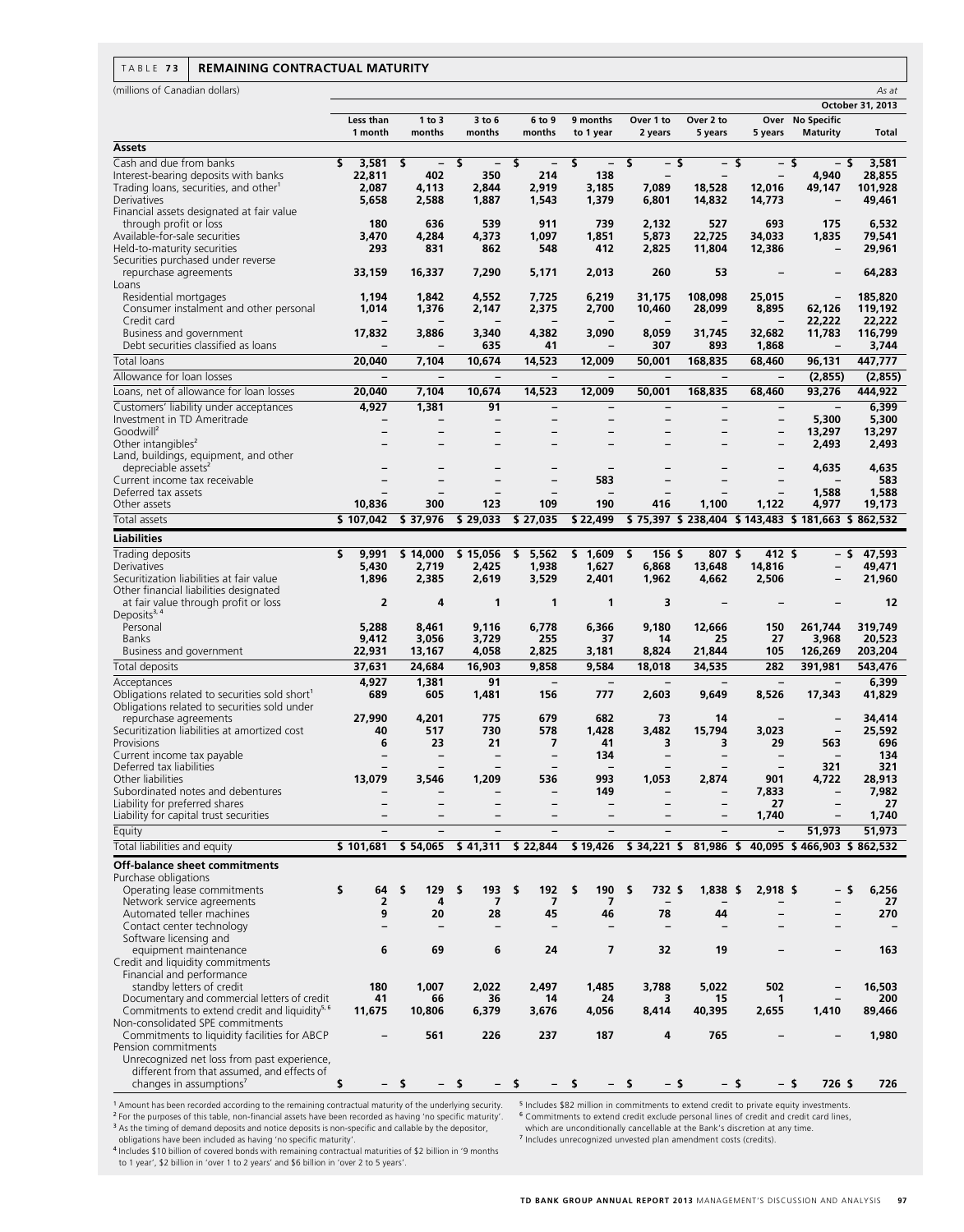# TABLE **7 3 REMAINING CONTRACTUAL MATURITY**

(millions of Canadian dollars) *As at*

|                                                                                           |                 |                                |                                |                                |                                |                          |                                                      |                                                      |                                                  | October 31, 2013   |
|-------------------------------------------------------------------------------------------|-----------------|--------------------------------|--------------------------------|--------------------------------|--------------------------------|--------------------------|------------------------------------------------------|------------------------------------------------------|--------------------------------------------------|--------------------|
|                                                                                           | Less than       | 1 to 3                         | $3$ to $6$                     | 6 to 9                         | 9 months                       | Over 1 to                | Over 2 to                                            | Over                                                 | <b>No Specific</b>                               |                    |
|                                                                                           | 1 month         | months                         | months                         | months                         | to 1 year                      | 2 years                  | 5 years                                              | 5 years                                              | <b>Maturity</b>                                  | Total              |
| <b>Assets</b>                                                                             |                 |                                |                                |                                |                                |                          |                                                      |                                                      |                                                  |                    |
| Cash and due from banks                                                                   | \$<br>3,581     | \$<br>$\overline{\phantom{0}}$ | \$<br>$\overline{\phantom{0}}$ | \$<br>$\overline{\phantom{a}}$ | \$<br>$\overline{\phantom{0}}$ | \$<br>- \$               |                                                      | - \$                                                 | – S<br>- \$                                      | 3,581              |
| Interest-bearing deposits with banks<br>Trading loans, securities, and other <sup>1</sup> | 22,811<br>2,087 | 402<br>4,113                   | 350<br>2,844                   | 214<br>2,919                   | 138<br>3,185                   | 7,089                    | 18,528                                               | 12,016                                               | 4,940<br>49,147                                  | 28,855<br>101,928  |
| Derivatives                                                                               | 5,658           | 2,588                          | 1,887                          | 1,543                          | 1,379                          | 6,801                    | 14,832                                               | 14,773                                               |                                                  | 49,461             |
| Financial assets designated at fair value                                                 |                 |                                |                                |                                |                                |                          |                                                      |                                                      |                                                  |                    |
| through profit or loss                                                                    | 180             | 636                            | 539                            | 911                            | 739                            | 2,132                    | 527                                                  | 693                                                  | 175                                              | 6,532              |
| Available-for-sale securities<br>Held-to-maturity securities                              | 3,470<br>293    | 4,284<br>831                   | 4,373<br>862                   | 1,097<br>548                   | 1,851<br>412                   | 5,873<br>2,825           | 22,725<br>11,804                                     | 34,033<br>12,386                                     | 1,835<br>-                                       | 79,541<br>29,961   |
| Securities purchased under reverse                                                        |                 |                                |                                |                                |                                |                          |                                                      |                                                      |                                                  |                    |
| repurchase agreements                                                                     | 33,159          | 16,337                         | 7,290                          | 5,171                          | 2,013                          | 260                      | 53                                                   |                                                      | -                                                | 64,283             |
| Loans                                                                                     |                 |                                |                                |                                |                                |                          |                                                      |                                                      |                                                  |                    |
| Residential mortgages<br>Consumer instalment and other personal                           | 1,194<br>1,014  | 1,842<br>1,376                 | 4,552<br>2,147                 | 7,725<br>2,375                 | 6,219<br>2,700                 | 31,175<br>10,460         | 108,098<br>28,099                                    | 25,015<br>8,895                                      | $\overline{\phantom{0}}$<br>62,126               | 185,820<br>119,192 |
| Credit card                                                                               |                 |                                |                                |                                |                                |                          |                                                      |                                                      | 22,222                                           | 22,222             |
| Business and government                                                                   | 17,832          | 3,886                          | 3,340                          | 4,382                          | 3,090                          | 8,059                    | 31,745                                               | 32,682                                               | 11,783                                           | 116,799            |
| Debt securities classified as loans                                                       |                 |                                | 635                            | 41                             |                                | 307                      | 893                                                  | 1,868                                                |                                                  | 3,744              |
| <b>Total loans</b>                                                                        | 20,040          | 7,104                          | 10,674                         | 14,523                         | 12,009                         | 50,001                   | 168,835                                              | 68,460                                               | 96,131                                           | 447,777            |
| Allowance for loan losses                                                                 |                 | $\overline{\phantom{a}}$       | $\qquad \qquad -$              | $\overline{\phantom{a}}$       | $\overline{\phantom{0}}$       | $\overline{\phantom{a}}$ | $\overline{\phantom{a}}$                             | $\qquad \qquad -$                                    | (2,855)                                          | (2,855)            |
| Loans, net of allowance for loan losses                                                   | 20,040          | 7,104                          | 10,674                         | 14,523                         | 12,009                         | 50,001                   | 168,835                                              | 68,460                                               | 93,276                                           | 444,922            |
| Customers' liability under acceptances                                                    | 4,927           | 1,381                          | 91                             | $\overline{\phantom{a}}$       | $\overline{\phantom{0}}$       | $\overline{\phantom{a}}$ |                                                      | $\overline{\phantom{0}}$                             |                                                  | 6,399              |
| Investment in TD Ameritrade                                                               |                 |                                |                                | $\overline{\phantom{0}}$       | $\overline{\phantom{0}}$       |                          | $\overline{\phantom{0}}$                             | $\overline{\phantom{0}}$                             | 5,300                                            | 5,300              |
| Goodwill <sup>2</sup><br>Other intangibles <sup>2</sup>                                   |                 | -<br>-                         |                                | -<br>$\overline{\phantom{0}}$  | -<br>-                         | $\overline{\phantom{0}}$ | $\overline{\phantom{0}}$<br>$\overline{\phantom{0}}$ | $\overline{\phantom{0}}$<br>$\overline{\phantom{0}}$ | 13,297                                           | 13,297<br>2,493    |
| Land, buildings, equipment, and other                                                     |                 |                                |                                |                                |                                |                          |                                                      |                                                      | 2,493                                            |                    |
| depreciable assets <sup>2</sup>                                                           |                 |                                |                                |                                |                                |                          |                                                      |                                                      | 4,635                                            | 4,635              |
| Current income tax receivable                                                             |                 | -                              |                                |                                | 583                            |                          |                                                      | -                                                    |                                                  | 583                |
| Deferred tax assets                                                                       |                 |                                |                                |                                |                                |                          |                                                      |                                                      | 1,588                                            | 1,588              |
| Other assets                                                                              | 10,836          | 300<br>\$37.976                | 123<br>\$29,033                | 109                            | 190                            | 416                      | 1,100                                                | 1,122                                                | 4,977                                            | 19,173             |
| Total assets                                                                              | \$107,042       |                                |                                | \$27,035                       | \$22,499                       |                          |                                                      |                                                      | \$75,397 \$238,404 \$143,483 \$181,663 \$862,532 |                    |
| <b>Liabilities</b>                                                                        |                 |                                |                                |                                |                                |                          |                                                      |                                                      |                                                  |                    |
| Trading deposits                                                                          | \$<br>9,991     | \$14,000                       | \$15,056                       | 5,562<br>\$                    | \$<br>1,609                    | \$<br>156 <sub>5</sub>   | 807 <sub>5</sub>                                     | 412 \$                                               | – S                                              | 47,593             |
| Derivatives<br>Securitization liabilities at fair value                                   | 5,430<br>1,896  | 2,719<br>2,385                 | 2,425<br>2,619                 | 1,938<br>3,529                 | 1,627<br>2,401                 | 6,868<br>1,962           | 13,648<br>4,662                                      | 14,816<br>2,506                                      | $\equiv$                                         | 49,471<br>21,960   |
| Other financial liabilities designated                                                    |                 |                                |                                |                                |                                |                          |                                                      |                                                      |                                                  |                    |
| at fair value through profit or loss                                                      |                 | $\overline{2}$<br>4            | 1                              | 1                              | 1                              | 3                        |                                                      |                                                      | $\overline{\phantom{0}}$                         | 12                 |
| Deposits <sup>3, 4</sup>                                                                  |                 |                                |                                |                                |                                |                          |                                                      |                                                      |                                                  |                    |
| Personal<br>Banks                                                                         | 5,288<br>9,412  | 8,461<br>3,056                 | 9,116<br>3,729                 | 6,778<br>255                   | 6,366<br>37                    | 9,180<br>14              | 12,666<br>25                                         | 150<br>27                                            | 261,744<br>3,968                                 | 319,749<br>20,523  |
| Business and government                                                                   | 22,931          | 13,167                         | 4,058                          | 2,825                          | 3,181                          | 8,824                    | 21,844                                               | 105                                                  | 126,269                                          | 203,204            |
| Total deposits                                                                            | 37,631          | 24,684                         | 16,903                         | 9,858                          | 9,584                          | 18,018                   | 34,535                                               | 282                                                  | 391,981                                          | 543,476            |
| Acceptances                                                                               | 4,927           | 1,381                          | 91                             | $\overline{\phantom{a}}$       | $\overline{\phantom{a}}$       | $\overline{\phantom{0}}$ | $\overline{\phantom{m}}$                             | $\overline{\phantom{0}}$                             | $\overline{\phantom{0}}$                         | 6,399              |
| Obligations related to securities sold short <sup>1</sup>                                 | 689             | 605                            | 1,481                          | 156                            | 777                            | 2,603                    | 9,649                                                | 8,526                                                | 17,343                                           | 41,829             |
| Obligations related to securities sold under                                              |                 |                                |                                |                                |                                |                          |                                                      |                                                      |                                                  |                    |
| repurchase agreements<br>Securitization liabilities at amortized cost                     | 27,990<br>40    | 4,201<br>517                   | 775<br>730                     | 679<br>578                     | 682<br>1,428                   | 73<br>3,482              | 14<br>15,794                                         | 3,023                                                | $\qquad \qquad -$<br>$\qquad \qquad -$           | 34,414<br>25,592   |
| Provisions                                                                                |                 | 6<br>23                        | 21                             | 7                              | 41                             | з                        | 3                                                    | 29                                                   | 563                                              | 696                |
| Current income tax payable                                                                |                 |                                |                                |                                | 134                            |                          |                                                      |                                                      |                                                  | 134                |
| Deferred tax liabilities                                                                  |                 |                                |                                | $\overline{\phantom{a}}$       |                                |                          |                                                      |                                                      | 321                                              | 321                |
| Other liabilities<br>Subordinated notes and debentures                                    | 13,079          | 3,546                          | 1,209                          | 536<br>$\equiv$                | 993<br>149                     | 1,053                    | 2,874<br>$\overline{\phantom{0}}$                    | 901<br>7,833                                         | 4,722<br>$\overline{\phantom{0}}$                | 28,913             |
| Liability for preferred shares                                                            |                 |                                |                                |                                |                                |                          |                                                      | 27                                                   |                                                  | 7,982<br>27        |
| Liability for capital trust securities                                                    |                 |                                |                                |                                |                                |                          |                                                      | 1,740                                                |                                                  | 1,740              |
| Equity                                                                                    |                 |                                |                                |                                |                                |                          |                                                      |                                                      | 51,973                                           | 51,973             |
| Total liabilities and equity                                                              | \$101,681       | \$54,065                       | \$41,311                       | \$22,844                       | \$19,426                       |                          |                                                      |                                                      | \$34,221 \$81,986 \$40,095 \$466,903 \$862,532   |                    |
| Off-balance sheet commitments                                                             |                 |                                |                                |                                |                                |                          |                                                      |                                                      |                                                  |                    |
| Purchase obligations                                                                      |                 |                                |                                |                                |                                |                          |                                                      |                                                      |                                                  |                    |
| Operating lease commitments                                                               | \$<br>64        | \$<br>129                      | - \$<br>193                    | \$<br>192                      | \$<br>190                      | - \$<br>732 \$           | $1,838$ \$                                           | 2,918 \$                                             | – S                                              | 6,256              |
| Network service agreements                                                                |                 | $\overline{2}$<br>4            | 7                              | 7                              | 7                              |                          |                                                      |                                                      |                                                  | 27                 |
| Automated teller machines<br>Contact center technology                                    |                 | 9<br>20                        | 28                             | 45                             | 46                             | 78                       | 44                                                   | -                                                    |                                                  | 270                |
| Software licensing and                                                                    |                 |                                |                                |                                |                                |                          |                                                      |                                                      |                                                  |                    |
| equipment maintenance                                                                     |                 | 6<br>69                        | 6                              | 24                             | 7                              | 32                       | 19                                                   |                                                      |                                                  | 163                |
| Credit and liquidity commitments                                                          |                 |                                |                                |                                |                                |                          |                                                      |                                                      |                                                  |                    |
| Financial and performance<br>standby letters of credit                                    | 180             | 1,007                          | 2,022                          | 2,497                          | 1,485                          | 3,788                    | 5,022                                                | 502                                                  |                                                  | 16,503             |
| Documentary and commercial letters of credit                                              | 41              | 66                             | 36                             | 14                             | 24                             | 3                        | 15                                                   | 1                                                    |                                                  | 200                |
| Commitments to extend credit and liquidity <sup>5, 6</sup>                                | 11,675          | 10,806                         | 6,379                          | 3,676                          | 4,056                          | 8,414                    | 40,395                                               | 2,655                                                | 1,410                                            | 89,466             |
| Non-consolidated SPE commitments                                                          |                 |                                |                                |                                |                                |                          |                                                      |                                                      |                                                  |                    |
| Commitments to liquidity facilities for ABCP<br>Pension commitments                       |                 | 561                            | 226                            | 237                            | 187                            | 4                        | 765                                                  |                                                      | $\qquad \qquad -$                                | 1,980              |
| Unrecognized net loss from past experience,                                               |                 |                                |                                |                                |                                |                          |                                                      |                                                      |                                                  |                    |
| different from that assumed, and effects of                                               |                 |                                |                                |                                |                                |                          |                                                      |                                                      |                                                  |                    |
| changes in assumptions <sup>7</sup>                                                       | \$              | \$<br>$-$                      | \$                             | \$                             | \$.                            | \$<br>- \$               |                                                      | - \$                                                 | 726 <sub>5</sub><br>– \$                         | 726                |

<sup>1</sup> Amount has been recorded according to the remaining contractual maturity of the underlying security. <sup>2</sup> For the purposes of this table, non-financial assets have been recorded as having 'no specific maturity'.

<sup>3</sup> As the timing of demand deposits and notice deposits is non-specific and callable by the depositor,<br>obligations have been included as having 'no specific maturity'.<br><sup>4</sup> Includes \$10 billion of covered bonds with remain

to 1 year', \$2 billion in 'over 1 to 2 years' and \$6 billion in 'over 2 to 5 years'.

<sup>5</sup> Includes \$82 million in commitments to extend credit to private equity investments. <sup>6</sup> Commitments to extend credit exclude personal lines of credit and credit card lines, which are unconditionally cancellable at the Bank's discretion at any time. <sup>7</sup> Includes unrecognized unvested plan amendment costs (credits).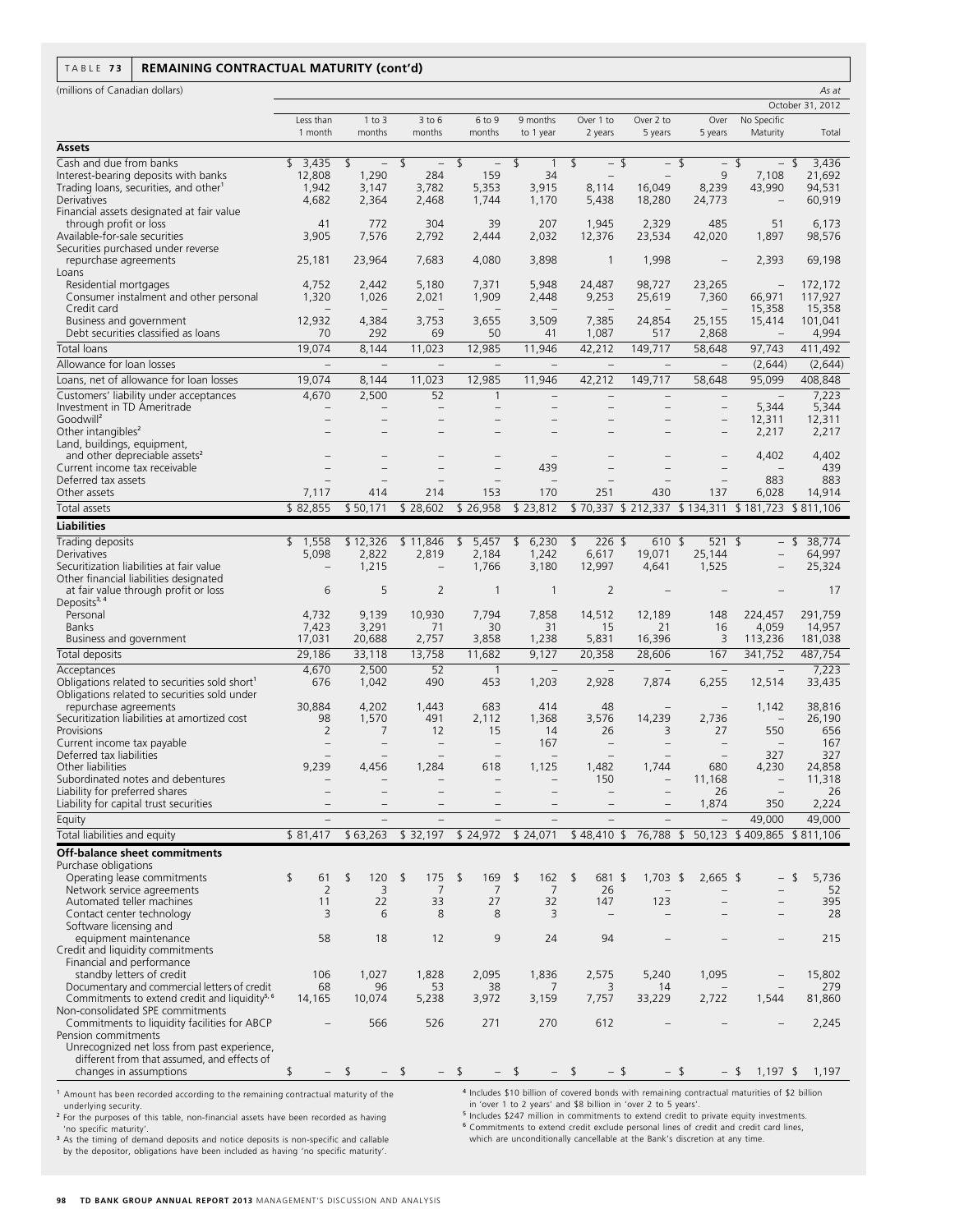# TABLE **7 3 REMAINING CONTRACTUAL MATURITY (cont'd)**

| (millions of Canadian dollars)                                                     |                                                               |                                     |                                        |                                            |                                               |                                                                                               |                          |                                                      |                                    | As at             |
|------------------------------------------------------------------------------------|---------------------------------------------------------------|-------------------------------------|----------------------------------------|--------------------------------------------|-----------------------------------------------|-----------------------------------------------------------------------------------------------|--------------------------|------------------------------------------------------|------------------------------------|-------------------|
|                                                                                    |                                                               |                                     |                                        |                                            |                                               |                                                                                               |                          |                                                      |                                    | October 31, 2012  |
|                                                                                    | Less than                                                     | $1$ to $3$                          | $3$ to $6$                             | 6 to 9                                     | 9 months                                      | Over 1 to                                                                                     | Over 2 to                | Over                                                 | No Specific                        |                   |
| <b>Assets</b>                                                                      | 1 month                                                       | months                              | months                                 | months                                     | to 1 year                                     | 2 years                                                                                       | 5 years                  | 5 years                                              | Maturity                           | Total             |
| Cash and due from banks                                                            | 3,435<br>\$                                                   | \$<br>$\overline{\phantom{0}}$      | $\mathfrak{L}$                         | \$                                         | \$<br>$\mathbf{1}$                            | \$<br>$-5$                                                                                    | $\overline{\phantom{0}}$ | \$<br>$\qquad \qquad -$                              | \$<br>$\overline{\phantom{0}}$     | \$<br>3,436       |
| Interest-bearing deposits with banks                                               | 12,808                                                        | 1,290                               | 284                                    | 159                                        | 34                                            |                                                                                               |                          | 9                                                    | 7,108                              | 21.692            |
| Trading loans, securities, and other <sup>1</sup>                                  | 1,942                                                         | 3,147                               | 3,782                                  | 5,353                                      | 3,915                                         | 8,114                                                                                         | 16,049                   | 8,239                                                | 43,990                             | 94,531            |
| Derivatives                                                                        | 4,682                                                         | 2,364                               | 2,468                                  | 1,744                                      | 1,170                                         | 5,438                                                                                         | 18,280                   | 24,773                                               | $\overline{\phantom{a}}$           | 60,919            |
| Financial assets designated at fair value<br>through profit or loss                | 41                                                            | 772                                 | 304                                    | 39                                         | 207                                           | 1,945                                                                                         | 2,329                    | 485                                                  | 51                                 | 6,173             |
| Available-for-sale securities                                                      | 3,905                                                         | 7,576                               | 2,792                                  | 2,444                                      | 2,032                                         | 12,376                                                                                        | 23,534                   | 42,020                                               | 1,897                              | 98,576            |
| Securities purchased under reverse                                                 |                                                               |                                     |                                        |                                            |                                               |                                                                                               |                          |                                                      |                                    |                   |
| repurchase agreements                                                              | 25,181                                                        | 23,964                              | 7,683                                  | 4,080                                      | 3,898                                         | $\mathbf{1}$                                                                                  | 1,998                    |                                                      | 2,393                              | 69,198            |
| Loans<br>Residential mortgages                                                     | 4,752                                                         | 2,442                               | 5,180                                  | 7,371                                      | 5,948                                         | 24,487                                                                                        | 98,727                   | 23,265                                               | $\overline{\phantom{m}}$           | 172,172           |
| Consumer instalment and other personal                                             | 1,320                                                         | 1,026                               | 2,021                                  | 1,909                                      | 2,448                                         | 9,253                                                                                         | 25,619                   | 7,360                                                | 66,971                             | 117,927           |
| Credit card                                                                        |                                                               |                                     |                                        |                                            |                                               |                                                                                               |                          |                                                      | 15,358                             | 15,358            |
| Business and government<br>Debt securities classified as loans                     | 12,932<br>70                                                  | 4,384<br>292                        | 3,753<br>69                            | 3,655<br>50                                | 3,509<br>41                                   | 7,385<br>1,087                                                                                | 24,854<br>517            | 25,155<br>2,868                                      | 15,414<br>$\overline{\phantom{a}}$ | 101,041<br>4,994  |
| <b>Total loans</b>                                                                 | 19,074                                                        | 8,144                               | 11,023                                 | 12,985                                     | 11,946                                        | 42,212                                                                                        | 149,717                  | 58,648                                               | 97,743                             | 411,492           |
| Allowance for loan losses                                                          |                                                               | $\qquad \qquad -$                   | $\qquad \qquad -$                      |                                            | $\overline{\phantom{0}}$                      | $\overline{a}$                                                                                |                          |                                                      | (2,644)                            | (2,644)           |
| Loans, net of allowance for loan losses                                            | 19,074                                                        | 8,144                               | 11,023                                 | 12,985                                     | 11,946                                        | 42,212                                                                                        | 149,717                  | 58,648                                               | 95,099                             | 408,848           |
|                                                                                    | 4,670                                                         | 2,500                               | 52                                     | $\mathbf{1}$                               | $\overline{\phantom{a}}$                      | L                                                                                             | $\overline{a}$           | $\overline{\phantom{a}}$                             |                                    | 7,223             |
| Customers' liability under acceptances<br>Investment in TD Ameritrade              |                                                               |                                     | $\qquad \qquad -$                      | $\overline{\phantom{0}}$                   | $\qquad \qquad -$                             | $\overline{\phantom{0}}$                                                                      | $\overline{\phantom{m}}$ | $\qquad \qquad -$                                    | 5,344                              | 5,344             |
| Goodwill <sup>2</sup>                                                              |                                                               |                                     | $\overline{\phantom{a}}$               |                                            |                                               | $\overline{\phantom{0}}$                                                                      |                          | $\overline{\phantom{m}}$                             | 12,311                             | 12,311            |
| Other intangibles <sup>2</sup>                                                     |                                                               |                                     |                                        |                                            |                                               |                                                                                               |                          | $\overline{\phantom{0}}$                             | 2,217                              | 2,217             |
| Land, buildings, equipment,<br>and other depreciable assets <sup>2</sup>           |                                                               |                                     |                                        |                                            |                                               |                                                                                               |                          |                                                      | 4,402                              | 4,402             |
| Current income tax receivable                                                      |                                                               |                                     |                                        |                                            | 439                                           |                                                                                               |                          |                                                      |                                    | 439               |
| Deferred tax assets                                                                |                                                               |                                     |                                        | $\overline{a}$                             |                                               |                                                                                               |                          |                                                      | 883                                | 883               |
| Other assets                                                                       | 7,117                                                         | 414                                 | 214                                    | 153                                        | 170                                           | 251                                                                                           | 430                      | 137                                                  | 6,028                              | 14,914            |
| Total assets                                                                       | \$82,855                                                      | \$50,171                            | \$28,602                               | \$26,958                                   | \$23,812                                      | \$70,337 \$212,337                                                                            |                          | \$134,311                                            | $$181,723$ $$811,106$              |                   |
| <b>Liabilities</b>                                                                 |                                                               |                                     |                                        |                                            |                                               |                                                                                               |                          |                                                      |                                    |                   |
| Trading deposits                                                                   | 1,558<br>\$                                                   | \$12,326                            | \$11,846                               | 5,457<br>\$                                | \$<br>6,230                                   | \$<br>$226$ \$                                                                                | 610                      | -\$<br>521                                           | \$<br>$\overline{\phantom{a}}$     | 38,774<br>\$      |
| Derivatives<br>Securitization liabilities at fair value                            | 5,098<br>$\overline{\phantom{0}}$                             | 2,822<br>1,215                      | 2,819<br>$\qquad \qquad -$             | 2,184<br>1,766                             | 1,242<br>3,180                                | 6,617<br>12,997                                                                               | 19,071<br>4,641          | 25,144<br>1,525                                      | $\overline{\phantom{0}}$           | 64,997<br>25,324  |
| Other financial liabilities designated                                             |                                                               |                                     |                                        |                                            |                                               |                                                                                               |                          |                                                      |                                    |                   |
| at fair value through profit or loss                                               | 6                                                             | 5                                   | $\overline{2}$                         | $\mathbf{1}$                               | $\mathbf{1}$                                  | $\overline{2}$                                                                                |                          |                                                      |                                    | 17                |
| Deposits <sup>3, 4</sup>                                                           |                                                               |                                     |                                        |                                            |                                               |                                                                                               |                          |                                                      |                                    |                   |
| Personal<br>Banks                                                                  | 4,732<br>7,423                                                | 9,139<br>3,291                      | 10,930<br>71                           | 7,794<br>30                                | 7,858<br>31                                   | 14,512<br>15                                                                                  | 12,189<br>21             | 148<br>16                                            | 224,457<br>4,059                   | 291,759<br>14,957 |
| Business and government                                                            | 17,031                                                        | 20,688                              | 2,757                                  | 3,858                                      | 1,238                                         | 5,831                                                                                         | 16,396                   | 3                                                    | 113,236                            | 181,038           |
| Total deposits                                                                     | 29,186                                                        | 33,118                              | 13,758                                 | 11,682                                     | 9,127                                         | 20,358                                                                                        | 28,606                   | 167                                                  | 341,752                            | 487,754           |
| Acceptances                                                                        | 4,670                                                         | 2,500                               | 52                                     | $\mathbf{1}$                               | $\overline{\phantom{a}}$                      |                                                                                               |                          | $\overline{\phantom{a}}$                             |                                    | 7,223             |
| Obligations related to securities sold short <sup>1</sup>                          | 676                                                           | 1,042                               | 490                                    | 453                                        | 1,203                                         | 2,928                                                                                         | 7,874                    | 6,255                                                | 12,514                             | 33,435            |
| Obligations related to securities sold under<br>repurchase agreements              | 30,884                                                        | 4,202                               | 1,443                                  | 683                                        | 414                                           | 48                                                                                            |                          |                                                      | 1,142                              | 38,816            |
| Securitization liabilities at amortized cost                                       | 98                                                            | 1,570                               | 491                                    | 2,112                                      | 1,368                                         | 3,576                                                                                         | 14,239                   | 2,736                                                | $\overline{\phantom{a}}$           | 26,190            |
| Provisions                                                                         | 2                                                             | 7                                   | 12                                     | 15                                         | 14                                            | 26                                                                                            | 3                        | 27                                                   | 550                                | 656               |
| Current income tax payable<br>Deferred tax liabilities                             |                                                               |                                     |                                        | $\overline{\phantom{0}}$<br>$\overline{a}$ | 167                                           |                                                                                               |                          | $\overline{\phantom{m}}$<br>$\overline{\phantom{a}}$ | $\equiv$<br>327                    | 167<br>327        |
| Other liabilities                                                                  | 9,239                                                         | 4,456                               | 1,284                                  | 618                                        | 1,125                                         | 1,482                                                                                         | 1,744                    | 680                                                  | 4,230                              | 24,858            |
| Subordinated notes and debentures                                                  |                                                               |                                     |                                        |                                            |                                               | 150                                                                                           |                          | 11,168                                               |                                    | 11,318            |
| Liability for preferred shares                                                     |                                                               |                                     |                                        |                                            |                                               |                                                                                               |                          | 26                                                   |                                    | 26                |
| Liability for capital trust securities                                             | $\overline{\phantom{m}}$<br>$\hspace{1.0cm} - \hspace{1.0cm}$ | $\qquad \qquad -$<br>$\overline{a}$ | $\qquad \qquad -$<br>$\qquad \qquad -$ | $\qquad \qquad -$<br>$\overline{a}$        | $\qquad \qquad -$<br>$\overline{\phantom{a}}$ | $\qquad \qquad$<br>$\qquad \qquad -$                                                          | $\overline{\phantom{m}}$ | 1,874<br>$\overline{\phantom{a}}$                    | 350<br>49,000                      | 2,224<br>49,000   |
| Equity<br>Total liabilities and equity                                             | \$81,417                                                      | \$63,263                            | \$32,197                               | \$24,972                                   | \$24,071                                      | $$48,410$ \$                                                                                  | 76,788 \$                |                                                      | 50,123 \$409,865 \$811,106         |                   |
|                                                                                    |                                                               |                                     |                                        |                                            |                                               |                                                                                               |                          |                                                      |                                    |                   |
| Off-balance sheet commitments<br>Purchase obligations                              |                                                               |                                     |                                        |                                            |                                               |                                                                                               |                          |                                                      |                                    |                   |
| Operating lease commitments                                                        | \$<br>61                                                      | \$<br>120                           | \$<br>175                              | 169<br>\$                                  | \$<br>162                                     | \$<br>681 \$                                                                                  | $1,703$ \$               | $2,665$ \$                                           | - \$                               | 5,736             |
| Network service agreements                                                         | 2                                                             | 3                                   | 7                                      | 7                                          | 7                                             | 26                                                                                            |                          |                                                      |                                    | 52                |
| Automated teller machines<br>Contact center technology                             | 11<br>3                                                       | 22<br>6                             | 33<br>8                                | 27<br>8                                    | 32<br>3                                       | 147<br>$\overline{\phantom{0}}$                                                               | 123                      |                                                      |                                    | 395<br>28         |
| Software licensing and                                                             |                                                               |                                     |                                        |                                            |                                               |                                                                                               |                          |                                                      |                                    |                   |
| equipment maintenance                                                              | 58                                                            | 18                                  | 12                                     | 9                                          | 24                                            | 94                                                                                            |                          |                                                      |                                    | 215               |
| Credit and liquidity commitments                                                   |                                                               |                                     |                                        |                                            |                                               |                                                                                               |                          |                                                      |                                    |                   |
| Financial and performance<br>standby letters of credit                             | 106                                                           | 1,027                               | 1,828                                  | 2,095                                      | 1,836                                         | 2,575                                                                                         | 5,240                    | 1,095                                                |                                    | 15,802            |
| Documentary and commercial letters of credit                                       | 68                                                            | 96                                  | 53                                     | 38                                         | 7                                             | 3                                                                                             | 14                       |                                                      |                                    | 279               |
| Commitments to extend credit and liquidity <sup>5, 6</sup>                         | 14,165                                                        | 10,074                              | 5,238                                  | 3,972                                      | 3,159                                         | 7,757                                                                                         | 33,229                   | 2,722                                                | 1,544                              | 81,860            |
| Non-consolidated SPE commitments                                                   |                                                               |                                     |                                        |                                            |                                               |                                                                                               |                          |                                                      |                                    |                   |
| Commitments to liquidity facilities for ABCP<br>Pension commitments                | $\overline{\phantom{0}}$                                      | 566                                 | 526                                    | 271                                        | 270                                           | 612                                                                                           |                          |                                                      | $\overline{\phantom{0}}$           | 2,245             |
| Unrecognized net loss from past experience,                                        |                                                               |                                     |                                        |                                            |                                               |                                                                                               |                          |                                                      |                                    |                   |
| different from that assumed, and effects of                                        |                                                               |                                     |                                        |                                            |                                               |                                                                                               |                          |                                                      |                                    |                   |
| changes in assumptions                                                             | \$<br>$-$                                                     | \$<br>$\overline{\phantom{0}}$      | \$<br>$-$                              | \$<br>$\qquad \qquad -$                    | \$                                            | - \$<br>\$                                                                                    | - \$                     |                                                      | $-5$<br>$1,197$ \$                 | 1,197             |
| 1. Amount has hean recorded according to the remaining contractual maturity of the |                                                               |                                     |                                        |                                            |                                               | 4 Includes \$10 billion of covered bonds with remaining contractual maturities of \$2 billion |                          |                                                      |                                    |                   |

11ng to the remaining contractual maturity of th underlying security.<br><sup>2</sup> For the purposes of this table, non-financial assets have been recorded as having

'no specific maturity'.

4 Includes \$10 billion of covered bonds with remaining contractual maturities of \$2 billion<br>in 'over 1 to 2 years' and \$8 billion in 'over 2 to 5 years'.<br><sup>5</sup> Includes \$247 million in committents to extend credit to privat

<sup>3</sup> As the timing of demand deposits and notice deposits is non-specific and callable by the depositor, obligations have been included as having 'no specific maturity'.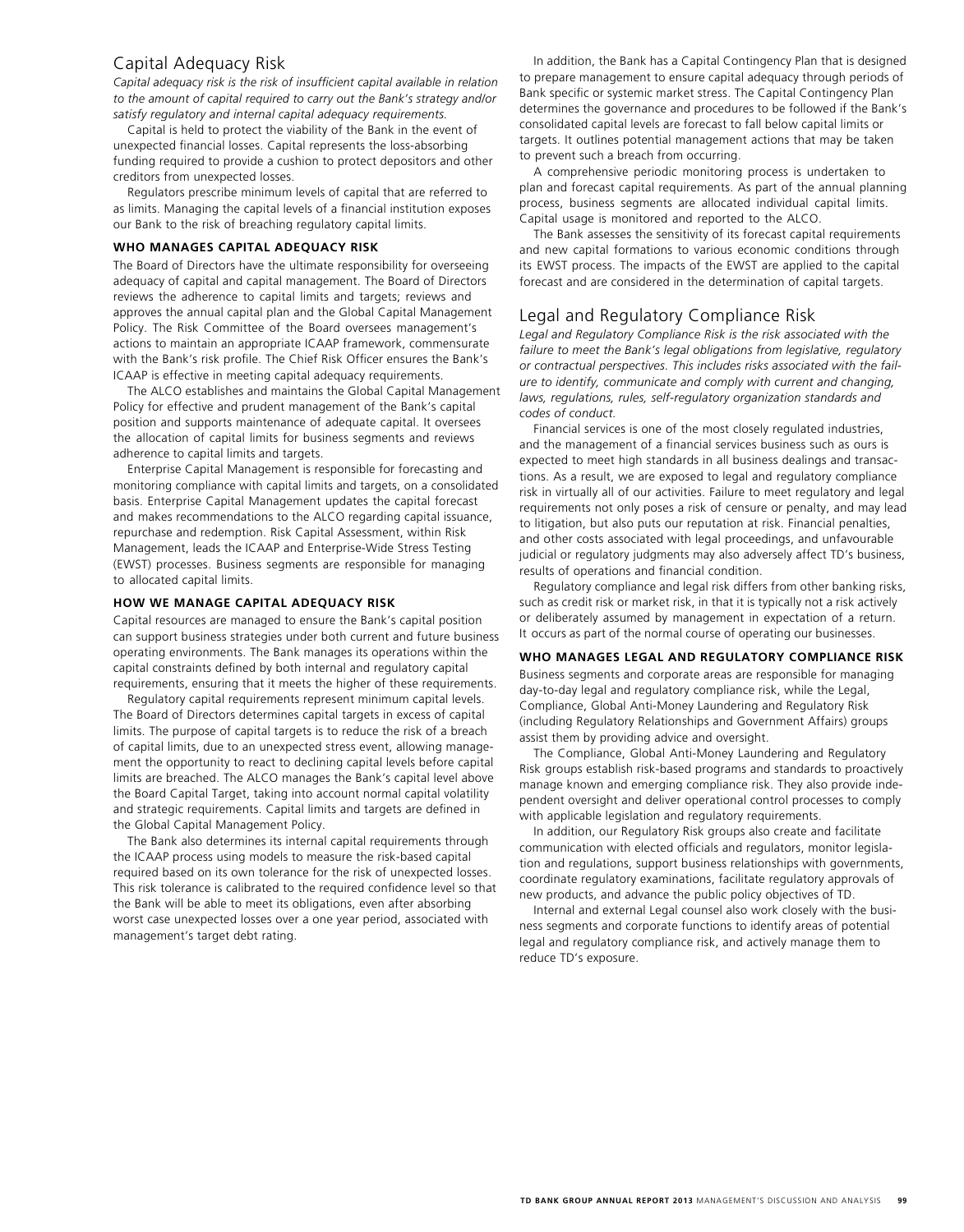# Capital Adequacy Risk

*Capital adequacy risk is the risk of insufficient capital available in relation to the amount of capital required to carry out the Bank's strategy and/or satisfy regulatory and internal capital adequacy requirements.*

Capital is held to protect the viability of the Bank in the event of unexpected financial losses. Capital represents the loss-absorbing funding required to provide a cushion to protect depositors and other creditors from unexpected losses.

Regulators prescribe minimum levels of capital that are referred to as limits. Managing the capital levels of a financial institution exposes our Bank to the risk of breaching regulatory capital limits.

## **WHO MANAGES CAPITAL ADEQUACY RISK**

The Board of Directors have the ultimate responsibility for overseeing adequacy of capital and capital management. The Board of Directors reviews the adherence to capital limits and targets; reviews and approves the annual capital plan and the Global Capital Management Policy. The Risk Committee of the Board oversees management's actions to maintain an appropriate ICAAP framework, commensurate with the Bank's risk profile. The Chief Risk Officer ensures the Bank's ICAAP is effective in meeting capital adequacy requirements.

The ALCO establishes and maintains the Global Capital Management Policy for effective and prudent management of the Bank's capital position and supports maintenance of adequate capital. It oversees the allocation of capital limits for business segments and reviews adherence to capital limits and targets.

Enterprise Capital Management is responsible for forecasting and monitoring compliance with capital limits and targets, on a consolidated basis. Enterprise Capital Management updates the capital forecast and makes recommendations to the ALCO regarding capital issuance, repurchase and redemption. Risk Capital Assessment, within Risk Management, leads the ICAAP and Enterprise-Wide Stress Testing (EWST) processes. Business segments are responsible for managing to allocated capital limits.

## **HOW WE MANAGE CAPITAL ADEQUACY RISK**

Capital resources are managed to ensure the Bank's capital position can support business strategies under both current and future business operating environments. The Bank manages its operations within the capital constraints defined by both internal and regulatory capital requirements, ensuring that it meets the higher of these requirements.

Regulatory capital requirements represent minimum capital levels. The Board of Directors determines capital targets in excess of capital limits. The purpose of capital targets is to reduce the risk of a breach of capital limits, due to an unexpected stress event, allowing management the opportunity to react to declining capital levels before capital limits are breached. The ALCO manages the Bank's capital level above the Board Capital Target, taking into account normal capital volatility and strategic requirements. Capital limits and targets are defined in the Global Capital Management Policy.

The Bank also determines its internal capital requirements through the ICAAP process using models to measure the risk-based capital required based on its own tolerance for the risk of unexpected losses. This risk tolerance is calibrated to the required confidence level so that the Bank will be able to meet its obligations, even after absorbing worst case unexpected losses over a one year period, associated with management's target debt rating.

In addition, the Bank has a Capital Contingency Plan that is designed to prepare management to ensure capital adequacy through periods of Bank specific or systemic market stress. The Capital Contingency Plan determines the governance and procedures to be followed if the Bank's consolidated capital levels are forecast to fall below capital limits or targets. It outlines potential management actions that may be taken to prevent such a breach from occurring.

A comprehensive periodic monitoring process is undertaken to plan and forecast capital requirements. As part of the annual planning process, business segments are allocated individual capital limits. Capital usage is monitored and reported to the ALCO.

The Bank assesses the sensitivity of its forecast capital requirements and new capital formations to various economic conditions through its EWST process. The impacts of the EWST are applied to the capital forecast and are considered in the determination of capital targets.

# Legal and Regulatory Compliance Risk

*Legal and Regulatory Compliance Risk is the risk associated with the failure to meet the Bank's legal obligations from legislative, regulatory or contractual perspectives. This includes risks associated with the failure to identify, communicate and comply with current and changing, laws, regulations, rules, self-regulatory organization standards and codes of conduct.*

Financial services is one of the most closely regulated industries, and the management of a financial services business such as ours is expected to meet high standards in all business dealings and transactions. As a result, we are exposed to legal and regulatory compliance risk in virtually all of our activities. Failure to meet regulatory and legal requirements not only poses a risk of censure or penalty, and may lead to litigation, but also puts our reputation at risk. Financial penalties, and other costs associated with legal proceedings, and unfavourable judicial or regulatory judgments may also adversely affect TD's business, results of operations and financial condition.

Regulatory compliance and legal risk differs from other banking risks, such as credit risk or market risk, in that it is typically not a risk actively or deliberately assumed by management in expectation of a return. It occurs as part of the normal course of operating our businesses.

## **WHO MANAGES LEGAL AND REGULATORY COMPLIANCE RISK**

Business segments and corporate areas are responsible for managing day-to-day legal and regulatory compliance risk, while the Legal, Compliance, Global Anti-Money Laundering and Regulatory Risk (including Regulatory Relationships and Government Affairs) groups assist them by providing advice and oversight.

The Compliance, Global Anti-Money Laundering and Regulatory Risk groups establish risk-based programs and standards to proactively manage known and emerging compliance risk. They also provide independent oversight and deliver operational control processes to comply with applicable legislation and regulatory requirements.

In addition, our Regulatory Risk groups also create and facilitate communication with elected officials and regulators, monitor legislation and regulations, support business relationships with governments, coordinate regulatory examinations, facilitate regulatory approvals of new products, and advance the public policy objectives of TD.

Internal and external Legal counsel also work closely with the business segments and corporate functions to identify areas of potential legal and regulatory compliance risk, and actively manage them to reduce TD's exposure.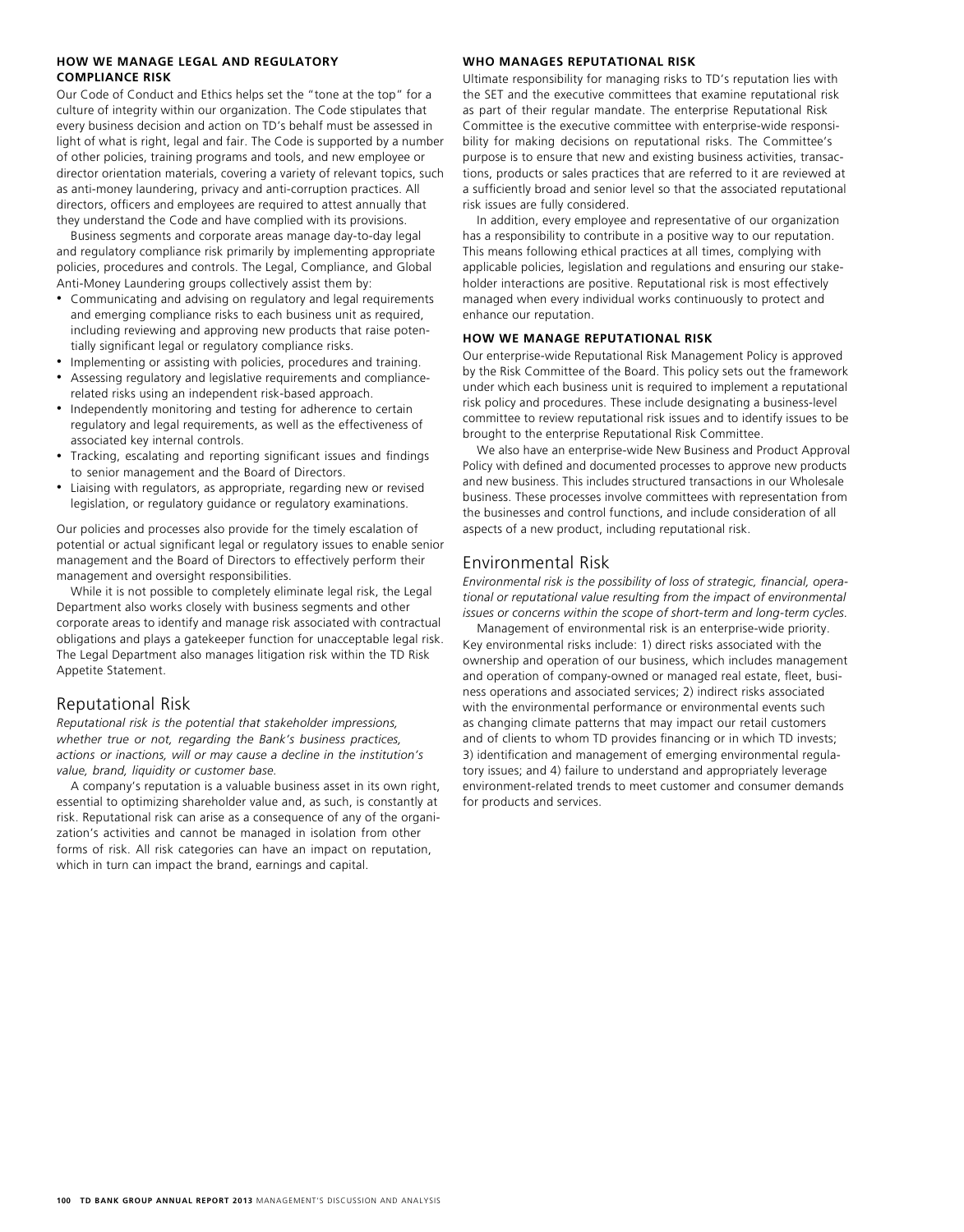## **HOW WE MANAGE LEGAL AND REGULATORY COMPLIANCE RISK**

Our Code of Conduct and Ethics helps set the "tone at the top" for a culture of integrity within our organization. The Code stipulates that every business decision and action on TD's behalf must be assessed in light of what is right, legal and fair. The Code is supported by a number of other policies, training programs and tools, and new employee or director orientation materials, covering a variety of relevant topics, such as anti-money laundering, privacy and anti-corruption practices. All directors, officers and employees are required to attest annually that they understand the Code and have complied with its provisions.

Business segments and corporate areas manage day-to-day legal and regulatory compliance risk primarily by implementing appropriate policies, procedures and controls. The Legal, Compliance, and Global Anti-Money Laundering groups collectively assist them by:

- Communicating and advising on regulatory and legal requirements and emerging compliance risks to each business unit as required, including reviewing and approving new products that raise potentially significant legal or regulatory compliance risks.
- Implementing or assisting with policies, procedures and training.
- Assessing regulatory and legislative requirements and compliancerelated risks using an independent risk-based approach.
- Independently monitoring and testing for adherence to certain regulatory and legal requirements, as well as the effectiveness of associated key internal controls.
- Tracking, escalating and reporting significant issues and findings to senior management and the Board of Directors.
- Liaising with regulators, as appropriate, regarding new or revised legislation, or regulatory guidance or regulatory examinations.

Our policies and processes also provide for the timely escalation of potential or actual significant legal or regulatory issues to enable senior management and the Board of Directors to effectively perform their management and oversight responsibilities.

While it is not possible to completely eliminate legal risk, the Legal Department also works closely with business segments and other corporate areas to identify and manage risk associated with contractual obligations and plays a gatekeeper function for unacceptable legal risk. The Legal Department also manages litigation risk within the TD Risk Appetite Statement.

# Reputational Risk

*Reputational risk is the potential that stakeholder impressions, whether true or not, regarding the Bank's business practices, actions or inactions, will or may cause a decline in the institution's value, brand, liquidity or customer base.*

A company's reputation is a valuable business asset in its own right, essential to optimizing shareholder value and, as such, is constantly at risk. Reputational risk can arise as a consequence of any of the organization's activities and cannot be managed in isolation from other forms of risk. All risk categories can have an impact on reputation, which in turn can impact the brand, earnings and capital.

# **WHO MANAGES REPUTATIONAL RISK**

Ultimate responsibility for managing risks to TD's reputation lies with the SET and the executive committees that examine reputational risk as part of their regular mandate. The enterprise Reputational Risk Committee is the executive committee with enterprise-wide responsibility for making decisions on reputational risks. The Committee's purpose is to ensure that new and existing business activities, transactions, products or sales practices that are referred to it are reviewed at a sufficiently broad and senior level so that the associated reputational risk issues are fully considered.

In addition, every employee and representative of our organization has a responsibility to contribute in a positive way to our reputation. This means following ethical practices at all times, complying with applicable policies, legislation and regulations and ensuring our stakeholder interactions are positive. Reputational risk is most effectively managed when every individual works continuously to protect and enhance our reputation.

# **HOW WE MANAGE REPUTATIONAL RISK**

Our enterprise-wide Reputational Risk Management Policy is approved by the Risk Committee of the Board. This policy sets out the framework under which each business unit is required to implement a reputational risk policy and procedures. These include designating a business-level committee to review reputational risk issues and to identify issues to be brought to the enterprise Reputational Risk Committee.

We also have an enterprise-wide New Business and Product Approval Policy with defined and documented processes to approve new products and new business. This includes structured transactions in our Wholesale business. These processes involve committees with representation from the businesses and control functions, and include consideration of all aspects of a new product, including reputational risk.

# Environmental Risk

*Environmental risk is the possibility of loss of strategic, financial, operational or reputational value resulting from the impact of environmental issues or concerns within the scope of short-term and long-term cycles.*

Management of environmental risk is an enterprise-wide priority. Key environmental risks include: 1) direct risks associated with the ownership and operation of our business, which includes management and operation of company-owned or managed real estate, fleet, business operations and associated services; 2) indirect risks associated with the environmental performance or environmental events such as changing climate patterns that may impact our retail customers and of clients to whom TD provides financing or in which TD invests; 3) identification and management of emerging environmental regulatory issues; and 4) failure to understand and appropriately leverage environment-related trends to meet customer and consumer demands for products and services.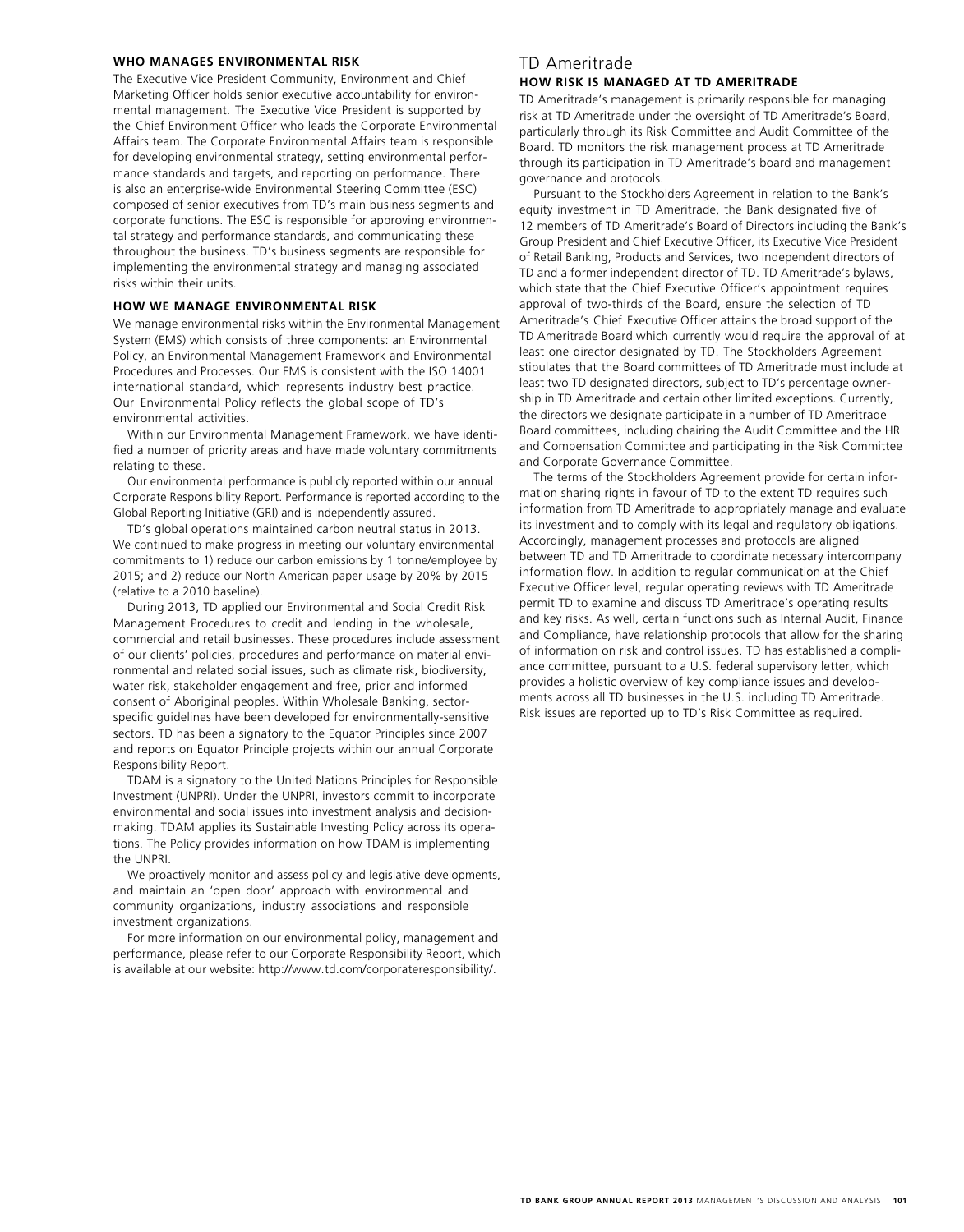# **WHO MANAGES ENVIRONMENTAL RISK**

The Executive Vice President Community, Environment and Chief Marketing Officer holds senior executive accountability for environmental management. The Executive Vice President is supported by the Chief Environment Officer who leads the Corporate Environmental Affairs team. The Corporate Environmental Affairs team is responsible for developing environmental strategy, setting environmental performance standards and targets, and reporting on performance. There is also an enterprise-wide Environmental Steering Committee (ESC) composed of senior executives from TD's main business segments and corporate functions. The ESC is responsible for approving environmental strategy and performance standards, and communicating these throughout the business. TD's business segments are responsible for implementing the environmental strategy and managing associated risks within their units.

#### **HOW WE MANAGE ENVIRONMENTAL RISK**

We manage environmental risks within the Environmental Management System (EMS) which consists of three components: an Environmental Policy, an Environmental Management Framework and Environmental Procedures and Processes. Our EMS is consistent with the ISO 14001 international standard, which represents industry best practice. Our Environmental Policy reflects the global scope of TD's environmental activities.

Within our Environmental Management Framework, we have identified a number of priority areas and have made voluntary commitments relating to these.

Our environmental performance is publicly reported within our annual Corporate Responsibility Report. Performance is reported according to the Global Reporting Initiative (GRI) and is independently assured.

TD's global operations maintained carbon neutral status in 2013. We continued to make progress in meeting our voluntary environmental commitments to 1) reduce our carbon emissions by 1 tonne/employee by 2015; and 2) reduce our North American paper usage by 20% by 2015 (relative to a 2010 baseline).

During 2013, TD applied our Environmental and Social Credit Risk Management Procedures to credit and lending in the wholesale, commercial and retail businesses. These procedures include assessment of our clients' policies, procedures and performance on material environmental and related social issues, such as climate risk, biodiversity, water risk, stakeholder engagement and free, prior and informed consent of Aboriginal peoples. Within Wholesale Banking, sectorspecific guidelines have been developed for environmentally-sensitive sectors. TD has been a signatory to the Equator Principles since 2007 and reports on Equator Principle projects within our annual Corporate Responsibility Report.

TDAM is a signatory to the United Nations Principles for Responsible Investment (UNPRI). Under the UNPRI, investors commit to incorporate environmental and social issues into investment analysis and decisionmaking. TDAM applies its Sustainable Investing Policy across its operations. The Policy provides information on how TDAM is implementing the UNPRI.

We proactively monitor and assess policy and legislative developments, and maintain an 'open door' approach with environmental and community organizations, industry associations and responsible investment organizations.

For more information on our environmental policy, management and performance, please refer to our Corporate Responsibility Report, which is available at our website: http://www.td.com/corporateresponsibility/.

# TD Ameritrade **HOW RISK IS MANAGED AT TD AMERITRADE**

TD Ameritrade's management is primarily responsible for managing risk at TD Ameritrade under the oversight of TD Ameritrade's Board, particularly through its Risk Committee and Audit Committee of the Board. TD monitors the risk management process at TD Ameritrade through its participation in TD Ameritrade's board and management governance and protocols.

Pursuant to the Stockholders Agreement in relation to the Bank's equity investment in TD Ameritrade, the Bank designated five of 12 members of TD Ameritrade's Board of Directors including the Bank's Group President and Chief Executive Officer, its Executive Vice President of Retail Banking, Products and Services, two independent directors of TD and a former independent director of TD. TD Ameritrade's bylaws, which state that the Chief Executive Officer's appointment requires approval of two-thirds of the Board, ensure the selection of TD Ameritrade's Chief Executive Officer attains the broad support of the TD Ameritrade Board which currently would require the approval of at least one director designated by TD. The Stockholders Agreement stipulates that the Board committees of TD Ameritrade must include at least two TD designated directors, subject to TD's percentage ownership in TD Ameritrade and certain other limited exceptions. Currently, the directors we designate participate in a number of TD Ameritrade Board committees, including chairing the Audit Committee and the HR and Compensation Committee and participating in the Risk Committee and Corporate Governance Committee.

The terms of the Stockholders Agreement provide for certain information sharing rights in favour of TD to the extent TD requires such information from TD Ameritrade to appropriately manage and evaluate its investment and to comply with its legal and regulatory obligations. Accordingly, management processes and protocols are aligned between TD and TD Ameritrade to coordinate necessary intercompany information flow. In addition to regular communication at the Chief Executive Officer level, regular operating reviews with TD Ameritrade permit TD to examine and discuss TD Ameritrade's operating results and key risks. As well, certain functions such as Internal Audit, Finance and Compliance, have relationship protocols that allow for the sharing of information on risk and control issues. TD has established a compliance committee, pursuant to a U.S. federal supervisory letter, which provides a holistic overview of key compliance issues and developments across all TD businesses in the U.S. including TD Ameritrade. Risk issues are reported up to TD's Risk Committee as required.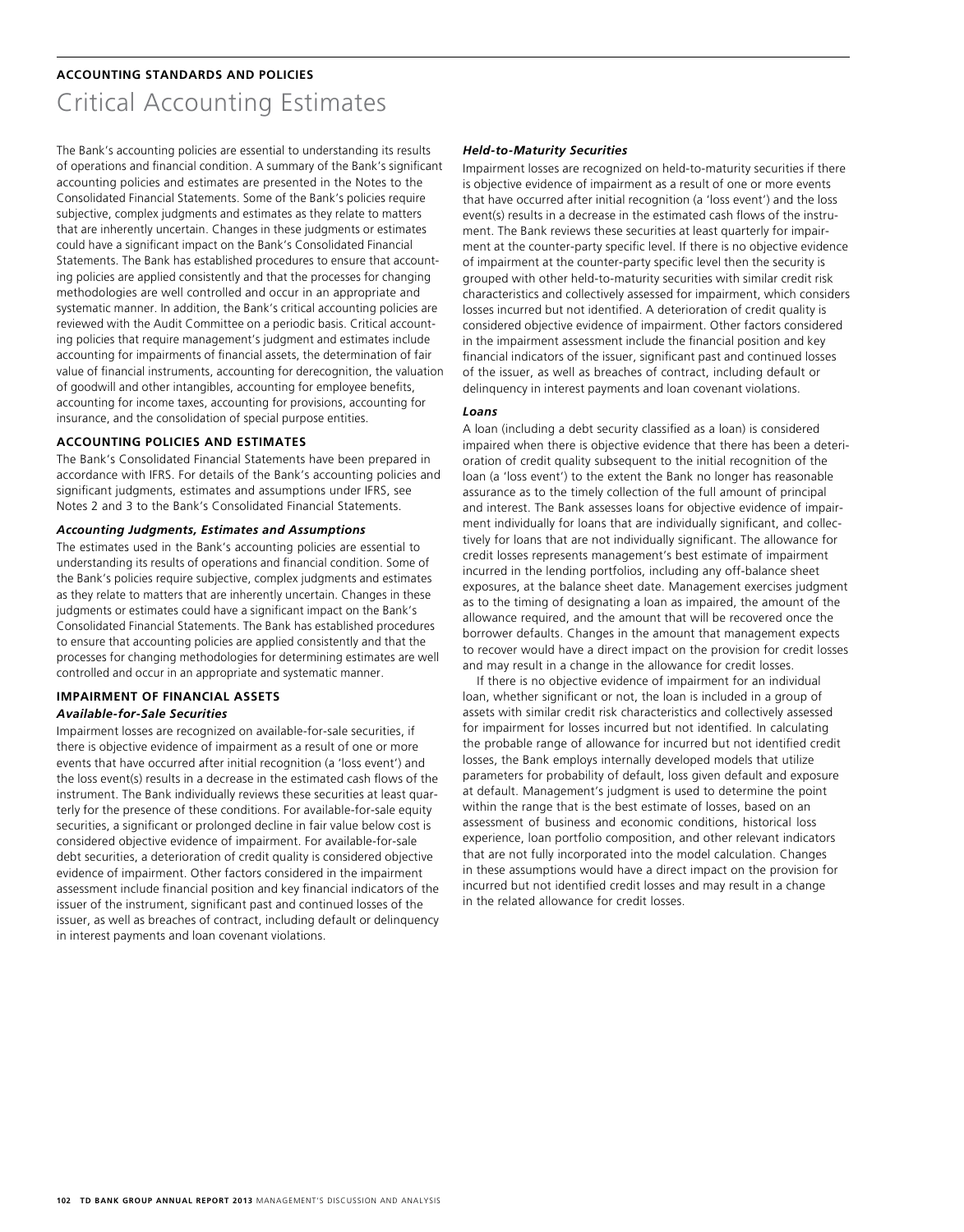# **ACCOUNTING STANDARDS AND POLICIES**

# Critical Accounting Estimates

The Bank's accounting policies are essential to understanding its results of operations and financial condition. A summary of the Bank's significant accounting policies and estimates are presented in the Notes to the Consolidated Financial Statements. Some of the Bank's policies require subjective, complex judgments and estimates as they relate to matters that are inherently uncertain. Changes in these judgments or estimates could have a significant impact on the Bank's Consolidated Financial Statements. The Bank has established procedures to ensure that accounting policies are applied consistently and that the processes for changing methodologies are well controlled and occur in an appropriate and systematic manner. In addition, the Bank's critical accounting policies are reviewed with the Audit Committee on a periodic basis. Critical accounting policies that require management's judgment and estimates include accounting for impairments of financial assets, the determination of fair value of financial instruments, accounting for derecognition, the valuation of goodwill and other intangibles, accounting for employee benefits, accounting for income taxes, accounting for provisions, accounting for insurance, and the consolidation of special purpose entities.

# **ACCOUNTING POLICIES AND ESTIMATES**

The Bank's Consolidated Financial Statements have been prepared in accordance with IFRS. For details of the Bank's accounting policies and significant judgments, estimates and assumptions under IFRS, see Notes 2 and 3 to the Bank's Consolidated Financial Statements.

## *Accounting Judgments, Estimates and Assumptions*

The estimates used in the Bank's accounting policies are essential to understanding its results of operations and financial condition. Some of the Bank's policies require subjective, complex judgments and estimates as they relate to matters that are inherently uncertain. Changes in these judgments or estimates could have a significant impact on the Bank's Consolidated Financial Statements. The Bank has established procedures to ensure that accounting policies are applied consistently and that the processes for changing methodologies for determining estimates are well controlled and occur in an appropriate and systematic manner.

# **IMPAIRMENT OF FINANCIAL ASSETS**

# *Available-for-Sale Securities*

Impairment losses are recognized on available-for-sale securities, if there is objective evidence of impairment as a result of one or more events that have occurred after initial recognition (a 'loss event') and the loss event(s) results in a decrease in the estimated cash flows of the instrument. The Bank individually reviews these securities at least quarterly for the presence of these conditions. For available-for-sale equity securities, a significant or prolonged decline in fair value below cost is considered objective evidence of impairment. For available-for-sale debt securities, a deterioration of credit quality is considered objective evidence of impairment. Other factors considered in the impairment assessment include financial position and key financial indicators of the issuer of the instrument, significant past and continued losses of the issuer, as well as breaches of contract, including default or delinquency in interest payments and loan covenant violations.

# *Held-to-Maturity Securities*

Impairment losses are recognized on held-to-maturity securities if there is objective evidence of impairment as a result of one or more events that have occurred after initial recognition (a 'loss event') and the loss event(s) results in a decrease in the estimated cash flows of the instrument. The Bank reviews these securities at least quarterly for impairment at the counter-party specific level. If there is no objective evidence of impairment at the counter-party specific level then the security is grouped with other held-to-maturity securities with similar credit risk characteristics and collectively assessed for impairment, which considers losses incurred but not identified. A deterioration of credit quality is considered objective evidence of impairment. Other factors considered in the impairment assessment include the financial position and key financial indicators of the issuer, significant past and continued losses of the issuer, as well as breaches of contract, including default or delinquency in interest payments and loan covenant violations.

## *Loans*

A loan (including a debt security classified as a loan) is considered impaired when there is objective evidence that there has been a deterioration of credit quality subsequent to the initial recognition of the loan (a 'loss event') to the extent the Bank no longer has reasonable assurance as to the timely collection of the full amount of principal and interest. The Bank assesses loans for objective evidence of impairment individually for loans that are individually significant, and collectively for loans that are not individually significant. The allowance for credit losses represents management's best estimate of impairment incurred in the lending portfolios, including any off-balance sheet exposures, at the balance sheet date. Management exercises judgment as to the timing of designating a loan as impaired, the amount of the allowance required, and the amount that will be recovered once the borrower defaults. Changes in the amount that management expects to recover would have a direct impact on the provision for credit losses and may result in a change in the allowance for credit losses.

If there is no objective evidence of impairment for an individual loan, whether significant or not, the loan is included in a group of assets with similar credit risk characteristics and collectively assessed for impairment for losses incurred but not identified. In calculating the probable range of allowance for incurred but not identified credit losses, the Bank employs internally developed models that utilize parameters for probability of default, loss given default and exposure at default. Management's judgment is used to determine the point within the range that is the best estimate of losses, based on an assessment of business and economic conditions, historical loss experience, loan portfolio composition, and other relevant indicators that are not fully incorporated into the model calculation. Changes in these assumptions would have a direct impact on the provision for incurred but not identified credit losses and may result in a change in the related allowance for credit losses.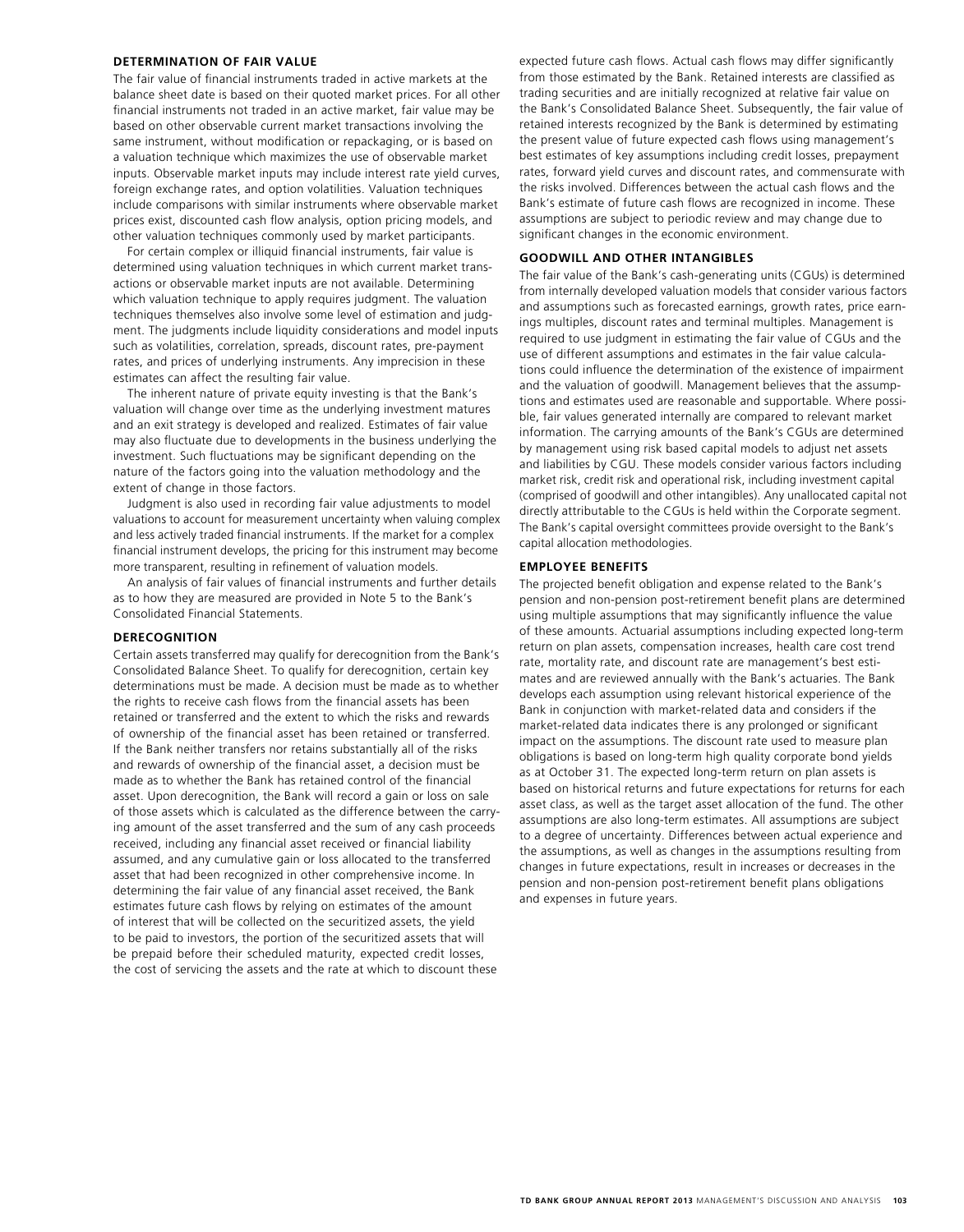#### **DETERMINATION OF FAIR VALUE**

The fair value of financial instruments traded in active markets at the balance sheet date is based on their quoted market prices. For all other financial instruments not traded in an active market, fair value may be based on other observable current market transactions involving the same instrument, without modification or repackaging, or is based on a valuation technique which maximizes the use of observable market inputs. Observable market inputs may include interest rate yield curves, foreign exchange rates, and option volatilities. Valuation techniques include comparisons with similar instruments where observable market prices exist, discounted cash flow analysis, option pricing models, and other valuation techniques commonly used by market participants.

For certain complex or illiquid financial instruments, fair value is determined using valuation techniques in which current market transactions or observable market inputs are not available. Determining which valuation technique to apply requires judgment. The valuation techniques themselves also involve some level of estimation and judgment. The judgments include liquidity considerations and model inputs such as volatilities, correlation, spreads, discount rates, pre-payment rates, and prices of underlying instruments. Any imprecision in these estimates can affect the resulting fair value.

The inherent nature of private equity investing is that the Bank's valuation will change over time as the underlying investment matures and an exit strategy is developed and realized. Estimates of fair value may also fluctuate due to developments in the business underlying the investment. Such fluctuations may be significant depending on the nature of the factors going into the valuation methodology and the extent of change in those factors.

Judgment is also used in recording fair value adjustments to model valuations to account for measurement uncertainty when valuing complex and less actively traded financial instruments. If the market for a complex financial instrument develops, the pricing for this instrument may become more transparent, resulting in refinement of valuation models.

An analysis of fair values of financial instruments and further details as to how they are measured are provided in Note 5 to the Bank's Consolidated Financial Statements.

#### **DERECOGNITION**

Certain assets transferred may qualify for derecognition from the Bank's Consolidated Balance Sheet. To qualify for derecognition, certain key determinations must be made. A decision must be made as to whether the rights to receive cash flows from the financial assets has been retained or transferred and the extent to which the risks and rewards of ownership of the financial asset has been retained or transferred. If the Bank neither transfers nor retains substantially all of the risks and rewards of ownership of the financial asset, a decision must be made as to whether the Bank has retained control of the financial asset. Upon derecognition, the Bank will record a gain or loss on sale of those assets which is calculated as the difference between the carrying amount of the asset transferred and the sum of any cash proceeds received, including any financial asset received or financial liability assumed, and any cumulative gain or loss allocated to the transferred asset that had been recognized in other comprehensive income. In determining the fair value of any financial asset received, the Bank estimates future cash flows by relying on estimates of the amount of interest that will be collected on the securitized assets, the yield to be paid to investors, the portion of the securitized assets that will be prepaid before their scheduled maturity, expected credit losses, the cost of servicing the assets and the rate at which to discount these

expected future cash flows. Actual cash flows may differ significantly from those estimated by the Bank. Retained interests are classified as trading securities and are initially recognized at relative fair value on the Bank's Consolidated Balance Sheet. Subsequently, the fair value of retained interests recognized by the Bank is determined by estimating the present value of future expected cash flows using management's best estimates of key assumptions including credit losses, prepayment rates, forward yield curves and discount rates, and commensurate with the risks involved. Differences between the actual cash flows and the Bank's estimate of future cash flows are recognized in income. These assumptions are subject to periodic review and may change due to significant changes in the economic environment.

#### **GOODWILL AND OTHER INTANGIBLES**

The fair value of the Bank's cash-generating units (CGUs) is determined from internally developed valuation models that consider various factors and assumptions such as forecasted earnings, growth rates, price earnings multiples, discount rates and terminal multiples. Management is required to use judgment in estimating the fair value of CGUs and the use of different assumptions and estimates in the fair value calculations could influence the determination of the existence of impairment and the valuation of goodwill. Management believes that the assumptions and estimates used are reasonable and supportable. Where possible, fair values generated internally are compared to relevant market information. The carrying amounts of the Bank's CGUs are determined by management using risk based capital models to adjust net assets and liabilities by CGU. These models consider various factors including market risk, credit risk and operational risk, including investment capital (comprised of goodwill and other intangibles). Any unallocated capital not directly attributable to the CGUs is held within the Corporate segment. The Bank's capital oversight committees provide oversight to the Bank's capital allocation methodologies.

#### **EMPLOYEE BENEFITS**

The projected benefit obligation and expense related to the Bank's pension and non-pension post-retirement benefit plans are determined using multiple assumptions that may significantly influence the value of these amounts. Actuarial assumptions including expected long-term return on plan assets, compensation increases, health care cost trend rate, mortality rate, and discount rate are management's best estimates and are reviewed annually with the Bank's actuaries. The Bank develops each assumption using relevant historical experience of the Bank in conjunction with market-related data and considers if the market-related data indicates there is any prolonged or significant impact on the assumptions. The discount rate used to measure plan obligations is based on long-term high quality corporate bond yields as at October 31. The expected long-term return on plan assets is based on historical returns and future expectations for returns for each asset class, as well as the target asset allocation of the fund. The other assumptions are also long-term estimates. All assumptions are subject to a degree of uncertainty. Differences between actual experience and the assumptions, as well as changes in the assumptions resulting from changes in future expectations, result in increases or decreases in the pension and non-pension post-retirement benefit plans obligations and expenses in future years.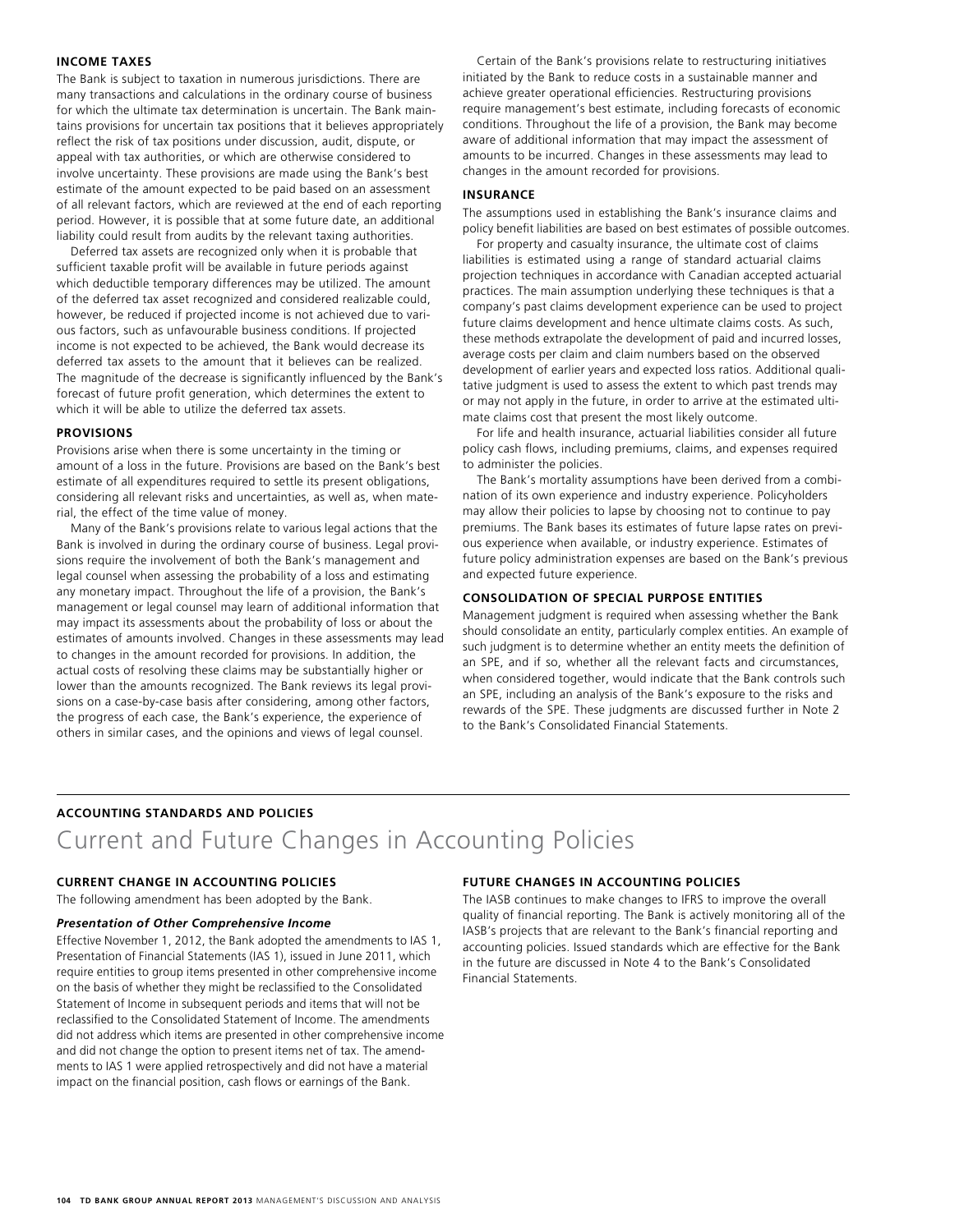### **INCOME TAXES**

The Bank is subject to taxation in numerous jurisdictions. There are many transactions and calculations in the ordinary course of business for which the ultimate tax determination is uncertain. The Bank maintains provisions for uncertain tax positions that it believes appropriately reflect the risk of tax positions under discussion, audit, dispute, or appeal with tax authorities, or which are otherwise considered to involve uncertainty. These provisions are made using the Bank's best estimate of the amount expected to be paid based on an assessment of all relevant factors, which are reviewed at the end of each reporting period. However, it is possible that at some future date, an additional liability could result from audits by the relevant taxing authorities.

Deferred tax assets are recognized only when it is probable that sufficient taxable profit will be available in future periods against which deductible temporary differences may be utilized. The amount of the deferred tax asset recognized and considered realizable could, however, be reduced if projected income is not achieved due to various factors, such as unfavourable business conditions. If projected income is not expected to be achieved, the Bank would decrease its deferred tax assets to the amount that it believes can be realized. The magnitude of the decrease is significantly influenced by the Bank's forecast of future profit generation, which determines the extent to which it will be able to utilize the deferred tax assets.

#### **PROVISIONS**

Provisions arise when there is some uncertainty in the timing or amount of a loss in the future. Provisions are based on the Bank's best estimate of all expenditures required to settle its present obligations, considering all relevant risks and uncertainties, as well as, when material, the effect of the time value of money.

Many of the Bank's provisions relate to various legal actions that the Bank is involved in during the ordinary course of business. Legal provisions require the involvement of both the Bank's management and legal counsel when assessing the probability of a loss and estimating any monetary impact. Throughout the life of a provision, the Bank's management or legal counsel may learn of additional information that may impact its assessments about the probability of loss or about the estimates of amounts involved. Changes in these assessments may lead to changes in the amount recorded for provisions. In addition, the actual costs of resolving these claims may be substantially higher or lower than the amounts recognized. The Bank reviews its legal provisions on a case-by-case basis after considering, among other factors, the progress of each case, the Bank's experience, the experience of others in similar cases, and the opinions and views of legal counsel.

Certain of the Bank's provisions relate to restructuring initiatives initiated by the Bank to reduce costs in a sustainable manner and achieve greater operational efficiencies. Restructuring provisions require management's best estimate, including forecasts of economic conditions. Throughout the life of a provision, the Bank may become aware of additional information that may impact the assessment of amounts to be incurred. Changes in these assessments may lead to changes in the amount recorded for provisions.

# **INSURANCE**

The assumptions used in establishing the Bank's insurance claims and policy benefit liabilities are based on best estimates of possible outcomes.

For property and casualty insurance, the ultimate cost of claims liabilities is estimated using a range of standard actuarial claims projection techniques in accordance with Canadian accepted actuarial practices. The main assumption underlying these techniques is that a company's past claims development experience can be used to project future claims development and hence ultimate claims costs. As such, these methods extrapolate the development of paid and incurred losses, average costs per claim and claim numbers based on the observed development of earlier years and expected loss ratios. Additional qualitative judgment is used to assess the extent to which past trends may or may not apply in the future, in order to arrive at the estimated ultimate claims cost that present the most likely outcome.

For life and health insurance, actuarial liabilities consider all future policy cash flows, including premiums, claims, and expenses required to administer the policies.

The Bank's mortality assumptions have been derived from a combination of its own experience and industry experience. Policyholders may allow their policies to lapse by choosing not to continue to pay premiums. The Bank bases its estimates of future lapse rates on previous experience when available, or industry experience. Estimates of future policy administration expenses are based on the Bank's previous and expected future experience.

#### **CONSOLIDATION OF SPECIAL PURPOSE ENTITIES**

Management judgment is required when assessing whether the Bank should consolidate an entity, particularly complex entities. An example of such judgment is to determine whether an entity meets the definition of an SPE, and if so, whether all the relevant facts and circumstances, when considered together, would indicate that the Bank controls such an SPE, including an analysis of the Bank's exposure to the risks and rewards of the SPE. These judgments are discussed further in Note 2 to the Bank's Consolidated Financial Statements.

# **ACCOUNTING STANDARDS AND POLICIES** Current and Future Changes in Accounting Policies

#### **CURRENT CHANGE IN ACCOUNTING POLICIES**

The following amendment has been adopted by the Bank.

#### *Presentation of Other Comprehensive Income*

Effective November 1, 2012, the Bank adopted the amendments to IAS 1, Presentation of Financial Statements (IAS 1), issued in June 2011, which require entities to group items presented in other comprehensive income on the basis of whether they might be reclassified to the Consolidated Statement of Income in subsequent periods and items that will not be reclassified to the Consolidated Statement of Income. The amendments did not address which items are presented in other comprehensive income and did not change the option to present items net of tax. The amendments to IAS 1 were applied retrospectively and did not have a material impact on the financial position, cash flows or earnings of the Bank.

#### **FUTURE CHANGES IN ACCOUNTING POLICIES**

The IASB continues to make changes to IFRS to improve the overall quality of financial reporting. The Bank is actively monitoring all of the IASB's projects that are relevant to the Bank's financial reporting and accounting policies. Issued standards which are effective for the Bank in the future are discussed in Note 4 to the Bank's Consolidated Financial Statements.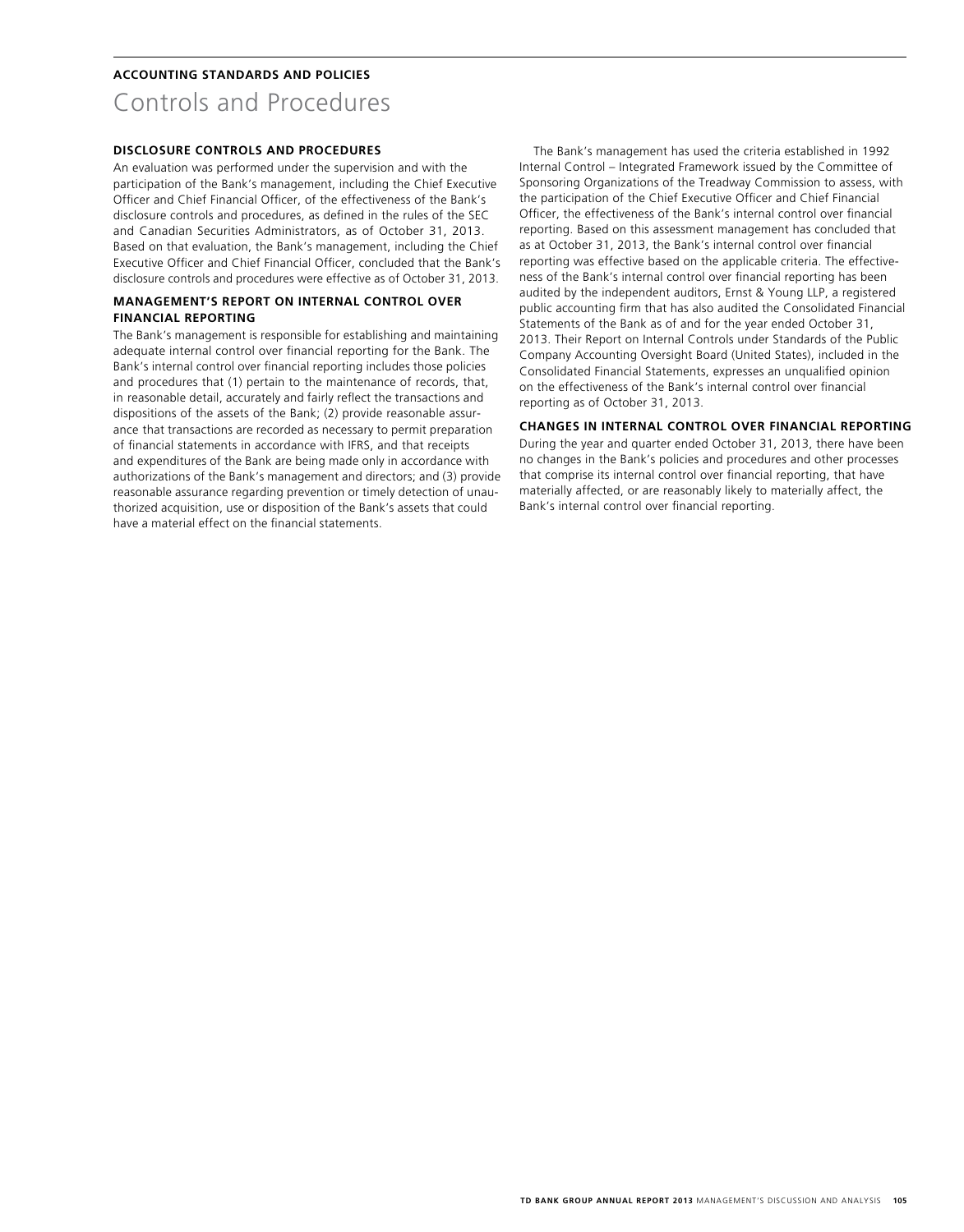# **ACCOUNTING STANDARDS AND POLICIES**

# Controls and Procedures

# **DISCLOSURE CONTROLS AND PROCEDURES**

An evaluation was performed under the supervision and with the participation of the Bank's management, including the Chief Executive Officer and Chief Financial Officer, of the effectiveness of the Bank's disclosure controls and procedures, as defined in the rules of the SEC and Canadian Securities Administrators, as of October 31, 2013. Based on that evaluation, the Bank's management, including the Chief Executive Officer and Chief Financial Officer, concluded that the Bank's disclosure controls and procedures were effective as of October 31, 2013.

# **MANAGEMENT'S REPORT ON INTERNAL CONTROL OVER FINANCIAL REPORTING**

The Bank's management is responsible for establishing and maintaining adequate internal control over financial reporting for the Bank. The Bank's internal control over financial reporting includes those policies and procedures that (1) pertain to the maintenance of records, that, in reasonable detail, accurately and fairly reflect the transactions and dispositions of the assets of the Bank; (2) provide reasonable assurance that transactions are recorded as necessary to permit preparation of financial statements in accordance with IFRS, and that receipts and expenditures of the Bank are being made only in accordance with authorizations of the Bank's management and directors; and (3) provide reasonable assurance regarding prevention or timely detection of unauthorized acquisition, use or disposition of the Bank's assets that could have a material effect on the financial statements.

The Bank's management has used the criteria established in 1992 Internal Control – Integrated Framework issued by the Committee of Sponsoring Organizations of the Treadway Commission to assess, with the participation of the Chief Executive Officer and Chief Financial Officer, the effectiveness of the Bank's internal control over financial reporting. Based on this assessment management has concluded that as at October 31, 2013, the Bank's internal control over financial reporting was effective based on the applicable criteria. The effectiveness of the Bank's internal control over financial reporting has been audited by the independent auditors, Ernst & Young LLP, a registered public accounting firm that has also audited the Consolidated Financial Statements of the Bank as of and for the year ended October 31, 2013. Their Report on Internal Controls under Standards of the Public Company Accounting Oversight Board (United States), included in the Consolidated Financial Statements, expresses an unqualified opinion on the effectiveness of the Bank's internal control over financial reporting as of October 31, 2013.

### **CHANGES IN INTERNAL CONTROL OVER FINANCIAL REPORTING**

During the year and quarter ended October 31, 2013, there have been no changes in the Bank's policies and procedures and other processes that comprise its internal control over financial reporting, that have materially affected, or are reasonably likely to materially affect, the Bank's internal control over financial reporting.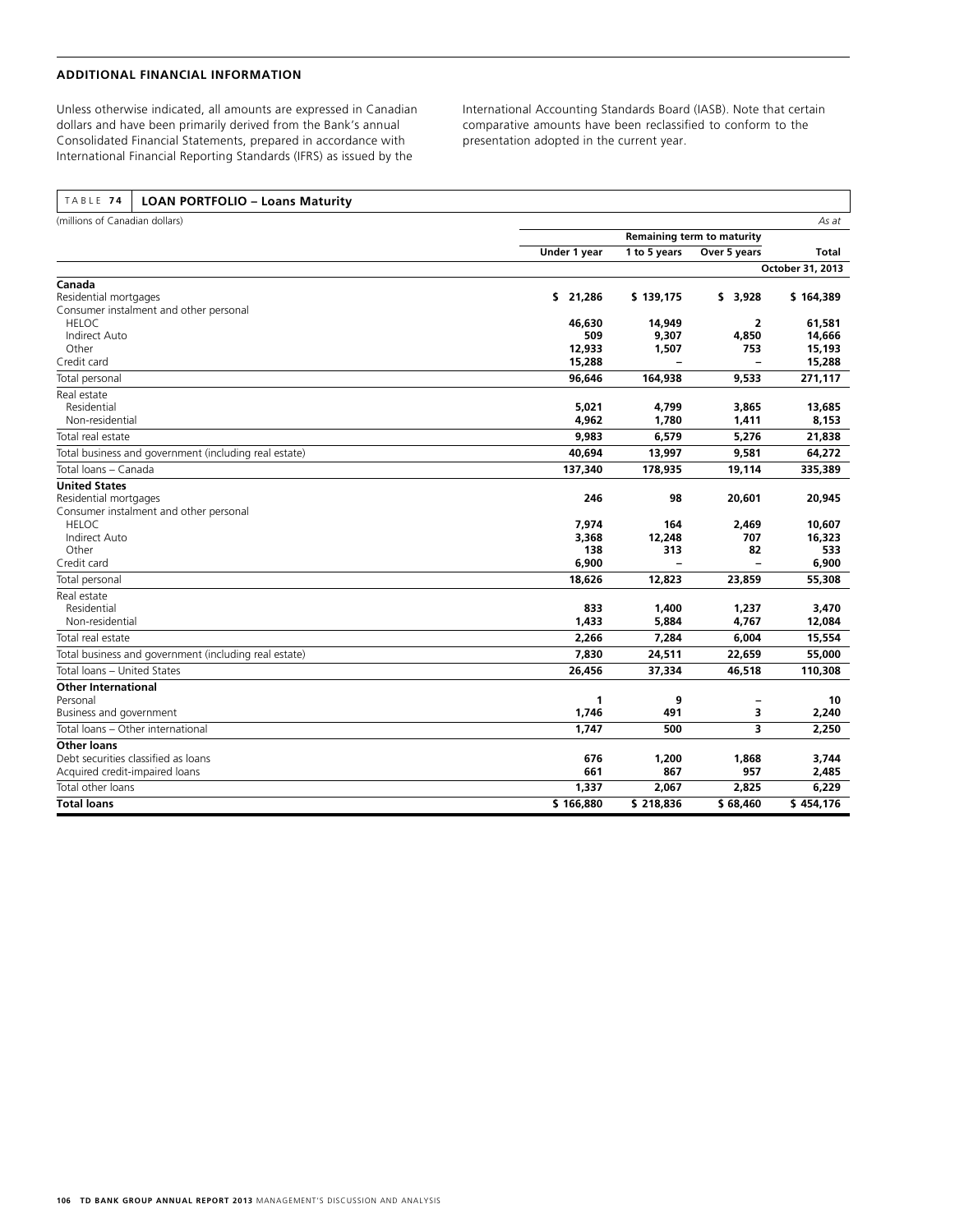# **ADDITIONAL FINANCIAL INFORMATION**

Unless otherwise indicated, all amounts are expressed in Canadian dollars and have been primarily derived from the Bank's annual Consolidated Financial Statements, prepared in accordance with International Financial Reporting Standards (IFRS) as issued by the

International Accounting Standards Board (IASB). Note that certain comparative amounts have been reclassified to conform to the presentation adopted in the current year.

# TABLE **7 4 LOAN PORTFOLIO – Loans Maturity**

| (millions of Canadian dollars)                        |              |              |                            |                  |  |
|-------------------------------------------------------|--------------|--------------|----------------------------|------------------|--|
|                                                       |              |              | Remaining term to maturity |                  |  |
|                                                       | Under 1 year | 1 to 5 years | Over 5 years               | Total            |  |
|                                                       |              |              |                            | October 31, 2013 |  |
| Canada                                                |              |              |                            |                  |  |
| Residential mortgages                                 | \$21,286     | \$139,175    | \$3,928                    | \$164,389        |  |
| Consumer instalment and other personal                |              |              |                            |                  |  |
| <b>HELOC</b>                                          | 46,630       | 14,949       | 2                          | 61,581           |  |
| Indirect Auto                                         | 509          | 9,307        | 4,850                      | 14,666           |  |
| Other                                                 | 12,933       | 1,507        | 753                        | 15,193           |  |
| Credit card                                           | 15,288       |              |                            | 15,288           |  |
| Total personal                                        | 96.646       | 164,938      | 9,533                      | 271,117          |  |
| Real estate                                           |              |              |                            |                  |  |
| Residential                                           | 5.021        | 4,799        | 3,865                      | 13,685           |  |
| Non-residential                                       | 4,962        | 1,780        | 1,411                      | 8,153            |  |
| Total real estate                                     | 9,983        | 6,579        | 5,276                      | 21,838           |  |
| Total business and government (including real estate) | 40,694       | 13,997       | 9,581                      | 64,272           |  |
| Total Ioans - Canada                                  | 137,340      | 178,935      | 19,114                     | 335,389          |  |
| <b>United States</b>                                  |              |              |                            |                  |  |
| Residential mortgages                                 | 246          | 98           | 20,601                     | 20,945           |  |
| Consumer instalment and other personal                |              |              |                            |                  |  |
| <b>HELOC</b>                                          | 7,974        | 164          | 2,469                      | 10,607           |  |
| <b>Indirect Auto</b>                                  | 3,368        | 12,248       | 707                        | 16,323           |  |
| Other                                                 | 138          | 313          | 82                         | 533              |  |
| Credit card                                           | 6,900        |              |                            | 6,900            |  |
| Total personal                                        | 18,626       | 12,823       | 23,859                     | 55,308           |  |
| Real estate                                           |              |              |                            |                  |  |
| Residential                                           | 833          | 1,400        | 1,237                      | 3,470            |  |
| Non-residential                                       | 1,433        | 5,884        | 4,767                      | 12,084           |  |
| Total real estate                                     | 2.266        | 7,284        | 6,004                      | 15,554           |  |
| Total business and government (including real estate) | 7,830        | 24,511       | 22,659                     | 55,000           |  |
| Total loans - United States                           | 26,456       | 37,334       | 46,518                     | 110,308          |  |
| <b>Other International</b>                            |              |              |                            |                  |  |
| Personal                                              | 1            | 9            |                            | 10               |  |
| Business and government                               | 1,746        | 491          | 3                          | 2,240            |  |
| Total loans - Other international                     | 1,747        | 500          | 3                          | 2,250            |  |
| <b>Other loans</b>                                    |              |              |                            |                  |  |
| Debt securities classified as loans                   | 676          | 1,200        | 1,868                      | 3,744            |  |
| Acquired credit-impaired loans                        | 661          | 867          | 957                        | 2,485            |  |
| Total other loans                                     | 1,337        | 2,067        | 2,825                      | 6,229            |  |
| <b>Total loans</b>                                    | \$166,880    | \$218,836    | \$68,460                   | \$454,176        |  |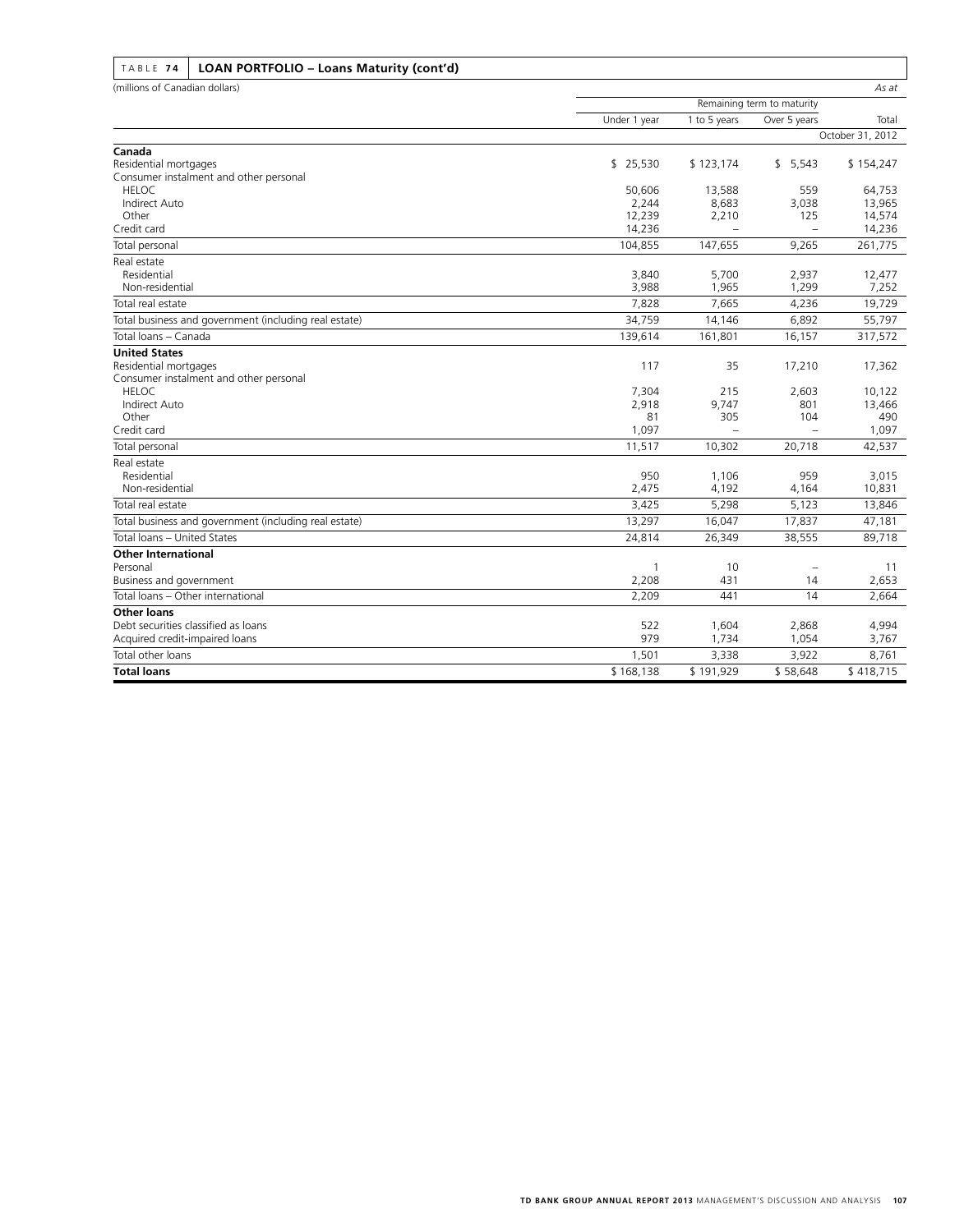| TABLE 74                       | LOAN PORTFOLIO - Loans Maturity (cont'd)              |              |              |                            |                  |
|--------------------------------|-------------------------------------------------------|--------------|--------------|----------------------------|------------------|
| (millions of Canadian dollars) |                                                       |              |              |                            | As at            |
|                                |                                                       |              |              | Remaining term to maturity |                  |
|                                |                                                       | Under 1 year | 1 to 5 years | Over 5 years               | Total            |
|                                |                                                       |              |              |                            | October 31, 2012 |
| Canada                         |                                                       |              |              |                            |                  |
| Residential mortgages          |                                                       | \$25,530     | \$123,174    | \$5,543                    | \$154,247        |
|                                | Consumer instalment and other personal                |              |              |                            |                  |
| <b>HELOC</b>                   |                                                       | 50,606       | 13,588       | 559                        | 64,753           |
| <b>Indirect Auto</b>           |                                                       | 2,244        | 8,683        | 3,038                      | 13,965           |
| Other                          |                                                       | 12,239       | 2,210        | 125                        | 14,574           |
| Credit card                    |                                                       | 14,236       |              |                            | 14,236           |
| Total personal                 |                                                       | 104,855      | 147,655      | 9,265                      | 261,775          |
| Real estate                    |                                                       |              |              |                            |                  |
| Residential                    |                                                       | 3,840        | 5,700        | 2,937                      | 12,477           |
| Non-residential                |                                                       | 3,988        | 1,965        | 1,299                      | 7,252            |
| Total real estate              |                                                       | 7,828        | 7,665        | 4,236                      | 19,729           |
|                                | Total business and government (including real estate) | 34,759       | 14,146       | 6,892                      | 55,797           |
| Total Ioans - Canada           |                                                       | 139,614      | 161,801      | 16,157                     | 317,572          |
| <b>United States</b>           |                                                       |              |              |                            |                  |
| Residential mortgages          |                                                       | 117          | 35           | 17,210                     | 17,362           |
|                                | Consumer instalment and other personal                |              |              |                            |                  |
| <b>HELOC</b>                   |                                                       | 7,304        | 215          | 2,603                      | 10,122           |
| Indirect Auto                  |                                                       | 2,918        | 9,747        | 801                        | 13,466           |
| Other                          |                                                       | 81           | 305          | 104                        | 490              |
| Credit card                    |                                                       | 1,097        |              |                            | 1,097            |
| Total personal                 |                                                       | 11,517       | 10,302       | 20,718                     | 42,537           |
| Real estate                    |                                                       |              |              |                            |                  |
| Residential                    |                                                       | 950          | 1,106        | 959                        | 3,015            |
| Non-residential                |                                                       | 2,475        | 4,192        | 4,164                      | 10,831           |
| Total real estate              |                                                       | 3,425        | 5,298        | 5,123                      | 13,846           |
|                                | Total business and government (including real estate) | 13,297       | 16,047       | 17,837                     | 47,181           |
| Total loans - United States    |                                                       | 24,814       | 26,349       | 38,555                     | 89,718           |
| <b>Other International</b>     |                                                       |              |              |                            |                  |
| Personal                       |                                                       | 1            | 10           |                            | 11               |
| Business and government        |                                                       | 2,208        | 431          | 14                         | 2,653            |
|                                | Total loans - Other international                     | 2,209        | 441          | 14                         | 2,664            |
| Other loans                    |                                                       |              |              |                            |                  |
|                                | Debt securities classified as loans                   | 522          | 1,604        | 2,868                      | 4,994            |
| Acquired credit-impaired loans |                                                       | 979          | 1,734        | 1,054                      | 3,767            |
| Total other loans              |                                                       | 1,501        | 3,338        | 3,922                      | 8,761            |
| <b>Total loans</b>             |                                                       | \$168,138    | \$191,929    | \$58,648                   | \$418,715        |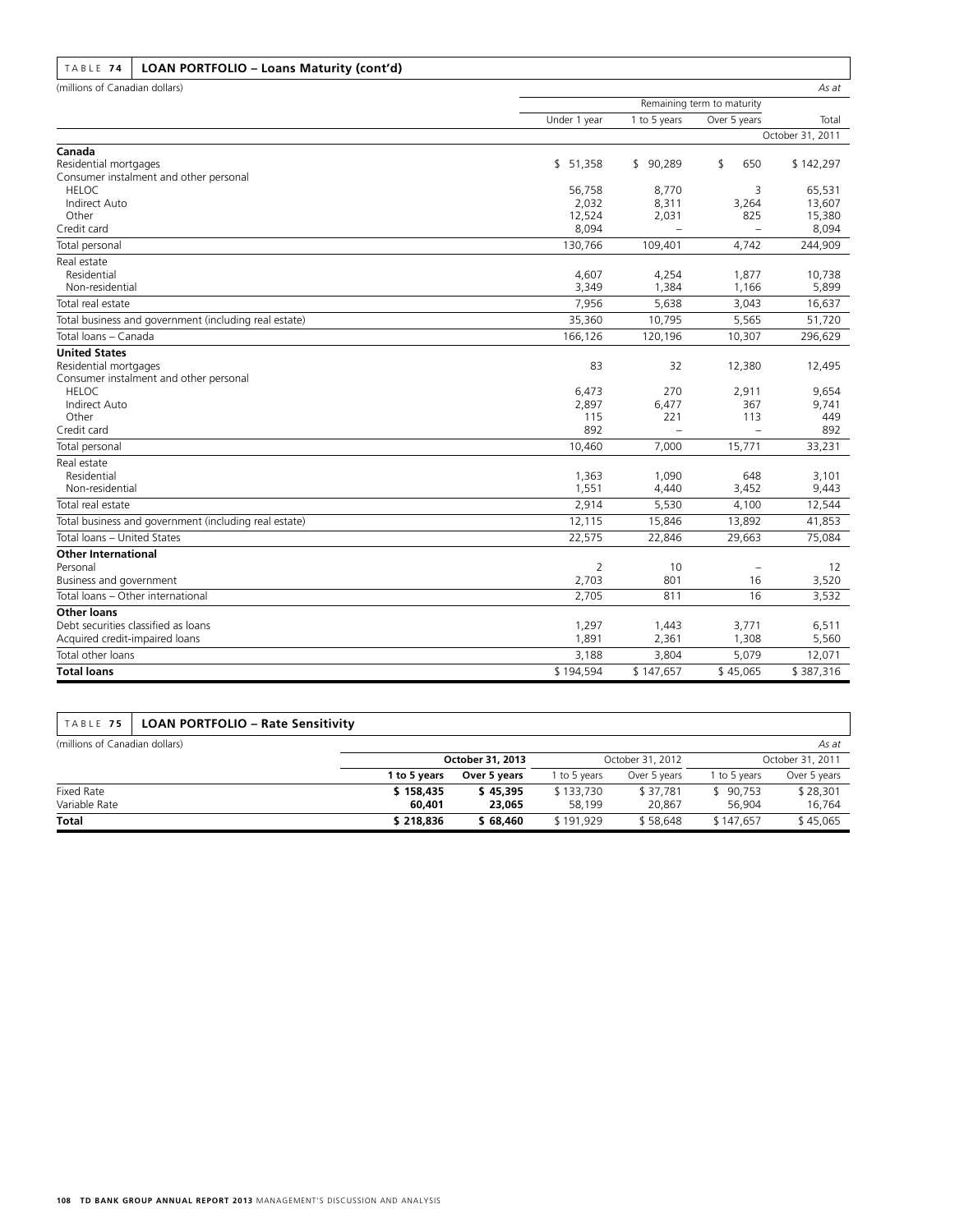| TABLE 74                       | LOAN PORTFOLIO - Loans Maturity (cont'd)              |                 |                   |                            |                  |
|--------------------------------|-------------------------------------------------------|-----------------|-------------------|----------------------------|------------------|
| (millions of Canadian dollars) |                                                       |                 |                   |                            | As at            |
|                                |                                                       |                 |                   | Remaining term to maturity |                  |
|                                |                                                       | Under 1 year    | 1 to 5 years      | Over 5 years               | Total            |
|                                |                                                       |                 |                   |                            | October 31, 2011 |
| Canada                         |                                                       |                 |                   |                            |                  |
| Residential mortgages          |                                                       | \$51,358        | \$90,289          | \$<br>650                  | \$142,297        |
|                                | Consumer instalment and other personal                |                 |                   |                            |                  |
| <b>HELOC</b><br>Indirect Auto  |                                                       | 56,758<br>2,032 | 8,770             | 3                          | 65,531<br>13,607 |
| Other                          |                                                       | 12,524          | 8,311<br>2,031    | 3,264<br>825               | 15,380           |
| Credit card                    |                                                       | 8,094           | $\qquad \qquad -$ | $\overline{\phantom{0}}$   | 8,094            |
| Total personal                 |                                                       | 130,766         | 109,401           | 4,742                      | 244,909          |
| Real estate                    |                                                       |                 |                   |                            |                  |
| Residential                    |                                                       | 4,607           | 4,254             | 1,877                      | 10,738           |
| Non-residential                |                                                       | 3,349           | 1,384             | 1,166                      | 5,899            |
| Total real estate              |                                                       | 7,956           | 5,638             | 3,043                      | 16,637           |
|                                | Total business and government (including real estate) | 35,360          | 10,795            | 5,565                      | 51,720           |
| Total Ioans - Canada           |                                                       | 166,126         | 120,196           | 10,307                     | 296,629          |
| <b>United States</b>           |                                                       |                 |                   |                            |                  |
| Residential mortgages          |                                                       | 83              | 32                | 12,380                     | 12,495           |
|                                | Consumer instalment and other personal                |                 |                   |                            |                  |
| <b>HELOC</b>                   |                                                       | 6,473           | 270               | 2,911                      | 9,654            |
| <b>Indirect Auto</b>           |                                                       | 2,897           | 6,477             | 367                        | 9,741            |
| Other                          |                                                       | 115             | 221               | 113                        | 449              |
| Credit card                    |                                                       | 892             |                   |                            | 892              |
| Total personal                 |                                                       | 10,460          | 7,000             | 15,771                     | 33,231           |
| Real estate                    |                                                       |                 |                   |                            |                  |
| Residential                    |                                                       | 1,363           | 1,090             | 648                        | 3,101            |
| Non-residential                |                                                       | 1,551           | 4,440             | 3,452                      | 9,443            |
| Total real estate              |                                                       | 2,914           | 5,530             | 4,100                      | 12,544           |
|                                | Total business and government (including real estate) | 12,115          | 15,846            | 13,892                     | 41,853           |
| Total loans - United States    |                                                       | 22,575          | 22,846            | 29,663                     | 75,084           |
| <b>Other International</b>     |                                                       |                 |                   |                            |                  |
| Personal                       |                                                       | 2               | 10                |                            | 12               |
| Business and government        |                                                       | 2,703           | 801               | 16                         | 3,520            |
|                                | Total loans - Other international                     | 2,705           | 811               | 16                         | 3,532            |
| Other loans                    |                                                       |                 |                   |                            |                  |
|                                | Debt securities classified as loans                   | 1,297           | 1,443             | 3,771                      | 6,511            |
| Acquired credit-impaired loans |                                                       | 1,891           | 2,361             | 1,308                      | 5,560            |
| Total other loans              |                                                       | 3,188           | 3,804             | 5,079                      | 12,071           |
| <b>Total loans</b>             |                                                       | \$194,594       | \$147,657         | \$45,065                   | \$387,316        |

| TABLE 75      | <b>LOAN PORTFOLIO - Rate Sensitivity</b> |              |                  |              |                  |              |                  |  |  |  |
|---------------|------------------------------------------|--------------|------------------|--------------|------------------|--------------|------------------|--|--|--|
|               | (millions of Canadian dollars)<br>As at  |              |                  |              |                  |              |                  |  |  |  |
|               |                                          |              | October 31, 2013 |              | October 31, 2012 |              | October 31, 2011 |  |  |  |
|               |                                          | 1 to 5 years | Over 5 years     | 1 to 5 years | Over 5 years     | 1 to 5 vears | Over 5 years     |  |  |  |
| Fixed Rate    |                                          | \$158,435    | \$45,395         | \$133.730    | \$37.781         | \$90.753     | \$28,301         |  |  |  |
| Variable Rate |                                          | 60,401       | 23,065           | 58,199       | 20,867           | 56,904       | 16,764           |  |  |  |
| <b>Total</b>  |                                          | \$218,836    | \$68,460         | \$191.929    | \$58,648         | \$147.657    | \$45,065         |  |  |  |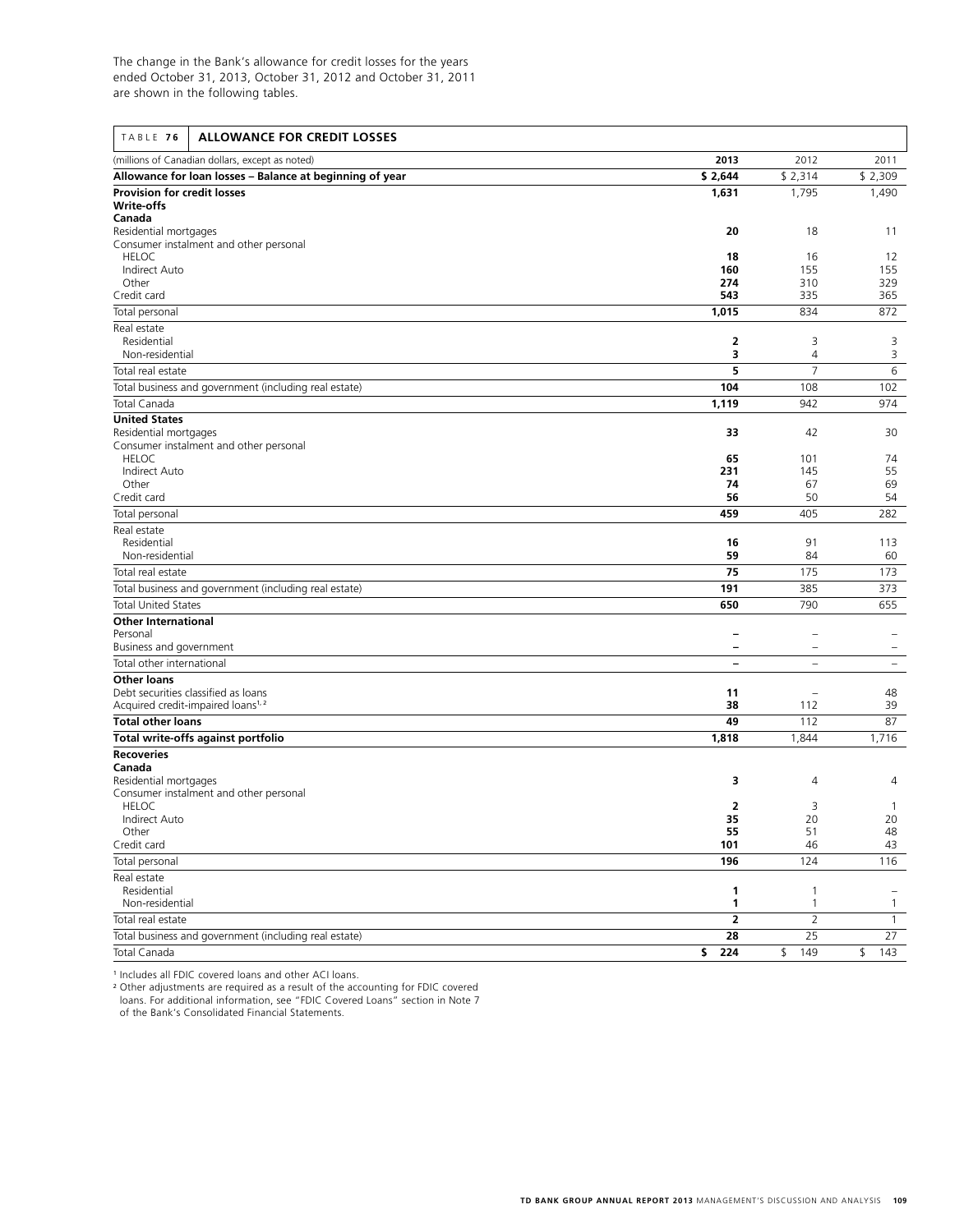The change in the Bank's allowance for credit losses for the years ended October 31, 2013, October 31, 2012 and October 31, 2011 are shown in the following tables.

| TABLE 76                                         | <b>ALLOWANCE FOR CREDIT LOSSES</b>                       |                          |                   |              |
|--------------------------------------------------|----------------------------------------------------------|--------------------------|-------------------|--------------|
|                                                  | (millions of Canadian dollars, except as noted)          | 2013                     | 2012              | 2011         |
|                                                  | Allowance for loan losses - Balance at beginning of year | \$2,644                  | \$2,314           | \$2,309      |
| <b>Provision for credit losses</b><br>Write-offs |                                                          | 1,631                    | 1,795             | 1,490        |
| Canada<br>Residential mortgages                  | Consumer instalment and other personal                   | 20                       | 18                | 11           |
| <b>HELOC</b>                                     |                                                          | 18                       | 16                | 12           |
| Indirect Auto                                    |                                                          | 160                      | 155               | 155          |
| Other                                            |                                                          | 274                      | 310               | 329          |
| Credit card                                      |                                                          | 543                      | 335               | 365          |
| Total personal                                   |                                                          | 1,015                    | 834               | 872          |
| Real estate<br>Residential                       |                                                          | $\overline{\mathbf{2}}$  | 3                 | 3            |
| Non-residential                                  |                                                          | 3                        | 4                 | 3            |
| Total real estate                                |                                                          | 5                        | $\overline{7}$    | 6            |
|                                                  | Total business and government (including real estate)    | 104                      | 108               | 102          |
| <b>Total Canada</b>                              |                                                          | 1,119                    | 942               | 974          |
| <b>United States</b>                             |                                                          |                          |                   |              |
| Residential mortgages                            |                                                          | 33                       | 42                | 30           |
|                                                  | Consumer instalment and other personal                   |                          |                   |              |
| <b>HELOC</b><br>Indirect Auto                    |                                                          | 65<br>231                | 101<br>145        | 74<br>55     |
| Other                                            |                                                          | 74                       | 67                | 69           |
| Credit card                                      |                                                          | 56                       | 50                | 54           |
| Total personal                                   |                                                          | 459                      | 405               | 282          |
| Real estate                                      |                                                          |                          |                   |              |
| Residential                                      |                                                          | 16                       | 91                | 113          |
| Non-residential                                  |                                                          | 59                       | 84                | 60           |
| Total real estate                                |                                                          | 75                       | 175               | 173          |
|                                                  | Total business and government (including real estate)    | 191                      | 385               | 373          |
| <b>Total United States</b>                       |                                                          | 650                      | 790               | 655          |
| <b>Other International</b><br>Personal           |                                                          | $\overline{\phantom{0}}$ |                   | ۳            |
| Business and government                          |                                                          | $\qquad \qquad$          | $\qquad \qquad -$ | -            |
| Total other international                        |                                                          | $\qquad \qquad -$        | $\qquad \qquad -$ | -            |
| <b>Other loans</b>                               |                                                          |                          |                   |              |
|                                                  | Debt securities classified as loans                      | 11                       | $\qquad \qquad -$ | 48           |
| <b>Total other loans</b>                         | Acquired credit-impaired loans <sup>1, 2</sup>           | 38<br>49                 | 112<br>112        | 39<br>87     |
|                                                  | Total write-offs against portfolio                       |                          |                   | 1,716        |
| <b>Recoveries</b>                                |                                                          | 1,818                    | 1,844             |              |
| Canada                                           |                                                          |                          |                   |              |
| Residential mortgages                            |                                                          | з                        | 4                 | 4            |
|                                                  | Consumer instalment and other personal                   |                          |                   |              |
| <b>HELOC</b>                                     |                                                          | 2                        | 3                 | -1           |
| Indirect Auto<br>Other                           |                                                          | 35<br>55                 | 20<br>51          | 20<br>48     |
| Credit card                                      |                                                          | 101                      | 46                | 43           |
| Total personal                                   |                                                          | 196                      | 124               | 116          |
| Real estate                                      |                                                          |                          |                   |              |
| Residential                                      |                                                          | 1                        | $\mathbf{1}$      | -            |
| Non-residential                                  |                                                          | 1                        | 1                 | $\mathbf{1}$ |
| Total real estate                                |                                                          | $\overline{\mathbf{2}}$  | $\overline{2}$    | $\mathbf{1}$ |
|                                                  | Total business and government (including real estate)    | 28                       | 25                | 27           |
| Total Canada                                     |                                                          | \$<br>224                | \$<br>149         | \$<br>143    |

1 Includes all FDIC covered loans and other ACI loans.

<sup>2</sup> Other adjustments are required as a result of the accounting for FDIC covered

loans. For additional information, see "FDIC Covered Loans" section in Note 7

of the Bank's Consolidated Financial Statements.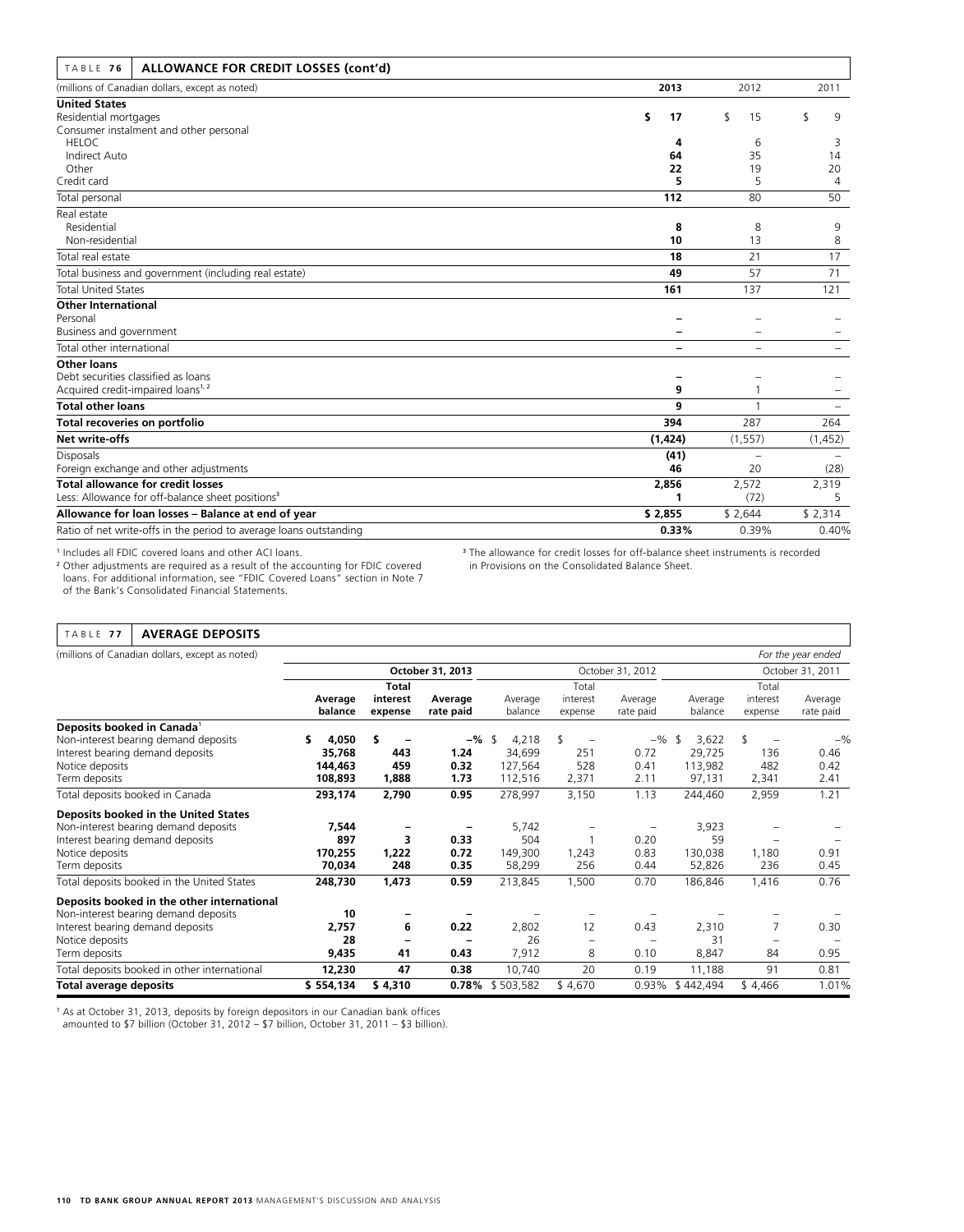| TABLE 76                                                          | ALLOWANCE FOR CREDIT LOSSES (cont'd)                                                                     |            |      |               |      |            |
|-------------------------------------------------------------------|----------------------------------------------------------------------------------------------------------|------------|------|---------------|------|------------|
| (millions of Canadian dollars, except as noted)                   |                                                                                                          | 2013       | 2012 |               | 2011 |            |
| <b>United States</b><br>Residential mortgages                     |                                                                                                          | \$<br>17   | \$   | 15            | \$   | 9          |
| <b>HELOC</b><br>Indirect Auto                                     | Consumer instalment and other personal                                                                   | 4<br>64    |      | 6<br>35       |      | 3<br>14    |
| Other<br>Credit card                                              |                                                                                                          | 22<br>5    |      | 19<br>5       |      | 20<br>4    |
| Total personal                                                    |                                                                                                          | 112        |      | 80            |      | 50         |
| Real estate<br>Residential<br>Non-residential                     |                                                                                                          | 8<br>10    |      | 8<br>13       |      | 9<br>8     |
| Total real estate                                                 |                                                                                                          | 18         |      | 21            |      | 17         |
|                                                                   | Total business and government (including real estate)                                                    | 49         |      | 57            |      | 71         |
| <b>Total United States</b>                                        |                                                                                                          | 161        |      | 137           |      | 121        |
| <b>Other International</b><br>Personal<br>Business and government |                                                                                                          |            |      |               |      |            |
| Total other international                                         |                                                                                                          | -          |      | L.            |      |            |
| <b>Other loans</b>                                                | Debt securities classified as loans<br>Acquired credit-impaired loans <sup>1, 2</sup>                    | 9          |      |               |      |            |
| <b>Total other loans</b>                                          |                                                                                                          | 9          |      | 1             |      |            |
| Total recoveries on portfolio                                     |                                                                                                          | 394        |      | 287           |      | 264        |
| Net write-offs                                                    |                                                                                                          | (1, 424)   |      | (1, 557)      |      | (1, 452)   |
| Disposals                                                         | Foreign exchange and other adjustments                                                                   | (41)<br>46 |      | 20            |      | (28)       |
|                                                                   | <b>Total allowance for credit losses</b><br>Less: Allowance for off-balance sheet positions <sup>3</sup> | 2,856<br>1 |      | 2,572<br>(72) |      | 2,319<br>5 |
|                                                                   | Allowance for loan losses - Balance at end of year                                                       | \$2,855    |      | \$2,644       |      | \$2,314    |
|                                                                   | Ratio of net write-offs in the period to average loans outstanding                                       | 0.33%      |      | 0.39%         |      | 0.40%      |

1 Includes all FDIC covered loans and other ACI loans.

<sup>2</sup> Other adjustments are required as a result of the accounting for FDIC covered loans. For additional information, see "FDIC Covered Loans" section in Note 7 of the Bank's Consolidated Financial Statements.

<sup>3</sup> The allowance for credit losses for off-balance sheet instruments is recorded in Provisions on the Consolidated Balance Sheet.

| TABLE 77                               | <b>AVERAGE DEPOSITS</b>                         |                    |                        |                      |                    |                         |                      |                    |                     |                      |
|----------------------------------------|-------------------------------------------------|--------------------|------------------------|----------------------|--------------------|-------------------------|----------------------|--------------------|---------------------|----------------------|
|                                        | (millions of Canadian dollars, except as noted) |                    |                        |                      |                    |                         |                      |                    |                     | For the year ended   |
|                                        |                                                 |                    |                        | October 31, 2013     | October 31, 2012   |                         |                      | October 31, 2011   |                     |                      |
|                                        |                                                 |                    | Total                  |                      |                    | Total                   |                      |                    | Total               |                      |
|                                        |                                                 | Average<br>balance | interest<br>expense    | Average<br>rate paid | Average<br>balance | interest<br>expense     | Average<br>rate paid | Average<br>balance | interest<br>expense | Average<br>rate paid |
| Deposits booked in Canada <sup>1</sup> |                                                 |                    |                        |                      |                    |                         |                      |                    |                     |                      |
|                                        | Non-interest bearing demand deposits            | 4,050<br>s         | s<br>$\qquad \qquad -$ | -%                   | 4,218<br>S         | \$<br>$\qquad \qquad -$ | $-$ %                | 3,622<br>S         |                     | $-$ %                |
|                                        | Interest bearing demand deposits                | 35,768             | 443                    | 1.24                 | 34.699             | 251                     | 0.72                 | 29,725             | 136                 | 0.46                 |
| Notice deposits                        |                                                 | 144,463            | 459                    | 0.32                 | 127,564            | 528                     | 0.41                 | 113,982            | 482                 | 0.42                 |
| Term deposits                          |                                                 | 108,893            | 1,888                  | 1.73                 | 112,516            | 2,371                   | 2.11                 | 97,131             | 2,341               | 2.41                 |
|                                        | Total deposits booked in Canada                 | 293,174            | 2,790                  | 0.95                 | 278,997            | 3,150                   | 1.13                 | 244,460            | 2,959               | 1.21                 |
|                                        | Deposits booked in the United States            |                    |                        |                      |                    |                         |                      |                    |                     |                      |
|                                        | Non-interest bearing demand deposits            | 7,544              |                        |                      | 5,742              |                         |                      | 3,923              |                     |                      |
|                                        | Interest bearing demand deposits                | 897                | 3                      | 0.33                 | 504                |                         | 0.20                 | 59                 |                     |                      |
| Notice deposits                        |                                                 | 170,255            | 1,222                  | 0.72                 | 149,300            | 1,243                   | 0.83                 | 130,038            | 1,180               | 0.91                 |
| Term deposits                          |                                                 | 70,034             | 248                    | 0.35                 | 58,299             | 256                     | 0.44                 | 52,826             | 236                 | 0.45                 |
|                                        | Total deposits booked in the United States      | 248,730            | 1,473                  | 0.59                 | 213,845            | 1,500                   | 0.70                 | 186,846            | 1,416               | 0.76                 |
|                                        | Deposits booked in the other international      |                    |                        |                      |                    |                         |                      |                    |                     |                      |
|                                        | Non-interest bearing demand deposits            | 10                 |                        |                      |                    |                         |                      |                    |                     |                      |
|                                        | Interest bearing demand deposits                | 2,757              | 6                      | 0.22                 | 2,802              | 12                      | 0.43                 | 2,310              | 7                   | 0.30                 |
| Notice deposits                        |                                                 | 28                 |                        |                      | 26                 |                         |                      | 31                 |                     |                      |
| Term deposits                          |                                                 | 9,435              | 41                     | 0.43                 | 7,912              | 8                       | 0.10                 | 8,847              | 84                  | 0.95                 |
|                                        | Total deposits booked in other international    | 12,230             | 47                     | 0.38                 | 10,740             | 20                      | 0.19                 | 11,188             | 91                  | 0.81                 |
| Total average deposits                 |                                                 | \$554,134          | \$4,310                | 0.78%                | \$503,582          | \$4,670                 | 0.93%                | \$442,494          | \$4,466             | 1.01%                |

<sup>1</sup> As at October 31, 2013, deposits by foreign depositors in our Canadian bank offices

amounted to \$7 billion (October 31, 2012 – \$7 billion, October 31, 2011 – \$3 billion).